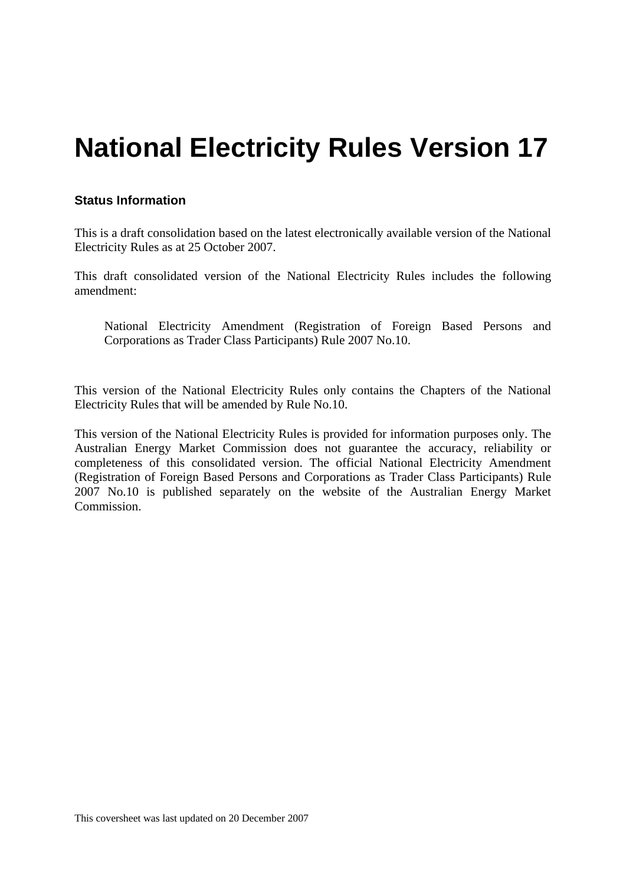# **National Electricity Rules Version 17**

## **Status Information**

This is a draft consolidation based on the latest electronically available version of the National Electricity Rules as at 25 October 2007.

This draft consolidated version of the National Electricity Rules includes the following amendment:

National Electricity Amendment (Registration of Foreign Based Persons and Corporations as Trader Class Participants) Rule 2007 No.10.

This version of the National Electricity Rules only contains the Chapters of the National Electricity Rules that will be amended by Rule No.10.

This version of the National Electricity Rules is provided for information purposes only. The Australian Energy Market Commission does not guarantee the accuracy, reliability or completeness of this consolidated version. The official National Electricity Amendment (Registration of Foreign Based Persons and Corporations as Trader Class Participants) Rule 2007 No.10 is published separately on the website of the Australian Energy Market Commission.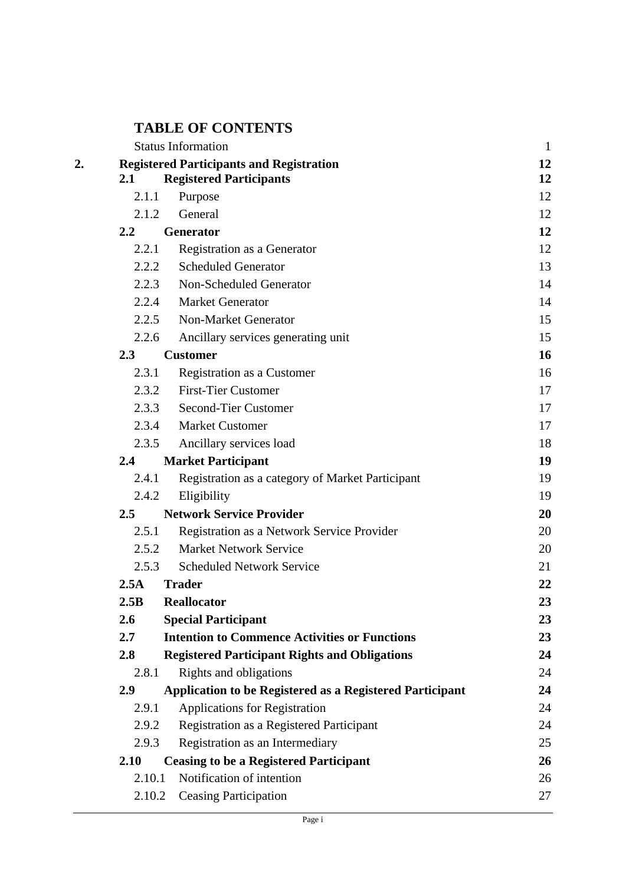# **TABLE OF CONTENTS**

|        | <b>Status Information</b>                                       | $\mathbf{1}$ |
|--------|-----------------------------------------------------------------|--------------|
|        | <b>Registered Participants and Registration</b>                 | 12           |
| 2.1    | <b>Registered Participants</b>                                  | 12           |
| 2.1.1  | Purpose                                                         | 12           |
| 2.1.2  | General                                                         | 12           |
| 2.2    | Generator                                                       | 12           |
| 2.2.1  | Registration as a Generator                                     | 12           |
| 2.2.2  | <b>Scheduled Generator</b>                                      | 13           |
| 2.2.3  | Non-Scheduled Generator                                         | 14           |
| 2.2.4  | <b>Market Generator</b>                                         | 14           |
| 2.2.5  | <b>Non-Market Generator</b>                                     | 15           |
| 2.2.6  | Ancillary services generating unit                              | 15           |
| 2.3    | <b>Customer</b>                                                 | 16           |
| 2.3.1  | Registration as a Customer                                      | 16           |
| 2.3.2  | <b>First-Tier Customer</b>                                      | 17           |
| 2.3.3  | <b>Second-Tier Customer</b>                                     | 17           |
| 2.3.4  | <b>Market Customer</b>                                          | 17           |
| 2.3.5  | Ancillary services load                                         | 18           |
| 2.4    | <b>Market Participant</b>                                       | 19           |
| 2.4.1  | Registration as a category of Market Participant                | 19           |
| 2.4.2  | Eligibility                                                     | 19           |
| 2.5    | <b>Network Service Provider</b>                                 | 20           |
| 2.5.1  | Registration as a Network Service Provider                      | 20           |
| 2.5.2  | <b>Market Network Service</b>                                   | 20           |
| 2.5.3  | <b>Scheduled Network Service</b>                                | 21           |
| 2.5A   | <b>Trader</b>                                                   | 22           |
| 2.5B   | <b>Reallocator</b>                                              | 23           |
| 2.6    | <b>Special Participant</b>                                      | 23           |
| 2.7    | <b>Intention to Commence Activities or Functions</b>            | 23           |
| 2.8    | <b>Registered Participant Rights and Obligations</b>            | 24           |
| 2.8.1  | Rights and obligations                                          | 24           |
| 2.9    | <b>Application to be Registered as a Registered Participant</b> | 24           |
| 2.9.1  | <b>Applications for Registration</b>                            | 24           |
| 2.9.2  | Registration as a Registered Participant                        | 24           |
| 2.9.3  | Registration as an Intermediary                                 | 25           |
| 2.10   | <b>Ceasing to be a Registered Participant</b>                   | 26           |
| 2.10.1 | Notification of intention                                       | 26           |
| 2.10.2 | <b>Ceasing Participation</b>                                    | 27           |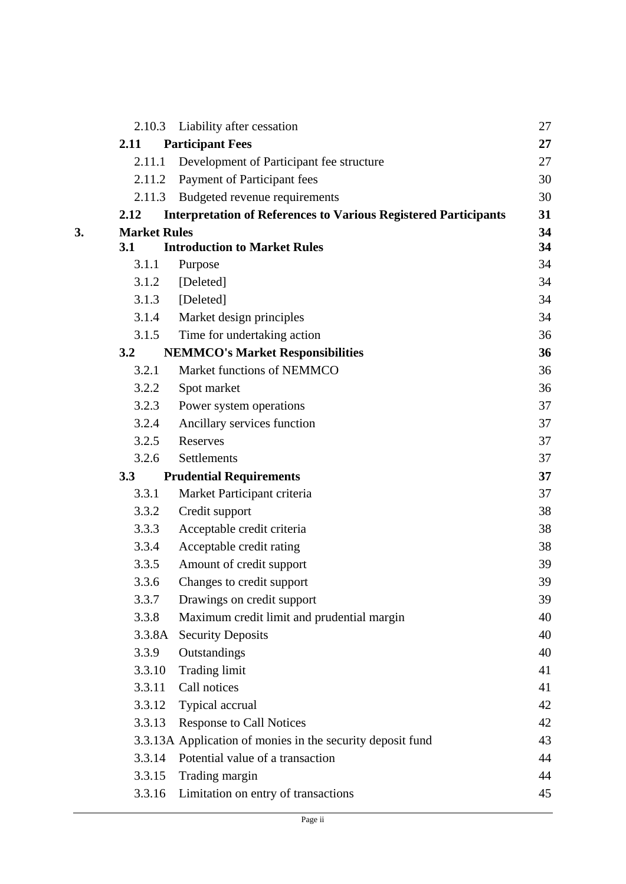|                     | 2.10.3 Liability after cessation                                       | 27 |
|---------------------|------------------------------------------------------------------------|----|
| 2.11                | <b>Participant Fees</b>                                                | 27 |
| 2.11.1              | Development of Participant fee structure                               | 27 |
| 2.11.2              | Payment of Participant fees                                            | 30 |
| 2.11.3              | Budgeted revenue requirements                                          | 30 |
| 2.12                | <b>Interpretation of References to Various Registered Participants</b> | 31 |
| <b>Market Rules</b> |                                                                        | 34 |
| 3.1                 | <b>Introduction to Market Rules</b>                                    | 34 |
| 3.1.1               | Purpose                                                                | 34 |
| 3.1.2               | [Deleted]                                                              | 34 |
| 3.1.3               | [Deleted]                                                              | 34 |
| 3.1.4               | Market design principles                                               | 34 |
| 3.1.5               | Time for undertaking action                                            | 36 |
| 3.2                 | <b>NEMMCO's Market Responsibilities</b>                                | 36 |
| 3.2.1               | Market functions of NEMMCO                                             | 36 |
| 3.2.2               | Spot market                                                            | 36 |
| 3.2.3               | Power system operations                                                | 37 |
| 3.2.4               | Ancillary services function                                            | 37 |
| 3.2.5               | Reserves                                                               | 37 |
| 3.2.6               | Settlements                                                            | 37 |
| 3.3                 | <b>Prudential Requirements</b>                                         | 37 |
| 3.3.1               | Market Participant criteria                                            | 37 |
| 3.3.2               | Credit support                                                         | 38 |
| 3.3.3               | Acceptable credit criteria                                             | 38 |
| 3.3.4               | Acceptable credit rating                                               | 38 |
| 3.3.5               | Amount of credit support                                               | 39 |
| 3.3.6               | Changes to credit support                                              | 39 |
| 3.3.7               | Drawings on credit support                                             | 39 |
| 3.3.8               | Maximum credit limit and prudential margin                             | 40 |
| 3.3.8A              | <b>Security Deposits</b>                                               | 40 |
| 3.3.9               | Outstandings                                                           | 40 |
| 3.3.10              | <b>Trading limit</b>                                                   | 41 |
| 3.3.11              | Call notices                                                           | 41 |
| 3.3.12              | Typical accrual                                                        | 42 |
| 3.3.13              | <b>Response to Call Notices</b>                                        | 42 |
|                     | 3.3.13A Application of monies in the security deposit fund             | 43 |
| 3.3.14              | Potential value of a transaction                                       | 44 |
| 3.3.15              | Trading margin                                                         | 44 |
| 3.3.16              | Limitation on entry of transactions                                    | 45 |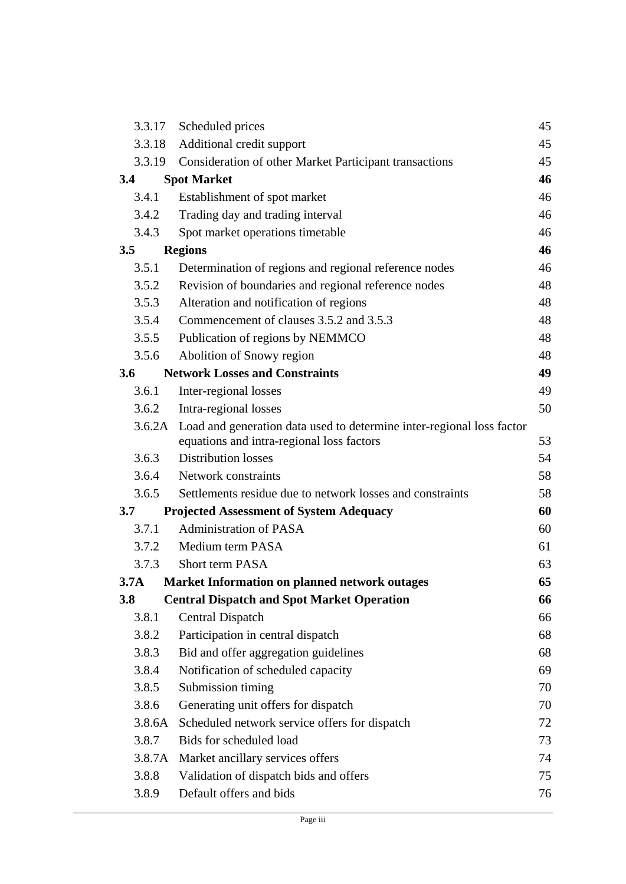|                  | 3.3.17 | Scheduled prices                                                      | 45 |
|------------------|--------|-----------------------------------------------------------------------|----|
|                  | 3.3.18 | Additional credit support                                             | 45 |
|                  | 3.3.19 | Consideration of other Market Participant transactions                | 45 |
| 3.4              |        | <b>Spot Market</b>                                                    | 46 |
|                  | 3.4.1  | Establishment of spot market                                          | 46 |
|                  | 3.4.2  | Trading day and trading interval                                      | 46 |
|                  | 3.4.3  | Spot market operations timetable                                      | 46 |
| 3.5              |        | <b>Regions</b>                                                        | 46 |
|                  | 3.5.1  | Determination of regions and regional reference nodes                 | 46 |
|                  | 3.5.2  | Revision of boundaries and regional reference nodes                   | 48 |
|                  | 3.5.3  | Alteration and notification of regions                                | 48 |
|                  | 3.5.4  | Commencement of clauses 3.5.2 and 3.5.3                               | 48 |
|                  | 3.5.5  | Publication of regions by NEMMCO                                      | 48 |
|                  | 3.5.6  | Abolition of Snowy region                                             | 48 |
| 3.6              |        | <b>Network Losses and Constraints</b>                                 | 49 |
|                  | 3.6.1  | Inter-regional losses                                                 | 49 |
|                  | 3.6.2  | Intra-regional losses                                                 | 50 |
|                  | 3.6.2A | Load and generation data used to determine inter-regional loss factor |    |
|                  |        | equations and intra-regional loss factors                             | 53 |
|                  | 3.6.3  | <b>Distribution losses</b>                                            | 54 |
|                  | 3.6.4  | Network constraints                                                   | 58 |
|                  | 3.6.5  | Settlements residue due to network losses and constraints             | 58 |
| 3.7              |        | <b>Projected Assessment of System Adequacy</b>                        | 60 |
|                  | 3.7.1  | <b>Administration of PASA</b>                                         | 60 |
|                  | 3.7.2  | Medium term PASA                                                      | 61 |
|                  | 3.7.3  | <b>Short term PASA</b>                                                | 63 |
| 3.7 <sub>A</sub> |        | <b>Market Information on planned network outages</b>                  | 65 |
| <b>3.8</b>       |        | <b>Central Dispatch and Spot Market Operation</b>                     | 66 |
|                  | 3.8.1  | <b>Central Dispatch</b>                                               | 66 |
|                  | 3.8.2  | Participation in central dispatch                                     | 68 |
|                  | 3.8.3  | Bid and offer aggregation guidelines                                  | 68 |
|                  | 3.8.4  | Notification of scheduled capacity                                    | 69 |
|                  | 3.8.5  | Submission timing                                                     | 70 |
|                  | 3.8.6  | Generating unit offers for dispatch                                   | 70 |
|                  | 3.8.6A | Scheduled network service offers for dispatch                         | 72 |
|                  | 3.8.7  | Bids for scheduled load                                               | 73 |
|                  | 3.8.7A | Market ancillary services offers                                      | 74 |
|                  | 3.8.8  | Validation of dispatch bids and offers                                | 75 |
|                  | 3.8.9  | Default offers and bids                                               | 76 |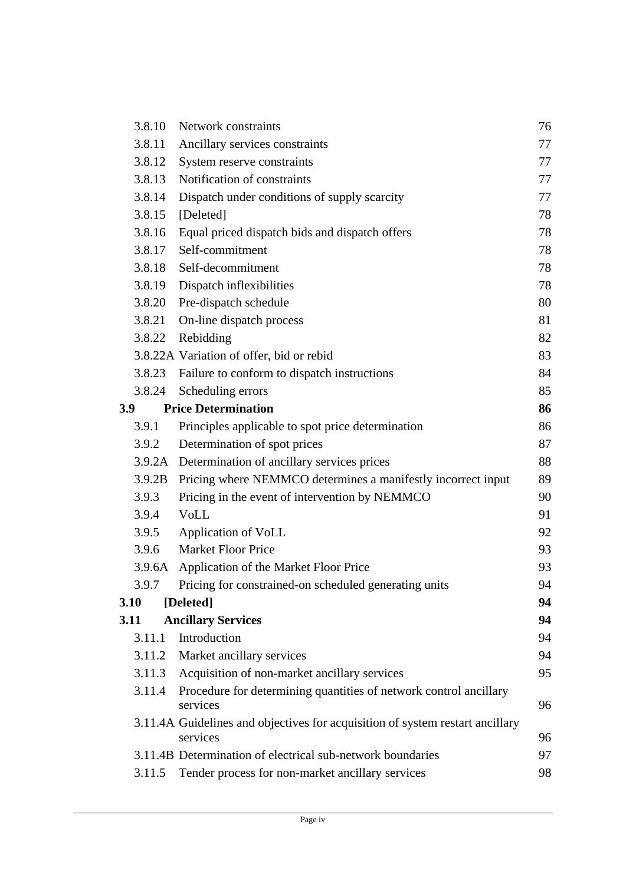|     | 3.8.10 | Network constraints                                                                       | 76 |
|-----|--------|-------------------------------------------------------------------------------------------|----|
|     | 3.8.11 | Ancillary services constraints                                                            | 77 |
|     | 3.8.12 | System reserve constraints                                                                | 77 |
|     | 3.8.13 | Notification of constraints                                                               | 77 |
|     | 3.8.14 | Dispatch under conditions of supply scarcity                                              | 77 |
|     | 3.8.15 | [Deleted]                                                                                 | 78 |
|     | 3.8.16 | Equal priced dispatch bids and dispatch offers                                            | 78 |
|     | 3.8.17 | Self-commitment                                                                           | 78 |
|     | 3.8.18 | Self-decommitment                                                                         | 78 |
|     | 3.8.19 | Dispatch inflexibilities                                                                  | 78 |
|     | 3.8.20 | Pre-dispatch schedule                                                                     | 80 |
|     | 3.8.21 | On-line dispatch process                                                                  | 81 |
|     | 3.8.22 | Rebidding                                                                                 | 82 |
|     |        | 3.8.22A Variation of offer, bid or rebid                                                  | 83 |
|     | 3.8.23 | Failure to conform to dispatch instructions                                               | 84 |
|     | 3.8.24 | Scheduling errors                                                                         | 85 |
| 3.9 |        | <b>Price Determination</b>                                                                | 86 |
|     | 3.9.1  | Principles applicable to spot price determination                                         | 86 |
|     | 3.9.2  | Determination of spot prices                                                              | 87 |
|     |        | 3.9.2A Determination of ancillary services prices                                         | 88 |
|     | 3.9.2B | Pricing where NEMMCO determines a manifestly incorrect input                              | 89 |
|     | 3.9.3  | Pricing in the event of intervention by NEMMCO                                            | 90 |
|     | 3.9.4  | <b>VoLL</b>                                                                               | 91 |
|     | 3.9.5  | Application of VoLL                                                                       | 92 |
|     | 3.9.6  | <b>Market Floor Price</b>                                                                 | 93 |
|     |        | 3.9.6A Application of the Market Floor Price                                              | 93 |
|     | 3.9.7  | Pricing for constrained-on scheduled generating units                                     | 94 |
|     | 3.10   | [Deleted]                                                                                 | 94 |
|     | 3.11   | <b>Ancillary Services</b>                                                                 | 94 |
|     | 3.11.1 | Introduction                                                                              | 94 |
|     | 3.11.2 | Market ancillary services                                                                 | 94 |
|     | 3.11.3 | Acquisition of non-market ancillary services                                              | 95 |
|     | 3.11.4 | Procedure for determining quantities of network control ancillary<br>services             | 96 |
|     |        | 3.11.4A Guidelines and objectives for acquisition of system restart ancillary<br>services | 96 |
|     |        | 3.11.4B Determination of electrical sub-network boundaries                                | 97 |
|     | 3.11.5 | Tender process for non-market ancillary services                                          | 98 |
|     |        |                                                                                           |    |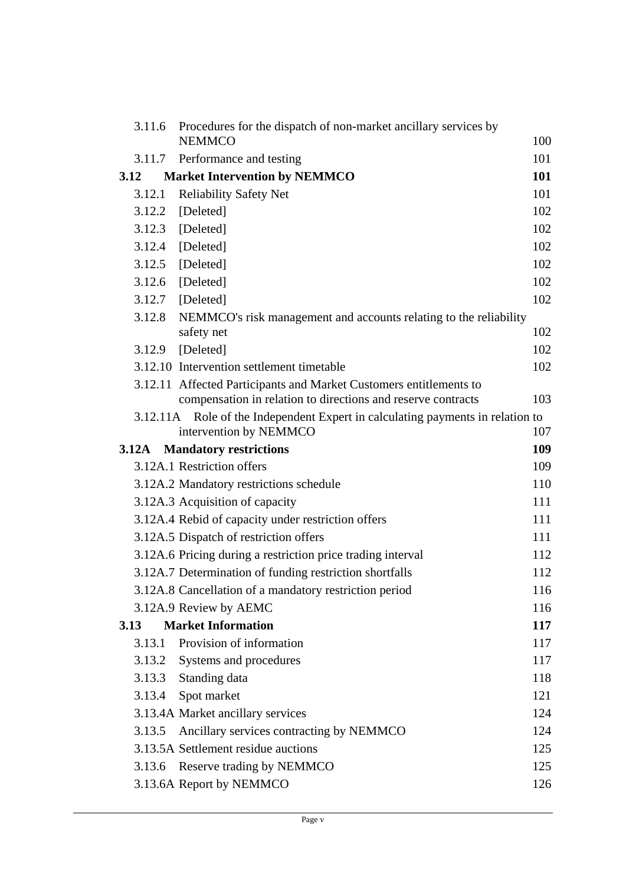| 3.11.6 | Procedures for the dispatch of non-market ancillary services by                 |     |
|--------|---------------------------------------------------------------------------------|-----|
|        | <b>NEMMCO</b>                                                                   | 100 |
| 3.11.7 | Performance and testing                                                         | 101 |
| 3.12   | <b>Market Intervention by NEMMCO</b>                                            | 101 |
| 3.12.1 | <b>Reliability Safety Net</b>                                                   | 101 |
| 3.12.2 | [Deleted]                                                                       | 102 |
| 3.12.3 | [Deleted]                                                                       | 102 |
| 3.12.4 | [Deleted]                                                                       | 102 |
|        | 3.12.5 [Deleted]                                                                | 102 |
| 3.12.6 | [Deleted]                                                                       | 102 |
| 3.12.7 | [Deleted]                                                                       | 102 |
| 3.12.8 | NEMMCO's risk management and accounts relating to the reliability<br>safety net | 102 |
| 3.12.9 | [Deleted]                                                                       | 102 |
|        | 3.12.10 Intervention settlement timetable                                       | 102 |
|        | 3.12.11 Affected Participants and Market Customers entitlements to              |     |
|        | compensation in relation to directions and reserve contracts                    | 103 |
|        | 3.12.11A Role of the Independent Expert in calculating payments in relation to  |     |
|        | intervention by NEMMCO                                                          | 107 |
| 3.12A  | <b>Mandatory restrictions</b>                                                   | 109 |
|        | 3.12A.1 Restriction offers                                                      | 109 |
|        | 3.12A.2 Mandatory restrictions schedule                                         | 110 |
|        | 3.12A.3 Acquisition of capacity                                                 | 111 |
|        | 3.12A.4 Rebid of capacity under restriction offers                              | 111 |
|        | 3.12A.5 Dispatch of restriction offers                                          | 111 |
|        | 3.12A.6 Pricing during a restriction price trading interval                     | 112 |
|        | 3.12A.7 Determination of funding restriction shortfalls                         | 112 |
|        | 3.12A.8 Cancellation of a mandatory restriction period                          | 116 |
|        | 3.12A.9 Review by AEMC                                                          | 116 |
| 3.13   | <b>Market Information</b>                                                       | 117 |
| 3.13.1 | Provision of information                                                        | 117 |
| 3.13.2 | Systems and procedures                                                          | 117 |
| 3.13.3 | Standing data                                                                   | 118 |
| 3.13.4 | Spot market                                                                     | 121 |
|        | 3.13.4A Market ancillary services                                               | 124 |
| 3.13.5 | Ancillary services contracting by NEMMCO                                        | 124 |
|        | 3.13.5A Settlement residue auctions                                             | 125 |
| 3.13.6 | Reserve trading by NEMMCO                                                       | 125 |
|        | 3.13.6A Report by NEMMCO                                                        | 126 |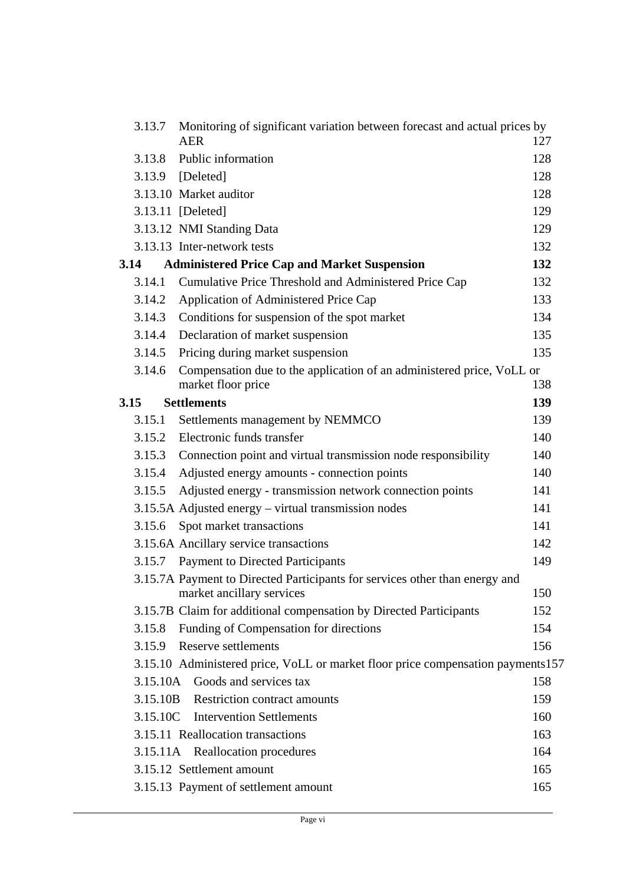| 3.13.7 | Monitoring of significant variation between forecast and actual prices by<br><b>AER</b>                  | 127 |
|--------|----------------------------------------------------------------------------------------------------------|-----|
| 3.13.8 | Public information                                                                                       | 128 |
|        | 3.13.9 [Deleted]                                                                                         | 128 |
|        | 3.13.10 Market auditor                                                                                   | 128 |
|        | 3.13.11 [Deleted]                                                                                        | 129 |
|        | 3.13.12 NMI Standing Data                                                                                | 129 |
|        | 3.13.13 Inter-network tests                                                                              | 132 |
| 3.14   | <b>Administered Price Cap and Market Suspension</b>                                                      | 132 |
| 3.14.1 | Cumulative Price Threshold and Administered Price Cap                                                    | 132 |
| 3.14.2 | Application of Administered Price Cap                                                                    | 133 |
| 3.14.3 | Conditions for suspension of the spot market                                                             | 134 |
| 3.14.4 | Declaration of market suspension                                                                         | 135 |
|        | 3.14.5 Pricing during market suspension                                                                  | 135 |
| 3.14.6 | Compensation due to the application of an administered price, VoLL or                                    |     |
|        | market floor price                                                                                       | 138 |
| 3.15   | <b>Settlements</b>                                                                                       | 139 |
| 3.15.1 | Settlements management by NEMMCO                                                                         | 139 |
|        | 3.15.2 Electronic funds transfer                                                                         | 140 |
| 3.15.3 | Connection point and virtual transmission node responsibility                                            | 140 |
| 3.15.4 | Adjusted energy amounts - connection points                                                              | 140 |
| 3.15.5 | Adjusted energy - transmission network connection points                                                 | 141 |
|        | 3.15.5A Adjusted energy – virtual transmission nodes                                                     | 141 |
| 3.15.6 | Spot market transactions                                                                                 | 141 |
|        | 3.15.6A Ancillary service transactions                                                                   | 142 |
|        | 3.15.7 Payment to Directed Participants                                                                  | 149 |
|        | 3.15.7A Payment to Directed Participants for services other than energy and<br>market ancillary services | 150 |
|        | 3.15.7B Claim for additional compensation by Directed Participants                                       | 152 |
| 3.15.8 | Funding of Compensation for directions                                                                   | 154 |
| 3.15.9 | Reserve settlements                                                                                      | 156 |
|        | 3.15.10 Administered price, VoLL or market floor price compensation payments157                          |     |
|        | 3.15.10A Goods and services tax                                                                          | 158 |
|        | 3.15.10B Restriction contract amounts                                                                    | 159 |
|        | 3.15.10C Intervention Settlements                                                                        | 160 |
|        | 3.15.11 Reallocation transactions                                                                        | 163 |
|        | 3.15.11A Reallocation procedures                                                                         | 164 |
|        | 3.15.12 Settlement amount                                                                                | 165 |
|        | 3.15.13 Payment of settlement amount                                                                     | 165 |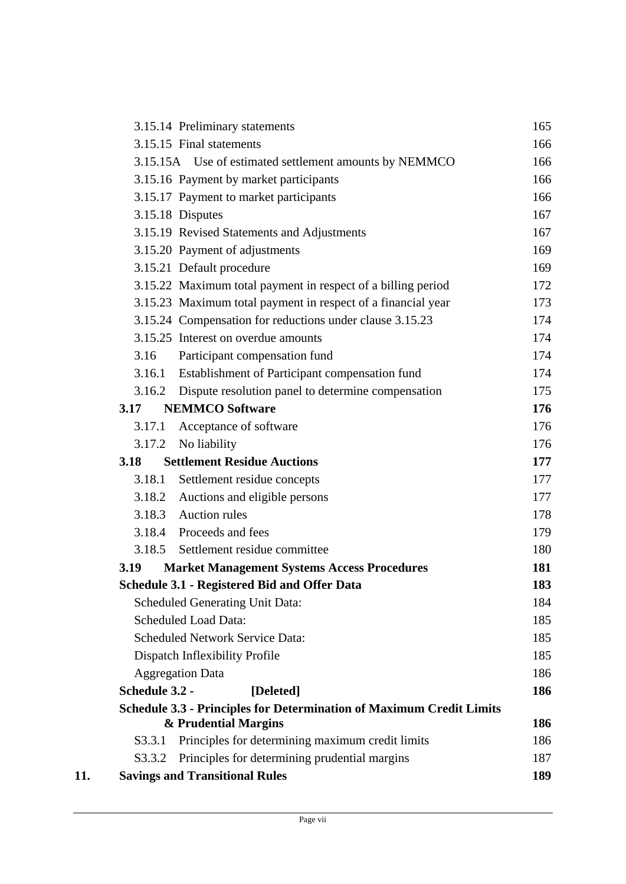|     |                | 3.15.14 Preliminary statements                                              | 165 |
|-----|----------------|-----------------------------------------------------------------------------|-----|
|     |                | 3.15.15 Final statements                                                    | 166 |
|     |                | 3.15.15A Use of estimated settlement amounts by NEMMCO                      | 166 |
|     |                | 3.15.16 Payment by market participants                                      | 166 |
|     |                | 3.15.17 Payment to market participants                                      | 166 |
|     |                | 3.15.18 Disputes                                                            | 167 |
|     |                | 3.15.19 Revised Statements and Adjustments                                  | 167 |
|     |                | 3.15.20 Payment of adjustments                                              | 169 |
|     |                | 3.15.21 Default procedure                                                   | 169 |
|     |                | 3.15.22 Maximum total payment in respect of a billing period                | 172 |
|     |                | 3.15.23 Maximum total payment in respect of a financial year                | 173 |
|     |                | 3.15.24 Compensation for reductions under clause 3.15.23                    | 174 |
|     |                | 3.15.25 Interest on overdue amounts                                         | 174 |
|     | 3.16           | Participant compensation fund                                               | 174 |
|     | 3.16.1         | Establishment of Participant compensation fund                              | 174 |
|     |                | 3.16.2 Dispute resolution panel to determine compensation                   | 175 |
|     | 3.17           | <b>NEMMCO Software</b>                                                      | 176 |
|     | 3.17.1         | Acceptance of software                                                      | 176 |
|     | 3.17.2         | No liability                                                                | 176 |
|     | 3.18           | <b>Settlement Residue Auctions</b>                                          | 177 |
|     | 3.18.1         | Settlement residue concepts                                                 | 177 |
|     | 3.18.2         | Auctions and eligible persons                                               | 177 |
|     |                | 3.18.3 Auction rules                                                        | 178 |
|     |                | 3.18.4 Proceeds and fees                                                    | 179 |
|     |                | 3.18.5 Settlement residue committee                                         | 180 |
|     | 3.19           | <b>Market Management Systems Access Procedures</b>                          | 181 |
|     |                | <b>Schedule 3.1 - Registered Bid and Offer Data</b>                         | 183 |
|     |                | <b>Scheduled Generating Unit Data:</b>                                      | 184 |
|     |                | <b>Scheduled Load Data:</b>                                                 | 185 |
|     |                | <b>Scheduled Network Service Data:</b>                                      | 185 |
|     |                | Dispatch Inflexibility Profile                                              | 185 |
|     |                | <b>Aggregation Data</b>                                                     | 186 |
|     | Schedule 3.2 - | [Deleted]                                                                   | 186 |
|     |                | <b>Schedule 3.3 - Principles for Determination of Maximum Credit Limits</b> |     |
|     |                | & Prudential Margins                                                        | 186 |
|     | S3.3.1         | Principles for determining maximum credit limits                            | 186 |
|     | S3.3.2         | Principles for determining prudential margins                               | 187 |
| 11. |                | <b>Savings and Transitional Rules</b>                                       | 189 |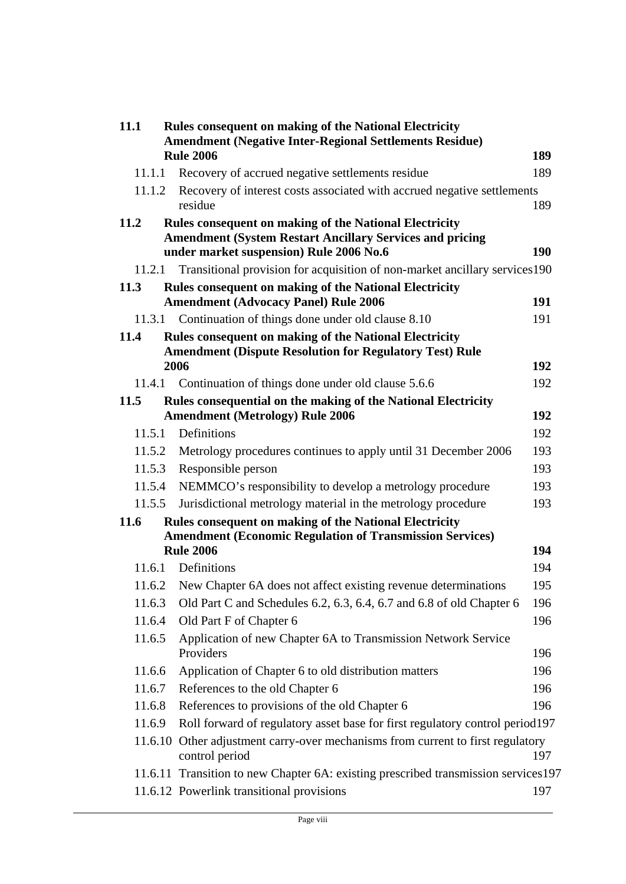| 11.1<br><b>Rules consequent on making of the National Electricity</b> |                                                                                                            |     |
|-----------------------------------------------------------------------|------------------------------------------------------------------------------------------------------------|-----|
|                                                                       | <b>Amendment (Negative Inter-Regional Settlements Residue)</b><br><b>Rule 2006</b>                         | 189 |
| 11.1.1                                                                | Recovery of accrued negative settlements residue                                                           | 189 |
| 11.1.2                                                                | Recovery of interest costs associated with accrued negative settlements                                    |     |
|                                                                       | residue                                                                                                    | 189 |
| 11.2                                                                  | <b>Rules consequent on making of the National Electricity</b>                                              |     |
|                                                                       | <b>Amendment (System Restart Ancillary Services and pricing</b><br>under market suspension) Rule 2006 No.6 | 190 |
| 11.2.1                                                                | Transitional provision for acquisition of non-market ancillary services 190                                |     |
| 11.3                                                                  | <b>Rules consequent on making of the National Electricity</b>                                              |     |
|                                                                       | <b>Amendment (Advocacy Panel) Rule 2006</b>                                                                | 191 |
|                                                                       | 11.3.1 Continuation of things done under old clause 8.10                                                   | 191 |
| 11.4                                                                  | <b>Rules consequent on making of the National Electricity</b>                                              |     |
|                                                                       | <b>Amendment (Dispute Resolution for Regulatory Test) Rule</b>                                             |     |
|                                                                       | 2006                                                                                                       | 192 |
|                                                                       | 11.4.1 Continuation of things done under old clause 5.6.6                                                  | 192 |
| 11.5                                                                  | Rules consequential on the making of the National Electricity                                              |     |
|                                                                       | <b>Amendment (Metrology) Rule 2006</b>                                                                     | 192 |
| 11.5.1                                                                | Definitions                                                                                                | 192 |
| 11.5.2                                                                | Metrology procedures continues to apply until 31 December 2006                                             | 193 |
| 11.5.3                                                                | Responsible person                                                                                         | 193 |
| 11.5.4                                                                | NEMMCO's responsibility to develop a metrology procedure                                                   | 193 |
| 11.5.5                                                                | Jurisdictional metrology material in the metrology procedure                                               | 193 |
| 11.6                                                                  | <b>Rules consequent on making of the National Electricity</b>                                              |     |
|                                                                       | <b>Amendment (Economic Regulation of Transmission Services)</b><br><b>Rule 2006</b>                        | 194 |
| 11.6.1                                                                | Definitions                                                                                                | 194 |
| 11.6.2                                                                | New Chapter 6A does not affect existing revenue determinations                                             | 195 |
| 11.6.3                                                                | Old Part C and Schedules 6.2, 6.3, 6.4, 6.7 and 6.8 of old Chapter 6                                       | 196 |
| 11.6.4                                                                | Old Part F of Chapter 6                                                                                    | 196 |
| 11.6.5                                                                | Application of new Chapter 6A to Transmission Network Service                                              |     |
|                                                                       | Providers                                                                                                  | 196 |
| 11.6.6                                                                | Application of Chapter 6 to old distribution matters                                                       | 196 |
| 11.6.7                                                                | References to the old Chapter 6                                                                            | 196 |
| 11.6.8                                                                | References to provisions of the old Chapter 6                                                              | 196 |
| 11.6.9                                                                | Roll forward of regulatory asset base for first regulatory control period197                               |     |
|                                                                       | 11.6.10 Other adjustment carry-over mechanisms from current to first regulatory                            |     |
|                                                                       | control period                                                                                             | 197 |
|                                                                       | 11.6.11 Transition to new Chapter 6A: existing prescribed transmission services 197                        |     |
|                                                                       | 11.6.12 Powerlink transitional provisions                                                                  | 197 |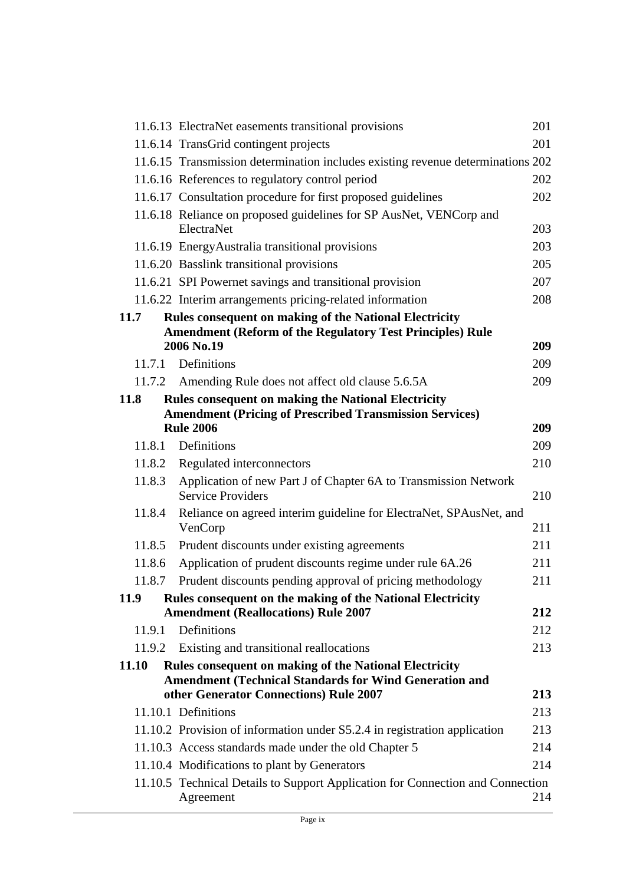|        | 11.6.13 ElectraNet easements transitional provisions                                                    | 201 |
|--------|---------------------------------------------------------------------------------------------------------|-----|
|        | 11.6.14 TransGrid contingent projects                                                                   | 201 |
|        | 11.6.15 Transmission determination includes existing revenue determinations 202                         |     |
|        | 11.6.16 References to regulatory control period                                                         | 202 |
|        | 11.6.17 Consultation procedure for first proposed guidelines                                            | 202 |
|        | 11.6.18 Reliance on proposed guidelines for SP AusNet, VENCorp and                                      |     |
|        | ElectraNet                                                                                              | 203 |
|        | 11.6.19 EnergyAustralia transitional provisions                                                         | 203 |
|        | 11.6.20 Basslink transitional provisions                                                                | 205 |
|        | 11.6.21 SPI Powernet savings and transitional provision                                                 | 207 |
|        | 11.6.22 Interim arrangements pricing-related information                                                | 208 |
| 11.7   | <b>Rules consequent on making of the National Electricity</b>                                           |     |
|        | <b>Amendment (Reform of the Regulatory Test Principles) Rule</b><br>2006 No.19                          | 209 |
|        | 11.7.1 Definitions                                                                                      | 209 |
| 11.7.2 | Amending Rule does not affect old clause 5.6.5A                                                         | 209 |
| 11.8   | <b>Rules consequent on making the National Electricity</b>                                              |     |
|        | <b>Amendment (Pricing of Prescribed Transmission Services)</b>                                          |     |
|        | <b>Rule 2006</b>                                                                                        | 209 |
|        | 11.8.1 Definitions                                                                                      | 209 |
| 11.8.2 | Regulated interconnectors                                                                               | 210 |
| 11.8.3 | Application of new Part J of Chapter 6A to Transmission Network<br><b>Service Providers</b>             | 210 |
| 11.8.4 | Reliance on agreed interim guideline for ElectraNet, SPAusNet, and<br>VenCorp                           | 211 |
| 11.8.5 | Prudent discounts under existing agreements                                                             | 211 |
| 11.8.6 | Application of prudent discounts regime under rule 6A.26                                                | 211 |
| 11.8.7 | Prudent discounts pending approval of pricing methodology                                               | 211 |
| 11.9   | Rules consequent on the making of the National Electricity                                              |     |
|        | <b>Amendment (Reallocations) Rule 2007</b>                                                              | 212 |
| 11.9.1 | Definitions                                                                                             | 212 |
| 11.9.2 | Existing and transitional reallocations                                                                 | 213 |
| 11.10  | <b>Rules consequent on making of the National Electricity</b>                                           |     |
|        | <b>Amendment (Technical Standards for Wind Generation and</b><br>other Generator Connections) Rule 2007 | 213 |
|        | 11.10.1 Definitions                                                                                     | 213 |
|        | 11.10.2 Provision of information under S5.2.4 in registration application                               | 213 |
|        | 11.10.3 Access standards made under the old Chapter 5                                                   | 214 |
|        | 11.10.4 Modifications to plant by Generators                                                            | 214 |
|        | 11.10.5 Technical Details to Support Application for Connection and Connection<br>Agreement             | 214 |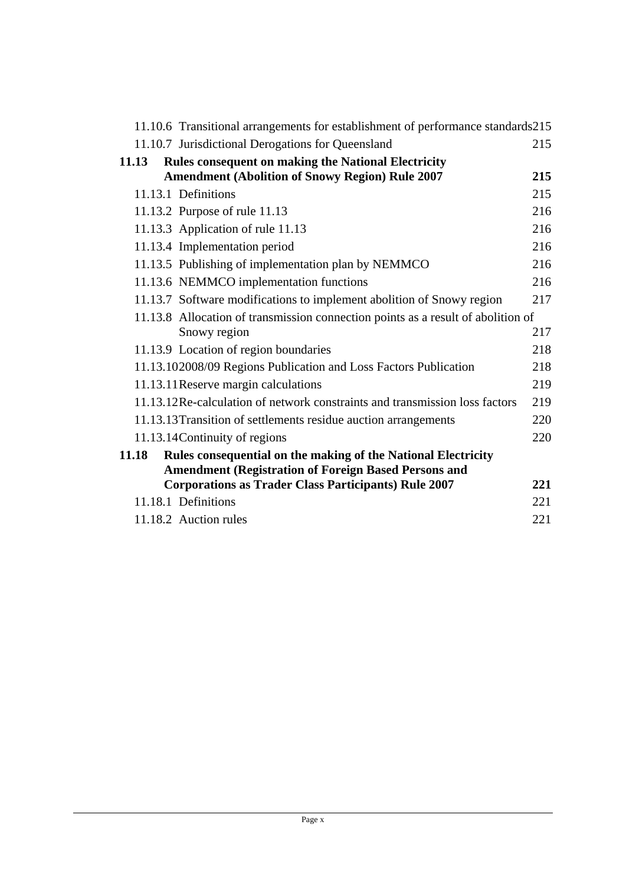| 11.10.6 Transitional arrangements for establishment of performance standards215  |     |
|----------------------------------------------------------------------------------|-----|
| 11.10.7 Jurisdictional Derogations for Queensland                                | 215 |
| <b>Rules consequent on making the National Electricity</b><br>11.13              |     |
| <b>Amendment (Abolition of Snowy Region) Rule 2007</b>                           | 215 |
| 11.13.1 Definitions                                                              | 215 |
| 11.13.2 Purpose of rule 11.13                                                    | 216 |
| 11.13.3 Application of rule 11.13                                                | 216 |
| 11.13.4 Implementation period                                                    | 216 |
| 11.13.5 Publishing of implementation plan by NEMMCO                              | 216 |
| 11.13.6 NEMMCO implementation functions                                          | 216 |
| 11.13.7 Software modifications to implement abolition of Snowy region            | 217 |
| 11.13.8 Allocation of transmission connection points as a result of abolition of |     |
| Snowy region                                                                     | 217 |
| 11.13.9 Location of region boundaries                                            | 218 |
| 11.13.102008/09 Regions Publication and Loss Factors Publication                 | 218 |
| 11.13.11 Reserve margin calculations                                             | 219 |
| 11.13.12Re-calculation of network constraints and transmission loss factors      | 219 |
| 11.13.13 Transition of settlements residue auction arrangements                  | 220 |
| 11.13.14 Continuity of regions                                                   | 220 |
| Rules consequential on the making of the National Electricity<br>11.18           |     |
| <b>Amendment (Registration of Foreign Based Persons and</b>                      |     |
| <b>Corporations as Trader Class Participants) Rule 2007</b>                      | 221 |
| 11.18.1 Definitions                                                              | 221 |
| 11.18.2 Auction rules                                                            | 221 |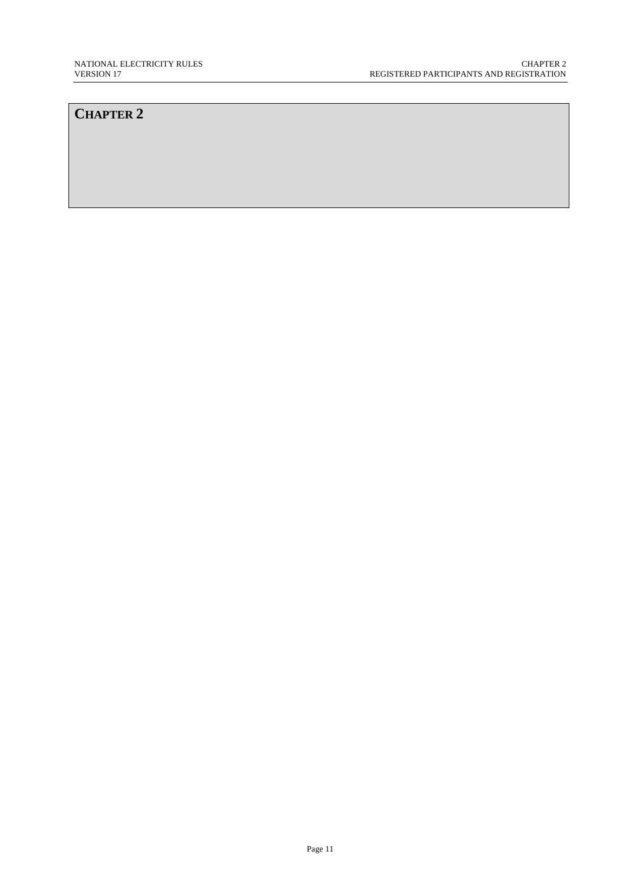## **CHAPTER 2**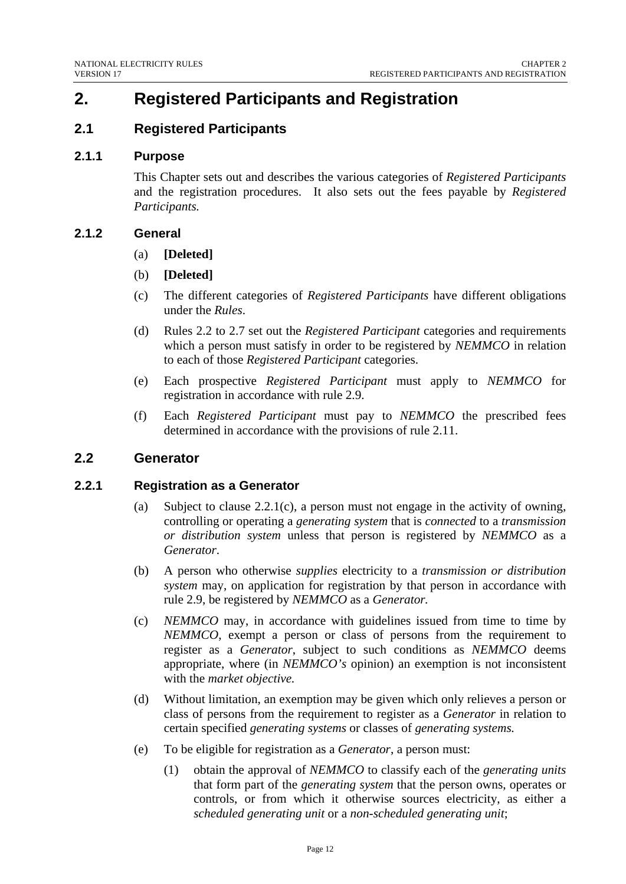# **2. Registered Participants and Registration**

## **2.1 Registered Participants**

#### **2.1.1 Purpose**

This Chapter sets out and describes the various categories of *Registered Participants* and the registration procedures. It also sets out the fees payable by *Registered Participants.*

#### **2.1.2 General**

- (a) **[Deleted]**
- (b) **[Deleted]**
- (c) The different categories of *Registered Participants* have different obligations under the *Rules*.
- (d) Rules 2.2 to 2.7 set out the *Registered Participant* categories and requirements which a person must satisfy in order to be registered by *NEMMCO* in relation to each of those *Registered Participant* categories.
- (e) Each prospective *Registered Participant* must apply to *NEMMCO* for registration in accordance with rule 2.9.
- (f) Each *Registered Participant* must pay to *NEMMCO* the prescribed fees determined in accordance with the provisions of rule 2.11.

## **2.2 Generator**

#### **2.2.1 Registration as a Generator**

- (a) Subject to clause 2.2.1(c), a person must not engage in the activity of owning, controlling or operating a *generating system* that is *connected* to a *transmission or distribution system* unless that person is registered by *NEMMCO* as a *Generator*.
- (b) A person who otherwise *supplies* electricity to a *transmission or distribution system* may, on application for registration by that person in accordance with rule 2.9, be registered by *NEMMCO* as a *Generator.*
- (c) *NEMMCO* may, in accordance with guidelines issued from time to time by *NEMMCO*, exempt a person or class of persons from the requirement to register as a *Generator*, subject to such conditions as *NEMMCO* deems appropriate, where (in *NEMMCO's* opinion) an exemption is not inconsistent with the *market objective.*
- (d) Without limitation, an exemption may be given which only relieves a person or class of persons from the requirement to register as a *Generator* in relation to certain specified *generating systems* or classes of *generating systems.*
- (e) To be eligible for registration as a *Generator*, a person must:
	- (1) obtain the approval of *NEMMCO* to classify each of the *generating units* that form part of the *generating system* that the person owns, operates or controls, or from which it otherwise sources electricity, as either a *scheduled generating unit* or a *non-scheduled generating unit*;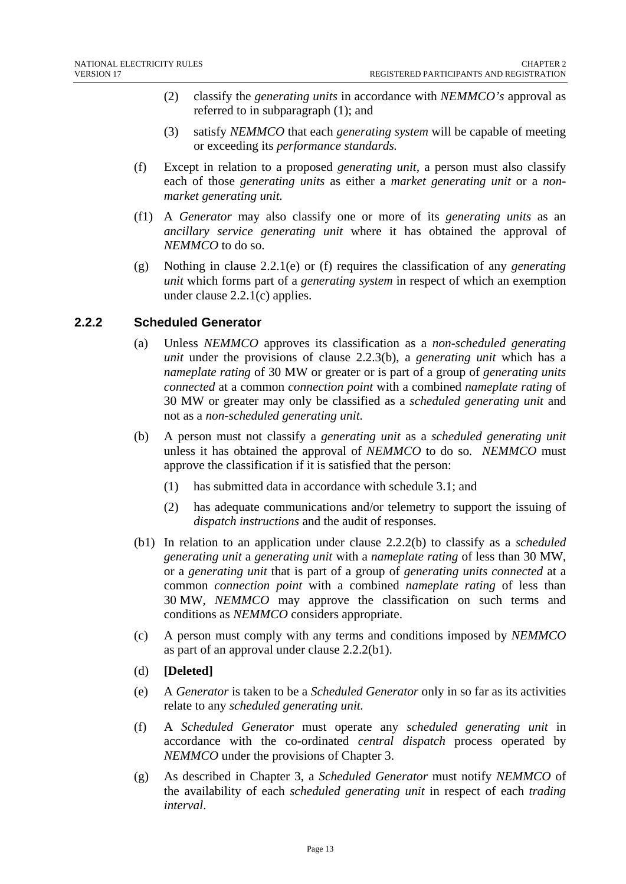- (2) classify the *generating units* in accordance with *NEMMCO's* approval as referred to in subparagraph (1); and
- (3) satisfy *NEMMCO* that each *generating system* will be capable of meeting or exceeding its *performance standards.*
- (f) Except in relation to a proposed *generating unit,* a person must also classify each of those *generating units* as either a *market generating unit* or a *nonmarket generating unit.*
- (f1) A *Generator* may also classify one or more of its *generating units* as an *ancillary service generating unit* where it has obtained the approval of *NEMMCO* to do so.
- (g) Nothing in clause 2.2.1(e) or (f) requires the classification of any *generating unit* which forms part of a *generating system* in respect of which an exemption under clause 2.2.1(c) applies.

## **2.2.2 Scheduled Generator**

- (a) Unless *NEMMCO* approves its classification as a *non-scheduled generating unit* under the provisions of clause 2.2.3(b), a *generating unit* which has a *nameplate rating* of 30 MW or greater or is part of a group of *generating units connected* at a common *connection point* with a combined *nameplate rating* of 30 MW or greater may only be classified as a *scheduled generating unit* and not as a *non-scheduled generating unit*.
- (b) A person must not classify a *generating unit* as a *scheduled generating unit*  unless it has obtained the approval of *NEMMCO* to do so*. NEMMCO* must approve the classification if it is satisfied that the person:
	- (1) has submitted data in accordance with schedule 3.1; and
	- (2) has adequate communications and/or telemetry to support the issuing of *dispatch instructions* and the audit of responses.
- (b1) In relation to an application under clause 2.2.2(b) to classify as a *scheduled generating unit* a *generating unit* with a *nameplate rating* of less than 30 MW, or a *generating unit* that is part of a group of *generating units connected* at a common *connection point* with a combined *nameplate rating* of less than 30 MW, *NEMMCO* may approve the classification on such terms and conditions as *NEMMCO* considers appropriate.
- (c) A person must comply with any terms and conditions imposed by *NEMMCO* as part of an approval under clause 2.2.2(b1).
- (d) **[Deleted]**
- (e) A *Generator* is taken to be a *Scheduled Generator* only in so far as its activities relate to any *scheduled generating unit.*
- (f) A *Scheduled Generator* must operate any *scheduled generating unit* in accordance with the co-ordinated *central dispatch* process operated by *NEMMCO* under the provisions of Chapter 3.
- (g) As described in Chapter 3, a *Scheduled Generator* must notify *NEMMCO* of the availability of each *scheduled generating unit* in respect of each *trading interval*.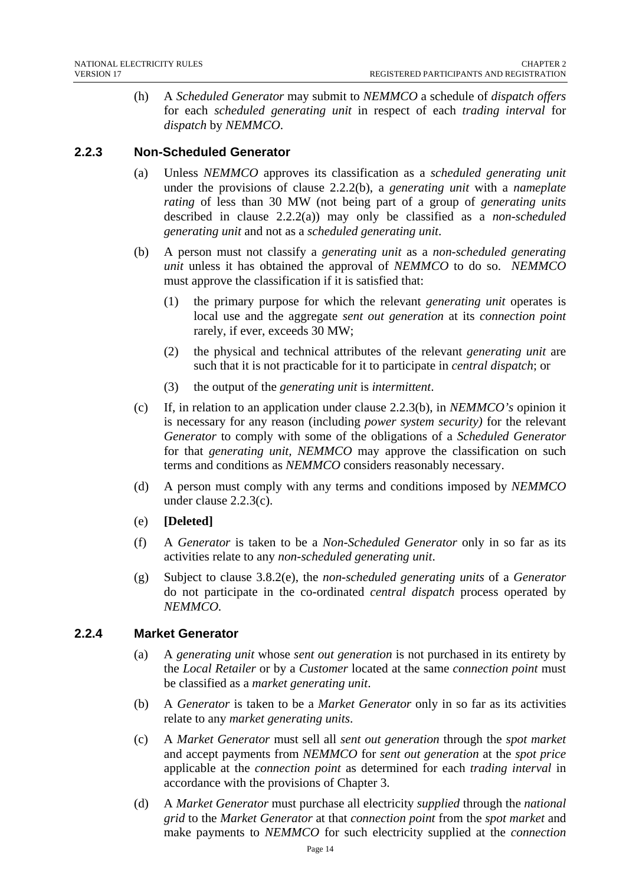(h) A *Scheduled Generator* may submit to *NEMMCO* a schedule of *dispatch offers*  for each *scheduled generating unit* in respect of each *trading interval* for *dispatch* by *NEMMCO*.

## **2.2.3 Non-Scheduled Generator**

- (a) Unless *NEMMCO* approves its classification as a *scheduled generating unit* under the provisions of clause 2.2.2(b), a *generating unit* with a *nameplate rating* of less than 30 MW (not being part of a group of *generating units* described in clause 2.2.2(a)) may only be classified as a *non-scheduled generating unit* and not as a *scheduled generating unit*.
- (b) A person must not classify a *generating unit* as a *non-scheduled generating unit* unless it has obtained the approval of *NEMMCO* to do so. *NEMMCO* must approve the classification if it is satisfied that:
	- (1) the primary purpose for which the relevant *generating unit* operates is local use and the aggregate *sent out generation* at its *connection point* rarely, if ever, exceeds 30 MW;
	- (2) the physical and technical attributes of the relevant *generating unit* are such that it is not practicable for it to participate in *central dispatch*; or
	- (3) the output of the *generating unit* is *intermittent*.
- (c) If, in relation to an application under clause 2.2.3(b), in *NEMMCO's* opinion it is necessary for any reason (including *power system security)* for the relevant *Generator* to comply with some of the obligations of a *Scheduled Generator* for that *generating unit, NEMMCO* may approve the classification on such terms and conditions as *NEMMCO* considers reasonably necessary.
- (d) A person must comply with any terms and conditions imposed by *NEMMCO* under clause 2.2.3(c).
- (e) **[Deleted]**
- (f) A *Generator* is taken to be a *Non-Scheduled Generator* only in so far as its activities relate to any *non-scheduled generating unit*.
- (g) Subject to clause 3.8.2(e), the *non-scheduled generating units* of a *Generator*  do not participate in the co-ordinated *central dispatch* process operated by *NEMMCO.*

## **2.2.4 Market Generator**

- (a) A *generating unit* whose *sent out generation* is not purchased in its entirety by the *Local Retailer* or by a *Customer* located at the same *connection point* must be classified as a *market generating unit*.
- (b) A *Generator* is taken to be a *Market Generator* only in so far as its activities relate to any *market generating units*.
- (c) A *Market Generator* must sell all *sent out generation* through the *spot market*  and accept payments from *NEMMCO* for *sent out generation* at the *spot price*  applicable at the *connection point* as determined for each *trading interval* in accordance with the provisions of Chapter 3.
- (d) A *Market Generator* must purchase all electricity *supplied* through the *national grid* to the *Market Generator* at that *connection point* from the *spot market* and make payments to *NEMMCO* for such electricity supplied at the *connection*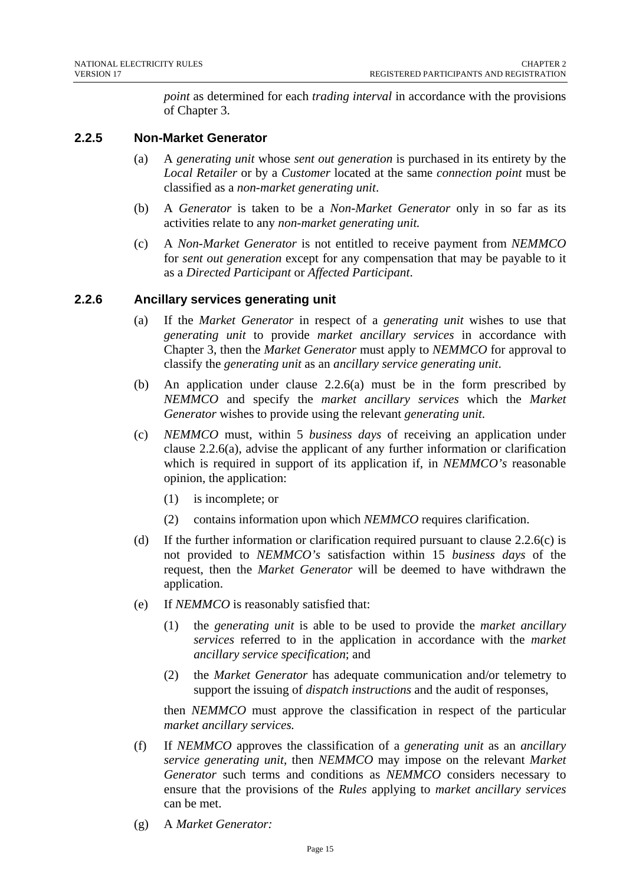*point* as determined for each *trading interval* in accordance with the provisions of Chapter 3.

#### **2.2.5 Non-Market Generator**

- (a) A *generating unit* whose *sent out generation* is purchased in its entirety by the *Local Retailer* or by a *Customer* located at the same *connection point* must be classified as a *non-market generating unit*.
- (b) A *Generator* is taken to be a *Non-Market Generator* only in so far as its activities relate to any *non-market generating unit.*
- (c) A *Non-Market Generator* is not entitled to receive payment from *NEMMCO* for *sent out generation* except for any compensation that may be payable to it as a *Directed Participant* or *Affected Participant*.

#### **2.2.6 Ancillary services generating unit**

- (a) If the *Market Generator* in respect of a *generating unit* wishes to use that *generating unit* to provide *market ancillary services* in accordance with Chapter 3, then the *Market Generator* must apply to *NEMMCO* for approval to classify the *generating unit* as an *ancillary service generating unit*.
- (b) An application under clause 2.2.6(a) must be in the form prescribed by *NEMMCO* and specify the *market ancillary services* which the *Market Generator* wishes to provide using the relevant *generating unit*.
- (c) *NEMMCO* must, within 5 *business days* of receiving an application under clause 2.2.6(a), advise the applicant of any further information or clarification which is required in support of its application if, in *NEMMCO's* reasonable opinion, the application:
	- (1) is incomplete; or
	- (2) contains information upon which *NEMMCO* requires clarification.
- (d) If the further information or clarification required pursuant to clause  $2.2.6(c)$  is not provided to *NEMMCO's* satisfaction within 15 *business days* of the request, then the *Market Generator* will be deemed to have withdrawn the application.
- (e) If *NEMMCO* is reasonably satisfied that:
	- (1) the *generating unit* is able to be used to provide the *market ancillary services* referred to in the application in accordance with the *market ancillary service specification*; and
	- (2) the *Market Generator* has adequate communication and/or telemetry to support the issuing of *dispatch instructions* and the audit of responses,

then *NEMMCO* must approve the classification in respect of the particular *market ancillary services.* 

- (f) If *NEMMCO* approves the classification of a *generating unit* as an *ancillary service generating unit*, then *NEMMCO* may impose on the relevant *Market Generator* such terms and conditions as *NEMMCO* considers necessary to ensure that the provisions of the *Rules* applying to *market ancillary services* can be met.
- (g) A *Market Generator:*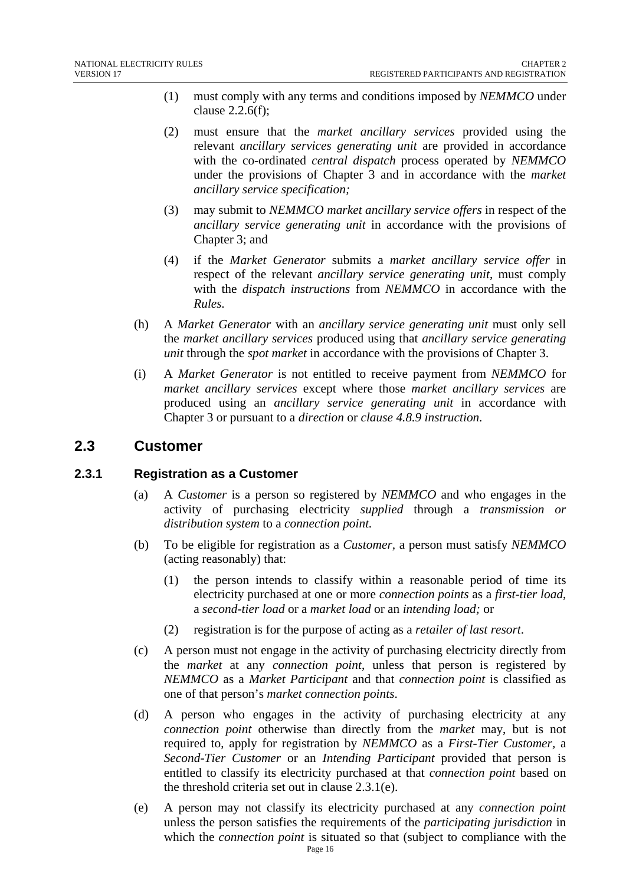- (1) must comply with any terms and conditions imposed by *NEMMCO* under clause 2.2.6(f);
- (2) must ensure that the *market ancillary services* provided using the relevant *ancillary services generating unit* are provided in accordance with the co-ordinated *central dispatch* process operated by *NEMMCO* under the provisions of Chapter 3 and in accordance with the *market ancillary service specification;*
- (3) may submit to *NEMMCO market ancillary service offers* in respect of the *ancillary service generating unit* in accordance with the provisions of Chapter 3; and
- (4) if the *Market Generator* submits a *market ancillary service offer* in respect of the relevant *ancillary service generating unit*, must comply with the *dispatch instructions* from *NEMMCO* in accordance with the *Rules.*
- (h) A *Market Generator* with an *ancillary service generating unit* must only sell the *market ancillary services* produced using that *ancillary service generating unit* through the *spot market* in accordance with the provisions of Chapter 3.
- (i) A *Market Generator* is not entitled to receive payment from *NEMMCO* for *market ancillary services* except where those *market ancillary services* are produced using an *ancillary service generating unit* in accordance with Chapter 3 or pursuant to a *direction* or *clause 4.8.9 instruction*.

## **2.3 Customer**

## **2.3.1 Registration as a Customer**

- (a) A *Customer* is a person so registered by *NEMMCO* and who engages in the activity of purchasing electricity *supplied* through a *transmission or distribution system* to a *connection point.*
- (b) To be eligible for registration as a *Customer,* a person must satisfy *NEMMCO*  (acting reasonably) that:
	- (1) the person intends to classify within a reasonable period of time its electricity purchased at one or more *connection points* as a *first-tier load*, a *second-tier load* or a *market load* or an *intending load;* or
	- (2) registration is for the purpose of acting as a *retailer of last resort*.
- (c) A person must not engage in the activity of purchasing electricity directly from the *market* at any *connection point*, unless that person is registered by *NEMMCO* as a *Market Participant* and that *connection point* is classified as one of that person's *market connection points*.
- (d) A person who engages in the activity of purchasing electricity at any *connection point* otherwise than directly from the *market* may, but is not required to, apply for registration by *NEMMCO* as a *First-Tier Customer,* a *Second-Tier Customer* or an *Intending Participant* provided that person is entitled to classify its electricity purchased at that *connection point* based on the threshold criteria set out in clause 2.3.1(e).
- (e) A person may not classify its electricity purchased at any *connection point* unless the person satisfies the requirements of the *participating jurisdiction* in which the *connection point* is situated so that (subject to compliance with the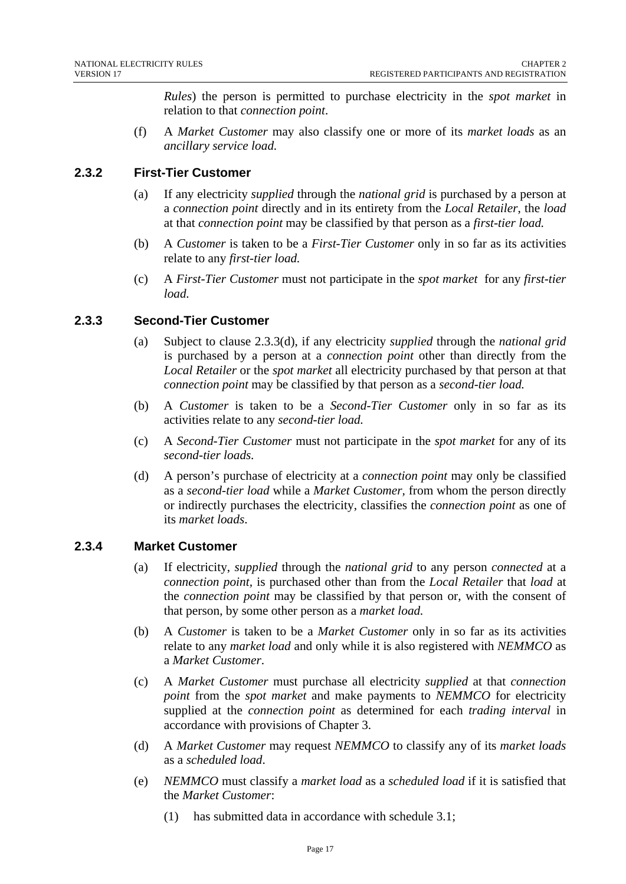*Rules*) the person is permitted to purchase electricity in the *spot market* in relation to that *connection point*.

(f) A *Market Customer* may also classify one or more of its *market loads* as an *ancillary service load.* 

## **2.3.2 First-Tier Customer**

- (a) If any electricity *supplied* through the *national grid* is purchased by a person at a *connection point* directly and in its entirety from the *Local Retailer*, the *load* at that *connection point* may be classified by that person as a *first-tier load.*
- (b) A *Customer* is taken to be a *First-Tier Customer* only in so far as its activities relate to any *first-tier load.*
- (c) A *First-Tier Customer* must not participate in the *spot market* for any *first-tier load.*

## **2.3.3 Second-Tier Customer**

- (a) Subject to clause 2.3.3(d), if any electricity *supplied* through the *national grid* is purchased by a person at a *connection point* other than directly from the *Local Retailer* or the *spot market* all electricity purchased by that person at that *connection point* may be classified by that person as a *second-tier load.*
- (b) A *Customer* is taken to be a *Second-Tier Customer* only in so far as its activities relate to any *second-tier load.*
- (c) A *Second-Tier Customer* must not participate in the *spot market* for any of its *second-tier loads.*
- (d) A person's purchase of electricity at a *connection point* may only be classified as a *second-tier load* while a *Market Customer,* from whom the person directly or indirectly purchases the electricity, classifies the *connection point* as one of its *market loads*.

## **2.3.4 Market Customer**

- (a) If electricity, *supplied* through the *national grid* to any person *connected* at a *connection point,* is purchased other than from the *Local Retailer* that *load* at the *connection point* may be classified by that person or, with the consent of that person, by some other person as a *market load.*
- (b) A *Customer* is taken to be a *Market Customer* only in so far as its activities relate to any *market load* and only while it is also registered with *NEMMCO* as a *Market Customer*.
- (c) A *Market Customer* must purchase all electricity *supplied* at that *connection point* from the *spot market* and make payments to *NEMMCO* for electricity supplied at the *connection point* as determined for each *trading interval* in accordance with provisions of Chapter 3.
- (d) A *Market Customer* may request *NEMMCO* to classify any of its *market loads* as a *scheduled load*.
- (e) *NEMMCO* must classify a *market load* as a *scheduled load* if it is satisfied that the *Market Customer*:
	- (1) has submitted data in accordance with schedule 3.1;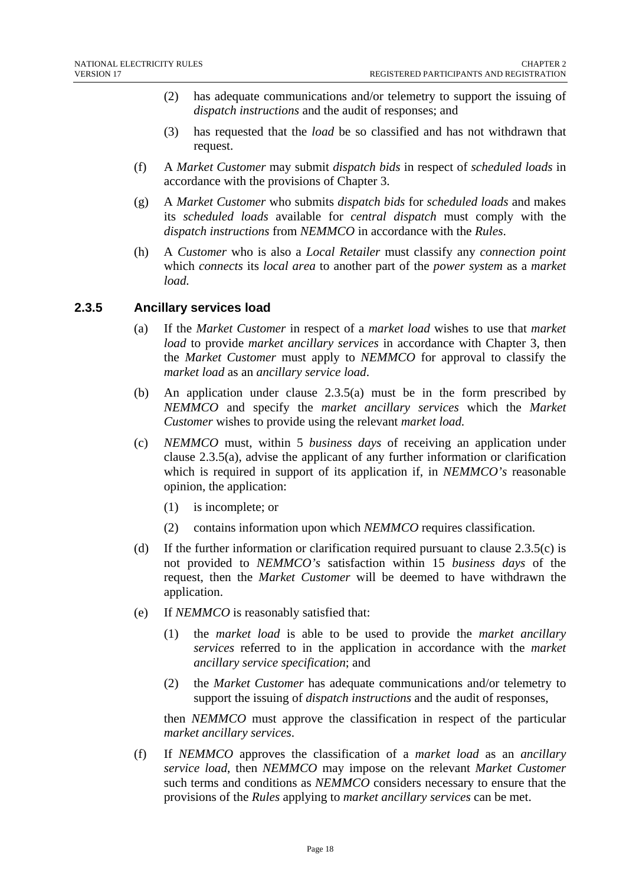- (2) has adequate communications and/or telemetry to support the issuing of *dispatch instructions* and the audit of responses; and
- (3) has requested that the *load* be so classified and has not withdrawn that request.
- (f) A *Market Customer* may submit *dispatch bids* in respect of *scheduled loads* in accordance with the provisions of Chapter 3.
- (g) A *Market Customer* who submits *dispatch bids* for *scheduled loads* and makes its *scheduled loads* available for *central dispatch* must comply with the *dispatch instructions* from *NEMMCO* in accordance with the *Rules*.
- (h) A *Customer* who is also a *Local Retailer* must classify any *connection point* which *connects* its *local area* to another part of the *power system* as a *market load.*

## **2.3.5 Ancillary services load**

- (a) If the *Market Customer* in respect of a *market load* wishes to use that *market load* to provide *market ancillary services* in accordance with Chapter 3, then the *Market Customer* must apply to *NEMMCO* for approval to classify the *market load* as an *ancillary service load*.
- (b) An application under clause 2.3.5(a) must be in the form prescribed by *NEMMCO* and specify the *market ancillary services* which the *Market Customer* wishes to provide using the relevant *market load.*
- (c) *NEMMCO* must, within 5 *business days* of receiving an application under clause 2.3.5(a), advise the applicant of any further information or clarification which is required in support of its application if, in *NEMMCO's* reasonable opinion, the application:
	- (1) is incomplete; or
	- (2) contains information upon which *NEMMCO* requires classification.
- (d) If the further information or clarification required pursuant to clause 2.3.5(c) is not provided to *NEMMCO's* satisfaction within 15 *business days* of the request, then the *Market Customer* will be deemed to have withdrawn the application.
- (e) If *NEMMCO* is reasonably satisfied that:
	- (1) the *market load* is able to be used to provide the *market ancillary services* referred to in the application in accordance with the *market ancillary service specification*; and
	- (2) the *Market Customer* has adequate communications and/or telemetry to support the issuing of *dispatch instructions* and the audit of responses,

then *NEMMCO* must approve the classification in respect of the particular *market ancillary services*.

(f) If *NEMMCO* approves the classification of a *market load* as an *ancillary service load*, then *NEMMCO* may impose on the relevant *Market Customer* such terms and conditions as *NEMMCO* considers necessary to ensure that the provisions of the *Rules* applying to *market ancillary services* can be met.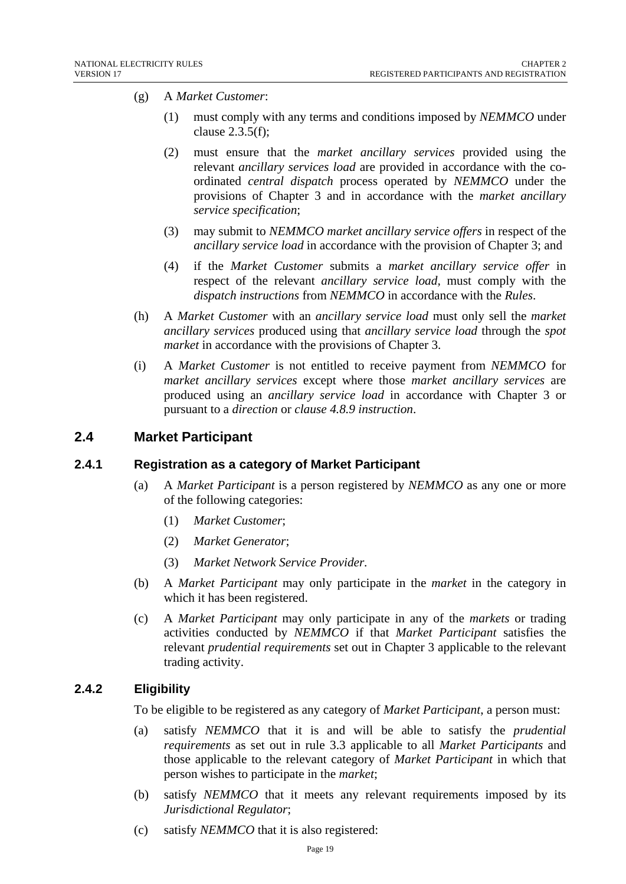- (g) A *Market Customer*:
	- (1) must comply with any terms and conditions imposed by *NEMMCO* under clause 2.3.5(f);
	- (2) must ensure that the *market ancillary services* provided using the relevant *ancillary services load* are provided in accordance with the coordinated *central dispatch* process operated by *NEMMCO* under the provisions of Chapter 3 and in accordance with the *market ancillary service specification*;
	- (3) may submit to *NEMMCO market ancillary service offers* in respect of the *ancillary service load* in accordance with the provision of Chapter 3; and
	- (4) if the *Market Customer* submits a *market ancillary service offer* in respect of the relevant *ancillary service load,* must comply with the *dispatch instructions* from *NEMMCO* in accordance with the *Rules*.
- (h) A *Market Customer* with an *ancillary service load* must only sell the *market ancillary services* produced using that *ancillary service load* through the *spot market* in accordance with the provisions of Chapter 3.
- (i) A *Market Customer* is not entitled to receive payment from *NEMMCO* for *market ancillary services* except where those *market ancillary services* are produced using an *ancillary service load* in accordance with Chapter 3 or pursuant to a *direction* or *clause 4.8.9 instruction*.

## **2.4 Market Participant**

## **2.4.1 Registration as a category of Market Participant**

- (a) A *Market Participant* is a person registered by *NEMMCO* as any one or more of the following categories:
	- (1) *Market Customer*;
	- (2) *Market Generator*;
	- (3) *Market Network Service Provider.*
- (b) A *Market Participant* may only participate in the *market* in the category in which it has been registered.
- (c) A *Market Participant* may only participate in any of the *markets* or trading activities conducted by *NEMMCO* if that *Market Participant* satisfies the relevant *prudential requirements* set out in Chapter 3 applicable to the relevant trading activity.

## **2.4.2 Eligibility**

To be eligible to be registered as any category of *Market Participant*, a person must:

- (a) satisfy *NEMMCO* that it is and will be able to satisfy the *prudential requirements* as set out in rule 3.3 applicable to all *Market Participants* and those applicable to the relevant category of *Market Participant* in which that person wishes to participate in the *market*;
- (b) satisfy *NEMMCO* that it meets any relevant requirements imposed by its *Jurisdictional Regulator*;
- (c) satisfy *NEMMCO* that it is also registered: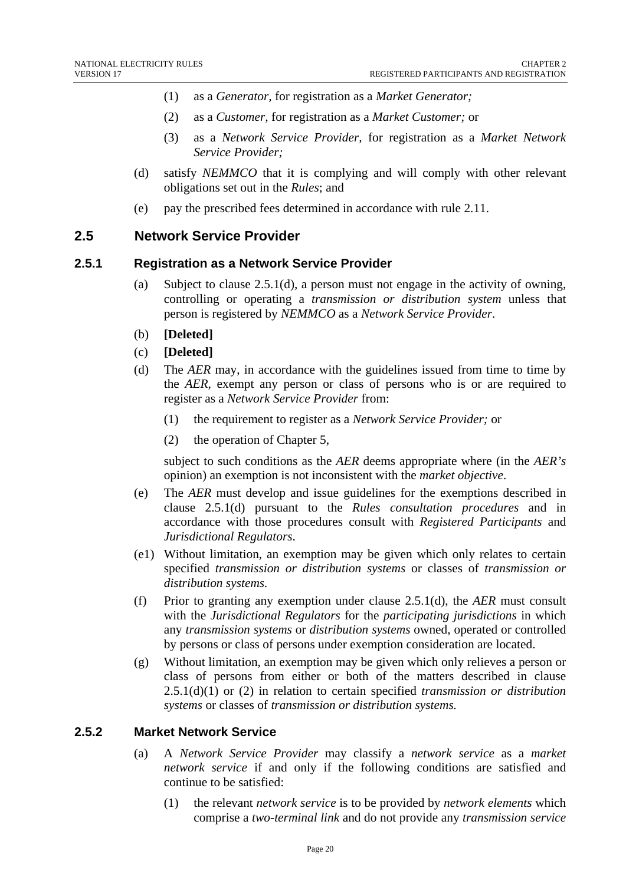- (1) as a *Generator,* for registration as a *Market Generator;*
- (2) as a *Customer,* for registration as a *Market Customer;* or
- (3) as a *Network Service Provider,* for registration as a *Market Network Service Provider;*
- (d) satisfy *NEMMCO* that it is complying and will comply with other relevant obligations set out in the *Rules*; and
- (e) pay the prescribed fees determined in accordance with rule 2.11.

## **2.5 Network Service Provider**

#### **2.5.1 Registration as a Network Service Provider**

- (a) Subject to clause 2.5.1(d), a person must not engage in the activity of owning, controlling or operating a *transmission or distribution system* unless that person is registered by *NEMMCO* as a *Network Service Provider*.
- (b) **[Deleted]**
- (c) **[Deleted]**
- (d) The *AER* may, in accordance with the guidelines issued from time to time by the *AER*, exempt any person or class of persons who is or are required to register as a *Network Service Provider* from:
	- (1) the requirement to register as a *Network Service Provider;* or
	- (2) the operation of Chapter 5,

 subject to such conditions as the *AER* deems appropriate where (in the *AER's*  opinion) an exemption is not inconsistent with the *market objective*.

- (e) The *AER* must develop and issue guidelines for the exemptions described in clause 2.5.1(d) pursuant to the *Rules consultation procedures* and in accordance with those procedures consult with *Registered Participants* and *Jurisdictional Regulators*.
- (e1) Without limitation, an exemption may be given which only relates to certain specified *transmission or distribution systems* or classes of *transmission or distribution systems.*
- (f) Prior to granting any exemption under clause 2.5.1(d), the *AER* must consult with the *Jurisdictional Regulators* for the *participating jurisdictions* in which any *transmission systems* or *distribution systems* owned, operated or controlled by persons or class of persons under exemption consideration are located.
- (g) Without limitation, an exemption may be given which only relieves a person or class of persons from either or both of the matters described in clause 2.5.1(d)(1) or (2) in relation to certain specified *transmission or distribution systems* or classes of *transmission or distribution systems.*

## **2.5.2 Market Network Service**

- (a) A *Network Service Provider* may classify a *network service* as a *market network service* if and only if the following conditions are satisfied and continue to be satisfied:
	- (1) the relevant *network service* is to be provided by *network elements* which comprise a *two-terminal link* and do not provide any *transmission service*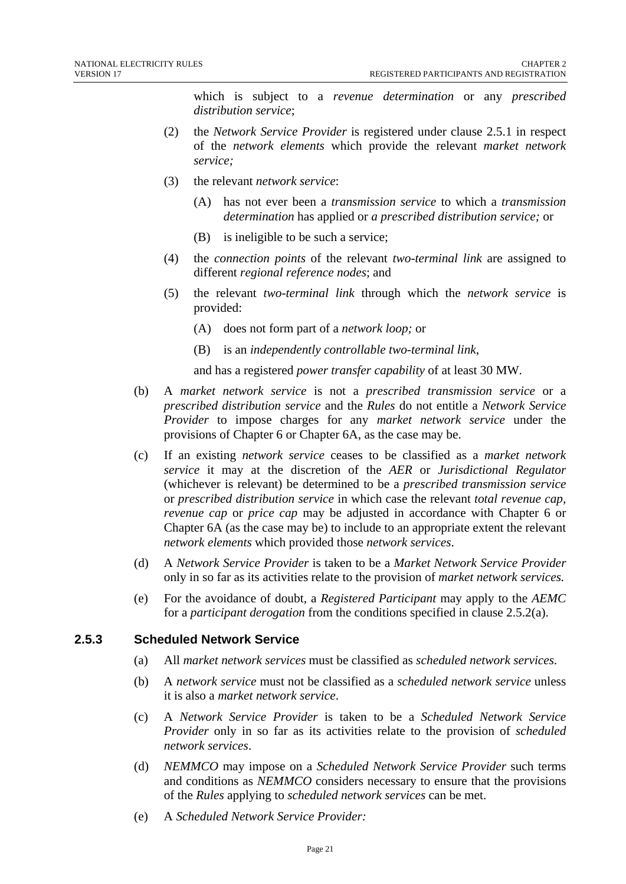which is subject to a *revenue determination* or any *prescribed distribution service*;

- (2) the *Network Service Provider* is registered under clause 2.5.1 in respect of the *network elements* which provide the relevant *market network service;*
- (3) the relevant *network service*:
	- (A) has not ever been a *transmission service* to which a *transmission determination* has applied or *a prescribed distribution service;* or
	- (B) is ineligible to be such a service;
- (4) the *connection points* of the relevant *two-terminal link* are assigned to different *regional reference nodes*; and
- (5) the relevant *two-terminal link* through which the *network service* is provided:
	- (A) does not form part of a *network loop;* or
	- (B) is an *independently controllable two-terminal link*,

and has a registered *power transfer capability* of at least 30 MW.

- (b) A *market network service* is not a *prescribed transmission service* or a *prescribed distribution service* and the *Rules* do not entitle a *Network Service Provider* to impose charges for any *market network service* under the provisions of Chapter 6 or Chapter 6A, as the case may be.
- (c) If an existing *network service* ceases to be classified as a *market network service* it may at the discretion of the *AER* or *Jurisdictional Regulator*  (whichever is relevant) be determined to be a *prescribed transmission service* or *prescribed distribution service* in which case the relevant *total revenue cap, revenue cap* or *price cap* may be adjusted in accordance with Chapter 6 or Chapter 6A (as the case may be) to include to an appropriate extent the relevant *network elements* which provided those *network services*.
- (d) A *Network Service Provider* is taken to be a *Market Network Service Provider* only in so far as its activities relate to the provision of *market network services.*
- (e) For the avoidance of doubt, a *Registered Participant* may apply to the *AEMC*  for a *participant derogation* from the conditions specified in clause 2.5.2(a).

#### **2.5.3 Scheduled Network Service**

- (a) All *market network services* must be classified as *scheduled network services.*
- (b) A *network service* must not be classified as a *scheduled network service* unless it is also a *market network service*.
- (c) A *Network Service Provider* is taken to be a *Scheduled Network Service Provider* only in so far as its activities relate to the provision of *scheduled network services*.
- (d) *NEMMCO* may impose on a *Scheduled Network Service Provider* such terms and conditions as *NEMMCO* considers necessary to ensure that the provisions of the *Rules* applying to *scheduled network services* can be met.
- (e) A *Scheduled Network Service Provider:*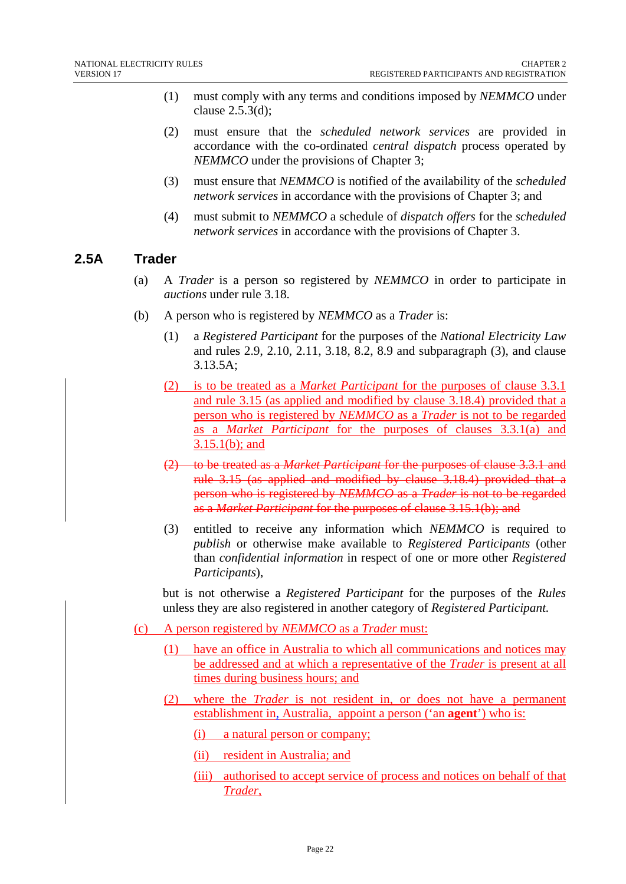- (1) must comply with any terms and conditions imposed by *NEMMCO* under clause 2.5.3(d);
- (2) must ensure that the *scheduled network services* are provided in accordance with the co-ordinated *central dispatch* process operated by *NEMMCO* under the provisions of Chapter 3;
- (3) must ensure that *NEMMCO* is notified of the availability of the *scheduled network services* in accordance with the provisions of Chapter 3; and
- (4) must submit to *NEMMCO* a schedule of *dispatch offers* for the *scheduled network services* in accordance with the provisions of Chapter 3.

## **2.5A Trader**

- (a) A *Trader* is a person so registered by *NEMMCO* in order to participate in *auctions* under rule 3.18.
- (b) A person who is registered by *NEMMCO* as a *Trader* is:
	- (1) a *Registered Participant* for the purposes of the *National Electricity Law* and rules 2.9, 2.10, 2.11, 3.18, 8.2, 8.9 and subparagraph (3), and clause 3.13.5A;
	- (2) is to be treated as a *Market Participant* for the purposes of clause 3.3.1 and rule 3.15 (as applied and modified by clause 3.18.4) provided that a person who is registered by *NEMMCO* as a *Trader* is not to be regarded as a *Market Participant* for the purposes of clauses 3.3.1(a) and 3.15.1(b); and
	- (2) to be treated as a *Market Participant* for the purposes of clause 3.3.1 and rule 3.15 (as applied and modified by clause 3.18.4) provided that a person who is registered by *NEMMCO* as a *Trader* is not to be regarded as a *Market Participant* for the purposes of clause 3.15.1(b); and
	- (3) entitled to receive any information which *NEMMCO* is required to *publish* or otherwise make available to *Registered Participants* (other than *confidential information* in respect of one or more other *Registered Participants*),

but is not otherwise a *Registered Participant* for the purposes of the *Rules*  unless they are also registered in another category of *Registered Participant.*

- (c) A person registered by *NEMMCO* as a *Trader* must:
	- (1) have an office in Australia to which all communications and notices may be addressed and at which a representative of the *Trader* is present at all times during business hours; and
	- (2) where the *Trader* is not resident in, or does not have a permanent establishment in, Australia, appoint a person ('an **agent**') who is:
		- (i) a natural person or company;
		- (ii) resident in Australia; and
		- (iii) authorised to accept service of process and notices on behalf of that *Trader*,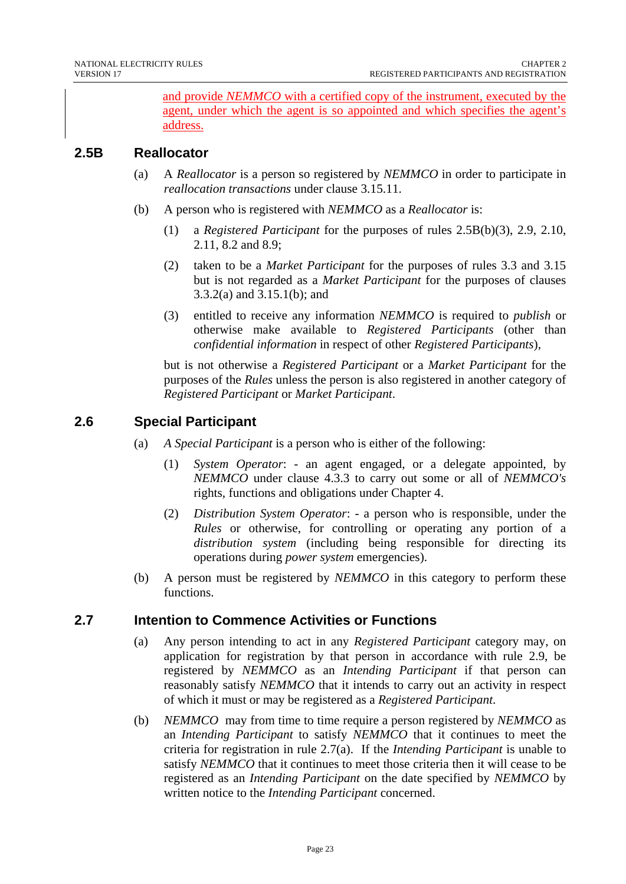and provide *NEMMCO* with a certified copy of the instrument, executed by the agent, under which the agent is so appointed and which specifies the agent's address.

## **2.5B Reallocator**

- (a) A *Reallocator* is a person so registered by *NEMMCO* in order to participate in *reallocation transactions* under clause 3.15.11.
- (b) A person who is registered with *NEMMCO* as a *Reallocator* is:
	- (1) a *Registered Participant* for the purposes of rules 2.5B(b)(3), 2.9, 2.10, 2.11, 8.2 and 8.9;
	- (2) taken to be a *Market Participant* for the purposes of rules 3.3 and 3.15 but is not regarded as a *Market Participant* for the purposes of clauses 3.3.2(a) and 3.15.1(b); and
	- (3) entitled to receive any information *NEMMCO* is required to *publish* or otherwise make available to *Registered Participants* (other than *confidential information* in respect of other *Registered Participants*),

but is not otherwise a *Registered Participant* or a *Market Participant* for the purposes of the *Rules* unless the person is also registered in another category of *Registered Participant* or *Market Participant*.

## **2.6 Special Participant**

- (a) *A Special Participant* is a person who is either of the following:
	- (1) *System Operator*: an agent engaged, or a delegate appointed, by *NEMMCO* under clause 4.3.3 to carry out some or all of *NEMMCO's*  rights, functions and obligations under Chapter 4.
	- (2) *Distribution System Operator*: a person who is responsible, under the *Rules* or otherwise, for controlling or operating any portion of a *distribution system* (including being responsible for directing its operations during *power system* emergencies).
- (b) A person must be registered by *NEMMCO* in this category to perform these functions.

## **2.7 Intention to Commence Activities or Functions**

- (a) Any person intending to act in any *Registered Participant* category may, on application for registration by that person in accordance with rule 2.9, be registered by *NEMMCO* as an *Intending Participant* if that person can reasonably satisfy *NEMMCO* that it intends to carry out an activity in respect of which it must or may be registered as a *Registered Participant*.
- (b) *NEMMCO* may from time to time require a person registered by *NEMMCO* as an *Intending Participant* to satisfy *NEMMCO* that it continues to meet the criteria for registration in rule 2.7(a). If the *Intending Participant* is unable to satisfy *NEMMCO* that it continues to meet those criteria then it will cease to be registered as an *Intending Participant* on the date specified by *NEMMCO* by written notice to the *Intending Participant* concerned.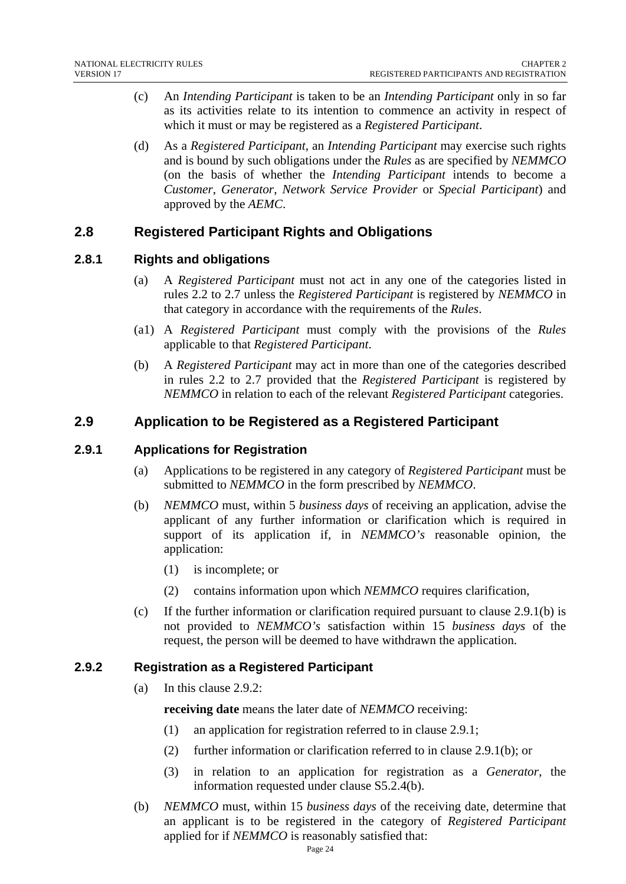- (c) An *Intending Participant* is taken to be an *Intending Participant* only in so far as its activities relate to its intention to commence an activity in respect of which it must or may be registered as a *Registered Participant*.
- (d) As a *Registered Participant*, an *Intending Participant* may exercise such rights and is bound by such obligations under the *Rules* as are specified by *NEMMCO* (on the basis of whether the *Intending Participant* intends to become a *Customer*, *Generator*, *Network Service Provider* or *Special Participant*) and approved by the *AEMC*.

## **2.8 Registered Participant Rights and Obligations**

## **2.8.1 Rights and obligations**

- (a) A *Registered Participant* must not act in any one of the categories listed in rules 2.2 to 2.7 unless the *Registered Participant* is registered by *NEMMCO* in that category in accordance with the requirements of the *Rules*.
- (a1) A *Registered Participant* must comply with the provisions of the *Rules* applicable to that *Registered Participant*.
- (b) A *Registered Participant* may act in more than one of the categories described in rules 2.2 to 2.7 provided that the *Registered Participant* is registered by *NEMMCO* in relation to each of the relevant *Registered Participant* categories.

## **2.9 Application to be Registered as a Registered Participant**

#### **2.9.1 Applications for Registration**

- (a) Applications to be registered in any category of *Registered Participant* must be submitted to *NEMMCO* in the form prescribed by *NEMMCO*.
- (b) *NEMMCO* must, within 5 *business days* of receiving an application, advise the applicant of any further information or clarification which is required in support of its application if, in *NEMMCO's* reasonable opinion, the application:
	- (1) is incomplete; or
	- (2) contains information upon which *NEMMCO* requires clarification,
- (c) If the further information or clarification required pursuant to clause 2.9.1(b) is not provided to *NEMMCO's* satisfaction within 15 *business days* of the request, the person will be deemed to have withdrawn the application.

## **2.9.2 Registration as a Registered Participant**

(a) In this clause 2.9.2:

**receiving date** means the later date of *NEMMCO* receiving:

- (1) an application for registration referred to in clause 2.9.1;
- (2) further information or clarification referred to in clause 2.9.1(b); or
- (3) in relation to an application for registration as a *Generator*, the information requested under clause S5.2.4(b).
- (b) *NEMMCO* must, within 15 *business days* of the receiving date, determine that an applicant is to be registered in the category of *Registered Participant* applied for if *NEMMCO* is reasonably satisfied that: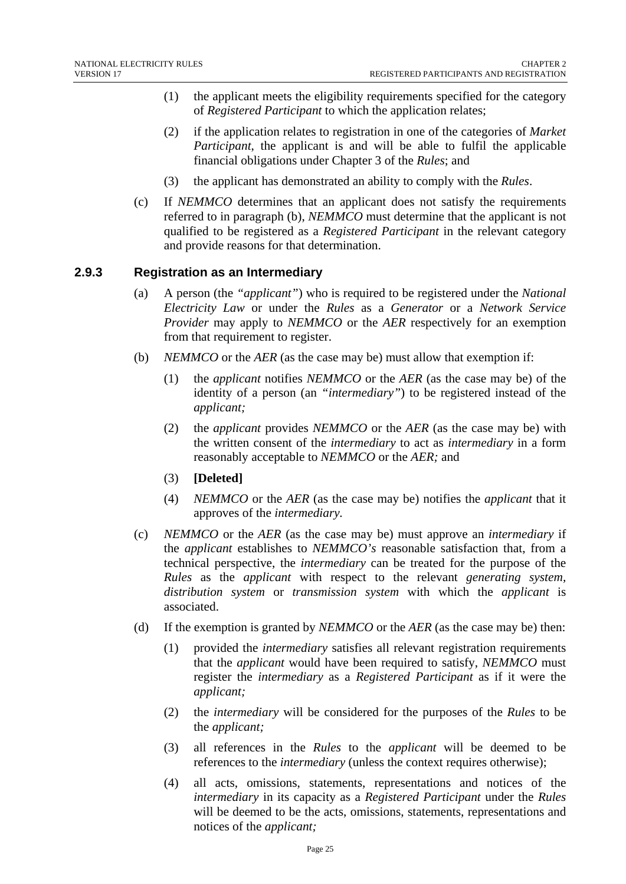- (1) the applicant meets the eligibility requirements specified for the category of *Registered Participant* to which the application relates;
- (2) if the application relates to registration in one of the categories of *Market Participant*, the applicant is and will be able to fulfil the applicable financial obligations under Chapter 3 of the *Rules*; and
- (3) the applicant has demonstrated an ability to comply with the *Rules*.
- (c) If *NEMMCO* determines that an applicant does not satisfy the requirements referred to in paragraph (b), *NEMMCO* must determine that the applicant is not qualified to be registered as a *Registered Participant* in the relevant category and provide reasons for that determination.

#### **2.9.3 Registration as an Intermediary**

- (a) A person (the *"applicant"*) who is required to be registered under the *National Electricity Law* or under the *Rules* as a *Generator* or a *Network Service Provider* may apply to *NEMMCO* or the *AER* respectively for an exemption from that requirement to register.
- (b) *NEMMCO* or the *AER* (as the case may be) must allow that exemption if:
	- (1) the *applicant* notifies *NEMMCO* or the *AER* (as the case may be) of the identity of a person (an *"intermediary"*) to be registered instead of the *applicant;*
	- (2) the *applicant* provides *NEMMCO* or the *AER* (as the case may be) with the written consent of the *intermediary* to act as *intermediary* in a form reasonably acceptable to *NEMMCO* or the *AER;* and
	- (3) **[Deleted]**
	- (4) *NEMMCO* or the *AER* (as the case may be) notifies the *applicant* that it approves of the *intermediary.*
- (c) *NEMMCO* or the *AER* (as the case may be) must approve an *intermediary* if the *applicant* establishes to *NEMMCO's* reasonable satisfaction that, from a technical perspective, the *intermediary* can be treated for the purpose of the *Rules* as the *applicant* with respect to the relevant *generating system, distribution system* or *transmission system* with which the *applicant* is associated.
- (d) If the exemption is granted by *NEMMCO* or the *AER* (as the case may be) then:
	- (1) provided the *intermediary* satisfies all relevant registration requirements that the *applicant* would have been required to satisfy, *NEMMCO* must register the *intermediary* as a *Registered Participant* as if it were the *applicant;*
	- (2) the *intermediary* will be considered for the purposes of the *Rules* to be the *applicant;*
	- (3) all references in the *Rules* to the *applicant* will be deemed to be references to the *intermediary* (unless the context requires otherwise);
	- (4) all acts, omissions, statements, representations and notices of the *intermediary* in its capacity as a *Registered Participant* under the *Rules* will be deemed to be the acts, omissions, statements, representations and notices of the *applicant;*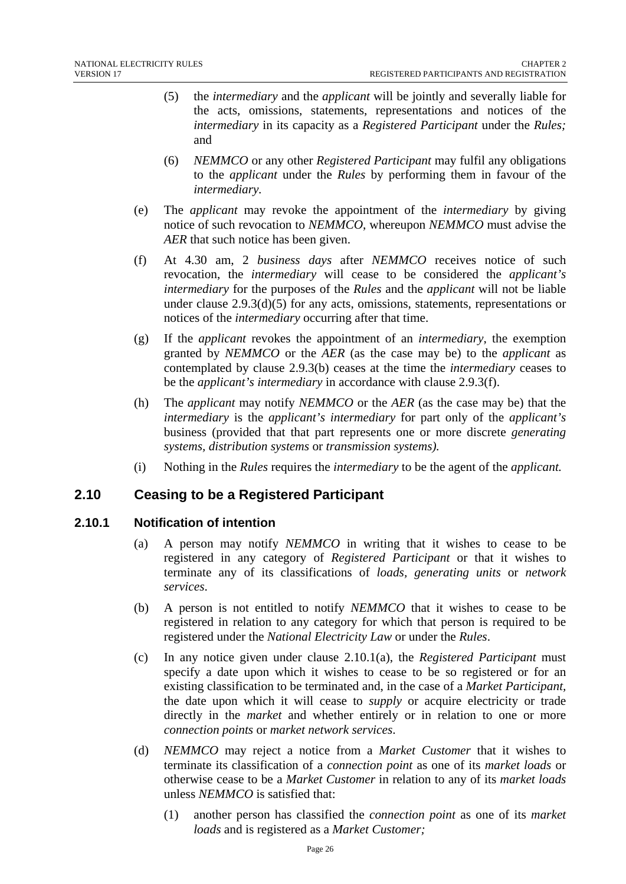- (5) the *intermediary* and the *applicant* will be jointly and severally liable for the acts, omissions, statements, representations and notices of the *intermediary* in its capacity as a *Registered Participant* under the *Rules;* and
- (6) *NEMMCO* or any other *Registered Participant* may fulfil any obligations to the *applicant* under the *Rules* by performing them in favour of the *intermediary.*
- (e) The *applicant* may revoke the appointment of the *intermediary* by giving notice of such revocation to *NEMMCO*, whereupon *NEMMCO* must advise the *AER* that such notice has been given.
- (f) At 4.30 am, 2 *business days* after *NEMMCO* receives notice of such revocation, the *intermediary* will cease to be considered the *applicant's intermediary* for the purposes of the *Rules* and the *applicant* will not be liable under clause 2.9.3(d)(5) for any acts, omissions, statements, representations or notices of the *intermediary* occurring after that time.
- (g) If the *applicant* revokes the appointment of an *intermediary*, the exemption granted by *NEMMCO* or the *AER* (as the case may be) to the *applicant* as contemplated by clause 2.9.3(b) ceases at the time the *intermediary* ceases to be the *applicant's intermediary* in accordance with clause 2.9.3(f).
- (h) The *applicant* may notify *NEMMCO* or the *AER* (as the case may be) that the *intermediary* is the *applicant's intermediary* for part only of the *applicant's* business (provided that that part represents one or more discrete *generating systems, distribution systems* or *transmission systems).*
- (i) Nothing in the *Rules* requires the *intermediary* to be the agent of the *applicant.*

## **2.10 Ceasing to be a Registered Participant**

## **2.10.1 Notification of intention**

- (a) A person may notify *NEMMCO* in writing that it wishes to cease to be registered in any category of *Registered Participant* or that it wishes to terminate any of its classifications of *loads, generating units* or *network services*.
- (b) A person is not entitled to notify *NEMMCO* that it wishes to cease to be registered in relation to any category for which that person is required to be registered under the *National Electricity Law* or under the *Rules*.
- (c) In any notice given under clause 2.10.1(a), the *Registered Participant* must specify a date upon which it wishes to cease to be so registered or for an existing classification to be terminated and, in the case of a *Market Participant,* the date upon which it will cease to *supply* or acquire electricity or trade directly in the *market* and whether entirely or in relation to one or more *connection points* or *market network services*.
- (d) *NEMMCO* may reject a notice from a *Market Customer* that it wishes to terminate its classification of a *connection point* as one of its *market loads* or otherwise cease to be a *Market Customer* in relation to any of its *market loads* unless *NEMMCO* is satisfied that:
	- (1) another person has classified the *connection point* as one of its *market loads* and is registered as a *Market Customer;*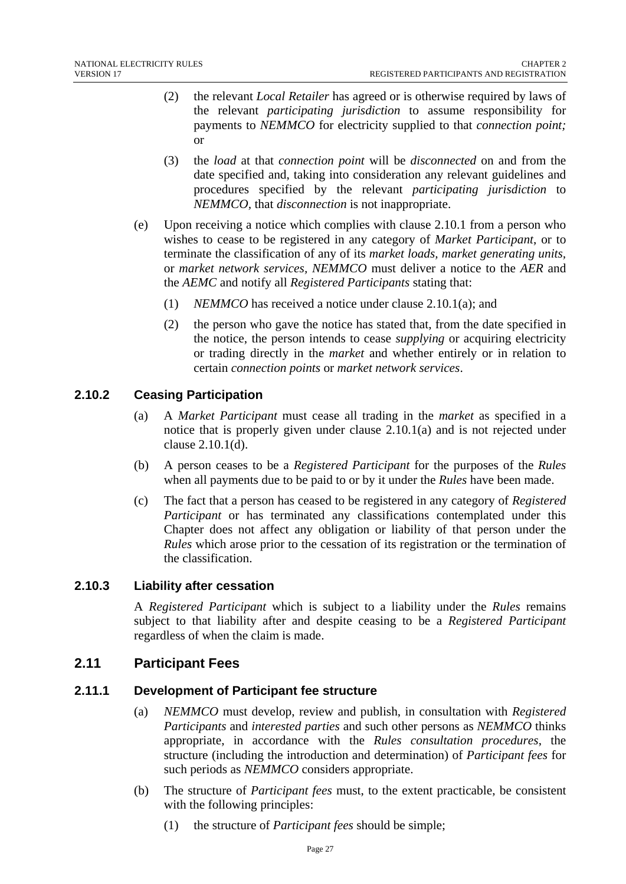- (2) the relevant *Local Retailer* has agreed or is otherwise required by laws of the relevant *participating jurisdiction* to assume responsibility for payments to *NEMMCO* for electricity supplied to that *connection point;* or
- (3) the *load* at that *connection point* will be *disconnected* on and from the date specified and, taking into consideration any relevant guidelines and procedures specified by the relevant *participating jurisdiction* to *NEMMCO,* that *disconnection* is not inappropriate.
- (e) Upon receiving a notice which complies with clause 2.10.1 from a person who wishes to cease to be registered in any category of *Market Participant*, or to terminate the classification of any of its *market loads, market generating units,*  or *market network services, NEMMCO* must deliver a notice to the *AER* and the *AEMC* and notify all *Registered Participants* stating that:
	- (1) *NEMMCO* has received a notice under clause 2.10.1(a); and
	- (2) the person who gave the notice has stated that, from the date specified in the notice, the person intends to cease *supplying* or acquiring electricity or trading directly in the *market* and whether entirely or in relation to certain *connection points* or *market network services*.

## **2.10.2 Ceasing Participation**

- (a) A *Market Participant* must cease all trading in the *market* as specified in a notice that is properly given under clause 2.10.1(a) and is not rejected under clause 2.10.1(d).
- (b) A person ceases to be a *Registered Participant* for the purposes of the *Rules*  when all payments due to be paid to or by it under the *Rules* have been made.
- (c) The fact that a person has ceased to be registered in any category of *Registered Participant* or has terminated any classifications contemplated under this Chapter does not affect any obligation or liability of that person under the *Rules* which arose prior to the cessation of its registration or the termination of the classification.

## **2.10.3 Liability after cessation**

A *Registered Participant* which is subject to a liability under the *Rules* remains subject to that liability after and despite ceasing to be a *Registered Participant* regardless of when the claim is made.

## **2.11 Participant Fees**

## **2.11.1 Development of Participant fee structure**

- (a) *NEMMCO* must develop, review and publish, in consultation with *Registered Participants* and *interested parties* and such other persons as *NEMMCO* thinks appropriate, in accordance with the *Rules consultation procedures*, the structure (including the introduction and determination) of *Participant fees* for such periods as *NEMMCO* considers appropriate.
- (b) The structure of *Participant fees* must, to the extent practicable, be consistent with the following principles:
	- (1) the structure of *Participant fees* should be simple;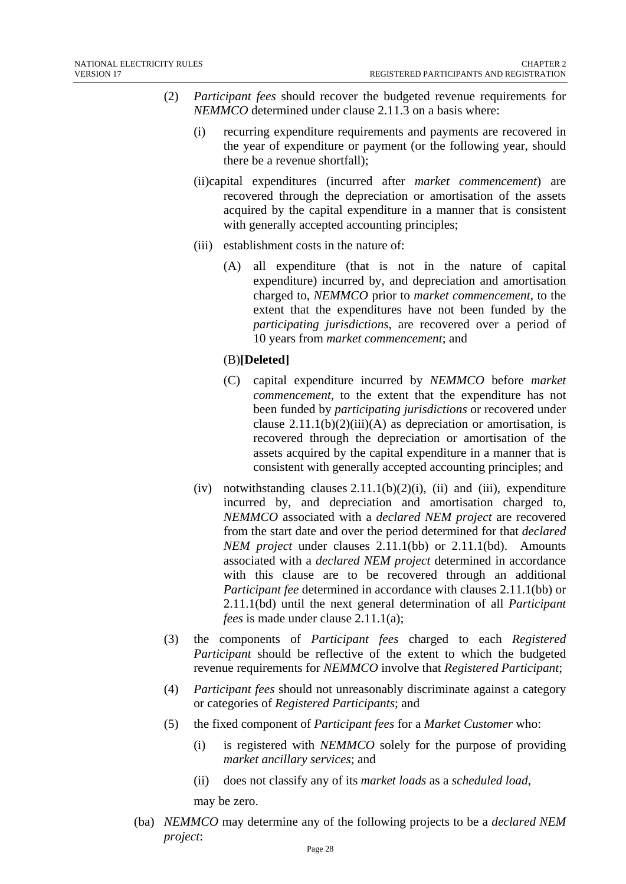- (2) *Participant fees* should recover the budgeted revenue requirements for *NEMMCO* determined under clause 2.11.3 on a basis where:
	- (i) recurring expenditure requirements and payments are recovered in the year of expenditure or payment (or the following year, should there be a revenue shortfall);
	- (ii)capital expenditures (incurred after *market commencement*) are recovered through the depreciation or amortisation of the assets acquired by the capital expenditure in a manner that is consistent with generally accepted accounting principles;
	- (iii) establishment costs in the nature of:
		- (A) all expenditure (that is not in the nature of capital expenditure) incurred by, and depreciation and amortisation charged to, *NEMMCO* prior to *market commencement*, to the extent that the expenditures have not been funded by the *participating jurisdictions*, are recovered over a period of 10 years from *market commencement*; and

#### (B)**[Deleted]**

- (C) capital expenditure incurred by *NEMMCO* before *market commencement*, to the extent that the expenditure has not been funded by *participating jurisdictions* or recovered under clause  $2.11.1(b)(2)(iii)(A)$  as depreciation or amortisation, is recovered through the depreciation or amortisation of the assets acquired by the capital expenditure in a manner that is consistent with generally accepted accounting principles; and
- (iv) notwithstanding clauses  $2.11.1(b)(2)(i)$ , (ii) and (iii), expenditure incurred by, and depreciation and amortisation charged to, *NEMMCO* associated with a *declared NEM project* are recovered from the start date and over the period determined for that *declared NEM project* under clauses 2.11.1(bb) or 2.11.1(bd). Amounts associated with a *declared NEM project* determined in accordance with this clause are to be recovered through an additional *Participant fee* determined in accordance with clauses 2.11.1(bb) or 2.11.1(bd) until the next general determination of all *Participant fees* is made under clause 2.11.1(a);
- (3) the components of *Participant fees* charged to each *Registered Participant* should be reflective of the extent to which the budgeted revenue requirements for *NEMMCO* involve that *Registered Participant*;
- (4) *Participant fees* should not unreasonably discriminate against a category or categories of *Registered Participants*; and
- (5) the fixed component of *Participant fees* for a *Market Customer* who:
	- (i) is registered with *NEMMCO* solely for the purpose of providing *market ancillary services*; and
	- (ii) does not classify any of its *market loads* as a *scheduled load*, may be zero.
- (ba) *NEMMCO* may determine any of the following projects to be a *declared NEM project*: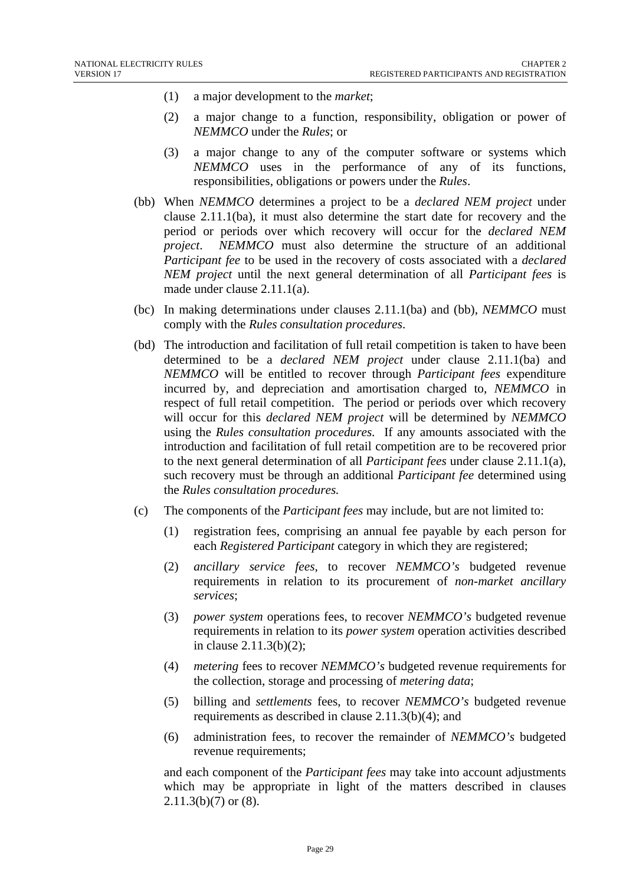- (1) a major development to the *market*;
- (2) a major change to a function, responsibility, obligation or power of *NEMMCO* under the *Rules*; or
- (3) a major change to any of the computer software or systems which *NEMMCO* uses in the performance of any of its functions, responsibilities, obligations or powers under the *Rules*.
- (bb) When *NEMMCO* determines a project to be a *declared NEM project* under clause 2.11.1(ba), it must also determine the start date for recovery and the period or periods over which recovery will occur for the *declared NEM project*. *NEMMCO* must also determine the structure of an additional *Participant fee* to be used in the recovery of costs associated with a *declared NEM project* until the next general determination of all *Participant fees* is made under clause 2.11.1(a).
- (bc) In making determinations under clauses 2.11.1(ba) and (bb), *NEMMCO* must comply with the *Rules consultation procedures*.
- (bd) The introduction and facilitation of full retail competition is taken to have been determined to be a *declared NEM project* under clause 2.11.1(ba) and *NEMMCO* will be entitled to recover through *Participant fees* expenditure incurred by, and depreciation and amortisation charged to, *NEMMCO* in respect of full retail competition. The period or periods over which recovery will occur for this *declared NEM project* will be determined by *NEMMCO*  using the *Rules consultation procedures.* If any amounts associated with the introduction and facilitation of full retail competition are to be recovered prior to the next general determination of all *Participant fees* under clause 2.11.1(a), such recovery must be through an additional *Participant fee* determined using the *Rules consultation procedures.*
- (c) The components of the *Participant fees* may include, but are not limited to:
	- (1) registration fees, comprising an annual fee payable by each person for each *Registered Participant* category in which they are registered;
	- (2) *ancillary service fees*, to recover *NEMMCO's* budgeted revenue requirements in relation to its procurement of *non-market ancillary services*;
	- (3) *power system* operations fees, to recover *NEMMCO's* budgeted revenue requirements in relation to its *power system* operation activities described in clause 2.11.3(b)(2);
	- (4) *metering* fees to recover *NEMMCO's* budgeted revenue requirements for the collection, storage and processing of *metering data*;
	- (5) billing and *settlements* fees, to recover *NEMMCO's* budgeted revenue requirements as described in clause 2.11.3(b)(4); and
	- (6) administration fees, to recover the remainder of *NEMMCO's* budgeted revenue requirements;

and each component of the *Participant fees* may take into account adjustments which may be appropriate in light of the matters described in clauses  $2.11.3(b)(7)$  or  $(8)$ .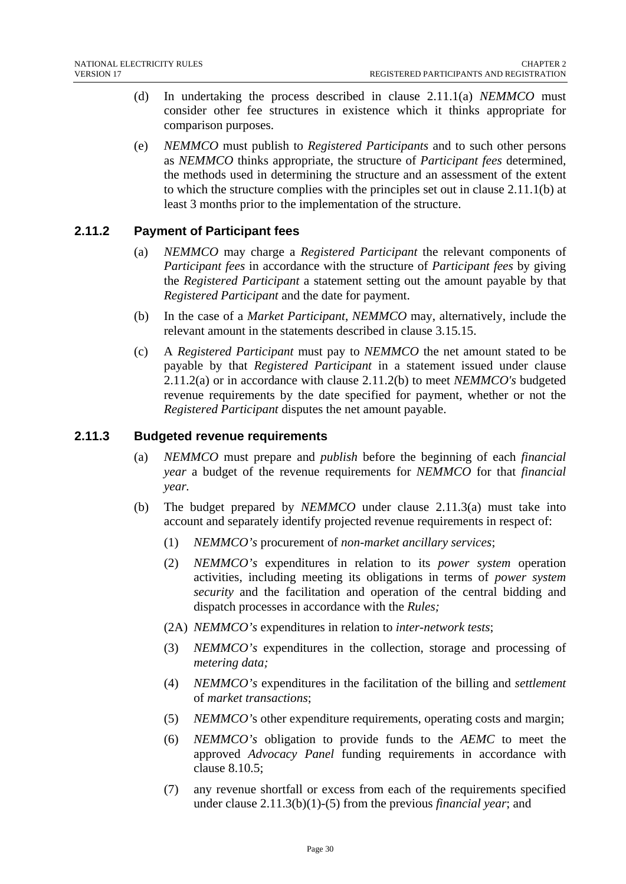- (d) In undertaking the process described in clause 2.11.1(a) *NEMMCO* must consider other fee structures in existence which it thinks appropriate for comparison purposes.
- (e) *NEMMCO* must publish to *Registered Participants* and to such other persons as *NEMMCO* thinks appropriate, the structure of *Participant fees* determined, the methods used in determining the structure and an assessment of the extent to which the structure complies with the principles set out in clause 2.11.1(b) at least 3 months prior to the implementation of the structure.

## **2.11.2 Payment of Participant fees**

- (a) *NEMMCO* may charge a *Registered Participant* the relevant components of *Participant fees* in accordance with the structure of *Participant fees* by giving the *Registered Participant* a statement setting out the amount payable by that *Registered Participant* and the date for payment.
- (b) In the case of a *Market Participant*, *NEMMCO* may, alternatively, include the relevant amount in the statements described in clause 3.15.15.
- (c) A *Registered Participant* must pay to *NEMMCO* the net amount stated to be payable by that *Registered Participant* in a statement issued under clause 2.11.2(a) or in accordance with clause 2.11.2(b) to meet *NEMMCO's* budgeted revenue requirements by the date specified for payment, whether or not the *Registered Participant* disputes the net amount payable.

## **2.11.3 Budgeted revenue requirements**

- (a) *NEMMCO* must prepare and *publish* before the beginning of each *financial year* a budget of the revenue requirements for *NEMMCO* for that *financial year.*
- (b) The budget prepared by *NEMMCO* under clause 2.11.3(a) must take into account and separately identify projected revenue requirements in respect of:
	- (1) *NEMMCO's* procurement of *non-market ancillary services*;
	- (2) *NEMMCO's* expenditures in relation to its *power system* operation activities*,* including meeting its obligations in terms of *power system security* and the facilitation and operation of the central bidding and dispatch processes in accordance with the *Rules;*
	- (2A) *NEMMCO's* expenditures in relation to *inter-network tests*;
	- (3) *NEMMCO's* expenditures in the collection, storage and processing of *metering data;*
	- (4) *NEMMCO's* expenditures in the facilitation of the billing and *settlement*  of *market transactions*;
	- (5) *NEMMCO'*s other expenditure requirements, operating costs and margin;
	- (6) *NEMMCO's* obligation to provide funds to the *AEMC* to meet the approved *Advocacy Panel* funding requirements in accordance with clause 8.10.5;
	- (7) any revenue shortfall or excess from each of the requirements specified under clause 2.11.3(b)(1)-(5) from the previous *financial year*; and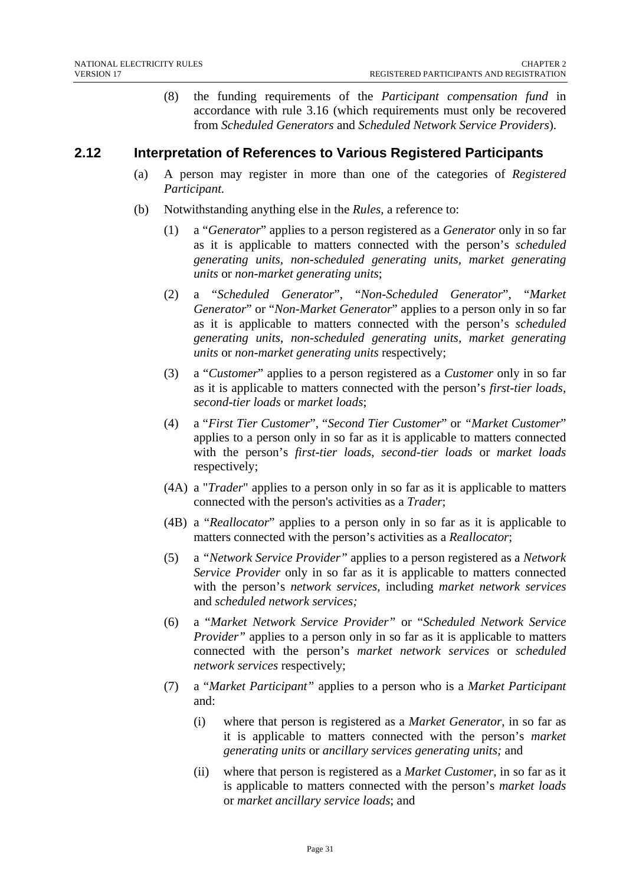(8) the funding requirements of the *Participant compensation fund* in accordance with rule 3.16 (which requirements must only be recovered from *Scheduled Generators* and *Scheduled Network Service Providers*).

## **2.12 Interpretation of References to Various Registered Participants**

- (a) A person may register in more than one of the categories of *Registered Participant.*
- (b) Notwithstanding anything else in the *Rules*, a reference to:
	- (1) a "*Generator*" applies to a person registered as a *Generator* only in so far as it is applicable to matters connected with the person's *scheduled generating units, non-scheduled generating units, market generating units* or *non-market generating units*;
	- (2) a "*Scheduled Generator*", "*Non-Scheduled Generator*", "*Market Generator*" or "*Non-Market Generator*" applies to a person only in so far as it is applicable to matters connected with the person's *scheduled generating units*, *non-scheduled generating units, market generating units* or *non-market generating units* respectively;
	- (3) a "*Customer*" applies to a person registered as a *Customer* only in so far as it is applicable to matters connected with the person's *first-tier loads, second-tier loads* or *market loads*;
	- (4) a "*First Tier Customer*", "*Second Tier Customer*" or *"Market Customer*" applies to a person only in so far as it is applicable to matters connected with the person's *first-tier loads*, *second-tier loads* or *market loads* respectively;
	- (4A) a "*Trader*" applies to a person only in so far as it is applicable to matters connected with the person's activities as a *Trader*;
	- (4B) a "*Reallocator*" applies to a person only in so far as it is applicable to matters connected with the person's activities as a *Reallocator*;
	- (5) a *"Network Service Provider"* applies to a person registered as a *Network Service Provider* only in so far as it is applicable to matters connected with the person's *network services,* including *market network services* and *scheduled network services;*
	- (6) a "*Market Network Service Provider"* or "*Scheduled Network Service Provider*" applies to a person only in so far as it is applicable to matters connected with the person's *market network services* or *scheduled network services* respectively;
	- (7) a "*Market Participant"* applies to a person who is a *Market Participant* and:
		- (i) where that person is registered as a *Market Generator*, in so far as it is applicable to matters connected with the person's *market generating units* or *ancillary services generating units;* and
		- (ii) where that person is registered as a *Market Customer,* in so far as it is applicable to matters connected with the person's *market loads*  or *market ancillary service loads*; and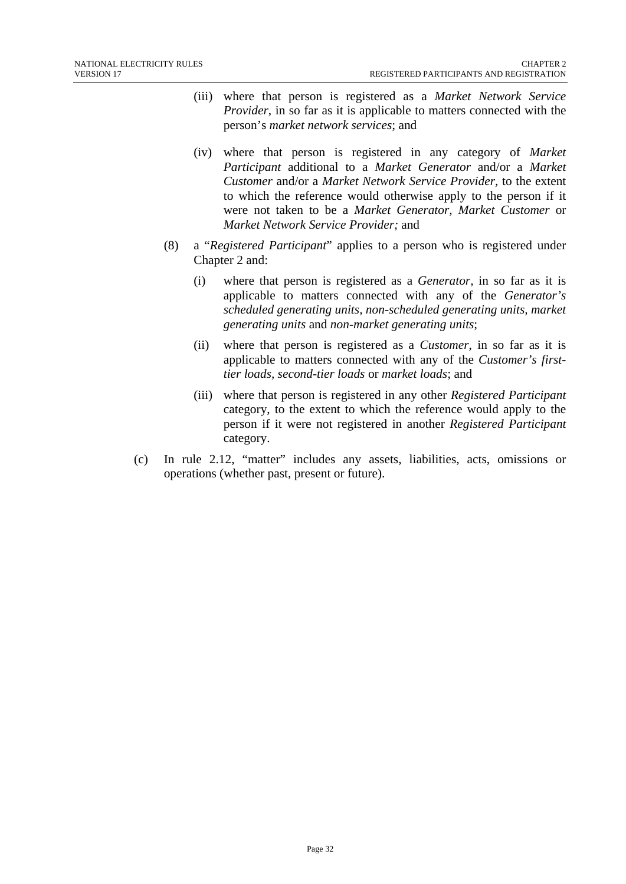- (iii) where that person is registered as a *Market Network Service Provider*, in so far as it is applicable to matters connected with the person's *market network services*; and
- (iv) where that person is registered in any category of *Market Participant* additional to a *Market Generator* and/or a *Market Customer* and/or a *Market Network Service Provider*, to the extent to which the reference would otherwise apply to the person if it were not taken to be a *Market Generator*, *Market Customer* or *Market Network Service Provider;* and
- (8) a "*Registered Participant*" applies to a person who is registered under Chapter 2 and:
	- (i) where that person is registered as a *Generator,* in so far as it is applicable to matters connected with any of the *Generator's scheduled generating units, non-scheduled generating units, market generating units* and *non-market generating units*;
	- (ii) where that person is registered as a *Customer*, in so far as it is applicable to matters connected with any of the *Customer's firsttier loads, second-tier loads* or *market loads*; and
	- (iii) where that person is registered in any other *Registered Participant* category, to the extent to which the reference would apply to the person if it were not registered in another *Registered Participant* category.
- (c) In rule 2.12, "matter" includes any assets, liabilities, acts, omissions or operations (whether past, present or future).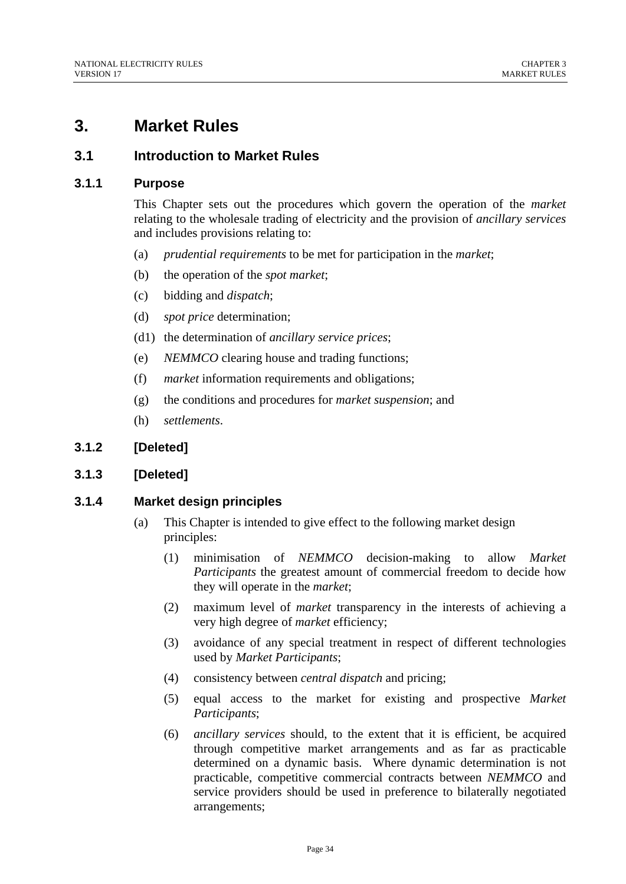# **3. Market Rules**

## **3.1 Introduction to Market Rules**

## **3.1.1 Purpose**

This Chapter sets out the procedures which govern the operation of the *market*  relating to the wholesale trading of electricity and the provision of *ancillary services*  and includes provisions relating to:

- (a) *prudential requirements* to be met for participation in the *market*;
- (b) the operation of the *spot market*;
- (c) bidding and *dispatch*;
- (d) *spot price* determination;
- (d1) the determination of *ancillary service prices*;
- (e) *NEMMCO* clearing house and trading functions;
- (f) *market* information requirements and obligations;
- (g) the conditions and procedures for *market suspension*; and
- (h) *settlements*.

## **3.1.2 [Deleted]**

## **3.1.3 [Deleted]**

## **3.1.4 Market design principles**

- (a) This Chapter is intended to give effect to the following market design principles:
	- (1) minimisation of *NEMMCO* decision-making to allow *Market Participants* the greatest amount of commercial freedom to decide how they will operate in the *market*;
	- (2) maximum level of *market* transparency in the interests of achieving a very high degree of *market* efficiency;
	- (3) avoidance of any special treatment in respect of different technologies used by *Market Participants*;
	- (4) consistency between *central dispatch* and pricing;
	- (5) equal access to the market for existing and prospective *Market Participants*;
	- (6) *ancillary services* should, to the extent that it is efficient, be acquired through competitive market arrangements and as far as practicable determined on a dynamic basis. Where dynamic determination is not practicable, competitive commercial contracts between *NEMMCO* and service providers should be used in preference to bilaterally negotiated arrangements;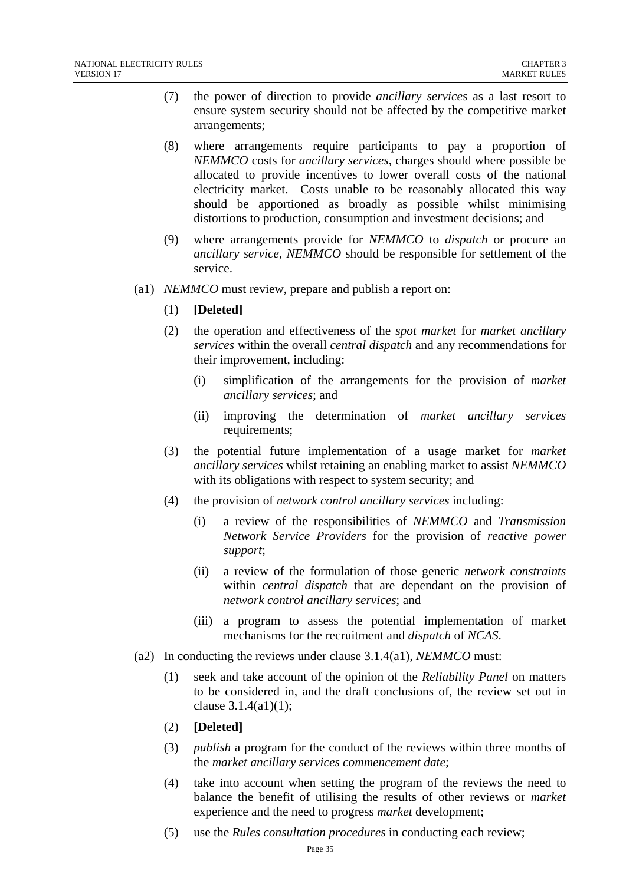- (7) the power of direction to provide *ancillary services* as a last resort to ensure system security should not be affected by the competitive market arrangements;
- (8) where arrangements require participants to pay a proportion of *NEMMCO* costs for *ancillary services*, charges should where possible be allocated to provide incentives to lower overall costs of the national electricity market. Costs unable to be reasonably allocated this way should be apportioned as broadly as possible whilst minimising distortions to production, consumption and investment decisions; and
- (9) where arrangements provide for *NEMMCO* to *dispatch* or procure an *ancillary service*, *NEMMCO* should be responsible for settlement of the service.
- (a1) *NEMMCO* must review, prepare and publish a report on:
	- (1) **[Deleted]**
	- (2) the operation and effectiveness of the *spot market* for *market ancillary services* within the overall *central dispatch* and any recommendations for their improvement, including:
		- (i) simplification of the arrangements for the provision of *market ancillary services*; and
		- (ii) improving the determination of *market ancillary services* requirements;
	- (3) the potential future implementation of a usage market for *market ancillary services* whilst retaining an enabling market to assist *NEMMCO* with its obligations with respect to system security; and
	- (4) the provision of *network control ancillary services* including:
		- (i) a review of the responsibilities of *NEMMCO* and *Transmission Network Service Providers* for the provision of *reactive power support*;
		- (ii) a review of the formulation of those generic *network constraints*  within *central dispatch* that are dependant on the provision of *network control ancillary services*; and
		- (iii) a program to assess the potential implementation of market mechanisms for the recruitment and *dispatch* of *NCAS*.
- (a2) In conducting the reviews under clause 3.1.4(a1), *NEMMCO* must:
	- (1) seek and take account of the opinion of the *Reliability Panel* on matters to be considered in, and the draft conclusions of, the review set out in clause 3.1.4(a1)(1);
	- (2) **[Deleted]**
	- (3) *publish* a program for the conduct of the reviews within three months of the *market ancillary services commencement date*;
	- (4) take into account when setting the program of the reviews the need to balance the benefit of utilising the results of other reviews or *market* experience and the need to progress *market* development;
	- (5) use the *Rules consultation procedures* in conducting each review;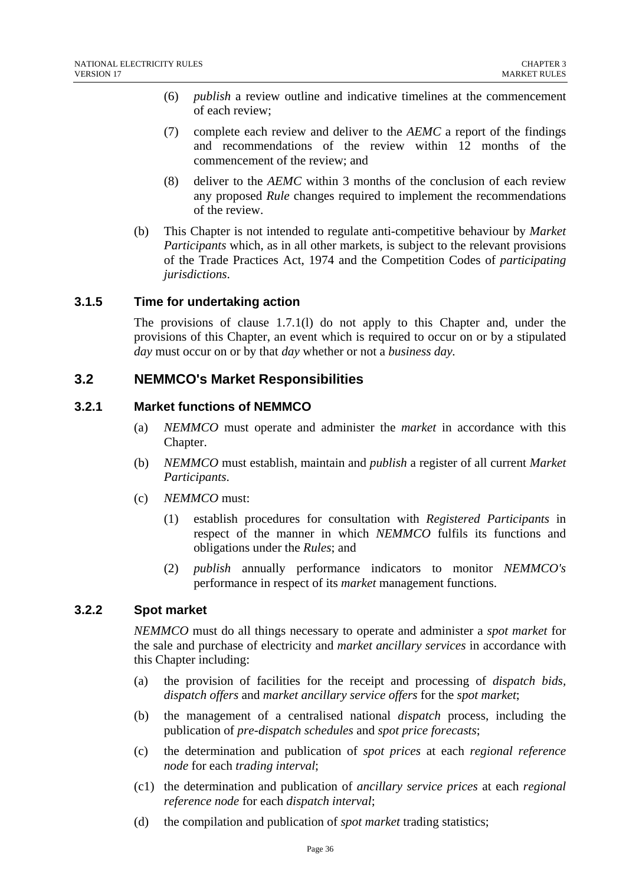- (6) *publish* a review outline and indicative timelines at the commencement of each review;
- (7) complete each review and deliver to the *AEMC* a report of the findings and recommendations of the review within 12 months of the commencement of the review; and
- (8) deliver to the *AEMC* within 3 months of the conclusion of each review any proposed *Rule* changes required to implement the recommendations of the review.
- (b) This Chapter is not intended to regulate anti-competitive behaviour by *Market Participants* which, as in all other markets, is subject to the relevant provisions of the Trade Practices Act, 1974 and the Competition Codes of *participating jurisdictions*.

### **3.1.5 Time for undertaking action**

The provisions of clause 1.7.1(l) do not apply to this Chapter and, under the provisions of this Chapter, an event which is required to occur on or by a stipulated *day* must occur on or by that *day* whether or not a *business day.* 

### **3.2 NEMMCO's Market Responsibilities**

#### **3.2.1 Market functions of NEMMCO**

- (a) *NEMMCO* must operate and administer the *market* in accordance with this Chapter.
- (b) *NEMMCO* must establish, maintain and *publish* a register of all current *Market Participants*.
- (c) *NEMMCO* must:
	- (1) establish procedures for consultation with *Registered Participants* in respect of the manner in which *NEMMCO* fulfils its functions and obligations under the *Rules*; and
	- (2) *publish* annually performance indicators to monitor *NEMMCO's* performance in respect of its *market* management functions.

#### **3.2.2 Spot market**

*NEMMCO* must do all things necessary to operate and administer a *spot market* for the sale and purchase of electricity and *market ancillary services* in accordance with this Chapter including:

- (a) the provision of facilities for the receipt and processing of *dispatch bids, dispatch offers* and *market ancillary service offers* for the *spot market*;
- (b) the management of a centralised national *dispatch* process, including the publication of *pre-dispatch schedules* and *spot price forecasts*;
- (c) the determination and publication of *spot prices* at each *regional reference node* for each *trading interval*;
- (c1) the determination and publication of *ancillary service prices* at each *regional reference node* for each *dispatch interval*;
- (d) the compilation and publication of *spot market* trading statistics;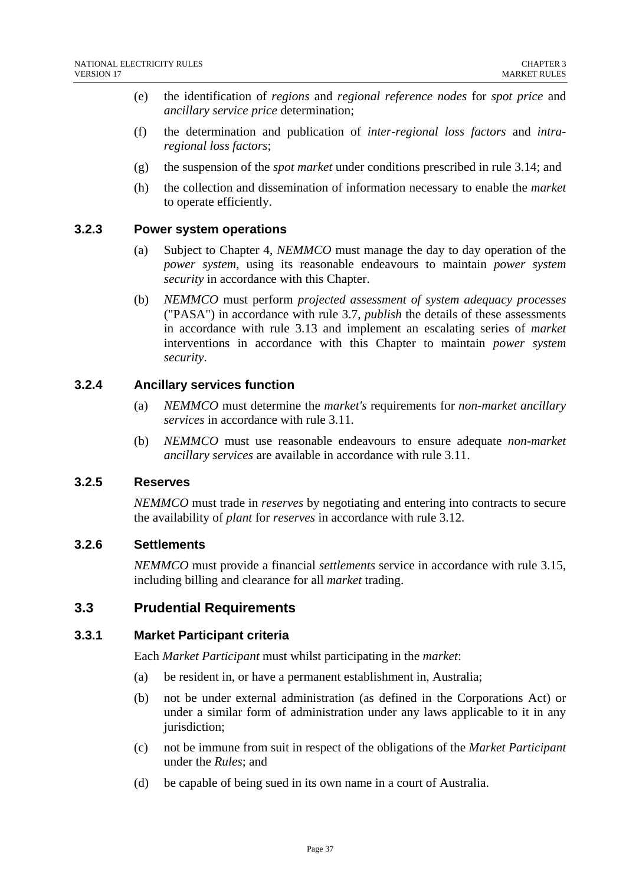- (e) the identification of *regions* and *regional reference nodes* for *spot price* and *ancillary service price* determination;
- (f) the determination and publication of *inter-regional loss factors* and *intraregional loss factors*;
- (g) the suspension of the *spot market* under conditions prescribed in rule 3.14; and
- (h) the collection and dissemination of information necessary to enable the *market* to operate efficiently.

### **3.2.3 Power system operations**

- (a) Subject to Chapter 4, *NEMMCO* must manage the day to day operation of the *power system*, using its reasonable endeavours to maintain *power system security* in accordance with this Chapter.
- (b) *NEMMCO* must perform *projected assessment of system adequacy processes* ("PASA") in accordance with rule 3.7, *publish* the details of these assessments in accordance with rule 3.13 and implement an escalating series of *market* interventions in accordance with this Chapter to maintain *power system security*.

### **3.2.4 Ancillary services function**

- (a) *NEMMCO* must determine the *market's* requirements for *non-market ancillary services* in accordance with rule 3.11.
- (b) *NEMMCO* must use reasonable endeavours to ensure adequate *non-market ancillary services* are available in accordance with rule 3.11.

#### **3.2.5 Reserves**

*NEMMCO* must trade in *reserves* by negotiating and entering into contracts to secure the availability of *plant* for *reserves* in accordance with rule 3.12.

### **3.2.6 Settlements**

*NEMMCO* must provide a financial *settlements* service in accordance with rule 3.15, including billing and clearance for all *market* trading.

### **3.3 Prudential Requirements**

#### **3.3.1 Market Participant criteria**

Each *Market Participant* must whilst participating in the *market*:

- (a) be resident in, or have a permanent establishment in, Australia;
- (b) not be under external administration (as defined in the Corporations Act) or under a similar form of administration under any laws applicable to it in any jurisdiction;
- (c) not be immune from suit in respect of the obligations of the *Market Participant* under the *Rules*; and
- (d) be capable of being sued in its own name in a court of Australia.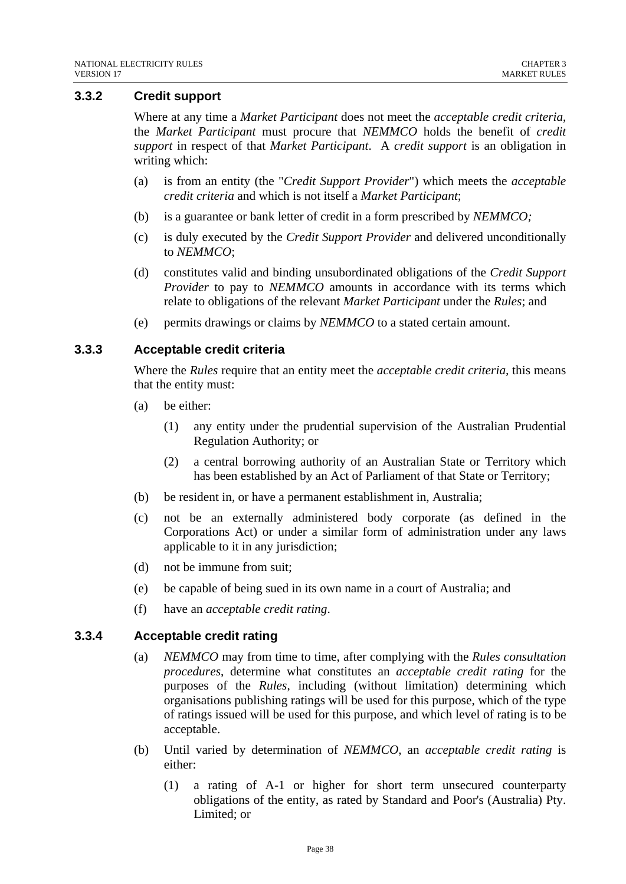#### **3.3.2 Credit support**

Where at any time a *Market Participant* does not meet the *acceptable credit criteria*, the *Market Participant* must procure that *NEMMCO* holds the benefit of *credit support* in respect of that *Market Participant*. A *credit support* is an obligation in writing which:

- (a) is from an entity (the "*Credit Support Provider*") which meets the *acceptable credit criteria* and which is not itself a *Market Participant*;
- (b) is a guarantee or bank letter of credit in a form prescribed by *NEMMCO;*
- (c) is duly executed by the *Credit Support Provider* and delivered unconditionally to *NEMMCO*;
- (d) constitutes valid and binding unsubordinated obligations of the *Credit Support Provider* to pay to *NEMMCO* amounts in accordance with its terms which relate to obligations of the relevant *Market Participant* under the *Rules*; and
- (e) permits drawings or claims by *NEMMCO* to a stated certain amount.

#### **3.3.3 Acceptable credit criteria**

Where the *Rules* require that an entity meet the *acceptable credit criteria,* this means that the entity must:

- (a) be either:
	- (1) any entity under the prudential supervision of the Australian Prudential Regulation Authority; or
	- (2) a central borrowing authority of an Australian State or Territory which has been established by an Act of Parliament of that State or Territory;
- (b) be resident in, or have a permanent establishment in, Australia;
- (c) not be an externally administered body corporate (as defined in the Corporations Act) or under a similar form of administration under any laws applicable to it in any jurisdiction;
- (d) not be immune from suit;
- (e) be capable of being sued in its own name in a court of Australia; and
- (f) have an *acceptable credit rating*.

#### **3.3.4 Acceptable credit rating**

- (a) *NEMMCO* may from time to time, after complying with the *Rules consultation procedures*, determine what constitutes an *acceptable credit rating* for the purposes of the *Rules*, including (without limitation) determining which organisations publishing ratings will be used for this purpose, which of the type of ratings issued will be used for this purpose, and which level of rating is to be acceptable.
- (b) Until varied by determination of *NEMMCO*, an *acceptable credit rating* is either:
	- (1) a rating of A-1 or higher for short term unsecured counterparty obligations of the entity, as rated by Standard and Poor's (Australia) Pty. Limited; or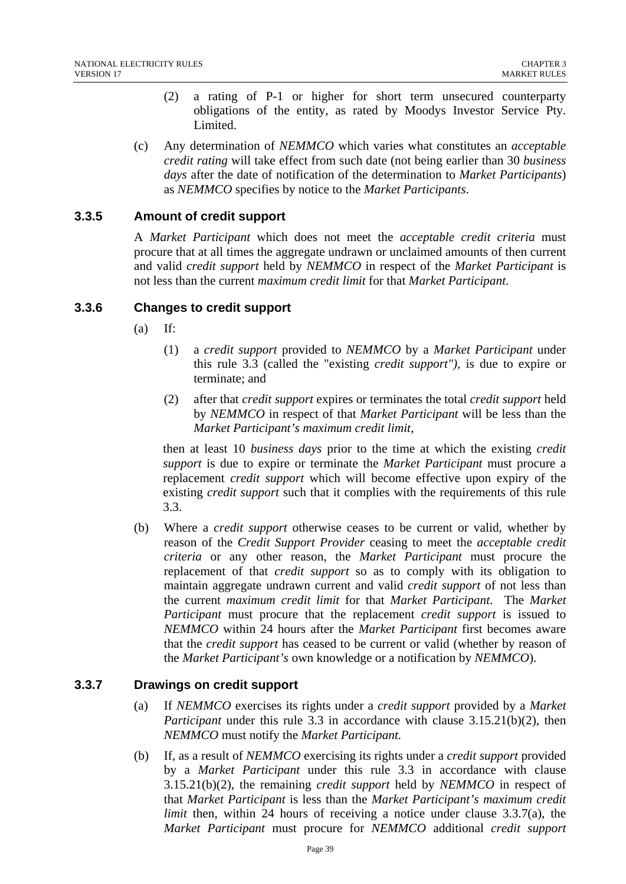- (2) a rating of P-1 or higher for short term unsecured counterparty obligations of the entity, as rated by Moodys Investor Service Pty. Limited.
- (c) Any determination of *NEMMCO* which varies what constitutes an *acceptable credit rating* will take effect from such date (not being earlier than 30 *business days* after the date of notification of the determination to *Market Participants*) as *NEMMCO* specifies by notice to the *Market Participants*.

### **3.3.5 Amount of credit support**

A *Market Participant* which does not meet the *acceptable credit criteria* must procure that at all times the aggregate undrawn or unclaimed amounts of then current and valid *credit support* held by *NEMMCO* in respect of the *Market Participant* is not less than the current *maximum credit limit* for that *Market Participant*.

#### **3.3.6 Changes to credit support**

- $(a)$  If:
	- (1) a *credit support* provided to *NEMMCO* by a *Market Participant* under this rule 3.3 (called the "existing *credit support"),* is due to expire or terminate; and
	- (2) after that *credit support* expires or terminates the total *credit support* held by *NEMMCO* in respect of that *Market Participant* will be less than the *Market Participant's maximum credit limit*,

then at least 10 *business days* prior to the time at which the existing *credit support* is due to expire or terminate the *Market Participant* must procure a replacement *credit support* which will become effective upon expiry of the existing *credit support* such that it complies with the requirements of this rule 3.3.

(b) Where a *credit support* otherwise ceases to be current or valid, whether by reason of the *Credit Support Provider* ceasing to meet the *acceptable credit criteria* or any other reason, the *Market Participant* must procure the replacement of that *credit support* so as to comply with its obligation to maintain aggregate undrawn current and valid *credit support* of not less than the current *maximum credit limit* for that *Market Participant*. The *Market Participant* must procure that the replacement *credit support* is issued to *NEMMCO* within 24 hours after the *Market Participant* first becomes aware that the *credit support* has ceased to be current or valid (whether by reason of the *Market Participant's* own knowledge or a notification by *NEMMCO*).

### **3.3.7 Drawings on credit support**

- (a) If *NEMMCO* exercises its rights under a *credit support* provided by a *Market Participant* under this rule 3.3 in accordance with clause 3.15.21(b)(2), then *NEMMCO* must notify the *Market Participant.*
- (b) If, as a result of *NEMMCO* exercising its rights under a *credit support* provided by a *Market Participant* under this rule 3.3 in accordance with clause 3.15.21(b)(2), the remaining *credit support* held by *NEMMCO* in respect of that *Market Participant* is less than the *Market Participant's maximum credit limit* then, within 24 hours of receiving a notice under clause 3.3.7(a), the *Market Participant* must procure for *NEMMCO* additional *credit support*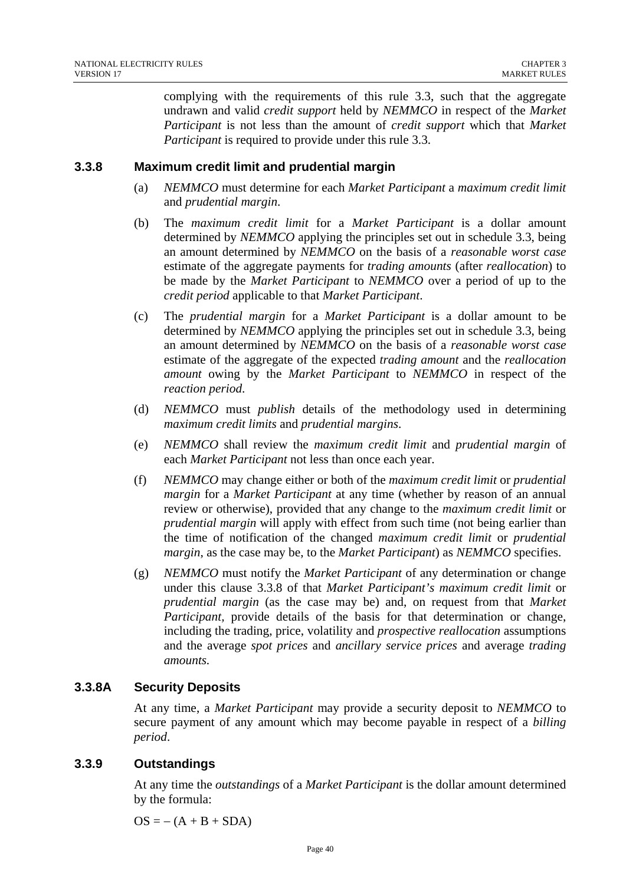complying with the requirements of this rule 3.3, such that the aggregate undrawn and valid *credit support* held by *NEMMCO* in respect of the *Market Participant* is not less than the amount of *credit support* which that *Market Participant* is required to provide under this rule 3.3.

### **3.3.8 Maximum credit limit and prudential margin**

- (a) *NEMMCO* must determine for each *Market Participant* a *maximum credit limit* and *prudential margin*.
- (b) The *maximum credit limit* for a *Market Participant* is a dollar amount determined by *NEMMCO* applying the principles set out in schedule 3.3, being an amount determined by *NEMMCO* on the basis of a *reasonable worst case* estimate of the aggregate payments for *trading amounts* (after *reallocation*) to be made by the *Market Participant* to *NEMMCO* over a period of up to the *credit period* applicable to that *Market Participant*.
- (c) The *prudential margin* for a *Market Participant* is a dollar amount to be determined by *NEMMCO* applying the principles set out in schedule 3.3, being an amount determined by *NEMMCO* on the basis of a *reasonable worst case* estimate of the aggregate of the expected *trading amount* and the *reallocation amount* owing by the *Market Participant* to *NEMMCO* in respect of the *reaction period*.
- (d) *NEMMCO* must *publish* details of the methodology used in determining *maximum credit limits* and *prudential margins*.
- (e) *NEMMCO* shall review the *maximum credit limit* and *prudential margin* of each *Market Participant* not less than once each year.
- (f) *NEMMCO* may change either or both of the *maximum credit limit* or *prudential margin* for a *Market Participant* at any time (whether by reason of an annual review or otherwise), provided that any change to the *maximum credit limit* or *prudential margin* will apply with effect from such time (not being earlier than the time of notification of the changed *maximum credit limit* or *prudential margin*, as the case may be, to the *Market Participant*) as *NEMMCO* specifies.
- (g) *NEMMCO* must notify the *Market Participant* of any determination or change under this clause 3.3.8 of that *Market Participant's maximum credit limit* or *prudential margin* (as the case may be) and, on request from that *Market Participant,* provide details of the basis for that determination or change, including the trading, price, volatility and *prospective reallocation* assumptions and the average *spot prices* and *ancillary service prices* and average *trading amounts.*

### **3.3.8A Security Deposits**

At any time, a *Market Participant* may provide a security deposit to *NEMMCO* to secure payment of any amount which may become payable in respect of a *billing period*.

### **3.3.9 Outstandings**

At any time the *outstandings* of a *Market Participant* is the dollar amount determined by the formula:

 $OS = - (A + B + SDA)$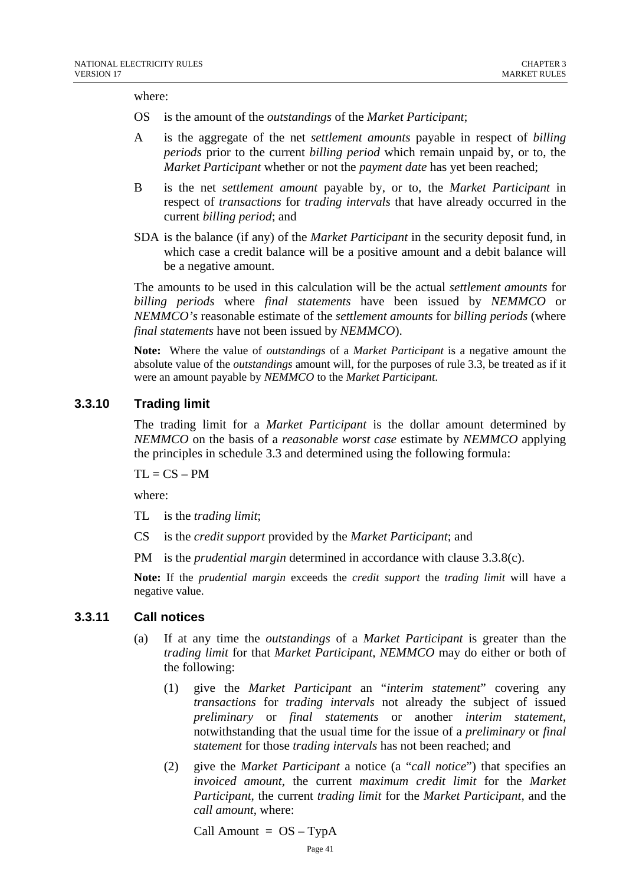where:

- OS is the amount of the *outstandings* of the *Market Participant*;
- A is the aggregate of the net *settlement amounts* payable in respect of *billing periods* prior to the current *billing period* which remain unpaid by, or to, the *Market Participant* whether or not the *payment date* has yet been reached;
- B is the net *settlement amount* payable by, or to, the *Market Participant* in respect of *transactions* for *trading intervals* that have already occurred in the current *billing period*; and
- SDA is the balance (if any) of the *Market Participant* in the security deposit fund, in which case a credit balance will be a positive amount and a debit balance will be a negative amount.

The amounts to be used in this calculation will be the actual *settlement amounts* for *billing periods* where *final statements* have been issued by *NEMMCO* or *NEMMCO's* reasonable estimate of the *settlement amounts* for *billing periods* (where *final statements* have not been issued by *NEMMCO*).

**Note:** Where the value of *outstandings* of a *Market Participant* is a negative amount the absolute value of the *outstandings* amount will, for the purposes of rule 3.3, be treated as if it were an amount payable by *NEMMCO* to the *Market Participant*.

#### **3.3.10 Trading limit**

The trading limit for a *Market Participant* is the dollar amount determined by *NEMMCO* on the basis of a *reasonable worst case* estimate by *NEMMCO* applying the principles in schedule 3.3 and determined using the following formula:

 $TL = CS - PM$ 

where:

TL is the *trading limit*;

- CS is the *credit support* provided by the *Market Participant*; and
- PM is the *prudential margin* determined in accordance with clause 3.3.8(c).

**Note:** If the *prudential margin* exceeds the *credit support* the *trading limit* will have a negative value.

#### **3.3.11 Call notices**

- (a) If at any time the *outstandings* of a *Market Participant* is greater than the *trading limit* for that *Market Participant*, *NEMMCO* may do either or both of the following:
	- (1) give the *Market Participant* an "*interim statement*" covering any *transactions* for *trading intervals* not already the subject of issued *preliminary* or *final statements* or another *interim statement*, notwithstanding that the usual time for the issue of a *preliminary* or *final statement* for those *trading intervals* has not been reached; and
	- (2) give the *Market Participant* a notice (a "*call notice*") that specifies an *invoiced amount*, the current *maximum credit limit* for the *Market Participant*, the current *trading limit* for the *Market Participant*, and the *call amount*, where:

Call Amount  $= OS - TypeA$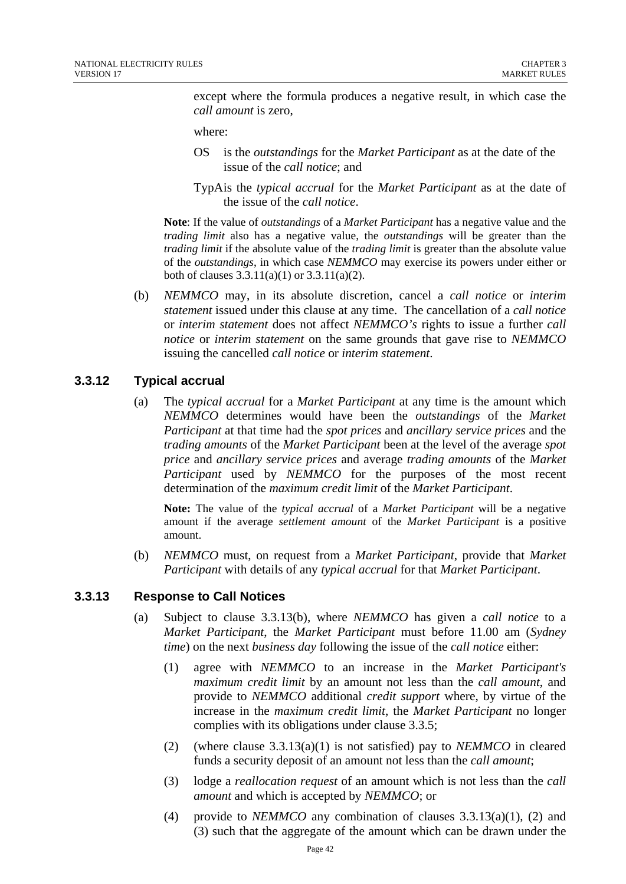except where the formula produces a negative result, in which case the *call amount* is zero,

where:

- OS is the *outstandings* for the *Market Participant* as at the date of the issue of the *call notice*; and
- TypA is the *typical accrual* for the *Market Participant* as at the date of the issue of the *call notice*.

**Note**: If the value of *outstandings* of a *Market Participant* has a negative value and the *trading limit* also has a negative value, the *outstandings* will be greater than the *trading limit* if the absolute value of the *trading limit* is greater than the absolute value of the *outstandings*, in which case *NEMMCO* may exercise its powers under either or both of clauses  $3.3.11(a)(1)$  or  $3.3.11(a)(2)$ .

(b) *NEMMCO* may, in its absolute discretion, cancel a *call notice* or *interim statement* issued under this clause at any time. The cancellation of a *call notice* or *interim statement* does not affect *NEMMCO's* rights to issue a further *call notice* or *interim statement* on the same grounds that gave rise to *NEMMCO* issuing the cancelled *call notice* or *interim statement*.

### **3.3.12 Typical accrual**

(a) The *typical accrual* for a *Market Participant* at any time is the amount which *NEMMCO* determines would have been the *outstandings* of the *Market Participant* at that time had the *spot prices* and *ancillary service prices* and the *trading amounts* of the *Market Participant* been at the level of the average *spot price* and *ancillary service prices* and average *trading amounts* of the *Market Participant* used by *NEMMCO* for the purposes of the most recent determination of the *maximum credit limit* of the *Market Participant*.

**Note:** The value of the *typical accrual* of a *Market Participant* will be a negative amount if the average *settlement amount* of the *Market Participant* is a positive amount.

(b) *NEMMCO* must, on request from a *Market Participant*, provide that *Market Participant* with details of any *typical accrual* for that *Market Participant*.

#### **3.3.13 Response to Call Notices**

- (a) Subject to clause 3.3.13(b), where *NEMMCO* has given a *call notice* to a *Market Participant*, the *Market Participant* must before 11.00 am (*Sydney time*) on the next *business day* following the issue of the *call notice* either:
	- (1) agree with *NEMMCO* to an increase in the *Market Participant's maximum credit limit* by an amount not less than the *call amount*, and provide to *NEMMCO* additional *credit support* where, by virtue of the increase in the *maximum credit limit*, the *Market Participant* no longer complies with its obligations under clause 3.3.5;
	- (2) (where clause  $3.3.13(a)(1)$  is not satisfied) pay to *NEMMCO* in cleared funds a security deposit of an amount not less than the *call amount*;
	- (3) lodge a *reallocation request* of an amount which is not less than the *call amount* and which is accepted by *NEMMCO*; or
	- (4) provide to *NEMMCO* any combination of clauses  $3.3.13(a)(1)$ , (2) and (3) such that the aggregate of the amount which can be drawn under the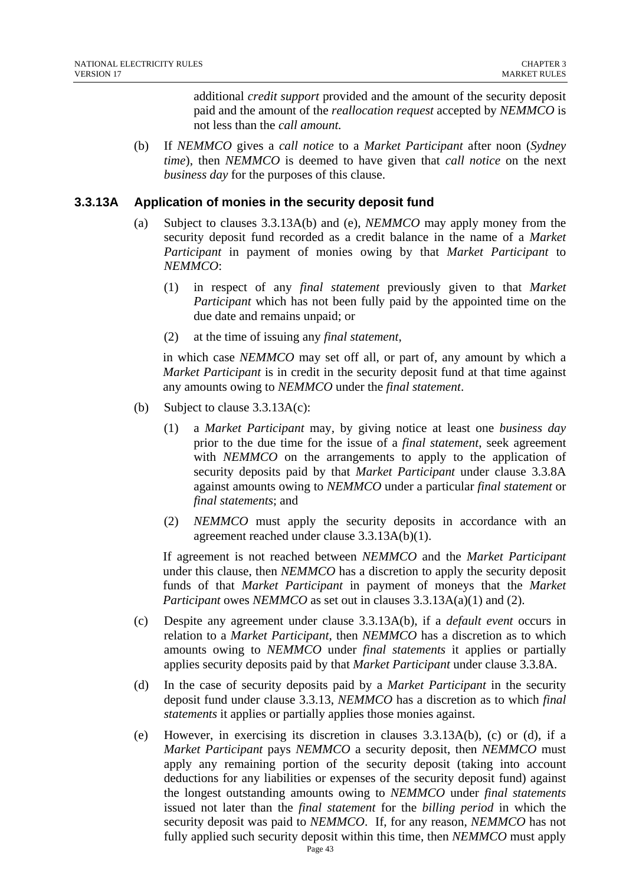additional *credit support* provided and the amount of the security deposit paid and the amount of the *reallocation request* accepted by *NEMMCO* is not less than the *call amount.* 

(b) If *NEMMCO* gives a *call notice* to a *Market Participant* after noon (*Sydney time*), then *NEMMCO* is deemed to have given that *call notice* on the next *business day* for the purposes of this clause.

#### **3.3.13A Application of monies in the security deposit fund**

- (a) Subject to clauses 3.3.13A(b) and (e), *NEMMCO* may apply money from the security deposit fund recorded as a credit balance in the name of a *Market Participant* in payment of monies owing by that *Market Participant* to *NEMMCO*:
	- (1) in respect of any *final statement* previously given to that *Market Participant* which has not been fully paid by the appointed time on the due date and remains unpaid; or
	- (2) at the time of issuing any *final statement*,

in which case *NEMMCO* may set off all, or part of, any amount by which a *Market Participant* is in credit in the security deposit fund at that time against any amounts owing to *NEMMCO* under the *final statement*.

- (b) Subject to clause 3.3.13A(c):
	- (1) a *Market Participant* may, by giving notice at least one *business day* prior to the due time for the issue of a *final statement*, seek agreement with *NEMMCO* on the arrangements to apply to the application of security deposits paid by that *Market Participant* under clause 3.3.8A against amounts owing to *NEMMCO* under a particular *final statement* or *final statements*; and
	- (2) *NEMMCO* must apply the security deposits in accordance with an agreement reached under clause 3.3.13A(b)(1).

If agreement is not reached between *NEMMCO* and the *Market Participant* under this clause, then *NEMMCO* has a discretion to apply the security deposit funds of that *Market Participant* in payment of moneys that the *Market Participant* owes *NEMMCO* as set out in clauses 3.3.13A(a)(1) and (2).

- (c) Despite any agreement under clause 3.3.13A(b), if a *default event* occurs in relation to a *Market Participant*, then *NEMMCO* has a discretion as to which amounts owing to *NEMMCO* under *final statements* it applies or partially applies security deposits paid by that *Market Participant* under clause 3.3.8A.
- (d) In the case of security deposits paid by a *Market Participant* in the security deposit fund under clause 3.3.13, *NEMMCO* has a discretion as to which *final statements* it applies or partially applies those monies against.
- (e) However, in exercising its discretion in clauses 3.3.13A(b), (c) or (d), if a *Market Participant* pays *NEMMCO* a security deposit, then *NEMMCO* must apply any remaining portion of the security deposit (taking into account deductions for any liabilities or expenses of the security deposit fund) against the longest outstanding amounts owing to *NEMMCO* under *final statements* issued not later than the *final statement* for the *billing period* in which the security deposit was paid to *NEMMCO*. If, for any reason, *NEMMCO* has not fully applied such security deposit within this time, then *NEMMCO* must apply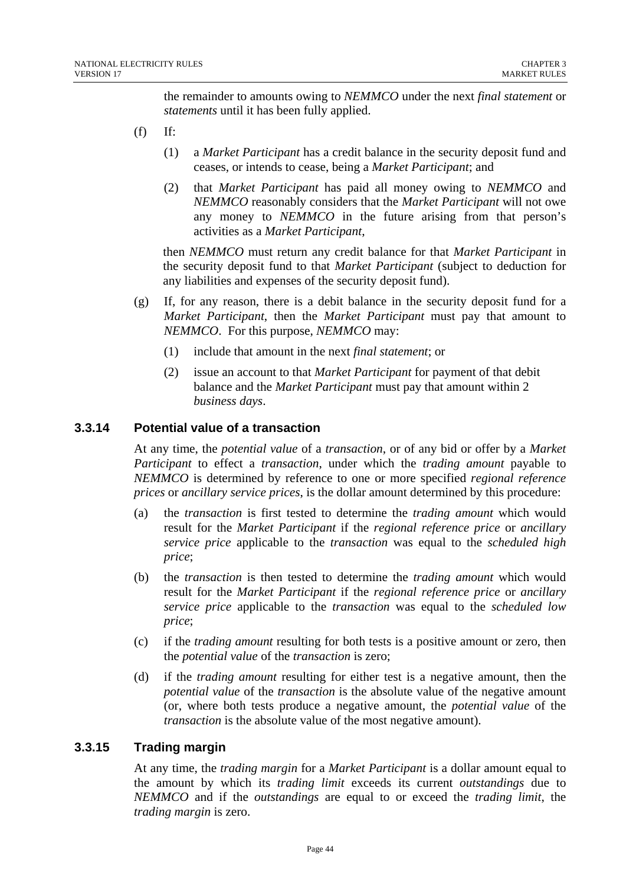the remainder to amounts owing to *NEMMCO* under the next *final statement* or *statements* until it has been fully applied.

- $(f)$  If:
	- (1) a *Market Participant* has a credit balance in the security deposit fund and ceases, or intends to cease, being a *Market Participant*; and
	- (2) that *Market Participant* has paid all money owing to *NEMMCO* and *NEMMCO* reasonably considers that the *Market Participant* will not owe any money to *NEMMCO* in the future arising from that person's activities as a *Market Participant*,

then *NEMMCO* must return any credit balance for that *Market Participant* in the security deposit fund to that *Market Participant* (subject to deduction for any liabilities and expenses of the security deposit fund).

- (g) If, for any reason, there is a debit balance in the security deposit fund for a *Market Participant*, then the *Market Participant* must pay that amount to *NEMMCO*. For this purpose, *NEMMCO* may:
	- (1) include that amount in the next *final statement*; or
	- (2) issue an account to that *Market Participant* for payment of that debit balance and the *Market Participant* must pay that amount within 2 *business days*.

#### **3.3.14 Potential value of a transaction**

At any time, the *potential value* of a *transaction*, or of any bid or offer by a *Market Participant* to effect a *transaction*, under which the *trading amount* payable to *NEMMCO* is determined by reference to one or more specified *regional reference prices* or *ancillary service prices*, is the dollar amount determined by this procedure:

- (a) the *transaction* is first tested to determine the *trading amount* which would result for the *Market Participant* if the *regional reference price* or *ancillary service price* applicable to the *transaction* was equal to the *scheduled high price*;
- (b) the *transaction* is then tested to determine the *trading amount* which would result for the *Market Participant* if the *regional reference price* or *ancillary service price* applicable to the *transaction* was equal to the *scheduled low price*;
- (c) if the *trading amount* resulting for both tests is a positive amount or zero, then the *potential value* of the *transaction* is zero;
- (d) if the *trading amount* resulting for either test is a negative amount, then the *potential value* of the *transaction* is the absolute value of the negative amount (or, where both tests produce a negative amount, the *potential value* of the *transaction* is the absolute value of the most negative amount).

### **3.3.15 Trading margin**

At any time, the *trading margin* for a *Market Participant* is a dollar amount equal to the amount by which its *trading limit* exceeds its current *outstandings* due to *NEMMCO* and if the *outstandings* are equal to or exceed the *trading limit*, the *trading margin* is zero.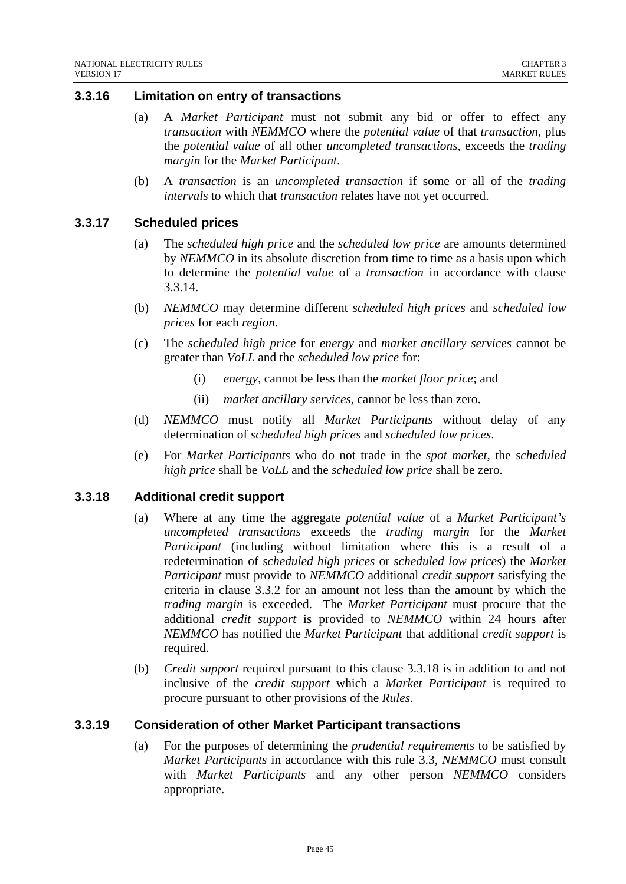#### **3.3.16 Limitation on entry of transactions**

- (a) A *Market Participant* must not submit any bid or offer to effect any *transaction* with *NEMMCO* where the *potential value* of that *transaction*, plus the *potential value* of all other *uncompleted transactions*, exceeds the *trading margin* for the *Market Participant*.
- (b) A *transaction* is an *uncompleted transaction* if some or all of the *trading intervals* to which that *transaction* relates have not yet occurred.

#### **3.3.17 Scheduled prices**

- (a) The *scheduled high price* and the *scheduled low price* are amounts determined by *NEMMCO* in its absolute discretion from time to time as a basis upon which to determine the *potential value* of a *transaction* in accordance with clause 3.3.14.
- (b) *NEMMCO* may determine different *scheduled high prices* and *scheduled low prices* for each *region*.
- (c) The *scheduled high price* for *energy* and *market ancillary services* cannot be greater than *VoLL* and the *scheduled low price* for:
	- (i) *energy,* cannot be less than the *market floor price*; and
	- (ii) *market ancillary services*, cannot be less than zero.
- (d) *NEMMCO* must notify all *Market Participants* without delay of any determination of *scheduled high prices* and *scheduled low prices*.
- (e) For *Market Participants* who do not trade in the *spot market*, the *scheduled high price* shall be *VoLL* and the *scheduled low price* shall be zero.

#### **3.3.18 Additional credit support**

- (a) Where at any time the aggregate *potential value* of a *Market Participant's uncompleted transactions* exceeds the *trading margin* for the *Market Participant* (including without limitation where this is a result of a redetermination of *scheduled high prices* or *scheduled low prices*) the *Market Participant* must provide to *NEMMCO* additional *credit support* satisfying the criteria in clause 3.3.2 for an amount not less than the amount by which the *trading margin* is exceeded. The *Market Participant* must procure that the additional *credit support* is provided to *NEMMCO* within 24 hours after *NEMMCO* has notified the *Market Participant* that additional *credit support* is required.
- (b) *Credit support* required pursuant to this clause 3.3.18 is in addition to and not inclusive of the *credit support* which a *Market Participant* is required to procure pursuant to other provisions of the *Rules*.

#### **3.3.19 Consideration of other Market Participant transactions**

(a) For the purposes of determining the *prudential requirements* to be satisfied by *Market Participants* in accordance with this rule 3.3, *NEMMCO* must consult with *Market Participants* and any other person *NEMMCO* considers appropriate.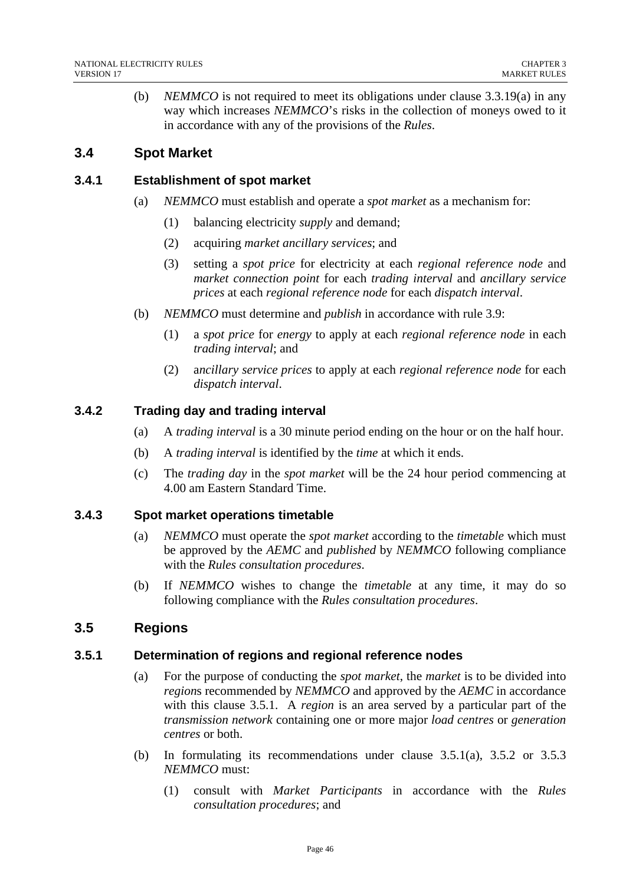(b) *NEMMCO* is not required to meet its obligations under clause 3.3.19(a) in any way which increases *NEMMCO*'s risks in the collection of moneys owed to it in accordance with any of the provisions of the *Rules*.

# **3.4 Spot Market**

### **3.4.1 Establishment of spot market**

- (a) *NEMMCO* must establish and operate a *spot market* as a mechanism for:
	- (1) balancing electricity *supply* and demand;
	- (2) acquiring *market ancillary services*; and
	- (3) setting a *spot price* for electricity at each *regional reference node* and *market connection point* for each *trading interval* and *ancillary service prices* at each *regional reference node* for each *dispatch interval*.
- (b) *NEMMCO* must determine and *publish* in accordance with rule 3.9:
	- (1) a *spot price* for *energy* to apply at each *regional reference node* in each *trading interval*; and
	- (2) a*ncillary service prices* to apply at each *regional reference node* for each *dispatch interval*.

### **3.4.2 Trading day and trading interval**

- (a) A *trading interval* is a 30 minute period ending on the hour or on the half hour.
- (b) A *trading interval* is identified by the *time* at which it ends.
- (c) The *trading day* in the *spot market* will be the 24 hour period commencing at 4.00 am Eastern Standard Time.

### **3.4.3 Spot market operations timetable**

- (a) *NEMMCO* must operate the *spot market* according to the *timetable* which must be approved by the *AEMC* and *published* by *NEMMCO* following compliance with the *Rules consultation procedures*.
- (b) If *NEMMCO* wishes to change the *timetable* at any time, it may do so following compliance with the *Rules consultation procedures*.

### **3.5 Regions**

### **3.5.1 Determination of regions and regional reference nodes**

- (a) For the purpose of conducting the *spot market*, the *market* is to be divided into *region*s recommended by *NEMMCO* and approved by the *AEMC* in accordance with this clause 3.5.1.A *region* is an area served by a particular part of the *transmission network* containing one or more major *load centres* or *generation centres* or both.
- (b) In formulating its recommendations under clause 3.5.1(a), 3.5.2 or 3.5.3 *NEMMCO* must:
	- (1) consult with *Market Participants* in accordance with the *Rules consultation procedures*; and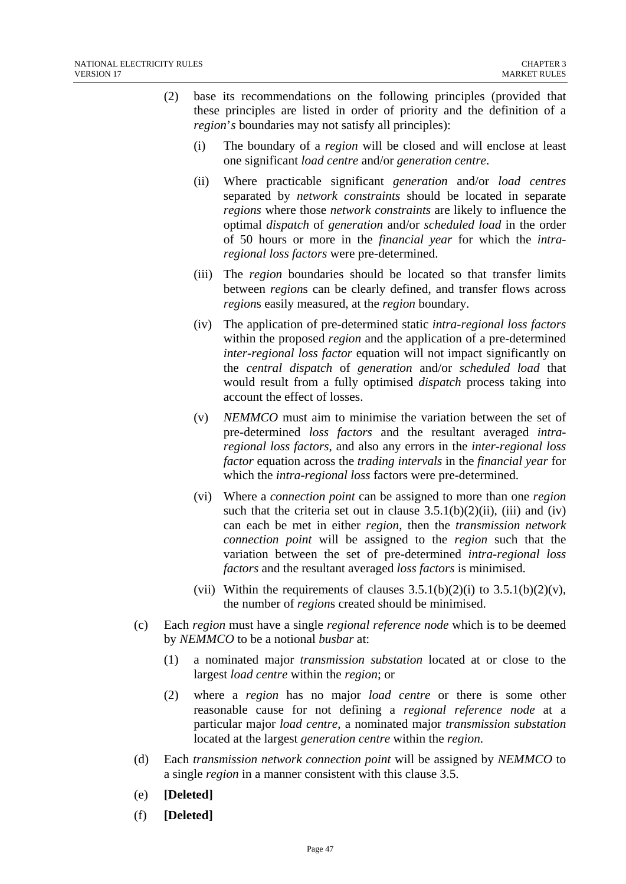- (2) base its recommendations on the following principles (provided that these principles are listed in order of priority and the definition of a *region*'*s* boundaries may not satisfy all principles):
	- (i) The boundary of a *region* will be closed and will enclose at least one significant *load centre* and/or *generation centre*.
	- (ii) Where practicable significant *generation* and/or *load centres*  separated by *network constraints* should be located in separate *regions* where those *network constraints* are likely to influence the optimal *dispatch* of *generation* and/or *scheduled load* in the order of 50 hours or more in the *financial year* for which the *intraregional loss factors* were pre-determined.
	- (iii) The *region* boundaries should be located so that transfer limits between *region*s can be clearly defined, and transfer flows across *region*s easily measured, at the *region* boundary.
	- (iv) The application of pre-determined static *intra-regional loss factors* within the proposed *region* and the application of a pre-determined *inter-regional loss factor* equation will not impact significantly on the *central dispatch* of *generation* and/or *scheduled load* that would result from a fully optimised *dispatch* process taking into account the effect of losses.
	- (v) *NEMMCO* must aim to minimise the variation between the set of pre-determined *loss factors* and the resultant averaged *intraregional loss factors*, and also any errors in the *inter-regional loss factor* equation across the *trading intervals* in the *financial year* for which the *intra-regional loss* factors were pre-determined.
	- (vi) Where a *connection point* can be assigned to more than one *region* such that the criteria set out in clause  $3.5.1(b)(2)(ii)$ , (iii) and (iv) can each be met in either *region*, then the *transmission network connection point* will be assigned to the *region* such that the variation between the set of pre-determined *intra-regional loss factors* and the resultant averaged *loss factors* is minimised.
	- (vii) Within the requirements of clauses  $3.5.1(b)(2)(i)$  to  $3.5.1(b)(2)(v)$ , the number of *region*s created should be minimised.
- (c) Each *region* must have a single *regional reference node* which is to be deemed by *NEMMCO* to be a notional *busbar* at:
	- (1) a nominated major *transmission substation* located at or close to the largest *load centre* within the *region*; or
	- (2) where a *region* has no major *load centre* or there is some other reasonable cause for not defining a *regional reference node* at a particular major *load centre*, a nominated major *transmission substation* located at the largest *generation centre* within the *region*.
- (d) Each *transmission network connection point* will be assigned by *NEMMCO* to a single *region* in a manner consistent with this clause 3.5.
- (e) **[Deleted]**
- (f) **[Deleted]**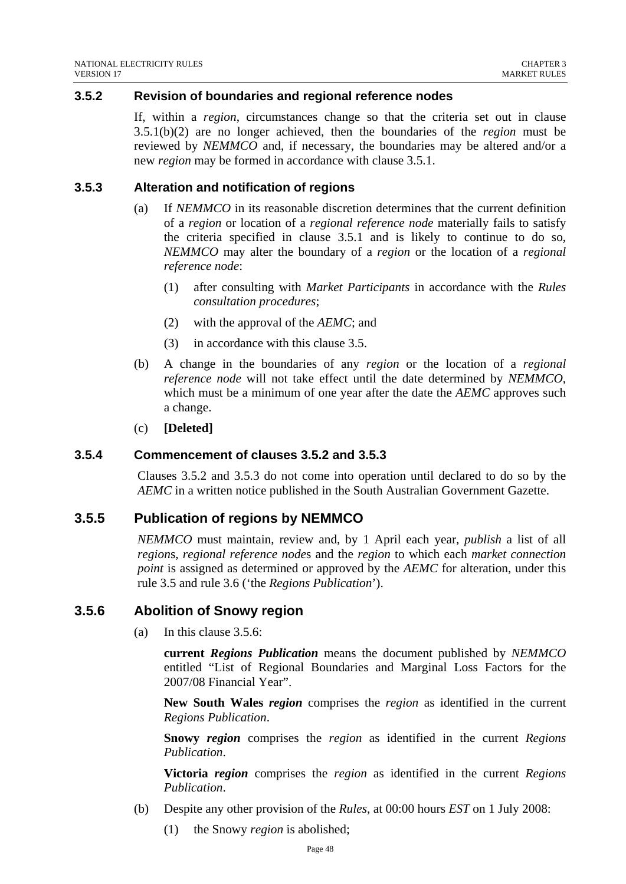### **3.5.2 Revision of boundaries and regional reference nodes**

If, within a *region*, circumstances change so that the criteria set out in clause 3.5.1(b)(2) are no longer achieved, then the boundaries of the *region* must be reviewed by *NEMMCO* and, if necessary, the boundaries may be altered and/or a new *region* may be formed in accordance with clause 3.5.1.

#### **3.5.3 Alteration and notification of regions**

- (a) If *NEMMCO* in its reasonable discretion determines that the current definition of a *region* or location of a *regional reference node* materially fails to satisfy the criteria specified in clause 3.5.1 and is likely to continue to do so, *NEMMCO* may alter the boundary of a *region* or the location of a *regional reference node*:
	- (1) after consulting with *Market Participants* in accordance with the *Rules consultation procedures*;
	- (2) with the approval of the *AEMC*; and
	- (3) in accordance with this clause 3.5.
- (b) A change in the boundaries of any *region* or the location of a *regional reference node* will not take effect until the date determined by *NEMMCO*, which must be a minimum of one year after the date the *AEMC* approves such a change.
- (c) **[Deleted]**

#### **3.5.4 Commencement of clauses 3.5.2 and 3.5.3**

Clauses 3.5.2 and 3.5.3 do not come into operation until declared to do so by the *AEMC* in a written notice published in the South Australian Government Gazette.

### **3.5.5 Publication of regions by NEMMCO**

*NEMMCO* must maintain, review and, by 1 April each year, *publish* a list of all *region*s, *regional reference node*s and the *region* to which each *market connection point* is assigned as determined or approved by the *AEMC* for alteration, under this rule 3.5 and rule 3.6 ('the *Regions Publication*').

#### **3.5.6 Abolition of Snowy region**

(a) In this clause 3.5.6:

**current** *Regions Publication* means the document published by *NEMMCO*  entitled "List of Regional Boundaries and Marginal Loss Factors for the 2007/08 Financial Year".

**New South Wales** *region* comprises the *region* as identified in the current *Regions Publication*.

**Snowy** *region* comprises the *region* as identified in the current *Regions Publication*.

**Victoria** *region* comprises the *region* as identified in the current *Regions Publication*.

- (b) Despite any other provision of the *Rules*, at 00:00 hours *EST* on 1 July 2008:
	- (1) the Snowy *region* is abolished;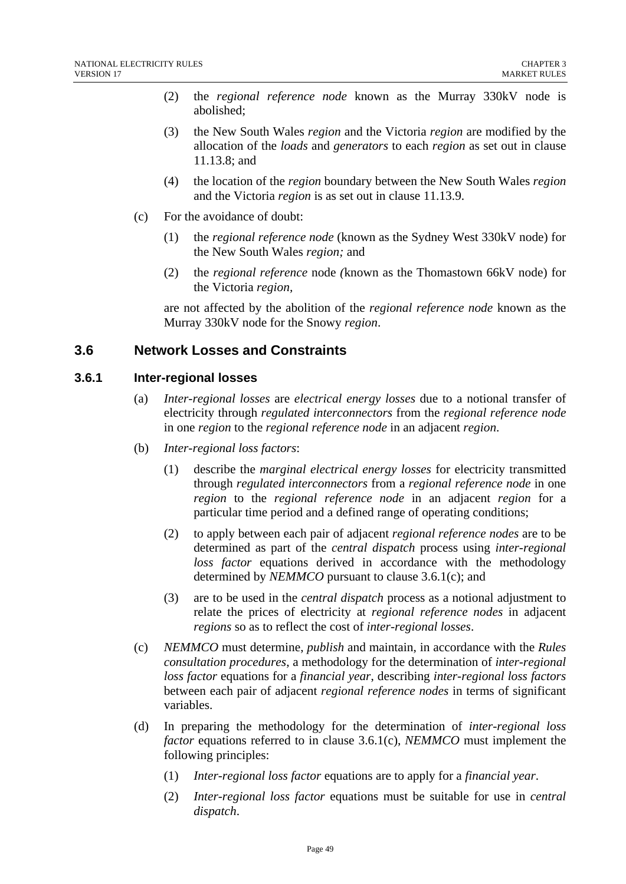- (2) the *regional reference node* known as the Murray 330kV node is abolished;
- (3) the New South Wales *region* and the Victoria *region* are modified by the allocation of the *loads* and *generators* to each *region* as set out in clause 11.13.8; and
- (4) the location of the *region* boundary between the New South Wales *region* and the Victoria *region* is as set out in clause 11.13.9.
- (c) For the avoidance of doubt:
	- (1) the *regional reference node* (known as the Sydney West 330kV node) for the New South Wales *region;* and
	- (2) the *regional reference* node *(*known as the Thomastown 66kV node) for the Victoria *region,*

are not affected by the abolition of the *regional reference node* known as the Murray 330kV node for the Snowy *region*.

## **3.6 Network Losses and Constraints**

#### **3.6.1 Inter-regional losses**

- (a) *Inter-regional losses* are *electrical energy losses* due to a notional transfer of electricity through *regulated interconnectors* from the *regional reference node* in one *region* to the *regional reference node* in an adjacent *region*.
- (b) *Inter-regional loss factors*:
	- (1) describe the *marginal electrical energy losses* for electricity transmitted through *regulated interconnectors* from a *regional reference node* in one *region* to the *regional reference node* in an adjacent *region* for a particular time period and a defined range of operating conditions;
	- (2) to apply between each pair of adjacent *regional reference nodes* are to be determined as part of the *central dispatch* process using *inter-regional loss factor* equations derived in accordance with the methodology determined by *NEMMCO* pursuant to clause 3.6.1(c); and
	- (3) are to be used in the *central dispatch* process as a notional adjustment to relate the prices of electricity at *regional reference nodes* in adjacent *regions* so as to reflect the cost of *inter-regional losses*.
- (c) *NEMMCO* must determine, *publish* and maintain, in accordance with the *Rules consultation procedures*, a methodology for the determination of *inter-regional loss factor* equations for a *financial year*, describing *inter-regional loss factors*  between each pair of adjacent *regional reference nodes* in terms of significant variables.
- (d) In preparing the methodology for the determination of *inter-regional loss factor* equations referred to in clause 3.6.1(c), *NEMMCO* must implement the following principles:
	- (1) *Inter-regional loss factor* equations are to apply for a *financial year*.
	- (2) *Inter-regional loss factor* equations must be suitable for use in *central dispatch*.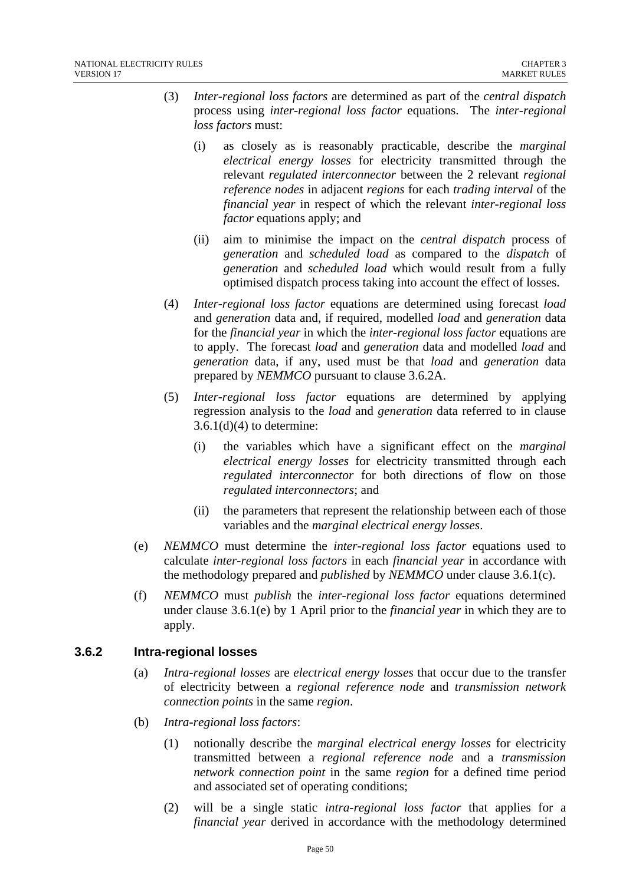- (3) *Inter-regional loss factors* are determined as part of the *central dispatch*  process using *inter-regional loss factor* equations. The *inter-regional loss factors* must:
	- (i) as closely as is reasonably practicable, describe the *marginal electrical energy losses* for electricity transmitted through the relevant *regulated interconnector* between the 2 relevant *regional reference nodes* in adjacent *regions* for each *trading interval* of the *financial year* in respect of which the relevant *inter-regional loss factor* equations apply; and
	- (ii) aim to minimise the impact on the *central dispatch* process of *generation* and *scheduled load* as compared to the *dispatch* of *generation* and *scheduled load* which would result from a fully optimised dispatch process taking into account the effect of losses.
- (4) *Inter-regional loss factor* equations are determined using forecast *load* and *generation* data and, if required, modelled *load* and *generation* data for the *financial year* in which the *inter-regional loss factor* equations are to apply. The forecast *load* and *generation* data and modelled *load* and *generation* data, if any, used must be that *load* and *generation* data prepared by *NEMMCO* pursuant to clause 3.6.2A.
- (5) *Inter-regional loss factor* equations are determined by applying regression analysis to the *load* and *generation* data referred to in clause  $3.6.1(d)(4)$  to determine:
	- (i) the variables which have a significant effect on the *marginal electrical energy losses* for electricity transmitted through each *regulated interconnector* for both directions of flow on those *regulated interconnectors*; and
	- (ii) the parameters that represent the relationship between each of those variables and the *marginal electrical energy losses*.
- (e) *NEMMCO* must determine the *inter-regional loss factor* equations used to calculate *inter-regional loss factors* in each *financial year* in accordance with the methodology prepared and *published* by *NEMMCO* under clause 3.6.1(c).
- (f) *NEMMCO* must *publish* the *inter-regional loss factor* equations determined under clause 3.6.1(e) by 1 April prior to the *financial year* in which they are to apply.

### **3.6.2 Intra-regional losses**

- (a) *Intra-regional losses* are *electrical energy losses* that occur due to the transfer of electricity between a *regional reference node* and *transmission network connection points* in the same *region*.
- (b) *Intra-regional loss factors*:
	- (1) notionally describe the *marginal electrical energy losses* for electricity transmitted between a *regional reference node* and a *transmission network connection point* in the same *region* for a defined time period and associated set of operating conditions;
	- (2) will be a single static *intra-regional loss factor* that applies for a *financial year* derived in accordance with the methodology determined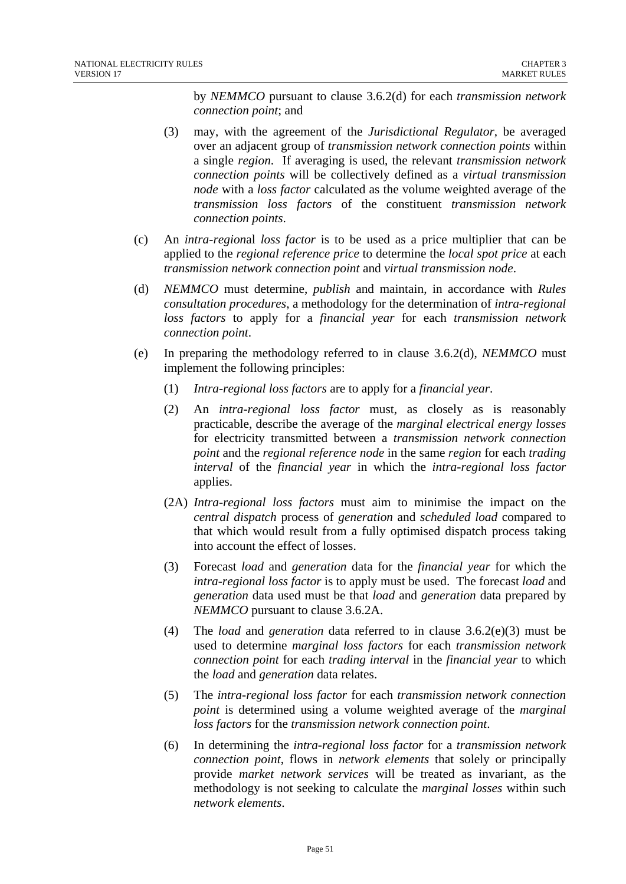by *NEMMCO* pursuant to clause 3.6.2(d) for each *transmission network connection point*; and

- (3) may, with the agreement of the *Jurisdictional Regulator*, be averaged over an adjacent group of *transmission network connection points* within a single *region*. If averaging is used, the relevant *transmission network connection points* will be collectively defined as a *virtual transmission node* with a *loss factor* calculated as the volume weighted average of the *transmission loss factors* of the constituent *transmission network connection points*.
- (c) An *intra-region*al *loss factor* is to be used as a price multiplier that can be applied to the *regional reference price* to determine the *local spot price* at each *transmission network connection point* and *virtual transmission node*.
- (d) *NEMMCO* must determine, *publish* and maintain, in accordance with *Rules consultation procedures*, a methodology for the determination of *intra-regional loss factors* to apply for a *financial year* for each *transmission network connection point*.
- (e) In preparing the methodology referred to in clause 3.6.2(d), *NEMMCO* must implement the following principles:
	- (1) *Intra-regional loss factors* are to apply for a *financial year*.
	- (2) An *intra-regional loss factor* must, as closely as is reasonably practicable, describe the average of the *marginal electrical energy losses* for electricity transmitted between a *transmission network connection point* and the *regional reference node* in the same *region* for each *trading interval* of the *financial year* in which the *intra-regional loss factor* applies.
	- (2A) *Intra-regional loss factors* must aim to minimise the impact on the *central dispatch* process of *generation* and *scheduled load* compared to that which would result from a fully optimised dispatch process taking into account the effect of losses.
	- (3) Forecast *load* and *generation* data for the *financial year* for which the *intra-regional loss factor* is to apply must be used. The forecast *load* and *generation* data used must be that *load* and *generation* data prepared by *NEMMCO* pursuant to clause 3.6.2A.
	- (4) The *load* and *generation* data referred to in clause 3.6.2(e)(3) must be used to determine *marginal loss factors* for each *transmission network connection point* for each *trading interval* in the *financial year* to which the *load* and *generation* data relates.
	- (5) The *intra-regional loss factor* for each *transmission network connection point* is determined using a volume weighted average of the *marginal loss factors* for the *transmission network connection point*.
	- (6) In determining the *intra-regional loss factor* for a *transmission network connection point*, flows in *network elements* that solely or principally provide *market network services* will be treated as invariant, as the methodology is not seeking to calculate the *marginal losses* within such *network elements*.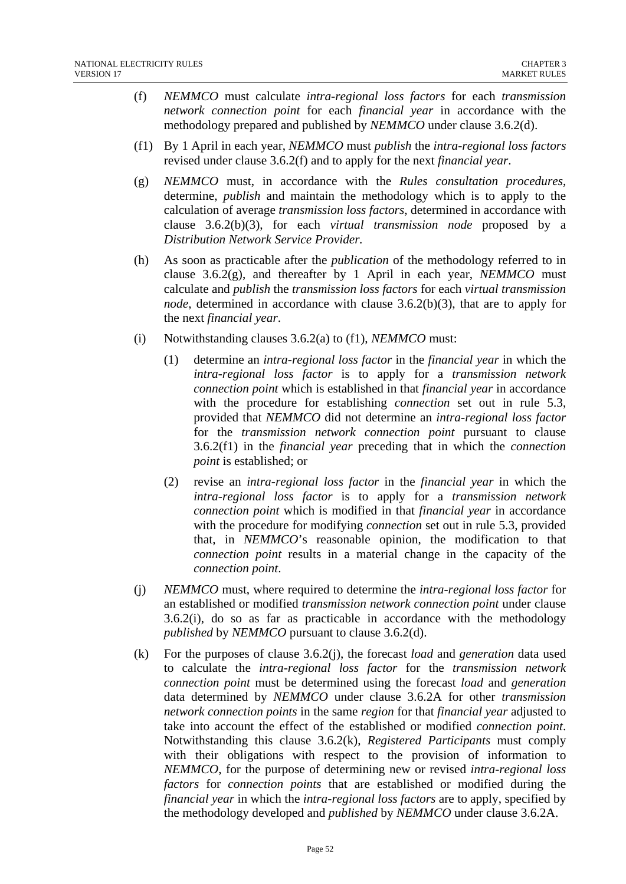- (f) *NEMMCO* must calculate *intra-regional loss factors* for each *transmission network connection point* for each *financial year* in accordance with the methodology prepared and published by *NEMMCO* under clause 3.6.2(d).
- (f1) By 1 April in each year, *NEMMCO* must *publish* the *intra-regional loss factors* revised under clause 3.6.2(f) and to apply for the next *financial year*.
- (g) *NEMMCO* must, in accordance with the *Rules consultation procedures*, determine, *publish* and maintain the methodology which is to apply to the calculation of average *transmission loss factors*, determined in accordance with clause 3.6.2(b)(3), for each *virtual transmission node* proposed by a *Distribution Network Service Provider.*
- (h) As soon as practicable after the *publication* of the methodology referred to in clause  $3.6.2(g)$ , and thereafter by 1 April in each year, *NEMMCO* must calculate and *publish* the *transmission loss factors* for each *virtual transmission node*, determined in accordance with clause 3.6.2(b)(3), that are to apply for the next *financial year*.
- (i) Notwithstanding clauses 3.6.2(a) to (f1), *NEMMCO* must:
	- (1) determine an *intra-regional loss factor* in the *financial year* in which the *intra-regional loss factor* is to apply for a *transmission network connection point* which is established in that *financial year* in accordance with the procedure for establishing *connection* set out in rule 5.3, provided that *NEMMCO* did not determine an *intra-regional loss factor* for the *transmission network connection point* pursuant to clause 3.6.2(f1) in the *financial year* preceding that in which the *connection point* is established; or
	- (2) revise an *intra-regional loss factor* in the *financial year* in which the *intra-regional loss factor* is to apply for a *transmission network connection point* which is modified in that *financial year* in accordance with the procedure for modifying *connection* set out in rule 5.3, provided that, in *NEMMCO*'s reasonable opinion, the modification to that *connection point* results in a material change in the capacity of the *connection point*.
- (j) *NEMMCO* must, where required to determine the *intra-regional loss factor* for an established or modified *transmission network connection point* under clause 3.6.2(i), do so as far as practicable in accordance with the methodology *published* by *NEMMCO* pursuant to clause 3.6.2(d).
- (k) For the purposes of clause 3.6.2(j), the forecast *load* and *generation* data used to calculate the *intra-regional loss factor* for the *transmission network connection point* must be determined using the forecast *load* and *generation* data determined by *NEMMCO* under clause 3.6.2A for other *transmission network connection points* in the same *region* for that *financial year* adjusted to take into account the effect of the established or modified *connection point*. Notwithstanding this clause 3.6.2(k), *Registered Participants* must comply with their obligations with respect to the provision of information to *NEMMCO*, for the purpose of determining new or revised *intra-regional loss factors* for *connection points* that are established or modified during the *financial year* in which the *intra-regional loss factors* are to apply, specified by the methodology developed and *published* by *NEMMCO* under clause 3.6.2A.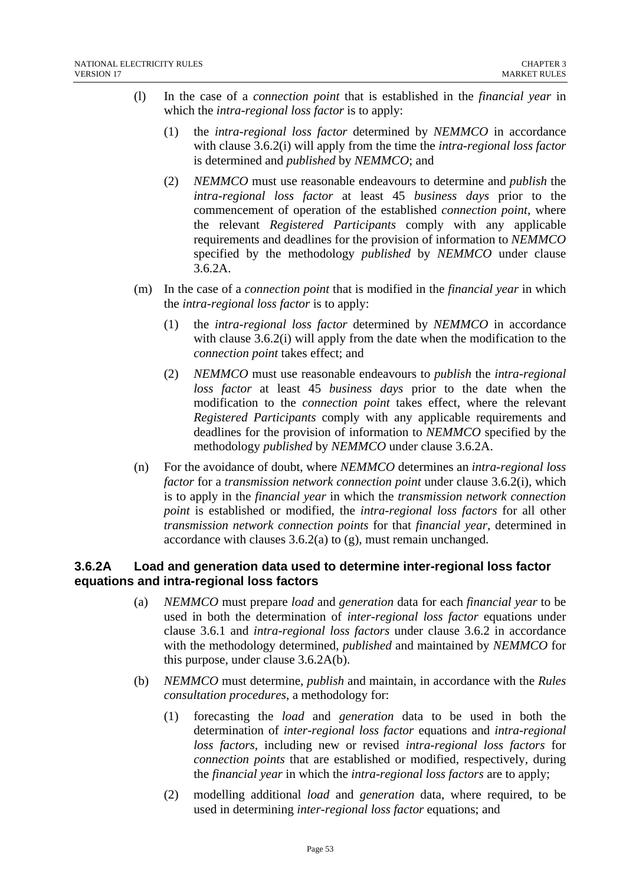- (l) In the case of a *connection point* that is established in the *financial year* in which the *intra-regional loss factor* is to apply:
	- (1) the *intra-regional loss factor* determined by *NEMMCO* in accordance with clause 3.6.2(i) will apply from the time the *intra-regional loss factor* is determined and *published* by *NEMMCO*; and
	- (2) *NEMMCO* must use reasonable endeavours to determine and *publish* the *intra-regional loss factor* at least 45 *business days* prior to the commencement of operation of the established *connection point*, where the relevant *Registered Participants* comply with any applicable requirements and deadlines for the provision of information to *NEMMCO* specified by the methodology *published* by *NEMMCO* under clause 3.6.2A.
- (m) In the case of a *connection point* that is modified in the *financial year* in which the *intra-regional loss factor* is to apply:
	- (1) the *intra-regional loss factor* determined by *NEMMCO* in accordance with clause 3.6.2(i) will apply from the date when the modification to the *connection point* takes effect; and
	- (2) *NEMMCO* must use reasonable endeavours to *publish* the *intra-regional loss factor* at least 45 *business days* prior to the date when the modification to the *connection point* takes effect, where the relevant *Registered Participants* comply with any applicable requirements and deadlines for the provision of information to *NEMMCO* specified by the methodology *published* by *NEMMCO* under clause 3.6.2A.
- (n) For the avoidance of doubt, where *NEMMCO* determines an *intra-regional loss factor* for a *transmission network connection point* under clause 3.6.2(i), which is to apply in the *financial year* in which the *transmission network connection point* is established or modified, the *intra-regional loss factors* for all other *transmission network connection points* for that *financial year*, determined in accordance with clauses 3.6.2(a) to (g), must remain unchanged.

## **3.6.2A Load and generation data used to determine inter-regional loss factor equations and intra-regional loss factors**

- (a) *NEMMCO* must prepare *load* and *generation* data for each *financial year* to be used in both the determination of *inter-regional loss factor* equations under clause 3.6.1 and *intra-regional loss factors* under clause 3.6.2 in accordance with the methodology determined, *published* and maintained by *NEMMCO* for this purpose, under clause 3.6.2A(b).
- (b) *NEMMCO* must determine*, publish* and maintain, in accordance with the *Rules consultation procedures*, a methodology for:
	- (1) forecasting the *load* and *generation* data to be used in both the determination of *inter-regional loss factor* equations and *intra-regional loss factors*, including new or revised *intra-regional loss factors* for *connection points* that are established or modified, respectively, during the *financial year* in which the *intra-regional loss factors* are to apply;
	- (2) modelling additional *load* and *generation* data, where required, to be used in determining *inter-regional loss factor* equations; and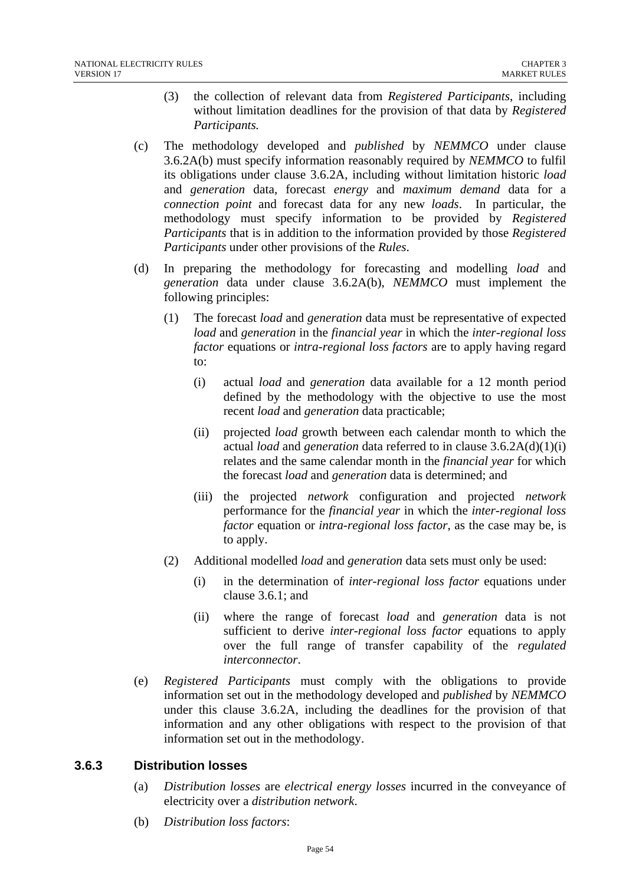- (3) the collection of relevant data from *Registered Participants*, including without limitation deadlines for the provision of that data by *Registered Participants.*
- (c) The methodology developed and *published* by *NEMMCO* under clause 3.6.2A(b) must specify information reasonably required by *NEMMCO* to fulfil its obligations under clause 3.6.2A, including without limitation historic *load* and *generation* data, forecast *energy* and *maximum demand* data for a *connection point* and forecast data for any new *loads*. In particular, the methodology must specify information to be provided by *Registered Participants* that is in addition to the information provided by those *Registered Participants* under other provisions of the *Rules*.
- (d) In preparing the methodology for forecasting and modelling *load* and *generation* data under clause 3.6.2A(b), *NEMMCO* must implement the following principles:
	- (1) The forecast *load* and *generation* data must be representative of expected *load* and *generation* in the *financial year* in which the *inter-regional loss factor* equations or *intra-regional loss factors* are to apply having regard to:
		- (i) actual *load* and *generation* data available for a 12 month period defined by the methodology with the objective to use the most recent *load* and *generation* data practicable;
		- (ii) projected *load* growth between each calendar month to which the actual *load* and *generation* data referred to in clause 3.6.2A(d)(1)(i) relates and the same calendar month in the *financial year* for which the forecast *load* and *generation* data is determined; and
		- (iii) the projected *network* configuration and projected *network*  performance for the *financial year* in which the *inter-regional loss factor* equation or *intra-regional loss factor*, as the case may be, is to apply.
	- (2) Additional modelled *load* and *generation* data sets must only be used:
		- (i) in the determination of *inter-regional loss factor* equations under clause 3.6.1; and
		- (ii) where the range of forecast *load* and *generation* data is not sufficient to derive *inter-regional loss factor* equations to apply over the full range of transfer capability of the *regulated interconnector*.
- (e) *Registered Participants* must comply with the obligations to provide information set out in the methodology developed and *published* by *NEMMCO* under this clause 3.6.2A, including the deadlines for the provision of that information and any other obligations with respect to the provision of that information set out in the methodology.

### **3.6.3 Distribution losses**

- (a) *Distribution losses* are *electrical energy losses* incurred in the conveyance of electricity over a *distribution network*.
- (b) *Distribution loss factors*: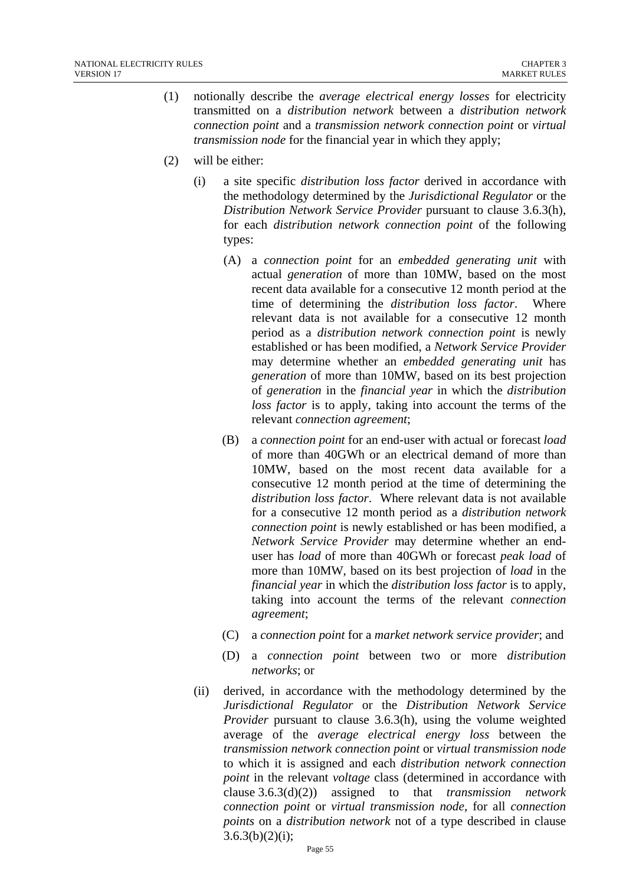- (1) notionally describe the *average electrical energy losses* for electricity transmitted on a *distribution network* between a *distribution network connection point* and a *transmission network connection point* or *virtual transmission node* for the financial year in which they apply;
- (2) will be either:
	- (i) a site specific *distribution loss factor* derived in accordance with the methodology determined by the *Jurisdictional Regulator* or the *Distribution Network Service Provider* pursuant to clause 3.6.3(h), for each *distribution network connection point* of the following types:
		- (A) a *connection point* for an *embedded generating unit* with actual *generation* of more than 10MW, based on the most recent data available for a consecutive 12 month period at the time of determining the *distribution loss factor*. Where relevant data is not available for a consecutive 12 month period as a *distribution network connection point* is newly established or has been modified, a *Network Service Provider* may determine whether an *embedded generating unit* has *generation* of more than 10MW, based on its best projection of *generation* in the *financial year* in which the *distribution loss factor* is to apply, taking into account the terms of the relevant *connection agreement*;
		- (B) a *connection point* for an end-user with actual or forecast *load* of more than 40GWh or an electrical demand of more than 10MW, based on the most recent data available for a consecutive 12 month period at the time of determining the *distribution loss factor*. Where relevant data is not available for a consecutive 12 month period as a *distribution network connection point* is newly established or has been modified, a *Network Service Provider* may determine whether an enduser has *load* of more than 40GWh or forecast *peak load* of more than 10MW, based on its best projection of *load* in the *financial year* in which the *distribution loss factor* is to apply, taking into account the terms of the relevant *connection agreement*;
		- (C) a *connection point* for a *market network service provider*; and
		- (D) a *connection point* between two or more *distribution networks*; or
	- (ii) derived, in accordance with the methodology determined by the *Jurisdictional Regulator* or the *Distribution Network Service Provider* pursuant to clause 3.6.3(h), using the volume weighted average of the *average electrical energy loss* between the *transmission network connection point* or *virtual transmission node*  to which it is assigned and each *distribution network connection point* in the relevant *voltage* class (determined in accordance with clause 3.6.3(d)(2)) assigned to that *transmission network connection point* or *virtual transmission node*, for all *connection points* on a *distribution network* not of a type described in clause  $3.6.3(b)(2)(i);$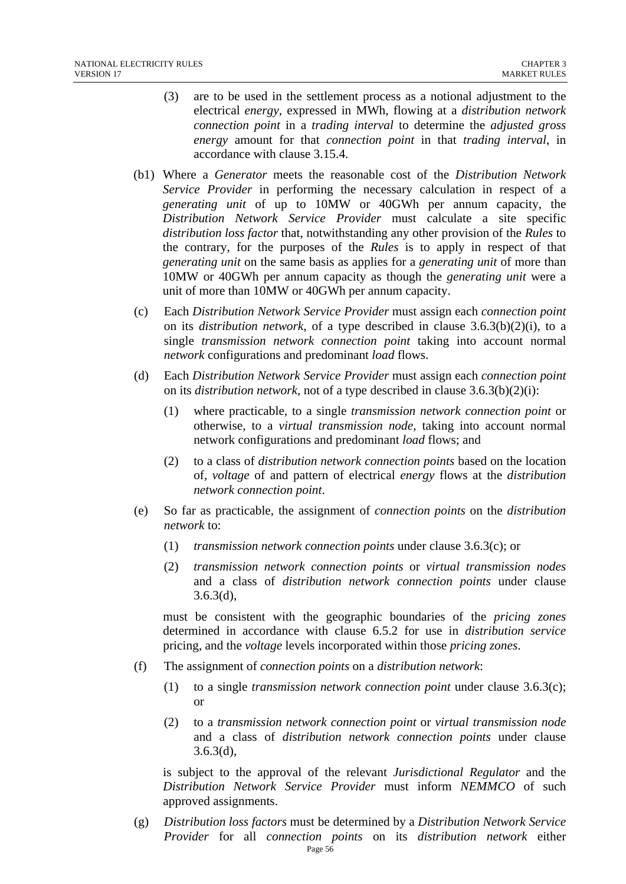- (3) are to be used in the settlement process as a notional adjustment to the electrical *energy*, expressed in MWh, flowing at a *distribution network connection point* in a *trading interval* to determine the *adjusted gross energy* amount for that *connection point* in that *trading interval*, in accordance with clause 3.15.4.
- (b1) Where a *Generator* meets the reasonable cost of the *Distribution Network Service Provider* in performing the necessary calculation in respect of a *generating unit* of up to 10MW or 40GWh per annum capacity, the *Distribution Network Service Provider* must calculate a site specific *distribution loss factor* that, notwithstanding any other provision of the *Rules* to the contrary, for the purposes of the *Rules* is to apply in respect of that *generating unit* on the same basis as applies for a *generating unit* of more than 10MW or 40GWh per annum capacity as though the *generating unit* were a unit of more than 10MW or 40GWh per annum capacity.
- (c) Each *Distribution Network Service Provider* must assign each *connection point* on its *distribution network*, of a type described in clause 3.6.3(b)(2)(i), to a single *transmission network connection point* taking into account normal *network* configurations and predominant *load* flows.
- (d) Each *Distribution Network Service Provider* must assign each *connection point* on its *distribution network*, not of a type described in clause 3.6.3(b)(2)(i):
	- (1) where practicable, to a single *transmission network connection point* or otherwise, to a *virtual transmission node*, taking into account normal network configurations and predominant *load* flows; and
	- (2) to a class of *distribution network connection points* based on the location of, *voltage* of and pattern of electrical *energy* flows at the *distribution network connection point*.
- (e) So far as practicable, the assignment of *connection points* on the *distribution network* to:
	- (1) *transmission network connection points* under clause 3.6.3(c); or
	- (2) *transmission network connection points* or *virtual transmission nodes* and a class of *distribution network connection points* under clause 3.6.3(d),

must be consistent with the geographic boundaries of the *pricing zones* determined in accordance with clause 6.5.2 for use in *distribution service* pricing, and the *voltage* levels incorporated within those *pricing zones*.

- (f) The assignment of *connection points* on a *distribution network*:
	- (1) to a single *transmission network connection point* under clause 3.6.3(c); or
	- (2) to a *transmission network connection point* or *virtual transmission node* and a class of *distribution network connection points* under clause 3.6.3(d),

is subject to the approval of the relevant *Jurisdictional Regulator* and the *Distribution Network Service Provider* must inform *NEMMCO* of such approved assignments.

Page 56 (g) *Distribution loss factors* must be determined by a *Distribution Network Service Provider* for all *connection points* on its *distribution network* either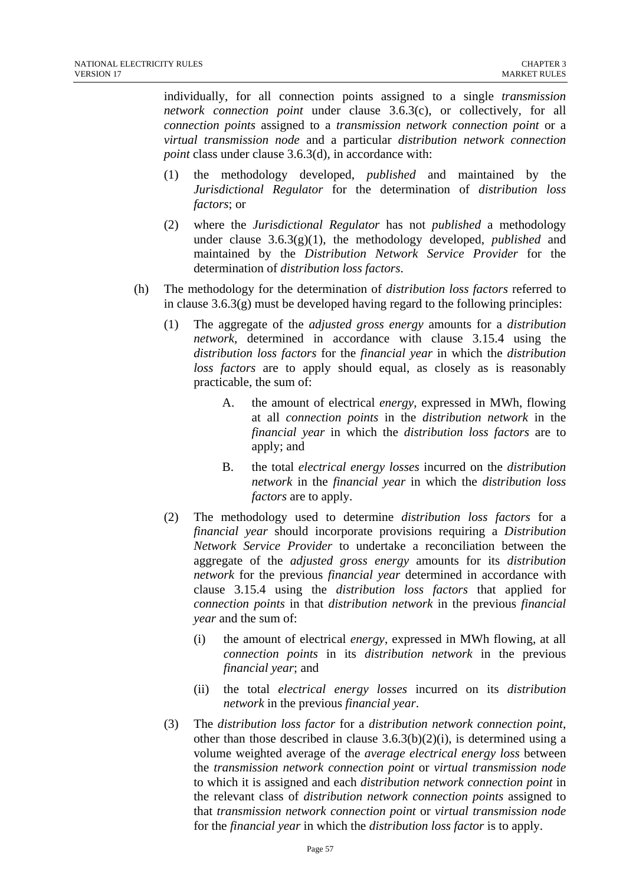individually, for all connection points assigned to a single *transmission network connection point* under clause 3.6.3(c), or collectively, for all *connection points* assigned to a *transmission network connection point* or a *virtual transmission node* and a particular *distribution network connection point* class under clause 3.6.3(d), in accordance with:

- (1) the methodology developed, *published* and maintained by the *Jurisdictional Regulator* for the determination of *distribution loss factors*; or
- (2) where the *Jurisdictional Regulator* has not *published* a methodology under clause 3.6.3(g)(1), the methodology developed, *published* and maintained by the *Distribution Network Service Provider* for the determination of *distribution loss factors*.
- (h) The methodology for the determination of *distribution loss factors* referred to in clause  $3.6.3(g)$  must be developed having regard to the following principles:
	- (1) The aggregate of the *adjusted gross energy* amounts for a *distribution network*, determined in accordance with clause 3.15.4 using the *distribution loss factors* for the *financial year* in which the *distribution loss factors* are to apply should equal, as closely as is reasonably practicable, the sum of:
		- A. the amount of electrical *energy*, expressed in MWh, flowing at all *connection points* in the *distribution network* in the *financial year* in which the *distribution loss factors* are to apply; and
		- B. the total *electrical energy losses* incurred on the *distribution network* in the *financial year* in which the *distribution loss factors* are to apply.
	- (2) The methodology used to determine *distribution loss factors* for a *financial year* should incorporate provisions requiring a *Distribution Network Service Provider* to undertake a reconciliation between the aggregate of the *adjusted gross energy* amounts for its *distribution network* for the previous *financial year* determined in accordance with clause 3.15.4 using the *distribution loss factors* that applied for *connection points* in that *distribution network* in the previous *financial year* and the sum of:
		- (i) the amount of electrical *energy*, expressed in MWh flowing, at all *connection points* in its *distribution network* in the previous *financial year*; and
		- (ii) the total *electrical energy losses* incurred on its *distribution network* in the previous *financial year*.
	- (3) The *distribution loss factor* for a *distribution network connection point*, other than those described in clause  $3.6.3(b)(2)(i)$ , is determined using a volume weighted average of the *average electrical energy loss* between the *transmission network connection point* or *virtual transmission node* to which it is assigned and each *distribution network connection point* in the relevant class of *distribution network connection points* assigned to that *transmission network connection point* or *virtual transmission node* for the *financial year* in which the *distribution loss factor* is to apply.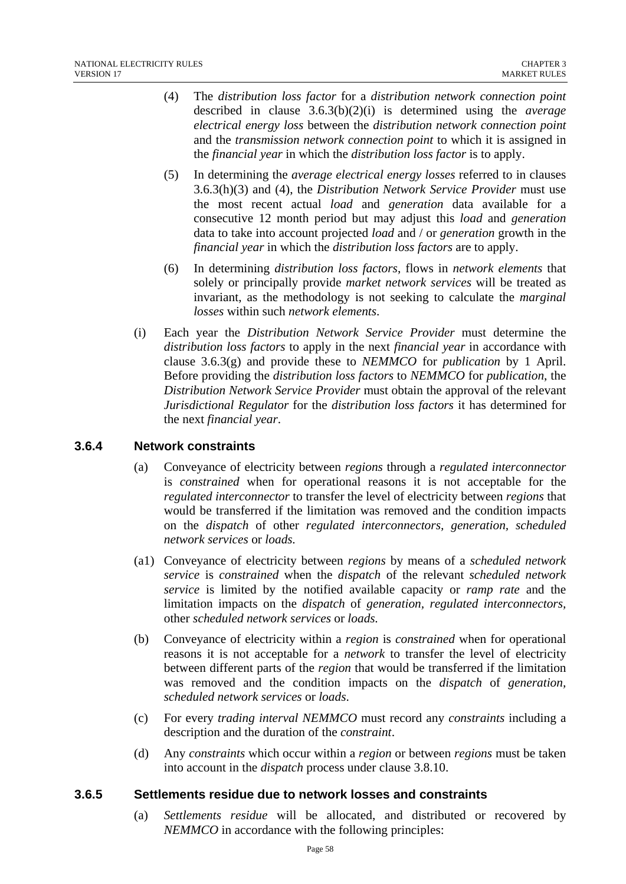- (4) The *distribution loss factor* for a *distribution network connection point* described in clause 3.6.3(b)(2)(i) is determined using the *average electrical energy loss* between the *distribution network connection point* and the *transmission network connection point* to which it is assigned in the *financial year* in which the *distribution loss factor* is to apply.
- (5) In determining the *average electrical energy losses* referred to in clauses 3.6.3(h)(3) and (4), the *Distribution Network Service Provider* must use the most recent actual *load* and *generation* data available for a consecutive 12 month period but may adjust this *load* and *generation* data to take into account projected *load* and / or *generation* growth in the *financial year* in which the *distribution loss factors* are to apply.
- (6) In determining *distribution loss factors*, flows in *network elements* that solely or principally provide *market network services* will be treated as invariant, as the methodology is not seeking to calculate the *marginal losses* within such *network elements*.
- (i) Each year the *Distribution Network Service Provider* must determine the *distribution loss factors* to apply in the next *financial year* in accordance with clause 3.6.3(g) and provide these to *NEMMCO* for *publication* by 1 April. Before providing the *distribution loss factors* to *NEMMCO* for *publication*, the *Distribution Network Service Provider* must obtain the approval of the relevant *Jurisdictional Regulator* for the *distribution loss factors* it has determined for the next *financial year*.

### **3.6.4 Network constraints**

- (a) Conveyance of electricity between *regions* through a *regulated interconnector* is *constrained* when for operational reasons it is not acceptable for the *regulated interconnector* to transfer the level of electricity between *regions* that would be transferred if the limitation was removed and the condition impacts on the *dispatch* of other *regulated interconnectors, generation, scheduled network services* or *loads.*
- (a1) Conveyance of electricity between *regions* by means of a *scheduled network service* is *constrained* when the *dispatch* of the relevant *scheduled network service* is limited by the notified available capacity or *ramp rate* and the limitation impacts on the *dispatch* of *generation, regulated interconnectors,*  other *scheduled network services* or *loads.*
- (b) Conveyance of electricity within a *region* is *constrained* when for operational reasons it is not acceptable for a *network* to transfer the level of electricity between different parts of the *region* that would be transferred if the limitation was removed and the condition impacts on the *dispatch* of *generation, scheduled network services* or *loads*.
- (c) For every *trading interval NEMMCO* must record any *constraints* including a description and the duration of the *constraint*.
- (d) Any *constraints* which occur within a *region* or between *regions* must be taken into account in the *dispatch* process under clause 3.8.10.

#### **3.6.5 Settlements residue due to network losses and constraints**

(a) *Settlements residue* will be allocated, and distributed or recovered by *NEMMCO* in accordance with the following principles: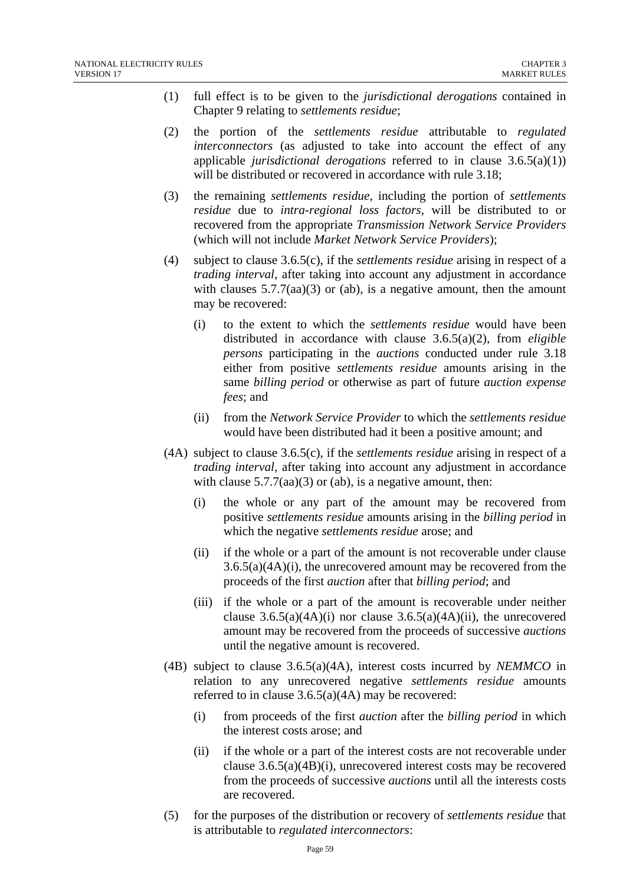- (1) full effect is to be given to the *jurisdictional derogations* contained in Chapter 9 relating to *settlements residue*;
- (2) the portion of the *settlements residue* attributable to *regulated interconnectors* (as adjusted to take into account the effect of any applicable *jurisdictional derogations* referred to in clause 3.6.5(a)(1)) will be distributed or recovered in accordance with rule 3.18;
- (3) the remaining *settlements residue*, including the portion of *settlements residue* due to *intra-regional loss factors*, will be distributed to or recovered from the appropriate *Transmission Network Service Providers*  (which will not include *Market Network Service Providers*);
- (4) subject to clause 3.6.5(c), if the *settlements residue* arising in respect of a *trading interval*, after taking into account any adjustment in accordance with clauses  $5.7.7(aa)(3)$  or (ab), is a negative amount, then the amount may be recovered:
	- (i) to the extent to which the *settlements residue* would have been distributed in accordance with clause 3.6.5(a)(2), from *eligible persons* participating in the *auctions* conducted under rule 3.18 either from positive *settlements residue* amounts arising in the same *billing period* or otherwise as part of future *auction expense fees*; and
	- (ii) from the *Network Service Provider* to which the *settlements residue* would have been distributed had it been a positive amount; and
- (4A) subject to clause 3.6.5(c), if the *settlements residue* arising in respect of a *trading interval*, after taking into account any adjustment in accordance with clause  $5.7.7(aa)(3)$  or (ab), is a negative amount, then:
	- (i) the whole or any part of the amount may be recovered from positive *settlements residue* amounts arising in the *billing period* in which the negative *settlements residue* arose; and
	- (ii) if the whole or a part of the amount is not recoverable under clause 3.6.5(a)(4A)(i), the unrecovered amount may be recovered from the proceeds of the first *auction* after that *billing period*; and
	- (iii) if the whole or a part of the amount is recoverable under neither clause  $3.6.5(a)(4A)(i)$  nor clause  $3.6.5(a)(4A)(ii)$ , the unrecovered amount may be recovered from the proceeds of successive *auctions* until the negative amount is recovered.
- (4B) subject to clause 3.6.5(a)(4A), interest costs incurred by *NEMMCO* in relation to any unrecovered negative *settlements residue* amounts referred to in clause 3.6.5(a)(4A) may be recovered:
	- (i) from proceeds of the first *auction* after the *billing period* in which the interest costs arose; and
	- (ii) if the whole or a part of the interest costs are not recoverable under clause 3.6.5(a)(4B)(i), unrecovered interest costs may be recovered from the proceeds of successive *auctions* until all the interests costs are recovered.
- (5) for the purposes of the distribution or recovery of *settlements residue* that is attributable to *regulated interconnectors*: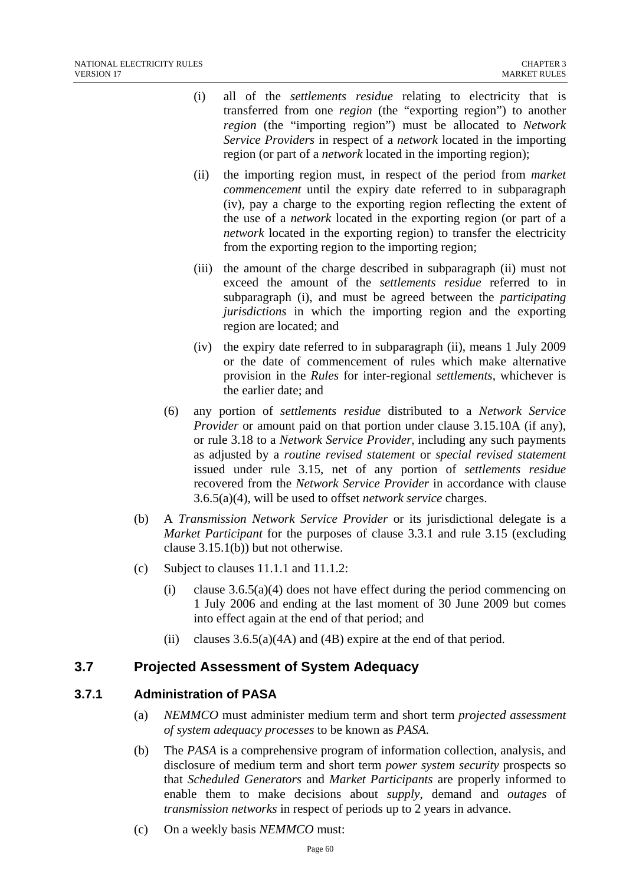- (i) all of the *settlements residue* relating to electricity that is transferred from one *region* (the "exporting region") to another *region* (the "importing region") must be allocated to *Network Service Providers* in respect of a *network* located in the importing region (or part of a *network* located in the importing region);
- (ii) the importing region must, in respect of the period from *market commencement* until the expiry date referred to in subparagraph (iv), pay a charge to the exporting region reflecting the extent of the use of a *network* located in the exporting region (or part of a *network* located in the exporting region) to transfer the electricity from the exporting region to the importing region;
- (iii) the amount of the charge described in subparagraph (ii) must not exceed the amount of the *settlements residue* referred to in subparagraph (i), and must be agreed between the *participating jurisdictions* in which the importing region and the exporting region are located; and
- (iv) the expiry date referred to in subparagraph (ii), means 1 July 2009 or the date of commencement of rules which make alternative provision in the *Rules* for inter-regional *settlements*, whichever is the earlier date; and
- (6) any portion of *settlements residue* distributed to a *Network Service Provider* or amount paid on that portion under clause 3.15.10A (if any), or rule 3.18 to a *Network Service Provider*, including any such payments as adjusted by a *routine revised statement* or *special revised statement* issued under rule 3.15, net of any portion of *settlements residue* recovered from the *Network Service Provider* in accordance with clause 3.6.5(a)(4), will be used to offset *network service* charges.
- (b) A *Transmission Network Service Provider* or its jurisdictional delegate is a *Market Participant* for the purposes of clause 3.3.1 and rule 3.15 (excluding clause 3.15.1(b)) but not otherwise.
- (c) Subject to clauses 11.1.1 and 11.1.2:
	- (i) clause  $3.6.5(a)(4)$  does not have effect during the period commencing on 1 July 2006 and ending at the last moment of 30 June 2009 but comes into effect again at the end of that period; and
	- (ii) clauses  $3.6.5(a)(4A)$  and  $(4B)$  expire at the end of that period.

# **3.7 Projected Assessment of System Adequacy**

### **3.7.1 Administration of PASA**

- (a) *NEMMCO* must administer medium term and short term *projected assessment of system adequacy processes* to be known as *PASA*.
- (b) The *PASA* is a comprehensive program of information collection, analysis, and disclosure of medium term and short term *power system security* prospects so that *Scheduled Generators* and *Market Participants* are properly informed to enable them to make decisions about *supply*, demand and *outages* of *transmission networks* in respect of periods up to 2 years in advance.
- (c) On a weekly basis *NEMMCO* must: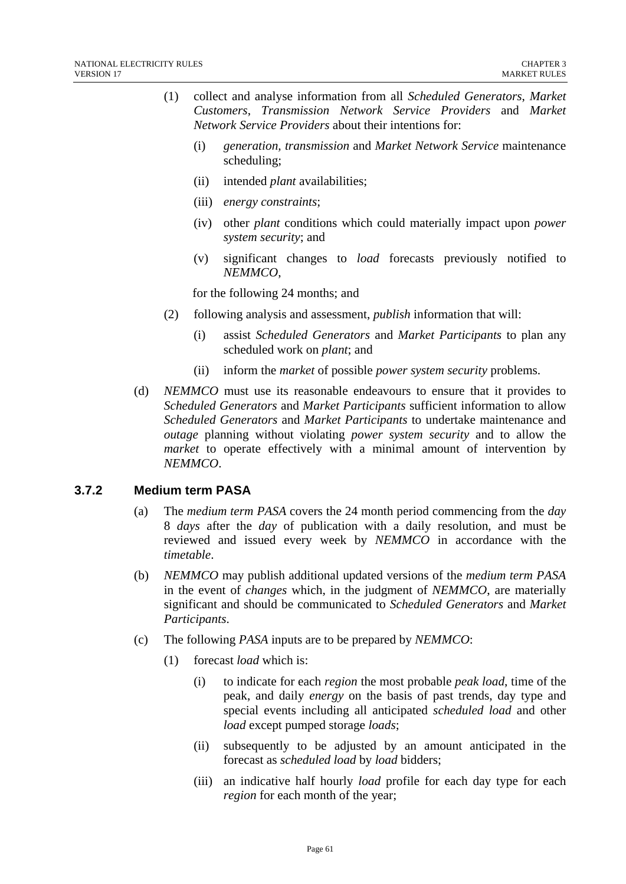- (1) collect and analyse information from all *Scheduled Generators*, *Market Customers*, *Transmission Network Service Providers* and *Market Network Service Providers* about their intentions for:
	- (i) *generation, transmission* and *Market Network Service* maintenance scheduling;
	- (ii) intended *plant* availabilities;
	- (iii) *energy constraints*;
	- (iv) other *plant* conditions which could materially impact upon *power system security*; and
	- (v) significant changes to *load* forecasts previously notified to *NEMMCO*,

for the following 24 months; and

- (2) following analysis and assessment, *publish* information that will:
	- (i) assist *Scheduled Generators* and *Market Participants* to plan any scheduled work on *plant*; and
	- (ii) inform the *market* of possible *power system security* problems.
- (d) *NEMMCO* must use its reasonable endeavours to ensure that it provides to *Scheduled Generators* and *Market Participants* sufficient information to allow *Scheduled Generators* and *Market Participants* to undertake maintenance and *outage* planning without violating *power system security* and to allow the *market* to operate effectively with a minimal amount of intervention by *NEMMCO*.

#### **3.7.2 Medium term PASA**

- (a) The *medium term PASA* covers the 24 month period commencing from the *day*  8 *days* after the *day* of publication with a daily resolution, and must be reviewed and issued every week by *NEMMCO* in accordance with the *timetable*.
- (b) *NEMMCO* may publish additional updated versions of the *medium term PASA* in the event of *changes* which, in the judgment of *NEMMCO*, are materially significant and should be communicated to *Scheduled Generators* and *Market Participants*.
- (c) The following *PASA* inputs are to be prepared by *NEMMCO*:
	- (1) forecast *load* which is:
		- (i) to indicate for each *region* the most probable *peak load*, time of the peak, and daily *energy* on the basis of past trends, day type and special events including all anticipated *scheduled load* and other *load* except pumped storage *loads*;
		- (ii) subsequently to be adjusted by an amount anticipated in the forecast as *scheduled load* by *load* bidders;
		- (iii) an indicative half hourly *load* profile for each day type for each *region* for each month of the year;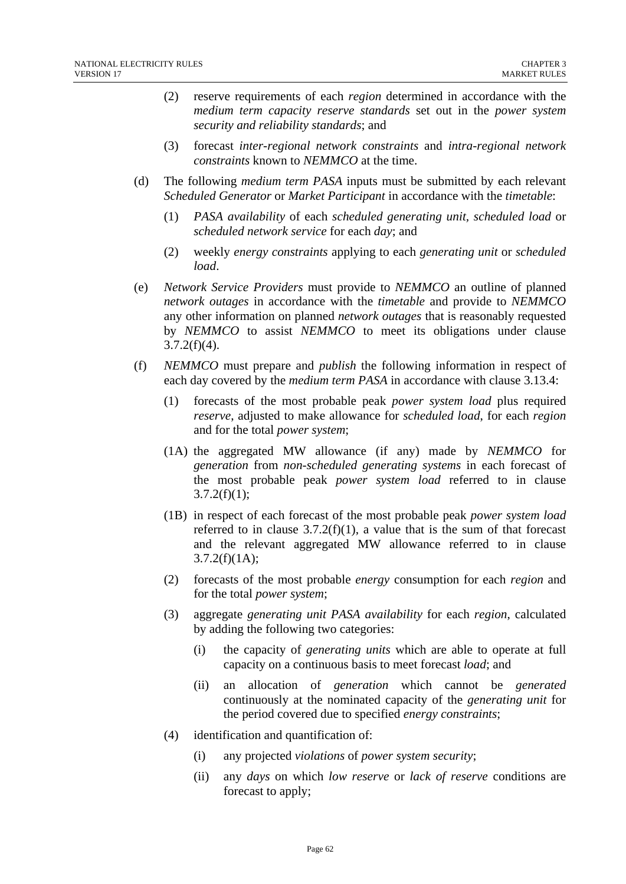- (2) reserve requirements of each *region* determined in accordance with the *medium term capacity reserve standards* set out in the *power system security and reliability standards*; and
- (3) forecast *inter-regional network constraints* and *intra-regional network constraints* known to *NEMMCO* at the time.
- (d) The following *medium term PASA* inputs must be submitted by each relevant *Scheduled Generator* or *Market Participant* in accordance with the *timetable*:
	- (1) *PASA availability* of each *scheduled generating unit, scheduled load* or *scheduled network service* for each *day*; and
	- (2) weekly *energy constraints* applying to each *generating unit* or *scheduled load*.
- (e) *Network Service Providers* must provide to *NEMMCO* an outline of planned *network outages* in accordance with the *timetable* and provide to *NEMMCO* any other information on planned *network outages* that is reasonably requested by *NEMMCO* to assist *NEMMCO* to meet its obligations under clause  $3.7.2(f)(4)$ .
- (f) *NEMMCO* must prepare and *publish* the following information in respect of each day covered by the *medium term PASA* in accordance with clause 3.13.4:
	- (1) forecasts of the most probable peak *power system load* plus required *reserve*, adjusted to make allowance for *scheduled load*, for each *region* and for the total *power system*;
	- (1A) the aggregated MW allowance (if any) made by *NEMMCO* for *generation* from *non-scheduled generating systems* in each forecast of the most probable peak *power system load* referred to in clause  $3.7.2(f)(1);$
	- (1B) in respect of each forecast of the most probable peak *power system load* referred to in clause  $3.7.2(f)(1)$ , a value that is the sum of that forecast and the relevant aggregated MW allowance referred to in clause  $3.7.2(f)(1A);$
	- (2) forecasts of the most probable *energy* consumption for each *region* and for the total *power system*;
	- (3) aggregate *generating unit PASA availability* for each *region*, calculated by adding the following two categories:
		- (i) the capacity of *generating units* which are able to operate at full capacity on a continuous basis to meet forecast *load*; and
		- (ii) an allocation of *generation* which cannot be *generated* continuously at the nominated capacity of the *generating unit* for the period covered due to specified *energy constraints*;
	- (4) identification and quantification of:
		- (i) any projected *violations* of *power system security*;
		- (ii) any *days* on which *low reserve* or *lack of reserve* conditions are forecast to apply;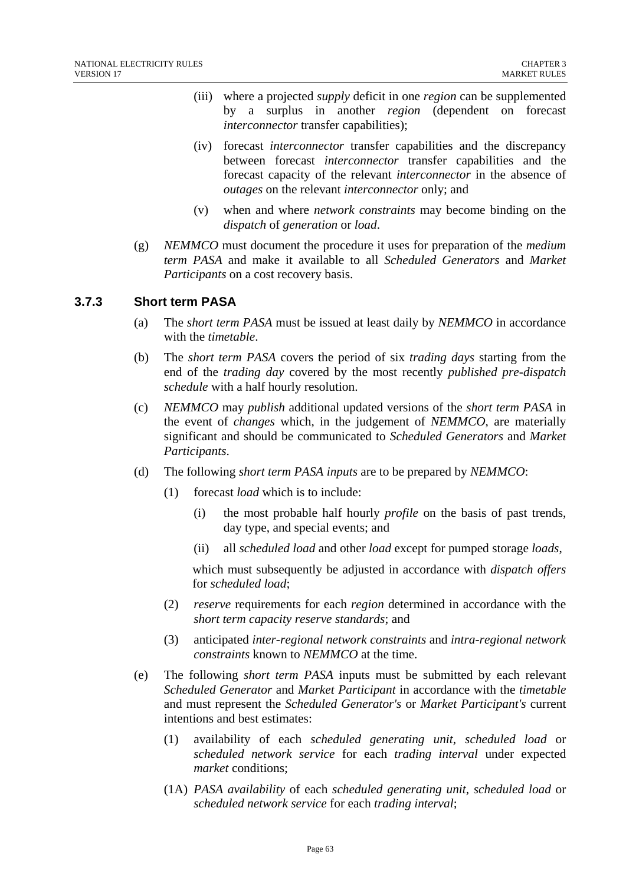- (iii) where a projected *supply* deficit in one *region* can be supplemented by a surplus in another *region* (dependent on forecast *interconnector* transfer capabilities);
- (iv) forecast *interconnector* transfer capabilities and the discrepancy between forecast *interconnector* transfer capabilities and the forecast capacity of the relevant *interconnector* in the absence of *outages* on the relevant *interconnector* only; and
- (v) when and where *network constraints* may become binding on the *dispatch* of *generation* or *load*.
- (g) *NEMMCO* must document the procedure it uses for preparation of the *medium term PASA* and make it available to all *Scheduled Generators* and *Market Participants* on a cost recovery basis.

#### **3.7.3 Short term PASA**

- (a) The *short term PASA* must be issued at least daily by *NEMMCO* in accordance with the *timetable*.
- (b) The *short term PASA* covers the period of six *trading days* starting from the end of the *trading day* covered by the most recently *published pre-dispatch schedule* with a half hourly resolution.
- (c) *NEMMCO* may *publish* additional updated versions of the *short term PASA* in the event of *changes* which, in the judgement of *NEMMCO*, are materially significant and should be communicated to *Scheduled Generators* and *Market Participants*.
- (d) The following *short term PASA inputs* are to be prepared by *NEMMCO*:
	- (1) forecast *load* which is to include:
		- (i) the most probable half hourly *profile* on the basis of past trends, day type, and special events; and
		- (ii) all *scheduled load* and other *load* except for pumped storage *loads*,

which must subsequently be adjusted in accordance with *dispatch offers*  for *scheduled load*;

- (2) *reserve* requirements for each *region* determined in accordance with the *short term capacity reserve standards*; and
- (3) anticipated *inter-regional network constraints* and *intra-regional network constraints* known to *NEMMCO* at the time.
- (e) The following *short term PASA* inputs must be submitted by each relevant *Scheduled Generator* and *Market Participant* in accordance with the *timetable* and must represent the *Scheduled Generator's* or *Market Participant's* current intentions and best estimates:
	- (1) availability of each *scheduled generating unit*, *scheduled load* or *scheduled network service* for each *trading interval* under expected *market* conditions;
	- (1A) *PASA availability* of each *scheduled generating unit*, *scheduled load* or *scheduled network service* for each *trading interval*;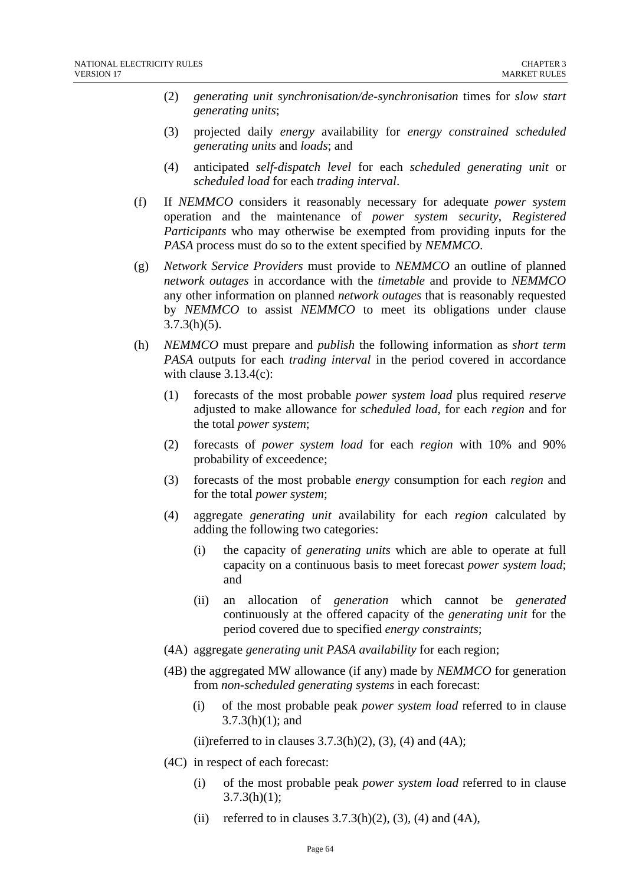- (2) *generating unit synchronisation/de-synchronisation* times for *slow start generating units*;
- (3) projected daily *energy* availability for *energy constrained scheduled generating units* and *loads*; and
- (4) anticipated *self-dispatch level* for each *scheduled generating unit* or *scheduled load* for each *trading interval*.
- (f) If *NEMMCO* considers it reasonably necessary for adequate *power system* operation and the maintenance of *power system security*, *Registered Participants* who may otherwise be exempted from providing inputs for the *PASA* process must do so to the extent specified by *NEMMCO*.
- (g) *Network Service Providers* must provide to *NEMMCO* an outline of planned *network outages* in accordance with the *timetable* and provide to *NEMMCO* any other information on planned *network outages* that is reasonably requested by *NEMMCO* to assist *NEMMCO* to meet its obligations under clause  $3.7.3(h)(5)$ .
- (h) *NEMMCO* must prepare and *publish* the following information as *short term PASA* outputs for each *trading interval* in the period covered in accordance with clause  $3.13.4(c)$ :
	- (1) forecasts of the most probable *power system load* plus required *reserve* adjusted to make allowance for *scheduled load*, for each *region* and for the total *power system*;
	- (2) forecasts of *power system load* for each *region* with 10% and 90% probability of exceedence;
	- (3) forecasts of the most probable *energy* consumption for each *region* and for the total *power system*;
	- (4) aggregate *generating unit* availability for each *region* calculated by adding the following two categories:
		- (i) the capacity of *generating units* which are able to operate at full capacity on a continuous basis to meet forecast *power system load*; and
		- (ii) an allocation of *generation* which cannot be *generated* continuously at the offered capacity of the *generating unit* for the period covered due to specified *energy constraints*;
	- (4A) aggregate *generating unit PASA availability* for each region;
	- (4B) the aggregated MW allowance (if any) made by *NEMMCO* for generation from *non-scheduled generating systems* in each forecast:
		- (i) of the most probable peak *power system load* referred to in clause 3.7.3(h)(1); and
		- (ii)referred to in clauses  $3.7.3(h)(2)$ ,  $(3)$ ,  $(4)$  and  $(4A)$ ;
	- (4C) in respect of each forecast:
		- (i) of the most probable peak *power system load* referred to in clause  $3.7.3(h)(1);$
		- (ii) referred to in clauses  $3.7.3(h)(2)$ ,  $(3)$ ,  $(4)$  and  $(4A)$ ,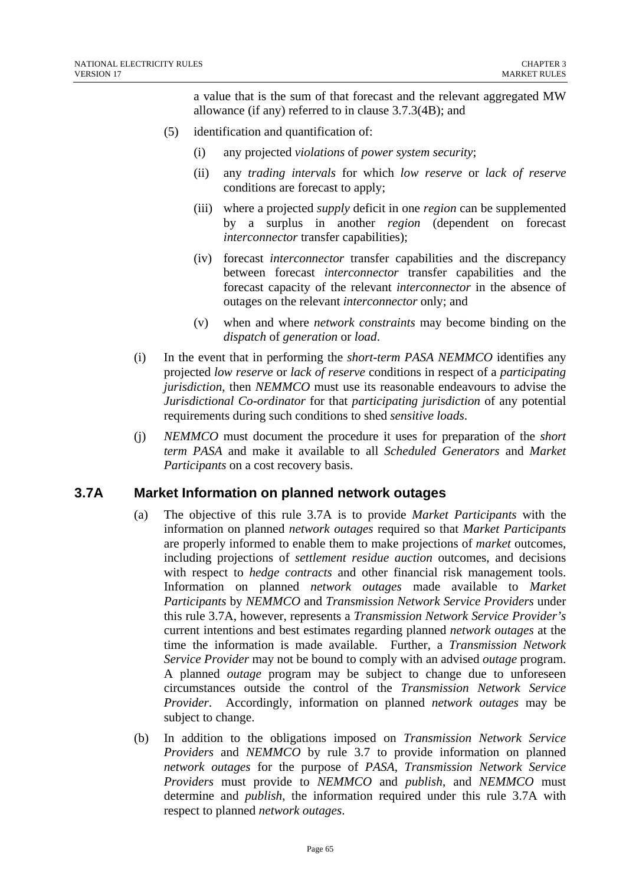a value that is the sum of that forecast and the relevant aggregated MW allowance (if any) referred to in clause 3.7.3(4B); and

- (5) identification and quantification of:
	- (i) any projected *violations* of *power system security*;
	- (ii) any *trading intervals* for which *low reserve* or *lack of reserve* conditions are forecast to apply;
	- (iii) where a projected *supply* deficit in one *region* can be supplemented by a surplus in another *region* (dependent on forecast *interconnector* transfer capabilities);
	- (iv) forecast *interconnector* transfer capabilities and the discrepancy between forecast *interconnector* transfer capabilities and the forecast capacity of the relevant *interconnector* in the absence of outages on the relevant *interconnector* only; and
	- (v) when and where *network constraints* may become binding on the *dispatch* of *generation* or *load*.
- (i) In the event that in performing the *short-term PASA NEMMCO* identifies any projected *low reserve* or *lack of reserve* conditions in respect of a *participating jurisdiction*, then *NEMMCO* must use its reasonable endeavours to advise the *Jurisdictional Co-ordinator* for that *participating jurisdiction* of any potential requirements during such conditions to shed *sensitive loads*.
- (j) *NEMMCO* must document the procedure it uses for preparation of the *short term PASA* and make it available to all *Scheduled Generators* and *Market Participants* on a cost recovery basis.

# **3.7A Market Information on planned network outages**

- (a) The objective of this rule 3.7A is to provide *Market Participants* with the information on planned *network outages* required so that *Market Participants* are properly informed to enable them to make projections of *market* outcomes, including projections of *settlement residue auction* outcomes, and decisions with respect to *hedge contracts* and other financial risk management tools. Information on planned *network outages* made available to *Market Participants* by *NEMMCO* and *Transmission Network Service Providers* under this rule 3.7A, however, represents a *Transmission Network Service Provider's* current intentions and best estimates regarding planned *network outages* at the time the information is made available. Further, a *Transmission Network Service Provider* may not be bound to comply with an advised *outage* program. A planned *outage* program may be subject to change due to unforeseen circumstances outside the control of the *Transmission Network Service Provider*. Accordingly, information on planned *network outages* may be subject to change.
- (b) In addition to the obligations imposed on *Transmission Network Service Providers* and *NEMMCO* by rule 3.7 to provide information on planned *network outages* for the purpose of *PASA*, *Transmission Network Service Providers* must provide to *NEMMCO* and *publish*, and *NEMMCO* must determine and *publish*, the information required under this rule 3.7A with respect to planned *network outages*.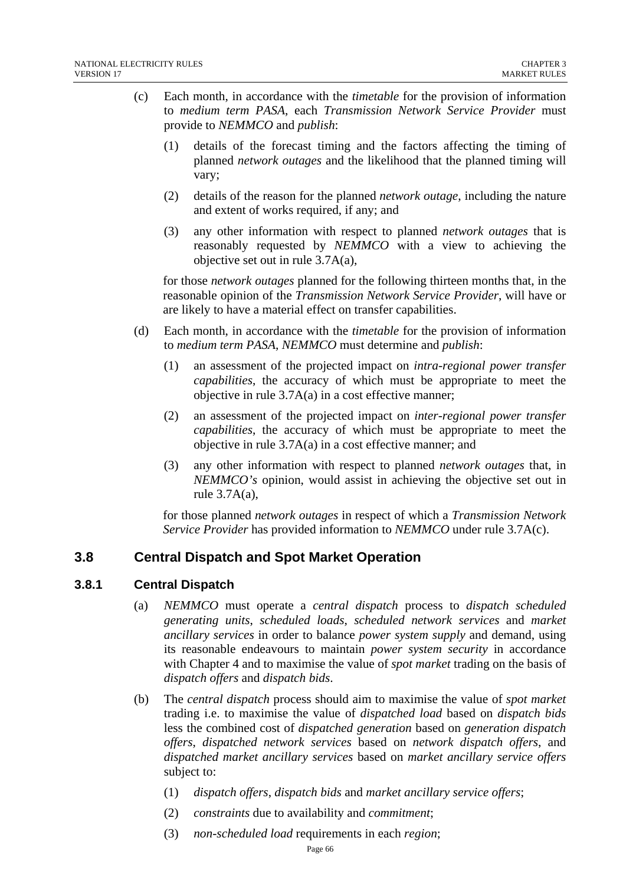- (c) Each month, in accordance with the *timetable* for the provision of information to *medium term PASA*, each *Transmission Network Service Provider* must provide to *NEMMCO* and *publish*:
	- (1) details of the forecast timing and the factors affecting the timing of planned *network outages* and the likelihood that the planned timing will vary;
	- (2) details of the reason for the planned *network outage*, including the nature and extent of works required, if any; and
	- (3) any other information with respect to planned *network outages* that is reasonably requested by *NEMMCO* with a view to achieving the objective set out in rule 3.7A(a),

for those *network outages* planned for the following thirteen months that, in the reasonable opinion of the *Transmission Network Service Provider*, will have or are likely to have a material effect on transfer capabilities.

- (d) Each month, in accordance with the *timetable* for the provision of information to *medium term PASA*, *NEMMCO* must determine and *publish*:
	- (1) an assessment of the projected impact on *intra-regional power transfer capabilities*, the accuracy of which must be appropriate to meet the objective in rule 3.7A(a) in a cost effective manner;
	- (2) an assessment of the projected impact on *inter-regional power transfer capabilities*, the accuracy of which must be appropriate to meet the objective in rule 3.7A(a) in a cost effective manner; and
	- (3) any other information with respect to planned *network outages* that, in *NEMMCO's* opinion, would assist in achieving the objective set out in rule 3.7A(a),

for those planned *network outages* in respect of which a *Transmission Network Service Provider* has provided information to *NEMMCO* under rule 3.7A(c).

# **3.8 Central Dispatch and Spot Market Operation**

### **3.8.1 Central Dispatch**

- (a) *NEMMCO* must operate a *central dispatch* process to *dispatch scheduled generating units*, *scheduled loads*, *scheduled network services* and *market ancillary services* in order to balance *power system supply* and demand, using its reasonable endeavours to maintain *power system security* in accordance with Chapter 4 and to maximise the value of *spot market* trading on the basis of *dispatch offers* and *dispatch bids*.
- (b) The *central dispatch* process should aim to maximise the value of *spot market* trading i.e. to maximise the value of *dispatched load* based on *dispatch bids* less the combined cost of *dispatched generation* based on *generation dispatch offers*, *dispatched network services* based on *network dispatch offers*, and *dispatched market ancillary services* based on *market ancillary service offers* subject to:
	- (1) *dispatch offers*, *dispatch bids* and *market ancillary service offers*;
	- (2) *constraints* due to availability and *commitment*;
	- (3) *non-scheduled load* requirements in each *region*;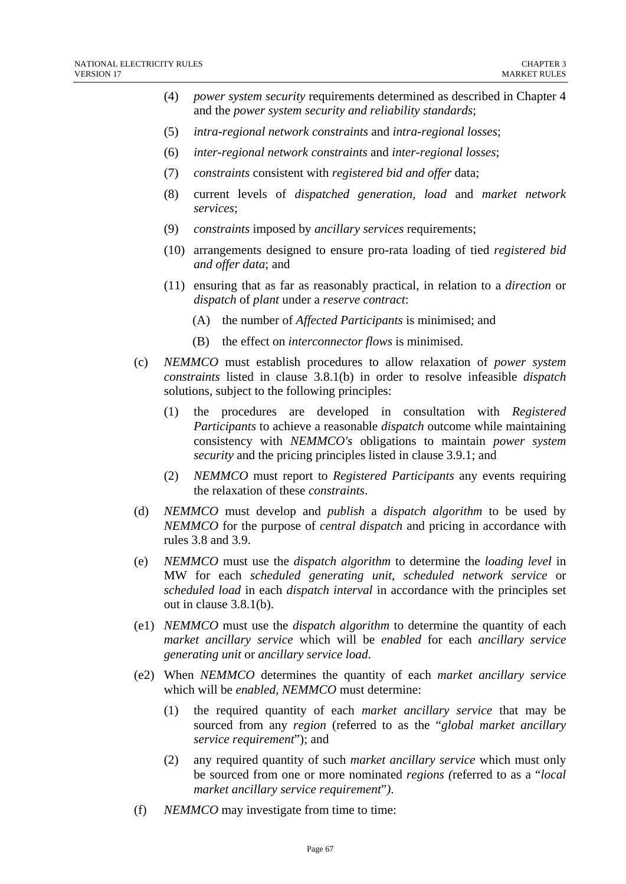- (4) *power system security* requirements determined as described in Chapter 4 and the *power system security and reliability standards*;
- (5) *intra-regional network constraints* and *intra-regional losses*;
- (6) *inter-regional network constraints* and *inter-regional losses*;
- (7) *constraints* consistent with *registered bid and offer* data;
- (8) current levels of *dispatched generation, load* and *market network services*;
- (9) *constraints* imposed by *ancillary services* requirements;
- (10) arrangements designed to ensure pro-rata loading of tied *registered bid and offer data*; and
- (11) ensuring that as far as reasonably practical, in relation to a *direction* or *dispatch* of *plant* under a *reserve contract*:
	- (A) the number of *Affected Participants* is minimised; and
	- (B) the effect on *interconnector flows* is minimised.
- (c) *NEMMCO* must establish procedures to allow relaxation of *power system constraints* listed in clause 3.8.1(b) in order to resolve infeasible *dispatch* solutions, subject to the following principles:
	- (1) the procedures are developed in consultation with *Registered Participants* to achieve a reasonable *dispatch* outcome while maintaining consistency with *NEMMCO's* obligations to maintain *power system security* and the pricing principles listed in clause 3.9.1; and
	- (2) *NEMMCO* must report to *Registered Participants* any events requiring the relaxation of these *constraints*.
- (d) *NEMMCO* must develop and *publish* a *dispatch algorithm* to be used by *NEMMCO* for the purpose of *central dispatch* and pricing in accordance with rules 3.8 and 3.9.
- (e) *NEMMCO* must use the *dispatch algorithm* to determine the *loading level* in MW for each *scheduled generating unit*, *scheduled network service* or *scheduled load* in each *dispatch interval* in accordance with the principles set out in clause 3.8.1(b).
- (e1) *NEMMCO* must use the *dispatch algorithm* to determine the quantity of each *market ancillary service* which will be *enabled* for each *ancillary service generating unit* or *ancillary service load*.
- (e2) When *NEMMCO* determines the quantity of each *market ancillary service*  which will be *enabled, NEMMCO* must determine:
	- (1) the required quantity of each *market ancillary service* that may be sourced from any *region* (referred to as the "*global market ancillary service requirement*"); and
	- (2) any required quantity of such *market ancillary service* which must only be sourced from one or more nominated *regions (*referred to as a "*local market ancillary service requirement*"*)*.
- (f) *NEMMCO* may investigate from time to time: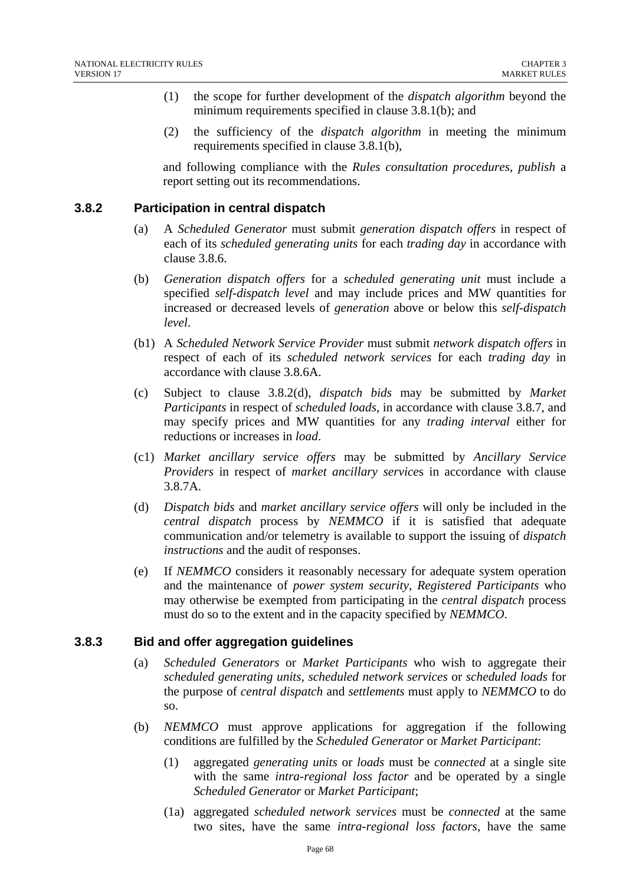- (1) the scope for further development of the *dispatch algorithm* beyond the minimum requirements specified in clause 3.8.1(b); and
- (2) the sufficiency of the *dispatch algorithm* in meeting the minimum requirements specified in clause 3.8.1(b),

and following compliance with the *Rules consultation procedures*, *publish* a report setting out its recommendations.

### **3.8.2 Participation in central dispatch**

- (a) A *Scheduled Generator* must submit *generation dispatch offers* in respect of each of its *scheduled generating units* for each *trading day* in accordance with clause 3.8.6.
- (b) *Generation dispatch offers* for a *scheduled generating unit* must include a specified *self-dispatch level* and may include prices and MW quantities for increased or decreased levels of *generation* above or below this *self-dispatch level*.
- (b1) A *Scheduled Network Service Provider* must submit *network dispatch offers* in respect of each of its *scheduled network services* for each *trading day* in accordance with clause 3.8.6A.
- (c) Subject to clause 3.8.2(d), *dispatch bids* may be submitted by *Market Participants* in respect of *scheduled loads*, in accordance with clause 3.8.7, and may specify prices and MW quantities for any *trading interval* either for reductions or increases in *load*.
- (c1) *Market ancillary service offers* may be submitted by *Ancillary Service Providers* in respect of *market ancillary service*s in accordance with clause 3.8.7A.
- (d) *Dispatch bids* and *market ancillary service offers* will only be included in the *central dispatch* process by *NEMMCO* if it is satisfied that adequate communication and/or telemetry is available to support the issuing of *dispatch instructions* and the audit of responses.
- (e) If *NEMMCO* considers it reasonably necessary for adequate system operation and the maintenance of *power system security*, *Registered Participants* who may otherwise be exempted from participating in the *central dispatch* process must do so to the extent and in the capacity specified by *NEMMCO*.

#### **3.8.3 Bid and offer aggregation guidelines**

- (a) *Scheduled Generators* or *Market Participants* who wish to aggregate their *scheduled generating units*, *scheduled network services* or *scheduled loads* for the purpose of *central dispatch* and *settlements* must apply to *NEMMCO* to do so.
- (b) *NEMMCO* must approve applications for aggregation if the following conditions are fulfilled by the *Scheduled Generator* or *Market Participant*:
	- (1) aggregated *generating units* or *loads* must be *connected* at a single site with the same *intra-regional loss factor* and be operated by a single *Scheduled Generator* or *Market Participant*;
	- (1a) aggregated *scheduled network services* must be *connected* at the same two sites, have the same *intra-regional loss factors*, have the same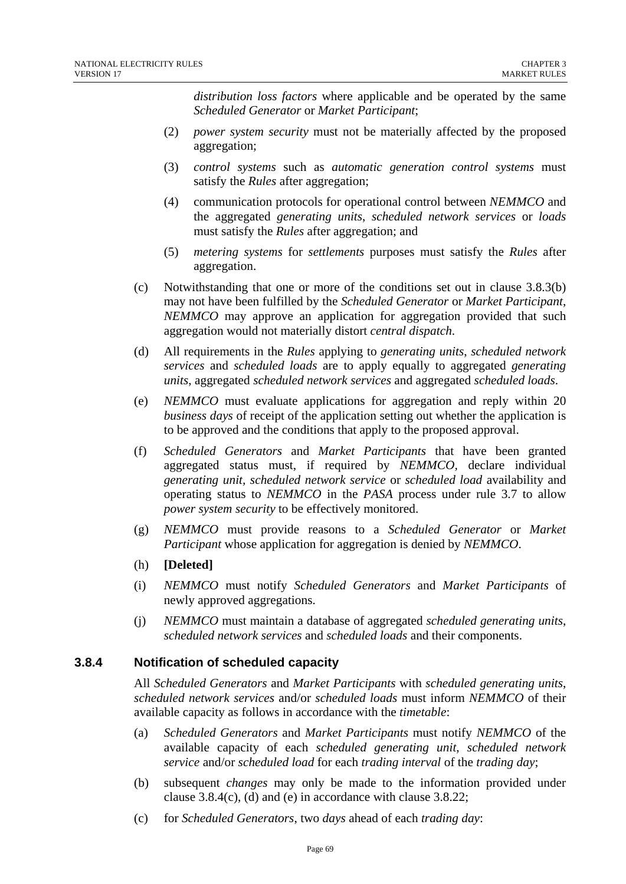*distribution loss factors* where applicable and be operated by the same *Scheduled Generator* or *Market Participant*;

- (2) *power system security* must not be materially affected by the proposed aggregation;
- (3) *control systems* such as *automatic generation control systems* must satisfy the *Rules* after aggregation;
- (4) communication protocols for operational control between *NEMMCO* and the aggregated *generating units*, *scheduled network services* or *loads* must satisfy the *Rules* after aggregation; and
- (5) *metering systems* for *settlements* purposes must satisfy the *Rules* after aggregation.
- (c) Notwithstanding that one or more of the conditions set out in clause 3.8.3(b) may not have been fulfilled by the *Scheduled Generator* or *Market Participant*, *NEMMCO* may approve an application for aggregation provided that such aggregation would not materially distort *central dispatch*.
- (d) All requirements in the *Rules* applying to *generating units*, *scheduled network services* and *scheduled loads* are to apply equally to aggregated *generating units*, aggregated *scheduled network services* and aggregated *scheduled loads*.
- (e) *NEMMCO* must evaluate applications for aggregation and reply within 20 *business days* of receipt of the application setting out whether the application is to be approved and the conditions that apply to the proposed approval.
- (f) *Scheduled Generators* and *Market Participants* that have been granted aggregated status must, if required by *NEMMCO,* declare individual *generating unit, scheduled network service* or *scheduled load* availability and operating status to *NEMMCO* in the *PASA* process under rule 3.7 to allow *power system security* to be effectively monitored.
- (g) *NEMMCO* must provide reasons to a *Scheduled Generator* or *Market Participant* whose application for aggregation is denied by *NEMMCO*.
- (h) **[Deleted]**
- (i) *NEMMCO* must notify *Scheduled Generators* and *Market Participants* of newly approved aggregations.
- (j) *NEMMCO* must maintain a database of aggregated *scheduled generating units*, *scheduled network services* and *scheduled loads* and their components.

### **3.8.4 Notification of scheduled capacity**

All *Scheduled Generators* and *Market Participants* with *scheduled generating units*, *scheduled network services* and/or *scheduled loads* must inform *NEMMCO* of their available capacity as follows in accordance with the *timetable*:

- (a) *Scheduled Generators* and *Market Participants* must notify *NEMMCO* of the available capacity of each *scheduled generating unit*, *scheduled network service* and/or *scheduled load* for each *trading interval* of the *trading day*;
- (b) subsequent *changes* may only be made to the information provided under clause 3.8.4(c), (d) and (e) in accordance with clause 3.8.22;
- (c) for *Scheduled Generators*, two *days* ahead of each *trading day*: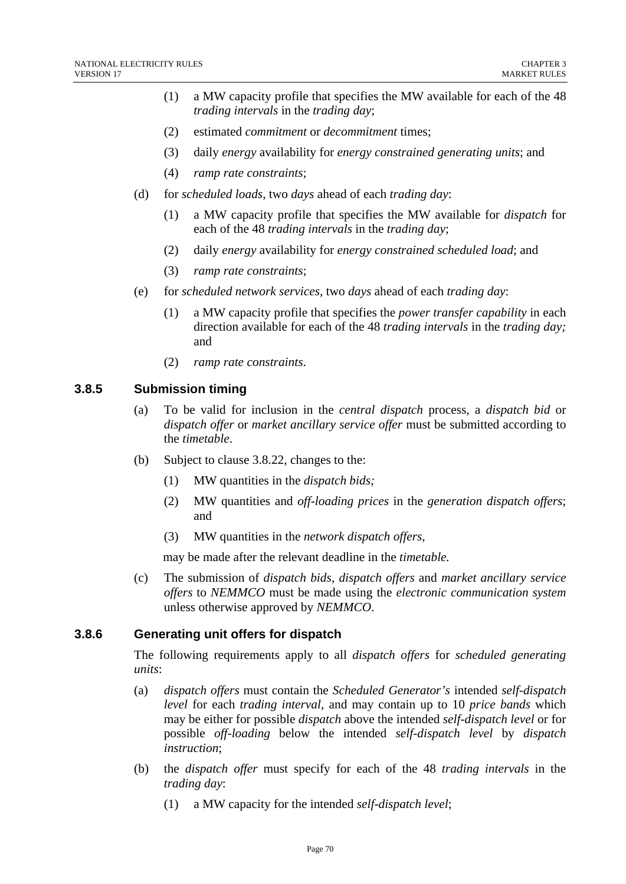- (1) a MW capacity profile that specifies the MW available for each of the 48 *trading intervals* in the *trading day*;
- (2) estimated *commitment* or *decommitment* times;
- (3) daily *energy* availability for *energy constrained generating units*; and
- (4) *ramp rate constraints*;
- (d) for *scheduled loads*, two *days* ahead of each *trading day*:
	- (1) a MW capacity profile that specifies the MW available for *dispatch* for each of the 48 *trading intervals* in the *trading day*;
	- (2) daily *energy* availability for *energy constrained scheduled load*; and
	- (3) *ramp rate constraints*;
- (e) for *scheduled network services*, two *days* ahead of each *trading day*:
	- (1) a MW capacity profile that specifies the *power transfer capability* in each direction available for each of the 48 *trading intervals* in the *trading day;* and
	- (2) *ramp rate constraints*.

### **3.8.5 Submission timing**

- (a) To be valid for inclusion in the *central dispatch* process, a *dispatch bid* or *dispatch offer* or *market ancillary service offer* must be submitted according to the *timetable*.
- (b) Subject to clause 3.8.22, changes to the:
	- (1) MW quantities in the *dispatch bids;*
	- (2) MW quantities and *off-loading prices* in the *generation dispatch offers*; and
	- (3) MW quantities in the *network dispatch offers*,

may be made after the relevant deadline in the *timetable.* 

(c) The submission of *dispatch bids*, *dispatch offers* and *market ancillary service offers* to *NEMMCO* must be made using the *electronic communication system* unless otherwise approved by *NEMMCO*.

#### **3.8.6 Generating unit offers for dispatch**

The following requirements apply to all *dispatch offers* for *scheduled generating units*:

- (a) *dispatch offers* must contain the *Scheduled Generator's* intended *self-dispatch level* for each *trading interval*, and may contain up to 10 *price bands* which may be either for possible *dispatch* above the intended *self-dispatch level* or for possible *off-loading* below the intended *self-dispatch level* by *dispatch instruction*;
- (b) the *dispatch offer* must specify for each of the 48 *trading intervals* in the *trading day*:
	- (1) a MW capacity for the intended *self-dispatch level*;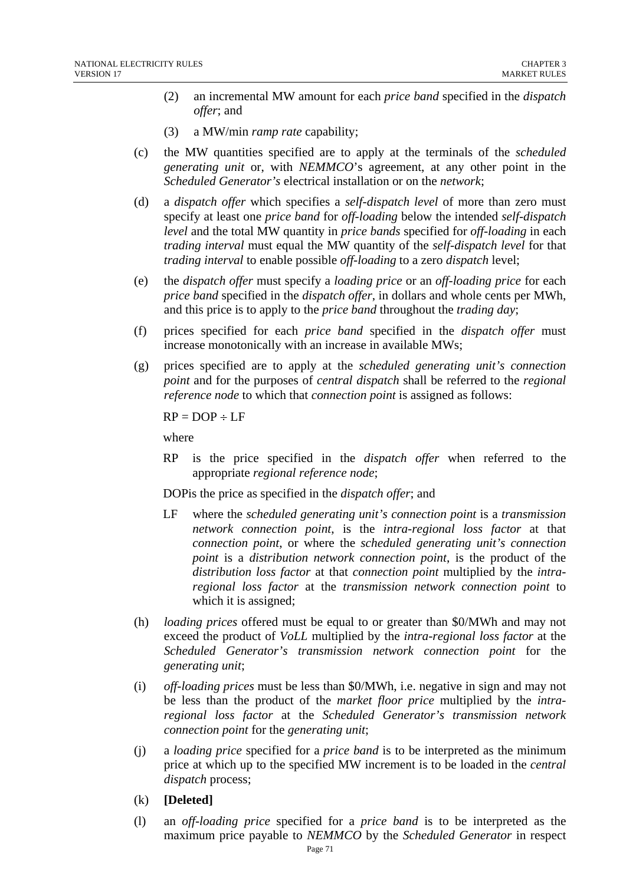- (2) an incremental MW amount for each *price band* specified in the *dispatch offer*; and
- (3) a MW/min *ramp rate* capability;
- (c) the MW quantities specified are to apply at the terminals of the *scheduled generating unit* or, with *NEMMCO*'s agreement, at any other point in the *Scheduled Generator's* electrical installation or on the *network*;
- (d) a *dispatch offer* which specifies a *self-dispatch level* of more than zero must specify at least one *price band* for *off-loading* below the intended *self-dispatch level* and the total MW quantity in *price bands* specified for *off-loading* in each *trading interval* must equal the MW quantity of the *self-dispatch level* for that *trading interval* to enable possible *off-loading* to a zero *dispatch* level;
- (e) the *dispatch offer* must specify a *loading price* or an *off-loading price* for each *price band* specified in the *dispatch offer*, in dollars and whole cents per MWh, and this price is to apply to the *price band* throughout the *trading day*;
- (f) prices specified for each *price band* specified in the *dispatch offer* must increase monotonically with an increase in available MWs;
- (g) prices specified are to apply at the *scheduled generating unit's connection point* and for the purposes of *central dispatch* shall be referred to the *regional reference node* to which that *connection point* is assigned as follows:

 $RP = DOP \div LF$ 

where

RP is the price specified in the *dispatch offer* when referred to the appropriate *regional reference node*;

DOPis the price as specified in the *dispatch offer*; and

- LF where the *scheduled generating unit's connection point* is a *transmission network connection point*, is the *intra-regional loss factor* at that *connection point*, or where the *scheduled generating unit's connection point* is a *distribution network connection point*, is the product of the *distribution loss factor* at that *connection point* multiplied by the *intraregional loss factor* at the *transmission network connection point* to which it is assigned;
- (h) *loading prices* offered must be equal to or greater than \$0/MWh and may not exceed the product of *VoLL* multiplied by the *intra-regional loss factor* at the *Scheduled Generator's transmission network connection point* for the *generating unit*;
- (i) *off-loading prices* must be less than \$0/MWh, i.e. negative in sign and may not be less than the product of the *market floor price* multiplied by the *intraregional loss factor* at the *Scheduled Generator's transmission network connection point* for the *generating unit*;
- (j) a *loading price* specified for a *price band* is to be interpreted as the minimum price at which up to the specified MW increment is to be loaded in the *central dispatch* process;
- (k) **[Deleted]**
- (l) an *off-loading price* specified for a *price band* is to be interpreted as the maximum price payable to *NEMMCO* by the *Scheduled Generator* in respect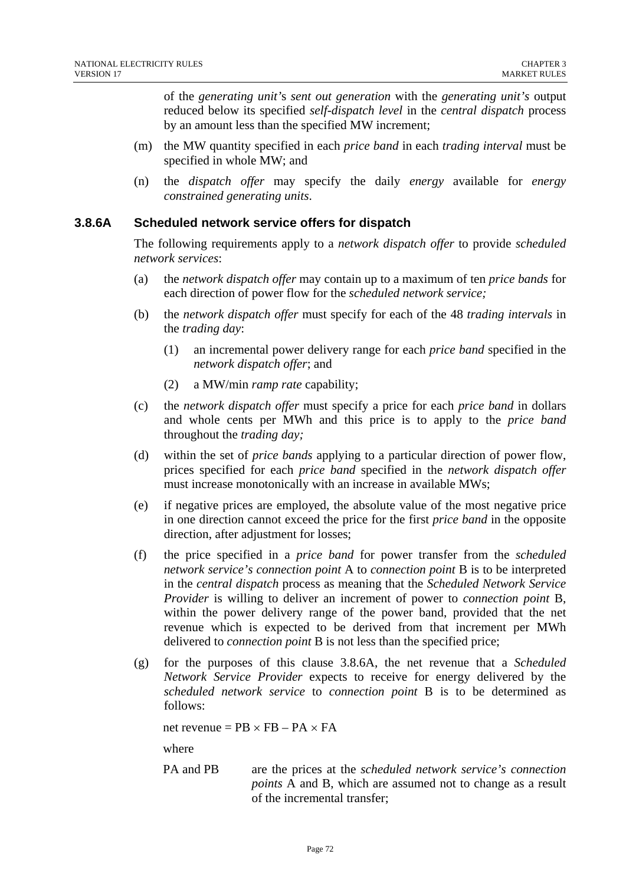of the *generating unit'*s *sent out generation* with the *generating unit's* output reduced below its specified *self-dispatch level* in the *central dispatch* process by an amount less than the specified MW increment;

- (m) the MW quantity specified in each *price band* in each *trading interval* must be specified in whole MW; and
- (n) the *dispatch offer* may specify the daily *energy* available for *energy constrained generating units*.

#### **3.8.6A Scheduled network service offers for dispatch**

The following requirements apply to a *network dispatch offer* to provide *scheduled network services*:

- (a) the *network dispatch offer* may contain up to a maximum of ten *price bands* for each direction of power flow for the *scheduled network service;*
- (b) the *network dispatch offer* must specify for each of the 48 *trading intervals* in the *trading day*:
	- (1) an incremental power delivery range for each *price band* specified in the *network dispatch offer*; and
	- (2) a MW/min *ramp rate* capability;
- (c) the *network dispatch offer* must specify a price for each *price band* in dollars and whole cents per MWh and this price is to apply to the *price band* throughout the *trading day;*
- (d) within the set of *price bands* applying to a particular direction of power flow, prices specified for each *price band* specified in the *network dispatch offer* must increase monotonically with an increase in available MWs;
- (e) if negative prices are employed, the absolute value of the most negative price in one direction cannot exceed the price for the first *price band* in the opposite direction, after adjustment for losses;
- (f) the price specified in a *price band* for power transfer from the *scheduled network service's connection point* A to *connection point* B is to be interpreted in the *central dispatch* process as meaning that the *Scheduled Network Service Provider* is willing to deliver an increment of power to *connection point* B, within the power delivery range of the power band, provided that the net revenue which is expected to be derived from that increment per MWh delivered to *connection point* B is not less than the specified price;
- (g) for the purposes of this clause 3.8.6A, the net revenue that a *Scheduled Network Service Provider* expects to receive for energy delivered by the *scheduled network service* to *connection point* B is to be determined as follows:

net revenue =  $PB \times FB - PA \times FA$ 

where

PA and PB are the prices at the *scheduled network service's connection points* A and B, which are assumed not to change as a result of the incremental transfer;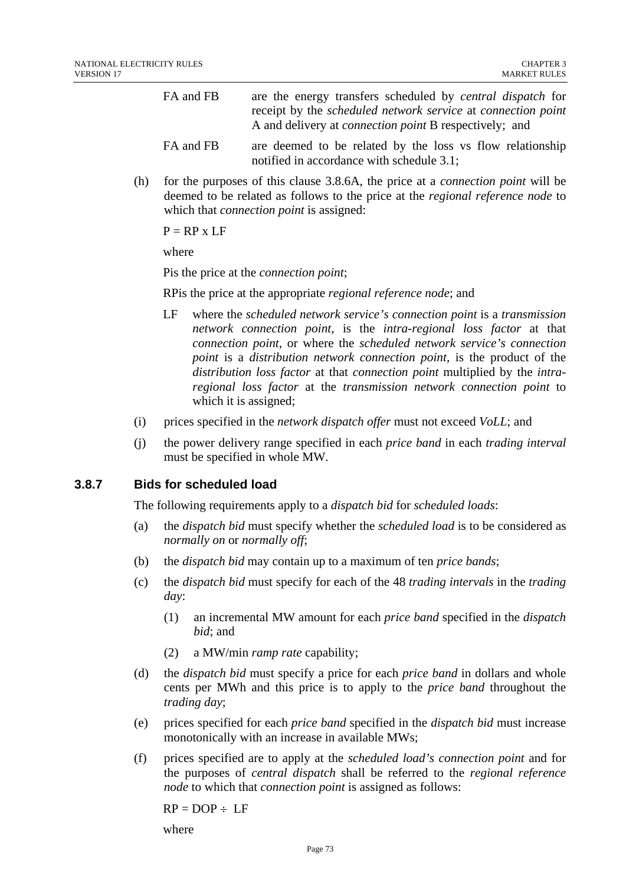| FA and FB      | are the energy transfers scheduled by <i>central dispatch</i> for          |
|----------------|----------------------------------------------------------------------------|
|                | receipt by the <i>scheduled network service</i> at <i>connection point</i> |
|                | A and delivery at <i>connection point</i> B respectively; and              |
| <b>PA</b> 1 PD |                                                                            |

- FA and FB are deemed to be related by the loss vs flow relationship notified in accordance with schedule 3.1;
- (h) for the purposes of this clause 3.8.6A, the price at a *connection point* will be deemed to be related as follows to the price at the *regional reference node* to which that *connection point* is assigned:

 $P = RP \times LF$ 

where

Pis the price at the *connection point*;

RPis the price at the appropriate *regional reference node*; and

- LF where the *scheduled network service's connection point* is a *transmission network connection point*, is the *intra-regional loss factor* at that *connection point*, or where the *scheduled network service's connection point* is a *distribution network connection point*, is the product of the *distribution loss factor* at that *connection point* multiplied by the *intraregional loss factor* at the *transmission network connection point* to which it is assigned;
- (i) prices specified in the *network dispatch offer* must not exceed *VoLL*; and
- (j) the power delivery range specified in each *price band* in each *trading interval* must be specified in whole MW.

# **3.8.7 Bids for scheduled load**

The following requirements apply to a *dispatch bid* for *scheduled loads*:

- (a) the *dispatch bid* must specify whether the *scheduled load* is to be considered as *normally on* or *normally off*;
- (b) the *dispatch bid* may contain up to a maximum of ten *price bands*;
- (c) the *dispatch bid* must specify for each of the 48 *trading intervals* in the *trading day*:
	- (1) an incremental MW amount for each *price band* specified in the *dispatch bid*; and
	- (2) a MW/min *ramp rate* capability;
- (d) the *dispatch bid* must specify a price for each *price band* in dollars and whole cents per MWh and this price is to apply to the *price band* throughout the *trading day*;
- (e) prices specified for each *price band* specified in the *dispatch bid* must increase monotonically with an increase in available MWs;
- (f) prices specified are to apply at the *scheduled load's connection point* and for the purposes of *central dispatch* shall be referred to the *regional reference node* to which that *connection point* is assigned as follows:

 $RP = DOP \div LF$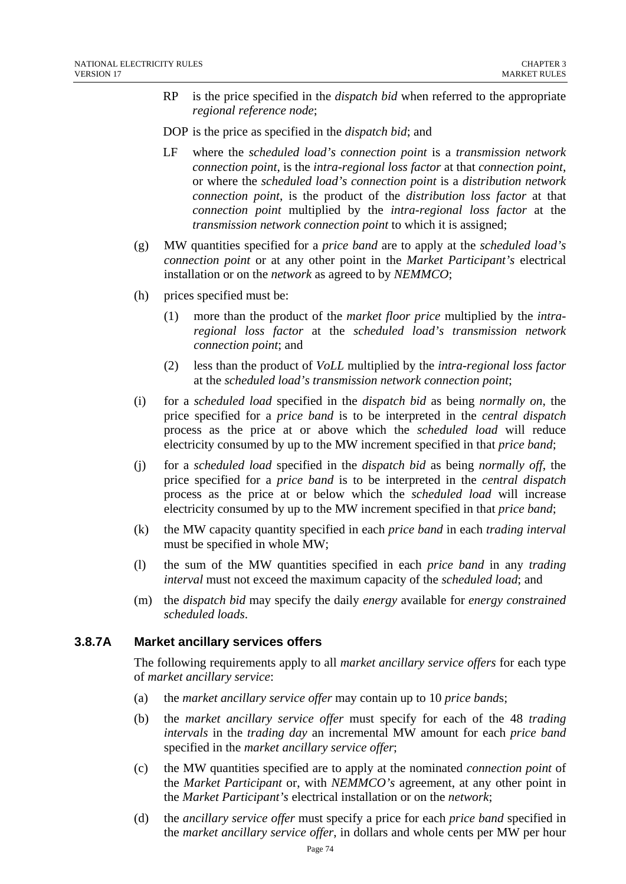- RP is the price specified in the *dispatch bid* when referred to the appropriate *regional reference node*;
- DOP is the price as specified in the *dispatch bid*; and
- LF where the *scheduled load's connection point* is a *transmission network connection point*, is the *intra-regional loss factor* at that *connection point*, or where the *scheduled load's connection point* is a *distribution network connection point*, is the product of the *distribution loss factor* at that *connection point* multiplied by the *intra-regional loss factor* at the *transmission network connection point* to which it is assigned;
- (g) MW quantities specified for a *price band* are to apply at the *scheduled load's connection point* or at any other point in the *Market Participant's* electrical installation or on the *network* as agreed to by *NEMMCO*;
- (h) prices specified must be:
	- (1) more than the product of the *market floor price* multiplied by the *intraregional loss factor* at the *scheduled load's transmission network connection point*; and
	- (2) less than the product of *VoLL* multiplied by the *intra-regional loss factor* at the *scheduled load's transmission network connection point*;
- (i) for a *scheduled load* specified in the *dispatch bid* as being *normally on*, the price specified for a *price band* is to be interpreted in the *central dispatch* process as the price at or above which the *scheduled load* will reduce electricity consumed by up to the MW increment specified in that *price band*;
- (j) for a *scheduled load* specified in the *dispatch bid* as being *normally off*, the price specified for a *price band* is to be interpreted in the *central dispatch* process as the price at or below which the *scheduled load* will increase electricity consumed by up to the MW increment specified in that *price band*;
- (k) the MW capacity quantity specified in each *price band* in each *trading interval* must be specified in whole MW;
- (l) the sum of the MW quantities specified in each *price band* in any *trading interval* must not exceed the maximum capacity of the *scheduled load*; and
- (m) the *dispatch bid* may specify the daily *energy* available for *energy constrained scheduled loads*.

# **3.8.7A Market ancillary services offers**

The following requirements apply to all *market ancillary service offers* for each type of *market ancillary service*:

- (a) the *market ancillary service offer* may contain up to 10 *price band*s;
- (b) the *market ancillary service offer* must specify for each of the 48 *trading intervals* in the *trading day* an incremental MW amount for each *price band* specified in the *market ancillary service offer*;
- (c) the MW quantities specified are to apply at the nominated *connection point* of the *Market Participant* or, with *NEMMCO's* agreement, at any other point in the *Market Participant's* electrical installation or on the *network*;
- (d) the *ancillary service offer* must specify a price for each *price band* specified in the *market ancillary service offer*, in dollars and whole cents per MW per hour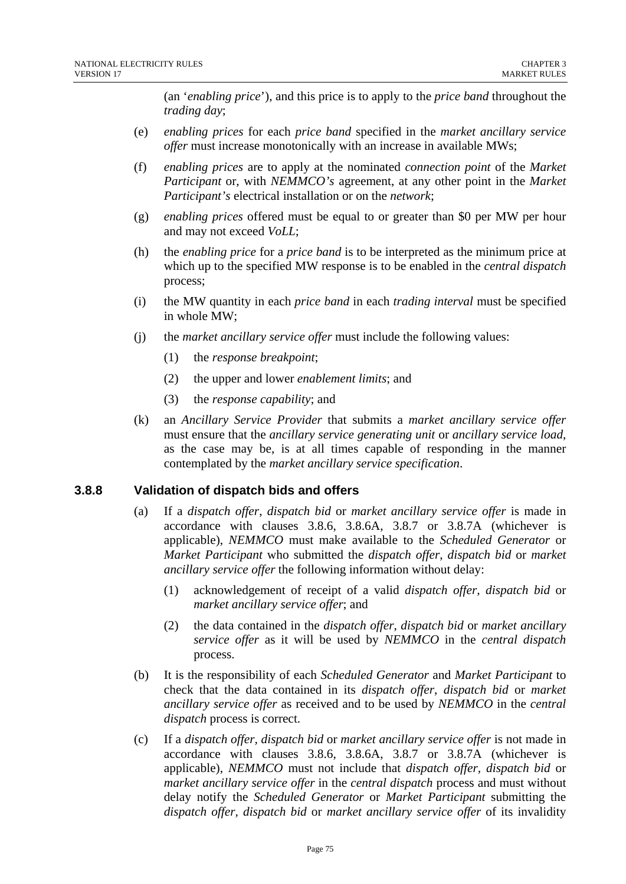(an '*enabling price*'), and this price is to apply to the *price band* throughout the *trading day*;

- (e) *enabling prices* for each *price band* specified in the *market ancillary service offer* must increase monotonically with an increase in available MWs;
- (f) *enabling prices* are to apply at the nominated *connection point* of the *Market Participant* or, with *NEMMCO's* agreement, at any other point in the *Market Participant's* electrical installation or on the *network*;
- (g) *enabling prices* offered must be equal to or greater than \$0 per MW per hour and may not exceed *VoLL*;
- (h) the *enabling price* for a *price band* is to be interpreted as the minimum price at which up to the specified MW response is to be enabled in the *central dispatch* process;
- (i) the MW quantity in each *price band* in each *trading interval* must be specified in whole MW;
- (j) the *market ancillary service offer* must include the following values:
	- (1) the *response breakpoint*;
	- (2) the upper and lower *enablement limits*; and
	- (3) the *response capability*; and
- (k) an *Ancillary Service Provider* that submits a *market ancillary service offer* must ensure that the *ancillary service generating unit* or *ancillary service load*, as the case may be, is at all times capable of responding in the manner contemplated by the *market ancillary service specification*.

#### **3.8.8 Validation of dispatch bids and offers**

- (a) If a *dispatch offer*, *dispatch bid* or *market ancillary service offer* is made in accordance with clauses 3.8.6, 3.8.6A, 3.8.7 or 3.8.7A (whichever is applicable), *NEMMCO* must make available to the *Scheduled Generator* or *Market Participant* who submitted the *dispatch offer*, *dispatch bid* or *market ancillary service offer* the following information without delay:
	- (1) acknowledgement of receipt of a valid *dispatch offer, dispatch bid* or *market ancillary service offer*; and
	- (2) the data contained in the *dispatch offer*, *dispatch bid* or *market ancillary service offer* as it will be used by *NEMMCO* in the *central dispatch* process.
- (b) It is the responsibility of each *Scheduled Generator* and *Market Participant* to check that the data contained in its *dispatch offer*, *dispatch bid* or *market ancillary service offer* as received and to be used by *NEMMCO* in the *central dispatch* process is correct.
- (c) If a *dispatch offer, dispatch bid* or *market ancillary service offer* is not made in accordance with clauses 3.8.6, 3.8.6A, 3.8.7 or 3.8.7A (whichever is applicable), *NEMMCO* must not include that *dispatch offer, dispatch bid* or *market ancillary service offer* in the *central dispatch* process and must without delay notify the *Scheduled Generator* or *Market Participant* submitting the *dispatch offer, dispatch bid* or *market ancillary service offer* of its invalidity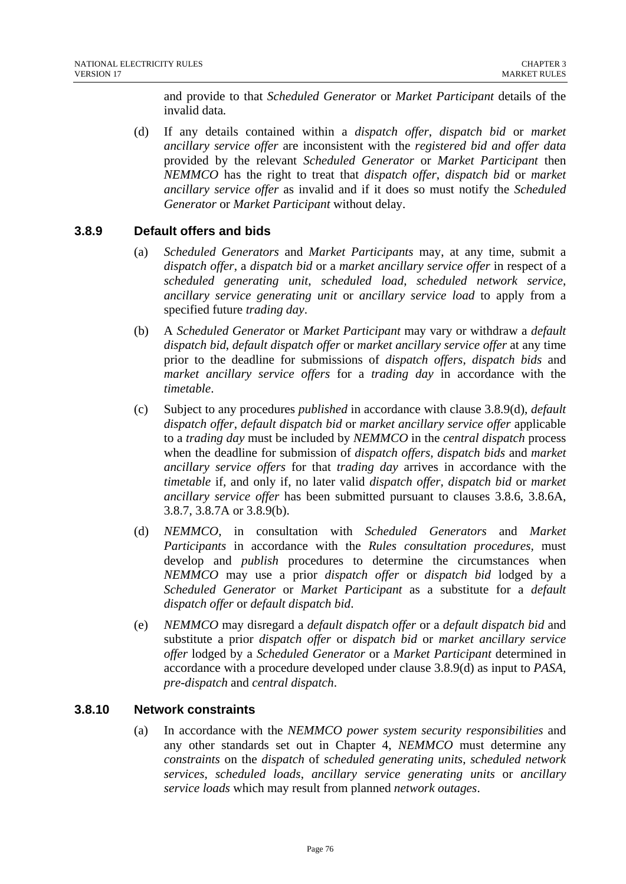and provide to that *Scheduled Generator* or *Market Participant* details of the invalid data*.* 

(d) If any details contained within a *dispatch offer*, *dispatch bid* or *market ancillary service offer* are inconsistent with the *registered bid and offer data* provided by the relevant *Scheduled Generator* or *Market Participant* then *NEMMCO* has the right to treat that *dispatch offer*, *dispatch bid* or *market ancillary service offer* as invalid and if it does so must notify the *Scheduled Generator* or *Market Participant* without delay.

# **3.8.9 Default offers and bids**

- (a) *Scheduled Generators* and *Market Participants* may, at any time, submit a *dispatch offer*, a *dispatch bid* or a *market ancillary service offer* in respect of a *scheduled generating unit*, *scheduled load*, *scheduled network service*, *ancillary service generating unit* or *ancillary service load* to apply from a specified future *trading day*.
- (b) A *Scheduled Generator* or *Market Participant* may vary or withdraw a *default dispatch bid*, *default dispatch offer* or *market ancillary service offer* at any time prior to the deadline for submissions of *dispatch offers*, *dispatch bids* and *market ancillary service offers* for a *trading day* in accordance with the *timetable*.
- (c) Subject to any procedures *published* in accordance with clause 3.8.9(d), *default dispatch offer*, *default dispatch bid* or *market ancillary service offer* applicable to a *trading day* must be included by *NEMMCO* in the *central dispatch* process when the deadline for submission of *dispatch offers, dispatch bids* and *market ancillary service offers* for that *trading day* arrives in accordance with the *timetable* if*,* and only if, no later valid *dispatch offer, dispatch bid* or *market ancillary service offer* has been submitted pursuant to clauses 3.8.6, 3.8.6A, 3.8.7, 3.8.7A or 3.8.9(b).
- (d) *NEMMCO*, in consultation with *Scheduled Generators* and *Market Participants* in accordance with the *Rules consultation procedures,* must develop and *publish* procedures to determine the circumstances when *NEMMCO* may use a prior *dispatch offer* or *dispatch bid* lodged by a *Scheduled Generator* or *Market Participant* as a substitute for a *default dispatch offer* or *default dispatch bid*.
- (e) *NEMMCO* may disregard a *default dispatch offer* or a *default dispatch bid* and substitute a prior *dispatch offer* or *dispatch bid* or *market ancillary service offer* lodged by a *Scheduled Generator* or a *Market Participant* determined in accordance with a procedure developed under clause 3.8.9(d) as input to *PASA, pre-dispatch* and *central dispatch*.

# **3.8.10 Network constraints**

(a) In accordance with the *NEMMCO power system security responsibilities* and any other standards set out in Chapter 4, *NEMMCO* must determine any *constraints* on the *dispatch* of *scheduled generating units*, *scheduled network services*, *scheduled loads*, *ancillary service generating units* or *ancillary service loads* which may result from planned *network outages*.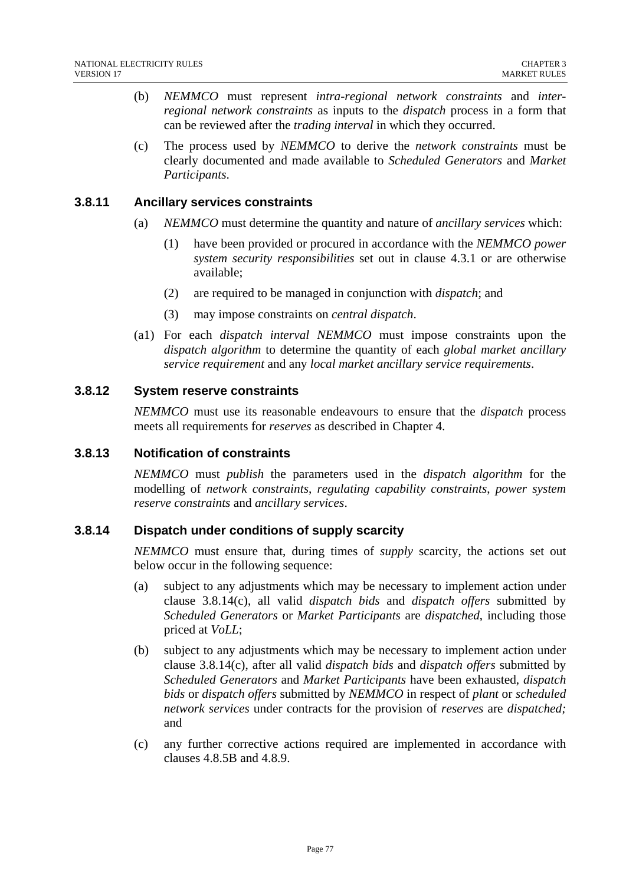- (b) *NEMMCO* must represent *intra-regional network constraints* and *interregional network constraints* as inputs to the *dispatch* process in a form that can be reviewed after the *trading interval* in which they occurred.
- (c) The process used by *NEMMCO* to derive the *network constraints* must be clearly documented and made available to *Scheduled Generators* and *Market Participants*.

#### **3.8.11 Ancillary services constraints**

- (a) *NEMMCO* must determine the quantity and nature of *ancillary services* which:
	- (1) have been provided or procured in accordance with the *NEMMCO power system security responsibilities* set out in clause 4.3.1 or are otherwise available;
	- (2) are required to be managed in conjunction with *dispatch*; and
	- (3) may impose constraints on *central dispatch*.
- (a1) For each *dispatch interval NEMMCO* must impose constraints upon the *dispatch algorithm* to determine the quantity of each *global market ancillary service requirement* and any *local market ancillary service requirements*.

#### **3.8.12 System reserve constraints**

*NEMMCO* must use its reasonable endeavours to ensure that the *dispatch* process meets all requirements for *reserves* as described in Chapter 4.

#### **3.8.13 Notification of constraints**

*NEMMCO* must *publish* the parameters used in the *dispatch algorithm* for the modelling of *network constraints*, *regulating capability constraints*, *power system reserve constraints* and *ancillary services*.

#### **3.8.14 Dispatch under conditions of supply scarcity**

*NEMMCO* must ensure that, during times of *supply* scarcity, the actions set out below occur in the following sequence:

- (a) subject to any adjustments which may be necessary to implement action under clause 3.8.14(c), all valid *dispatch bids* and *dispatch offers* submitted by *Scheduled Generators* or *Market Participants* are *dispatched*, including those priced at *VoLL*;
- (b) subject to any adjustments which may be necessary to implement action under clause 3.8.14(c), after all valid *dispatch bids* and *dispatch offers* submitted by *Scheduled Generators* and *Market Participants* have been exhausted, *dispatch bids* or *dispatch offers* submitted by *NEMMCO* in respect of *plant* or *scheduled network services* under contracts for the provision of *reserves* are *dispatched;*  and
- (c) any further corrective actions required are implemented in accordance with clauses 4.8.5B and 4.8.9.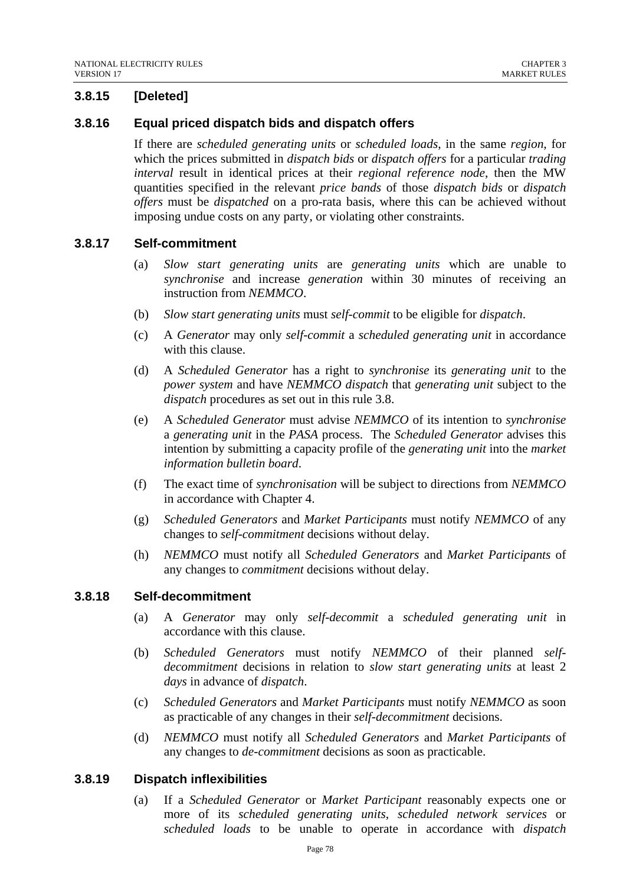# **3.8.15 [Deleted]**

# **3.8.16 Equal priced dispatch bids and dispatch offers**

If there are *scheduled generating units* or *scheduled loads*, in the same *region*, for which the prices submitted in *dispatch bids* or *dispatch offers* for a particular *trading interval* result in identical prices at their *regional reference node*, then the MW quantities specified in the relevant *price bands* of those *dispatch bids* or *dispatch offers* must be *dispatched* on a pro-rata basis, where this can be achieved without imposing undue costs on any party, or violating other constraints.

# **3.8.17 Self-commitment**

- (a) *Slow start generating units* are *generating units* which are unable to *synchronise* and increase *generation* within 30 minutes of receiving an instruction from *NEMMCO*.
- (b) *Slow start generating units* must *self-commit* to be eligible for *dispatch*.
- (c) A *Generator* may only *self-commit* a *scheduled generating unit* in accordance with this clause.
- (d) A *Scheduled Generator* has a right to *synchronise* its *generating unit* to the *power system* and have *NEMMCO dispatch* that *generating unit* subject to the *dispatch* procedures as set out in this rule 3.8.
- (e) A *Scheduled Generator* must advise *NEMMCO* of its intention to *synchronise* a *generating unit* in the *PASA* process. The *Scheduled Generator* advises this intention by submitting a capacity profile of the *generating unit* into the *market information bulletin board*.
- (f) The exact time of *synchronisation* will be subject to directions from *NEMMCO*  in accordance with Chapter 4.
- (g) *Scheduled Generators* and *Market Participants* must notify *NEMMCO* of any changes to *self-commitment* decisions without delay.
- (h) *NEMMCO* must notify all *Scheduled Generators* and *Market Participants* of any changes to *commitment* decisions without delay.

#### **3.8.18 Self-decommitment**

- (a) A *Generator* may only *self-decommit* a *scheduled generating unit* in accordance with this clause.
- (b) *Scheduled Generators* must notify *NEMMCO* of their planned *selfdecommitment* decisions in relation to *slow start generating units* at least 2 *days* in advance of *dispatch*.
- (c) *Scheduled Generators* and *Market Participants* must notify *NEMMCO* as soon as practicable of any changes in their *self-decommitment* decisions.
- (d) *NEMMCO* must notify all *Scheduled Generators* and *Market Participants* of any changes to *de-commitment* decisions as soon as practicable.

# **3.8.19 Dispatch inflexibilities**

(a) If a *Scheduled Generator* or *Market Participant* reasonably expects one or more of its *scheduled generating units*, *scheduled network services* or *scheduled loads* to be unable to operate in accordance with *dispatch*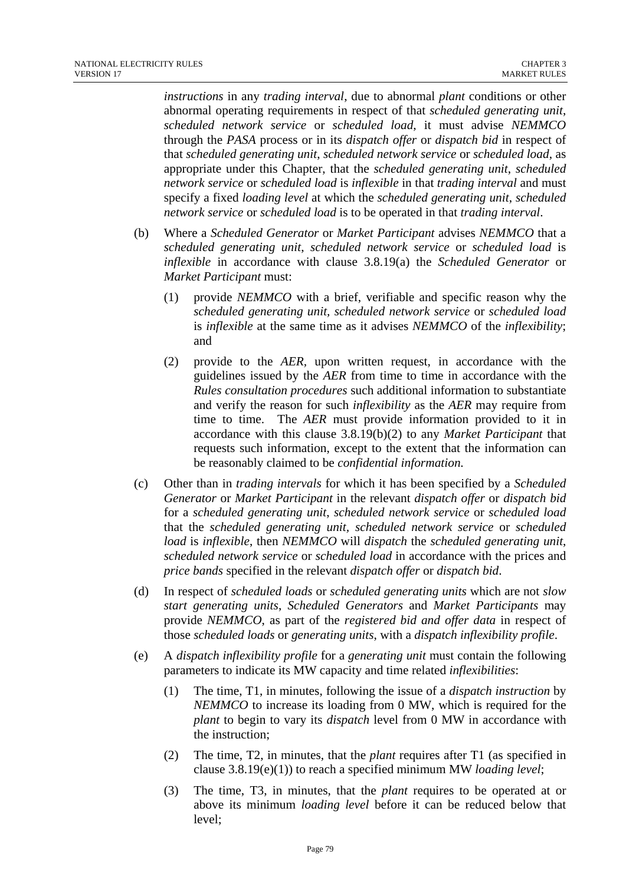*instructions* in any *trading interval*, due to abnormal *plant* conditions or other abnormal operating requirements in respect of that *scheduled generating unit*, *scheduled network service* or *scheduled load*, it must advise *NEMMCO* through the *PASA* process or in its *dispatch offer* or *dispatch bid* in respect of that *scheduled generating unit*, *scheduled network service* or *scheduled load*, as appropriate under this Chapter, that the *scheduled generating unit*, *scheduled network service* or *scheduled load* is *inflexible* in that *trading interval* and must specify a fixed *loading level* at which the *scheduled generating unit*, *scheduled network service* or *scheduled load* is to be operated in that *trading interval*.

- (b) Where a *Scheduled Generator* or *Market Participant* advises *NEMMCO* that a *scheduled generating unit*, *scheduled network service* or *scheduled load* is *inflexible* in accordance with clause 3.8.19(a) the *Scheduled Generator* or *Market Participant* must:
	- (1) provide *NEMMCO* with a brief, verifiable and specific reason why the *scheduled generating unit, scheduled network service* or *scheduled load* is *inflexible* at the same time as it advises *NEMMCO* of the *inflexibility*; and
	- (2) provide to the *AER,* upon written request, in accordance with the guidelines issued by the *AER* from time to time in accordance with the *Rules consultation procedures* such additional information to substantiate and verify the reason for such *inflexibility* as the *AER* may require from time to time. The *AER* must provide information provided to it in accordance with this clause 3.8.19(b)(2) to any *Market Participant* that requests such information, except to the extent that the information can be reasonably claimed to be *confidential information.*
- (c) Other than in *trading intervals* for which it has been specified by a *Scheduled Generator* or *Market Participant* in the relevant *dispatch offer* or *dispatch bid* for a *scheduled generating unit*, *scheduled network service* or *scheduled load* that the *scheduled generating unit, scheduled network service* or *scheduled load* is *inflexible*, then *NEMMCO* will *dispatch* the *scheduled generating unit*, *scheduled network service* or *scheduled load* in accordance with the prices and *price bands* specified in the relevant *dispatch offer* or *dispatch bid*.
- (d) In respect of *scheduled loads* or *scheduled generating units* which are not *slow start generating units*, *Scheduled Generators* and *Market Participants* may provide *NEMMCO*, as part of the *registered bid and offer data* in respect of those *scheduled loads* or *generating units*, with a *dispatch inflexibility profile*.
- (e) A *dispatch inflexibility profile* for a *generating unit* must contain the following parameters to indicate its MW capacity and time related *inflexibilities*:
	- (1) The time, T1, in minutes, following the issue of a *dispatch instruction* by *NEMMCO* to increase its loading from 0 MW, which is required for the *plant* to begin to vary its *dispatch* level from 0 MW in accordance with the instruction;
	- (2) The time, T2, in minutes, that the *plant* requires after T1 (as specified in clause 3.8.19(e)(1)) to reach a specified minimum MW *loading level*;
	- (3) The time, T3, in minutes, that the *plant* requires to be operated at or above its minimum *loading level* before it can be reduced below that level;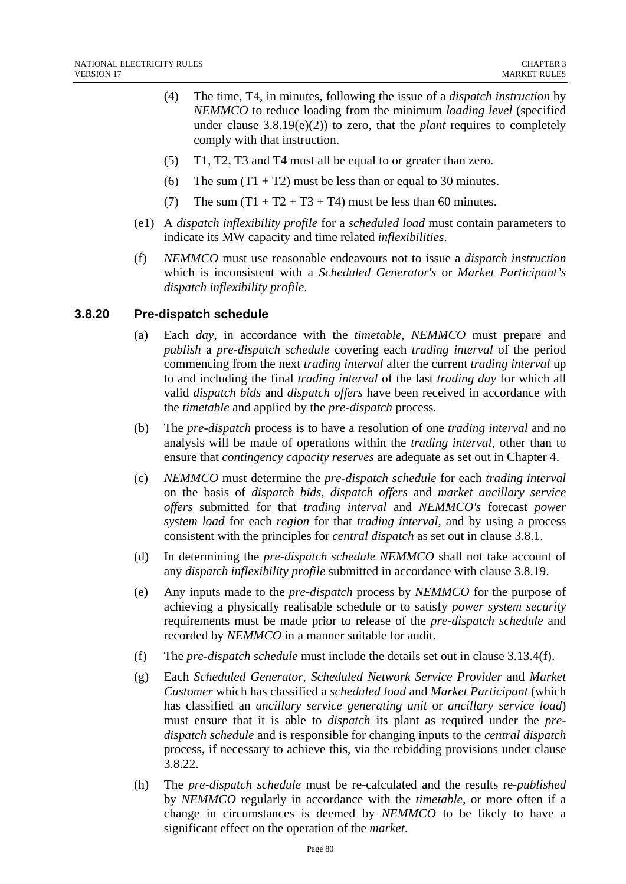- (4) The time, T4, in minutes, following the issue of a *dispatch instruction* by *NEMMCO* to reduce loading from the minimum *loading level* (specified under clause  $3.8.19(e)(2)$  to zero, that the *plant* requires to completely comply with that instruction.
- (5) T1, T2, T3 and T4 must all be equal to or greater than zero.
- (6) The sum  $(T1 + T2)$  must be less than or equal to 30 minutes.
- (7) The sum  $(T1 + T2 + T3 + T4)$  must be less than 60 minutes.
- (e1) A *dispatch inflexibility profile* for a *scheduled load* must contain parameters to indicate its MW capacity and time related *inflexibilities*.
- (f) *NEMMCO* must use reasonable endeavours not to issue a *dispatch instruction* which is inconsistent with a *Scheduled Generator's* or *Market Participant's dispatch inflexibility profile*.

#### **3.8.20 Pre-dispatch schedule**

- (a) Each *day*, in accordance with the *timetable*, *NEMMCO* must prepare and *publish* a *pre-dispatch schedule* covering each *trading interval* of the period commencing from the next *trading interval* after the current *trading interval* up to and including the final *trading interval* of the last *trading day* for which all valid *dispatch bids* and *dispatch offers* have been received in accordance with the *timetable* and applied by the *pre-dispatch* process.
- (b) The *pre-dispatch* process is to have a resolution of one *trading interval* and no analysis will be made of operations within the *trading interval*, other than to ensure that *contingency capacity reserves* are adequate as set out in Chapter 4.
- (c) *NEMMCO* must determine the *pre-dispatch schedule* for each *trading interval* on the basis of *dispatch bids*, *dispatch offers* and *market ancillary service offers* submitted for that *trading interval* and *NEMMCO's* forecast *power system load* for each *region* for that *trading interval*, and by using a process consistent with the principles for *central dispatch* as set out in clause 3.8.1.
- (d) In determining the *pre-dispatch schedule NEMMCO* shall not take account of any *dispatch inflexibility profile* submitted in accordance with clause 3.8.19.
- (e) Any inputs made to the *pre-dispatch* process by *NEMMCO* for the purpose of achieving a physically realisable schedule or to satisfy *power system security* requirements must be made prior to release of the *pre-dispatch schedule* and recorded by *NEMMCO* in a manner suitable for audit.
- (f) The *pre-dispatch schedule* must include the details set out in clause 3.13.4(f).
- (g) Each *Scheduled Generator*, *Scheduled Network Service Provider* and *Market Customer* which has classified a *scheduled load* and *Market Participant* (which has classified an *ancillary service generating unit* or *ancillary service load*) must ensure that it is able to *dispatch* its plant as required under the *predispatch schedule* and is responsible for changing inputs to the *central dispatch*  process, if necessary to achieve this, via the rebidding provisions under clause 3.8.22.
- (h) The *pre-dispatch schedule* must be re-calculated and the results re-*published* by *NEMMCO* regularly in accordance with the *timetable*, or more often if a change in circumstances is deemed by *NEMMCO* to be likely to have a significant effect on the operation of the *market*.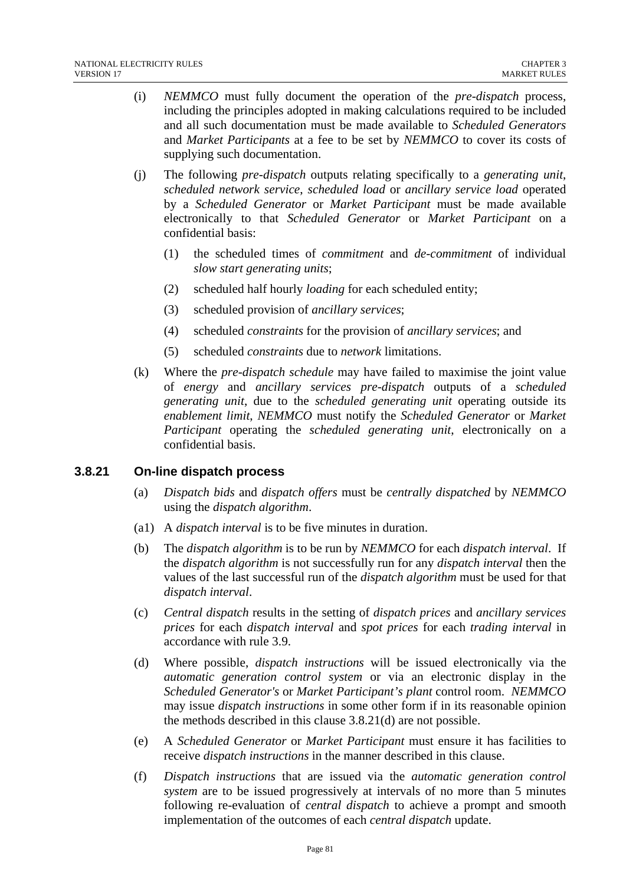- (i) *NEMMCO* must fully document the operation of the *pre-dispatch* process, including the principles adopted in making calculations required to be included and all such documentation must be made available to *Scheduled Generators*  and *Market Participants* at a fee to be set by *NEMMCO* to cover its costs of supplying such documentation.
- (j) The following *pre-dispatch* outputs relating specifically to a *generating unit*, *scheduled network service*, *scheduled load* or *ancillary service load* operated by a *Scheduled Generator* or *Market Participant* must be made available electronically to that *Scheduled Generator* or *Market Participant* on a confidential basis:
	- (1) the scheduled times of *commitment* and *de-commitment* of individual *slow start generating units*;
	- (2) scheduled half hourly *loading* for each scheduled entity;
	- (3) scheduled provision of *ancillary services*;
	- (4) scheduled *constraints* for the provision of *ancillary services*; and
	- (5) scheduled *constraints* due to *network* limitations.
- (k) Where the *pre-dispatch schedule* may have failed to maximise the joint value of *energy* and *ancillary services pre-dispatch* outputs of a *scheduled generating unit*, due to the *scheduled generating unit* operating outside its *enablement limit*, *NEMMCO* must notify the *Scheduled Generator* or *Market Participant* operating the *scheduled generating unit*, electronically on a confidential basis.

# **3.8.21 On-line dispatch process**

- (a) *Dispatch bids* and *dispatch offers* must be *centrally dispatched* by *NEMMCO*  using the *dispatch algorithm*.
- (a1) A *dispatch interval* is to be five minutes in duration.
- (b) The *dispatch algorithm* is to be run by *NEMMCO* for each *dispatch interval*. If the *dispatch algorithm* is not successfully run for any *dispatch interval* then the values of the last successful run of the *dispatch algorithm* must be used for that *dispatch interval*.
- (c) *Central dispatch* results in the setting of *dispatch prices* and *ancillary services prices* for each *dispatch interval* and *spot prices* for each *trading interval* in accordance with rule 3.9.
- (d) Where possible, *dispatch instructions* will be issued electronically via the *automatic generation control system* or via an electronic display in the *Scheduled Generator's* or *Market Participant's plant* control room. *NEMMCO* may issue *dispatch instructions* in some other form if in its reasonable opinion the methods described in this clause 3.8.21(d) are not possible.
- (e) A *Scheduled Generator* or *Market Participant* must ensure it has facilities to receive *dispatch instructions* in the manner described in this clause.
- (f) *Dispatch instructions* that are issued via the *automatic generation control system* are to be issued progressively at intervals of no more than 5 minutes following re-evaluation of *central dispatch* to achieve a prompt and smooth implementation of the outcomes of each *central dispatch* update.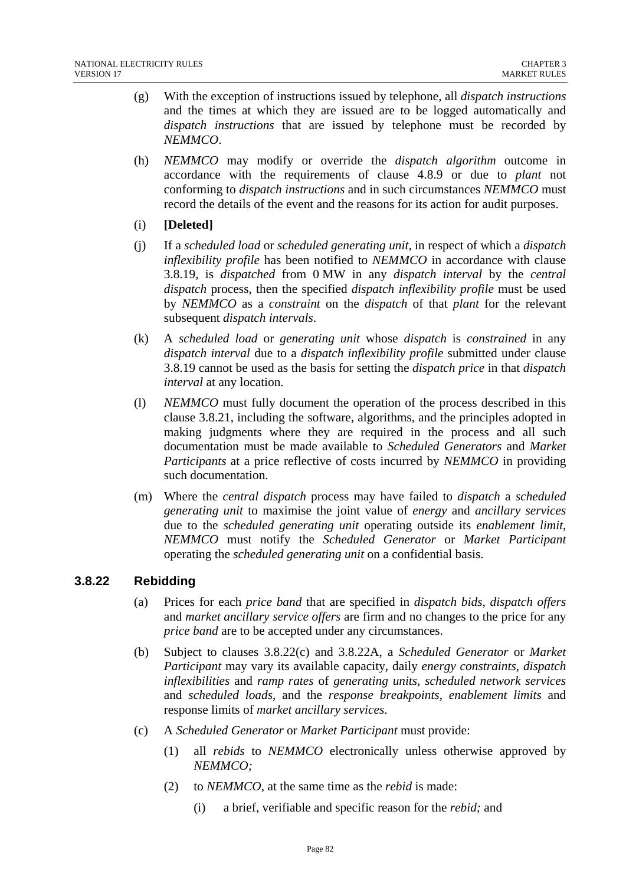- (g) With the exception of instructions issued by telephone, all *dispatch instructions* and the times at which they are issued are to be logged automatically and *dispatch instructions* that are issued by telephone must be recorded by *NEMMCO*.
- (h) *NEMMCO* may modify or override the *dispatch algorithm* outcome in accordance with the requirements of clause 4.8.9 or due to *plant* not conforming to *dispatch instructions* and in such circumstances *NEMMCO* must record the details of the event and the reasons for its action for audit purposes.
- (i) **[Deleted]**
- (j) If a *scheduled load* or *scheduled generating unit,* in respect of which a *dispatch inflexibility profile* has been notified to *NEMMCO* in accordance with clause 3.8.19, is *dispatched* from 0 MW in any *dispatch interval* by the *central dispatch* process, then the specified *dispatch inflexibility profile* must be used by *NEMMCO* as a *constraint* on the *dispatch* of that *plant* for the relevant subsequent *dispatch intervals*.
- (k) A *scheduled load* or *generating unit* whose *dispatch* is *constrained* in any *dispatch interval* due to a *dispatch inflexibility profile* submitted under clause 3.8.19 cannot be used as the basis for setting the *dispatch price* in that *dispatch interval* at any location.
- (l) *NEMMCO* must fully document the operation of the process described in this clause 3.8.21, including the software, algorithms, and the principles adopted in making judgments where they are required in the process and all such documentation must be made available to *Scheduled Generators* and *Market Participants* at a price reflective of costs incurred by *NEMMCO* in providing such documentation.
- (m) Where the *central dispatch* process may have failed to *dispatch* a *scheduled generating unit* to maximise the joint value of *energy* and *ancillary services* due to the *scheduled generating unit* operating outside its *enablement limit*, *NEMMCO* must notify the *Scheduled Generator* or *Market Participant* operating the *scheduled generating unit* on a confidential basis.

# **3.8.22 Rebidding**

- (a) Prices for each *price band* that are specified in *dispatch bids, dispatch offers* and *market ancillary service offers* are firm and no changes to the price for any *price band* are to be accepted under any circumstances.
- (b) Subject to clauses 3.8.22(c) and 3.8.22A, a *Scheduled Generator* or *Market Participant* may vary its available capacity, daily *energy constraints*, *dispatch inflexibilities* and *ramp rates* of *generating units*, *scheduled network services* and *scheduled loads*, and the *response breakpoints*, *enablement limits* and response limits of *market ancillary services*.
- (c) A *Scheduled Generator* or *Market Participant* must provide:
	- (1) all *rebids* to *NEMMCO* electronically unless otherwise approved by *NEMMCO;*
	- (2) to *NEMMCO*, at the same time as the *rebid* is made:
		- (i) a brief, verifiable and specific reason for the *rebid;* and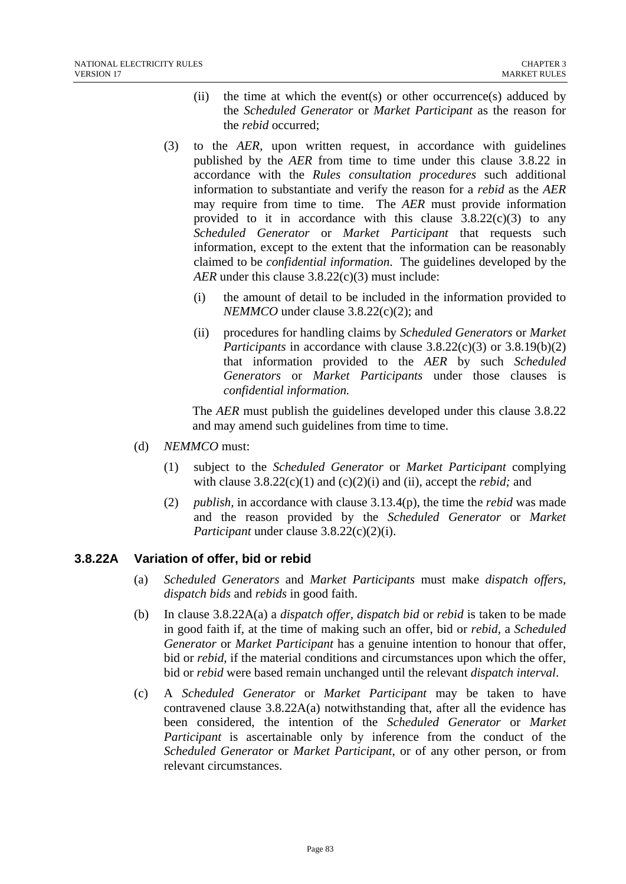- (ii) the time at which the event(s) or other occurrence(s) adduced by the *Scheduled Generator* or *Market Participant* as the reason for the *rebid* occurred;
- (3) to the *AER,* upon written request, in accordance with guidelines published by the *AER* from time to time under this clause 3.8.22 in accordance with the *Rules consultation procedures* such additional information to substantiate and verify the reason for a *rebid* as the *AER*  may require from time to time. The *AER* must provide information provided to it in accordance with this clause  $3.8.22(c)(3)$  to any *Scheduled Generator* or *Market Participant* that requests such information, except to the extent that the information can be reasonably claimed to be *confidential information*. The guidelines developed by the *AER* under this clause 3.8.22(c)(3) must include:
	- (i) the amount of detail to be included in the information provided to *NEMMCO* under clause 3.8.22(c)(2); and
	- (ii) procedures for handling claims by *Scheduled Generators* or *Market Participants* in accordance with clause 3.8.22(c)(3) or 3.8.19(b)(2) that information provided to the *AER* by such *Scheduled Generators* or *Market Participants* under those clauses is *confidential information.*

The *AER* must publish the guidelines developed under this clause 3.8.22 and may amend such guidelines from time to time.

- (d) *NEMMCO* must:
	- (1) subject to the *Scheduled Generator* or *Market Participant* complying with clause 3.8.22(c)(1) and (c)(2)(i) and (ii), accept the *rebid;* and
	- (2) *publish,* in accordance with clause 3.13.4(p), the time the *rebid* was made and the reason provided by the *Scheduled Generator* or *Market Participant* under clause 3.8.22(c)(2)(i).

# **3.8.22A Variation of offer, bid or rebid**

- (a) *Scheduled Generators* and *Market Participants* must make *dispatch offers, dispatch bids* and *rebids* in good faith.
- (b) In clause 3.8.22A(a) a *dispatch offer*, *dispatch bid* or *rebid* is taken to be made in good faith if, at the time of making such an offer, bid or *rebid*, a *Scheduled Generator* or *Market Participant* has a genuine intention to honour that offer, bid or *rebid*, if the material conditions and circumstances upon which the offer, bid or *rebid* were based remain unchanged until the relevant *dispatch interval*.
- (c) A *Scheduled Generator* or *Market Participant* may be taken to have contravened clause  $3.8.22A(a)$  notwithstanding that, after all the evidence has been considered, the intention of the *Scheduled Generator* or *Market Participant* is ascertainable only by inference from the conduct of the *Scheduled Generator* or *Market Participant*, or of any other person, or from relevant circumstances.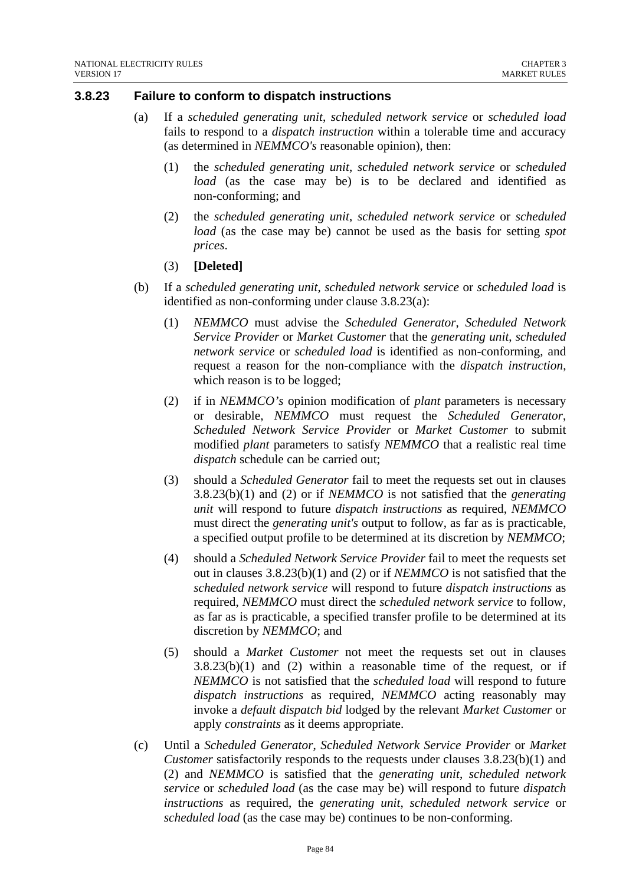#### **3.8.23 Failure to conform to dispatch instructions**

- (a) If a *scheduled generating unit*, *scheduled network service* or *scheduled load* fails to respond to a *dispatch instruction* within a tolerable time and accuracy (as determined in *NEMMCO's* reasonable opinion), then:
	- (1) the *scheduled generating unit*, *scheduled network service* or *scheduled load* (as the case may be) is to be declared and identified as non-conforming; and
	- (2) the *scheduled generating unit*, *scheduled network service* or *scheduled load* (as the case may be) cannot be used as the basis for setting *spot prices*.

#### (3) **[Deleted]**

- (b) If a *scheduled generating unit*, *scheduled network service* or *scheduled load* is identified as non-conforming under clause 3.8.23(a):
	- (1) *NEMMCO* must advise the *Scheduled Generator*, *Scheduled Network Service Provider* or *Market Customer* that the *generating unit*, *scheduled network service* or *scheduled load* is identified as non-conforming, and request a reason for the non-compliance with the *dispatch instruction*, which reason is to be logged;
	- (2) if in *NEMMCO's* opinion modification of *plant* parameters is necessary or desirable, *NEMMCO* must request the *Scheduled Generator*, *Scheduled Network Service Provider* or *Market Customer* to submit modified *plant* parameters to satisfy *NEMMCO* that a realistic real time *dispatch* schedule can be carried out;
	- (3) should a *Scheduled Generator* fail to meet the requests set out in clauses 3.8.23(b)(1) and (2) or if *NEMMCO* is not satisfied that the *generating unit* will respond to future *dispatch instructions* as required, *NEMMCO*  must direct the *generating unit's* output to follow, as far as is practicable, a specified output profile to be determined at its discretion by *NEMMCO*;
	- (4) should a *Scheduled Network Service Provider* fail to meet the requests set out in clauses 3.8.23(b)(1) and (2) or if *NEMMCO* is not satisfied that the *scheduled network service* will respond to future *dispatch instructions* as required, *NEMMCO* must direct the *scheduled network service* to follow, as far as is practicable, a specified transfer profile to be determined at its discretion by *NEMMCO*; and
	- (5) should a *Market Customer* not meet the requests set out in clauses  $3.8.23(b)(1)$  and (2) within a reasonable time of the request, or if *NEMMCO* is not satisfied that the *scheduled load* will respond to future *dispatch instructions* as required, *NEMMCO* acting reasonably may invoke a *default dispatch bid* lodged by the relevant *Market Customer* or apply *constraints* as it deems appropriate.
- (c) Until a *Scheduled Generator*, *Scheduled Network Service Provider* or *Market Customer* satisfactorily responds to the requests under clauses 3.8.23(b)(1) and (2) and *NEMMCO* is satisfied that the *generating unit*, *scheduled network service* or *scheduled load* (as the case may be) will respond to future *dispatch instructions* as required, the *generating unit*, *scheduled network service* or *scheduled load* (as the case may be) continues to be non-conforming.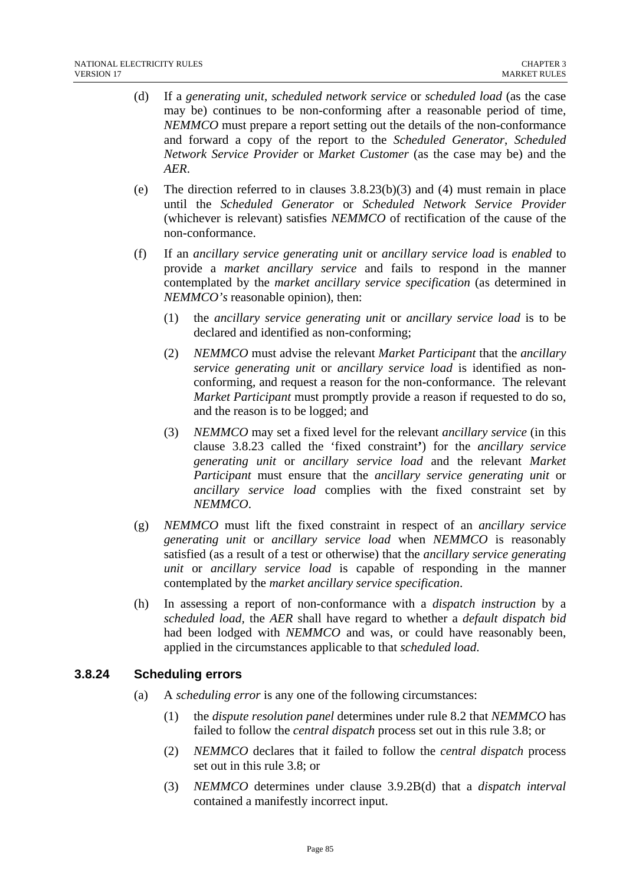- (d) If a *generating unit*, *scheduled network service* or *scheduled load* (as the case may be) continues to be non-conforming after a reasonable period of time, *NEMMCO* must prepare a report setting out the details of the non-conformance and forward a copy of the report to the *Scheduled Generator*, *Scheduled Network Service Provider* or *Market Customer* (as the case may be) and the *AER*.
- (e) The direction referred to in clauses  $3.8.23(b)(3)$  and (4) must remain in place until the *Scheduled Generator* or *Scheduled Network Service Provider*  (whichever is relevant) satisfies *NEMMCO* of rectification of the cause of the non-conformance.
- (f) If an *ancillary service generating unit* or *ancillary service load* is *enabled* to provide a *market ancillary service* and fails to respond in the manner contemplated by the *market ancillary service specification* (as determined in *NEMMCO's* reasonable opinion), then:
	- (1) the *ancillary service generating unit* or *ancillary service load* is to be declared and identified as non-conforming;
	- (2) *NEMMCO* must advise the relevant *Market Participant* that the *ancillary service generating unit* or *ancillary service load* is identified as nonconforming, and request a reason for the non-conformance. The relevant *Market Participant* must promptly provide a reason if requested to do so, and the reason is to be logged; and
	- (3) *NEMMCO* may set a fixed level for the relevant *ancillary service* (in this clause 3.8.23 called the 'fixed constraint**'**) for the *ancillary service generating unit* or *ancillary service load* and the relevant *Market Participant* must ensure that the *ancillary service generating unit* or *ancillary service load* complies with the fixed constraint set by *NEMMCO*.
- (g) *NEMMCO* must lift the fixed constraint in respect of an *ancillary service generating unit* or *ancillary service load* when *NEMMCO* is reasonably satisfied (as a result of a test or otherwise) that the *ancillary service generating unit* or *ancillary service load* is capable of responding in the manner contemplated by the *market ancillary service specification*.
- (h) In assessing a report of non-conformance with a *dispatch instruction* by a *scheduled load,* the *AER* shall have regard to whether a *default dispatch bid* had been lodged with *NEMMCO* and was, or could have reasonably been, applied in the circumstances applicable to that *scheduled load*.

# **3.8.24 Scheduling errors**

- (a) A *scheduling error* is any one of the following circumstances:
	- (1) the *dispute resolution panel* determines under rule 8.2 that *NEMMCO* has failed to follow the *central dispatch* process set out in this rule 3.8; or
	- (2) *NEMMCO* declares that it failed to follow the *central dispatch* process set out in this rule 3.8; or
	- (3) *NEMMCO* determines under clause 3.9.2B(d) that a *dispatch interval* contained a manifestly incorrect input.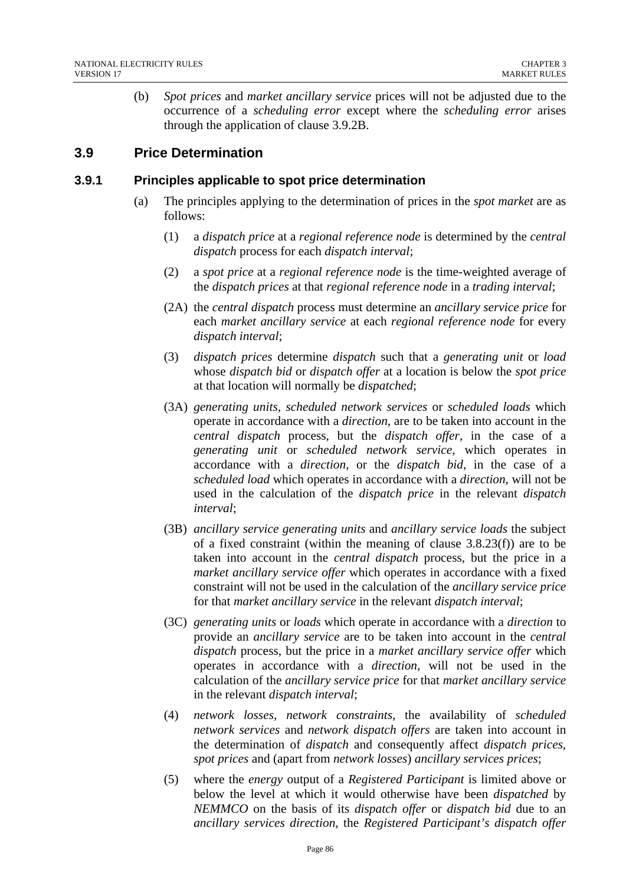(b) *Spot prices* and *market ancillary service* prices will not be adjusted due to the occurrence of a *scheduling error* except where the *scheduling error* arises through the application of clause 3.9.2B.

# **3.9 Price Determination**

#### **3.9.1 Principles applicable to spot price determination**

- (a) The principles applying to the determination of prices in the *spot market* are as follows:
	- (1) a *dispatch price* at a *regional reference node* is determined by the *central dispatch* process for each *dispatch interval*;
	- (2) a *spot price* at a *regional reference node* is the time-weighted average of the *dispatch prices* at that *regional reference node* in a *trading interval*;
	- (2A) the *central dispatch* process must determine an *ancillary service price* for each *market ancillary service* at each *regional reference node* for every *dispatch interval*;
	- (3) *dispatch prices* determine *dispatch* such that a *generating unit* or *load* whose *dispatch bid* or *dispatch offer* at a location is below the *spot price* at that location will normally be *dispatched*;
	- (3A) *generating units*, *scheduled network services* or *scheduled loads* which operate in accordance with a *direction*, are to be taken into account in the *central dispatch* process, but the *dispatch offer*, in the case of a *generating unit* or *scheduled network service*, which operates in accordance with a *direction*, or the *dispatch bid*, in the case of a *scheduled load* which operates in accordance with a *direction*, will not be used in the calculation of the *dispatch price* in the relevant *dispatch interval*;
	- (3B) *ancillary service generating units* and *ancillary service loads* the subject of a fixed constraint (within the meaning of clause 3.8.23(f)) are to be taken into account in the *central dispatch* process, but the price in a *market ancillary service offer* which operates in accordance with a fixed constraint will not be used in the calculation of the *ancillary service price*  for that *market ancillary service* in the relevant *dispatch interval*;
	- (3C) *generating units* or *loads* which operate in accordance with a *direction* to provide an *ancillary service* are to be taken into account in the *central dispatch* process, but the price in a *market ancillary service offer* which operates in accordance with a *direction*, will not be used in the calculation of the *ancillary service price* for that *market ancillary service* in the relevant *dispatch interval*;
	- (4) *network losses*, *network constraints*, the availability of *scheduled network services* and *network dispatch offers* are taken into account in the determination of *dispatch* and consequently affect *dispatch prices*, *spot prices* and (apart from *network losses*) *ancillary services prices*;
	- (5) where the *energy* output of a *Registered Participant* is limited above or below the level at which it would otherwise have been *dispatched* by *NEMMCO* on the basis of its *dispatch offer* or *dispatch bid* due to an *ancillary services direction*, the *Registered Participant's dispatch offer*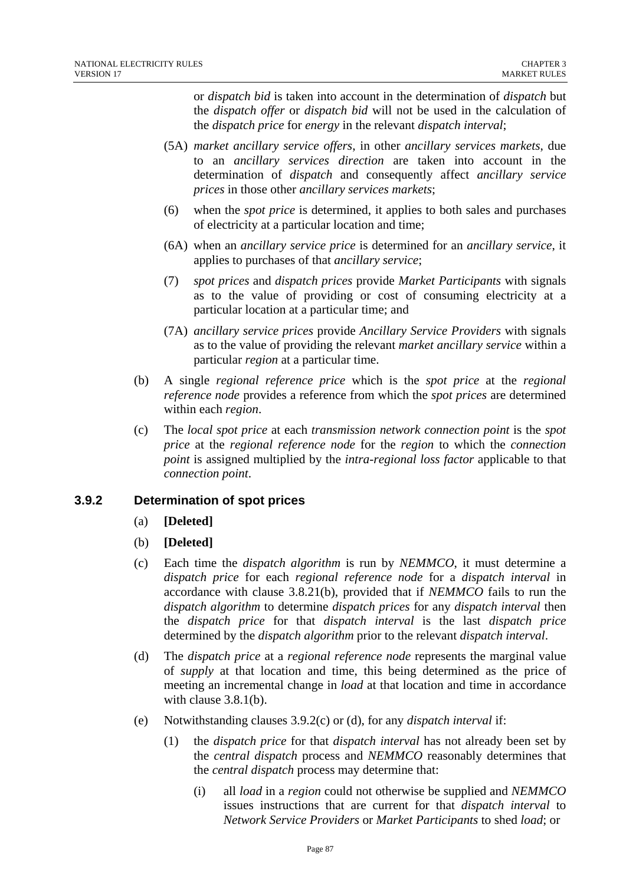or *dispatch bid* is taken into account in the determination of *dispatch* but the *dispatch offer* or *dispatch bid* will not be used in the calculation of the *dispatch price* for *energy* in the relevant *dispatch interval*;

- (5A) *market ancillary service offers*, in other *ancillary services markets*, due to an *ancillary services direction* are taken into account in the determination of *dispatch* and consequently affect *ancillary service prices* in those other *ancillary services markets*;
- (6) when the *spot price* is determined, it applies to both sales and purchases of electricity at a particular location and time;
- (6A) when an *ancillary service price* is determined for an *ancillary service*, it applies to purchases of that *ancillary service*;
- (7) *spot prices* and *dispatch prices* provide *Market Participants* with signals as to the value of providing or cost of consuming electricity at a particular location at a particular time; and
- (7A) *ancillary service prices* provide *Ancillary Service Providers* with signals as to the value of providing the relevant *market ancillary service* within a particular *region* at a particular time.
- (b) A single *regional reference price* which is the *spot price* at the *regional reference node* provides a reference from which the *spot prices* are determined within each *region*.
- (c) The *local spot price* at each *transmission network connection point* is the *spot price* at the *regional reference node* for the *region* to which the *connection point* is assigned multiplied by the *intra-regional loss factor* applicable to that *connection point*.

# **3.9.2 Determination of spot prices**

- (a) **[Deleted]**
- (b) **[Deleted]**
- (c) Each time the *dispatch algorithm* is run by *NEMMCO*, it must determine a *dispatch price* for each *regional reference node* for a *dispatch interval* in accordance with clause 3.8.21(b), provided that if *NEMMCO* fails to run the *dispatch algorithm* to determine *dispatch prices* for any *dispatch interval* then the *dispatch price* for that *dispatch interval* is the last *dispatch price* determined by the *dispatch algorithm* prior to the relevant *dispatch interval*.
- (d) The *dispatch price* at a *regional reference node* represents the marginal value of *supply* at that location and time, this being determined as the price of meeting an incremental change in *load* at that location and time in accordance with clause 3.8.1(b).
- (e) Notwithstanding clauses 3.9.2(c) or (d), for any *dispatch interval* if:
	- (1) the *dispatch price* for that *dispatch interval* has not already been set by the *central dispatch* process and *NEMMCO* reasonably determines that the *central dispatch* process may determine that:
		- (i) all *load* in a *region* could not otherwise be supplied and *NEMMCO* issues instructions that are current for that *dispatch interval* to *Network Service Providers* or *Market Participants* to shed *load*; or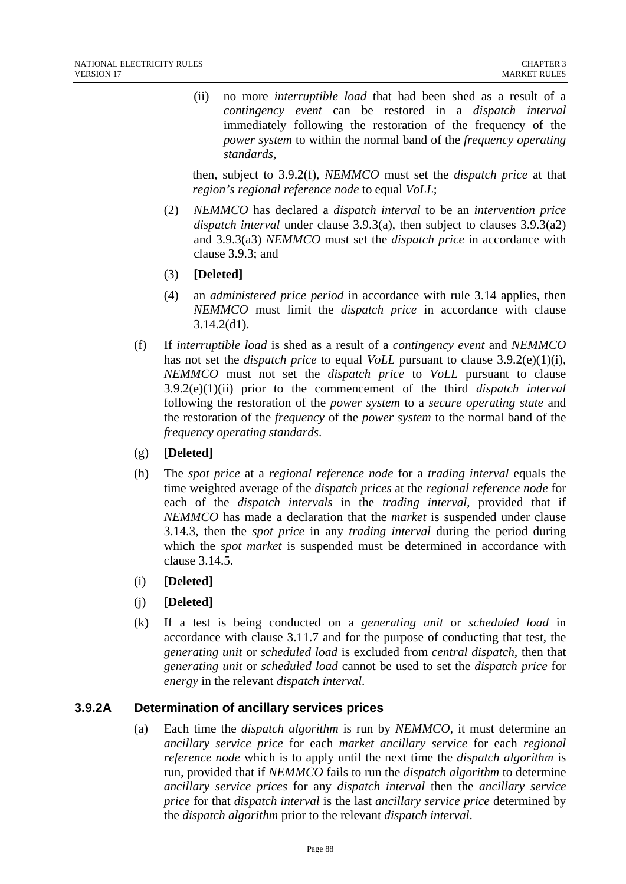(ii) no more *interruptible load* that had been shed as a result of a *contingency event* can be restored in a *dispatch interval* immediately following the restoration of the frequency of the *power system* to within the normal band of the *frequency operating standards,*

then, subject to 3.9.2(f), *NEMMCO* must set the *dispatch price* at that *region's regional reference node* to equal *VoLL*;

- (2) *NEMMCO* has declared a *dispatch interval* to be an *intervention price dispatch interval* under clause 3.9.3(a), then subject to clauses 3.9.3(a2) and 3.9.3(a3) *NEMMCO* must set the *dispatch price* in accordance with clause 3.9.3; and
- (3) **[Deleted]**
- (4) an *administered price period* in accordance with rule 3.14 applies, then *NEMMCO* must limit the *dispatch price* in accordance with clause 3.14.2(d1).
- (f) If *interruptible load* is shed as a result of a *contingency event* and *NEMMCO* has not set the *dispatch price* to equal *VoLL* pursuant to clause 3.9.2(e)(1)(i), *NEMMCO* must not set the *dispatch price* to *VoLL* pursuant to clause 3.9.2(e)(1)(ii) prior to the commencement of the third *dispatch interval* following the restoration of the *power system* to a *secure operating state* and the restoration of the *frequency* of the *power system* to the normal band of the *frequency operating standards*.
- (g) **[Deleted]**
- (h) The *spot price* at a *regional reference node* for a *trading interval* equals the time weighted average of the *dispatch prices* at the *regional reference node* for each of the *dispatch intervals* in the *trading interval*, provided that if *NEMMCO* has made a declaration that the *market* is suspended under clause 3.14.3, then the *spot price* in any *trading interval* during the period during which the *spot market* is suspended must be determined in accordance with clause 3.14.5.
- (i) **[Deleted]**
- (j) **[Deleted]**
- (k) If a test is being conducted on a *generating unit* or *scheduled load* in accordance with clause 3.11.7 and for the purpose of conducting that test, the *generating unit* or *scheduled load* is excluded from *central dispatch*, then that *generating unit* or *scheduled load* cannot be used to set the *dispatch price* for *energy* in the relevant *dispatch interval*.

# **3.9.2A Determination of ancillary services prices**

(a) Each time the *dispatch algorithm* is run by *NEMMCO*, it must determine an *ancillary service price* for each *market ancillary service* for each *regional reference node* which is to apply until the next time the *dispatch algorithm* is run, provided that if *NEMMCO* fails to run the *dispatch algorithm* to determine *ancillary service prices* for any *dispatch interval* then the *ancillary service price* for that *dispatch interval* is the last *ancillary service price* determined by the *dispatch algorithm* prior to the relevant *dispatch interval*.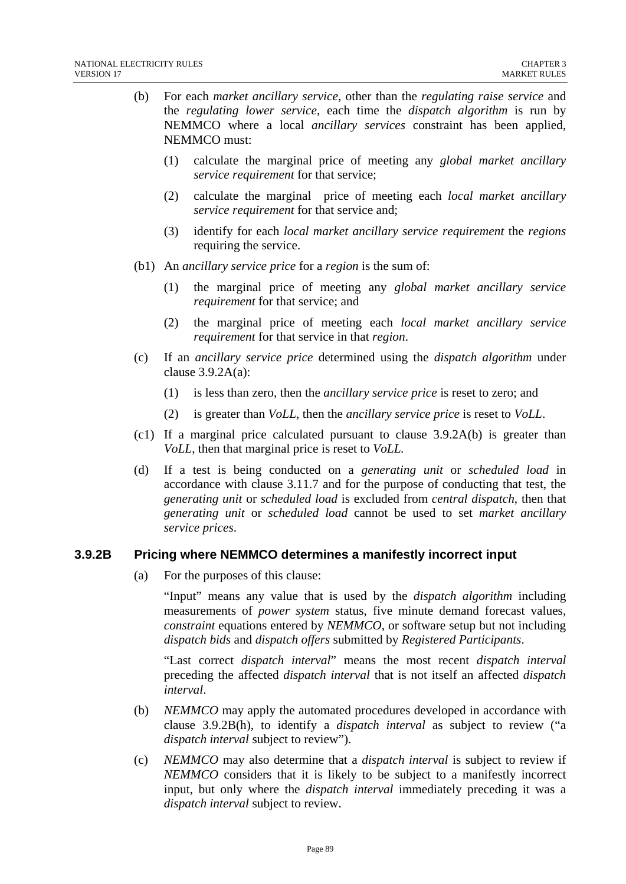- (b) For each *market ancillary service*, other than the *regulating raise service* and the *regulating lower service*, each time the *dispatch algorithm* is run by NEMMCO where a local *ancillary services* constraint has been applied, NEMMCO must:
	- (1) calculate the marginal price of meeting any *global market ancillary service requirement* for that service;
	- (2) calculate the marginal price of meeting each *local market ancillary service requirement* for that service and;
	- (3) identify for each *local market ancillary service requirement* the *regions* requiring the service.
- (b1) An *ancillary service price* for a *region* is the sum of:
	- (1) the marginal price of meeting any *global market ancillary service requirement* for that service; and
	- (2) the marginal price of meeting each *local market ancillary service requirement* for that service in that *region*.
- (c) If an *ancillary service price* determined using the *dispatch algorithm* under clause 3.9.2A(a):
	- (1) is less than zero, then the *ancillary service price* is reset to zero; and
	- (2) is greater than *VoLL*, then the *ancillary service price* is reset to *VoLL*.
- (c1) If a marginal price calculated pursuant to clause 3.9.2A(b) is greater than *VoLL*, then that marginal price is reset to *VoLL.*
- (d) If a test is being conducted on a *generating unit* or *scheduled load* in accordance with clause 3.11.7 and for the purpose of conducting that test, the *generating unit* or *scheduled load* is excluded from *central dispatch*, then that *generating unit* or *scheduled load* cannot be used to set *market ancillary service prices*.

# **3.9.2B Pricing where NEMMCO determines a manifestly incorrect input**

(a) For the purposes of this clause:

"Input" means any value that is used by the *dispatch algorithm* including measurements of *power system* status, five minute demand forecast values, *constraint* equations entered by *NEMMCO*, or software setup but not including *dispatch bids* and *dispatch offers* submitted by *Registered Participants*.

"Last correct *dispatch interval*" means the most recent *dispatch interval* preceding the affected *dispatch interval* that is not itself an affected *dispatch interval*.

- (b) *NEMMCO* may apply the automated procedures developed in accordance with clause 3.9.2B(h), to identify a *dispatch interval* as subject to review ("a *dispatch interval* subject to review").
- (c) *NEMMCO* may also determine that a *dispatch interval* is subject to review if *NEMMCO* considers that it is likely to be subject to a manifestly incorrect input, but only where the *dispatch interval* immediately preceding it was a *dispatch interval* subject to review.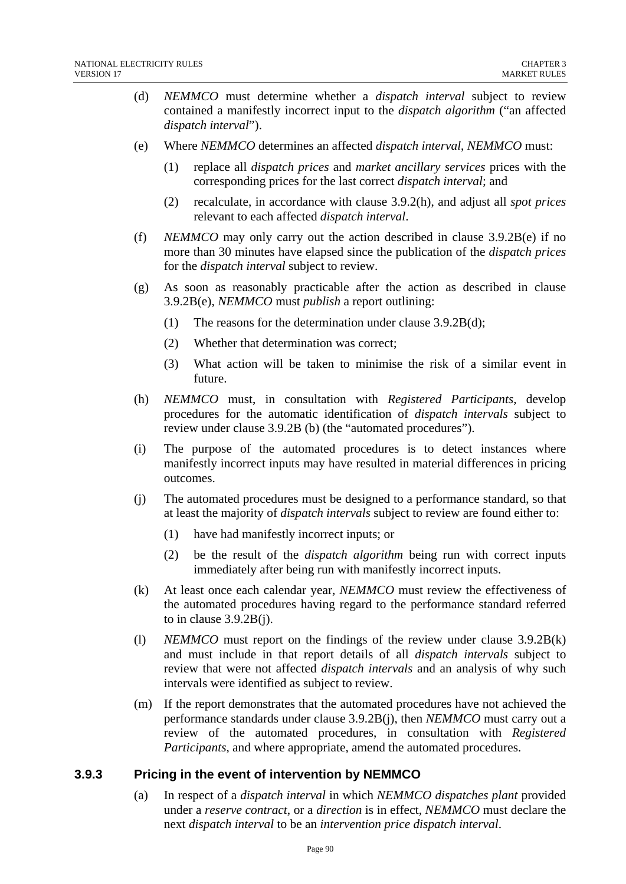- (d) *NEMMCO* must determine whether a *dispatch interval* subject to review contained a manifestly incorrect input to the *dispatch algorithm* ("an affected *dispatch interval*").
- (e) Where *NEMMCO* determines an affected *dispatch interval*, *NEMMCO* must:
	- (1) replace all *dispatch prices* and *market ancillary services* prices with the corresponding prices for the last correct *dispatch interval*; and
	- (2) recalculate, in accordance with clause 3.9.2(h), and adjust all *spot prices* relevant to each affected *dispatch interval*.
- (f) *NEMMCO* may only carry out the action described in clause 3.9.2B(e) if no more than 30 minutes have elapsed since the publication of the *dispatch prices* for the *dispatch interval* subject to review.
- (g) As soon as reasonably practicable after the action as described in clause 3.9.2B(e), *NEMMCO* must *publish* a report outlining:
	- (1) The reasons for the determination under clause 3.9.2B(d);
	- (2) Whether that determination was correct;
	- (3) What action will be taken to minimise the risk of a similar event in future.
- (h) *NEMMCO* must, in consultation with *Registered Participants*, develop procedures for the automatic identification of *dispatch intervals* subject to review under clause 3.9.2B (b) (the "automated procedures").
- (i) The purpose of the automated procedures is to detect instances where manifestly incorrect inputs may have resulted in material differences in pricing outcomes.
- (j) The automated procedures must be designed to a performance standard, so that at least the majority of *dispatch intervals* subject to review are found either to:
	- (1) have had manifestly incorrect inputs; or
	- (2) be the result of the *dispatch algorithm* being run with correct inputs immediately after being run with manifestly incorrect inputs.
- (k) At least once each calendar year, *NEMMCO* must review the effectiveness of the automated procedures having regard to the performance standard referred to in clause 3.9.2B(j).
- (l) *NEMMCO* must report on the findings of the review under clause 3.9.2B(k) and must include in that report details of all *dispatch intervals* subject to review that were not affected *dispatch intervals* and an analysis of why such intervals were identified as subject to review.
- (m) If the report demonstrates that the automated procedures have not achieved the performance standards under clause 3.9.2B(j), then *NEMMCO* must carry out a review of the automated procedures, in consultation with *Registered Participants*, and where appropriate, amend the automated procedures.

#### **3.9.3 Pricing in the event of intervention by NEMMCO**

(a) In respect of a *dispatch interval* in which *NEMMCO dispatches plant* provided under a *reserve contract*, or a *direction* is in effect, *NEMMCO* must declare the next *dispatch interval* to be an *intervention price dispatch interval*.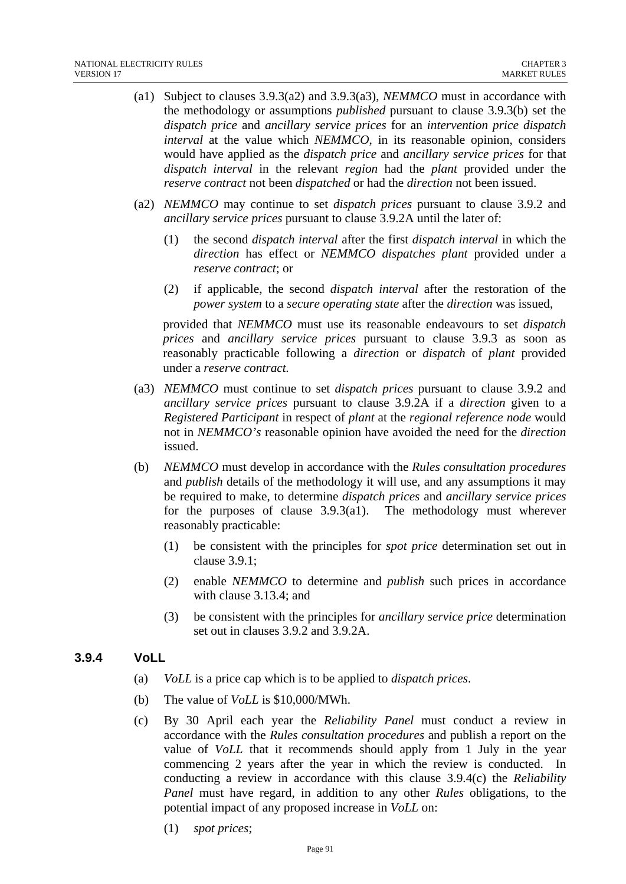- (a1) Subject to clauses 3.9.3(a2) and 3.9.3(a3), *NEMMCO* must in accordance with the methodology or assumptions *published* pursuant to clause 3.9.3(b) set the *dispatch price* and *ancillary service prices* for an *intervention price dispatch interval* at the value which *NEMMCO*, in its reasonable opinion, considers would have applied as the *dispatch price* and *ancillary service prices* for that *dispatch interval* in the relevant *region* had the *plant* provided under the *reserve contract* not been *dispatched* or had the *direction* not been issued.
- (a2) *NEMMCO* may continue to set *dispatch prices* pursuant to clause 3.9.2 and *ancillary service prices* pursuant to clause 3.9.2A until the later of:
	- (1) the second *dispatch interval* after the first *dispatch interval* in which the *direction* has effect or *NEMMCO dispatches plant* provided under a *reserve contract*; or
	- (2) if applicable, the second *dispatch interval* after the restoration of the *power system* to a *secure operating state* after the *direction* was issued,

provided that *NEMMCO* must use its reasonable endeavours to set *dispatch prices* and *ancillary service prices* pursuant to clause 3.9.3 as soon as reasonably practicable following a *direction* or *dispatch* of *plant* provided under a *reserve contract.* 

- (a3) *NEMMCO* must continue to set *dispatch prices* pursuant to clause 3.9.2 and *ancillary service prices* pursuant to clause 3.9.2A if a *direction* given to a *Registered Participant* in respect of *plant* at the *regional reference node* would not in *NEMMCO's* reasonable opinion have avoided the need for the *direction*  issued.
- (b) *NEMMCO* must develop in accordance with the *Rules consultation procedures* and *publish* details of the methodology it will use, and any assumptions it may be required to make, to determine *dispatch prices* and *ancillary service prices* for the purposes of clause 3.9.3(a1). The methodology must wherever reasonably practicable:
	- (1) be consistent with the principles for *spot price* determination set out in clause 3.9.1;
	- (2) enable *NEMMCO* to determine and *publish* such prices in accordance with clause 3.13.4; and
	- (3) be consistent with the principles for *ancillary service price* determination set out in clauses 3.9.2 and 3.9.2A.

# **3.9.4 VoLL**

- (a) *VoLL* is a price cap which is to be applied to *dispatch prices*.
- (b) The value of *VoLL* is \$10,000/MWh.
- (c) By 30 April each year the *Reliability Panel* must conduct a review in accordance with the *Rules consultation procedures* and publish a report on the value of *VoLL* that it recommends should apply from 1 July in the year commencing 2 years after the year in which the review is conducted. In conducting a review in accordance with this clause 3.9.4(c) the *Reliability Panel* must have regard, in addition to any other *Rules* obligations, to the potential impact of any proposed increase in *VoLL* on:
	- (1) *spot prices*;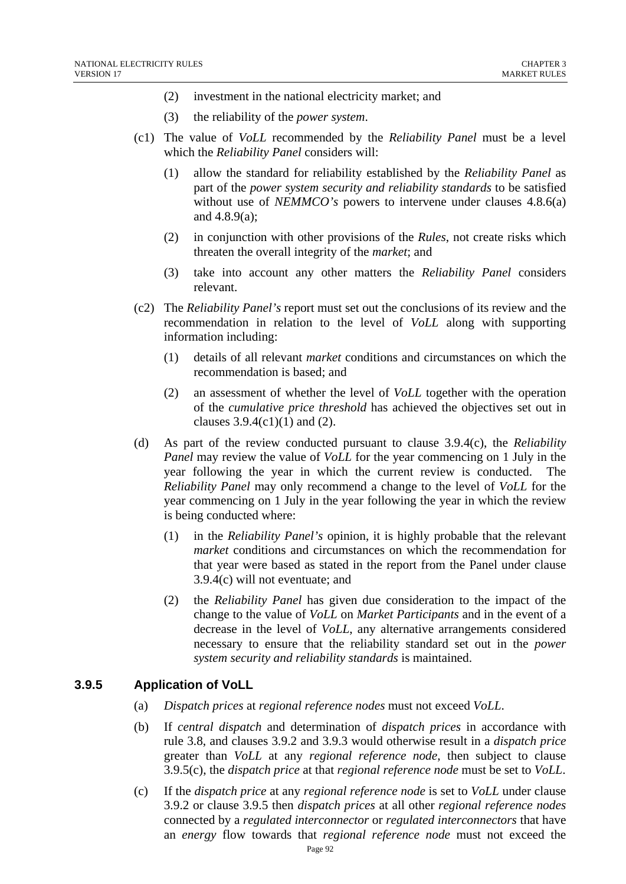- (2) investment in the national electricity market; and
- (3) the reliability of the *power system*.
- (c1) The value of *VoLL* recommended by the *Reliability Panel* must be a level which the *Reliability Panel* considers will:
	- (1) allow the standard for reliability established by the *Reliability Panel* as part of the *power system security and reliability standards* to be satisfied without use of *NEMMCO*'s powers to intervene under clauses 4.8.6(a) and 4.8.9(a);
	- (2) in conjunction with other provisions of the *Rules*, not create risks which threaten the overall integrity of the *market*; and
	- (3) take into account any other matters the *Reliability Panel* considers relevant.
- (c2) The *Reliability Panel's* report must set out the conclusions of its review and the recommendation in relation to the level of *VoLL* along with supporting information including:
	- (1) details of all relevant *market* conditions and circumstances on which the recommendation is based; and
	- (2) an assessment of whether the level of *VoLL* together with the operation of the *cumulative price threshold* has achieved the objectives set out in clauses  $3.9.4(c1)(1)$  and  $(2)$ .
- (d) As part of the review conducted pursuant to clause 3.9.4(c), the *Reliability Panel* may review the value of *VoLL* for the year commencing on 1 July in the year following the year in which the current review is conducted. The *Reliability Panel* may only recommend a change to the level of *VoLL* for the year commencing on 1 July in the year following the year in which the review is being conducted where:
	- (1) in the *Reliability Panel's* opinion, it is highly probable that the relevant *market* conditions and circumstances on which the recommendation for that year were based as stated in the report from the Panel under clause 3.9.4(c) will not eventuate; and
	- (2) the *Reliability Panel* has given due consideration to the impact of the change to the value of *VoLL* on *Market Participants* and in the event of a decrease in the level of *VoLL*, any alternative arrangements considered necessary to ensure that the reliability standard set out in the *power system security and reliability standards* is maintained.

# **3.9.5 Application of VoLL**

- (a) *Dispatch prices* at *regional reference nodes* must not exceed *VoLL*.
- (b) If *central dispatch* and determination of *dispatch prices* in accordance with rule 3.8, and clauses 3.9.2 and 3.9.3 would otherwise result in a *dispatch price* greater than *VoLL* at any *regional reference node*, then subject to clause 3.9.5(c), the *dispatch price* at that *regional reference node* must be set to *VoLL*.
- (c) If the *dispatch price* at any *regional reference node* is set to *VoLL* under clause 3.9.2 or clause 3.9.5 then *dispatch prices* at all other *regional reference nodes*  connected by a *regulated interconnector* or *regulated interconnectors* that have an *energy* flow towards that *regional reference node* must not exceed the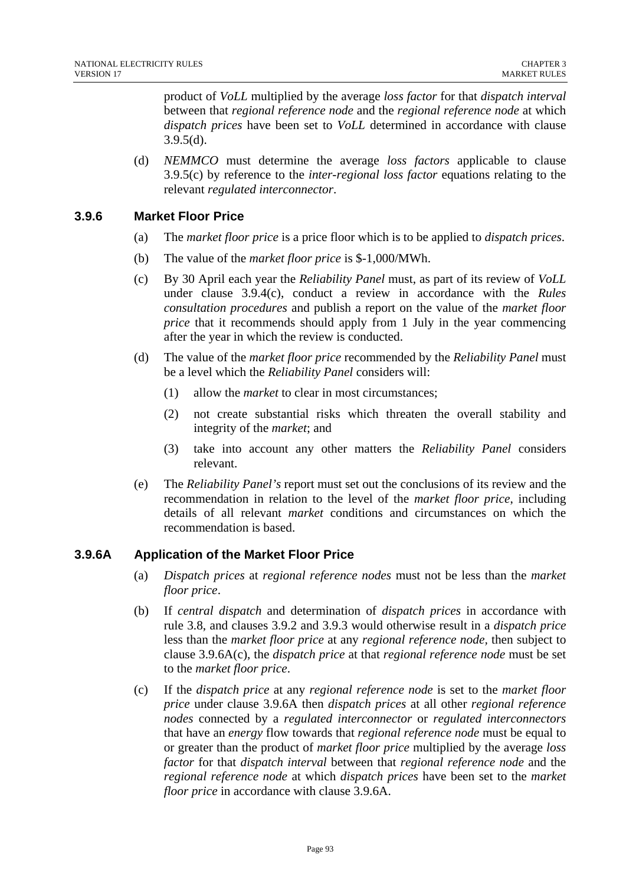product of *VoLL* multiplied by the average *loss factor* for that *dispatch interval*  between that *regional reference node* and the *regional reference node* at which *dispatch prices* have been set to *VoLL* determined in accordance with clause 3.9.5(d).

(d) *NEMMCO* must determine the average *loss factors* applicable to clause 3.9.5(c) by reference to the *inter-regional loss factor* equations relating to the relevant *regulated interconnector*.

#### **3.9.6 Market Floor Price**

- (a) The *market floor price* is a price floor which is to be applied to *dispatch prices*.
- (b) The value of the *market floor price* is \$-1,000/MWh.
- (c) By 30 April each year the *Reliability Panel* must, as part of its review of *VoLL* under clause 3.9.4(c), conduct a review in accordance with the *Rules consultation procedures* and publish a report on the value of the *market floor price* that it recommends should apply from 1 July in the year commencing after the year in which the review is conducted.
- (d) The value of the *market floor price* recommended by the *Reliability Panel* must be a level which the *Reliability Panel* considers will:
	- (1) allow the *market* to clear in most circumstances;
	- (2) not create substantial risks which threaten the overall stability and integrity of the *market*; and
	- (3) take into account any other matters the *Reliability Panel* considers relevant.
- (e) The *Reliability Panel's* report must set out the conclusions of its review and the recommendation in relation to the level of the *market floor price*, including details of all relevant *market* conditions and circumstances on which the recommendation is based.

# **3.9.6A Application of the Market Floor Price**

- (a) *Dispatch prices* at *regional reference nodes* must not be less than the *market floor price*.
- (b) If *central dispatch* and determination of *dispatch prices* in accordance with rule 3.8, and clauses 3.9.2 and 3.9.3 would otherwise result in a *dispatch price* less than the *market floor price* at any *regional reference node,* then subject to clause 3.9.6A(c), the *dispatch price* at that *regional reference node* must be set to the *market floor price*.
- (c) If the *dispatch price* at any *regional reference node* is set to the *market floor price* under clause 3.9.6A then *dispatch prices* at all other *regional reference nodes* connected by a *regulated interconnector* or *regulated interconnectors*  that have an *energy* flow towards that *regional reference node* must be equal to or greater than the product of *market floor price* multiplied by the average *loss factor* for that *dispatch interval* between that *regional reference node* and the *regional reference node* at which *dispatch prices* have been set to the *market floor price* in accordance with clause 3.9.6A.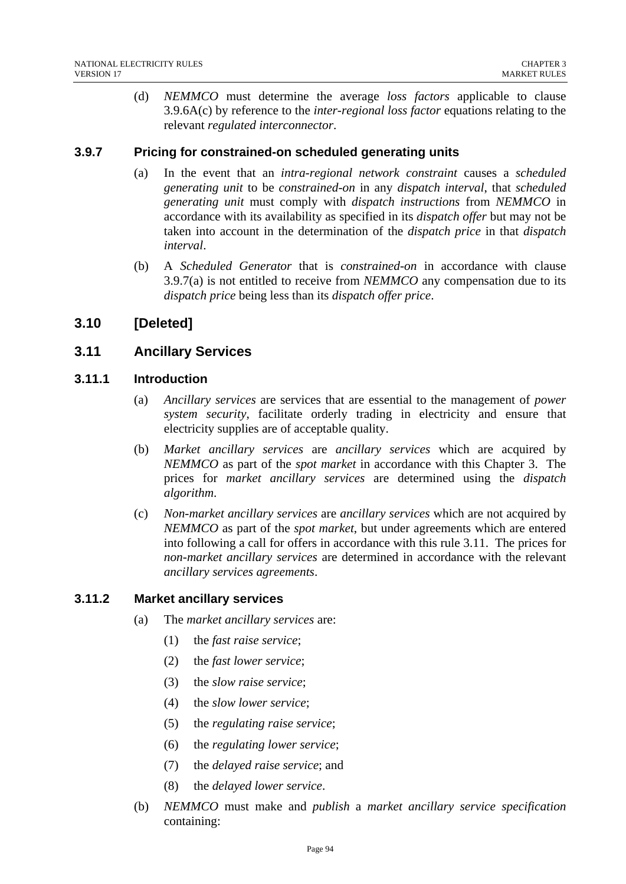(d) *NEMMCO* must determine the average *loss factors* applicable to clause 3.9.6A(c) by reference to the *inter-regional loss factor* equations relating to the relevant *regulated interconnector*.

#### **3.9.7 Pricing for constrained-on scheduled generating units**

- (a) In the event that an *intra-regional network constraint* causes a *scheduled generating unit* to be *constrained-on* in any *dispatch interval*, that *scheduled generating unit* must comply with *dispatch instructions* from *NEMMCO* in accordance with its availability as specified in its *dispatch offer* but may not be taken into account in the determination of the *dispatch price* in that *dispatch interval*.
- (b) A *Scheduled Generator* that is *constrained-on* in accordance with clause 3.9.7(a) is not entitled to receive from *NEMMCO* any compensation due to its *dispatch price* being less than its *dispatch offer price*.

# **3.10 [Deleted]**

# **3.11 Ancillary Services**

#### **3.11.1 Introduction**

- (a) *Ancillary services* are services that are essential to the management of *power system security*, facilitate orderly trading in electricity and ensure that electricity supplies are of acceptable quality.
- (b) *Market ancillary services* are *ancillary services* which are acquired by *NEMMCO* as part of the *spot market* in accordance with this Chapter 3. The prices for *market ancillary services* are determined using the *dispatch algorithm*.
- (c) *Non-market ancillary services* are *ancillary services* which are not acquired by *NEMMCO* as part of the *spot market*, but under agreements which are entered into following a call for offers in accordance with this rule 3.11. The prices for *non-market ancillary services* are determined in accordance with the relevant *ancillary services agreements*.

#### **3.11.2 Market ancillary services**

- (a) The *market ancillary services* are:
	- (1) the *fast raise service*;
	- (2) the *fast lower service*;
	- (3) the *slow raise service*;
	- (4) the *slow lower service*;
	- (5) the *regulating raise service*;
	- (6) the *regulating lower service*;
	- (7) the *delayed raise service*; and
	- (8) the *delayed lower service*.
- (b) *NEMMCO* must make and *publish* a *market ancillary service specification* containing: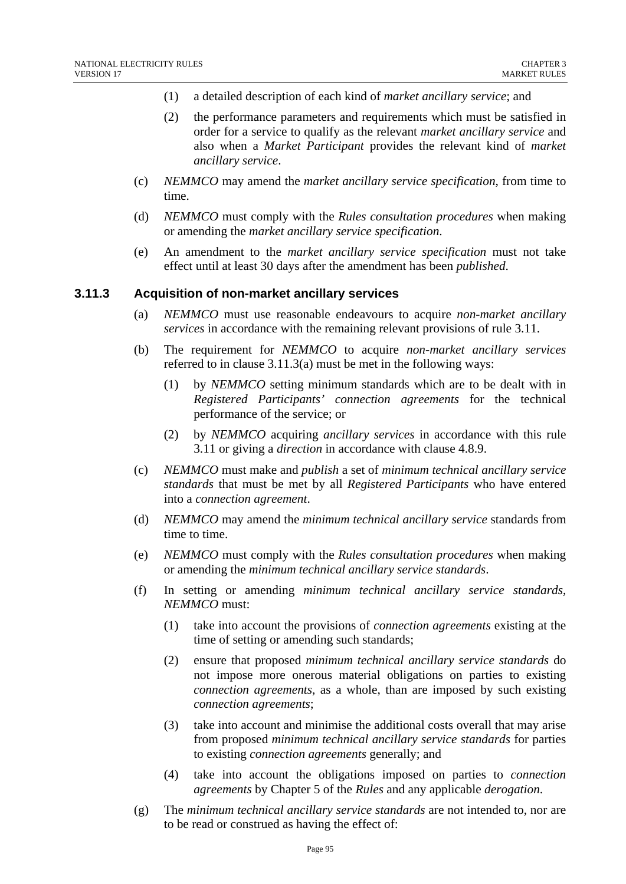- (1) a detailed description of each kind of *market ancillary service*; and
- (2) the performance parameters and requirements which must be satisfied in order for a service to qualify as the relevant *market ancillary service* and also when a *Market Participant* provides the relevant kind of *market ancillary service*.
- (c) *NEMMCO* may amend the *market ancillary service specification*, from time to time.
- (d) *NEMMCO* must comply with the *Rules consultation procedures* when making or amending the *market ancillary service specification*.
- (e) An amendment to the *market ancillary service specification* must not take effect until at least 30 days after the amendment has been *published*.

#### **3.11.3 Acquisition of non-market ancillary services**

- (a) *NEMMCO* must use reasonable endeavours to acquire *non-market ancillary services* in accordance with the remaining relevant provisions of rule 3.11.
- (b) The requirement for *NEMMCO* to acquire *non-market ancillary services* referred to in clause 3.11.3(a) must be met in the following ways:
	- (1) by *NEMMCO* setting minimum standards which are to be dealt with in *Registered Participants' connection agreements* for the technical performance of the service; or
	- (2) by *NEMMCO* acquiring *ancillary services* in accordance with this rule 3.11 or giving a *direction* in accordance with clause 4.8.9.
- (c) *NEMMCO* must make and *publish* a set of *minimum technical ancillary service standards* that must be met by all *Registered Participants* who have entered into a *connection agreement*.
- (d) *NEMMCO* may amend the *minimum technical ancillary service* standards from time to time.
- (e) *NEMMCO* must comply with the *Rules consultation procedures* when making or amending the *minimum technical ancillary service standards*.
- (f) In setting or amending *minimum technical ancillary service standards*, *NEMMCO* must:
	- (1) take into account the provisions of *connection agreements* existing at the time of setting or amending such standards;
	- (2) ensure that proposed *minimum technical ancillary service standards* do not impose more onerous material obligations on parties to existing *connection agreements*, as a whole, than are imposed by such existing *connection agreements*;
	- (3) take into account and minimise the additional costs overall that may arise from proposed *minimum technical ancillary service standards* for parties to existing *connection agreements* generally; and
	- (4) take into account the obligations imposed on parties to *connection agreements* by Chapter 5 of the *Rules* and any applicable *derogation*.
- (g) The *minimum technical ancillary service standards* are not intended to, nor are to be read or construed as having the effect of: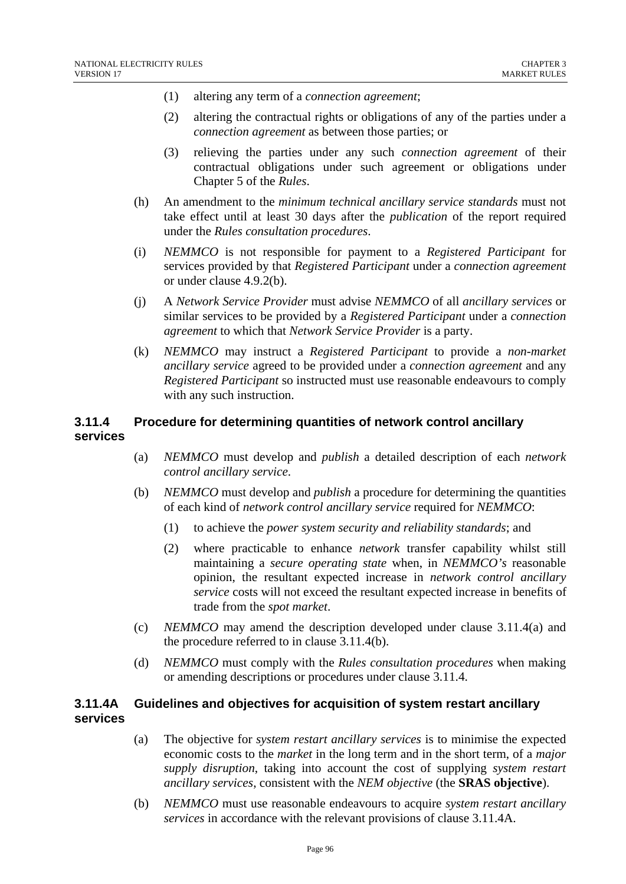- (1) altering any term of a *connection agreement*;
- (2) altering the contractual rights or obligations of any of the parties under a *connection agreement* as between those parties; or
- (3) relieving the parties under any such *connection agreement* of their contractual obligations under such agreement or obligations under Chapter 5 of the *Rules*.
- (h) An amendment to the *minimum technical ancillary service standards* must not take effect until at least 30 days after the *publication* of the report required under the *Rules consultation procedures*.
- (i) *NEMMCO* is not responsible for payment to a *Registered Participant* for services provided by that *Registered Participant* under a *connection agreement* or under clause 4.9.2(b).
- (j) A *Network Service Provider* must advise *NEMMCO* of all *ancillary services* or similar services to be provided by a *Registered Participant* under a *connection agreement* to which that *Network Service Provider* is a party.
- (k) *NEMMCO* may instruct a *Registered Participant* to provide a *non-market ancillary service* agreed to be provided under a *connection agreement* and any *Registered Participant* so instructed must use reasonable endeavours to comply with any such instruction.

# **3.11.4 Procedure for determining quantities of network control ancillary services**

- (a) *NEMMCO* must develop and *publish* a detailed description of each *network control ancillary service*.
- (b) *NEMMCO* must develop and *publish* a procedure for determining the quantities of each kind of *network control ancillary service* required for *NEMMCO*:
	- (1) to achieve the *power system security and reliability standards*; and
	- (2) where practicable to enhance *network* transfer capability whilst still maintaining a *secure operating state* when, in *NEMMCO's* reasonable opinion, the resultant expected increase in *network control ancillary service* costs will not exceed the resultant expected increase in benefits of trade from the *spot market*.
- (c) *NEMMCO* may amend the description developed under clause 3.11.4(a) and the procedure referred to in clause 3.11.4(b).
- (d) *NEMMCO* must comply with the *Rules consultation procedures* when making or amending descriptions or procedures under clause 3.11.4.

#### **3.11.4A Guidelines and objectives for acquisition of system restart ancillary services**

- (a) The objective for *system restart ancillary services* is to minimise the expected economic costs to the *market* in the long term and in the short term, of a *major supply disruption*, taking into account the cost of supplying *system restart ancillary services*, consistent with the *NEM objective* (the **SRAS objective**).
- (b) *NEMMCO* must use reasonable endeavours to acquire *system restart ancillary services* in accordance with the relevant provisions of clause 3.11.4A.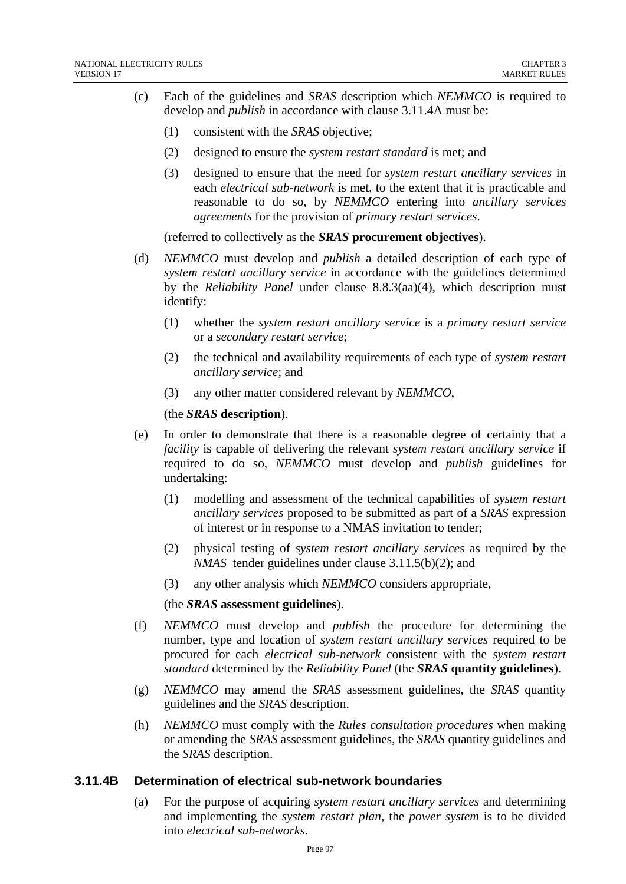- (c) Each of the guidelines and *SRAS* description which *NEMMCO* is required to develop and *publish* in accordance with clause 3.11.4A must be:
	- (1) consistent with the *SRAS* objective;
	- (2) designed to ensure the *system restart standard* is met; and
	- (3) designed to ensure that the need for *system restart ancillary services* in each *electrical sub-network* is met, to the extent that it is practicable and reasonable to do so, by *NEMMCO* entering into *ancillary services agreements* for the provision of *primary restart services*.

(referred to collectively as the *SRAS* **procurement objectives**).

- (d) *NEMMCO* must develop and *publish* a detailed description of each type of *system restart ancillary service* in accordance with the guidelines determined by the *Reliability Panel* under clause 8.8.3(aa)(4), which description must identify:
	- (1) whether the *system restart ancillary service* is a *primary restart service* or a *secondary restart service*;
	- (2) the technical and availability requirements of each type of *system restart ancillary service*; and
	- (3) any other matter considered relevant by *NEMMCO*,

#### (the *SRAS* **description**).

- (e) In order to demonstrate that there is a reasonable degree of certainty that a *facility* is capable of delivering the relevant *system restart ancillary service* if required to do so, *NEMMCO* must develop and *publish* guidelines for undertaking:
	- (1) modelling and assessment of the technical capabilities of *system restart ancillary services* proposed to be submitted as part of a *SRAS* expression of interest or in response to a NMAS invitation to tender;
	- (2) physical testing of *system restart ancillary services* as required by the *NMAS* tender guidelines under clause 3.11.5(b)(2); and
	- (3) any other analysis which *NEMMCO* considers appropriate,

#### (the *SRAS* **assessment guidelines**).

- (f) *NEMMCO* must develop and *publish* the procedure for determining the number, type and location of *system restart ancillary services* required to be procured for each *electrical sub-network* consistent with the *system restart standard* determined by the *Reliability Panel* (the *SRAS* **quantity guidelines**).
- (g) *NEMMCO* may amend the *SRAS* assessment guidelines, the *SRAS* quantity guidelines and the *SRAS* description.
- (h) *NEMMCO* must comply with the *Rules consultation procedures* when making or amending the *SRAS* assessment guidelines, the *SRAS* quantity guidelines and the *SRAS* description.

#### **3.11.4B Determination of electrical sub-network boundaries**

(a) For the purpose of acquiring *system restart ancillary services* and determining and implementing the *system restart plan*, the *power system* is to be divided into *electrical sub-networks*.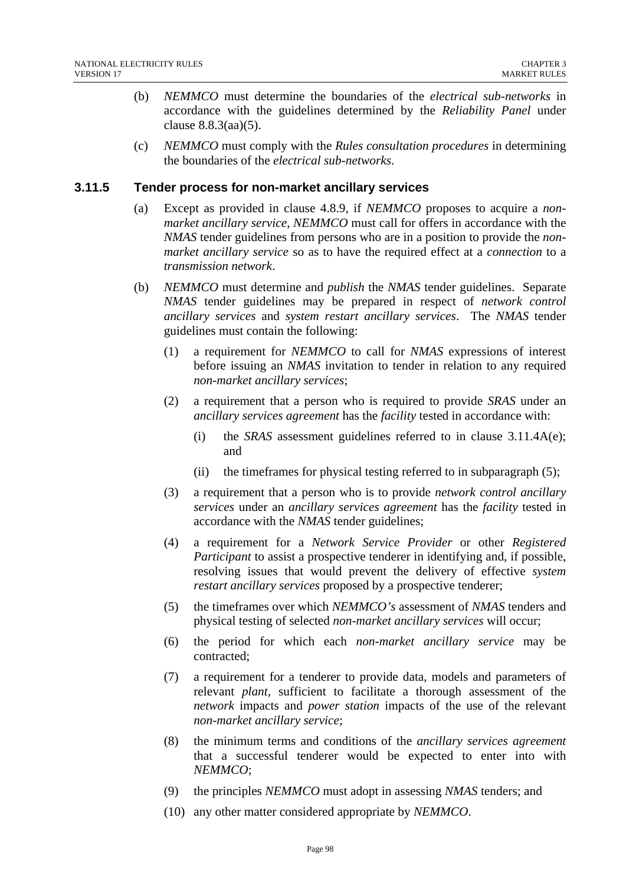- (b) *NEMMCO* must determine the boundaries of the *electrical sub-networks* in accordance with the guidelines determined by the *Reliability Panel* under clause 8.8.3(aa)(5).
- (c) *NEMMCO* must comply with the *Rules consultation procedures* in determining the boundaries of the *electrical sub-networks*.

#### **3.11.5 Tender process for non-market ancillary services**

- (a) Except as provided in clause 4.8.9, if *NEMMCO* proposes to acquire a *nonmarket ancillary service*, *NEMMCO* must call for offers in accordance with the *NMAS* tender guidelines from persons who are in a position to provide the *nonmarket ancillary service* so as to have the required effect at a *connection* to a *transmission network*.
- (b) *NEMMCO* must determine and *publish* the *NMAS* tender guidelines. Separate *NMAS* tender guidelines may be prepared in respect of *network control ancillary services* and *system restart ancillary services*. The *NMAS* tender guidelines must contain the following:
	- (1) a requirement for *NEMMCO* to call for *NMAS* expressions of interest before issuing an *NMAS* invitation to tender in relation to any required *non-market ancillary services*;
	- (2) a requirement that a person who is required to provide *SRAS* under an *ancillary services agreement* has the *facility* tested in accordance with:
		- (i) the *SRAS* assessment guidelines referred to in clause 3.11.4A(e); and
		- (ii) the timeframes for physical testing referred to in subparagraph (5);
	- (3) a requirement that a person who is to provide *network control ancillary services* under an *ancillary services agreement* has the *facility* tested in accordance with the *NMAS* tender guidelines;
	- (4) a requirement for a *Network Service Provider* or other *Registered Participant* to assist a prospective tenderer in identifying and, if possible, resolving issues that would prevent the delivery of effective *system restart ancillary services* proposed by a prospective tenderer;
	- (5) the timeframes over which *NEMMCO's* assessment of *NMAS* tenders and physical testing of selected *non-market ancillary services* will occur;
	- (6) the period for which each *non-market ancillary service* may be contracted;
	- (7) a requirement for a tenderer to provide data, models and parameters of relevant *plant*, sufficient to facilitate a thorough assessment of the *network* impacts and *power station* impacts of the use of the relevant *non-market ancillary service*;
	- (8) the minimum terms and conditions of the *ancillary services agreement* that a successful tenderer would be expected to enter into with *NEMMCO*;
	- (9) the principles *NEMMCO* must adopt in assessing *NMAS* tenders; and
	- (10) any other matter considered appropriate by *NEMMCO*.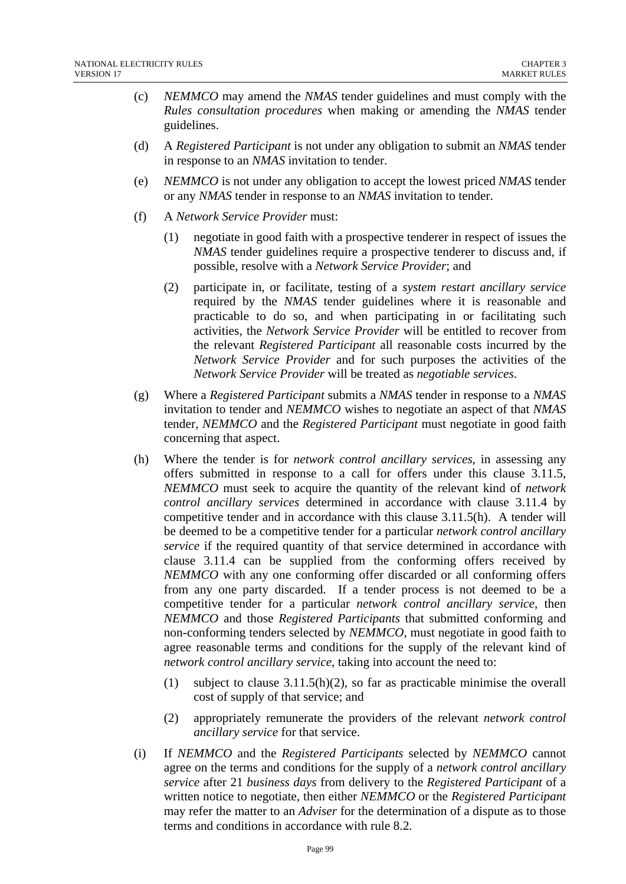- (c) *NEMMCO* may amend the *NMAS* tender guidelines and must comply with the *Rules consultation procedures* when making or amending the *NMAS* tender guidelines.
- (d) A *Registered Participant* is not under any obligation to submit an *NMAS* tender in response to an *NMAS* invitation to tender.
- (e) *NEMMCO* is not under any obligation to accept the lowest priced *NMAS* tender or any *NMAS* tender in response to an *NMAS* invitation to tender.
- (f) A *Network Service Provider* must:
	- (1) negotiate in good faith with a prospective tenderer in respect of issues the *NMAS* tender guidelines require a prospective tenderer to discuss and, if possible, resolve with a *Network Service Provider*; and
	- (2) participate in, or facilitate, testing of a *system restart ancillary service* required by the *NMAS* tender guidelines where it is reasonable and practicable to do so, and when participating in or facilitating such activities, the *Network Service Provider* will be entitled to recover from the relevant *Registered Participant* all reasonable costs incurred by the *Network Service Provider* and for such purposes the activities of the *Network Service Provider* will be treated as *negotiable services*.
- (g) Where a *Registered Participant* submits a *NMAS* tender in response to a *NMAS* invitation to tender and *NEMMCO* wishes to negotiate an aspect of that *NMAS* tender, *NEMMCO* and the *Registered Participant* must negotiate in good faith concerning that aspect.
- (h) Where the tender is for *network control ancillary services*, in assessing any offers submitted in response to a call for offers under this clause 3.11.5, *NEMMCO* must seek to acquire the quantity of the relevant kind of *network control ancillary services* determined in accordance with clause 3.11.4 by competitive tender and in accordance with this clause 3.11.5(h). A tender will be deemed to be a competitive tender for a particular *network control ancillary service* if the required quantity of that service determined in accordance with clause 3.11.4 can be supplied from the conforming offers received by *NEMMCO* with any one conforming offer discarded or all conforming offers from any one party discarded. If a tender process is not deemed to be a competitive tender for a particular *network control ancillary service*, then *NEMMCO* and those *Registered Participants* that submitted conforming and non-conforming tenders selected by *NEMMCO*, must negotiate in good faith to agree reasonable terms and conditions for the supply of the relevant kind of *network control ancillary service*, taking into account the need to:
	- (1) subject to clause 3.11.5(h)(2), so far as practicable minimise the overall cost of supply of that service; and
	- (2) appropriately remunerate the providers of the relevant *network control ancillary service* for that service.
- (i) If *NEMMCO* and the *Registered Participants* selected by *NEMMCO* cannot agree on the terms and conditions for the supply of a *network control ancillary service* after 21 *business days* from delivery to the *Registered Participant* of a written notice to negotiate, then either *NEMMCO* or the *Registered Participant* may refer the matter to an *Adviser* for the determination of a dispute as to those terms and conditions in accordance with rule 8.2.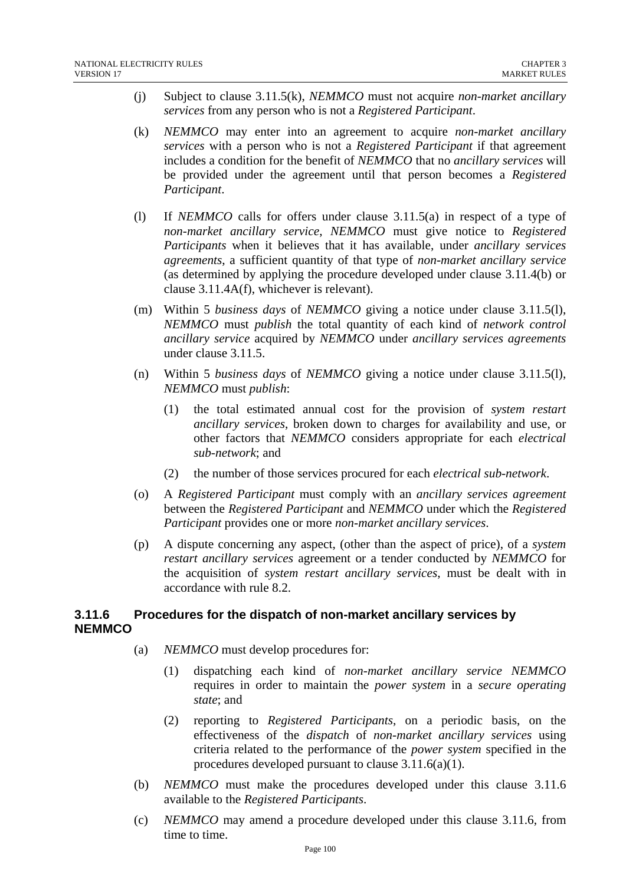- (j) Subject to clause 3.11.5(k), *NEMMCO* must not acquire *non-market ancillary services* from any person who is not a *Registered Participant*.
- (k) *NEMMCO* may enter into an agreement to acquire *non-market ancillary services* with a person who is not a *Registered Participant* if that agreement includes a condition for the benefit of *NEMMCO* that no *ancillary services* will be provided under the agreement until that person becomes a *Registered Participant*.
- (l) If *NEMMCO* calls for offers under clause 3.11.5(a) in respect of a type of *non-market ancillary service*, *NEMMCO* must give notice to *Registered Participants* when it believes that it has available, under *ancillary services agreements*, a sufficient quantity of that type of *non-market ancillary service* (as determined by applying the procedure developed under clause 3.11.4(b) or clause 3.11.4A(f), whichever is relevant).
- (m) Within 5 *business days* of *NEMMCO* giving a notice under clause 3.11.5(l), *NEMMCO* must *publish* the total quantity of each kind of *network control ancillary service* acquired by *NEMMCO* under *ancillary services agreements* under clause 3.11.5.
- (n) Within 5 *business days* of *NEMMCO* giving a notice under clause 3.11.5(l), *NEMMCO* must *publish*:
	- (1) the total estimated annual cost for the provision of *system restart ancillary services*, broken down to charges for availability and use, or other factors that *NEMMCO* considers appropriate for each *electrical sub-network*; and
	- (2) the number of those services procured for each *electrical sub-network*.
- (o) A *Registered Participant* must comply with an *ancillary services agreement* between the *Registered Participant* and *NEMMCO* under which the *Registered Participant* provides one or more *non-market ancillary services*.
- (p) A dispute concerning any aspect, (other than the aspect of price), of a *system restart ancillary services* agreement or a tender conducted by *NEMMCO* for the acquisition of *system restart ancillary services*, must be dealt with in accordance with rule 8.2.

# **3.11.6 Procedures for the dispatch of non-market ancillary services by NEMMCO**

- (a) *NEMMCO* must develop procedures for:
	- (1) dispatching each kind of *non-market ancillary service NEMMCO* requires in order to maintain the *power system* in a *secure operating state*; and
	- (2) reporting to *Registered Participants*, on a periodic basis, on the effectiveness of the *dispatch* of *non-market ancillary services* using criteria related to the performance of the *power system* specified in the procedures developed pursuant to clause 3.11.6(a)(1).
- (b) *NEMMCO* must make the procedures developed under this clause 3.11.6 available to the *Registered Participants*.
- (c) *NEMMCO* may amend a procedure developed under this clause 3.11.6, from time to time.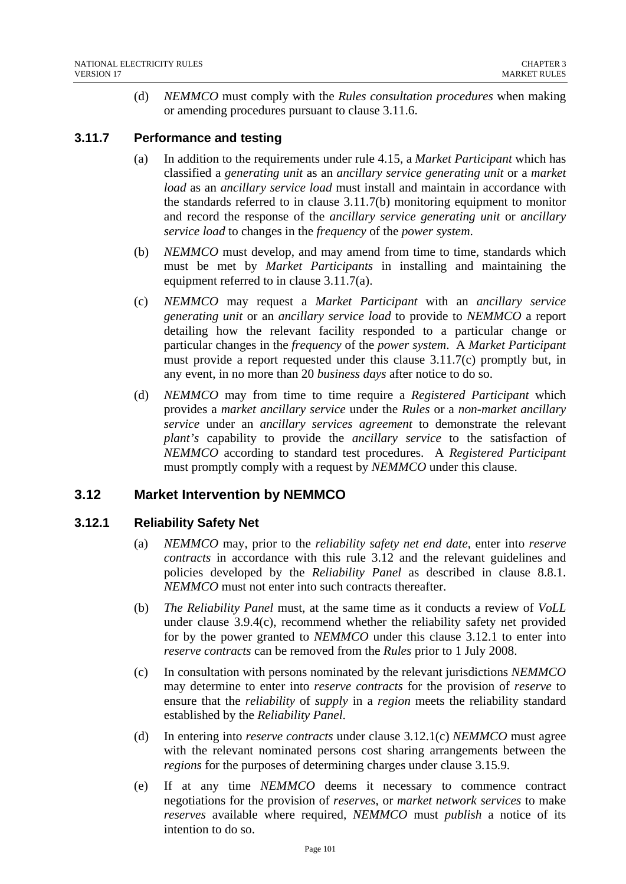(d) *NEMMCO* must comply with the *Rules consultation procedures* when making or amending procedures pursuant to clause 3.11.6.

# **3.11.7 Performance and testing**

- (a) In addition to the requirements under rule 4.15, a *Market Participant* which has classified a *generating unit* as an *ancillary service generating unit* or a *market load* as an *ancillary service load* must install and maintain in accordance with the standards referred to in clause 3.11.7(b) monitoring equipment to monitor and record the response of the *ancillary service generating unit* or *ancillary service load* to changes in the *frequency* of the *power system*.
- (b) *NEMMCO* must develop, and may amend from time to time, standards which must be met by *Market Participants* in installing and maintaining the equipment referred to in clause 3.11.7(a).
- (c) *NEMMCO* may request a *Market Participant* with an *ancillary service generating unit* or an *ancillary service load* to provide to *NEMMCO* a report detailing how the relevant facility responded to a particular change or particular changes in the *frequency* of the *power system*. A *Market Participant* must provide a report requested under this clause  $3.11.7(c)$  promptly but, in any event, in no more than 20 *business days* after notice to do so.
- (d) *NEMMCO* may from time to time require a *Registered Participant* which provides a *market ancillary service* under the *Rules* or a *non-market ancillary service* under an *ancillary services agreement* to demonstrate the relevant *plant's* capability to provide the *ancillary service* to the satisfaction of *NEMMCO* according to standard test procedures. A *Registered Participant* must promptly comply with a request by *NEMMCO* under this clause.

# **3.12 Market Intervention by NEMMCO**

# **3.12.1 Reliability Safety Net**

- (a) *NEMMCO* may, prior to the *reliability safety net end date*, enter into *reserve contracts* in accordance with this rule 3.12 and the relevant guidelines and policies developed by the *Reliability Panel* as described in clause 8.8.1. *NEMMCO* must not enter into such contracts thereafter.
- (b) *The Reliability Panel* must, at the same time as it conducts a review of *VoLL* under clause 3.9.4(c), recommend whether the reliability safety net provided for by the power granted to *NEMMCO* under this clause 3.12.1 to enter into *reserve contracts* can be removed from the *Rules* prior to 1 July 2008.
- (c) In consultation with persons nominated by the relevant jurisdictions *NEMMCO* may determine to enter into *reserve contracts* for the provision of *reserve* to ensure that the *reliability* of *supply* in a *region* meets the reliability standard established by the *Reliability Panel*.
- (d) In entering into *reserve contracts* under clause 3.12.1(c) *NEMMCO* must agree with the relevant nominated persons cost sharing arrangements between the *regions* for the purposes of determining charges under clause 3.15.9.
- (e) If at any time *NEMMCO* deems it necessary to commence contract negotiations for the provision of *reserves*, or *market network services* to make *reserves* available where required, *NEMMCO* must *publish* a notice of its intention to do so.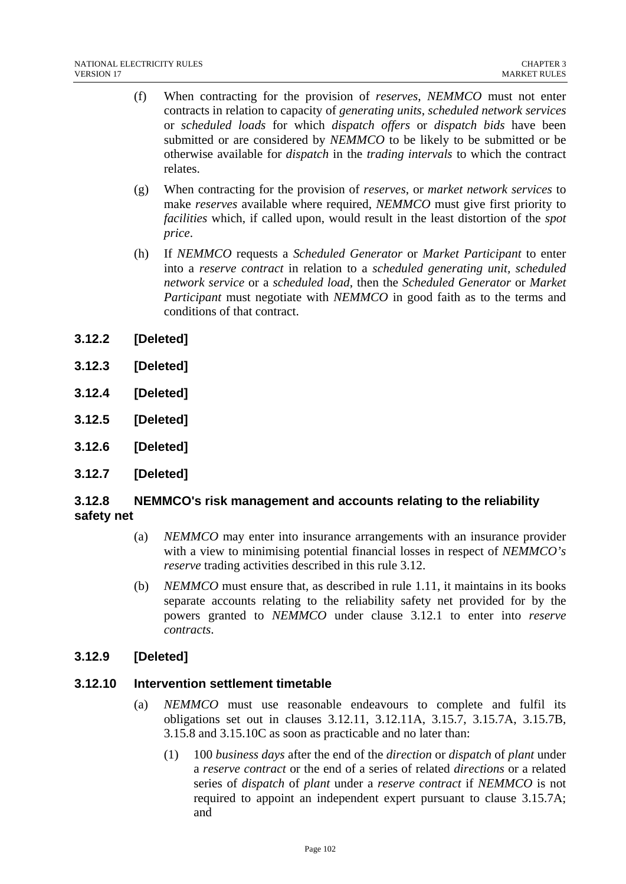- (f) When contracting for the provision of *reserves*, *NEMMCO* must not enter contracts in relation to capacity of *generating units*, *scheduled network services* or *scheduled loads* for which *dispatch offers* or *dispatch bids* have been submitted or are considered by *NEMMCO* to be likely to be submitted or be otherwise available for *dispatch* in the *trading intervals* to which the contract relates.
- (g) When contracting for the provision of *reserves*, or *market network services* to make *reserves* available where required, *NEMMCO* must give first priority to *facilities* which, if called upon, would result in the least distortion of the *spot price*.
- (h) If *NEMMCO* requests a *Scheduled Generator* or *Market Participant* to enter into a *reserve contract* in relation to a *scheduled generating unit, scheduled network service* or a *scheduled load*, then the *Scheduled Generator* or *Market Participant* must negotiate with *NEMMCO* in good faith as to the terms and conditions of that contract.
- **3.12.2 [Deleted]**
- **3.12.3 [Deleted]**
- **3.12.4 [Deleted]**
- **3.12.5 [Deleted]**
- **3.12.6 [Deleted]**
- **3.12.7 [Deleted]**

# **3.12.8 NEMMCO's risk management and accounts relating to the reliability safety net**

- (a) *NEMMCO* may enter into insurance arrangements with an insurance provider with a view to minimising potential financial losses in respect of *NEMMCO's reserve* trading activities described in this rule 3.12.
- (b) *NEMMCO* must ensure that, as described in rule 1.11, it maintains in its books separate accounts relating to the reliability safety net provided for by the powers granted to *NEMMCO* under clause 3.12.1 to enter into *reserve contracts*.

# **3.12.9 [Deleted]**

#### **3.12.10 Intervention settlement timetable**

- (a) *NEMMCO* must use reasonable endeavours to complete and fulfil its obligations set out in clauses 3.12.11, 3.12.11A, 3.15.7, 3.15.7A, 3.15.7B, 3.15.8 and 3.15.10C as soon as practicable and no later than:
	- (1) 100 *business days* after the end of the *direction* or *dispatch* of *plant* under a *reserve contract* or the end of a series of related *directions* or a related series of *dispatch* of *plant* under a *reserve contract* if *NEMMCO* is not required to appoint an independent expert pursuant to clause 3.15.7A; and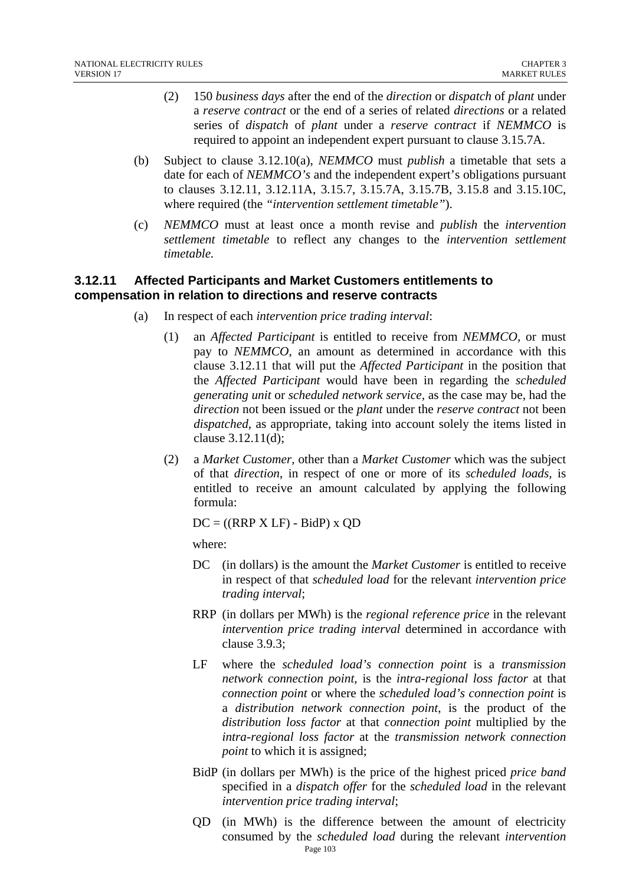- (2) 150 *business days* after the end of the *direction* or *dispatch* of *plant* under a *reserve contract* or the end of a series of related *directions* or a related series of *dispatch* of *plant* under a *reserve contract* if *NEMMCO* is required to appoint an independent expert pursuant to clause 3.15.7A.
- (b) Subject to clause 3.12.10(a), *NEMMCO* must *publish* a timetable that sets a date for each of *NEMMCO's* and the independent expert's obligations pursuant to clauses 3.12.11, 3.12.11A, 3.15.7, 3.15.7A, 3.15.7B, 3.15.8 and 3.15.10C, where required (the *"intervention settlement timetable"*).
- (c) *NEMMCO* must at least once a month revise and *publish* the *intervention settlement timetable* to reflect any changes to the *intervention settlement timetable.*

# **3.12.11 Affected Participants and Market Customers entitlements to compensation in relation to directions and reserve contracts**

- (a) In respect of each *intervention price trading interval*:
	- (1) an *Affected Participant* is entitled to receive from *NEMMCO,* or must pay to *NEMMCO*, an amount as determined in accordance with this clause 3.12.11 that will put the *Affected Participant* in the position that the *Affected Participant* would have been in regarding the *scheduled generating unit* or *scheduled network service,* as the case may be, had the *direction* not been issued or the *plant* under the *reserve contract* not been *dispatched*, as appropriate, taking into account solely the items listed in clause 3.12.11(d);
	- (2) a *Market Customer,* other than a *Market Customer* which was the subject of that *direction*, in respect of one or more of its *scheduled loads,* is entitled to receive an amount calculated by applying the following formula:

 $DC = ((RRP X LF) - BidP) x OD$ 

where:

- DC (in dollars) is the amount the *Market Customer* is entitled to receive in respect of that *scheduled load* for the relevant *intervention price trading interval*;
- RRP (in dollars per MWh) is the *regional reference price* in the relevant *intervention price trading interval* determined in accordance with clause 3.9.3;
- LF where the *scheduled load's connection point* is a *transmission network connection point*, is the *intra-regional loss factor* at that *connection point* or where the *scheduled load's connection point* is a *distribution network connection point*, is the product of the *distribution loss factor* at that *connection point* multiplied by the *intra-regional loss factor* at the *transmission network connection point* to which it is assigned;
- BidP (in dollars per MWh) is the price of the highest priced *price band* specified in a *dispatch offer* for the *scheduled load* in the relevant *intervention price trading interval*;
- Page 103 QD (in MWh) is the difference between the amount of electricity consumed by the *scheduled load* during the relevant *intervention*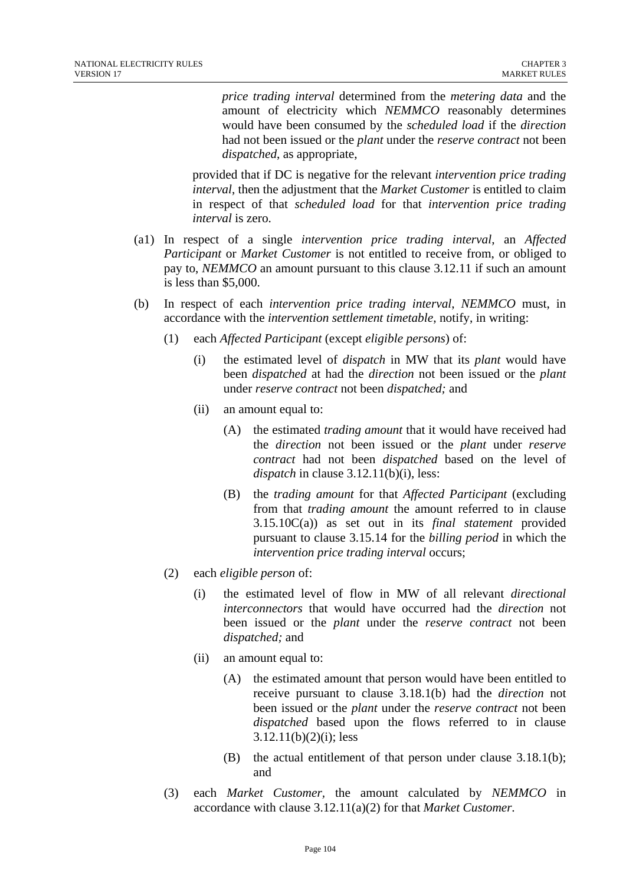*price trading interval* determined from the *metering data* and the amount of electricity which *NEMMCO* reasonably determines would have been consumed by the *scheduled load* if the *direction* had not been issued or the *plant* under the *reserve contract* not been *dispatched*, as appropriate,

provided that if DC is negative for the relevant *intervention price trading interval*, then the adjustment that the *Market Customer* is entitled to claim in respect of that *scheduled load* for that *intervention price trading interval* is zero.

- (a1) In respect of a single *intervention price trading interval*, an *Affected Participant* or *Market Customer* is not entitled to receive from, or obliged to pay to, *NEMMCO* an amount pursuant to this clause 3.12.11 if such an amount is less than \$5,000.
- (b) In respect of each *intervention price trading interval*, *NEMMCO* must, in accordance with the *intervention settlement timetable*, notify, in writing:
	- (1) each *Affected Participant* (except *eligible persons*) of:
		- (i) the estimated level of *dispatch* in MW that its *plant* would have been *dispatched* at had the *direction* not been issued or the *plant* under *reserve contract* not been *dispatched;* and
		- (ii) an amount equal to:
			- (A) the estimated *trading amount* that it would have received had the *direction* not been issued or the *plant* under *reserve contract* had not been *dispatched* based on the level of *dispatch* in clause 3.12.11(b)(i), less:
			- (B) the *trading amount* for that *Affected Participant* (excluding from that *trading amount* the amount referred to in clause 3.15.10C(a)) as set out in its *final statement* provided pursuant to clause 3.15.14 for the *billing period* in which the *intervention price trading interval* occurs;
	- (2) each *eligible person* of:
		- (i) the estimated level of flow in MW of all relevant *directional interconnectors* that would have occurred had the *direction* not been issued or the *plant* under the *reserve contract* not been *dispatched;* and
		- (ii) an amount equal to:
			- (A) the estimated amount that person would have been entitled to receive pursuant to clause 3.18.1(b) had the *direction* not been issued or the *plant* under the *reserve contract* not been *dispatched* based upon the flows referred to in clause  $3.12.11(b)(2)(i)$ ; less
			- (B) the actual entitlement of that person under clause 3.18.1(b); and
	- (3) each *Market Customer,* the amount calculated by *NEMMCO* in accordance with clause 3.12.11(a)(2) for that *Market Customer.*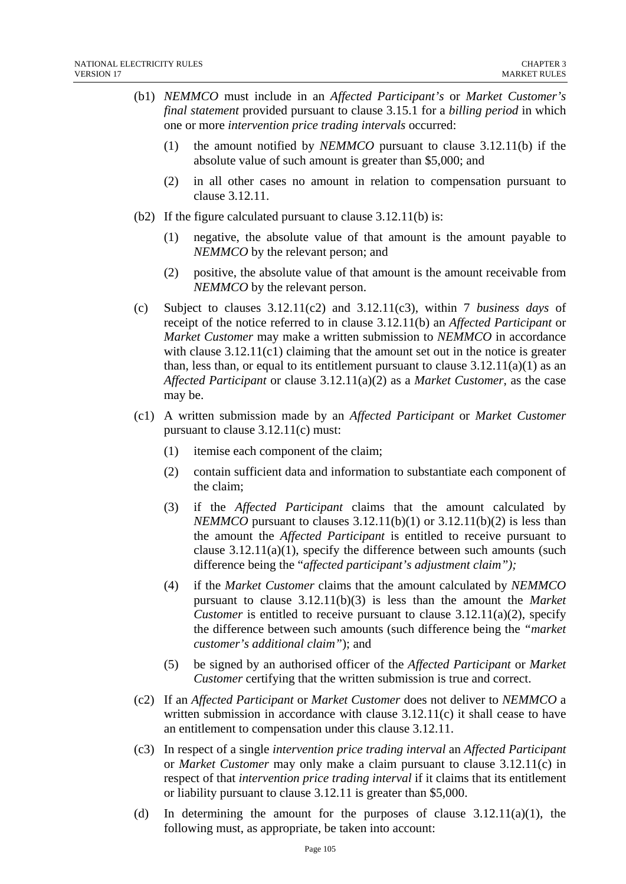- (b1) *NEMMCO* must include in an *Affected Participant's* or *Market Customer's final statement* provided pursuant to clause 3.15.1 for a *billing period* in which one or more *intervention price trading intervals* occurred:
	- (1) the amount notified by *NEMMCO* pursuant to clause 3.12.11(b) if the absolute value of such amount is greater than \$5,000; and
	- (2) in all other cases no amount in relation to compensation pursuant to clause 3.12.11.
- (b2) If the figure calculated pursuant to clause 3.12.11(b) is:
	- (1) negative, the absolute value of that amount is the amount payable to *NEMMCO* by the relevant person; and
	- (2) positive, the absolute value of that amount is the amount receivable from *NEMMCO* by the relevant person.
- (c) Subject to clauses 3.12.11(c2) and 3.12.11(c3), within 7 *business days* of receipt of the notice referred to in clause 3.12.11(b) an *Affected Participant* or *Market Customer* may make a written submission to *NEMMCO* in accordance with clause  $3.12.11(c1)$  claiming that the amount set out in the notice is greater than, less than, or equal to its entitlement pursuant to clause  $3.12.11(a)(1)$  as an *Affected Participant* or clause 3.12.11(a)(2) as a *Market Customer*, as the case may be.
- (c1) A written submission made by an *Affected Participant* or *Market Customer* pursuant to clause 3.12.11(c) must:
	- (1) itemise each component of the claim;
	- (2) contain sufficient data and information to substantiate each component of the claim;
	- (3) if the *Affected Participant* claims that the amount calculated by *NEMMCO* pursuant to clauses  $3.12.11(b)(1)$  or  $3.12.11(b)(2)$  is less than the amount the *Affected Participant* is entitled to receive pursuant to clause  $3.12.11(a)(1)$ , specify the difference between such amounts (such difference being the "*affected participant's adjustment claim");*
	- (4) if the *Market Customer* claims that the amount calculated by *NEMMCO* pursuant to clause 3.12.11(b)(3) is less than the amount the *Market Customer* is entitled to receive pursuant to clause  $3.12.11(a)(2)$ , specify the difference between such amounts (such difference being the *"market customer's additional claim"*); and
	- (5) be signed by an authorised officer of the *Affected Participant* or *Market Customer* certifying that the written submission is true and correct.
- (c2) If an *Affected Participant* or *Market Customer* does not deliver to *NEMMCO* a written submission in accordance with clause 3.12.11(c) it shall cease to have an entitlement to compensation under this clause 3.12.11.
- (c3) In respect of a single *intervention price trading interval* an *Affected Participant* or *Market Customer* may only make a claim pursuant to clause 3.12.11(c) in respect of that *intervention price trading interval* if it claims that its entitlement or liability pursuant to clause 3.12.11 is greater than \$5,000.
- (d) In determining the amount for the purposes of clause  $3.12.11(a)(1)$ , the following must, as appropriate, be taken into account: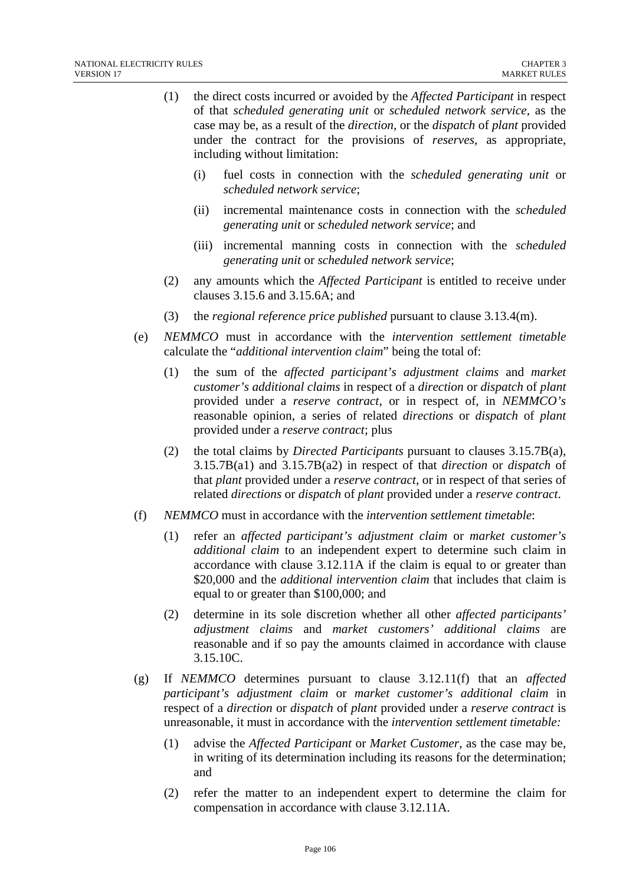- (1) the direct costs incurred or avoided by the *Affected Participant* in respect of that *scheduled generating unit* or *scheduled network service,* as the case may be, as a result of the *direction,* or the *dispatch* of *plant* provided under the contract for the provisions of *reserves*, as appropriate, including without limitation:
	- (i) fuel costs in connection with the *scheduled generating unit* or *scheduled network service*;
	- (ii) incremental maintenance costs in connection with the *scheduled generating unit* or *scheduled network service*; and
	- (iii) incremental manning costs in connection with the *scheduled generating unit* or *scheduled network service*;
- (2) any amounts which the *Affected Participant* is entitled to receive under clauses 3.15.6 and 3.15.6A; and
- (3) the *regional reference price published* pursuant to clause 3.13.4(m).
- (e) *NEMMCO* must in accordance with the *intervention settlement timetable* calculate the "*additional intervention claim*" being the total of:
	- (1) the sum of the *affected participant's adjustment claims* and *market customer's additional claims* in respect of a *direction* or *dispatch* of *plant* provided under a *reserve contract*, or in respect of, in *NEMMCO's* reasonable opinion, a series of related *directions* or *dispatch* of *plant* provided under a *reserve contract*; plus
	- (2) the total claims by *Directed Participants* pursuant to clauses 3.15.7B(a), 3.15.7B(a1) and 3.15.7B(a2) in respect of that *direction* or *dispatch* of that *plant* provided under a *reserve contract*, or in respect of that series of related *directions* or *dispatch* of *plant* provided under a *reserve contract*.
- (f) *NEMMCO* must in accordance with the *intervention settlement timetable*:
	- (1) refer an *affected participant's adjustment claim* or *market customer's additional claim* to an independent expert to determine such claim in accordance with clause 3.12.11A if the claim is equal to or greater than \$20,000 and the *additional intervention claim* that includes that claim is equal to or greater than \$100,000; and
	- (2) determine in its sole discretion whether all other *affected participants' adjustment claims* and *market customers' additional claims* are reasonable and if so pay the amounts claimed in accordance with clause 3.15.10C.
- (g) If *NEMMCO* determines pursuant to clause 3.12.11(f) that an *affected participant's adjustment claim* or *market customer's additional claim* in respect of a *direction* or *dispatch* of *plant* provided under a *reserve contract* is unreasonable, it must in accordance with the *intervention settlement timetable:* 
	- (1) advise the *Affected Participant* or *Market Customer*, as the case may be, in writing of its determination including its reasons for the determination; and
	- (2) refer the matter to an independent expert to determine the claim for compensation in accordance with clause 3.12.11A.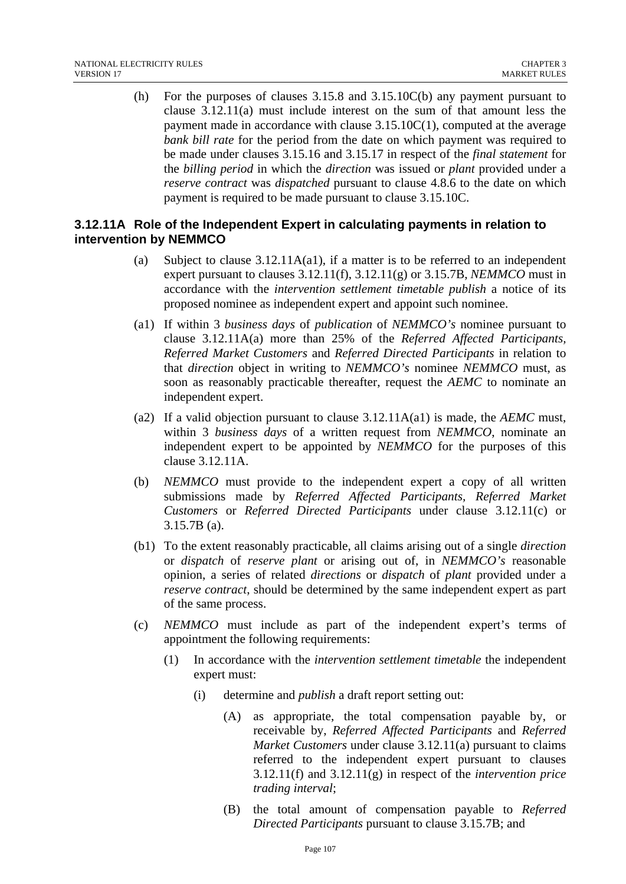(h) For the purposes of clauses 3.15.8 and 3.15.10C(b) any payment pursuant to clause 3.12.11(a) must include interest on the sum of that amount less the payment made in accordance with clause 3.15.10C(1), computed at the average *bank bill rate* for the period from the date on which payment was required to be made under clauses 3.15.16 and 3.15.17 in respect of the *final statement* for the *billing period* in which the *direction* was issued or *plant* provided under a *reserve contract* was *dispatched* pursuant to clause 4.8.6 to the date on which payment is required to be made pursuant to clause 3.15.10C.

#### **3.12.11A Role of the Independent Expert in calculating payments in relation to intervention by NEMMCO**

- (a) Subject to clause 3.12.11A(a1), if a matter is to be referred to an independent expert pursuant to clauses 3.12.11(f), 3.12.11(g) or 3.15.7B, *NEMMCO* must in accordance with the *intervention settlement timetable publish* a notice of its proposed nominee as independent expert and appoint such nominee.
- (a1) If within 3 *business days* of *publication* of *NEMMCO's* nominee pursuant to clause 3.12.11A(a) more than 25% of the *Referred Affected Participants, Referred Market Customers* and *Referred Directed Participants* in relation to that *direction* object in writing to *NEMMCO's* nominee *NEMMCO* must, as soon as reasonably practicable thereafter, request the *AEMC* to nominate an independent expert.
- (a2) If a valid objection pursuant to clause 3.12.11A(a1) is made, the *AEMC* must, within 3 *business days* of a written request from *NEMMCO*, nominate an independent expert to be appointed by *NEMMCO* for the purposes of this clause 3.12.11A.
- (b) *NEMMCO* must provide to the independent expert a copy of all written submissions made by *Referred Affected Participants, Referred Market Customers* or *Referred Directed Participants* under clause 3.12.11(c) or 3.15.7B (a).
- (b1) To the extent reasonably practicable, all claims arising out of a single *direction*  or *dispatch* of *reserve plant* or arising out of, in *NEMMCO's* reasonable opinion, a series of related *directions* or *dispatch* of *plant* provided under a *reserve contract*, should be determined by the same independent expert as part of the same process.
- (c) *NEMMCO* must include as part of the independent expert's terms of appointment the following requirements:
	- (1) In accordance with the *intervention settlement timetable* the independent expert must:
		- (i) determine and *publish* a draft report setting out:
			- (A) as appropriate, the total compensation payable by, or receivable by, *Referred Affected Participants* and *Referred Market Customers* under clause 3.12.11(a) pursuant to claims referred to the independent expert pursuant to clauses 3.12.11(f) and 3.12.11(g) in respect of the *intervention price trading interval*;
			- (B) the total amount of compensation payable to *Referred Directed Participants* pursuant to clause 3.15.7B; and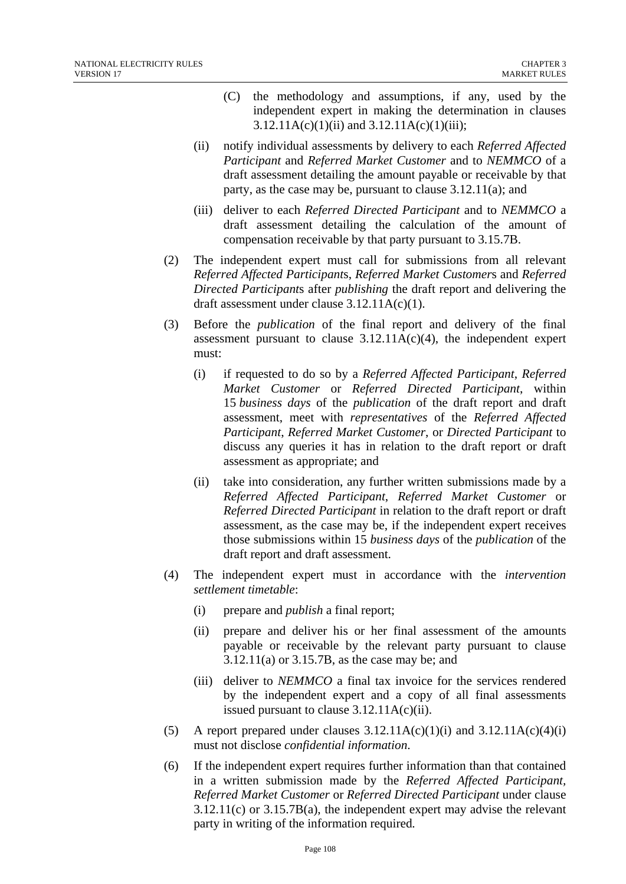- (C) the methodology and assumptions, if any, used by the independent expert in making the determination in clauses  $3.12.11A(c)(1)(ii)$  and  $3.12.11A(c)(1)(iii)$ ;
- (ii) notify individual assessments by delivery to each *Referred Affected Participant* and *Referred Market Customer* and to *NEMMCO* of a draft assessment detailing the amount payable or receivable by that party, as the case may be, pursuant to clause 3.12.11(a); and
- (iii) deliver to each *Referred Directed Participant* and to *NEMMCO* a draft assessment detailing the calculation of the amount of compensation receivable by that party pursuant to 3.15.7B.
- (2) The independent expert must call for submissions from all relevant *Referred Affected Participant*s, *Referred Market Customer*s and *Referred Directed Participant*s after *publishing* the draft report and delivering the draft assessment under clause 3.12.11A(c)(1).
- (3) Before the *publication* of the final report and delivery of the final assessment pursuant to clause  $3.12.11A(c)(4)$ , the independent expert must:
	- (i) if requested to do so by a *Referred Affected Participant*, *Referred Market Customer* or *Referred Directed Participant*, within 15 *business days* of the *publication* of the draft report and draft assessment, meet with *representatives* of the *Referred Affected Participant*, *Referred Market Customer*, or *Directed Participant* to discuss any queries it has in relation to the draft report or draft assessment as appropriate; and
	- (ii) take into consideration, any further written submissions made by a *Referred Affected Participant*, *Referred Market Customer* or *Referred Directed Participant* in relation to the draft report or draft assessment, as the case may be, if the independent expert receives those submissions within 15 *business days* of the *publication* of the draft report and draft assessment.
- (4) The independent expert must in accordance with the *intervention settlement timetable*:
	- (i) prepare and *publish* a final report;
	- (ii) prepare and deliver his or her final assessment of the amounts payable or receivable by the relevant party pursuant to clause 3.12.11(a) or 3.15.7B, as the case may be; and
	- (iii) deliver to *NEMMCO* a final tax invoice for the services rendered by the independent expert and a copy of all final assessments issued pursuant to clause 3.12.11A(c)(ii).
- (5) A report prepared under clauses  $3.12.11A(c)(1)(i)$  and  $3.12.11A(c)(4)(i)$ must not disclose *confidential information*.
- (6) If the independent expert requires further information than that contained in a written submission made by the *Referred Affected Participant, Referred Market Customer* or *Referred Directed Participant* under clause 3.12.11(c) or 3.15.7B(a), the independent expert may advise the relevant party in writing of the information required*.*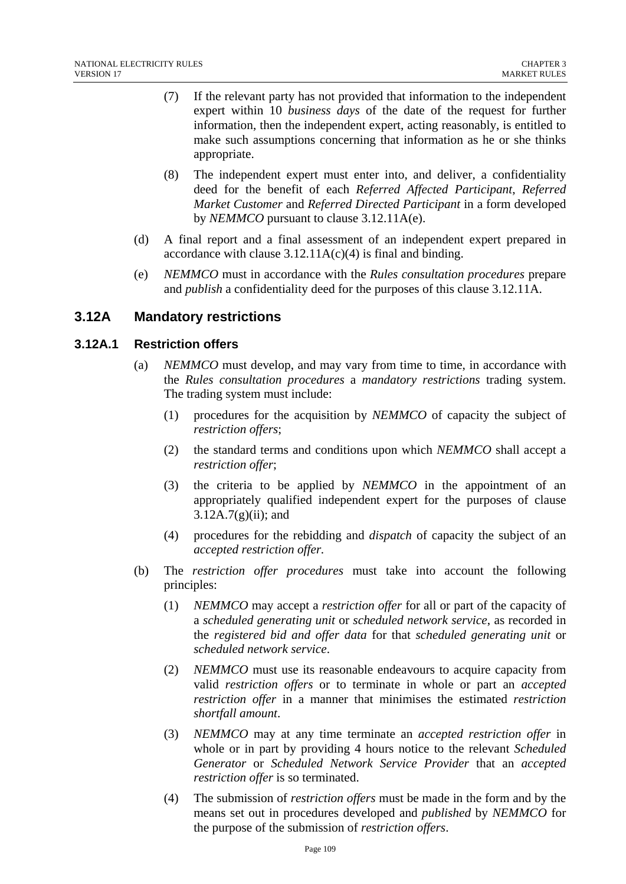- (7) If the relevant party has not provided that information to the independent expert within 10 *business days* of the date of the request for further information, then the independent expert, acting reasonably, is entitled to make such assumptions concerning that information as he or she thinks appropriate.
- (8) The independent expert must enter into, and deliver, a confidentiality deed for the benefit of each *Referred Affected Participant*, *Referred Market Customer* and *Referred Directed Participant* in a form developed by *NEMMCO* pursuant to clause 3.12.11A(e).
- (d) A final report and a final assessment of an independent expert prepared in accordance with clause  $3.12.11A(c)(4)$  is final and binding.
- (e) *NEMMCO* must in accordance with the *Rules consultation procedures* prepare and *publish* a confidentiality deed for the purposes of this clause 3.12.11A.

# **3.12A Mandatory restrictions**

## **3.12A.1 Restriction offers**

- (a) *NEMMCO* must develop, and may vary from time to time, in accordance with the *Rules consultation procedures* a *mandatory restrictions* trading system. The trading system must include:
	- (1) procedures for the acquisition by *NEMMCO* of capacity the subject of *restriction offers*;
	- (2) the standard terms and conditions upon which *NEMMCO* shall accept a *restriction offer*;
	- (3) the criteria to be applied by *NEMMCO* in the appointment of an appropriately qualified independent expert for the purposes of clause  $3.12A.7(g)(ii)$ ; and
	- (4) procedures for the rebidding and *dispatch* of capacity the subject of an *accepted restriction offer.*
- (b) The *restriction offer procedures* must take into account the following principles:
	- (1) *NEMMCO* may accept a *restriction offer* for all or part of the capacity of a *scheduled generating unit* or *scheduled network service*, as recorded in the *registered bid and offer data* for that *scheduled generating unit* or *scheduled network service*.
	- (2) *NEMMCO* must use its reasonable endeavours to acquire capacity from valid *restriction offers* or to terminate in whole or part an *accepted restriction offer* in a manner that minimises the estimated *restriction shortfall amount*.
	- (3) *NEMMCO* may at any time terminate an *accepted restriction offer* in whole or in part by providing 4 hours notice to the relevant *Scheduled Generator* or *Scheduled Network Service Provider* that an *accepted restriction offer* is so terminated.
	- (4) The submission of *restriction offers* must be made in the form and by the means set out in procedures developed and *published* by *NEMMCO* for the purpose of the submission of *restriction offers*.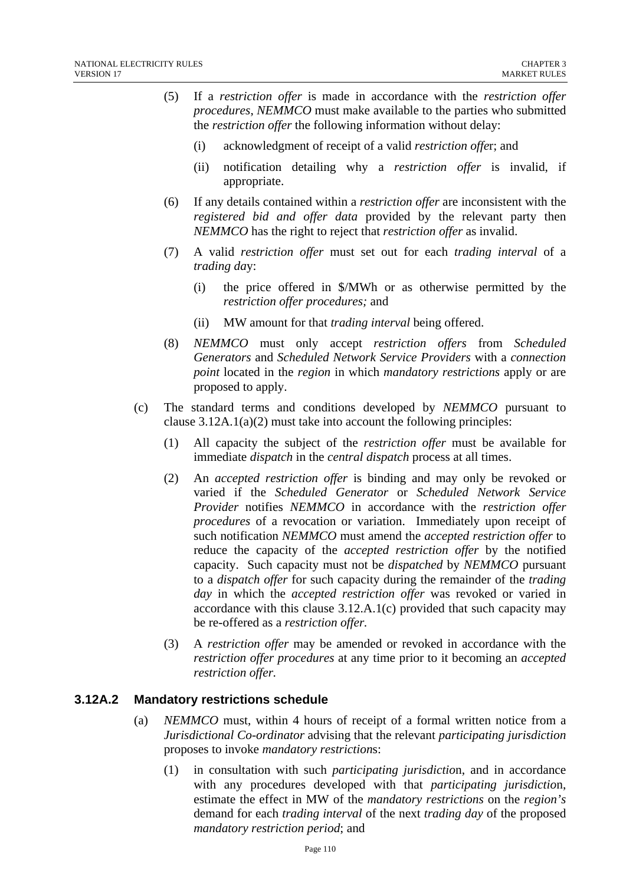- (5) If a *restriction offer* is made in accordance with the *restriction offer procedures*, *NEMMCO* must make available to the parties who submitted the *restriction offer* the following information without delay:
	- (i) acknowledgment of receipt of a valid *restriction offe*r; and
	- (ii) notification detailing why a *restriction offer* is invalid, if appropriate.
- (6) If any details contained within a *restriction offer* are inconsistent with the *registered bid and offer data* provided by the relevant party then *NEMMCO* has the right to reject that *restriction offer* as invalid.
- (7) A valid *restriction offer* must set out for each *trading interval* of a *trading da*y:
	- (i) the price offered in \$/MWh or as otherwise permitted by the *restriction offer procedures;* and
	- (ii) MW amount for that *trading interval* being offered.
- (8) *NEMMCO* must only accept *restriction offers* from *Scheduled Generators* and *Scheduled Network Service Providers* with a *connection point* located in the *region* in which *mandatory restrictions* apply or are proposed to apply.
- (c) The standard terms and conditions developed by *NEMMCO* pursuant to clause  $3.12A.1(a)(2)$  must take into account the following principles:
	- (1) All capacity the subject of the *restriction offer* must be available for immediate *dispatch* in the *central dispatch* process at all times.
	- (2) An *accepted restriction offer* is binding and may only be revoked or varied if the *Scheduled Generator* or *Scheduled Network Service Provider* notifies *NEMMCO* in accordance with the *restriction offer procedures* of a revocation or variation. Immediately upon receipt of such notification *NEMMCO* must amend the *accepted restriction offer* to reduce the capacity of the *accepted restriction offer* by the notified capacity. Such capacity must not be *dispatched* by *NEMMCO* pursuant to a *dispatch offer* for such capacity during the remainder of the *trading day* in which the *accepted restriction offer* was revoked or varied in accordance with this clause 3.12.A.1(c) provided that such capacity may be re-offered as a *restriction offer.*
	- (3) A *restriction offer* may be amended or revoked in accordance with the *restriction offer procedures* at any time prior to it becoming an *accepted restriction offer.*

## **3.12A.2 Mandatory restrictions schedule**

- (a) *NEMMCO* must, within 4 hours of receipt of a formal written notice from a *Jurisdictional Co-ordinator* advising that the relevant *participating jurisdiction*  proposes to invoke *mandatory restriction*s:
	- (1) in consultation with such *participating jurisdictio*n, and in accordance with any procedures developed with that *participating jurisdictio*n, estimate the effect in MW of the *mandatory restrictions* on the *region's*  demand for each *trading interval* of the next *trading day* of the proposed *mandatory restriction period*; and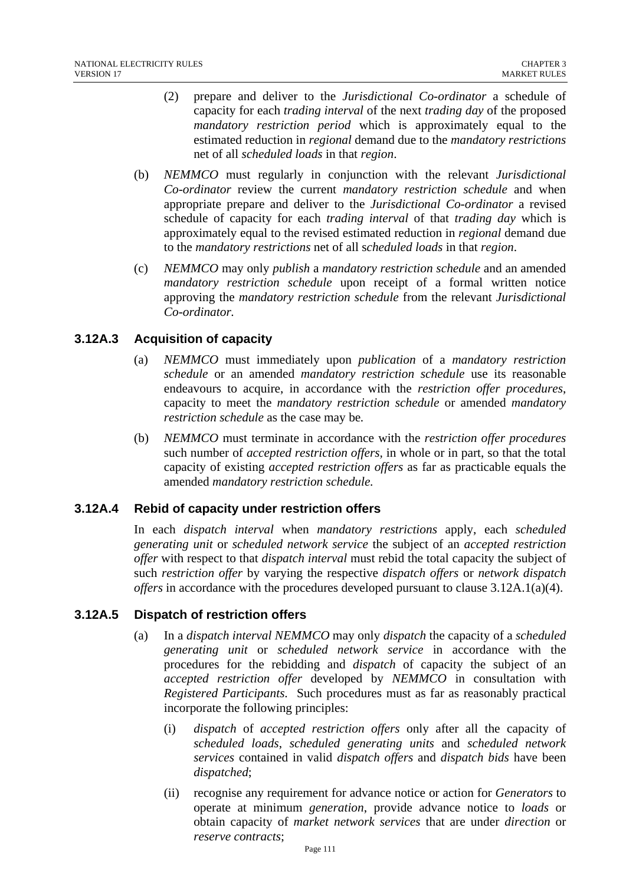- (2) prepare and deliver to the *Jurisdictional Co-ordinator* a schedule of capacity for each *trading interval* of the next *trading day* of the proposed *mandatory restriction period* which is approximately equal to the estimated reduction in *regional* demand due to the *mandatory restrictions*  net of all *scheduled loads* in that *region*.
- (b) *NEMMCO* must regularly in conjunction with the relevant *Jurisdictional Co-ordinator* review the current *mandatory restriction schedule* and when appropriate prepare and deliver to the *Jurisdictional Co-ordinator* a revised schedule of capacity for each *trading interval* of that *trading day* which is approximately equal to the revised estimated reduction in *regional* demand due to the *mandatory restrictions* net of all s*cheduled loads* in that *region*.
- (c) *NEMMCO* may only *publish* a *mandatory restriction schedule* and an amended *mandatory restriction schedule* upon receipt of a formal written notice approving the *mandatory restriction schedule* from the relevant *Jurisdictional Co-ordinator.*

## **3.12A.3 Acquisition of capacity**

- (a) *NEMMCO* must immediately upon *publication* of a *mandatory restriction schedule* or an amended *mandatory restriction schedule* use its reasonable endeavours to acquire, in accordance with the *restriction offer procedures*, capacity to meet the *mandatory restriction schedule* or amended *mandatory restriction schedule* as the case may be*.*
- (b) *NEMMCO* must terminate in accordance with the *restriction offer procedures*  such number of *accepted restriction offers,* in whole or in part, so that the total capacity of existing *accepted restriction offers* as far as practicable equals the amended *mandatory restriction schedule.*

# **3.12A.4 Rebid of capacity under restriction offers**

In each *dispatch interval* when *mandatory restrictions* apply, each *scheduled generating unit* or *scheduled network service* the subject of an *accepted restriction offer* with respect to that *dispatch interval* must rebid the total capacity the subject of such *restriction offer* by varying the respective *dispatch offers* or *network dispatch offers* in accordance with the procedures developed pursuant to clause 3.12A.1(a)(4).

## **3.12A.5 Dispatch of restriction offers**

- (a) In a *dispatch interval NEMMCO* may only *dispatch* the capacity of a *scheduled generating unit* or *scheduled network service* in accordance with the procedures for the rebidding and *dispatch* of capacity the subject of an *accepted restriction offer* developed by *NEMMCO* in consultation with *Registered Participants*. Such procedures must as far as reasonably practical incorporate the following principles:
	- (i) *dispatch* of *accepted restriction offers* only after all the capacity of *scheduled loads*, *scheduled generating units* and *scheduled network services* contained in valid *dispatch offers* and *dispatch bids* have been *dispatched*;
	- (ii) recognise any requirement for advance notice or action for *Generators* to operate at minimum *generation*, provide advance notice to *loads* or obtain capacity of *market network services* that are under *direction* or *reserve contracts*;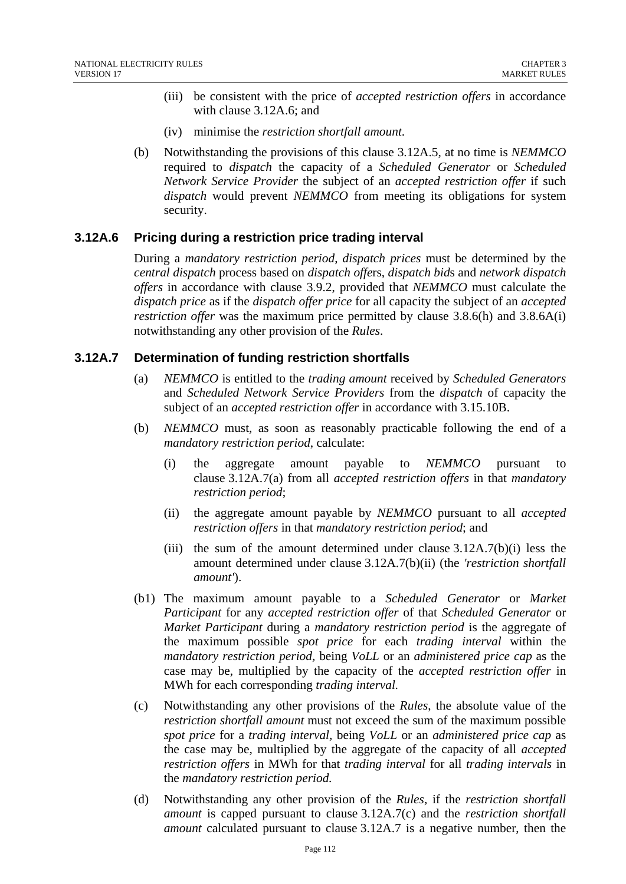- (iii) be consistent with the price of *accepted restriction offers* in accordance with clause 3.12A.6; and
- (iv) minimise the *restriction shortfall amount*.
- (b) Notwithstanding the provisions of this clause 3.12A.5, at no time is *NEMMCO*  required to *dispatch* the capacity of a *Scheduled Generator* or *Scheduled Network Service Provider* the subject of an *accepted restriction offer* if such *dispatch* would prevent *NEMMCO* from meeting its obligations for system security.

## **3.12A.6 Pricing during a restriction price trading interval**

During a *mandatory restriction period*, *dispatch prices* must be determined by the *central dispatch* process based on *dispatch offe*rs, *dispatch bid*s and *network dispatch offers* in accordance with clause 3.9.2, provided that *NEMMCO* must calculate the *dispatch price* as if the *dispatch offer price* for all capacity the subject of an *accepted restriction offer* was the maximum price permitted by clause 3.8.6(h) and 3.8.6A(i) notwithstanding any other provision of the *Rules*.

## **3.12A.7 Determination of funding restriction shortfalls**

- (a) *NEMMCO* is entitled to the *trading amount* received by *Scheduled Generators* and *Scheduled Network Service Providers* from the *dispatch* of capacity the subject of an *accepted restriction offer* in accordance with 3.15.10B.
- (b) *NEMMCO* must, as soon as reasonably practicable following the end of a *mandatory restriction period*, calculate:
	- (i) the aggregate amount payable to *NEMMCO* pursuant to clause 3.12A.7(a) from all *accepted restriction offers* in that *mandatory restriction period*;
	- (ii) the aggregate amount payable by *NEMMCO* pursuant to all *accepted restriction offers* in that *mandatory restriction period*; and
	- (iii) the sum of the amount determined under clause  $3.12A.7(b)(i)$  less the amount determined under clause 3.12A.7(b)(ii) (the *'restriction shortfall amount'*).
- (b1) The maximum amount payable to a *Scheduled Generator* or *Market Participant* for any *accepted restriction offer* of that *Scheduled Generator* or *Market Participant* during a *mandatory restriction period* is the aggregate of the maximum possible *spot price* for each *trading interval* within the *mandatory restriction period,* being *VoLL* or an *administered price cap* as the case may be, multiplied by the capacity of the *accepted restriction offer* in MWh for each corresponding *trading interval.*
- (c) Notwithstanding any other provisions of the *Rules*, the absolute value of the *restriction shortfall amount* must not exceed the sum of the maximum possible *spot price* for a *trading interval,* being *VoLL* or an *administered price cap* as the case may be, multiplied by the aggregate of the capacity of all *accepted restriction offers* in MWh for that *trading interval* for all *trading intervals* in the *mandatory restriction period.*
- (d) Notwithstanding any other provision of the *Rules*, if the *restriction shortfall amount* is capped pursuant to clause 3.12A.7(c) and the *restriction shortfall amount* calculated pursuant to clause 3.12A.7 is a negative number, then the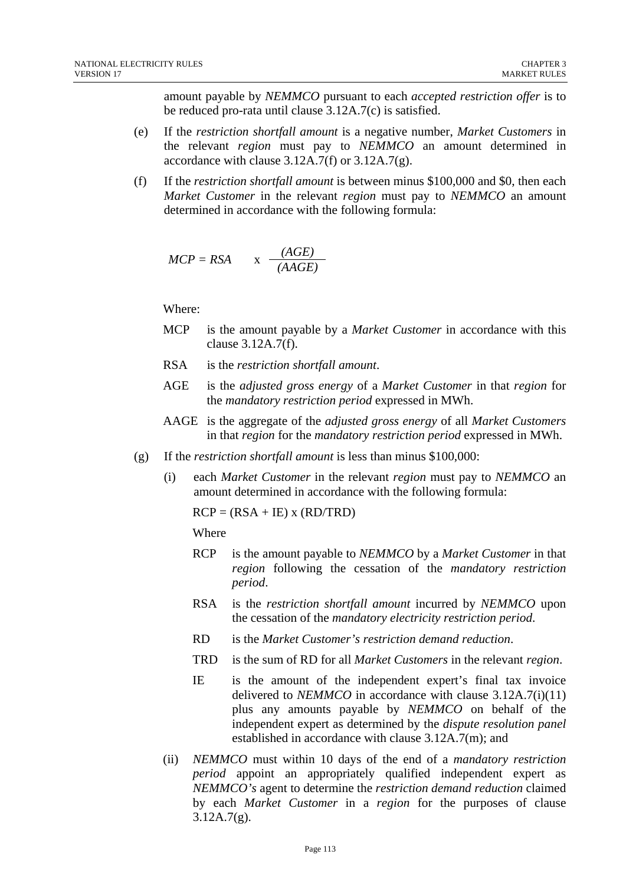amount payable by *NEMMCO* pursuant to each *accepted restriction offer* is to be reduced pro-rata until clause 3.12A.7(c) is satisfied.

- (e) If the *restriction shortfall amount* is a negative number, *Market Customers* in the relevant *region* must pay to *NEMMCO* an amount determined in accordance with clause  $3.12A.7(f)$  or  $3.12A.7(g)$ .
- (f) If the *restriction shortfall amount* is between minus \$100,000 and \$0, then each *Market Customer* in the relevant *region* must pay to *NEMMCO* an amount determined in accordance with the following formula:

$$
MCP = RSA \qquad x \quad \frac{(AGE)}{(AAGE)}
$$

Where:

- MCP is the amount payable by a *Market Customer* in accordance with this clause 3.12A.7(f).
- RSA is the *restriction shortfall amount*.
- AGE is the *adjusted gross energy* of a *Market Customer* in that *region* for the *mandatory restriction period* expressed in MWh.
- AAGE is the aggregate of the *adjusted gross energy* of all *Market Customers*  in that *region* for the *mandatory restriction period* expressed in MWh.
- (g) If the *restriction shortfall amount* is less than minus \$100,000:
	- (i) each *Market Customer* in the relevant *region* must pay to *NEMMCO* an amount determined in accordance with the following formula:

 $RCP = (RSA + IE)$  x  $(RD/TRD)$ 

Where

- RCP is the amount payable to *NEMMCO* by a *Market Customer* in that *region* following the cessation of the *mandatory restriction period*.
- RSA is the *restriction shortfall amount* incurred by *NEMMCO* upon the cessation of the *mandatory electricity restriction period*.
- RD is the *Market Customer's restriction demand reduction*.
- TRD is the sum of RD for all *Market Customers* in the relevant *region*.
- IE is the amount of the independent expert's final tax invoice delivered to *NEMMCO* in accordance with clause 3.12A.7(i)(11) plus any amounts payable by *NEMMCO* on behalf of the independent expert as determined by the *dispute resolution panel*  established in accordance with clause 3.12A.7(m); and
- (ii) *NEMMCO* must within 10 days of the end of a *mandatory restriction period* appoint an appropriately qualified independent expert as *NEMMCO's* agent to determine the *restriction demand reduction* claimed by each *Market Customer* in a *region* for the purposes of clause  $3.12A.7(g)$ .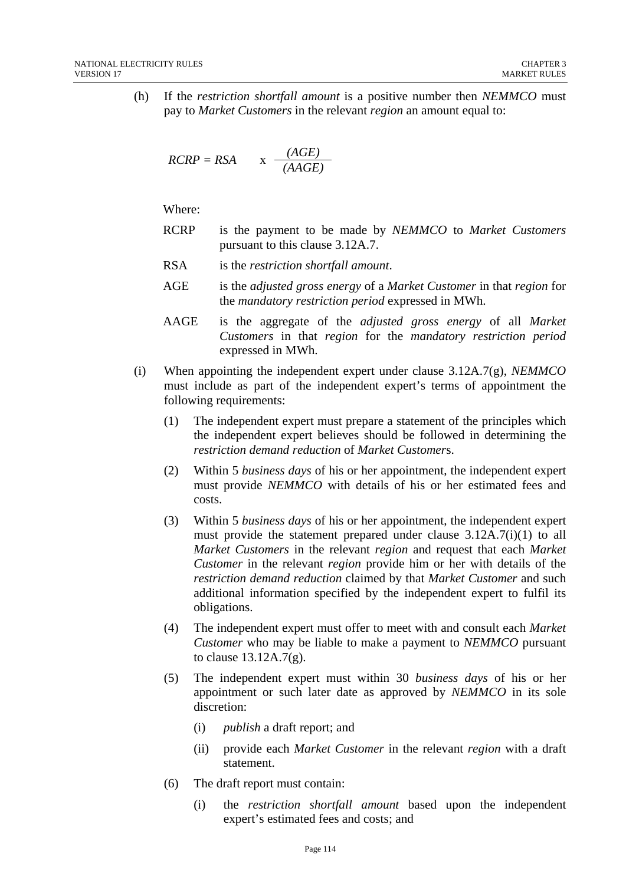(h) If the *restriction shortfall amount* is a positive number then *NEMMCO* must pay to *Market Customers* in the relevant *region* an amount equal to:

$$
RCRP = RSA \qquad x \quad \frac{(AGE)}{(AAGE)}
$$

Where:

- RCRP is the payment to be made by *NEMMCO* to *Market Customers*  pursuant to this clause 3.12A.7.
- RSA is the *restriction shortfall amount*.
- AGE is the *adjusted gross energy* of a *Market Customer* in that *region* for the *mandatory restriction period* expressed in MWh.
- AAGE is the aggregate of the *adjusted gross energy* of all *Market Customers* in that *region* for the *mandatory restriction period*  expressed in MWh.
- (i) When appointing the independent expert under clause 3.12A.7(g), *NEMMCO*  must include as part of the independent expert's terms of appointment the following requirements:
	- (1) The independent expert must prepare a statement of the principles which the independent expert believes should be followed in determining the *restriction demand reduction* of *Market Customer*s.
	- (2) Within 5 *business days* of his or her appointment, the independent expert must provide *NEMMCO* with details of his or her estimated fees and costs.
	- (3) Within 5 *business days* of his or her appointment, the independent expert must provide the statement prepared under clause 3.12A.7(i)(1) to all *Market Customers* in the relevant *region* and request that each *Market Customer* in the relevant *region* provide him or her with details of the *restriction demand reduction* claimed by that *Market Customer* and such additional information specified by the independent expert to fulfil its obligations.
	- (4) The independent expert must offer to meet with and consult each *Market Customer* who may be liable to make a payment to *NEMMCO* pursuant to clause 13.12A.7(g).
	- (5) The independent expert must within 30 *business days* of his or her appointment or such later date as approved by *NEMMCO* in its sole discretion:
		- (i) *publish* a draft report; and
		- (ii) provide each *Market Customer* in the relevant *region* with a draft statement.
	- (6) The draft report must contain:
		- (i) the *restriction shortfall amount* based upon the independent expert's estimated fees and costs; and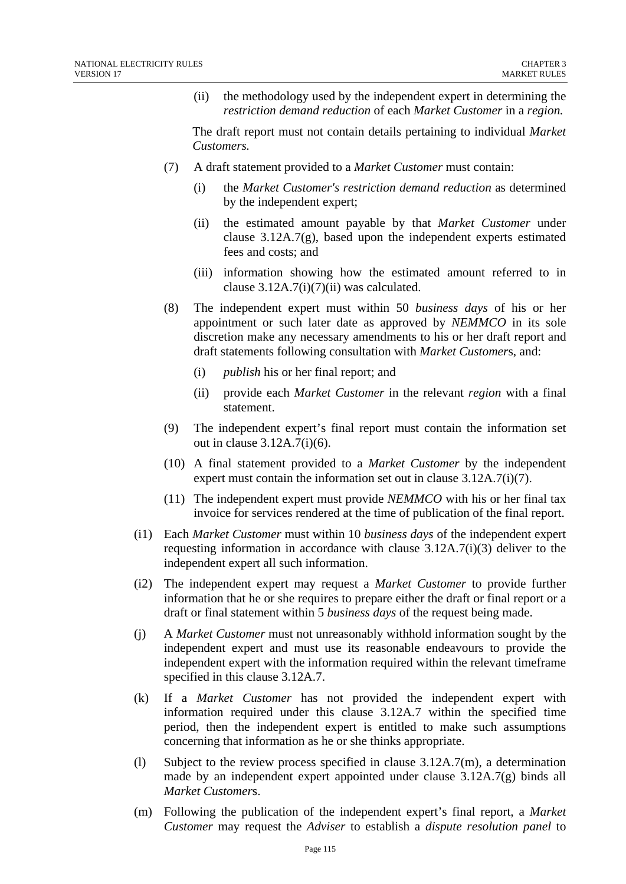(ii) the methodology used by the independent expert in determining the *restriction demand reduction* of each *Market Customer* in a *region.* 

The draft report must not contain details pertaining to individual *Market Customers.* 

- (7) A draft statement provided to a *Market Customer* must contain:
	- (i) the *Market Customer's restriction demand reduction* as determined by the independent expert;
	- (ii) the estimated amount payable by that *Market Customer* under clause  $3.12A.7(g)$ , based upon the independent experts estimated fees and costs; and
	- (iii) information showing how the estimated amount referred to in clause  $3.12A.7(i)(7)(ii)$  was calculated.
- (8) The independent expert must within 50 *business days* of his or her appointment or such later date as approved by *NEMMCO* in its sole discretion make any necessary amendments to his or her draft report and draft statements following consultation with *Market Customer*s, and:
	- (i) *publish* his or her final report; and
	- (ii) provide each *Market Customer* in the relevant *region* with a final statement.
- (9) The independent expert's final report must contain the information set out in clause 3.12A.7(i)(6).
- (10) A final statement provided to a *Market Customer* by the independent expert must contain the information set out in clause 3.12A.7(i)(7).
- (11) The independent expert must provide *NEMMCO* with his or her final tax invoice for services rendered at the time of publication of the final report.
- (i1) Each *Market Customer* must within 10 *business days* of the independent expert requesting information in accordance with clause 3.12A.7(i)(3) deliver to the independent expert all such information.
- (i2) The independent expert may request a *Market Customer* to provide further information that he or she requires to prepare either the draft or final report or a draft or final statement within 5 *business days* of the request being made.
- (j) A *Market Customer* must not unreasonably withhold information sought by the independent expert and must use its reasonable endeavours to provide the independent expert with the information required within the relevant timeframe specified in this clause 3.12A.7.
- (k) If a *Market Customer* has not provided the independent expert with information required under this clause 3.12A.7 within the specified time period, then the independent expert is entitled to make such assumptions concerning that information as he or she thinks appropriate.
- (1) Subject to the review process specified in clause  $3.12A.7(m)$ , a determination made by an independent expert appointed under clause 3.12A.7(g) binds all *Market Customer*s.
- (m) Following the publication of the independent expert's final report, a *Market Customer* may request the *Adviser* to establish a *dispute resolution panel* to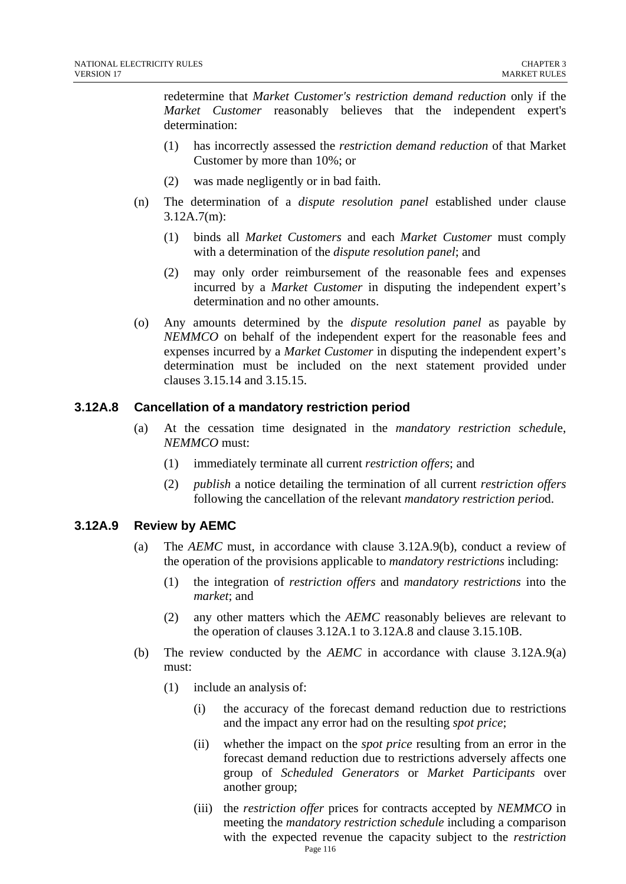redetermine that *Market Customer's restriction demand reduction* only if the *Market Customer* reasonably believes that the independent expert's determination:

- (1) has incorrectly assessed the *restriction demand reduction* of that Market Customer by more than 10%; or
- (2) was made negligently or in bad faith.
- (n) The determination of a *dispute resolution panel* established under clause 3.12A.7(m):
	- (1) binds all *Market Customers* and each *Market Customer* must comply with a determination of the *dispute resolution panel*; and
	- (2) may only order reimbursement of the reasonable fees and expenses incurred by a *Market Customer* in disputing the independent expert's determination and no other amounts.
- (o) Any amounts determined by the *dispute resolution panel* as payable by *NEMMCO* on behalf of the independent expert for the reasonable fees and expenses incurred by a *Market Customer* in disputing the independent expert's determination must be included on the next statement provided under clauses 3.15.14 and 3.15.15.

#### **3.12A.8 Cancellation of a mandatory restriction period**

- (a) At the cessation time designated in the *mandatory restriction schedul*e, *NEMMCO* must:
	- (1) immediately terminate all current *restriction offers*; and
	- (2) *publish* a notice detailing the termination of all current *restriction offers*  following the cancellation of the relevant *mandatory restriction perio*d.

#### **3.12A.9 Review by AEMC**

- (a) The *AEMC* must, in accordance with clause 3.12A.9(b), conduct a review of the operation of the provisions applicable to *mandatory restrictions* including:
	- (1) the integration of *restriction offers* and *mandatory restrictions* into the *market*; and
	- (2) any other matters which the *AEMC* reasonably believes are relevant to the operation of clauses 3.12A.1 to 3.12A.8 and clause 3.15.10B.
- (b) The review conducted by the *AEMC* in accordance with clause 3.12A.9(a) must:
	- (1) include an analysis of:
		- (i) the accuracy of the forecast demand reduction due to restrictions and the impact any error had on the resulting *spot price*;
		- (ii) whether the impact on the *spot price* resulting from an error in the forecast demand reduction due to restrictions adversely affects one group of *Scheduled Generators* or *Market Participants* over another group;
		- Page 116 (iii) the *restriction offer* prices for contracts accepted by *NEMMCO* in meeting the *mandatory restriction schedule* including a comparison with the expected revenue the capacity subject to the *restriction*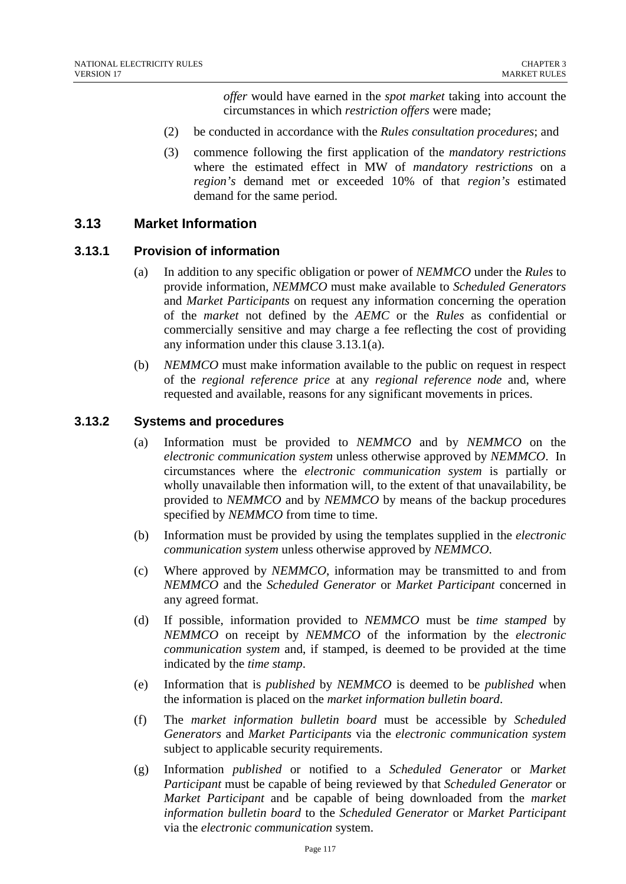*offer* would have earned in the *spot market* taking into account the circumstances in which *restriction offers* were made;

- (2) be conducted in accordance with the *Rules consultation procedures*; and
- (3) commence following the first application of the *mandatory restrictions* where the estimated effect in MW of *mandatory restrictions* on a *region's* demand met or exceeded 10% of that *region's* estimated demand for the same period.

## **3.13 Market Information**

## **3.13.1 Provision of information**

- (a) In addition to any specific obligation or power of *NEMMCO* under the *Rules* to provide information, *NEMMCO* must make available to *Scheduled Generators* and *Market Participants* on request any information concerning the operation of the *market* not defined by the *AEMC* or the *Rules* as confidential or commercially sensitive and may charge a fee reflecting the cost of providing any information under this clause 3.13.1(a).
- (b) *NEMMCO* must make information available to the public on request in respect of the *regional reference price* at any *regional reference node* and, where requested and available, reasons for any significant movements in prices.

#### **3.13.2 Systems and procedures**

- (a) Information must be provided to *NEMMCO* and by *NEMMCO* on the *electronic communication system* unless otherwise approved by *NEMMCO*. In circumstances where the *electronic communication system* is partially or wholly unavailable then information will, to the extent of that unavailability, be provided to *NEMMCO* and by *NEMMCO* by means of the backup procedures specified by *NEMMCO* from time to time.
- (b) Information must be provided by using the templates supplied in the *electronic communication system* unless otherwise approved by *NEMMCO*.
- (c) Where approved by *NEMMCO*, information may be transmitted to and from *NEMMCO* and the *Scheduled Generator* or *Market Participant* concerned in any agreed format.
- (d) If possible, information provided to *NEMMCO* must be *time stamped* by *NEMMCO* on receipt by *NEMMCO* of the information by the *electronic communication system* and, if stamped, is deemed to be provided at the time indicated by the *time stamp*.
- (e) Information that is *published* by *NEMMCO* is deemed to be *published* when the information is placed on the *market information bulletin board*.
- (f) The *market information bulletin board* must be accessible by *Scheduled Generators* and *Market Participants* via the *electronic communication system* subject to applicable security requirements.
- (g) Information *published* or notified to a *Scheduled Generator* or *Market Participant* must be capable of being reviewed by that *Scheduled Generator* or *Market Participant* and be capable of being downloaded from the *market information bulletin board* to the *Scheduled Generator* or *Market Participant* via the *electronic communication* system.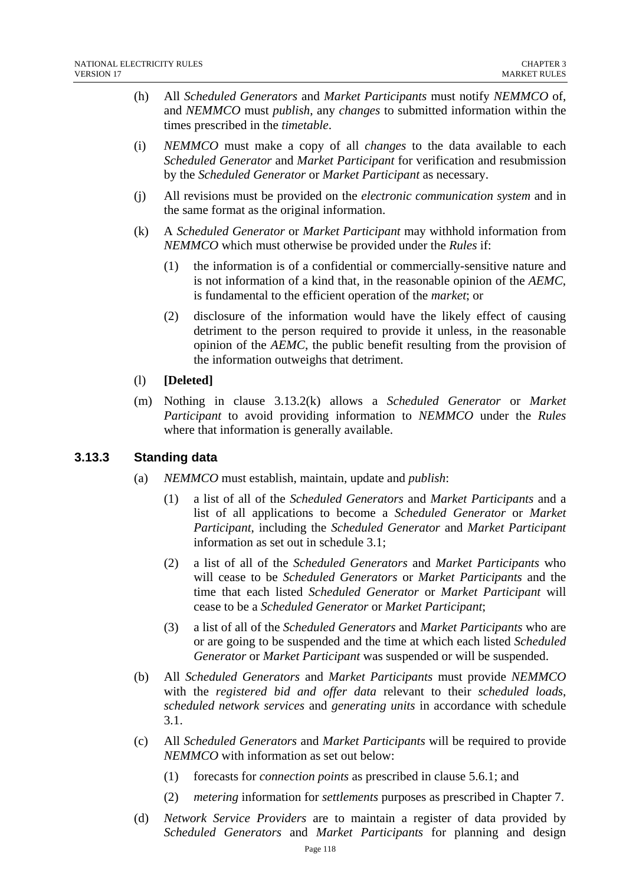- (h) All *Scheduled Generators* and *Market Participants* must notify *NEMMCO* of, and *NEMMCO* must *publish*, any *changes* to submitted information within the times prescribed in the *timetable*.
- (i) *NEMMCO* must make a copy of all *changes* to the data available to each *Scheduled Generator* and *Market Participant* for verification and resubmission by the *Scheduled Generator* or *Market Participant* as necessary.
- (j) All revisions must be provided on the *electronic communication system* and in the same format as the original information.
- (k) A *Scheduled Generator* or *Market Participant* may withhold information from *NEMMCO* which must otherwise be provided under the *Rules* if:
	- (1) the information is of a confidential or commercially-sensitive nature and is not information of a kind that, in the reasonable opinion of the *AEMC*, is fundamental to the efficient operation of the *market*; or
	- (2) disclosure of the information would have the likely effect of causing detriment to the person required to provide it unless, in the reasonable opinion of the *AEMC*, the public benefit resulting from the provision of the information outweighs that detriment.
- (l) **[Deleted]**
- (m) Nothing in clause 3.13.2(k) allows a *Scheduled Generator* or *Market Participant* to avoid providing information to *NEMMCO* under the *Rules* where that information is generally available.

## **3.13.3 Standing data**

- (a) *NEMMCO* must establish, maintain, update and *publish*:
	- (1) a list of all of the *Scheduled Generators* and *Market Participants* and a list of all applications to become a *Scheduled Generator* or *Market Participant*, including the *Scheduled Generator* and *Market Participant* information as set out in schedule 3.1;
	- (2) a list of all of the *Scheduled Generators* and *Market Participants* who will cease to be *Scheduled Generators* or *Market Participants* and the time that each listed *Scheduled Generator* or *Market Participant* will cease to be a *Scheduled Generator* or *Market Participant*;
	- (3) a list of all of the *Scheduled Generators* and *Market Participants* who are or are going to be suspended and the time at which each listed *Scheduled Generator* or *Market Participant* was suspended or will be suspended.
- (b) All *Scheduled Generators* and *Market Participants* must provide *NEMMCO* with the *registered bid and offer data* relevant to their *scheduled loads*, *scheduled network services* and *generating units* in accordance with schedule 3.1.
- (c) All *Scheduled Generators* and *Market Participants* will be required to provide *NEMMCO* with information as set out below:
	- (1) forecasts for *connection points* as prescribed in clause 5.6.1; and
	- (2) *metering* information for *settlements* purposes as prescribed in Chapter 7.
- (d) *Network Service Providers* are to maintain a register of data provided by *Scheduled Generators* and *Market Participants* for planning and design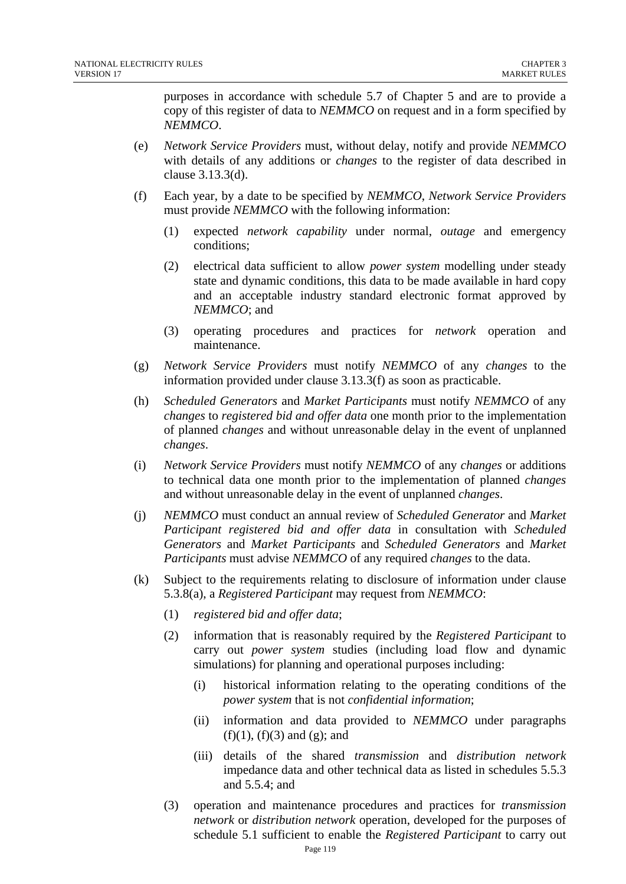purposes in accordance with schedule 5.7 of Chapter 5 and are to provide a copy of this register of data to *NEMMCO* on request and in a form specified by *NEMMCO*.

- (e) *Network Service Providers* must, without delay, notify and provide *NEMMCO* with details of any additions or *changes* to the register of data described in clause 3.13.3(d).
- (f) Each year, by a date to be specified by *NEMMCO*, *Network Service Providers* must provide *NEMMCO* with the following information:
	- (1) expected *network capability* under normal, *outage* and emergency conditions;
	- (2) electrical data sufficient to allow *power system* modelling under steady state and dynamic conditions, this data to be made available in hard copy and an acceptable industry standard electronic format approved by *NEMMCO*; and
	- (3) operating procedures and practices for *network* operation and maintenance.
- (g) *Network Service Providers* must notify *NEMMCO* of any *changes* to the information provided under clause 3.13.3(f) as soon as practicable.
- (h) *Scheduled Generators* and *Market Participants* must notify *NEMMCO* of any *changes* to *registered bid and offer data* one month prior to the implementation of planned *changes* and without unreasonable delay in the event of unplanned *changes*.
- (i) *Network Service Providers* must notify *NEMMCO* of any *changes* or additions to technical data one month prior to the implementation of planned *changes* and without unreasonable delay in the event of unplanned *changes*.
- (j) *NEMMCO* must conduct an annual review of *Scheduled Generator* and *Market Participant registered bid and offer data* in consultation with *Scheduled Generators* and *Market Participants* and *Scheduled Generators* and *Market Participants* must advise *NEMMCO* of any required *changes* to the data.
- (k) Subject to the requirements relating to disclosure of information under clause 5.3.8(a), a *Registered Participant* may request from *NEMMCO*:
	- (1) *registered bid and offer data*;
	- (2) information that is reasonably required by the *Registered Participant* to carry out *power system* studies (including load flow and dynamic simulations) for planning and operational purposes including:
		- (i) historical information relating to the operating conditions of the *power system* that is not *confidential information*;
		- (ii) information and data provided to *NEMMCO* under paragraphs  $(f)(1)$ ,  $(f)(3)$  and  $(g)$ ; and
		- (iii) details of the shared *transmission* and *distribution network* impedance data and other technical data as listed in schedules 5.5.3 and 5.5.4; and
	- (3) operation and maintenance procedures and practices for *transmission network* or *distribution network* operation, developed for the purposes of schedule 5.1 sufficient to enable the *Registered Participant* to carry out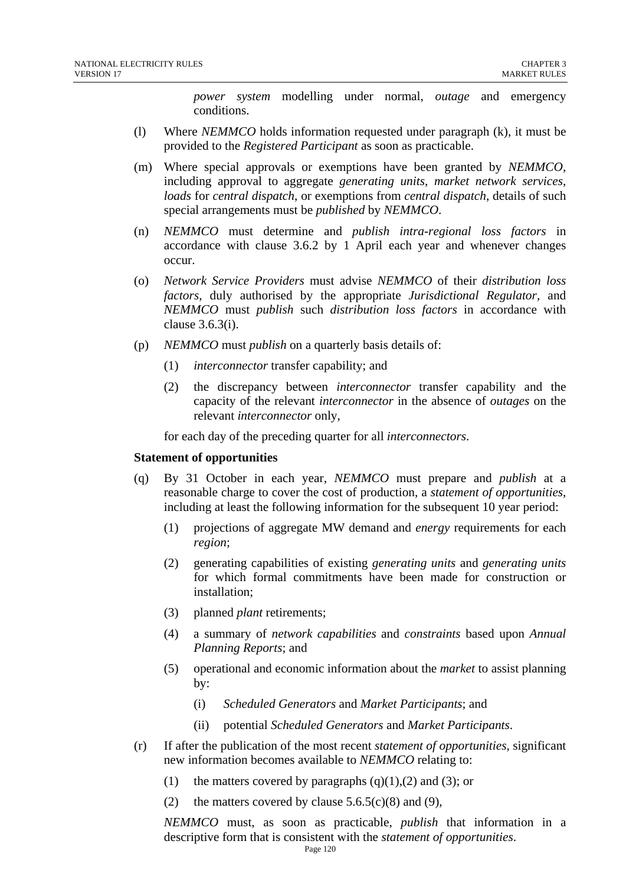*power system* modelling under normal, *outage* and emergency conditions.

- (l) Where *NEMMCO* holds information requested under paragraph (k), it must be provided to the *Registered Participant* as soon as practicable.
- (m) Where special approvals or exemptions have been granted by *NEMMCO*, including approval to aggregate *generating units*, *market network services*, *loads* for *central dispatch*, or exemptions from *central dispatch*, details of such special arrangements must be *published* by *NEMMCO*.
- (n) *NEMMCO* must determine and *publish intra-regional loss factors* in accordance with clause 3.6.2 by 1 April each year and whenever changes occur.
- (o) *Network Service Providers* must advise *NEMMCO* of their *distribution loss factors*, duly authorised by the appropriate *Jurisdictional Regulator*, and *NEMMCO* must *publish* such *distribution loss factors* in accordance with clause 3.6.3(i).
- (p) *NEMMCO* must *publish* on a quarterly basis details of:
	- (1) *interconnector* transfer capability; and
	- (2) the discrepancy between *interconnector* transfer capability and the capacity of the relevant *interconnector* in the absence of *outages* on the relevant *interconnector* only,

for each day of the preceding quarter for all *interconnectors*.

#### **Statement of opportunities**

- (q) By 31 October in each year, *NEMMCO* must prepare and *publish* at a reasonable charge to cover the cost of production, a *statement of opportunities*, including at least the following information for the subsequent 10 year period:
	- (1) projections of aggregate MW demand and *energy* requirements for each *region*;
	- (2) generating capabilities of existing *generating units* and *generating units* for which formal commitments have been made for construction or installation;
	- (3) planned *plant* retirements;
	- (4) a summary of *network capabilities* and *constraints* based upon *Annual Planning Reports*; and
	- (5) operational and economic information about the *market* to assist planning by:
		- (i) *Scheduled Generators* and *Market Participants*; and
		- (ii) potential *Scheduled Generators* and *Market Participants*.
- (r) If after the publication of the most recent *statement of opportunities*, significant new information becomes available to *NEMMCO* relating to:
	- (1) the matters covered by paragraphs  $(q)(1),(2)$  and  $(3)$ ; or
	- (2) the matters covered by clause  $5.6.5(c)(8)$  and (9),

*NEMMCO* must, as soon as practicable, *publish* that information in a descriptive form that is consistent with the *statement of opportunities*.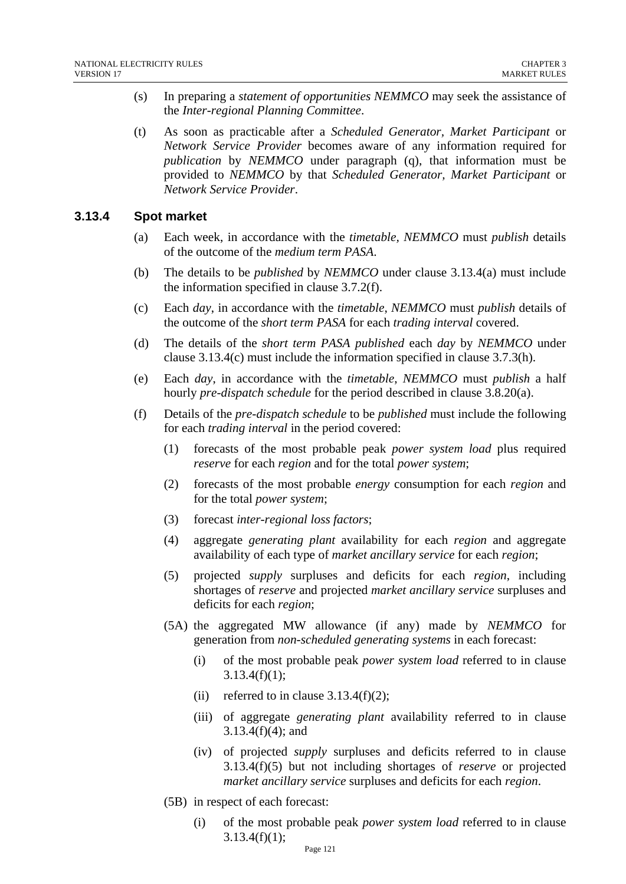- (s) In preparing a *statement of opportunities NEMMCO* may seek the assistance of the *Inter-regional Planning Committee*.
- (t) As soon as practicable after a *Scheduled Generator, Market Participant* or *Network Service Provider* becomes aware of any information required for *publication* by *NEMMCO* under paragraph (q), that information must be provided to *NEMMCO* by that *Scheduled Generator, Market Participant* or *Network Service Provider*.

#### **3.13.4 Spot market**

- (a) Each week, in accordance with the *timetable, NEMMCO* must *publish* details of the outcome of the *medium term PASA*.
- (b) The details to be *published* by *NEMMCO* under clause 3.13.4(a) must include the information specified in clause 3.7.2(f).
- (c) Each *day*, in accordance with the *timetable*, *NEMMCO* must *publish* details of the outcome of the *short term PASA* for each *trading interval* covered.
- (d) The details of the *short term PASA published* each *day* by *NEMMCO* under clause 3.13.4(c) must include the information specified in clause 3.7.3(h).
- (e) Each *day*, in accordance with the *timetable*, *NEMMCO* must *publish* a half hourly *pre-dispatch schedule* for the period described in clause 3.8.20(a).
- (f) Details of the *pre-dispatch schedule* to be *published* must include the following for each *trading interval* in the period covered:
	- (1) forecasts of the most probable peak *power system load* plus required *reserve* for each *region* and for the total *power system*;
	- (2) forecasts of the most probable *energy* consumption for each *region* and for the total *power system*;
	- (3) forecast *inter-regional loss factors*;
	- (4) aggregate *generating plant* availability for each *region* and aggregate availability of each type of *market ancillary service* for each *region*;
	- (5) projected *supply* surpluses and deficits for each *region*, including shortages of *reserve* and projected *market ancillary service* surpluses and deficits for each *region*;
	- (5A) the aggregated MW allowance (if any) made by *NEMMCO* for generation from *non-scheduled generating systems* in each forecast:
		- (i) of the most probable peak *power system load* referred to in clause  $3.13.4(f)(1)$ ;
		- (ii) referred to in clause  $3.13.4(f)(2)$ ;
		- (iii) of aggregate *generating plant* availability referred to in clause 3.13.4(f)(4); and
		- (iv) of projected *supply* surpluses and deficits referred to in clause 3.13.4(f)(5) but not including shortages of *reserve* or projected *market ancillary service* surpluses and deficits for each *region*.
	- (5B) in respect of each forecast:
		- (i) of the most probable peak *power system load* referred to in clause  $3.13.4(f)(1);$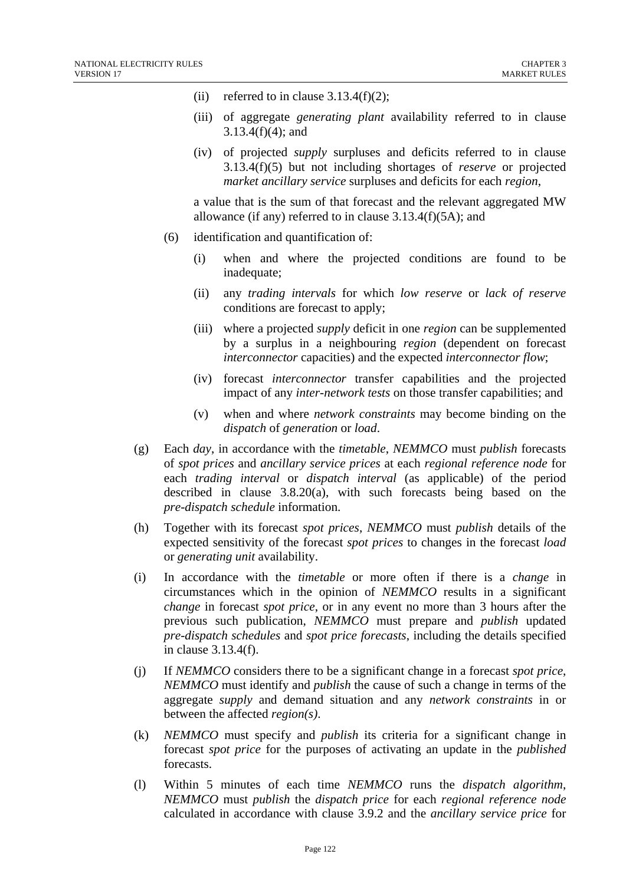- (ii) referred to in clause  $3.13.4(f)(2)$ ;
- (iii) of aggregate *generating plant* availability referred to in clause 3.13.4(f)(4); and
- (iv) of projected *supply* surpluses and deficits referred to in clause 3.13.4(f)(5) but not including shortages of *reserve* or projected *market ancillary service* surpluses and deficits for each *region*,

a value that is the sum of that forecast and the relevant aggregated MW allowance (if any) referred to in clause 3.13.4(f)(5A); and

- (6) identification and quantification of:
	- (i) when and where the projected conditions are found to be inadequate;
	- (ii) any *trading intervals* for which *low reserve* or *lack of reserve*  conditions are forecast to apply;
	- (iii) where a projected *supply* deficit in one *region* can be supplemented by a surplus in a neighbouring *region* (dependent on forecast *interconnector* capacities) and the expected *interconnector flow*;
	- (iv) forecast *interconnector* transfer capabilities and the projected impact of any *inter-network tests* on those transfer capabilities; and
	- (v) when and where *network constraints* may become binding on the *dispatch* of *generation* or *load*.
- (g) Each *day*, in accordance with the *timetable*, *NEMMCO* must *publish* forecasts of *spot prices* and *ancillary service prices* at each *regional reference node* for each *trading interval* or *dispatch interval* (as applicable) of the period described in clause 3.8.20(a), with such forecasts being based on the *pre-dispatch schedule* information.
- (h) Together with its forecast *spot prices*, *NEMMCO* must *publish* details of the expected sensitivity of the forecast *spot prices* to changes in the forecast *load* or *generating unit* availability.
- (i) In accordance with the *timetable* or more often if there is a *change* in circumstances which in the opinion of *NEMMCO* results in a significant *change* in forecast *spot price*, or in any event no more than 3 hours after the previous such publication, *NEMMCO* must prepare and *publish* updated *pre-dispatch schedules* and *spot price forecasts*, including the details specified in clause 3.13.4(f).
- (j) If *NEMMCO* considers there to be a significant change in a forecast *spot price*, *NEMMCO* must identify and *publish* the cause of such a change in terms of the aggregate *supply* and demand situation and any *network constraints* in or between the affected *region(s)*.
- (k) *NEMMCO* must specify and *publish* its criteria for a significant change in forecast *spot price* for the purposes of activating an update in the *published* forecasts.
- (l) Within 5 minutes of each time *NEMMCO* runs the *dispatch algorithm*, *NEMMCO* must *publish* the *dispatch price* for each *regional reference node* calculated in accordance with clause 3.9.2 and the *ancillary service price* for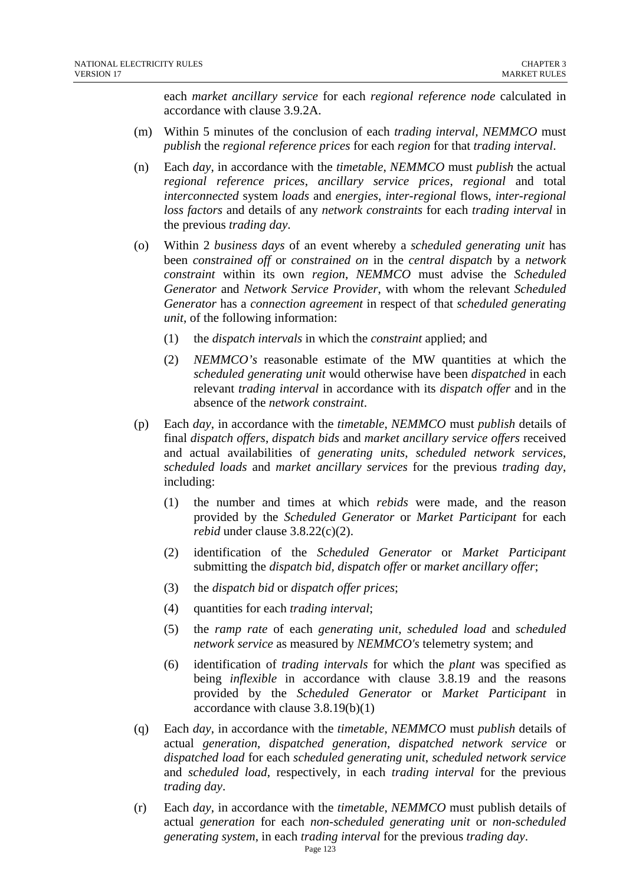each *market ancillary service* for each *regional reference node* calculated in accordance with clause 3.9.2A.

- (m) Within 5 minutes of the conclusion of each *trading interval, NEMMCO* must *publish* the *regional reference prices* for each *region* for that *trading interval*.
- (n) Each *day*, in accordance with the *timetable*, *NEMMCO* must *publish* the actual *regional reference prices*, *ancillary service prices*, *regional* and total *interconnected* system *loads* and *energies*, *inter-regional* flows, *inter-regional loss factors* and details of any *network constraints* for each *trading interval* in the previous *trading day*.
- (o) Within 2 *business days* of an event whereby a *scheduled generating unit* has been *constrained off* or *constrained on* in the *central dispatch* by a *network constraint* within its own *region*, *NEMMCO* must advise the *Scheduled Generator* and *Network Service Provider*, with whom the relevant *Scheduled Generator* has a *connection agreement* in respect of that *scheduled generating unit*, of the following information:
	- (1) the *dispatch intervals* in which the *constraint* applied; and
	- (2) *NEMMCO's* reasonable estimate of the MW quantities at which the *scheduled generating unit* would otherwise have been *dispatched* in each relevant *trading interval* in accordance with its *dispatch offer* and in the absence of the *network constraint*.
- (p) Each *day*, in accordance with the *timetable*, *NEMMCO* must *publish* details of final *dispatch offers*, *dispatch bids* and *market ancillary service offers* received and actual availabilities of *generating units*, *scheduled network services*, *scheduled loads* and *market ancillary services* for the previous *trading day*, including:
	- (1) the number and times at which *rebids* were made, and the reason provided by the *Scheduled Generator* or *Market Participant* for each *rebid* under clause 3.8.22(c)(2).
	- (2) identification of the *Scheduled Generator* or *Market Participant* submitting the *dispatch bid, dispatch offer* or *market ancillary offer*;
	- (3) the *dispatch bid* or *dispatch offer prices*;
	- (4) quantities for each *trading interval*;
	- (5) the *ramp rate* of each *generating unit*, *scheduled load* and *scheduled network service* as measured by *NEMMCO's* telemetry system; and
	- (6) identification of *trading intervals* for which the *plant* was specified as being *inflexible* in accordance with clause 3.8.19 and the reasons provided by the *Scheduled Generator* or *Market Participant* in accordance with clause 3.8.19(b)(1)
- (q) Each *day*, in accordance with the *timetable*, *NEMMCO* must *publish* details of actual *generation*, *dispatched generation*, *dispatched network service* or *dispatched load* for each *scheduled generating unit*, *scheduled network service* and *scheduled load*, respectively, in each *trading interval* for the previous *trading day*.
- (r) Each *day*, in accordance with the *timetable*, *NEMMCO* must publish details of actual *generation* for each *non-scheduled generating unit* or *non-scheduled generating system*, in each *trading interval* for the previous *trading day*.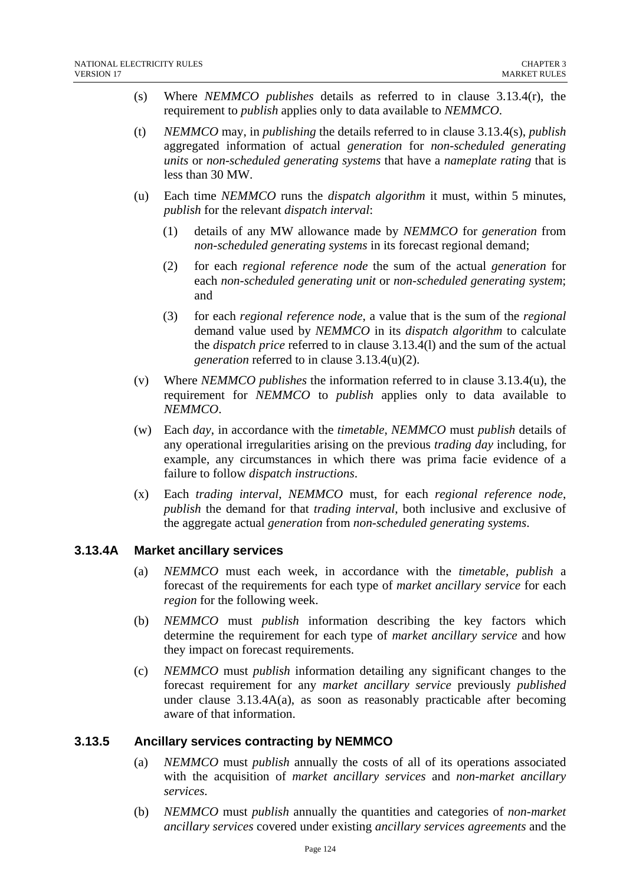- (s) Where *NEMMCO publishes* details as referred to in clause 3.13.4(r), the requirement to *publish* applies only to data available to *NEMMCO*.
- (t) *NEMMCO* may, in *publishing* the details referred to in clause 3.13.4(s), *publish* aggregated information of actual *generation* for *non-scheduled generating units* or *non-scheduled generating systems* that have a *nameplate rating* that is less than 30 MW.
- (u) Each time *NEMMCO* runs the *dispatch algorithm* it must, within 5 minutes, *publish* for the relevant *dispatch interval*:
	- (1) details of any MW allowance made by *NEMMCO* for *generation* from *non-scheduled generating systems* in its forecast regional demand;
	- (2) for each *regional reference node* the sum of the actual *generation* for each *non-scheduled generating unit* or *non-scheduled generating system*; and
	- (3) for each *regional reference node*, a value that is the sum of the *regional* demand value used by *NEMMCO* in its *dispatch algorithm* to calculate the *dispatch price* referred to in clause 3.13.4(l) and the sum of the actual *generation* referred to in clause 3.13.4(u)(2).
- (v) Where *NEMMCO publishes* the information referred to in clause 3.13.4(u), the requirement for *NEMMCO* to *publish* applies only to data available to *NEMMCO*.
- (w) Each *day*, in accordance with the *timetable*, *NEMMCO* must *publish* details of any operational irregularities arising on the previous *trading day* including, for example, any circumstances in which there was prima facie evidence of a failure to follow *dispatch instructions*.
- (x) Each *trading interval*, *NEMMCO* must, for each *regional reference node*, *publish* the demand for that *trading interval*, both inclusive and exclusive of the aggregate actual *generation* from *non-scheduled generating systems*.

## **3.13.4A Market ancillary services**

- (a) *NEMMCO* must each week, in accordance with the *timetable*, *publish* a forecast of the requirements for each type of *market ancillary service* for each *region* for the following week.
- (b) *NEMMCO* must *publish* information describing the key factors which determine the requirement for each type of *market ancillary service* and how they impact on forecast requirements.
- (c) *NEMMCO* must *publish* information detailing any significant changes to the forecast requirement for any *market ancillary service* previously *published* under clause 3.13.4A(a), as soon as reasonably practicable after becoming aware of that information.

## **3.13.5 Ancillary services contracting by NEMMCO**

- (a) *NEMMCO* must *publish* annually the costs of all of its operations associated with the acquisition of *market ancillary services* and *non-market ancillary services.*
- (b) *NEMMCO* must *publish* annually the quantities and categories of *non-market ancillary services* covered under existing *ancillary services agreements* and the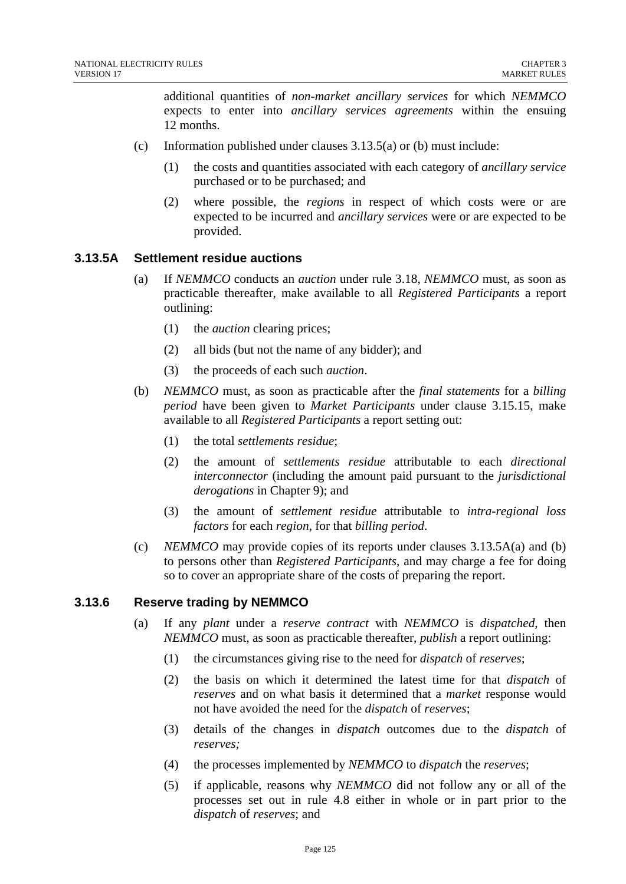additional quantities of *non-market ancillary services* for which *NEMMCO* expects to enter into *ancillary services agreements* within the ensuing 12 months.

- (c) Information published under clauses 3.13.5(a) or (b) must include:
	- (1) the costs and quantities associated with each category of *ancillary service* purchased or to be purchased; and
	- (2) where possible, the *regions* in respect of which costs were or are expected to be incurred and *ancillary services* were or are expected to be provided.

#### **3.13.5A Settlement residue auctions**

- (a) If *NEMMCO* conducts an *auction* under rule 3.18, *NEMMCO* must, as soon as practicable thereafter, make available to all *Registered Participants* a report outlining:
	- (1) the *auction* clearing prices;
	- (2) all bids (but not the name of any bidder); and
	- (3) the proceeds of each such *auction*.
- (b) *NEMMCO* must, as soon as practicable after the *final statements* for a *billing period* have been given to *Market Participants* under clause 3.15.15, make available to all *Registered Participants* a report setting out:
	- (1) the total *settlements residue*;
	- (2) the amount of *settlements residue* attributable to each *directional interconnector* (including the amount paid pursuant to the *jurisdictional derogations* in Chapter 9); and
	- (3) the amount of *settlement residue* attributable to *intra-regional loss factors* for each *region*, for that *billing period*.
- (c) *NEMMCO* may provide copies of its reports under clauses 3.13.5A(a) and (b) to persons other than *Registered Participants*, and may charge a fee for doing so to cover an appropriate share of the costs of preparing the report.

#### **3.13.6 Reserve trading by NEMMCO**

- (a) If any *plant* under a *reserve contract* with *NEMMCO* is *dispatched*, then *NEMMCO* must, as soon as practicable thereafter, *publish* a report outlining:
	- (1) the circumstances giving rise to the need for *dispatch* of *reserves*;
	- (2) the basis on which it determined the latest time for that *dispatch* of *reserves* and on what basis it determined that a *market* response would not have avoided the need for the *dispatch* of *reserves*;
	- (3) details of the changes in *dispatch* outcomes due to the *dispatch* of *reserves;*
	- (4) the processes implemented by *NEMMCO* to *dispatch* the *reserves*;
	- (5) if applicable, reasons why *NEMMCO* did not follow any or all of the processes set out in rule 4.8 either in whole or in part prior to the *dispatch* of *reserves*; and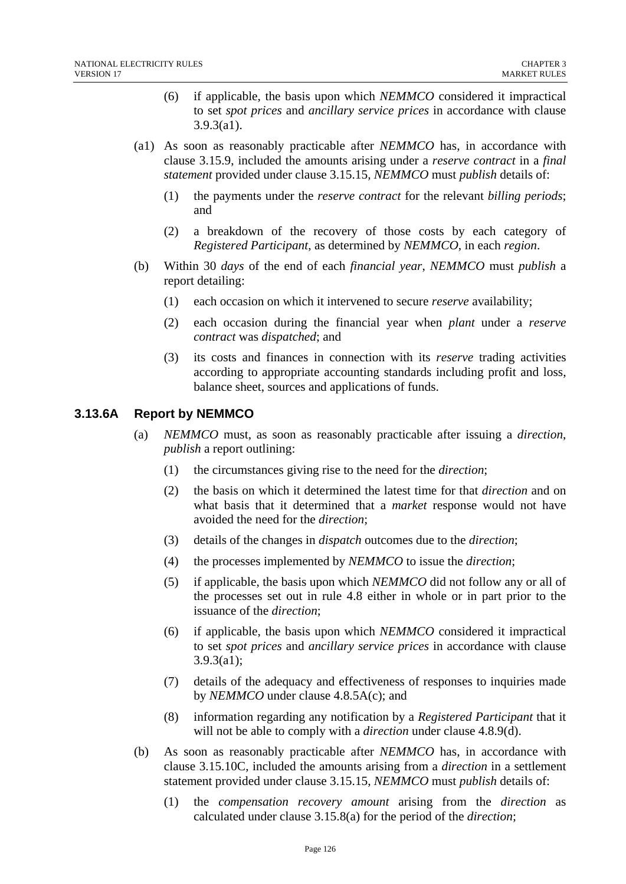- (6) if applicable, the basis upon which *NEMMCO* considered it impractical to set *spot prices* and *ancillary service prices* in accordance with clause 3.9.3(a1).
- (a1) As soon as reasonably practicable after *NEMMCO* has, in accordance with clause 3.15.9, included the amounts arising under a *reserve contract* in a *final statement* provided under clause 3.15.15*, NEMMCO* must *publish* details of:
	- (1) the payments under the *reserve contract* for the relevant *billing periods*; and
	- (2) a breakdown of the recovery of those costs by each category of *Registered Participant*, as determined by *NEMMCO*, in each *region*.
- (b) Within 30 *days* of the end of each *financial year*, *NEMMCO* must *publish* a report detailing:
	- (1) each occasion on which it intervened to secure *reserve* availability;
	- (2) each occasion during the financial year when *plant* under a *reserve contract* was *dispatched*; and
	- (3) its costs and finances in connection with its *reserve* trading activities according to appropriate accounting standards including profit and loss, balance sheet, sources and applications of funds.

## **3.13.6A Report by NEMMCO**

- (a) *NEMMCO* must, as soon as reasonably practicable after issuing a *direction*, *publish* a report outlining:
	- (1) the circumstances giving rise to the need for the *direction*;
	- (2) the basis on which it determined the latest time for that *direction* and on what basis that it determined that a *market* response would not have avoided the need for the *direction*;
	- (3) details of the changes in *dispatch* outcomes due to the *direction*;
	- (4) the processes implemented by *NEMMCO* to issue the *direction*;
	- (5) if applicable, the basis upon which *NEMMCO* did not follow any or all of the processes set out in rule 4.8 either in whole or in part prior to the issuance of the *direction*;
	- (6) if applicable, the basis upon which *NEMMCO* considered it impractical to set *spot prices* and *ancillary service prices* in accordance with clause 3.9.3(a1);
	- (7) details of the adequacy and effectiveness of responses to inquiries made by *NEMMCO* under clause 4.8.5A(c); and
	- (8) information regarding any notification by a *Registered Participant* that it will not be able to comply with a *direction* under clause 4.8.9(d).
- (b) As soon as reasonably practicable after *NEMMCO* has, in accordance with clause 3.15.10C, included the amounts arising from a *direction* in a settlement statement provided under clause 3.15.15, *NEMMCO* must *publish* details of:
	- (1) the *compensation recovery amount* arising from the *direction* as calculated under clause 3.15.8(a) for the period of the *direction*;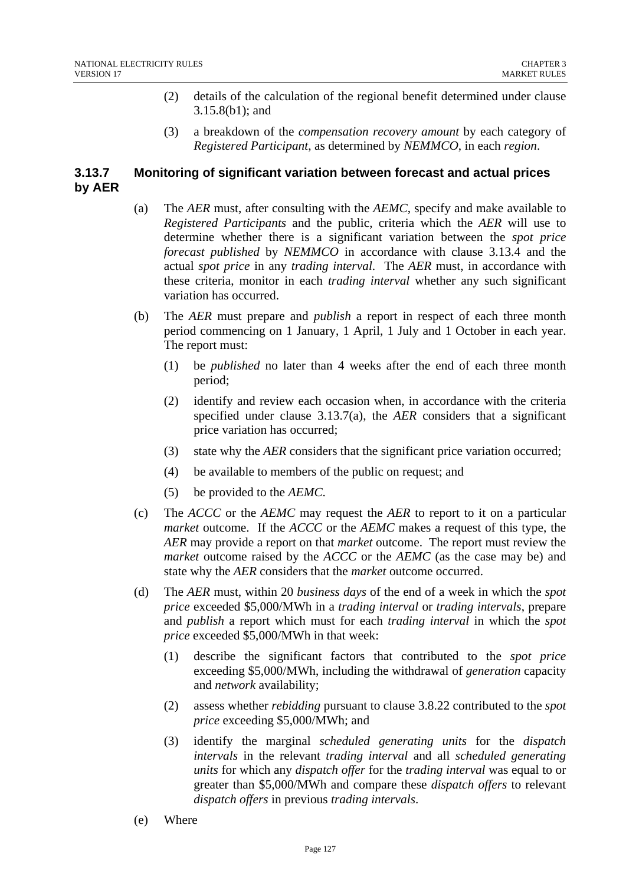- (2) details of the calculation of the regional benefit determined under clause 3.15.8(b1); and
- (3) a breakdown of the *compensation recovery amount* by each category of *Registered Participant*, as determined by *NEMMCO*, in each *region*.

# **3.13.7 Monitoring of significant variation between forecast and actual prices by AER**

- (a) The *AER* must, after consulting with the *AEMC*, specify and make available to *Registered Participants* and the public, criteria which the *AER* will use to determine whether there is a significant variation between the *spot price forecast published* by *NEMMCO* in accordance with clause 3.13.4 and the actual *spot price* in any *trading interval*. The *AER* must, in accordance with these criteria, monitor in each *trading interval* whether any such significant variation has occurred.
- (b) The *AER* must prepare and *publish* a report in respect of each three month period commencing on 1 January, 1 April, 1 July and 1 October in each year. The report must:
	- (1) be *published* no later than 4 weeks after the end of each three month period;
	- (2) identify and review each occasion when, in accordance with the criteria specified under clause 3.13.7(a), the *AER* considers that a significant price variation has occurred;
	- (3) state why the *AER* considers that the significant price variation occurred;
	- (4) be available to members of the public on request; and
	- (5) be provided to the *AEMC*.
- (c) The *ACCC* or the *AEMC* may request the *AER* to report to it on a particular *market* outcome. If the *ACCC* or the *AEMC* makes a request of this type, the *AER* may provide a report on that *market* outcome. The report must review the *market* outcome raised by the *ACCC* or the *AEMC* (as the case may be) and state why the *AER* considers that the *market* outcome occurred.
- (d) The *AER* must, within 20 *business days* of the end of a week in which the *spot price* exceeded \$5,000/MWh in a *trading interval* or *trading intervals*, prepare and *publish* a report which must for each *trading interval* in which the *spot price* exceeded \$5,000/MWh in that week:
	- (1) describe the significant factors that contributed to the *spot price* exceeding \$5,000/MWh, including the withdrawal of *generation* capacity and *network* availability;
	- (2) assess whether *rebidding* pursuant to clause 3.8.22 contributed to the *spot price* exceeding \$5,000/MWh; and
	- (3) identify the marginal *scheduled generating units* for the *dispatch intervals* in the relevant *trading interval* and all *scheduled generating units* for which any *dispatch offer* for the *trading interval* was equal to or greater than \$5,000/MWh and compare these *dispatch offers* to relevant *dispatch offers* in previous *trading intervals*.
- (e) Where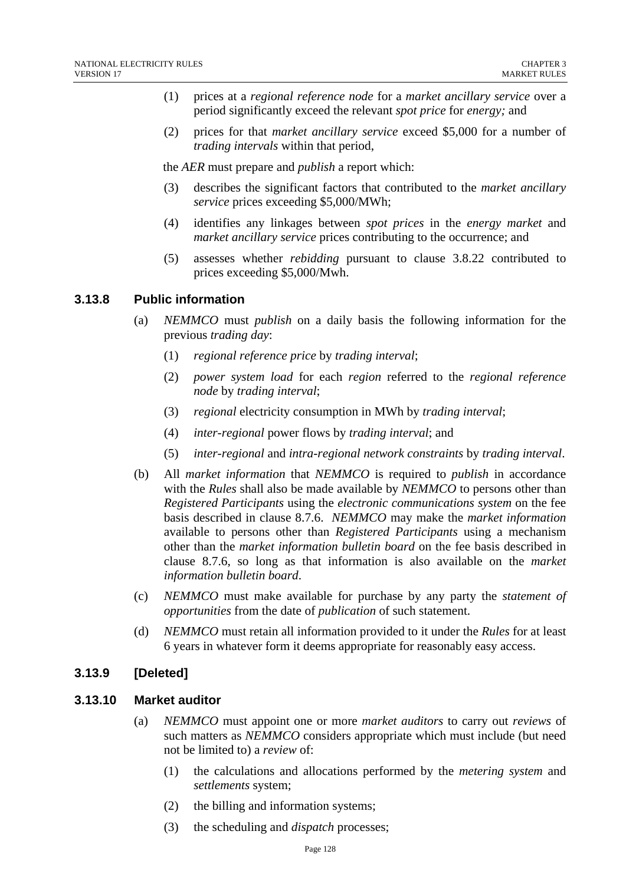- (1) prices at a *regional reference node* for a *market ancillary service* over a period significantly exceed the relevant *spot price* for *energy;* and
- (2) prices for that *market ancillary service* exceed \$5,000 for a number of *trading intervals* within that period,

the *AER* must prepare and *publish* a report which:

- (3) describes the significant factors that contributed to the *market ancillary service* prices exceeding \$5,000/MWh;
- (4) identifies any linkages between *spot prices* in the *energy market* and *market ancillary service* prices contributing to the occurrence; and
- (5) assesses whether *rebidding* pursuant to clause 3.8.22 contributed to prices exceeding \$5,000/Mwh.

## **3.13.8 Public information**

- (a) *NEMMCO* must *publish* on a daily basis the following information for the previous *trading day*:
	- (1) *regional reference price* by *trading interval*;
	- (2) *power system load* for each *region* referred to the *regional reference node* by *trading interval*;
	- (3) *regional* electricity consumption in MWh by *trading interval*;
	- (4) *inter-regional* power flows by *trading interval*; and
	- (5) *inter-regional* and *intra-regional network constraints* by *trading interval*.
- (b) All *market information* that *NEMMCO* is required to *publish* in accordance with the *Rules* shall also be made available by *NEMMCO* to persons other than *Registered Participants* using the *electronic communications system* on the fee basis described in clause 8.7.6. *NEMMCO* may make the *market information* available to persons other than *Registered Participants* using a mechanism other than the *market information bulletin board* on the fee basis described in clause 8.7.6, so long as that information is also available on the *market information bulletin board*.
- (c) *NEMMCO* must make available for purchase by any party the *statement of opportunities* from the date of *publication* of such statement.
- (d) *NEMMCO* must retain all information provided to it under the *Rules* for at least 6 years in whatever form it deems appropriate for reasonably easy access.

#### **3.13.9 [Deleted]**

#### **3.13.10 Market auditor**

- (a) *NEMMCO* must appoint one or more *market auditors* to carry out *reviews* of such matters as *NEMMCO* considers appropriate which must include (but need not be limited to) a *review* of:
	- (1) the calculations and allocations performed by the *metering system* and *settlements* system;
	- (2) the billing and information systems;
	- (3) the scheduling and *dispatch* processes;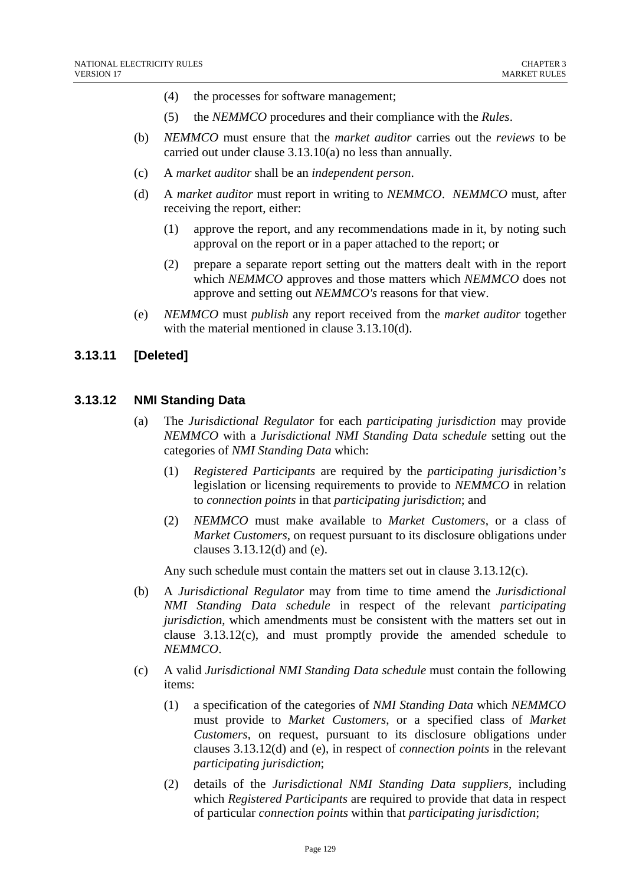- (4) the processes for software management;
- (5) the *NEMMCO* procedures and their compliance with the *Rules*.
- (b) *NEMMCO* must ensure that the *market auditor* carries out the *reviews* to be carried out under clause 3.13.10(a) no less than annually.
- (c) A *market auditor* shall be an *independent person*.
- (d) A *market auditor* must report in writing to *NEMMCO*. *NEMMCO* must, after receiving the report, either:
	- (1) approve the report, and any recommendations made in it, by noting such approval on the report or in a paper attached to the report; or
	- (2) prepare a separate report setting out the matters dealt with in the report which *NEMMCO* approves and those matters which *NEMMCO* does not approve and setting out *NEMMCO's* reasons for that view.
- (e) *NEMMCO* must *publish* any report received from the *market auditor* together with the material mentioned in clause 3.13.10(d).

#### **3.13.11 [Deleted]**

#### **3.13.12 NMI Standing Data**

- (a) The *Jurisdictional Regulator* for each *participating jurisdiction* may provide *NEMMCO* with a *Jurisdictional NMI Standing Data schedule* setting out the categories of *NMI Standing Data* which:
	- (1) *Registered Participants* are required by the *participating jurisdiction's* legislation or licensing requirements to provide to *NEMMCO* in relation to *connection points* in that *participating jurisdiction*; and
	- (2) *NEMMCO* must make available to *Market Customers*, or a class of *Market Customers*, on request pursuant to its disclosure obligations under clauses 3.13.12(d) and (e).

Any such schedule must contain the matters set out in clause 3.13.12(c).

- (b) A *Jurisdictional Regulator* may from time to time amend the *Jurisdictional NMI Standing Data schedule* in respect of the relevant *participating jurisdiction*, which amendments must be consistent with the matters set out in clause  $3.13.12(c)$ , and must promptly provide the amended schedule to *NEMMCO*.
- (c) A valid *Jurisdictional NMI Standing Data schedule* must contain the following items:
	- (1) a specification of the categories of *NMI Standing Data* which *NEMMCO* must provide to *Market Customers*, or a specified class of *Market Customers*, on request, pursuant to its disclosure obligations under clauses 3.13.12(d) and (e), in respect of *connection points* in the relevant *participating jurisdiction*;
	- (2) details of the *Jurisdictional NMI Standing Data suppliers*, including which *Registered Participants* are required to provide that data in respect of particular *connection points* within that *participating jurisdiction*;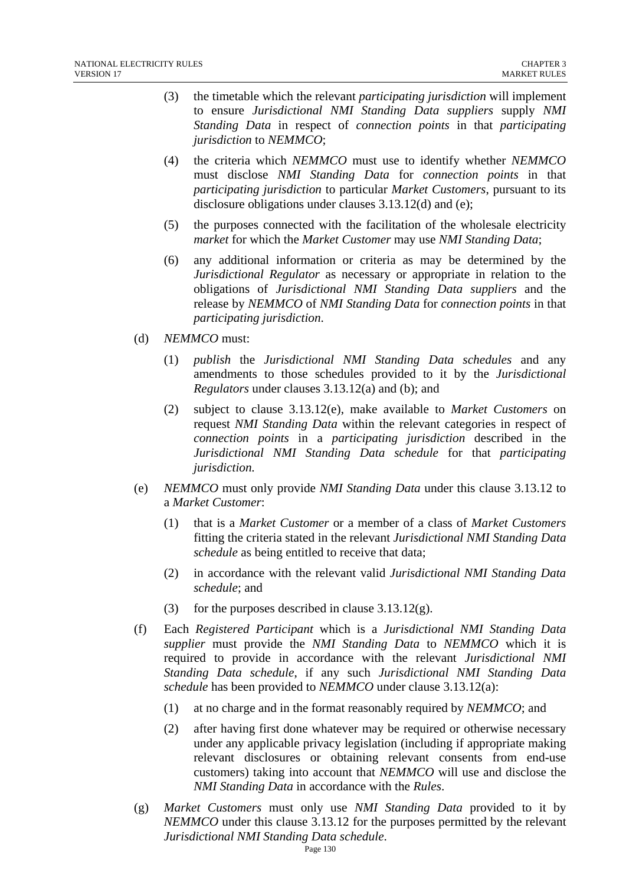- (3) the timetable which the relevant *participating jurisdiction* will implement to ensure *Jurisdictional NMI Standing Data suppliers* supply *NMI Standing Data* in respect of *connection points* in that *participating jurisdiction* to *NEMMCO*;
- (4) the criteria which *NEMMCO* must use to identify whether *NEMMCO* must disclose *NMI Standing Data* for *connection points* in that *participating jurisdiction* to particular *Market Customers*, pursuant to its disclosure obligations under clauses 3.13.12(d) and (e);
- (5) the purposes connected with the facilitation of the wholesale electricity *market* for which the *Market Customer* may use *NMI Standing Data*;
- (6) any additional information or criteria as may be determined by the *Jurisdictional Regulator* as necessary or appropriate in relation to the obligations of *Jurisdictional NMI Standing Data suppliers* and the release by *NEMMCO* of *NMI Standing Data* for *connection points* in that *participating jurisdiction*.
- (d) *NEMMCO* must:
	- (1) *publish* the *Jurisdictional NMI Standing Data schedules* and any amendments to those schedules provided to it by the *Jurisdictional Regulators* under clauses 3.13.12(a) and (b); and
	- (2) subject to clause 3.13.12(e), make available to *Market Customers* on request *NMI Standing Data* within the relevant categories in respect of *connection points* in a *participating jurisdiction* described in the *Jurisdictional NMI Standing Data schedule* for that *participating jurisdiction.*
- (e) *NEMMCO* must only provide *NMI Standing Data* under this clause 3.13.12 to a *Market Customer*:
	- (1) that is a *Market Customer* or a member of a class of *Market Customers*  fitting the criteria stated in the relevant *Jurisdictional NMI Standing Data schedule* as being entitled to receive that data;
	- (2) in accordance with the relevant valid *Jurisdictional NMI Standing Data schedule*; and
	- (3) for the purposes described in clause  $3.13.12(g)$ .
- (f) Each *Registered Participant* which is a *Jurisdictional NMI Standing Data supplier* must provide the *NMI Standing Data* to *NEMMCO* which it is required to provide in accordance with the relevant *Jurisdictional NMI Standing Data schedule*, if any such *Jurisdictional NMI Standing Data schedule* has been provided to *NEMMCO* under clause 3.13.12(a):
	- (1) at no charge and in the format reasonably required by *NEMMCO*; and
	- (2) after having first done whatever may be required or otherwise necessary under any applicable privacy legislation (including if appropriate making relevant disclosures or obtaining relevant consents from end-use customers) taking into account that *NEMMCO* will use and disclose the *NMI Standing Data* in accordance with the *Rules*.
- (g) *Market Customers* must only use *NMI Standing Data* provided to it by *NEMMCO* under this clause 3.13.12 for the purposes permitted by the relevant *Jurisdictional NMI Standing Data schedule*.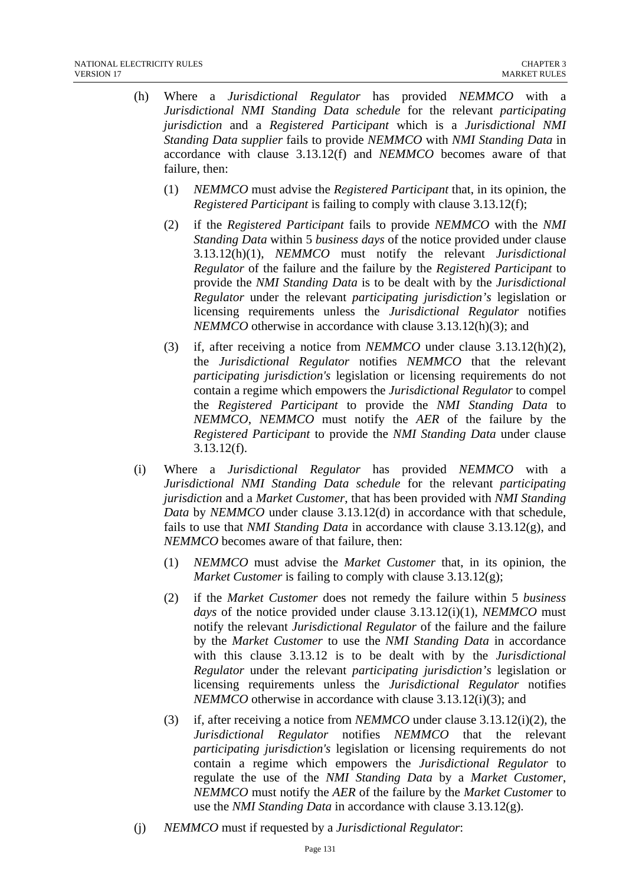- (h) Where a *Jurisdictional Regulator* has provided *NEMMCO* with a *Jurisdictional NMI Standing Data schedule* for the relevant *participating jurisdiction* and a *Registered Participant* which is a *Jurisdictional NMI Standing Data supplier* fails to provide *NEMMCO* with *NMI Standing Data* in accordance with clause 3.13.12(f) and *NEMMCO* becomes aware of that failure, then:
	- (1) *NEMMCO* must advise the *Registered Participant* that, in its opinion, the *Registered Participant* is failing to comply with clause 3.13.12(f);
	- (2) if the *Registered Participant* fails to provide *NEMMCO* with the *NMI Standing Data* within 5 *business days* of the notice provided under clause 3.13.12(h)(1), *NEMMCO* must notify the relevant *Jurisdictional Regulator* of the failure and the failure by the *Registered Participant* to provide the *NMI Standing Data* is to be dealt with by the *Jurisdictional Regulator* under the relevant *participating jurisdiction's* legislation or licensing requirements unless the *Jurisdictional Regulator* notifies *NEMMCO* otherwise in accordance with clause 3.13.12(h)(3); and
	- (3) if, after receiving a notice from *NEMMCO* under clause 3.13.12(h)(2), the *Jurisdictional Regulator* notifies *NEMMCO* that the relevant *participating jurisdiction's* legislation or licensing requirements do not contain a regime which empowers the *Jurisdictional Regulator* to compel the *Registered Participant* to provide the *NMI Standing Data* to *NEMMCO*, *NEMMCO* must notify the *AER* of the failure by the *Registered Participant* to provide the *NMI Standing Data* under clause 3.13.12(f).
- (i) Where a *Jurisdictional Regulator* has provided *NEMMCO* with a *Jurisdictional NMI Standing Data schedule* for the relevant *participating jurisdiction* and a *Market Customer*, that has been provided with *NMI Standing Data* by *NEMMCO* under clause 3.13.12(d) in accordance with that schedule, fails to use that *NMI Standing Data* in accordance with clause 3.13.12(g), and *NEMMCO* becomes aware of that failure, then:
	- (1) *NEMMCO* must advise the *Market Customer* that, in its opinion, the *Market Customer* is failing to comply with clause 3.13.12(g);
	- (2) if the *Market Customer* does not remedy the failure within 5 *business days* of the notice provided under clause 3.13.12(i)(1), *NEMMCO* must notify the relevant *Jurisdictional Regulator* of the failure and the failure by the *Market Customer* to use the *NMI Standing Data* in accordance with this clause 3.13.12 is to be dealt with by the *Jurisdictional Regulator* under the relevant *participating jurisdiction's* legislation or licensing requirements unless the *Jurisdictional Regulator* notifies *NEMMCO* otherwise in accordance with clause 3.13.12(i)(3); and
	- (3) if, after receiving a notice from *NEMMCO* under clause 3.13.12(i)(2), the *Jurisdictional Regulator* notifies *NEMMCO* that the relevant *participating jurisdiction's* legislation or licensing requirements do not contain a regime which empowers the *Jurisdictional Regulator* to regulate the use of the *NMI Standing Data* by a *Market Customer*, *NEMMCO* must notify the *AER* of the failure by the *Market Customer* to use the *NMI Standing Data* in accordance with clause 3.13.12(g).
- (j) *NEMMCO* must if requested by a *Jurisdictional Regulator*: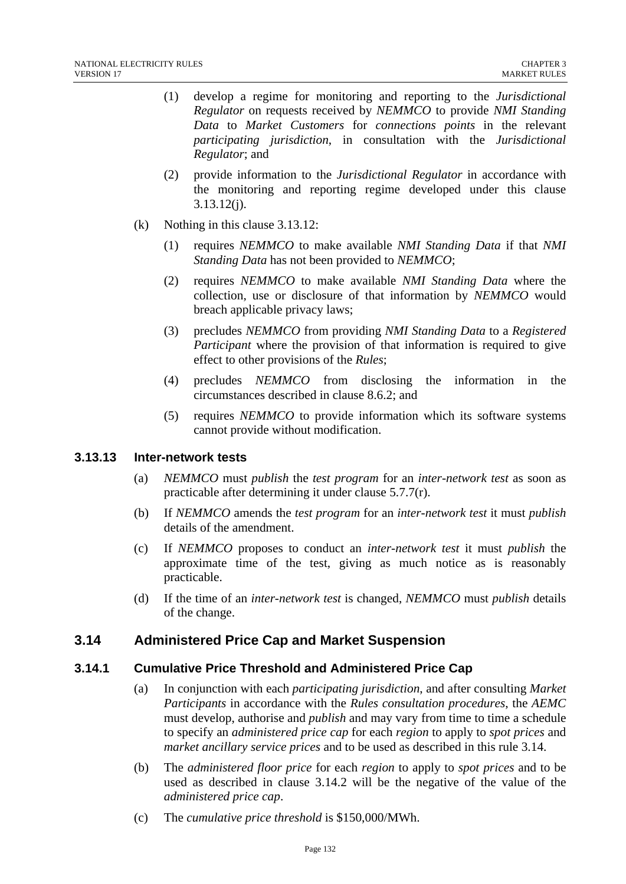- (1) develop a regime for monitoring and reporting to the *Jurisdictional Regulator* on requests received by *NEMMCO* to provide *NMI Standing Data* to *Market Customers* for *connections points* in the relevant *participating jurisdiction*, in consultation with the *Jurisdictional Regulator*; and
- (2) provide information to the *Jurisdictional Regulator* in accordance with the monitoring and reporting regime developed under this clause 3.13.12(j).
- (k) Nothing in this clause 3.13.12:
	- (1) requires *NEMMCO* to make available *NMI Standing Data* if that *NMI Standing Data* has not been provided to *NEMMCO*;
	- (2) requires *NEMMCO* to make available *NMI Standing Data* where the collection, use or disclosure of that information by *NEMMCO* would breach applicable privacy laws;
	- (3) precludes *NEMMCO* from providing *NMI Standing Data* to a *Registered Participant* where the provision of that information is required to give effect to other provisions of the *Rules*;
	- (4) precludes *NEMMCO* from disclosing the information in the circumstances described in clause 8.6.2; and
	- (5) requires *NEMMCO* to provide information which its software systems cannot provide without modification.

## **3.13.13 Inter-network tests**

- (a) *NEMMCO* must *publish* the *test program* for an *inter-network test* as soon as practicable after determining it under clause 5.7.7(r).
- (b) If *NEMMCO* amends the *test program* for an *inter-network test* it must *publish* details of the amendment.
- (c) If *NEMMCO* proposes to conduct an *inter-network test* it must *publish* the approximate time of the test, giving as much notice as is reasonably practicable.
- (d) If the time of an *inter-network test* is changed, *NEMMCO* must *publish* details of the change.

# **3.14 Administered Price Cap and Market Suspension**

## **3.14.1 Cumulative Price Threshold and Administered Price Cap**

- (a) In conjunction with each *participating jurisdiction*, and after consulting *Market Participants* in accordance with the *Rules consultation procedures*, the *AEMC*  must develop, authorise and *publish* and may vary from time to time a schedule to specify an *administered price cap* for each *region* to apply to *spot prices* and *market ancillary service prices* and to be used as described in this rule 3.14.
- (b) The *administered floor price* for each *region* to apply to *spot prices* and to be used as described in clause 3.14.2 will be the negative of the value of the *administered price cap*.
- (c) The *cumulative price threshold* is \$150,000/MWh.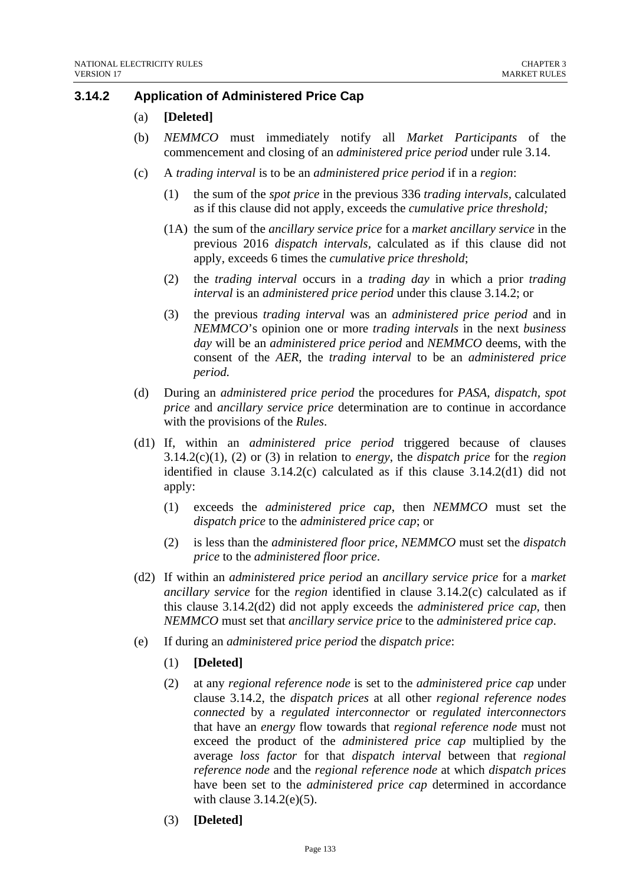## **3.14.2 Application of Administered Price Cap**

- (a) **[Deleted]**
- (b) *NEMMCO* must immediately notify all *Market Participants* of the commencement and closing of an *administered price period* under rule 3.14.
- (c) A *trading interval* is to be an *administered price period* if in a *region*:
	- (1) the sum of the *spot price* in the previous 336 *trading intervals,* calculated as if this clause did not apply, exceeds the *cumulative price threshold;*
	- (1A) the sum of the *ancillary service price* for a *market ancillary service* in the previous 2016 *dispatch intervals,* calculated as if this clause did not apply, exceeds 6 times the *cumulative price threshold*;
	- (2) the *trading interval* occurs in a *trading day* in which a prior *trading interval* is an *administered price period* under this clause 3.14.2; or
	- (3) the previous *trading interval* was an *administered price period* and in *NEMMCO*'s opinion one or more *trading intervals* in the next *business day* will be an *administered price period* and *NEMMCO* deems, with the consent of the *AER*, the *trading interval* to be an *administered price period.*
- (d) During an *administered price period* the procedures for *PASA*, *dispatch, spot price* and *ancillary service price* determination are to continue in accordance with the provisions of the *Rules*.
- (d1) If, within an *administered price period* triggered because of clauses 3.14.2(c)(1), (2) or (3) in relation to *energy*, the *dispatch price* for the *region* identified in clause 3.14.2(c) calculated as if this clause 3.14.2(d1) did not apply:
	- (1) exceeds the *administered price cap*, then *NEMMCO* must set the *dispatch price* to the *administered price cap*; or
	- (2) is less than the *administered floor price*, *NEMMCO* must set the *dispatch price* to the *administered floor price*.
- (d2) If within an *administered price period* an *ancillary service price* for a *market ancillary service* for the *region* identified in clause 3.14.2(c) calculated as if this clause 3.14.2(d2) did not apply exceeds the *administered price cap*, then *NEMMCO* must set that *ancillary service price* to the *administered price cap*.
- (e) If during an *administered price period* the *dispatch price*:
	- (1) **[Deleted]**
	- (2) at any *regional reference node* is set to the *administered price cap* under clause 3.14.2, the *dispatch prices* at all other *regional reference nodes connected* by a *regulated interconnector* or *regulated interconnectors* that have an *energy* flow towards that *regional reference node* must not exceed the product of the *administered price cap* multiplied by the average *loss factor* for that *dispatch interval* between that *regional reference node* and the *regional reference node* at which *dispatch prices*  have been set to the *administered price cap* determined in accordance with clause 3.14.2(e)(5).
	- (3) **[Deleted]**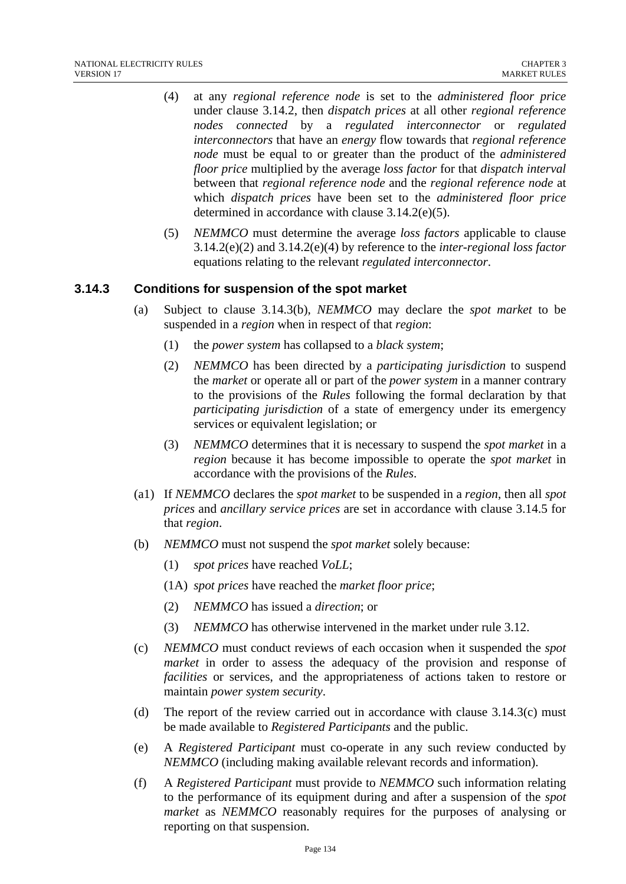- (4) at any *regional reference node* is set to the *administered floor price*  under clause 3.14.2, then *dispatch prices* at all other *regional reference nodes connected* by a *regulated interconnector* or *regulated interconnectors* that have an *energy* flow towards that *regional reference node* must be equal to or greater than the product of the *administered floor price* multiplied by the average *loss factor* for that *dispatch interval* between that *regional reference node* and the *regional reference node* at which *dispatch prices* have been set to the *administered floor price* determined in accordance with clause 3.14.2(e)(5).
- (5) *NEMMCO* must determine the average *loss factors* applicable to clause 3.14.2(e)(2) and 3.14.2(e)(4) by reference to the *inter-regional loss factor* equations relating to the relevant *regulated interconnector*.

## **3.14.3 Conditions for suspension of the spot market**

- (a) Subject to clause 3.14.3(b), *NEMMCO* may declare the *spot market* to be suspended in a *region* when in respect of that *region*:
	- (1) the *power system* has collapsed to a *black system*;
	- (2) *NEMMCO* has been directed by a *participating jurisdiction* to suspend the *market* or operate all or part of the *power system* in a manner contrary to the provisions of the *Rules* following the formal declaration by that *participating jurisdiction* of a state of emergency under its emergency services or equivalent legislation; or
	- (3) *NEMMCO* determines that it is necessary to suspend the *spot market* in a *region* because it has become impossible to operate the *spot market* in accordance with the provisions of the *Rules*.
- (a1) If *NEMMCO* declares the *spot market* to be suspended in a *region*, then all *spot prices* and *ancillary service prices* are set in accordance with clause 3.14.5 for that *region*.
- (b) *NEMMCO* must not suspend the *spot market* solely because:
	- (1) *spot prices* have reached *VoLL*;
	- (1A) *spot prices* have reached the *market floor price*;
	- (2) *NEMMCO* has issued a *direction*; or
	- (3) *NEMMCO* has otherwise intervened in the market under rule 3.12.
- (c) *NEMMCO* must conduct reviews of each occasion when it suspended the *spot market* in order to assess the adequacy of the provision and response of *facilities* or services, and the appropriateness of actions taken to restore or maintain *power system security*.
- (d) The report of the review carried out in accordance with clause 3.14.3(c) must be made available to *Registered Participants* and the public.
- (e) A *Registered Participant* must co-operate in any such review conducted by *NEMMCO* (including making available relevant records and information).
- (f) A *Registered Participant* must provide to *NEMMCO* such information relating to the performance of its equipment during and after a suspension of the *spot market* as *NEMMCO* reasonably requires for the purposes of analysing or reporting on that suspension.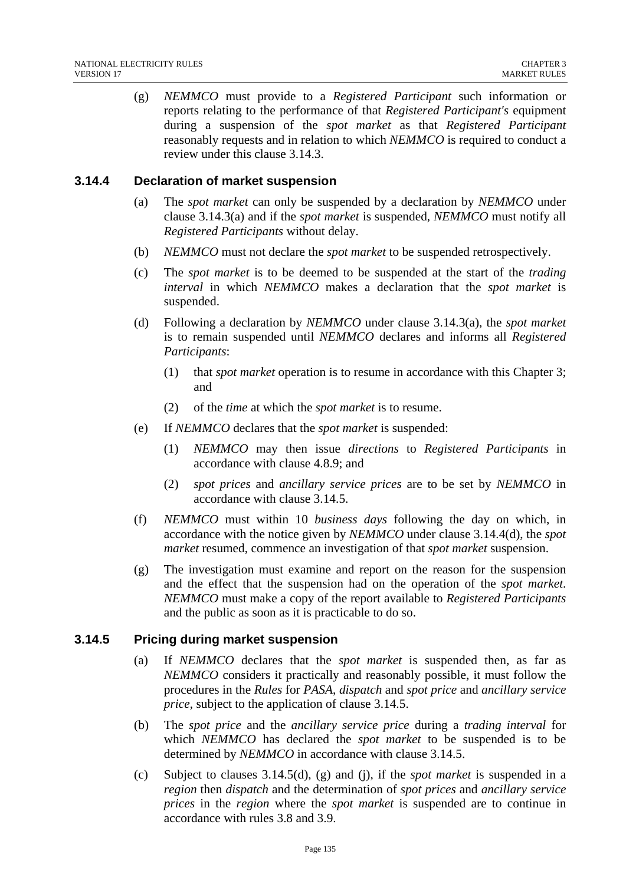(g) *NEMMCO* must provide to a *Registered Participant* such information or reports relating to the performance of that *Registered Participant's* equipment during a suspension of the *spot market* as that *Registered Participant* reasonably requests and in relation to which *NEMMCO* is required to conduct a review under this clause 3.14.3.

## **3.14.4 Declaration of market suspension**

- (a) The *spot market* can only be suspended by a declaration by *NEMMCO* under clause 3.14.3(a) and if the *spot market* is suspended, *NEMMCO* must notify all *Registered Participants* without delay.
- (b) *NEMMCO* must not declare the *spot market* to be suspended retrospectively.
- (c) The *spot market* is to be deemed to be suspended at the start of the *trading interval* in which *NEMMCO* makes a declaration that the *spot market* is suspended.
- (d) Following a declaration by *NEMMCO* under clause 3.14.3(a), the *spot market* is to remain suspended until *NEMMCO* declares and informs all *Registered Participants*:
	- (1) that *spot market* operation is to resume in accordance with this Chapter 3; and
	- (2) of the *time* at which the *spot market* is to resume.
- (e) If *NEMMCO* declares that the *spot market* is suspended:
	- (1) *NEMMCO* may then issue *directions* to *Registered Participants* in accordance with clause 4.8.9; and
	- (2) *spot prices* and *ancillary service prices* are to be set by *NEMMCO* in accordance with clause 3.14.5.
- (f) *NEMMCO* must within 10 *business days* following the day on which, in accordance with the notice given by *NEMMCO* under clause 3.14.4(d), the *spot market* resumed, commence an investigation of that *spot market* suspension.
- (g) The investigation must examine and report on the reason for the suspension and the effect that the suspension had on the operation of the *spot market*. *NEMMCO* must make a copy of the report available to *Registered Participants* and the public as soon as it is practicable to do so.

#### **3.14.5 Pricing during market suspension**

- (a) If *NEMMCO* declares that the *spot market* is suspended then, as far as *NEMMCO* considers it practically and reasonably possible, it must follow the procedures in the *Rules* for *PASA*, *dispatch* and *spot price* and *ancillary service price*, subject to the application of clause 3.14.5.
- (b) The *spot price* and the *ancillary service price* during a *trading interval* for which *NEMMCO* has declared the *spot market* to be suspended is to be determined by *NEMMCO* in accordance with clause 3.14.5.
- (c) Subject to clauses 3.14.5(d), (g) and (j), if the *spot market* is suspended in a *region* then *dispatch* and the determination of *spot prices* and *ancillary service prices* in the *region* where the *spot market* is suspended are to continue in accordance with rules 3.8 and 3.9.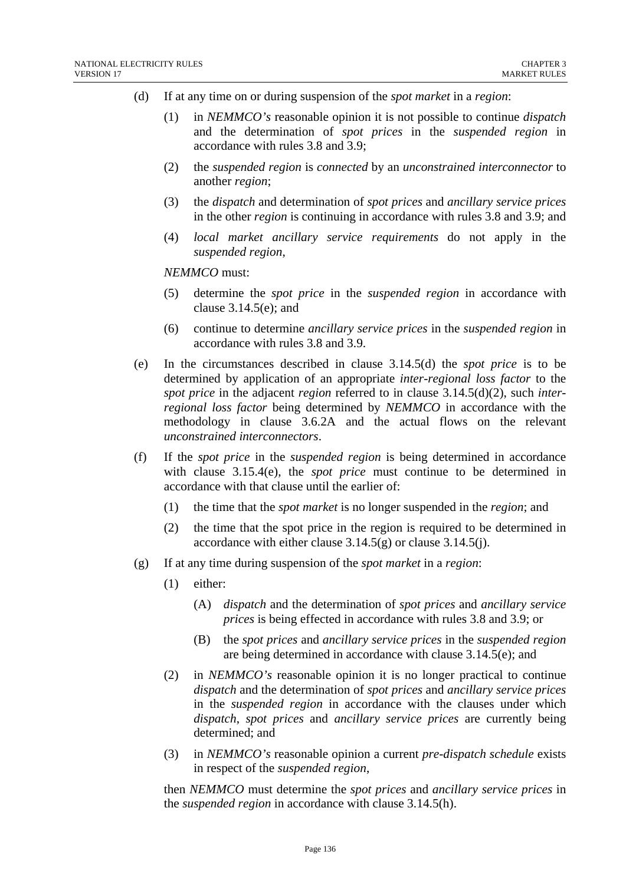- (d) If at any time on or during suspension of the *spot market* in a *region*:
	- (1) in *NEMMCO's* reasonable opinion it is not possible to continue *dispatch* and the determination of *spot prices* in the *suspended region* in accordance with rules 3.8 and 3.9;
	- (2) the *suspended region* is *connected* by an *unconstrained interconnector* to another *region*;
	- (3) the *dispatch* and determination of *spot prices* and *ancillary service prices* in the other *region* is continuing in accordance with rules 3.8 and 3.9; and
	- (4) *local market ancillary service requirements* do not apply in the *suspended region*,

*NEMMCO* must:

- (5) determine the *spot price* in the *suspended region* in accordance with clause 3.14.5(e); and
- (6) continue to determine *ancillary service prices* in the *suspended region* in accordance with rules 3.8 and 3.9.
- (e) In the circumstances described in clause 3.14.5(d) the *spot price* is to be determined by application of an appropriate *inter-regional loss factor* to the *spot price* in the adjacent *region* referred to in clause 3.14.5(d)(2), such *interregional loss factor* being determined by *NEMMCO* in accordance with the methodology in clause 3.6.2A and the actual flows on the relevant *unconstrained interconnectors*.
- (f) If the *spot price* in the *suspended region* is being determined in accordance with clause 3.15.4(e), the *spot price* must continue to be determined in accordance with that clause until the earlier of:
	- (1) the time that the *spot market* is no longer suspended in the *region*; and
	- (2) the time that the spot price in the region is required to be determined in accordance with either clause  $3.14.5(g)$  or clause  $3.14.5(j)$ .
- (g) If at any time during suspension of the *spot market* in a *region*:
	- (1) either:
		- (A) *dispatch* and the determination of *spot prices* and *ancillary service prices* is being effected in accordance with rules 3.8 and 3.9; or
		- (B) the *spot prices* and *ancillary service prices* in the *suspended region* are being determined in accordance with clause 3.14.5(e); and
	- (2) in *NEMMCO's* reasonable opinion it is no longer practical to continue *dispatch* and the determination of *spot prices* and *ancillary service prices* in the *suspended region* in accordance with the clauses under which *dispatch*, *spot prices* and *ancillary service prices* are currently being determined; and
	- (3) in *NEMMCO's* reasonable opinion a current *pre-dispatch schedule* exists in respect of the *suspended region*,

then *NEMMCO* must determine the *spot prices* and *ancillary service prices* in the *suspended region* in accordance with clause 3.14.5(h).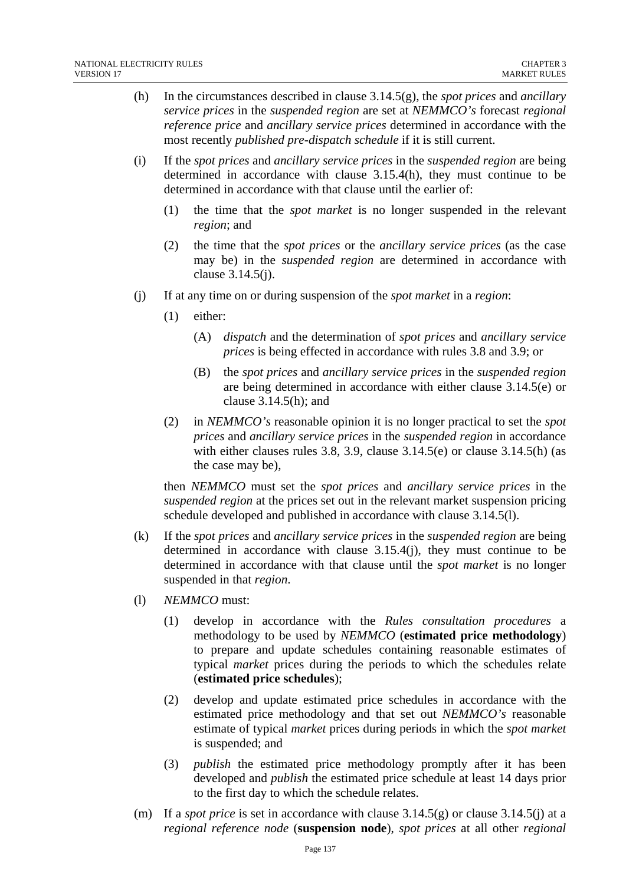- (h) In the circumstances described in clause 3.14.5(g), the *spot prices* and *ancillary service prices* in the *suspended region* are set at *NEMMCO's* forecast *regional reference price* and *ancillary service prices* determined in accordance with the most recently *published pre-dispatch schedule* if it is still current.
- (i) If the *spot prices* and *ancillary service prices* in the *suspended region* are being determined in accordance with clause 3.15.4(h), they must continue to be determined in accordance with that clause until the earlier of:
	- (1) the time that the *spot market* is no longer suspended in the relevant *region*; and
	- (2) the time that the *spot prices* or the *ancillary service prices* (as the case may be) in the *suspended region* are determined in accordance with clause 3.14.5(j).
- (j) If at any time on or during suspension of the *spot market* in a *region*:
	- (1) either:
		- (A) *dispatch* and the determination of *spot prices* and *ancillary service prices* is being effected in accordance with rules 3.8 and 3.9; or
		- (B) the *spot prices* and *ancillary service prices* in the *suspended region* are being determined in accordance with either clause 3.14.5(e) or clause 3.14.5(h); and
	- (2) in *NEMMCO's* reasonable opinion it is no longer practical to set the *spot prices* and *ancillary service prices* in the *suspended region* in accordance with either clauses rules 3.8, 3.9, clause 3.14.5(e) or clause 3.14.5(h) (as the case may be),

then *NEMMCO* must set the *spot prices* and *ancillary service prices* in the *suspended region* at the prices set out in the relevant market suspension pricing schedule developed and published in accordance with clause 3.14.5(l).

- (k) If the *spot prices* and *ancillary service prices* in the *suspended region* are being determined in accordance with clause 3.15.4(j), they must continue to be determined in accordance with that clause until the *spot market* is no longer suspended in that *region*.
- (l) *NEMMCO* must:
	- (1) develop in accordance with the *Rules consultation procedures* a methodology to be used by *NEMMCO* (**estimated price methodology**) to prepare and update schedules containing reasonable estimates of typical *market* prices during the periods to which the schedules relate (**estimated price schedules**);
	- (2) develop and update estimated price schedules in accordance with the estimated price methodology and that set out *NEMMCO's* reasonable estimate of typical *market* prices during periods in which the *spot market* is suspended; and
	- (3) *publish* the estimated price methodology promptly after it has been developed and *publish* the estimated price schedule at least 14 days prior to the first day to which the schedule relates.
- (m) If a *spot price* is set in accordance with clause 3.14.5(g) or clause 3.14.5(j) at a *regional reference node* (**suspension node**), *spot prices* at all other *regional*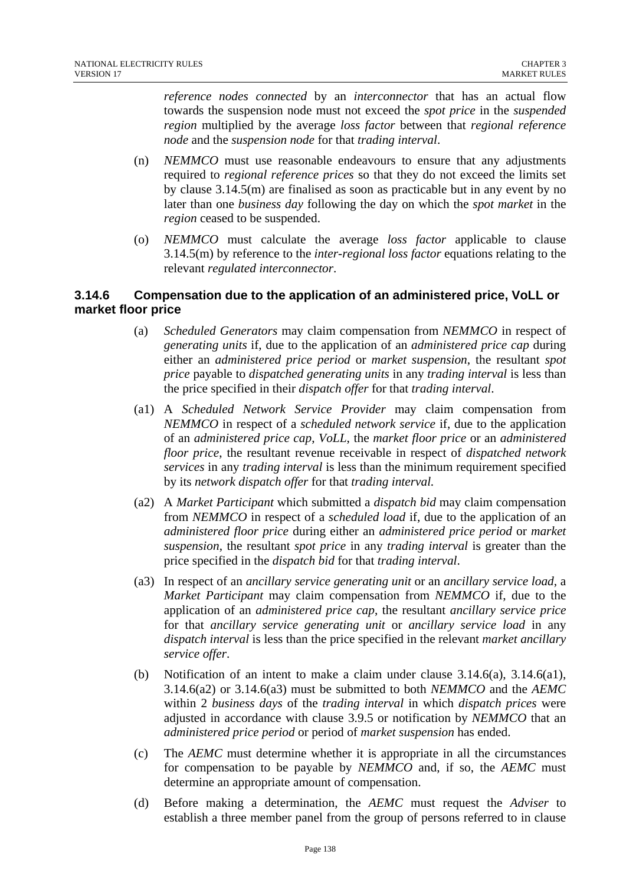*reference nodes connected* by an *interconnector* that has an actual flow towards the suspension node must not exceed the *spot price* in the *suspended region* multiplied by the average *loss factor* between that *regional reference node* and the *suspension node* for that *trading interval*.

- (n) *NEMMCO* must use reasonable endeavours to ensure that any adjustments required to *regional reference prices* so that they do not exceed the limits set by clause 3.14.5(m) are finalised as soon as practicable but in any event by no later than one *business day* following the day on which the *spot market* in the *region* ceased to be suspended.
- (o) *NEMMCO* must calculate the average *loss factor* applicable to clause 3.14.5(m) by reference to the *inter-regional loss factor* equations relating to the relevant *regulated interconnector*.

## **3.14.6 Compensation due to the application of an administered price, VoLL or market floor price**

- (a) *Scheduled Generators* may claim compensation from *NEMMCO* in respect of *generating units* if, due to the application of an *administered price cap* during either an *administered price period* or *market suspension*, the resultant *spot price* payable to *dispatched generating units* in any *trading interval* is less than the price specified in their *dispatch offer* for that *trading interval*.
- (a1) A *Scheduled Network Service Provider* may claim compensation from *NEMMCO* in respect of a *scheduled network service* if, due to the application of an *administered price cap*, *VoLL*, the *market floor price* or an *administered floor price*, the resultant revenue receivable in respect of *dispatched network services* in any *trading interval* is less than the minimum requirement specified by its *network dispatch offer* for that *trading interval.*
- (a2) A *Market Participant* which submitted a *dispatch bid* may claim compensation from *NEMMCO* in respect of a *scheduled load* if, due to the application of an *administered floor price* during either an *administered price period* or *market suspension*, the resultant *spot price* in any *trading interval* is greater than the price specified in the *dispatch bid* for that *trading interval*.
- (a3) In respect of an *ancillary service generating unit* or an *ancillary service load*, a *Market Participant* may claim compensation from *NEMMCO* if, due to the application of an *administered price cap*, the resultant *ancillary service price* for that *ancillary service generating unit* or *ancillary service load* in any *dispatch interval* is less than the price specified in the relevant *market ancillary service offer*.
- (b) Notification of an intent to make a claim under clause  $3.14.6(a)$ ,  $3.14.6(a1)$ , 3.14.6(a2) or 3.14.6(a3) must be submitted to both *NEMMCO* and the *AEMC* within 2 *business days* of the *trading interval* in which *dispatch prices* were adjusted in accordance with clause 3.9.5 or notification by *NEMMCO* that an *administered price period* or period of *market suspension* has ended.
- (c) The *AEMC* must determine whether it is appropriate in all the circumstances for compensation to be payable by *NEMMCO* and, if so, the *AEMC* must determine an appropriate amount of compensation.
- (d) Before making a determination, the *AEMC* must request the *Adviser* to establish a three member panel from the group of persons referred to in clause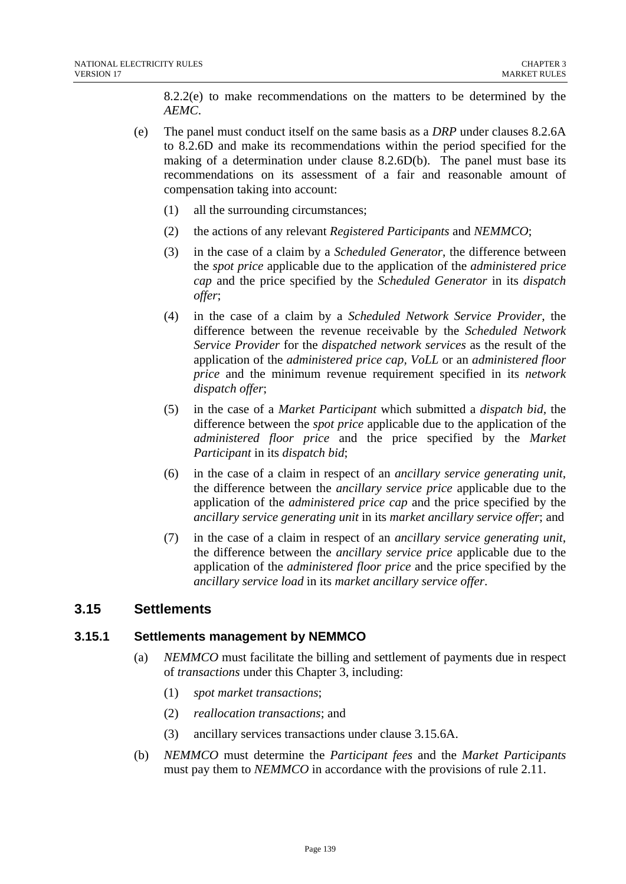8.2.2(e) to make recommendations on the matters to be determined by the *AEMC*.

- (e) The panel must conduct itself on the same basis as a *DRP* under clauses 8.2.6A to 8.2.6D and make its recommendations within the period specified for the making of a determination under clause 8.2.6D(b). The panel must base its recommendations on its assessment of a fair and reasonable amount of compensation taking into account:
	- (1) all the surrounding circumstances;
	- (2) the actions of any relevant *Registered Participants* and *NEMMCO*;
	- (3) in the case of a claim by a *Scheduled Generator*, the difference between the *spot price* applicable due to the application of the *administered price cap* and the price specified by the *Scheduled Generator* in its *dispatch offer*;
	- (4) in the case of a claim by a *Scheduled Network Service Provider*, the difference between the revenue receivable by the *Scheduled Network Service Provider* for the *dispatched network services* as the result of the application of the *administered price cap, VoLL* or an *administered floor price* and the minimum revenue requirement specified in its *network dispatch offer*;
	- (5) in the case of a *Market Participant* which submitted a *dispatch bid,* the difference between the *spot price* applicable due to the application of the *administered floor price* and the price specified by the *Market Participant* in its *dispatch bid*;
	- (6) in the case of a claim in respect of an *ancillary service generating unit*, the difference between the *ancillary service price* applicable due to the application of the *administered price cap* and the price specified by the *ancillary service generating unit* in its *market ancillary service offer*; and
	- (7) in the case of a claim in respect of an *ancillary service generating unit*, the difference between the *ancillary service price* applicable due to the application of the *administered floor price* and the price specified by the *ancillary service load* in its *market ancillary service offer*.

## **3.15 Settlements**

#### **3.15.1 Settlements management by NEMMCO**

- (a) *NEMMCO* must facilitate the billing and settlement of payments due in respect of *transactions* under this Chapter 3, including:
	- (1) *spot market transactions*;
	- (2) *reallocation transactions*; and
	- (3) ancillary services transactions under clause 3.15.6A.
- (b) *NEMMCO* must determine the *Participant fees* and the *Market Participants*  must pay them to *NEMMCO* in accordance with the provisions of rule 2.11.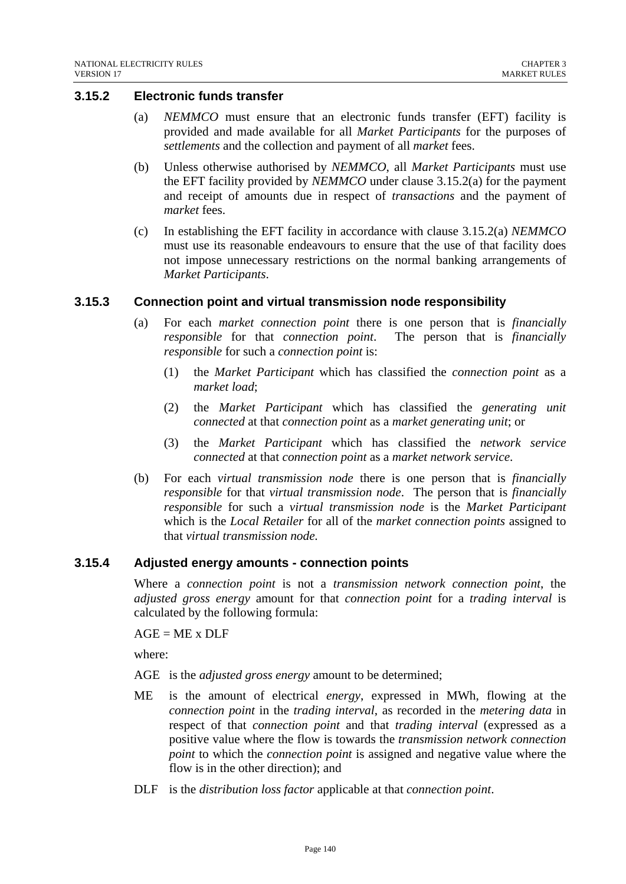## **3.15.2 Electronic funds transfer**

- (a) *NEMMCO* must ensure that an electronic funds transfer (EFT) facility is provided and made available for all *Market Participants* for the purposes of *settlements* and the collection and payment of all *market* fees.
- (b) Unless otherwise authorised by *NEMMCO*, all *Market Participants* must use the EFT facility provided by *NEMMCO* under clause 3.15.2(a) for the payment and receipt of amounts due in respect of *transactions* and the payment of *market* fees.
- (c) In establishing the EFT facility in accordance with clause 3.15.2(a) *NEMMCO* must use its reasonable endeavours to ensure that the use of that facility does not impose unnecessary restrictions on the normal banking arrangements of *Market Participants*.

#### **3.15.3 Connection point and virtual transmission node responsibility**

- (a) For each *market connection point* there is one person that is *financially responsible* for that *connection point*. The person that is *financially responsible* for such a *connection point* is:
	- (1) the *Market Participant* which has classified the *connection point* as a *market load*;
	- (2) the *Market Participant* which has classified the *generating unit connected* at that *connection point* as a *market generating unit*; or
	- (3) the *Market Participant* which has classified the *network service connected* at that *connection point* as a *market network service*.
- (b) For each *virtual transmission node* there is one person that is *financially responsible* for that *virtual transmission node*. The person that is *financially responsible* for such a *virtual transmission node* is the *Market Participant* which is the *Local Retailer* for all of the *market connection points* assigned to that *virtual transmission node.*

#### **3.15.4 Adjusted energy amounts - connection points**

Where a *connection point* is not a *transmission network connection point*, the *adjusted gross energy* amount for that *connection point* for a *trading interval* is calculated by the following formula:

 $AGE = ME \times DLF$ 

where:

AGE is the *adjusted gross energy* amount to be determined;

- ME is the amount of electrical *energy*, expressed in MWh, flowing at the *connection point* in the *trading interval*, as recorded in the *metering data* in respect of that *connection point* and that *trading interval* (expressed as a positive value where the flow is towards the *transmission network connection point* to which the *connection point* is assigned and negative value where the flow is in the other direction); and
- DLF is the *distribution loss factor* applicable at that *connection point*.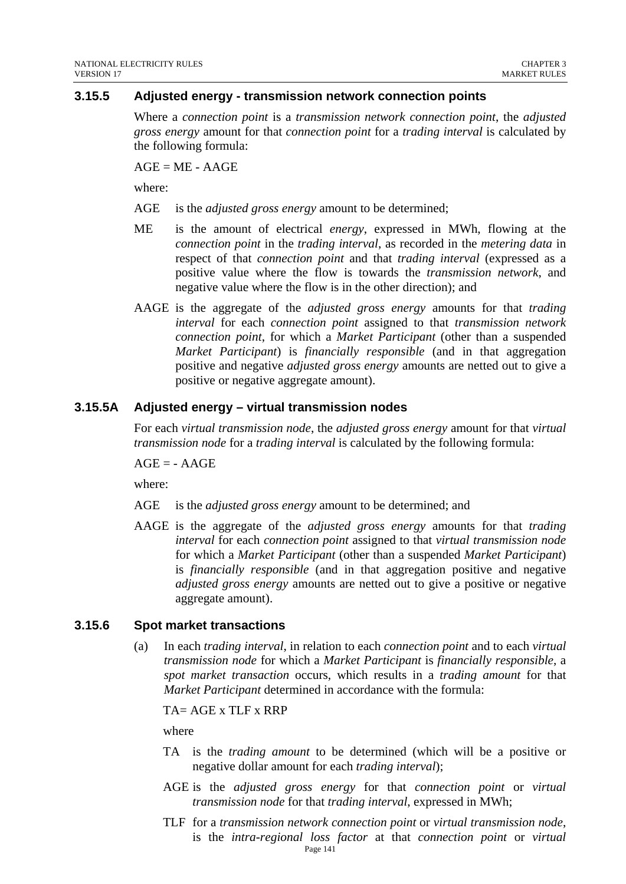## **3.15.5 Adjusted energy - transmission network connection points**

Where a *connection point* is a *transmission network connection point*, the *adjusted gross energy* amount for that *connection point* for a *trading interval* is calculated by the following formula:

 $AGE = ME - AAGE$ 

where:

- AGE is the *adjusted gross energy* amount to be determined;
- ME is the amount of electrical *energy*, expressed in MWh, flowing at the *connection point* in the *trading interval*, as recorded in the *metering data* in respect of that *connection point* and that *trading interval* (expressed as a positive value where the flow is towards the *transmission network*, and negative value where the flow is in the other direction); and
- AAGE is the aggregate of the *adjusted gross energy* amounts for that *trading interval* for each *connection point* assigned to that *transmission network connection point*, for which a *Market Participant* (other than a suspended *Market Participant*) is *financially responsible* (and in that aggregation positive and negative *adjusted gross energy* amounts are netted out to give a positive or negative aggregate amount).

#### **3.15.5A Adjusted energy – virtual transmission nodes**

For each *virtual transmission node*, the *adjusted gross energy* amount for that *virtual transmission node* for a *trading interval* is calculated by the following formula:

 $AGE = - AAGE$ 

where:

- AGE is the *adjusted gross energy* amount to be determined; and
- AAGE is the aggregate of the *adjusted gross energy* amounts for that *trading interval* for each *connection point* assigned to that *virtual transmission node* for which a *Market Participant* (other than a suspended *Market Participant*) is *financially responsible* (and in that aggregation positive and negative *adjusted gross energy* amounts are netted out to give a positive or negative aggregate amount).

#### **3.15.6 Spot market transactions**

(a) In each *trading interval*, in relation to each *connection point* and to each *virtual transmission node* for which a *Market Participant* is *financially responsible*, a *spot market transaction* occurs, which results in a *trading amount* for that *Market Participant* determined in accordance with the formula:

TA= AGE x TLF x RRP

where

- TA is the *trading amount* to be determined (which will be a positive or negative dollar amount for each *trading interval*);
- AGE is the *adjusted gross energy* for that *connection point* or *virtual transmission node* for that *trading interval*, expressed in MWh;
- Page 141 TLF for a *transmission network connection point* or *virtual transmission node*, is the *intra-regional loss factor* at that *connection point* or *virtual*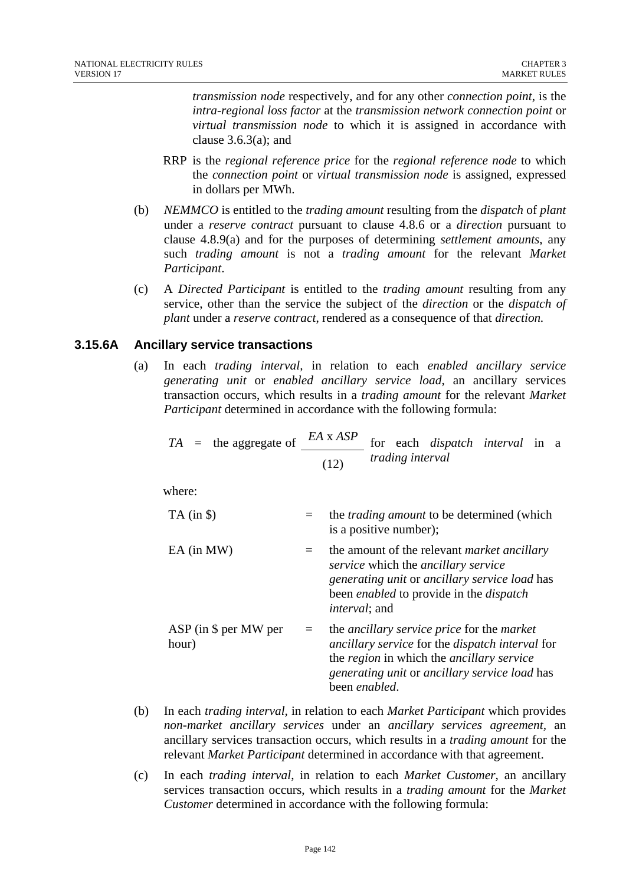*transmission node* respectively, and for any other *connection point*, is the *intra-regional loss factor* at the *transmission network connection point* or *virtual transmission node* to which it is assigned in accordance with clause  $3.6.3(a)$ ; and

- RRP is the *regional reference price* for the *regional reference node* to which the *connection point* or *virtual transmission node* is assigned, expressed in dollars per MWh.
- (b) *NEMMCO* is entitled to the *trading amount* resulting from the *dispatch* of *plant* under a *reserve contract* pursuant to clause 4.8.6 or a *direction* pursuant to clause 4.8.9(a) and for the purposes of determining *settlement amounts*, any such *trading amount* is not a *trading amount* for the relevant *Market Participant*.
- (c) A *Directed Participant* is entitled to the *trading amount* resulting from any service, other than the service the subject of the *direction* or the *dispatch of plant* under a *reserve contract*, rendered as a consequence of that *direction.*

## **3.15.6A Ancillary service transactions**

(a) In each *trading interval,* in relation to each *enabled ancillary service generating unit* or *enabled ancillary service load*, an ancillary services transaction occurs, which results in a *trading amount* for the relevant *Market Participant* determined in accordance with the following formula:

$$
TA = \text{the aggregate of } \frac{EA \times ASP}{(12)} \text{ for each dispatch interval in a}
$$
  
trading interval

where:

| $TA$ (in $\$\$ )                 |     | the <i>trading amount</i> to be determined (which<br>is a positive number);                                                                                                                                                  |
|----------------------------------|-----|------------------------------------------------------------------------------------------------------------------------------------------------------------------------------------------------------------------------------|
| $EA$ (in MW)                     |     | the amount of the relevant <i>market ancillary</i><br>service which the ancillary service<br>generating unit or ancillary service load has<br>been <i>enabled</i> to provide in the <i>dispatch</i><br><i>interval</i> ; and |
| $ASP$ (in \$ per MW per<br>hour) | $=$ | the ancillary service price for the market<br>ancillary service for the dispatch interval for<br>the region in which the ancillary service<br>generating unit or ancillary service load has<br>been enabled.                 |

- (b) In each *trading interval,* in relation to each *Market Participant* which provides *non-market ancillary services* under an *ancillary services agreement,* an ancillary services transaction occurs, which results in a *trading amount* for the relevant *Market Participant* determined in accordance with that agreement.
- (c) In each *trading interval*, in relation to each *Market Customer*, an ancillary services transaction occurs, which results in a *trading amount* for the *Market Customer* determined in accordance with the following formula: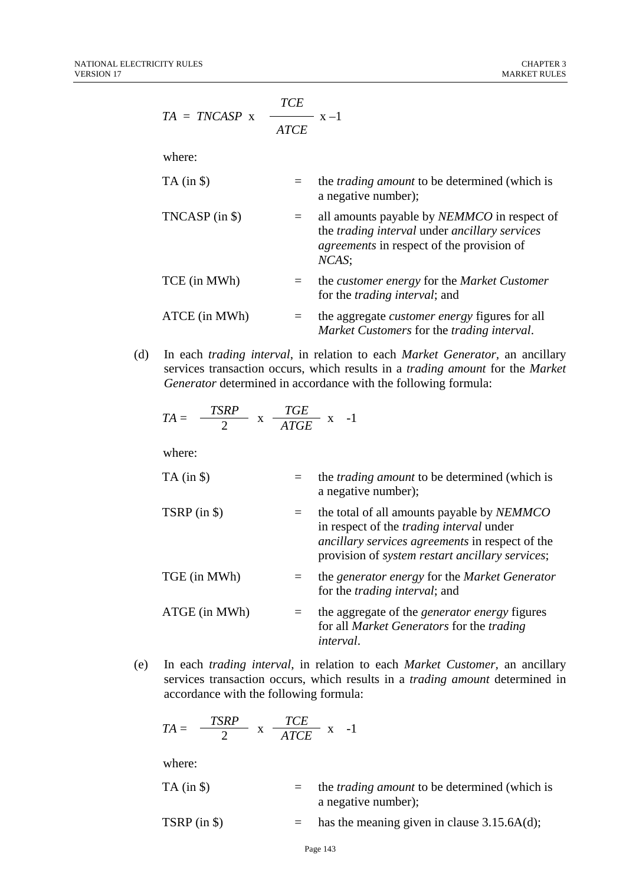$$
TA = TNCASP \times \frac{TCE}{ATCE} \times -1
$$

where:

| $TA$ (in $\$ )   |         | the <i>trading amount</i> to be determined (which is<br>a negative number);                                                                                      |
|------------------|---------|------------------------------------------------------------------------------------------------------------------------------------------------------------------|
| $TNCASP$ (in \$) |         | all amounts payable by <i>NEMMCO</i> in respect of<br>the trading interval under ancillary services<br><i>agreements</i> in respect of the provision of<br>NCAS; |
| TCE (in MWh)     | $=$ $-$ | the <i>customer</i> energy for the <i>Market Customer</i><br>for the <i>trading interval</i> ; and                                                               |
| ATCE (in MWh)    |         | the aggregate <i>customer</i> energy figures for all<br>Market Customers for the trading interval.                                                               |

(d) In each *trading interval*, in relation to each *Market Generator,* an ancillary services transaction occurs, which results in a *trading amount* for the *Market Generator* determined in accordance with the following formula:

$$
TA = \frac{TSRP}{2} \times \frac{TGE}{ATGE} \times -1
$$

where:

| $TA$ (in $\$ ) | the <i>trading amount</i> to be determined (which is<br>a negative number);                                                                                                                                        |
|----------------|--------------------------------------------------------------------------------------------------------------------------------------------------------------------------------------------------------------------|
| $TSRP$ (in \$) | the total of all amounts payable by <i>NEMMCO</i><br>in respect of the <i>trading interval</i> under<br>ancillary services agreements in respect of the<br>provision of <i>system restart ancillary services</i> ; |
| TGE (in MWh)   | the generator energy for the Market Generator<br>for the <i>trading interval</i> ; and                                                                                                                             |
| ATGE (in MWh)  | the aggregate of the <i>generator energy</i> figures<br>for all Market Generators for the trading<br><i>interval.</i>                                                                                              |

(e) In each *trading interval*, in relation to each *Market Customer,* an ancillary services transaction occurs, which results in a *trading amount* determined in accordance with the following formula:

$$
TA = \frac{TSRP}{2} \times \frac{TCE}{ATCE} \times -1
$$

where:

| $TA$ (in $\$\$ ) | $=$ the <i>trading amount</i> to be determined (which is |
|------------------|----------------------------------------------------------|
|                  | a negative number);                                      |

$$
TSRP (in \$)
$$
 = has the meaning given in clause 3.15.6A(d);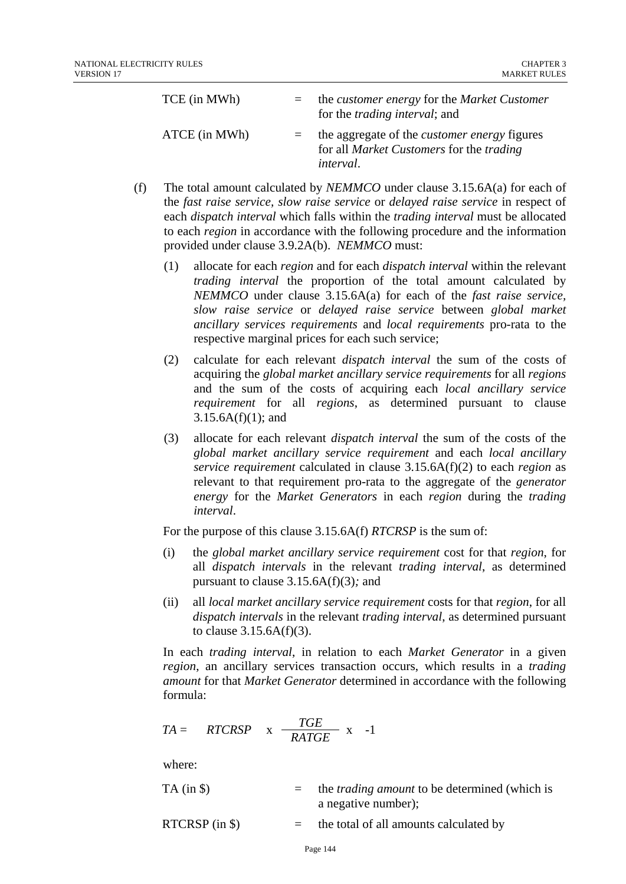| TCE (in MWh)  | the <i>customer</i> energy for the <i>Market Customer</i><br>for the <i>trading interval</i> ; and                                |
|---------------|-----------------------------------------------------------------------------------------------------------------------------------|
| ATCE (in MWh) | the aggregate of the <i>customer energy</i> figures<br>for all <i>Market Customers</i> for the <i>trading</i><br><i>interval.</i> |

- (f) The total amount calculated by *NEMMCO* under clause 3.15.6A(a) for each of the *fast raise service, slow raise service* or *delayed raise service* in respect of each *dispatch interval* which falls within the *trading interval* must be allocated to each *region* in accordance with the following procedure and the information provided under clause 3.9.2A(b). *NEMMCO* must:
	- (1) allocate for each *region* and for each *dispatch interval* within the relevant *trading interval* the proportion of the total amount calculated by *NEMMCO* under clause 3.15.6A(a) for each of the *fast raise service, slow raise service* or *delayed raise service* between *global market ancillary services requirements* and *local requirements* pro-rata to the respective marginal prices for each such service;
	- (2) calculate for each relevant *dispatch interval* the sum of the costs of acquiring the *global market ancillary service requirements* for all *regions* and the sum of the costs of acquiring each *local ancillary service requirement* for all *regions*, as determined pursuant to clause  $3.15.6A(f)(1)$ ; and
	- (3) allocate for each relevant *dispatch interval* the sum of the costs of the *global market ancillary service requirement* and each *local ancillary service requirement* calculated in clause 3.15.6A(f)(2) to each *region* as relevant to that requirement pro-rata to the aggregate of the *generator energy* for the *Market Generators* in each *region* during the *trading interval*.

For the purpose of this clause 3.15.6A(f) *RTCRSP* is the sum of:

- (i) the *global market ancillary service requirement* cost for that *region*, for all *dispatch intervals* in the relevant *trading interval*, as determined pursuant to clause 3.15.6A(f)(3)*;* and
- (ii) all *local market ancillary service requirement* costs for that *region*, for all *dispatch intervals* in the relevant *trading interval*, as determined pursuant to clause  $3.15.6A(f)(3)$ .

In each *trading interval*, in relation to each *Market Generator* in a given *region*, an ancillary services transaction occurs, which results in a *trading amount* for that *Market Generator* determined in accordance with the following formula:

$$
TA = RTCRSP \times \frac{TGE}{RATGE} \times -1
$$

where:

| $TA$ (in $\})$ | $=$ the <i>trading amount</i> to be determined (which is |
|----------------|----------------------------------------------------------|
|                | a negative number);                                      |

RTCRSP (in  $\hat{S}$ ) = the total of all amounts calculated by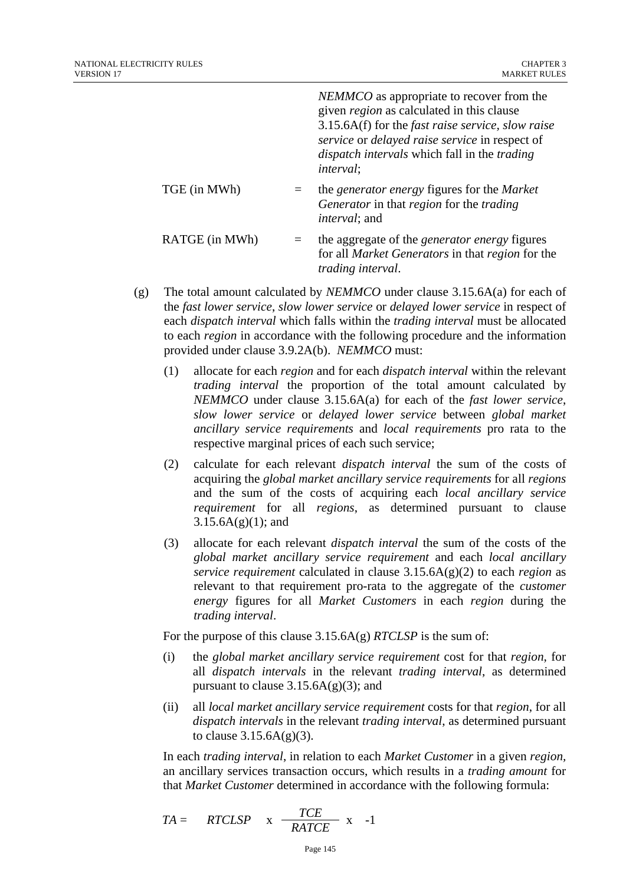|                | <i>NEMMCO</i> as appropriate to recover from the<br>given <i>region</i> as calculated in this clause<br>$3.15.6A(f)$ for the <i>fast raise service</i> , <i>slow raise</i><br>service or delayed raise service in respect of<br><i>dispatch intervals</i> which fall in the <i>trading</i><br><i>interval</i> : |
|----------------|-----------------------------------------------------------------------------------------------------------------------------------------------------------------------------------------------------------------------------------------------------------------------------------------------------------------|
| TGE (in MWh)   | the <i>generator</i> energy figures for the <i>Market</i><br>Generator in that region for the trading<br><i>interval</i> ; and                                                                                                                                                                                  |
| RATGE (in MWh) | the aggregate of the <i>generator energy</i> figures<br>for all <i>Market Generators</i> in that <i>region</i> for the<br><i>trading interval.</i>                                                                                                                                                              |

- (g) The total amount calculated by *NEMMCO* under clause 3.15.6A(a) for each of the *fast lower service*, *slow lower service* or *delayed lower service* in respect of each *dispatch interval* which falls within the *trading interval* must be allocated to each *region* in accordance with the following procedure and the information provided under clause 3.9.2A(b). *NEMMCO* must:
	- (1) allocate for each *region* and for each *dispatch interval* within the relevant *trading interval* the proportion of the total amount calculated by *NEMMCO* under clause 3.15.6A(a) for each of the *fast lower service*, *slow lower service* or *delayed lower service* between *global market ancillary service requirements* and *local requirements* pro rata to the respective marginal prices of each such service;
	- (2) calculate for each relevant *dispatch interval* the sum of the costs of acquiring the *global market ancillary service requirements* for all *regions* and the sum of the costs of acquiring each *local ancillary service requirement* for all *regions*, as determined pursuant to clause  $3.15.6A(g)(1);$  and
	- (3) allocate for each relevant *dispatch interval* the sum of the costs of the *global market ancillary service requirement* and each *local ancillary service requirement* calculated in clause 3.15.6A(g)(2) to each *region* as relevant to that requirement pro-rata to the aggregate of the *customer energy* figures for all *Market Customers* in each *region* during the *trading interval*.

For the purpose of this clause 3.15.6A(g) *RTCLSP* is the sum of:

- (i) the *global market ancillary service requirement* cost for that *region*, for all *dispatch intervals* in the relevant *trading interval*, as determined pursuant to clause  $3.15.6A(g)(3)$ ; and
- (ii) all *local market ancillary service requirement* costs for that *region*, for all *dispatch intervals* in the relevant *trading interval*, as determined pursuant to clause  $3.15.6A(g)(3)$ .

In each *trading interval*, in relation to each *Market Customer* in a given *region,* an ancillary services transaction occurs, which results in a *trading amount* for that *Market Customer* determined in accordance with the following formula:

$$
TA = RTCLSP \times \frac{TCE}{RATCE} \times -1
$$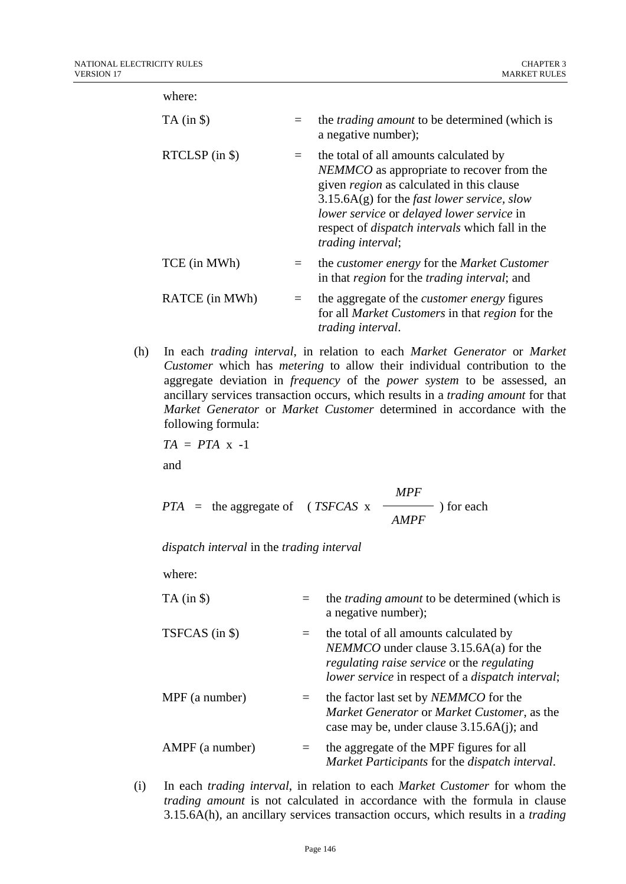where:

| $TA$ (in $\$ ) |     | the <i>trading amount</i> to be determined (which is<br>a negative number);                                                                                                                                                                                                                                                                |
|----------------|-----|--------------------------------------------------------------------------------------------------------------------------------------------------------------------------------------------------------------------------------------------------------------------------------------------------------------------------------------------|
| RTCLSP (in \$) | $=$ | the total of all amounts calculated by<br>NEMMCO as appropriate to recover from the<br>given <i>region</i> as calculated in this clause<br>$3.15.6A(g)$ for the <i>fast lower service</i> , <i>slow</i><br>lower service or delayed lower service in<br>respect of <i>dispatch intervals</i> which fall in the<br><i>trading interval;</i> |
| TCE (in MWh)   |     | the <i>customer</i> energy for the <i>Market Customer</i><br>in that <i>region</i> for the <i>trading interval</i> ; and                                                                                                                                                                                                                   |
| RATCE (in MWh) | $=$ | the aggregate of the <i>customer energy</i> figures<br>for all <i>Market Customers</i> in that <i>region</i> for the<br><i>trading interval.</i>                                                                                                                                                                                           |

(h) In each *trading interval*, in relation to each *Market Generator* or *Market Customer* which has *metering* to allow their individual contribution to the aggregate deviation in *frequency* of the *power system* to be assessed*,* an ancillary services transaction occurs, which results in a *trading amount* for that *Market Generator* or *Market Customer* determined in accordance with the following formula:

 $TA = PTA \times -1$ and

*MPF PTA =* the aggregate of ( *TSFCAS* x *AMPF*  ) for each

*dispatch interval* in the *trading interval*

where:

| $TA$ (in $\$ )  | $=$ | the <i>trading amount</i> to be determined (which is<br>a negative number);                                                                                                                               |
|-----------------|-----|-----------------------------------------------------------------------------------------------------------------------------------------------------------------------------------------------------------|
| TSFCAS (in \$)  | $=$ | the total of all amounts calculated by<br>$NEMMCO$ under clause 3.15.6A(a) for the<br><i>regulating raise service</i> or the <i>regulating</i><br>lower service in respect of a <i>dispatch</i> interval; |
| MPF (a number)  | $=$ | the factor last set by <i>NEMMCO</i> for the<br>Market Generator or Market Customer, as the<br>case may be, under clause $3.15.6A(i)$ ; and                                                               |
| AMPF (a number) | $=$ | the aggregate of the MPF figures for all<br>Market Participants for the dispatch interval.                                                                                                                |

(i) In each *trading interval*, in relation to each *Market Customer* for whom the *trading amount* is not calculated in accordance with the formula in clause 3.15.6A(h)*,* an ancillary services transaction occurs, which results in a *trading*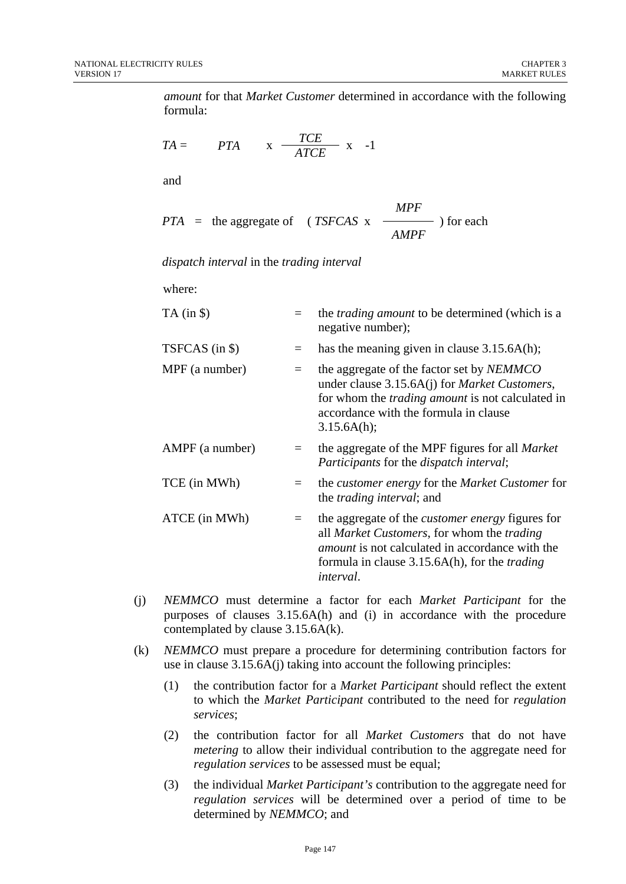*amount* for that *Market Customer* determined in accordance with the following formula:

$$
TA = \qquad PTA \qquad x \quad \frac{TCE}{ATCE} \quad x \quad -1
$$

and

$$
PTA = \text{the aggregate of } (TSFCAS \times \frac{MPF}{AMPF}) \text{ for each}
$$

*dispatch interval* in the *trading interval*

where:

| $TA$ (in $\$ )  |     | the <i>trading amount</i> to be determined (which is a<br>negative number);                                                                                                                                                                 |
|-----------------|-----|---------------------------------------------------------------------------------------------------------------------------------------------------------------------------------------------------------------------------------------------|
| TSFCAS (in \$)  | $=$ | has the meaning given in clause $3.15.6A(h)$ ;                                                                                                                                                                                              |
| MPF (a number)  | $=$ | the aggregate of the factor set by <i>NEMMCO</i><br>under clause 3.15.6A(j) for <i>Market Customers</i> ,<br>for whom the <i>trading amount</i> is not calculated in<br>accordance with the formula in clause<br>3.15.6A(h);                |
| AMPF (a number) | $=$ | the aggregate of the MPF figures for all <i>Market</i><br><i>Participants</i> for the <i>dispatch interval</i> ;                                                                                                                            |
| TCE (in MWh)    |     | the <i>customer</i> energy for the <i>Market Customer</i> for<br>the <i>trading interval</i> ; and                                                                                                                                          |
| ATCE (in MWh)   | $=$ | the aggregate of the <i>customer energy</i> figures for<br>all Market Customers, for whom the trading<br><i>amount</i> is not calculated in accordance with the<br>formula in clause 3.15.6A(h), for the <i>trading</i><br><i>interval.</i> |

- (j) *NEMMCO* must determine a factor for each *Market Participant* for the purposes of clauses 3.15.6A(h) and (i) in accordance with the procedure contemplated by clause 3.15.6A(k).
- (k) *NEMMCO* must prepare a procedure for determining contribution factors for use in clause 3.15.6A(j) taking into account the following principles:
	- (1) the contribution factor for a *Market Participant* should reflect the extent to which the *Market Participant* contributed to the need for *regulation services*;
	- (2) the contribution factor for all *Market Customers* that do not have *metering* to allow their individual contribution to the aggregate need for *regulation services* to be assessed must be equal;
	- (3) the individual *Market Participant's* contribution to the aggregate need for *regulation services* will be determined over a period of time to be determined by *NEMMCO*; and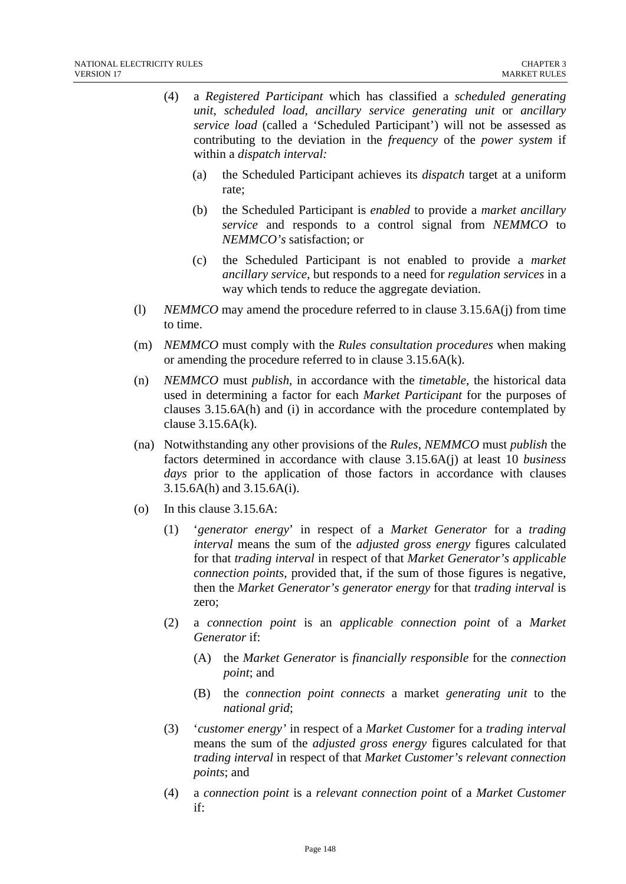- (4) a *Registered Participant* which has classified a *scheduled generating unit*, *scheduled load, ancillary service generating unit* or *ancillary service load* (called a 'Scheduled Participant') will not be assessed as contributing to the deviation in the *frequency* of the *power system* if within a *dispatch interval:* 
	- (a) the Scheduled Participant achieves its *dispatch* target at a uniform rate;
	- (b) the Scheduled Participant is *enabled* to provide a *market ancillary service* and responds to a control signal from *NEMMCO* to *NEMMCO's* satisfaction; or
	- (c) the Scheduled Participant is not enabled to provide a *market ancillary service*, but responds to a need for *regulation services* in a way which tends to reduce the aggregate deviation.
- (l) *NEMMCO* may amend the procedure referred to in clause 3.15.6A(j) from time to time.
- (m) *NEMMCO* must comply with the *Rules consultation procedures* when making or amending the procedure referred to in clause 3.15.6A(k).
- (n) *NEMMCO* must *publish*, in accordance with the *timetable*, the historical data used in determining a factor for each *Market Participant* for the purposes of clauses 3.15.6A(h) and (i) in accordance with the procedure contemplated by clause  $3.15.6A(k)$ .
- (na) Notwithstanding any other provisions of the *Rules*, *NEMMCO* must *publish* the factors determined in accordance with clause 3.15.6A(j) at least 10 *business days* prior to the application of those factors in accordance with clauses 3.15.6A(h) and 3.15.6A(i).
- (o) In this clause 3.15.6A:
	- (1) '*generator energy*' in respect of a *Market Generator* for a *trading interval* means the sum of the *adjusted gross energy* figures calculated for that *trading interval* in respect of that *Market Generator's applicable connection points*, provided that, if the sum of those figures is negative, then the *Market Generator's generator energy* for that *trading interval* is zero;
	- (2) a *connection point* is an *applicable connection point* of a *Market Generator* if:
		- (A) the *Market Generator* is *financially responsible* for the *connection point*; and
		- (B) the *connection point connects* a market *generating unit* to the *national grid*;
	- (3) '*customer energy'* in respect of a *Market Customer* for a *trading interval* means the sum of the *adjusted gross energy* figures calculated for that *trading interval* in respect of that *Market Customer's relevant connection points*; and
	- (4) a *connection point* is a *relevant connection point* of a *Market Customer* if: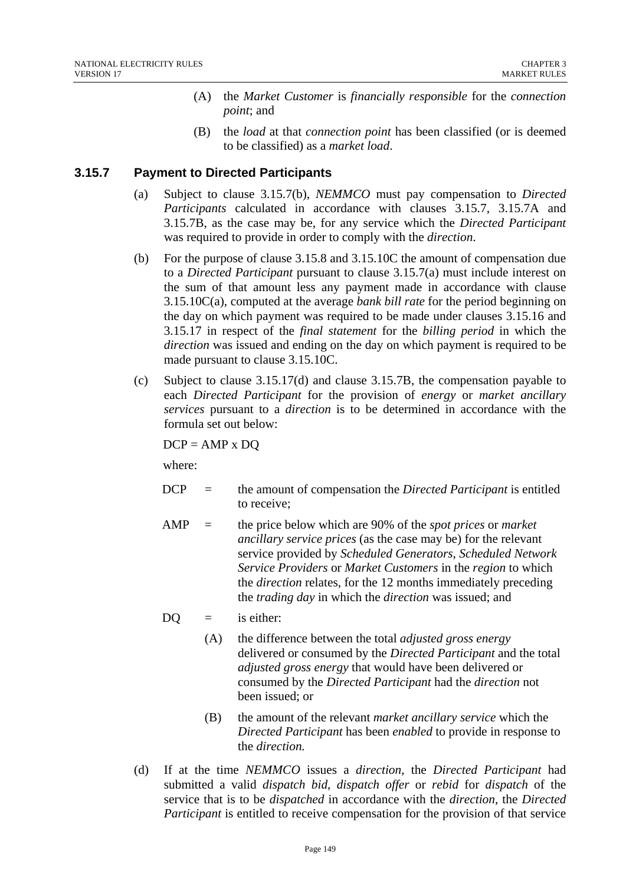- (A) the *Market Customer* is *financially responsible* for the *connection point*; and
- (B) the *load* at that *connection point* has been classified (or is deemed to be classified) as a *market load*.

# **3.15.7 Payment to Directed Participants**

- (a) Subject to clause 3.15.7(b), *NEMMCO* must pay compensation to *Directed Participants* calculated in accordance with clauses 3.15.7, 3.15.7A and 3.15.7B, as the case may be, for any service which the *Directed Participant*  was required to provide in order to comply with the *direction*.
- (b) For the purpose of clause 3.15.8 and 3.15.10C the amount of compensation due to a *Directed Participant* pursuant to clause 3.15.7(a) must include interest on the sum of that amount less any payment made in accordance with clause 3.15.10C(a), computed at the average *bank bill rate* for the period beginning on the day on which payment was required to be made under clauses 3.15.16 and 3.15.17 in respect of the *final statement* for the *billing period* in which the *direction* was issued and ending on the day on which payment is required to be made pursuant to clause 3.15.10C.
- (c) Subject to clause 3.15.17(d) and clause 3.15.7B, the compensation payable to each *Directed Participant* for the provision of *energy* or *market ancillary services* pursuant to a *direction* is to be determined in accordance with the formula set out below:

 $DCP = AMP x DO$ 

where:

- DCP = the amount of compensation the *Directed Participant* is entitled to receive;
- AMP = the price below which are 90% of the *spot prices* or *market ancillary service prices* (as the case may be) for the relevant service provided by *Scheduled Generators*, *Scheduled Network Service Providers* or *Market Customers* in the *region* to which the *direction* relates, for the 12 months immediately preceding the *trading day* in which the *direction* was issued; and
- $DO = i$ s either:
	- (A) the difference between the total *adjusted gross energy* delivered or consumed by the *Directed Participant* and the total *adjusted gross energy* that would have been delivered or consumed by the *Directed Participant* had the *direction* not been issued; or
	- (B) the amount of the relevant *market ancillary service* which the *Directed Participant* has been *enabled* to provide in response to the *direction.*
- (d) If at the time *NEMMCO* issues a *direction*, the *Directed Participant* had submitted a valid *dispatch bid*, *dispatch offer* or *rebid* for *dispatch* of the service that is to be *dispatched* in accordance with the *direction*, the *Directed Participant* is entitled to receive compensation for the provision of that service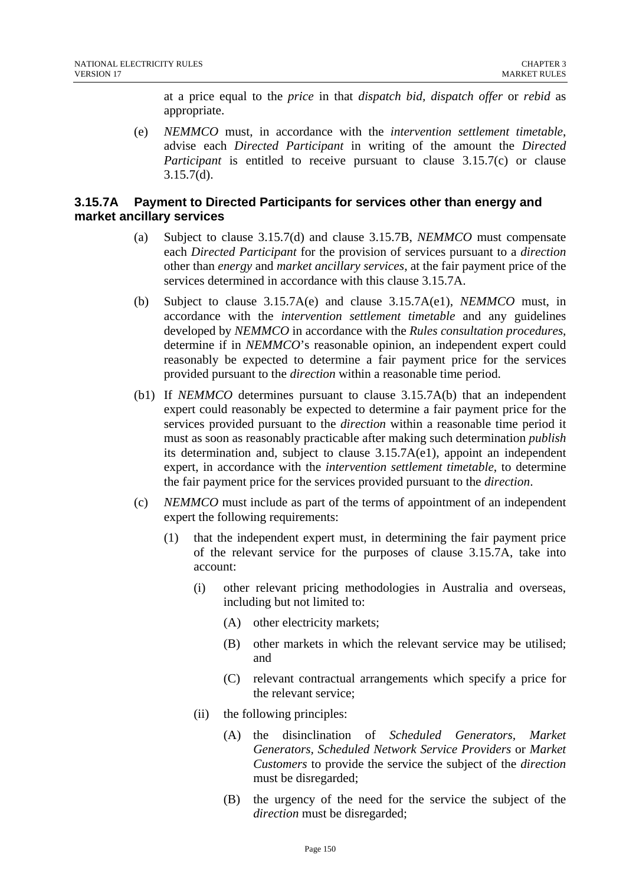at a price equal to the *price* in that *dispatch bid, dispatch offer* or *rebid* as appropriate.

(e) *NEMMCO* must, in accordance with the *intervention settlement timetable*, advise each *Directed Participant* in writing of the amount the *Directed Participant* is entitled to receive pursuant to clause 3.15.7(c) or clause 3.15.7(d).

## **3.15.7A Payment to Directed Participants for services other than energy and market ancillary services**

- (a) Subject to clause 3.15.7(d) and clause 3.15.7B, *NEMMCO* must compensate each *Directed Participant* for the provision of services pursuant to a *direction* other than *energy* and *market ancillary services*, at the fair payment price of the services determined in accordance with this clause 3.15.7A.
- (b) Subject to clause 3.15.7A(e) and clause 3.15.7A(e1), *NEMMCO* must, in accordance with the *intervention settlement timetable* and any guidelines developed by *NEMMCO* in accordance with the *Rules consultation procedures*, determine if in *NEMMCO*'s reasonable opinion, an independent expert could reasonably be expected to determine a fair payment price for the services provided pursuant to the *direction* within a reasonable time period.
- (b1) If *NEMMCO* determines pursuant to clause 3.15.7A(b) that an independent expert could reasonably be expected to determine a fair payment price for the services provided pursuant to the *direction* within a reasonable time period it must as soon as reasonably practicable after making such determination *publish* its determination and, subject to clause 3.15.7A(e1), appoint an independent expert, in accordance with the *intervention settlement timetable*, to determine the fair payment price for the services provided pursuant to the *direction*.
- (c) *NEMMCO* must include as part of the terms of appointment of an independent expert the following requirements:
	- (1) that the independent expert must, in determining the fair payment price of the relevant service for the purposes of clause 3.15.7A, take into account:
		- (i) other relevant pricing methodologies in Australia and overseas, including but not limited to:
			- (A) other electricity markets;
			- (B) other markets in which the relevant service may be utilised; and
			- (C) relevant contractual arrangements which specify a price for the relevant service;
		- (ii) the following principles:
			- (A) the disinclination of *Scheduled Generators, Market Generators, Scheduled Network Service Providers* or *Market Customers* to provide the service the subject of the *direction* must be disregarded;
			- (B) the urgency of the need for the service the subject of the *direction* must be disregarded;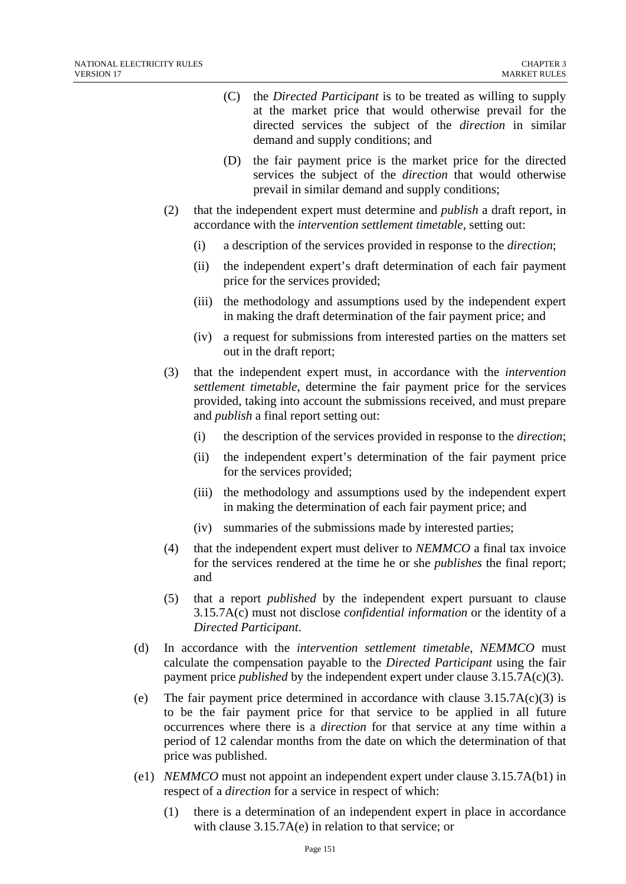- (C) the *Directed Participant* is to be treated as willing to supply at the market price that would otherwise prevail for the directed services the subject of the *direction* in similar demand and supply conditions; and
- (D) the fair payment price is the market price for the directed services the subject of the *direction* that would otherwise prevail in similar demand and supply conditions;
- (2) that the independent expert must determine and *publish* a draft report, in accordance with the *intervention settlement timetable*, setting out:
	- (i) a description of the services provided in response to the *direction*;
	- (ii) the independent expert's draft determination of each fair payment price for the services provided;
	- (iii) the methodology and assumptions used by the independent expert in making the draft determination of the fair payment price; and
	- (iv) a request for submissions from interested parties on the matters set out in the draft report;
- (3) that the independent expert must, in accordance with the *intervention settlement timetable*, determine the fair payment price for the services provided, taking into account the submissions received, and must prepare and *publish* a final report setting out:
	- (i) the description of the services provided in response to the *direction*;
	- (ii) the independent expert's determination of the fair payment price for the services provided;
	- (iii) the methodology and assumptions used by the independent expert in making the determination of each fair payment price; and
	- (iv) summaries of the submissions made by interested parties;
- (4) that the independent expert must deliver to *NEMMCO* a final tax invoice for the services rendered at the time he or she *publishes* the final report; and
- (5) that a report *published* by the independent expert pursuant to clause 3.15.7A(c) must not disclose *confidential information* or the identity of a *Directed Participant*.
- (d) In accordance with the *intervention settlement timetable*, *NEMMCO* must calculate the compensation payable to the *Directed Participant* using the fair payment price *published* by the independent expert under clause 3.15.7A(c)(3).
- (e) The fair payment price determined in accordance with clause  $3.15.7A(c)(3)$  is to be the fair payment price for that service to be applied in all future occurrences where there is a *direction* for that service at any time within a period of 12 calendar months from the date on which the determination of that price was published.
- (e1) *NEMMCO* must not appoint an independent expert under clause 3.15.7A(b1) in respect of a *direction* for a service in respect of which:
	- (1) there is a determination of an independent expert in place in accordance with clause 3.15.7A(e) in relation to that service; or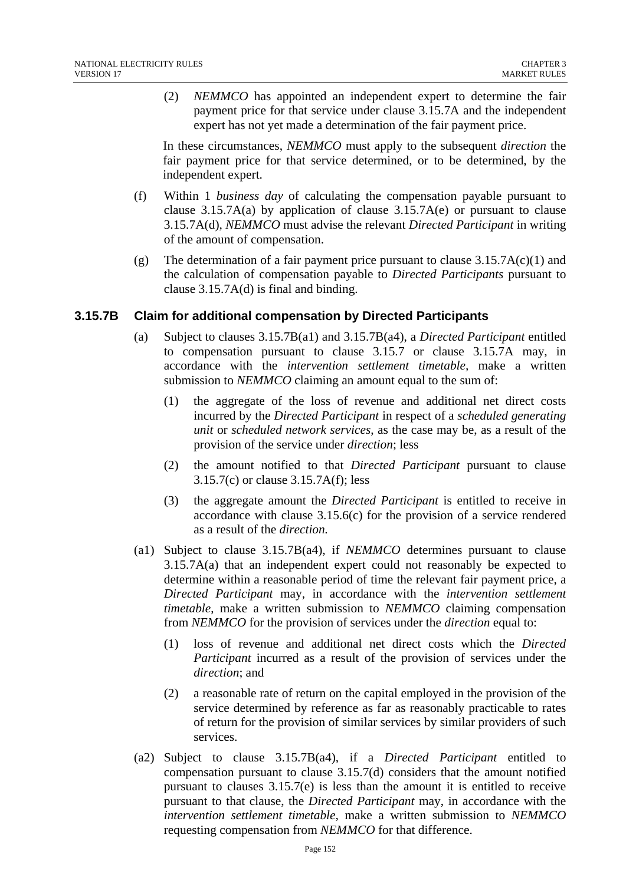(2) *NEMMCO* has appointed an independent expert to determine the fair payment price for that service under clause 3.15.7A and the independent expert has not yet made a determination of the fair payment price.

In these circumstances, *NEMMCO* must apply to the subsequent *direction* the fair payment price for that service determined, or to be determined, by the independent expert.

- (f) Within 1 *business day* of calculating the compensation payable pursuant to clause  $3.15.7A(a)$  by application of clause  $3.15.7A(e)$  or pursuant to clause 3.15.7A(d), *NEMMCO* must advise the relevant *Directed Participant* in writing of the amount of compensation.
- (g) The determination of a fair payment price pursuant to clause  $3.15.7A(c)(1)$  and the calculation of compensation payable to *Directed Participants* pursuant to clause 3.15.7A(d) is final and binding.

## **3.15.7B Claim for additional compensation by Directed Participants**

- (a) Subject to clauses 3.15.7B(a1) and 3.15.7B(a4), a *Directed Participant* entitled to compensation pursuant to clause 3.15.7 or clause 3.15.7A may, in accordance with the *intervention settlement timetable,* make a written submission to *NEMMCO* claiming an amount equal to the sum of:
	- (1) the aggregate of the loss of revenue and additional net direct costs incurred by the *Directed Participant* in respect of a *scheduled generating unit* or *scheduled network services*, as the case may be, as a result of the provision of the service under *direction*; less
	- (2) the amount notified to that *Directed Participant* pursuant to clause 3.15.7(c) or clause 3.15.7A(f); less
	- (3) the aggregate amount the *Directed Participant* is entitled to receive in accordance with clause 3.15.6(c) for the provision of a service rendered as a result of the *direction.*
- (a1) Subject to clause 3.15.7B(a4), if *NEMMCO* determines pursuant to clause 3.15.7A(a) that an independent expert could not reasonably be expected to determine within a reasonable period of time the relevant fair payment price, a *Directed Participant* may, in accordance with the *intervention settlement timetable*, make a written submission to *NEMMCO* claiming compensation from *NEMMCO* for the provision of services under the *direction* equal to:
	- (1) loss of revenue and additional net direct costs which the *Directed Participant* incurred as a result of the provision of services under the *direction*; and
	- (2) a reasonable rate of return on the capital employed in the provision of the service determined by reference as far as reasonably practicable to rates of return for the provision of similar services by similar providers of such services.
- (a2) Subject to clause 3.15.7B(a4), if a *Directed Participant* entitled to compensation pursuant to clause 3.15.7(d) considers that the amount notified pursuant to clauses 3.15.7(e) is less than the amount it is entitled to receive pursuant to that clause, the *Directed Participant* may, in accordance with the *intervention settlement timetable*, make a written submission to *NEMMCO* requesting compensation from *NEMMCO* for that difference.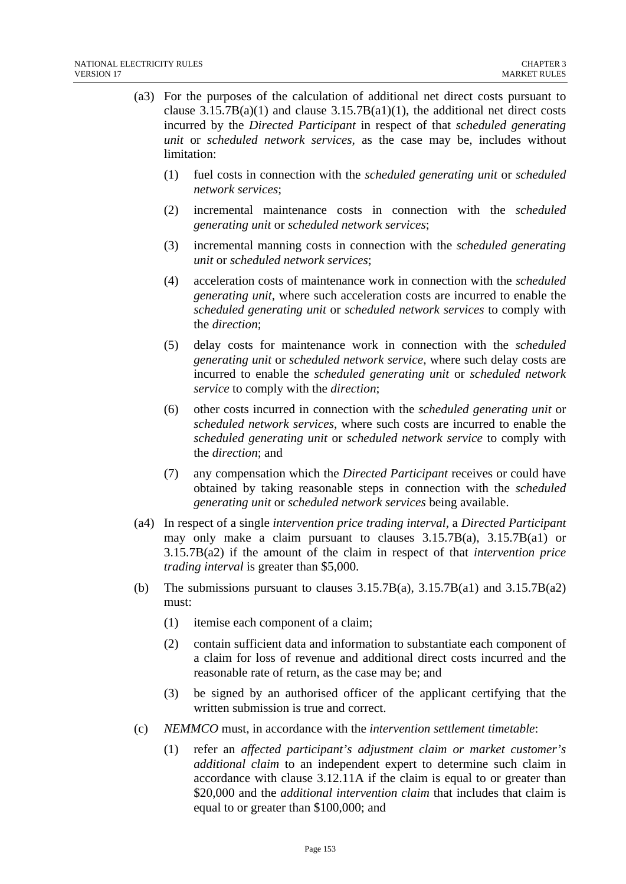- (a3) For the purposes of the calculation of additional net direct costs pursuant to clause  $3.15.7B(a)(1)$  and clause  $3.15.7B(a)(1)$ , the additional net direct costs incurred by the *Directed Participant* in respect of that *scheduled generating unit* or *scheduled network services,* as the case may be, includes without limitation:
	- (1) fuel costs in connection with the *scheduled generating unit* or *scheduled network services*;
	- (2) incremental maintenance costs in connection with the *scheduled generating unit* or *scheduled network services*;
	- (3) incremental manning costs in connection with the *scheduled generating unit* or *scheduled network services*;
	- (4) acceleration costs of maintenance work in connection with the *scheduled generating unit,* where such acceleration costs are incurred to enable the *scheduled generating unit* or *scheduled network services* to comply with the *direction*;
	- (5) delay costs for maintenance work in connection with the *scheduled generating unit* or *scheduled network service*, where such delay costs are incurred to enable the *scheduled generating unit* or *scheduled network service* to comply with the *direction*;
	- (6) other costs incurred in connection with the *scheduled generating unit* or *scheduled network services*, where such costs are incurred to enable the *scheduled generating unit* or *scheduled network service* to comply with the *direction*; and
	- (7) any compensation which the *Directed Participant* receives or could have obtained by taking reasonable steps in connection with the *scheduled generating unit* or *scheduled network services* being available.
- (a4) In respect of a single *intervention price trading interval,* a *Directed Participant* may only make a claim pursuant to clauses  $3.15.7B(a)$ ,  $3.15.7B(a1)$  or 3.15.7B(a2) if the amount of the claim in respect of that *intervention price trading interval* is greater than \$5,000.
- (b) The submissions pursuant to clauses  $3.15.7B(a)$ ,  $3.15.7B(a1)$  and  $3.15.7B(a2)$ must:
	- (1) itemise each component of a claim;
	- (2) contain sufficient data and information to substantiate each component of a claim for loss of revenue and additional direct costs incurred and the reasonable rate of return, as the case may be; and
	- (3) be signed by an authorised officer of the applicant certifying that the written submission is true and correct.
- (c) *NEMMCO* must, in accordance with the *intervention settlement timetable*:
	- (1) refer an *affected participant's adjustment claim or market customer's additional claim* to an independent expert to determine such claim in accordance with clause 3.12.11A if the claim is equal to or greater than \$20,000 and the *additional intervention claim* that includes that claim is equal to or greater than \$100,000; and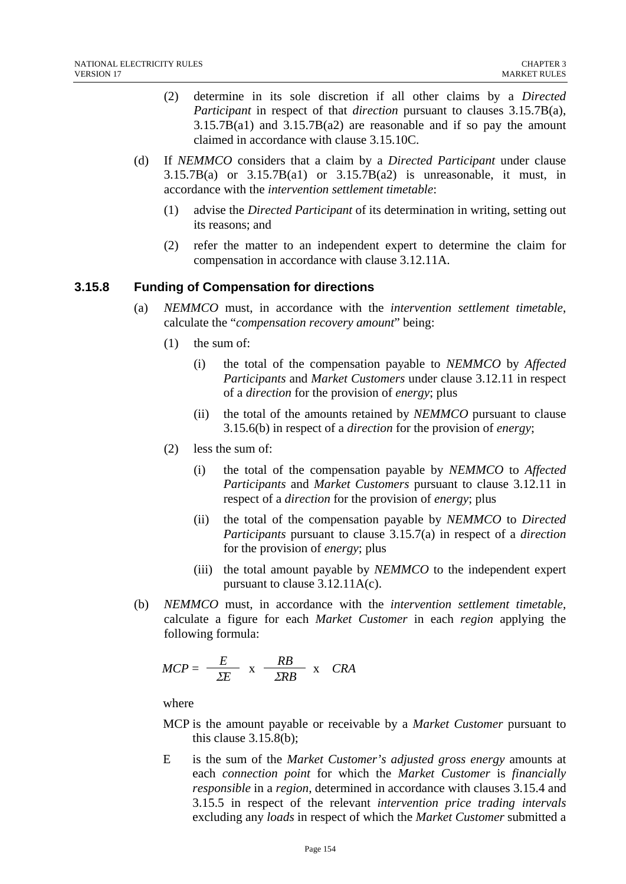- (2) determine in its sole discretion if all other claims by a *Directed Participant* in respect of that *direction* pursuant to clauses 3.15.7B(a),  $3.15.7B(a1)$  and  $3.15.7B(a2)$  are reasonable and if so pay the amount claimed in accordance with clause 3.15.10C.
- (d) If *NEMMCO* considers that a claim by a *Directed Participant* under clause  $3.15.7B(a)$  or  $3.15.7B(a1)$  or  $3.15.7B(a2)$  is unreasonable, it must, in accordance with the *intervention settlement timetable*:
	- (1) advise the *Directed Participant* of its determination in writing, setting out its reasons; and
	- (2) refer the matter to an independent expert to determine the claim for compensation in accordance with clause 3.12.11A.

# **3.15.8 Funding of Compensation for directions**

- (a) *NEMMCO* must, in accordance with the *intervention settlement timetable*, calculate the "*compensation recovery amount*" being:
	- (1) the sum of:
		- (i) the total of the compensation payable to *NEMMCO* by *Affected Participants* and *Market Customers* under clause 3.12.11 in respect of a *direction* for the provision of *energy*; plus
		- (ii) the total of the amounts retained by *NEMMCO* pursuant to clause 3.15.6(b) in respect of a *direction* for the provision of *energy*;
	- (2) less the sum of:
		- (i) the total of the compensation payable by *NEMMCO* to *Affected Participants* and *Market Customers* pursuant to clause 3.12.11 in respect of a *direction* for the provision of *energy*; plus
		- (ii) the total of the compensation payable by *NEMMCO* to *Directed Participants* pursuant to clause 3.15.7(a) in respect of a *direction* for the provision of *energy*; plus
		- (iii) the total amount payable by *NEMMCO* to the independent expert pursuant to clause 3.12.11A(c).
- (b) *NEMMCO* must, in accordance with the *intervention settlement timetable*, calculate a figure for each *Market Customer* in each *region* applying the following formula:

$$
MCP = \frac{E}{\Sigma E} \times \frac{RB}{\Sigma R B} \times CRA
$$

where

- MCP is the amount payable or receivable by a *Market Customer* pursuant to this clause 3.15.8(b);
- E is the sum of the *Market Customer's adjusted gross energy* amounts at each *connection point* for which the *Market Customer* is *financially responsible* in a *region*, determined in accordance with clauses 3.15.4 and 3.15.5 in respect of the relevant *intervention price trading intervals*  excluding any *loads* in respect of which the *Market Customer* submitted a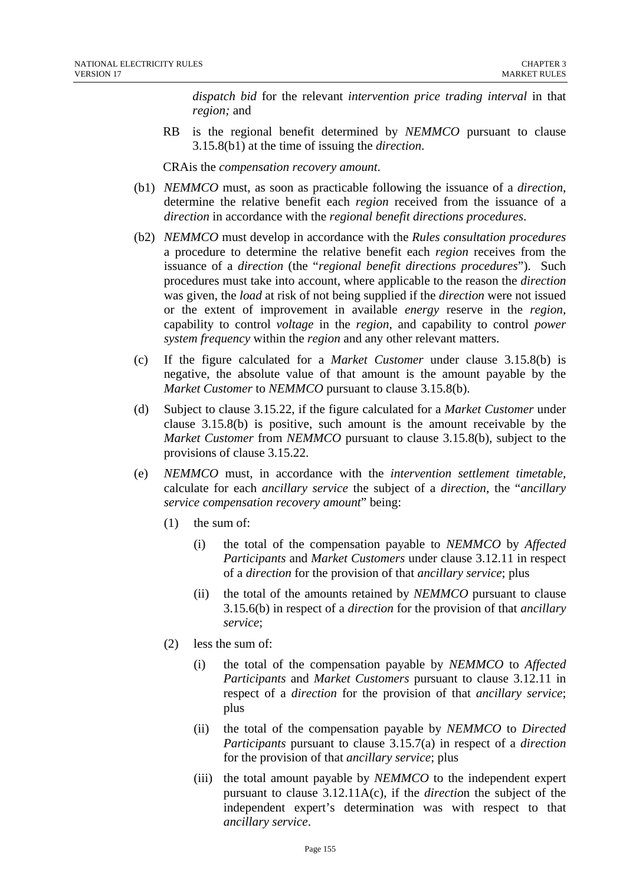*dispatch bid* for the relevant *intervention price trading interval* in that *region;* and

RB is the regional benefit determined by *NEMMCO* pursuant to clause 3.15.8(b1) at the time of issuing the *direction*.

CRAis the *compensation recovery amount*.

- (b1) *NEMMCO* must, as soon as practicable following the issuance of a *direction*, determine the relative benefit each *region* received from the issuance of a *direction* in accordance with the *regional benefit directions procedures*.
- (b2) *NEMMCO* must develop in accordance with the *Rules consultation procedures* a procedure to determine the relative benefit each *region* receives from the issuance of a *direction* (the "*regional benefit directions procedures*"). Such procedures must take into account, where applicable to the reason the *direction* was given, the *load* at risk of not being supplied if the *direction* were not issued or the extent of improvement in available *energy* reserve in the *region,* capability to control *voltage* in the *region*, and capability to control *power system frequency* within the *region* and any other relevant matters.
- (c) If the figure calculated for a *Market Customer* under clause 3.15.8(b) is negative, the absolute value of that amount is the amount payable by the *Market Customer* to *NEMMCO* pursuant to clause 3.15.8(b).
- (d) Subject to clause 3.15.22, if the figure calculated for a *Market Customer* under clause 3.15.8(b) is positive, such amount is the amount receivable by the *Market Customer* from *NEMMCO* pursuant to clause 3.15.8(b), subject to the provisions of clause 3.15.22.
- (e) *NEMMCO* must, in accordance with the *intervention settlement timetable*, calculate for each *ancillary service* the subject of a *direction*, the "*ancillary service compensation recovery amount*" being:
	- (1) the sum of:
		- (i) the total of the compensation payable to *NEMMCO* by *Affected Participants* and *Market Customers* under clause 3.12.11 in respect of a *direction* for the provision of that *ancillary service*; plus
		- (ii) the total of the amounts retained by *NEMMCO* pursuant to clause 3.15.6(b) in respect of a *direction* for the provision of that *ancillary service*;
	- (2) less the sum of:
		- (i) the total of the compensation payable by *NEMMCO* to *Affected Participants* and *Market Customers* pursuant to clause 3.12.11 in respect of a *direction* for the provision of that *ancillary service*; plus
		- (ii) the total of the compensation payable by *NEMMCO* to *Directed Participants* pursuant to clause 3.15.7(a) in respect of a *direction* for the provision of that *ancillary service*; plus
		- (iii) the total amount payable by *NEMMCO* to the independent expert pursuant to clause 3.12.11A(c), if the *directio*n the subject of the independent expert's determination was with respect to that *ancillary service*.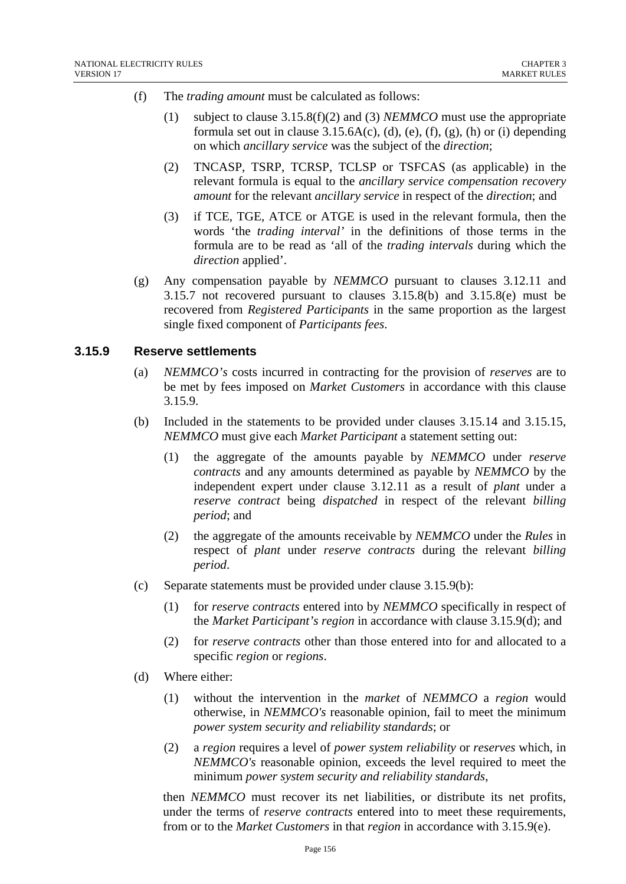- (f) The *trading amount* must be calculated as follows:
	- (1) subject to clause 3.15.8(f)(2) and (3) *NEMMCO* must use the appropriate formula set out in clause  $3.15.6A(c)$ , (d), (e), (f), (g), (h) or (i) depending on which *ancillary service* was the subject of the *direction*;
	- (2) TNCASP, TSRP, TCRSP, TCLSP or TSFCAS (as applicable) in the relevant formula is equal to the *ancillary service compensation recovery amount* for the relevant *ancillary service* in respect of the *direction*; and
	- (3) if TCE, TGE, ATCE or ATGE is used in the relevant formula, then the words 'the *trading interval'* in the definitions of those terms in the formula are to be read as 'all of the *trading intervals* during which the *direction* applied'.
- (g) Any compensation payable by *NEMMCO* pursuant to clauses 3.12.11 and 3.15.7 not recovered pursuant to clauses 3.15.8(b) and 3.15.8(e) must be recovered from *Registered Participants* in the same proportion as the largest single fixed component of *Participants fees*.

#### **3.15.9 Reserve settlements**

- (a) *NEMMCO's* costs incurred in contracting for the provision of *reserves* are to be met by fees imposed on *Market Customers* in accordance with this clause 3.15.9.
- (b) Included in the statements to be provided under clauses 3.15.14 and 3.15.15, *NEMMCO* must give each *Market Participant* a statement setting out:
	- (1) the aggregate of the amounts payable by *NEMMCO* under *reserve contracts* and any amounts determined as payable by *NEMMCO* by the independent expert under clause 3.12.11 as a result of *plant* under a *reserve contract* being *dispatched* in respect of the relevant *billing period*; and
	- (2) the aggregate of the amounts receivable by *NEMMCO* under the *Rules* in respect of *plant* under *reserve contracts* during the relevant *billing period*.
- (c) Separate statements must be provided under clause 3.15.9(b):
	- (1) for *reserve contracts* entered into by *NEMMCO* specifically in respect of the *Market Participant's region* in accordance with clause 3.15.9(d); and
	- (2) for *reserve contracts* other than those entered into for and allocated to a specific *region* or *regions*.
- (d) Where either:
	- (1) without the intervention in the *market* of *NEMMCO* a *region* would otherwise, in *NEMMCO's* reasonable opinion, fail to meet the minimum *power system security and reliability standards*; or
	- (2) a *region* requires a level of *power system reliability* or *reserves* which, in *NEMMCO's* reasonable opinion, exceeds the level required to meet the minimum *power system security and reliability standards*,

then *NEMMCO* must recover its net liabilities, or distribute its net profits, under the terms of *reserve contracts* entered into to meet these requirements, from or to the *Market Customers* in that *region* in accordance with 3.15.9(e).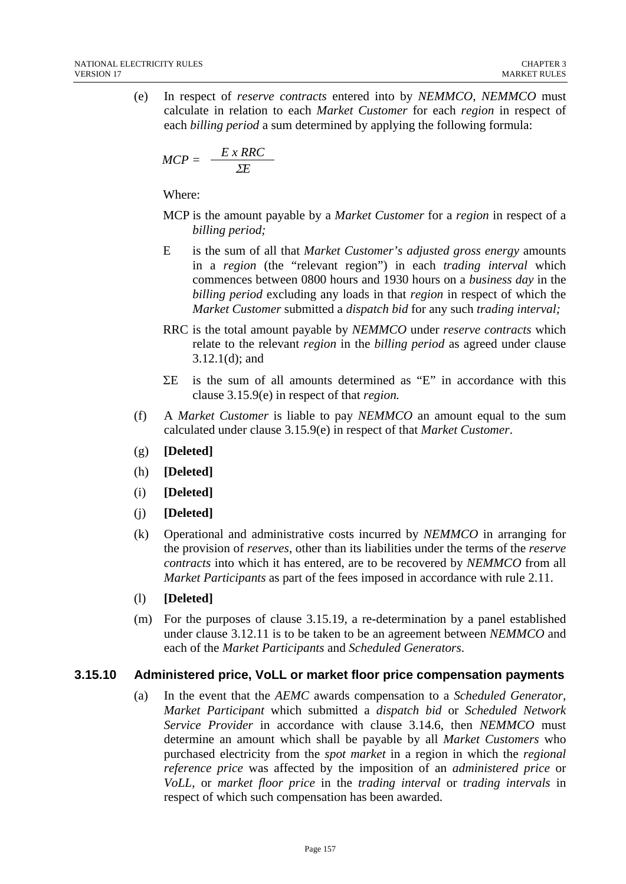(e) In respect of *reserve contracts* entered into by *NEMMCO, NEMMCO* must calculate in relation to each *Market Customer* for each *region* in respect of each *billing period* a sum determined by applying the following formula:

$$
MCP = \frac{E \times RRC}{\Sigma E}
$$

Where:

- MCP is the amount payable by a *Market Customer* for a *region* in respect of a *billing period;*
- E is the sum of all that *Market Customer's adjusted gross energy* amounts in a *region* (the "relevant region") in each *trading interval* which commences between 0800 hours and 1930 hours on a *business day* in the *billing period* excluding any loads in that *region* in respect of which the *Market Customer* submitted a *dispatch bid* for any such *trading interval;*
- RRC is the total amount payable by *NEMMCO* under *reserve contracts* which relate to the relevant *region* in the *billing period* as agreed under clause 3.12.1(d); and
- ΣE is the sum of all amounts determined as "E" in accordance with this clause 3.15.9(e) in respect of that *region.*
- (f) A *Market Customer* is liable to pay *NEMMCO* an amount equal to the sum calculated under clause 3.15.9(e) in respect of that *Market Customer*.
- (g) **[Deleted]**
- (h) **[Deleted]**
- (i) **[Deleted]**
- (j) **[Deleted]**
- (k) Operational and administrative costs incurred by *NEMMCO* in arranging for the provision of *reserves*, other than its liabilities under the terms of the *reserve contracts* into which it has entered, are to be recovered by *NEMMCO* from all *Market Participants* as part of the fees imposed in accordance with rule 2.11.
- (l) **[Deleted]**
- (m) For the purposes of clause 3.15.19, a re-determination by a panel established under clause 3.12.11 is to be taken to be an agreement between *NEMMCO* and each of the *Market Participants* and *Scheduled Generators*.

# **3.15.10 Administered price, VoLL or market floor price compensation payments**

(a) In the event that the *AEMC* awards compensation to a *Scheduled Generator, Market Participant* which submitted a *dispatch bid* or *Scheduled Network Service Provider* in accordance with clause 3.14.6, then *NEMMCO* must determine an amount which shall be payable by all *Market Customers* who purchased electricity from the *spot market* in a region in which the *regional reference price* was affected by the imposition of an *administered price* or *VoLL*, or *market floor price* in the *trading interval* or *trading intervals* in respect of which such compensation has been awarded.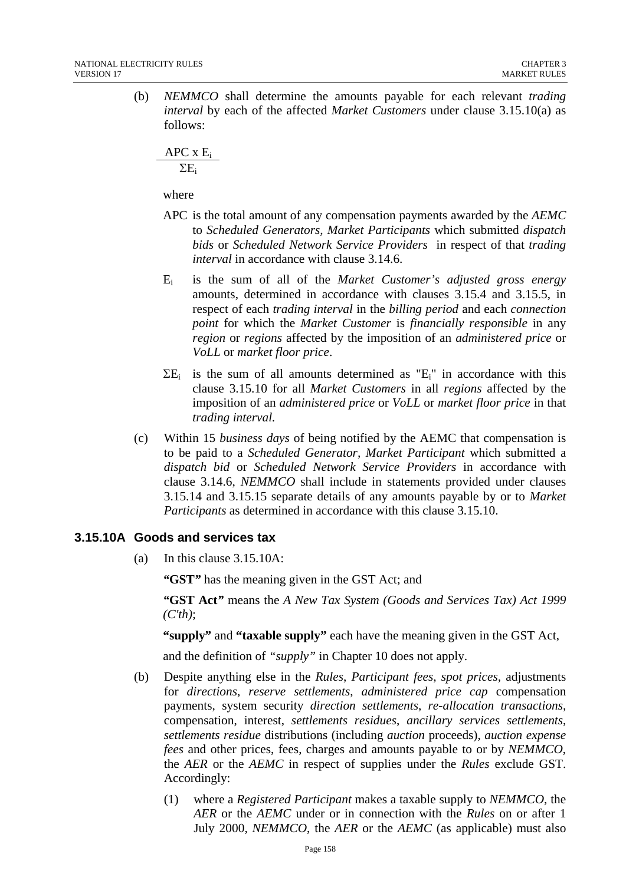(b) *NEMMCO* shall determine the amounts payable for each relevant *trading interval* by each of the affected *Market Customers* under clause 3.15.10(a) as follows:

 $APC \times E_i$  $\Sigma E_i$ 

where

- APC is the total amount of any compensation payments awarded by the *AEMC* to *Scheduled Generators, Market Participants* which submitted *dispatch bids* or *Scheduled Network Service Providers* in respect of that *trading interval* in accordance with clause 3.14.6.
- Ei is the sum of all of the *Market Customer's adjusted gross energy* amounts, determined in accordance with clauses 3.15.4 and 3.15.5, in respect of each *trading interval* in the *billing period* and each *connection point* for which the *Market Customer* is *financially responsible* in any *region* or *regions* affected by the imposition of an *administered price* or *VoLL* or *market floor price*.
- $\Sigma$ E<sub>i</sub> is the sum of all amounts determined as "E<sub>i</sub>" in accordance with this clause 3.15.10 for all *Market Customers* in all *regions* affected by the imposition of an *administered price* or *VoLL* or *market floor price* in that *trading interval.*
- (c) Within 15 *business days* of being notified by the AEMC that compensation is to be paid to a *Scheduled Generator, Market Participant* which submitted a *dispatch bid* or *Scheduled Network Service Providers* in accordance with clause 3.14.6, *NEMMCO* shall include in statements provided under clauses 3.15.14 and 3.15.15 separate details of any amounts payable by or to *Market Participants* as determined in accordance with this clause 3.15.10.

# **3.15.10A Goods and services tax**

(a) In this clause 3.15.10A:

*"***GST***"* has the meaning given in the GST Act; and

*"***GST Act***"* means the *A New Tax System (Goods and Services Tax) Act 1999 (C'th)*;

**"supply"** and **"taxable supply"** each have the meaning given in the GST Act,

and the definition of *"supply"* in Chapter 10 does not apply.

- (b) Despite anything else in the *Rules*, *Participant fees*, *spot prices,* adjustments for *directions*, *reserve settlements*, *administered price cap* compensation payments, system security *direction settlements*, *re-allocation transactions,* compensation, interest, *settlements residues*, *ancillary services settlements*, *settlements residue* distributions (including *auction* proceeds), *auction expense fees* and other prices, fees, charges and amounts payable to or by *NEMMCO*, the *AER* or the *AEMC* in respect of supplies under the *Rules* exclude GST. Accordingly:
	- (1) where a *Registered Participant* makes a taxable supply to *NEMMCO*, the *AER* or the *AEMC* under or in connection with the *Rules* on or after 1 July 2000, *NEMMCO*, the *AER* or the *AEMC* (as applicable) must also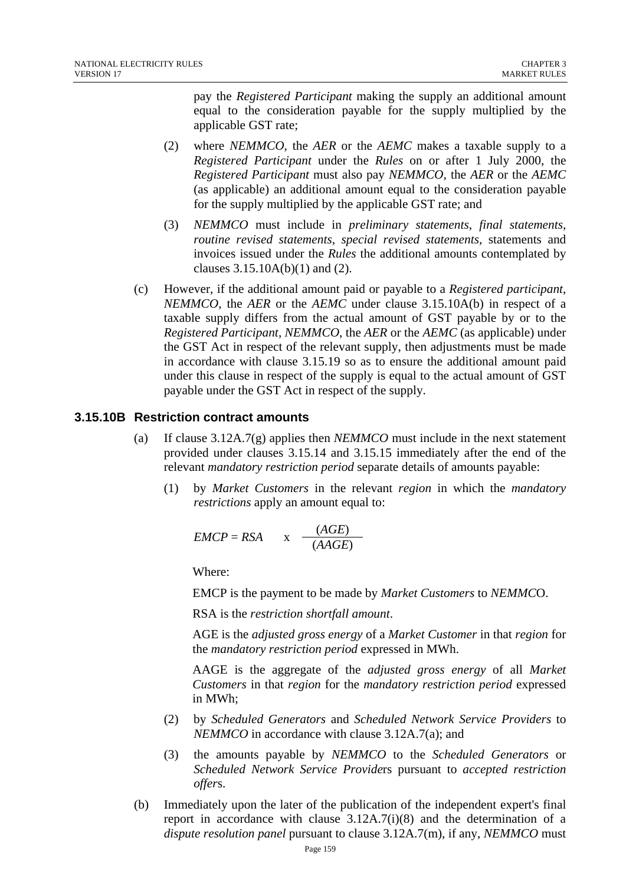pay the *Registered Participant* making the supply an additional amount equal to the consideration payable for the supply multiplied by the applicable GST rate;

- (2) where *NEMMCO*, the *AER* or the *AEMC* makes a taxable supply to a *Registered Participant* under the *Rules* on or after 1 July 2000, the *Registered Participant* must also pay *NEMMCO*, the *AER* or the *AEMC* (as applicable) an additional amount equal to the consideration payable for the supply multiplied by the applicable GST rate; and
- (3) *NEMMCO* must include in *preliminary statements*, *final statements, routine revised statements, special revised statements,* statements and invoices issued under the *Rules* the additional amounts contemplated by clauses  $3.15.10A(b)(1)$  and  $(2)$ .
- (c) However, if the additional amount paid or payable to a *Registered participant*, *NEMMCO*, the *AER* or the *AEMC* under clause 3.15.10A(b) in respect of a taxable supply differs from the actual amount of GST payable by or to the *Registered Participant*, *NEMMCO*, the *AER* or the *AEMC* (as applicable) under the GST Act in respect of the relevant supply, then adjustments must be made in accordance with clause 3.15.19 so as to ensure the additional amount paid under this clause in respect of the supply is equal to the actual amount of GST payable under the GST Act in respect of the supply.

# **3.15.10B Restriction contract amounts**

- (a) If clause 3.12A.7(g) applies then *NEMMCO* must include in the next statement provided under clauses 3.15.14 and 3.15.15 immediately after the end of the relevant *mandatory restriction period* separate details of amounts payable:
	- (1) by *Market Customers* in the relevant *region* in which the *mandatory restrictions* apply an amount equal to:

$$
EMCP = RSA \qquad x \quad \frac{(AGE)}{(AAGE)}
$$

Where:

EMCP is the payment to be made by *Market Customers* to *NEMMC*O.

RSA is the *restriction shortfall amount*.

AGE is the *adjusted gross energy* of a *Market Customer* in that *region* for the *mandatory restriction period* expressed in MWh.

AAGE is the aggregate of the *adjusted gross energy* of all *Market Customers* in that *region* for the *mandatory restriction period* expressed in MWh;

- (2) by *Scheduled Generators* and *Scheduled Network Service Providers* to *NEMMCO* in accordance with clause 3.12A.7(a); and
- (3) the amounts payable by *NEMMCO* to the *Scheduled Generators* or *Scheduled Network Service Provide*rs pursuant to *accepted restriction offer*s.
- (b) Immediately upon the later of the publication of the independent expert's final report in accordance with clause 3.12A.7(i)(8) and the determination of a *dispute resolution panel* pursuant to clause 3.12A.7(m), if any, *NEMMCO* must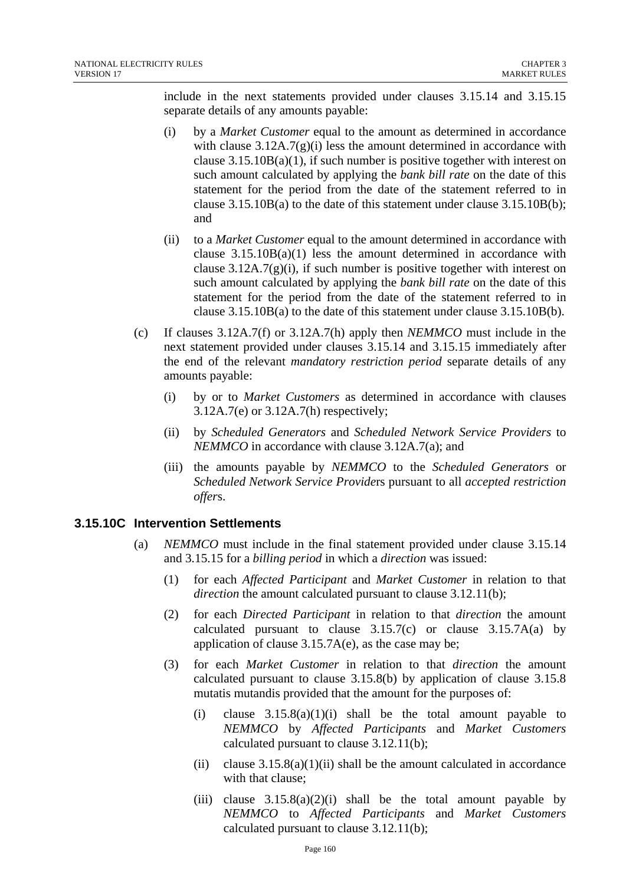include in the next statements provided under clauses 3.15.14 and 3.15.15 separate details of any amounts payable:

- (i) by a *Market Customer* equal to the amount as determined in accordance with clause  $3.12A.7(g)(i)$  less the amount determined in accordance with clause  $3.15.10B(a)(1)$ , if such number is positive together with interest on such amount calculated by applying the *bank bill rate* on the date of this statement for the period from the date of the statement referred to in clause 3.15.10B(a) to the date of this statement under clause 3.15.10B(b); and
- (ii) to a *Market Customer* equal to the amount determined in accordance with clause  $3.15.10B(a)(1)$  less the amount determined in accordance with clause  $3.12A.7(g)(i)$ , if such number is positive together with interest on such amount calculated by applying the *bank bill rate* on the date of this statement for the period from the date of the statement referred to in clause 3.15.10B(a) to the date of this statement under clause 3.15.10B(b).
- (c) If clauses 3.12A.7(f) or 3.12A.7(h) apply then *NEMMCO* must include in the next statement provided under clauses 3.15.14 and 3.15.15 immediately after the end of the relevant *mandatory restriction period* separate details of any amounts payable:
	- (i) by or to *Market Customers* as determined in accordance with clauses 3.12A.7(e) or 3.12A.7(h) respectively;
	- (ii) by *Scheduled Generators* and *Scheduled Network Service Providers* to *NEMMCO* in accordance with clause 3.12A.7(a); and
	- (iii) the amounts payable by *NEMMCO* to the *Scheduled Generators* or *Scheduled Network Service Provide*rs pursuant to all *accepted restriction offer*s.

# **3.15.10C Intervention Settlements**

- (a) *NEMMCO* must include in the final statement provided under clause 3.15.14 and 3.15.15 for a *billing period* in which a *direction* was issued:
	- (1) for each *Affected Participant* and *Market Customer* in relation to that *direction* the amount calculated pursuant to clause 3.12.11(b);
	- (2) for each *Directed Participant* in relation to that *direction* the amount calculated pursuant to clause  $3.15.7(c)$  or clause  $3.15.7A(a)$  by application of clause  $3.15.7A(e)$ , as the case may be;
	- (3) for each *Market Customer* in relation to that *direction* the amount calculated pursuant to clause 3.15.8(b) by application of clause 3.15.8 mutatis mutandis provided that the amount for the purposes of:
		- (i) clause  $3.15.8(a)(1)(i)$  shall be the total amount payable to *NEMMCO* by *Affected Participants* and *Market Customers* calculated pursuant to clause 3.12.11(b);
		- (ii) clause  $3.15.8(a)(1)(ii)$  shall be the amount calculated in accordance with that clause;
		- (iii) clause  $3.15.8(a)(2)(i)$  shall be the total amount payable by *NEMMCO* to *Affected Participants* and *Market Customers* calculated pursuant to clause 3.12.11(b);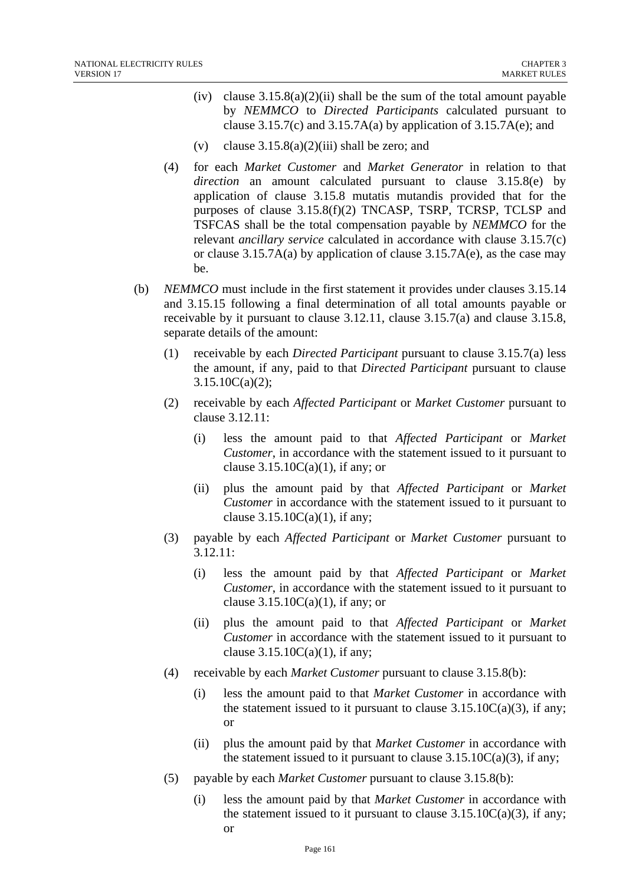- (iv) clause  $3.15.8(a)(2)(ii)$  shall be the sum of the total amount payable by *NEMMCO* to *Directed Participants* calculated pursuant to clause  $3.15.7(c)$  and  $3.15.7A(a)$  by application of  $3.15.7A(e)$ ; and
- (v) clause  $3.15.8(a)(2)(iii)$  shall be zero; and
- (4) for each *Market Customer* and *Market Generator* in relation to that *direction* an amount calculated pursuant to clause 3.15.8(e) by application of clause 3.15.8 mutatis mutandis provided that for the purposes of clause 3.15.8(f)(2) TNCASP, TSRP, TCRSP, TCLSP and TSFCAS shall be the total compensation payable by *NEMMCO* for the relevant *ancillary service* calculated in accordance with clause 3.15.7(c) or clause 3.15.7A(a) by application of clause 3.15.7A(e), as the case may be.
- (b) *NEMMCO* must include in the first statement it provides under clauses 3.15.14 and 3.15.15 following a final determination of all total amounts payable or receivable by it pursuant to clause 3.12.11, clause 3.15.7(a) and clause 3.15.8, separate details of the amount:
	- (1) receivable by each *Directed Participant* pursuant to clause 3.15.7(a) less the amount, if any, paid to that *Directed Participant* pursuant to clause 3.15.10C(a)(2);
	- (2) receivable by each *Affected Participant* or *Market Customer* pursuant to clause 3.12.11:
		- (i) less the amount paid to that *Affected Participant* or *Market Customer*, in accordance with the statement issued to it pursuant to clause  $3.15.10C(a)(1)$ , if any; or
		- (ii) plus the amount paid by that *Affected Participant* or *Market Customer* in accordance with the statement issued to it pursuant to clause  $3.15.10C(a)(1)$ , if any;
	- (3) payable by each *Affected Participant* or *Market Customer* pursuant to 3.12.11:
		- (i) less the amount paid by that *Affected Participant* or *Market Customer*, in accordance with the statement issued to it pursuant to clause  $3.15.10C(a)(1)$ , if any; or
		- (ii) plus the amount paid to that *Affected Participant* or *Market Customer* in accordance with the statement issued to it pursuant to clause  $3.15.10C(a)(1)$ , if any;
	- (4) receivable by each *Market Customer* pursuant to clause 3.15.8(b):
		- (i) less the amount paid to that *Market Customer* in accordance with the statement issued to it pursuant to clause  $3.15.10C(a)(3)$ , if any; or
		- (ii) plus the amount paid by that *Market Customer* in accordance with the statement issued to it pursuant to clause  $3.15.10C(a)(3)$ , if any;
	- (5) payable by each *Market Customer* pursuant to clause 3.15.8(b):
		- (i) less the amount paid by that *Market Customer* in accordance with the statement issued to it pursuant to clause  $3.15.10C(a)(3)$ , if any; or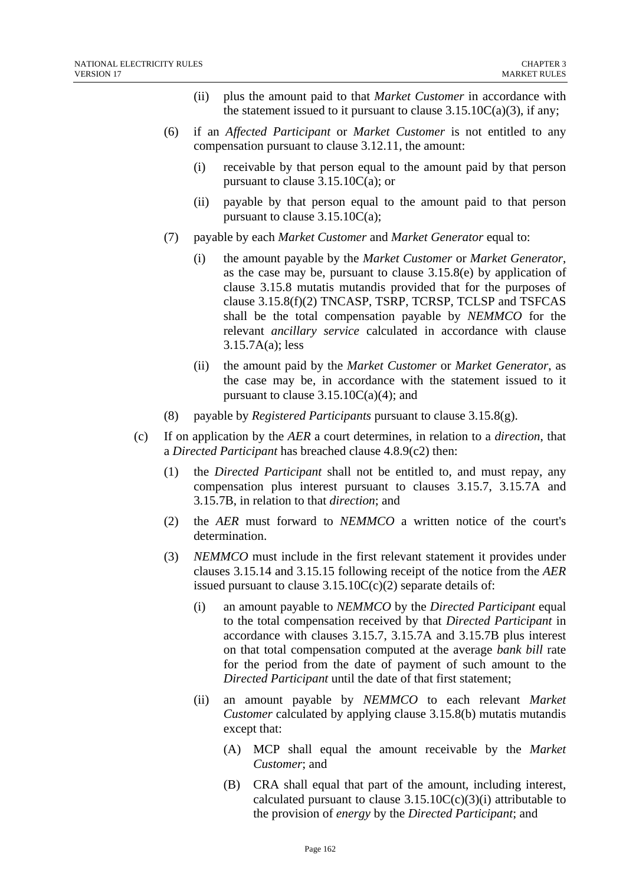- (ii) plus the amount paid to that *Market Customer* in accordance with the statement issued to it pursuant to clause  $3.15.10C(a)(3)$ , if any;
- (6) if an *Affected Participant* or *Market Customer* is not entitled to any compensation pursuant to clause 3.12.11, the amount:
	- (i) receivable by that person equal to the amount paid by that person pursuant to clause 3.15.10C(a); or
	- (ii) payable by that person equal to the amount paid to that person pursuant to clause 3.15.10C(a);
- (7) payable by each *Market Customer* and *Market Generator* equal to:
	- (i) the amount payable by the *Market Customer* or *Market Generator*, as the case may be, pursuant to clause 3.15.8(e) by application of clause 3.15.8 mutatis mutandis provided that for the purposes of clause 3.15.8(f)(2) TNCASP, TSRP, TCRSP, TCLSP and TSFCAS shall be the total compensation payable by *NEMMCO* for the relevant *ancillary service* calculated in accordance with clause 3.15.7A(a); less
	- (ii) the amount paid by the *Market Customer* or *Market Generator*, as the case may be, in accordance with the statement issued to it pursuant to clause  $3.15.10C(a)(4)$ ; and
- (8) payable by *Registered Participants* pursuant to clause 3.15.8(g).
- (c) If on application by the *AER* a court determines, in relation to a *direction*, that a *Directed Participant* has breached clause 4.8.9(c2) then:
	- (1) the *Directed Participant* shall not be entitled to, and must repay, any compensation plus interest pursuant to clauses 3.15.7, 3.15.7A and 3.15.7B, in relation to that *direction*; and
	- (2) the *AER* must forward to *NEMMCO* a written notice of the court's determination.
	- (3) *NEMMCO* must include in the first relevant statement it provides under clauses 3.15.14 and 3.15.15 following receipt of the notice from the *AER* issued pursuant to clause  $3.15.10C(c)(2)$  separate details of:
		- (i) an amount payable to *NEMMCO* by the *Directed Participant* equal to the total compensation received by that *Directed Participant* in accordance with clauses 3.15.7, 3.15.7A and 3.15.7B plus interest on that total compensation computed at the average *bank bill* rate for the period from the date of payment of such amount to the *Directed Participant* until the date of that first statement;
		- (ii) an amount payable by *NEMMCO* to each relevant *Market Customer* calculated by applying clause 3.15.8(b) mutatis mutandis except that:
			- (A) MCP shall equal the amount receivable by the *Market Customer*; and
			- (B) CRA shall equal that part of the amount, including interest, calculated pursuant to clause  $3.15.10C(c)(3)(i)$  attributable to the provision of *energy* by the *Directed Participant*; and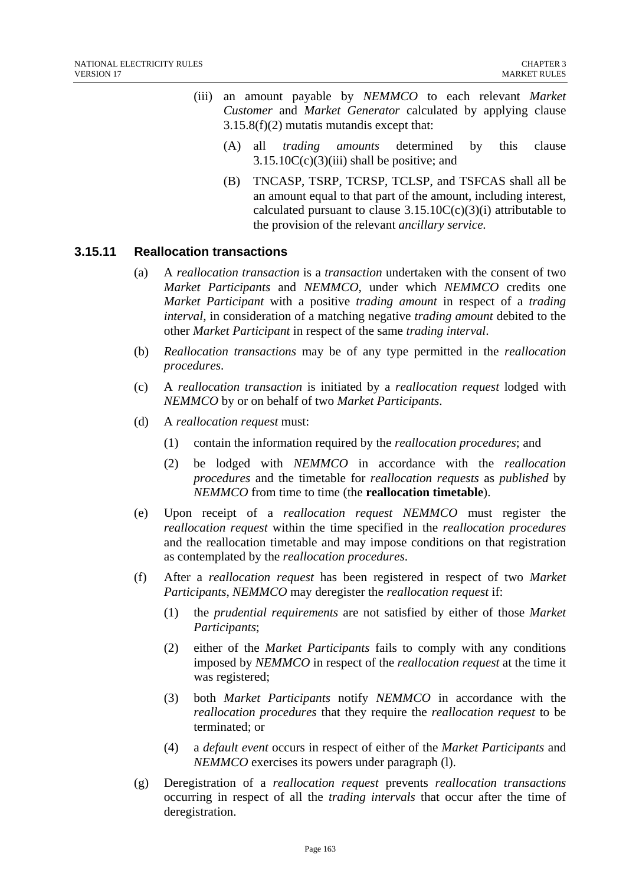- (iii) an amount payable by *NEMMCO* to each relevant *Market Customer* and *Market Generator* calculated by applying clause 3.15.8(f)(2) mutatis mutandis except that:
	- (A) all *trading amounts* determined by this clause  $3.15.10C(c)(3)(iii)$  shall be positive; and
	- (B) TNCASP, TSRP, TCRSP, TCLSP, and TSFCAS shall all be an amount equal to that part of the amount, including interest, calculated pursuant to clause  $3.15.10C(c)(3)(i)$  attributable to the provision of the relevant *ancillary service.*

## **3.15.11 Reallocation transactions**

- (a) A *reallocation transaction* is a *transaction* undertaken with the consent of two *Market Participants* and *NEMMCO*, under which *NEMMCO* credits one *Market Participant* with a positive *trading amount* in respect of a *trading interval*, in consideration of a matching negative *trading amount* debited to the other *Market Participant* in respect of the same *trading interval*.
- (b) *Reallocation transactions* may be of any type permitted in the *reallocation procedures*.
- (c) A *reallocation transaction* is initiated by a *reallocation request* lodged with *NEMMCO* by or on behalf of two *Market Participants*.
- (d) A *reallocation request* must:
	- (1) contain the information required by the *reallocation procedures*; and
	- (2) be lodged with *NEMMCO* in accordance with the *reallocation procedures* and the timetable for *reallocation requests* as *published* by *NEMMCO* from time to time (the **reallocation timetable**).
- (e) Upon receipt of a *reallocation request NEMMCO* must register the *reallocation request* within the time specified in the *reallocation procedures* and the reallocation timetable and may impose conditions on that registration as contemplated by the *reallocation procedures*.
- (f) After a *reallocation request* has been registered in respect of two *Market Participants*, *NEMMCO* may deregister the *reallocation request* if:
	- (1) the *prudential requirements* are not satisfied by either of those *Market Participants*;
	- (2) either of the *Market Participants* fails to comply with any conditions imposed by *NEMMCO* in respect of the *reallocation request* at the time it was registered;
	- (3) both *Market Participants* notify *NEMMCO* in accordance with the *reallocation procedures* that they require the *reallocation request* to be terminated; or
	- (4) a *default event* occurs in respect of either of the *Market Participants* and *NEMMCO* exercises its powers under paragraph (l).
- (g) Deregistration of a *reallocation request* prevents *reallocation transactions* occurring in respect of all the *trading intervals* that occur after the time of deregistration.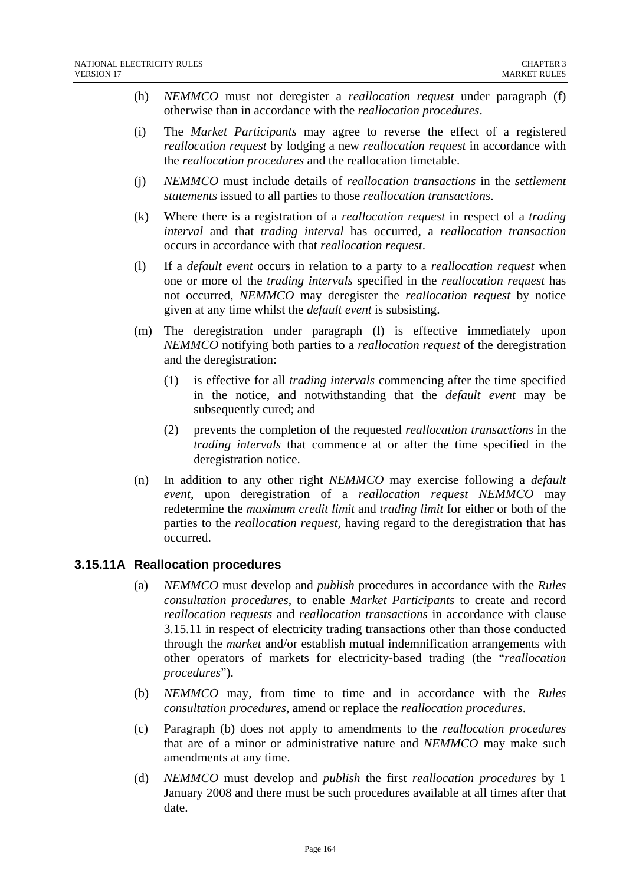- (h) *NEMMCO* must not deregister a *reallocation request* under paragraph (f) otherwise than in accordance with the *reallocation procedures*.
- (i) The *Market Participants* may agree to reverse the effect of a registered *reallocation request* by lodging a new *reallocation request* in accordance with the *reallocation procedures* and the reallocation timetable.
- (j) *NEMMCO* must include details of *reallocation transactions* in the *settlement statements* issued to all parties to those *reallocation transactions*.
- (k) Where there is a registration of a *reallocation request* in respect of a *trading interval* and that *trading interval* has occurred, a *reallocation transaction* occurs in accordance with that *reallocation request*.
- (l) If a *default event* occurs in relation to a party to a *reallocation request* when one or more of the *trading intervals* specified in the *reallocation request* has not occurred, *NEMMCO* may deregister the *reallocation request* by notice given at any time whilst the *default event* is subsisting.
- (m) The deregistration under paragraph (l) is effective immediately upon *NEMMCO* notifying both parties to a *reallocation request* of the deregistration and the deregistration:
	- (1) is effective for all *trading intervals* commencing after the time specified in the notice, and notwithstanding that the *default event* may be subsequently cured; and
	- (2) prevents the completion of the requested *reallocation transactions* in the *trading intervals* that commence at or after the time specified in the deregistration notice.
- (n) In addition to any other right *NEMMCO* may exercise following a *default event*, upon deregistration of a *reallocation request NEMMCO* may redetermine the *maximum credit limit* and *trading limit* for either or both of the parties to the *reallocation request,* having regard to the deregistration that has occurred.

# **3.15.11A Reallocation procedures**

- (a) *NEMMCO* must develop and *publish* procedures in accordance with the *Rules consultation procedures*, to enable *Market Participants* to create and record *reallocation requests* and *reallocation transactions* in accordance with clause 3.15.11 in respect of electricity trading transactions other than those conducted through the *market* and/or establish mutual indemnification arrangements with other operators of markets for electricity-based trading (the "*reallocation procedures*").
- (b) *NEMMCO* may, from time to time and in accordance with the *Rules consultation procedures*, amend or replace the *reallocation procedures*.
- (c) Paragraph (b) does not apply to amendments to the *reallocation procedures* that are of a minor or administrative nature and *NEMMCO* may make such amendments at any time.
- (d) *NEMMCO* must develop and *publish* the first *reallocation procedures* by 1 January 2008 and there must be such procedures available at all times after that date.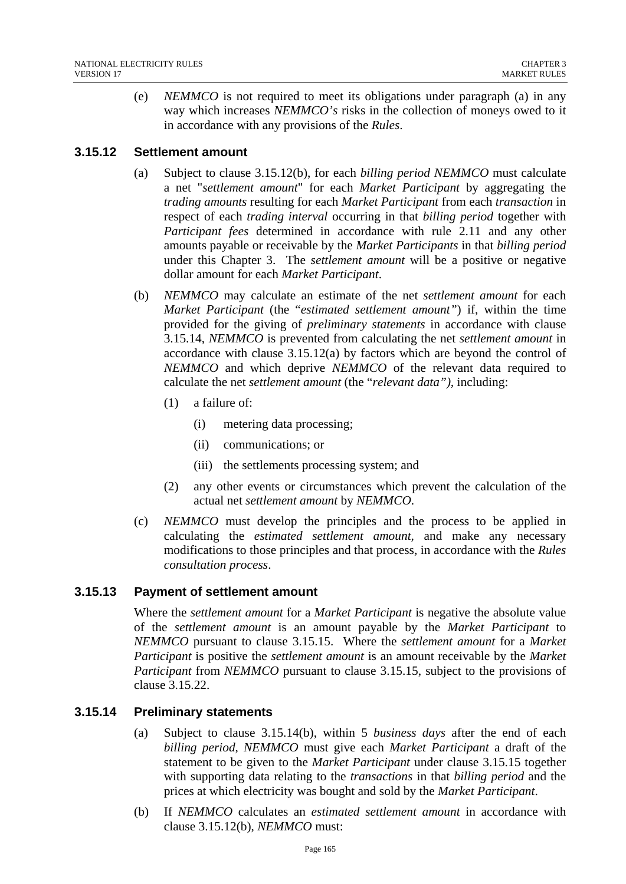(e) *NEMMCO* is not required to meet its obligations under paragraph (a) in any way which increases *NEMMCO's* risks in the collection of moneys owed to it in accordance with any provisions of the *Rules*.

# **3.15.12 Settlement amount**

- (a) Subject to clause 3.15.12(b), for each *billing period NEMMCO* must calculate a net "*settlement amount*" for each *Market Participant* by aggregating the *trading amounts* resulting for each *Market Participant* from each *transaction* in respect of each *trading interval* occurring in that *billing period* together with *Participant fees* determined in accordance with rule 2.11 and any other amounts payable or receivable by the *Market Participants* in that *billing period* under this Chapter 3. The *settlement amount* will be a positive or negative dollar amount for each *Market Participant*.
- (b) *NEMMCO* may calculate an estimate of the net *settlement amount* for each *Market Participant* (the "*estimated settlement amount"*) if, within the time provided for the giving of *preliminary statements* in accordance with clause 3.15.14, *NEMMCO* is prevented from calculating the net *settlement amount* in accordance with clause 3.15.12(a) by factors which are beyond the control of *NEMMCO* and which deprive *NEMMCO* of the relevant data required to calculate the net *settlement amount* (the "*relevant data"),* including:
	- (1) a failure of:
		- (i) metering data processing;
		- (ii) communications; or
		- (iii) the settlements processing system; and
	- (2) any other events or circumstances which prevent the calculation of the actual net *settlement amount* by *NEMMCO*.
- (c) *NEMMCO* must develop the principles and the process to be applied in calculating the *estimated settlement amount,* and make any necessary modifications to those principles and that process, in accordance with the *Rules consultation process*.

# **3.15.13 Payment of settlement amount**

Where the *settlement amount* for a *Market Participant* is negative the absolute value of the *settlement amount* is an amount payable by the *Market Participant* to *NEMMCO* pursuant to clause 3.15.15. Where the *settlement amount* for a *Market Participant* is positive the *settlement amount* is an amount receivable by the *Market Participant* from *NEMMCO* pursuant to clause 3.15.15, subject to the provisions of clause 3.15.22.

# **3.15.14 Preliminary statements**

- (a) Subject to clause 3.15.14(b), within 5 *business days* after the end of each *billing period*, *NEMMCO* must give each *Market Participant* a draft of the statement to be given to the *Market Participant* under clause 3.15.15 together with supporting data relating to the *transactions* in that *billing period* and the prices at which electricity was bought and sold by the *Market Participant*.
- (b) If *NEMMCO* calculates an *estimated settlement amount* in accordance with clause 3.15.12(b), *NEMMCO* must: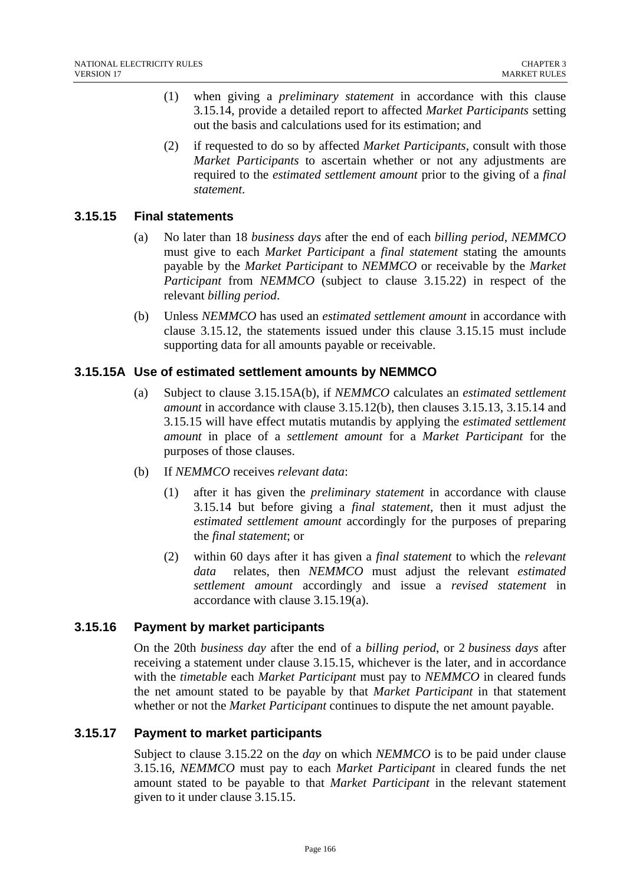- (1) when giving a *preliminary statement* in accordance with this clause 3.15.14, provide a detailed report to affected *Market Participants* setting out the basis and calculations used for its estimation; and
- (2) if requested to do so by affected *Market Participants*, consult with those *Market Participants* to ascertain whether or not any adjustments are required to the *estimated settlement amount* prior to the giving of a *final statement*.

## **3.15.15 Final statements**

- (a) No later than 18 *business days* after the end of each *billing period*, *NEMMCO* must give to each *Market Participant* a *final statement* stating the amounts payable by the *Market Participant* to *NEMMCO* or receivable by the *Market Participant* from *NEMMCO* (subject to clause 3.15.22) in respect of the relevant *billing period*.
- (b) Unless *NEMMCO* has used an *estimated settlement amount* in accordance with clause 3.15.12, the statements issued under this clause 3.15.15 must include supporting data for all amounts payable or receivable.

# **3.15.15A Use of estimated settlement amounts by NEMMCO**

- (a) Subject to clause 3.15.15A(b), if *NEMMCO* calculates an *estimated settlement amount* in accordance with clause 3.15.12(b), then clauses 3.15.13, 3.15.14 and 3.15.15 will have effect mutatis mutandis by applying the *estimated settlement amount* in place of a *settlement amount* for a *Market Participant* for the purposes of those clauses.
- (b) If *NEMMCO* receives *relevant data*:
	- (1) after it has given the *preliminary statement* in accordance with clause 3.15.14 but before giving a *final statement,* then it must adjust the *estimated settlement amount* accordingly for the purposes of preparing the *final statement*; or
	- (2) within 60 days after it has given a *final statement* to which the *relevant data* relates, then *NEMMCO* must adjust the relevant *estimated settlement amount* accordingly and issue a *revised statement* in accordance with clause 3.15.19(a).

# **3.15.16 Payment by market participants**

On the 20th *business day* after the end of a *billing period*, or 2 *business days* after receiving a statement under clause 3.15.15, whichever is the later, and in accordance with the *timetable* each *Market Participant* must pay to *NEMMCO* in cleared funds the net amount stated to be payable by that *Market Participant* in that statement whether or not the *Market Participant* continues to dispute the net amount payable.

# **3.15.17 Payment to market participants**

Subject to clause 3.15.22 on the *day* on which *NEMMCO* is to be paid under clause 3.15.16, *NEMMCO* must pay to each *Market Participant* in cleared funds the net amount stated to be payable to that *Market Participant* in the relevant statement given to it under clause 3.15.15.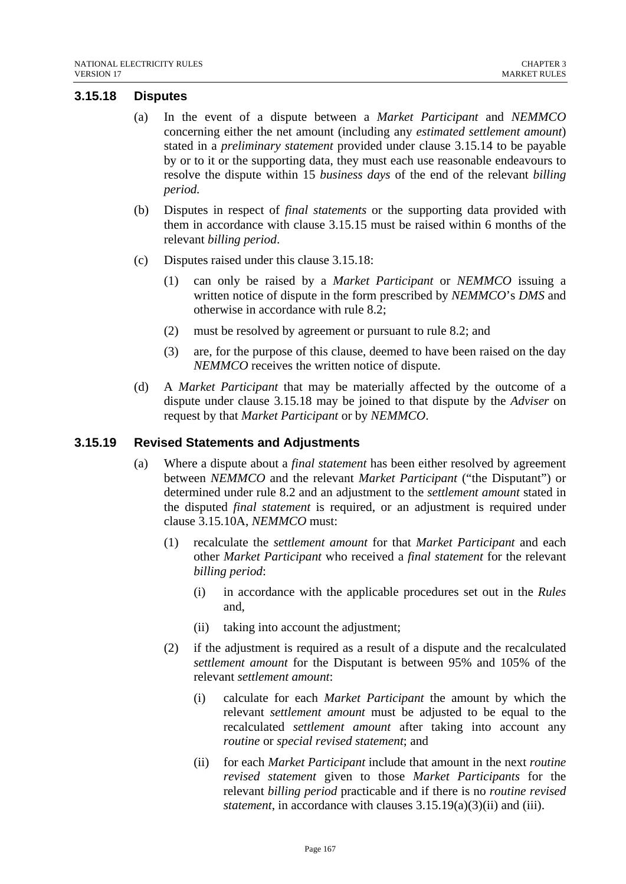# **3.15.18 Disputes**

- (a) In the event of a dispute between a *Market Participant* and *NEMMCO*  concerning either the net amount (including any *estimated settlement amount*) stated in a *preliminary statement* provided under clause 3.15.14 to be payable by or to it or the supporting data, they must each use reasonable endeavours to resolve the dispute within 15 *business days* of the end of the relevant *billing period.*
- (b) Disputes in respect of *final statements* or the supporting data provided with them in accordance with clause 3.15.15 must be raised within 6 months of the relevant *billing period*.
- (c) Disputes raised under this clause 3.15.18:
	- (1) can only be raised by a *Market Participant* or *NEMMCO* issuing a written notice of dispute in the form prescribed by *NEMMCO*'s *DMS* and otherwise in accordance with rule 8.2;
	- (2) must be resolved by agreement or pursuant to rule 8.2; and
	- (3) are, for the purpose of this clause, deemed to have been raised on the day *NEMMCO* receives the written notice of dispute.
- (d) A *Market Participant* that may be materially affected by the outcome of a dispute under clause 3.15.18 may be joined to that dispute by the *Adviser* on request by that *Market Participant* or by *NEMMCO*.

### **3.15.19 Revised Statements and Adjustments**

- (a) Where a dispute about a *final statement* has been either resolved by agreement between *NEMMCO* and the relevant *Market Participant* ("the Disputant") or determined under rule 8.2 and an adjustment to the *settlement amount* stated in the disputed *final statement* is required, or an adjustment is required under clause 3.15.10A, *NEMMCO* must:
	- (1) recalculate the *settlement amount* for that *Market Participant* and each other *Market Participant* who received a *final statement* for the relevant *billing period*:
		- (i) in accordance with the applicable procedures set out in the *Rules* and,
		- (ii) taking into account the adjustment;
	- (2) if the adjustment is required as a result of a dispute and the recalculated *settlement amount* for the Disputant is between 95% and 105% of the relevant *settlement amount*:
		- (i) calculate for each *Market Participant* the amount by which the relevant *settlement amount* must be adjusted to be equal to the recalculated *settlement amount* after taking into account any *routine* or *special revised statement*; and
		- (ii) for each *Market Participant* include that amount in the next *routine revised statement* given to those *Market Participants* for the relevant *billing period* practicable and if there is no *routine revised statement*, in accordance with clauses 3.15.19(a)(3)(ii) and (iii).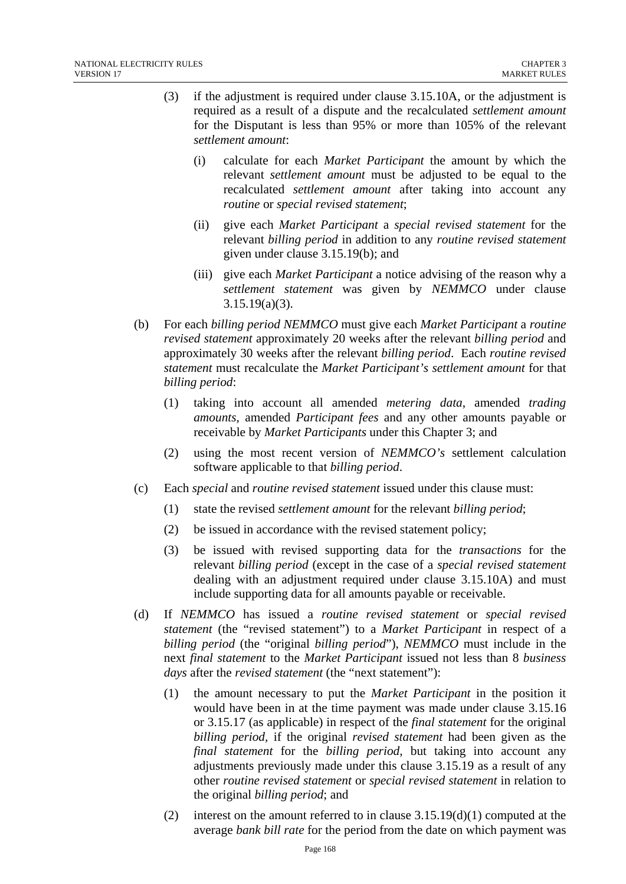- (3) if the adjustment is required under clause 3.15.10A, or the adjustment is required as a result of a dispute and the recalculated *settlement amount* for the Disputant is less than 95% or more than 105% of the relevant *settlement amount*:
	- (i) calculate for each *Market Participant* the amount by which the relevant *settlement amount* must be adjusted to be equal to the recalculated *settlement amount* after taking into account any *routine* or *special revised statement*;
	- (ii) give each *Market Participant* a *special revised statement* for the relevant *billing period* in addition to any *routine revised statement* given under clause 3.15.19(b); and
	- (iii) give each *Market Participant* a notice advising of the reason why a *settlement statement* was given by *NEMMCO* under clause 3.15.19(a)(3).
- (b) For each *billing period NEMMCO* must give each *Market Participant* a *routine revised statement* approximately 20 weeks after the relevant *billing period* and approximately 30 weeks after the relevant *billing period*. Each *routine revised statement* must recalculate the *Market Participant's settlement amount* for that *billing period*:
	- (1) taking into account all amended *metering data*, amended *trading amounts*, amended *Participant fees* and any other amounts payable or receivable by *Market Participants* under this Chapter 3; and
	- (2) using the most recent version of *NEMMCO's* settlement calculation software applicable to that *billing period*.
- (c) Each *special* and *routine revised statement* issued under this clause must:
	- (1) state the revised *settlement amount* for the relevant *billing period*;
	- (2) be issued in accordance with the revised statement policy;
	- (3) be issued with revised supporting data for the *transactions* for the relevant *billing period* (except in the case of a *special revised statement* dealing with an adjustment required under clause 3.15.10A) and must include supporting data for all amounts payable or receivable.
- (d) If *NEMMCO* has issued a *routine revised statement* or *special revised statement* (the "revised statement") to a *Market Participant* in respect of a *billing period* (the "original *billing period*"), *NEMMCO* must include in the next *final statement* to the *Market Participant* issued not less than 8 *business days* after the *revised statement* (the "next statement"):
	- (1) the amount necessary to put the *Market Participant* in the position it would have been in at the time payment was made under clause 3.15.16 or 3.15.17 (as applicable) in respect of the *final statement* for the original *billing period,* if the original *revised statement* had been given as the *final statement* for the *billing period,* but taking into account any adjustments previously made under this clause 3.15.19 as a result of any other *routine revised statement* or *special revised statement* in relation to the original *billing period*; and
	- (2) interest on the amount referred to in clause  $3.15.19(d)(1)$  computed at the average *bank bill rate* for the period from the date on which payment was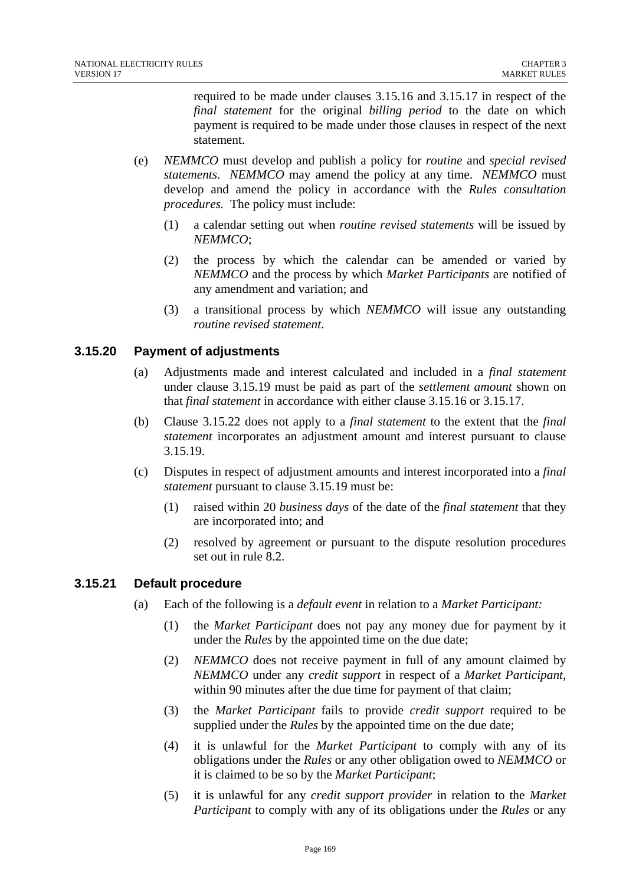required to be made under clauses 3.15.16 and 3.15.17 in respect of the *final statement* for the original *billing period* to the date on which payment is required to be made under those clauses in respect of the next statement.

- (e) *NEMMCO* must develop and publish a policy for *routine* and *special revised statements*. *NEMMCO* may amend the policy at any time. *NEMMCO* must develop and amend the policy in accordance with the *Rules consultation procedures.* The policy must include:
	- (1) a calendar setting out when *routine revised statements* will be issued by *NEMMCO*;
	- (2) the process by which the calendar can be amended or varied by *NEMMCO* and the process by which *Market Participants* are notified of any amendment and variation; and
	- (3) a transitional process by which *NEMMCO* will issue any outstanding *routine revised statement*.

## **3.15.20 Payment of adjustments**

- (a) Adjustments made and interest calculated and included in a *final statement*  under clause 3.15.19 must be paid as part of the *settlement amount* shown on that *final statement* in accordance with either clause 3.15.16 or 3.15.17.
- (b) Clause 3.15.22 does not apply to a *final statement* to the extent that the *final statement* incorporates an adjustment amount and interest pursuant to clause 3.15.19.
- (c) Disputes in respect of adjustment amounts and interest incorporated into a *final statement* pursuant to clause 3.15.19 must be:
	- (1) raised within 20 *business days* of the date of the *final statement* that they are incorporated into; and
	- (2) resolved by agreement or pursuant to the dispute resolution procedures set out in rule 8.2.

# **3.15.21 Default procedure**

- (a) Each of the following is a *default event* in relation to a *Market Participant:* 
	- (1) the *Market Participant* does not pay any money due for payment by it under the *Rules* by the appointed time on the due date;
	- (2) *NEMMCO* does not receive payment in full of any amount claimed by *NEMMCO* under any *credit support* in respect of a *Market Participant*, within 90 minutes after the due time for payment of that claim;
	- (3) the *Market Participant* fails to provide *credit support* required to be supplied under the *Rules* by the appointed time on the due date;
	- (4) it is unlawful for the *Market Participant* to comply with any of its obligations under the *Rules* or any other obligation owed to *NEMMCO* or it is claimed to be so by the *Market Participant*;
	- (5) it is unlawful for any *credit support provider* in relation to the *Market Participant* to comply with any of its obligations under the *Rules* or any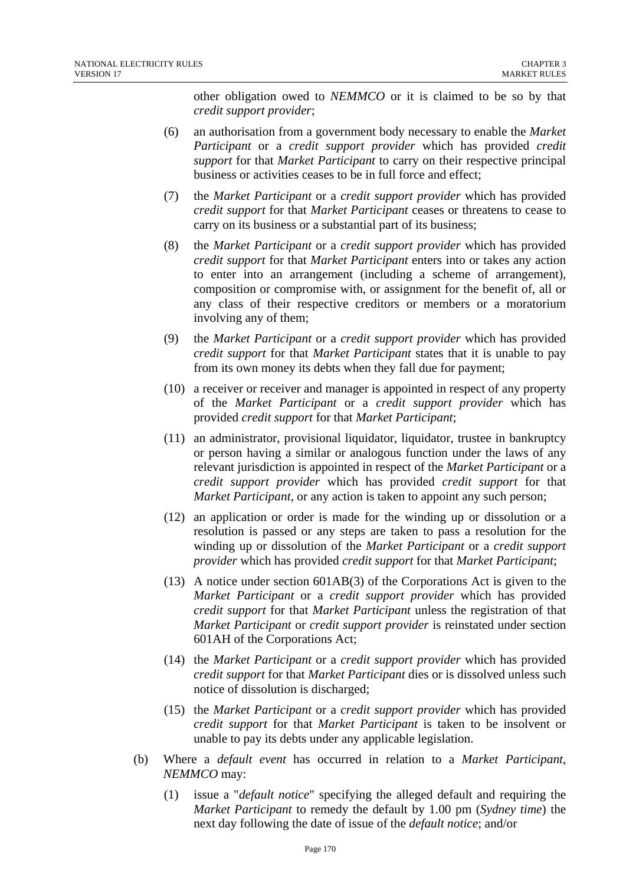other obligation owed to *NEMMCO* or it is claimed to be so by that *credit support provider*;

- (6) an authorisation from a government body necessary to enable the *Market Participant* or a *credit support provider* which has provided *credit support* for that *Market Participant* to carry on their respective principal business or activities ceases to be in full force and effect;
- (7) the *Market Participant* or a *credit support provider* which has provided *credit support* for that *Market Participant* ceases or threatens to cease to carry on its business or a substantial part of its business;
- (8) the *Market Participant* or a *credit support provider* which has provided *credit support* for that *Market Participant* enters into or takes any action to enter into an arrangement (including a scheme of arrangement), composition or compromise with, or assignment for the benefit of, all or any class of their respective creditors or members or a moratorium involving any of them;
- (9) the *Market Participant* or a *credit support provider* which has provided *credit support* for that *Market Participant* states that it is unable to pay from its own money its debts when they fall due for payment;
- (10) a receiver or receiver and manager is appointed in respect of any property of the *Market Participant* or a *credit support provider* which has provided *credit support* for that *Market Participant*;
- (11) an administrator, provisional liquidator, liquidator, trustee in bankruptcy or person having a similar or analogous function under the laws of any relevant jurisdiction is appointed in respect of the *Market Participant* or a *credit support provider* which has provided *credit support* for that *Market Participant*, or any action is taken to appoint any such person;
- (12) an application or order is made for the winding up or dissolution or a resolution is passed or any steps are taken to pass a resolution for the winding up or dissolution of the *Market Participant* or a *credit support provider* which has provided *credit support* for that *Market Participant*;
- (13) A notice under section 601AB(3) of the Corporations Act is given to the *Market Participant* or a *credit support provider* which has provided *credit support* for that *Market Participant* unless the registration of that *Market Participant* or *credit support provider* is reinstated under section 601AH of the Corporations Act;
- (14) the *Market Participant* or a *credit support provider* which has provided *credit support* for that *Market Participant* dies or is dissolved unless such notice of dissolution is discharged;
- (15) the *Market Participant* or a *credit support provider* which has provided *credit support* for that *Market Participant* is taken to be insolvent or unable to pay its debts under any applicable legislation.
- (b) Where a *default event* has occurred in relation to a *Market Participant*, *NEMMCO* may:
	- (1) issue a "*default notice*" specifying the alleged default and requiring the *Market Participant* to remedy the default by 1.00 pm (*Sydney time*) the next day following the date of issue of the *default notice*; and/or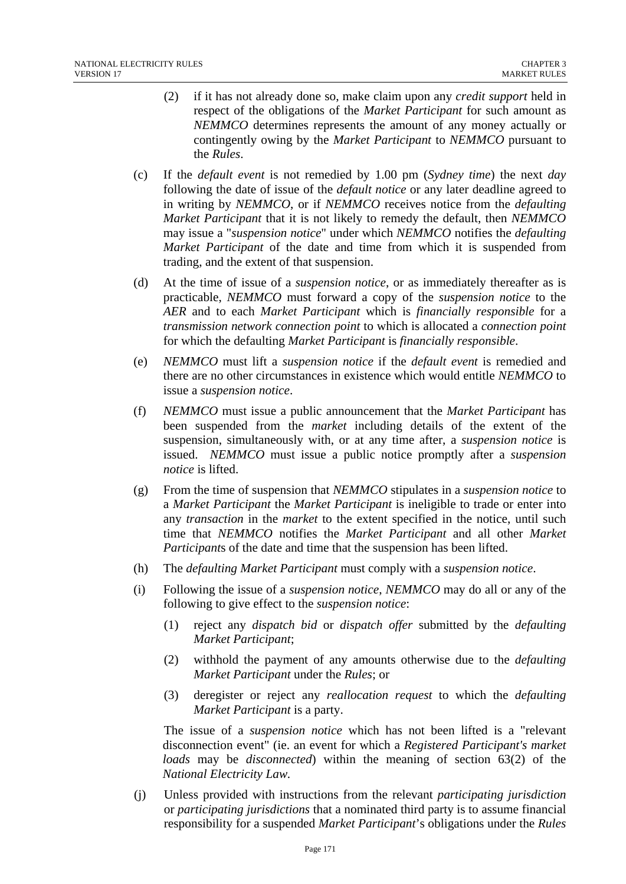- (2) if it has not already done so, make claim upon any *credit support* held in respect of the obligations of the *Market Participant* for such amount as *NEMMCO* determines represents the amount of any money actually or contingently owing by the *Market Participant* to *NEMMCO* pursuant to the *Rules*.
- (c) If the *default event* is not remedied by 1.00 pm (*Sydney time*) the next *day* following the date of issue of the *default notice* or any later deadline agreed to in writing by *NEMMCO*, or if *NEMMCO* receives notice from the *defaulting Market Participant* that it is not likely to remedy the default, then *NEMMCO* may issue a "*suspension notice*" under which *NEMMCO* notifies the *defaulting Market Participant* of the date and time from which it is suspended from trading, and the extent of that suspension.
- (d) At the time of issue of a *suspension notice*, or as immediately thereafter as is practicable, *NEMMCO* must forward a copy of the *suspension notice* to the *AER* and to each *Market Participant* which is *financially responsible* for a *transmission network connection point* to which is allocated a *connection point* for which the defaulting *Market Participant* is *financially responsible*.
- (e) *NEMMCO* must lift a *suspension notice* if the *default event* is remedied and there are no other circumstances in existence which would entitle *NEMMCO* to issue a *suspension notice*.
- (f) *NEMMCO* must issue a public announcement that the *Market Participant* has been suspended from the *market* including details of the extent of the suspension, simultaneously with, or at any time after, a *suspension notice* is issued. *NEMMCO* must issue a public notice promptly after a *suspension notice* is lifted.
- (g) From the time of suspension that *NEMMCO* stipulates in a *suspension notice* to a *Market Participant* the *Market Participant* is ineligible to trade or enter into any *transaction* in the *market* to the extent specified in the notice, until such time that *NEMMCO* notifies the *Market Participant* and all other *Market Participant*s of the date and time that the suspension has been lifted.
- (h) The *defaulting Market Participant* must comply with a *suspension notice*.
- (i) Following the issue of a *suspension notice*, *NEMMCO* may do all or any of the following to give effect to the *suspension notice*:
	- (1) reject any *dispatch bid* or *dispatch offer* submitted by the *defaulting Market Participant*;
	- (2) withhold the payment of any amounts otherwise due to the *defaulting Market Participant* under the *Rules*; or
	- (3) deregister or reject any *reallocation request* to which the *defaulting Market Participant* is a party.

The issue of a *suspension notice* which has not been lifted is a "relevant disconnection event" (ie. an event for which a *Registered Participant's market loads* may be *disconnected*) within the meaning of section 63(2) of the *National Electricity Law.* 

(j) Unless provided with instructions from the relevant *participating jurisdiction* or *participating jurisdictions* that a nominated third party is to assume financial responsibility for a suspended *Market Participant*'s obligations under the *Rules*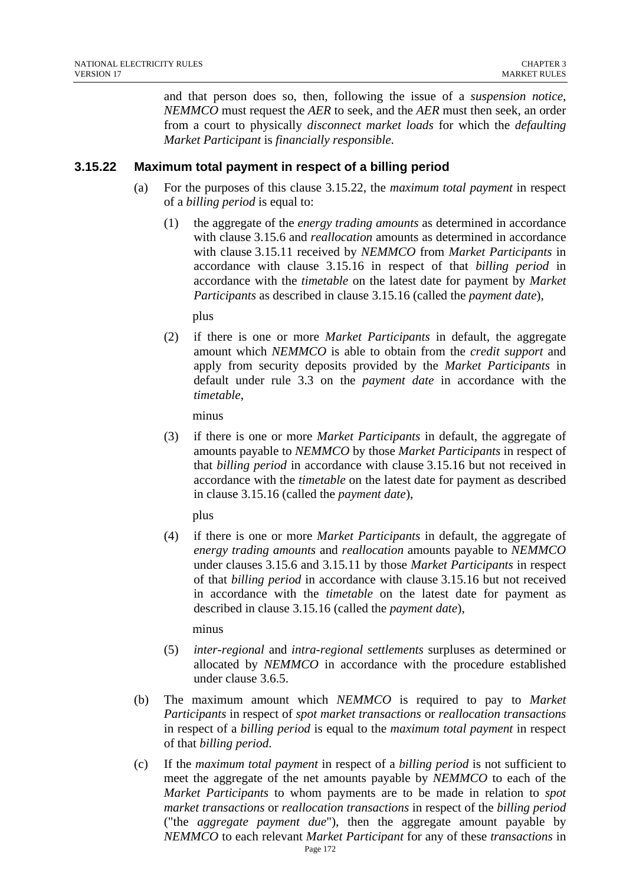and that person does so, then, following the issue of a *suspension notice*, *NEMMCO* must request the *AER* to seek, and the *AER* must then seek, an order from a court to physically *disconnect market loads* for which the *defaulting Market Participant* is *financially responsible*.

## **3.15.22 Maximum total payment in respect of a billing period**

- (a) For the purposes of this clause 3.15.22, the *maximum total payment* in respect of a *billing period* is equal to:
	- (1) the aggregate of the *energy trading amounts* as determined in accordance with clause 3.15.6 and *reallocation* amounts as determined in accordance with clause 3.15.11 received by *NEMMCO* from *Market Participants* in accordance with clause 3.15.16 in respect of that *billing period* in accordance with the *timetable* on the latest date for payment by *Market Participants* as described in clause 3.15.16 (called the *payment date*),

plus

(2) if there is one or more *Market Participants* in default, the aggregate amount which *NEMMCO* is able to obtain from the *credit support* and apply from security deposits provided by the *Market Participants* in default under rule 3.3 on the *payment date* in accordance with the *timetable*,

minus

(3) if there is one or more *Market Participants* in default, the aggregate of amounts payable to *NEMMCO* by those *Market Participants* in respect of that *billing period* in accordance with clause 3.15.16 but not received in accordance with the *timetable* on the latest date for payment as described in clause 3.15.16 (called the *payment date*),

plus

(4) if there is one or more *Market Participants* in default, the aggregate of *energy trading amounts* and *reallocation* amounts payable to *NEMMCO* under clauses 3.15.6 and 3.15.11 by those *Market Participants* in respect of that *billing period* in accordance with clause 3.15.16 but not received in accordance with the *timetable* on the latest date for payment as described in clause 3.15.16 (called the *payment date*),

minus

- (5) *inter-regional* and *intra-regional settlements* surpluses as determined or allocated by *NEMMCO* in accordance with the procedure established under clause 3.6.5.
- (b) The maximum amount which *NEMMCO* is required to pay to *Market Participants* in respect of *spot market transactions* or *reallocation transactions* in respect of a *billing period* is equal to the *maximum total payment* in respect of that *billing period*.
- (c) If the *maximum total payment* in respect of a *billing period* is not sufficient to meet the aggregate of the net amounts payable by *NEMMCO* to each of the *Market Participants* to whom payments are to be made in relation to *spot market transactions* or *reallocation transactions* in respect of the *billing period* ("the *aggregate payment due*"), then the aggregate amount payable by *NEMMCO* to each relevant *Market Participant* for any of these *transactions* in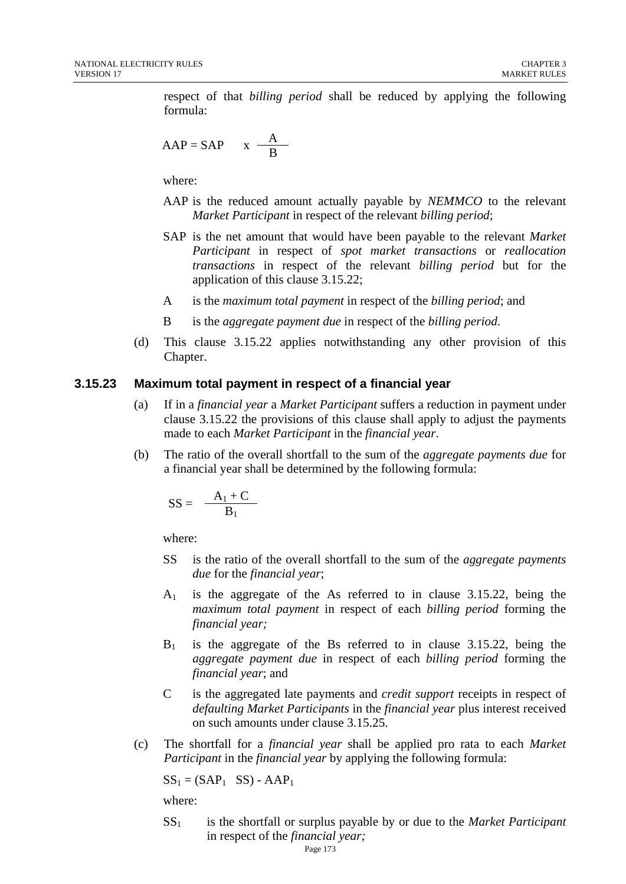respect of that *billing period* shall be reduced by applying the following formula:

$$
AAP = SAP \qquad x \quad \frac{A}{B}
$$

where:

- AAP is the reduced amount actually payable by *NEMMCO* to the relevant *Market Participant* in respect of the relevant *billing period*;
- SAP is the net amount that would have been payable to the relevant *Market Participant* in respect of *spot market transactions* or *reallocation transactions* in respect of the relevant *billing period* but for the application of this clause 3.15.22;
- A is the *maximum total payment* in respect of the *billing period*; and
- B is the *aggregate payment due* in respect of the *billing period*.
- (d) This clause 3.15.22 applies notwithstanding any other provision of this Chapter.

#### **3.15.23 Maximum total payment in respect of a financial year**

- (a) If in a *financial year* a *Market Participant* suffers a reduction in payment under clause 3.15.22 the provisions of this clause shall apply to adjust the payments made to each *Market Participant* in the *financial year*.
- (b) The ratio of the overall shortfall to the sum of the *aggregate payments due* for a financial year shall be determined by the following formula:

$$
SS = \frac{A_1 + C}{B_1}
$$

where:

- SS is the ratio of the overall shortfall to the sum of the *aggregate payments due* for the *financial year*;
- $A_1$  is the aggregate of the As referred to in clause 3.15.22, being the *maximum total payment* in respect of each *billing period* forming the *financial year;*
- $B_1$  is the aggregate of the Bs referred to in clause 3.15.22, being the *aggregate payment due* in respect of each *billing period* forming the *financial year*; and
- C is the aggregated late payments and *credit support* receipts in respect of *defaulting Market Participants* in the *financial year* plus interest received on such amounts under clause 3.15.25.
- (c) The shortfall for a *financial year* shall be applied pro rata to each *Market Participant* in the *financial year* by applying the following formula:

$$
SS_1 = (SAP_1 \tSS) - AAP_1
$$

where:

SS1 is the shortfall or surplus payable by or due to the *Market Participant*  in respect of the *financial year;*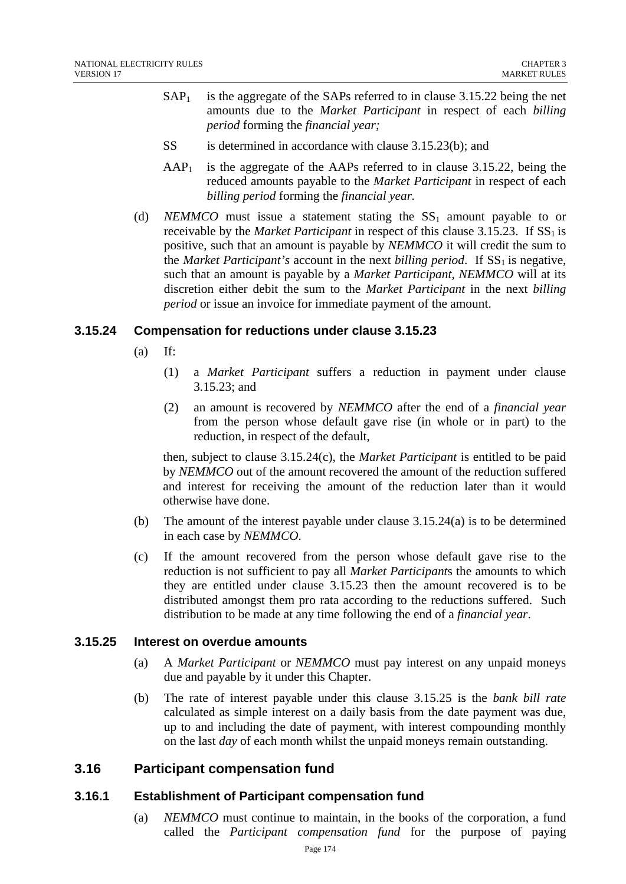- $SAP<sub>1</sub>$  is the aggregate of the SAPs referred to in clause 3.15.22 being the net amounts due to the *Market Participant* in respect of each *billing period* forming the *financial year;*
- SS is determined in accordance with clause 3.15.23(b); and
- $AAP<sub>1</sub>$  is the aggregate of the AAPs referred to in clause 3.15.22, being the reduced amounts payable to the *Market Participant* in respect of each *billing period* forming the *financial year.*
- (d) *NEMMCO* must issue a statement stating the  $SS_1$  amount payable to or receivable by the *Market Participant* in respect of this clause  $3.15.23$ . If  $SS<sub>1</sub>$  is positive, such that an amount is payable by *NEMMCO* it will credit the sum to the *Market Participant's* account in the next *billing period*. If  $SS<sub>1</sub>$  is negative, such that an amount is payable by a *Market Participant*, *NEMMCO* will at its discretion either debit the sum to the *Market Participant* in the next *billing period* or issue an invoice for immediate payment of the amount.

## **3.15.24 Compensation for reductions under clause 3.15.23**

- $(a)$  If:
	- (1) a *Market Participant* suffers a reduction in payment under clause 3.15.23; and
	- (2) an amount is recovered by *NEMMCO* after the end of a *financial year* from the person whose default gave rise (in whole or in part) to the reduction, in respect of the default,

then, subject to clause 3.15.24(c), the *Market Participant* is entitled to be paid by *NEMMCO* out of the amount recovered the amount of the reduction suffered and interest for receiving the amount of the reduction later than it would otherwise have done.

- (b) The amount of the interest payable under clause 3.15.24(a) is to be determined in each case by *NEMMCO*.
- (c) If the amount recovered from the person whose default gave rise to the reduction is not sufficient to pay all *Market Participant*s the amounts to which they are entitled under clause 3.15.23 then the amount recovered is to be distributed amongst them pro rata according to the reductions suffered. Such distribution to be made at any time following the end of a *financial year*.

### **3.15.25 Interest on overdue amounts**

- (a) A *Market Participant* or *NEMMCO* must pay interest on any unpaid moneys due and payable by it under this Chapter.
- (b) The rate of interest payable under this clause 3.15.25 is the *bank bill rate* calculated as simple interest on a daily basis from the date payment was due, up to and including the date of payment, with interest compounding monthly on the last *day* of each month whilst the unpaid moneys remain outstanding.

# **3.16 Participant compensation fund**

### **3.16.1 Establishment of Participant compensation fund**

(a) *NEMMCO* must continue to maintain, in the books of the corporation, a fund called the *Participant compensation fund* for the purpose of paying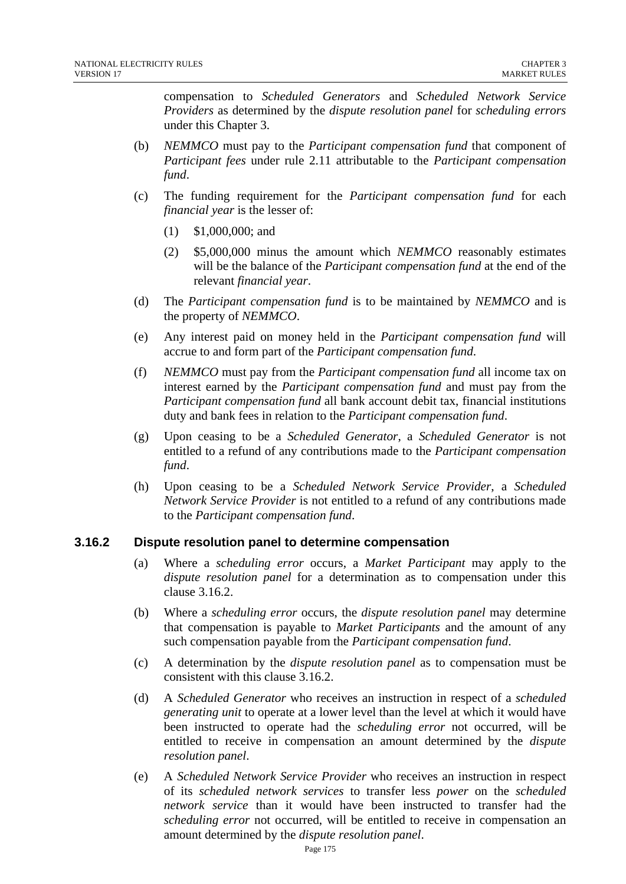compensation to *Scheduled Generators* and *Scheduled Network Service Providers* as determined by the *dispute resolution panel* for *scheduling errors* under this Chapter 3.

- (b) *NEMMCO* must pay to the *Participant compensation fund* that component of *Participant fees* under rule 2.11 attributable to the *Participant compensation fund*.
- (c) The funding requirement for the *Participant compensation fund* for each *financial year* is the lesser of:
	- (1) \$1,000,000; and
	- (2) \$5,000,000 minus the amount which *NEMMCO* reasonably estimates will be the balance of the *Participant compensation fund* at the end of the relevant *financial year*.
- (d) The *Participant compensation fund* is to be maintained by *NEMMCO* and is the property of *NEMMCO*.
- (e) Any interest paid on money held in the *Participant compensation fund* will accrue to and form part of the *Participant compensation fund*.
- (f) *NEMMCO* must pay from the *Participant compensation fund* all income tax on interest earned by the *Participant compensation fund* and must pay from the *Participant compensation fund* all bank account debit tax, financial institutions duty and bank fees in relation to the *Participant compensation fund*.
- (g) Upon ceasing to be a *Scheduled Generator*, a *Scheduled Generator* is not entitled to a refund of any contributions made to the *Participant compensation fund*.
- (h) Upon ceasing to be a *Scheduled Network Service Provider*, a *Scheduled Network Service Provider* is not entitled to a refund of any contributions made to the *Participant compensation fund*.

# **3.16.2 Dispute resolution panel to determine compensation**

- (a) Where a *scheduling error* occurs, a *Market Participant* may apply to the *dispute resolution panel* for a determination as to compensation under this clause 3.16.2.
- (b) Where a *scheduling error* occurs, the *dispute resolution panel* may determine that compensation is payable to *Market Participants* and the amount of any such compensation payable from the *Participant compensation fund*.
- (c) A determination by the *dispute resolution panel* as to compensation must be consistent with this clause 3.16.2.
- (d) A *Scheduled Generator* who receives an instruction in respect of a *scheduled generating unit* to operate at a lower level than the level at which it would have been instructed to operate had the *scheduling error* not occurred, will be entitled to receive in compensation an amount determined by the *dispute resolution panel*.
- (e) A *Scheduled Network Service Provider* who receives an instruction in respect of its *scheduled network services* to transfer less *power* on the *scheduled network service* than it would have been instructed to transfer had the *scheduling error* not occurred, will be entitled to receive in compensation an amount determined by the *dispute resolution panel*.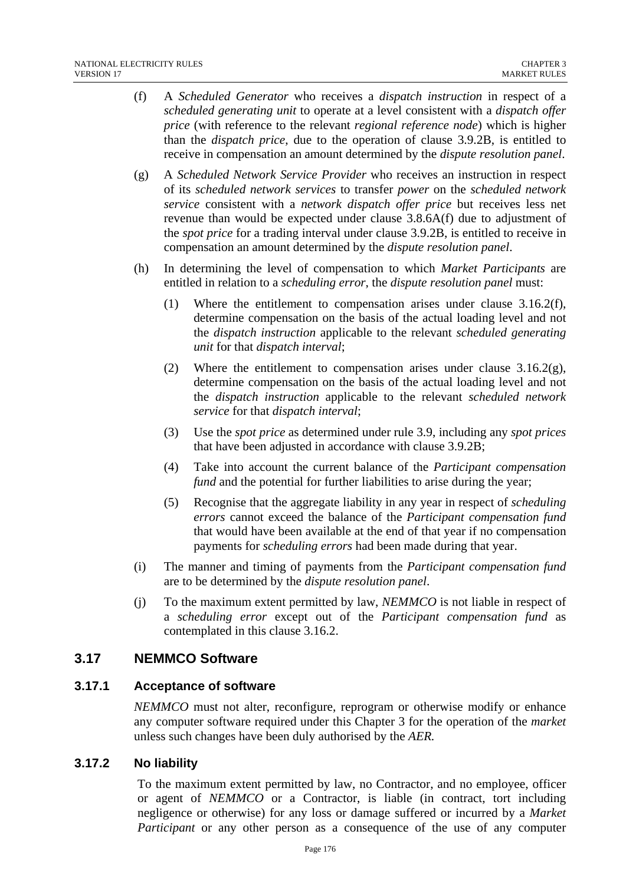- (f) A *Scheduled Generator* who receives a *dispatch instruction* in respect of a *scheduled generating unit* to operate at a level consistent with a *dispatch offer price* (with reference to the relevant *regional reference node*) which is higher than the *dispatch price*, due to the operation of clause 3.9.2B, is entitled to receive in compensation an amount determined by the *dispute resolution panel*.
- (g) A *Scheduled Network Service Provider* who receives an instruction in respect of its *scheduled network services* to transfer *power* on the *scheduled network service* consistent with a *network dispatch offer price* but receives less net revenue than would be expected under clause 3.8.6A(f) due to adjustment of the *spot price* for a trading interval under clause 3.9.2B, is entitled to receive in compensation an amount determined by the *dispute resolution panel*.
- (h) In determining the level of compensation to which *Market Participants* are entitled in relation to a *scheduling error*, the *dispute resolution panel* must:
	- (1) Where the entitlement to compensation arises under clause 3.16.2(f), determine compensation on the basis of the actual loading level and not the *dispatch instruction* applicable to the relevant *scheduled generating unit* for that *dispatch interval*;
	- (2) Where the entitlement to compensation arises under clause  $3.16.2(g)$ , determine compensation on the basis of the actual loading level and not the *dispatch instruction* applicable to the relevant *scheduled network service* for that *dispatch interval*;
	- (3) Use the *spot price* as determined under rule 3.9, including any *spot prices* that have been adjusted in accordance with clause 3.9.2B;
	- (4) Take into account the current balance of the *Participant compensation fund* and the potential for further liabilities to arise during the year;
	- (5) Recognise that the aggregate liability in any year in respect of *scheduling errors* cannot exceed the balance of the *Participant compensation fund* that would have been available at the end of that year if no compensation payments for *scheduling errors* had been made during that year.
- (i) The manner and timing of payments from the *Participant compensation fund* are to be determined by the *dispute resolution panel*.
- (j) To the maximum extent permitted by law, *NEMMCO* is not liable in respect of a *scheduling error* except out of the *Participant compensation fund* as contemplated in this clause 3.16.2.

# **3.17 NEMMCO Software**

# **3.17.1 Acceptance of software**

*NEMMCO* must not alter, reconfigure, reprogram or otherwise modify or enhance any computer software required under this Chapter 3 for the operation of the *market*  unless such changes have been duly authorised by the *AER.* 

### **3.17.2 No liability**

To the maximum extent permitted by law, no Contractor, and no employee, officer or agent of *NEMMCO* or a Contractor, is liable (in contract, tort including negligence or otherwise) for any loss or damage suffered or incurred by a *Market Participant* or any other person as a consequence of the use of any computer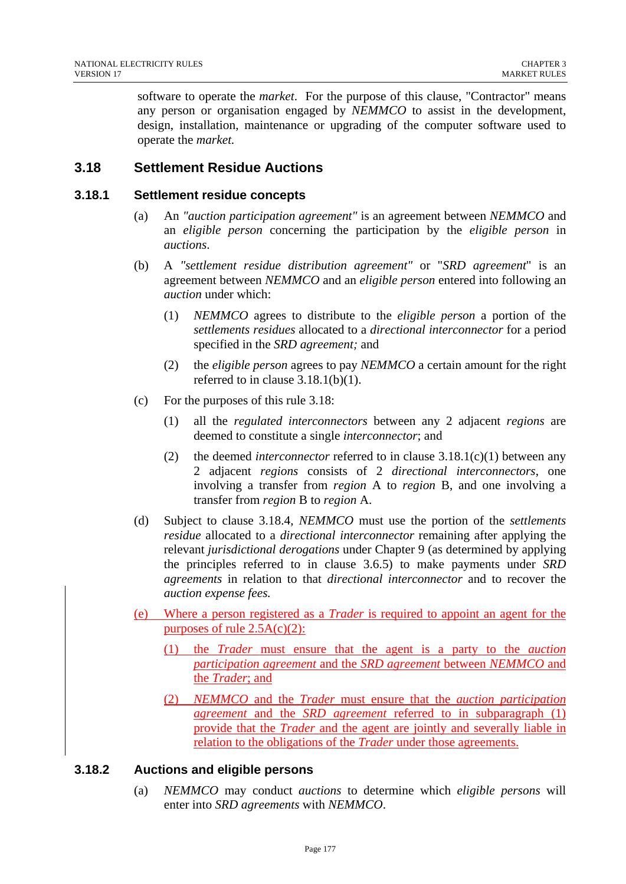software to operate the *market*. For the purpose of this clause, "Contractor" means any person or organisation engaged by *NEMMCO* to assist in the development, design, installation, maintenance or upgrading of the computer software used to operate the *market.*

# **3.18 Settlement Residue Auctions**

### **3.18.1 Settlement residue concepts**

- (a) An *"auction participation agreement"* is an agreement between *NEMMCO* and an *eligible person* concerning the participation by the *eligible person* in *auctions*.
- (b) A *"settlement residue distribution agreement"* or "*SRD agreement*" is an agreement between *NEMMCO* and an *eligible person* entered into following an *auction* under which:
	- (1) *NEMMCO* agrees to distribute to the *eligible person* a portion of the *settlements residues* allocated to a *directional interconnector* for a period specified in the *SRD agreement;* and
	- (2) the *eligible person* agrees to pay *NEMMCO* a certain amount for the right referred to in clause  $3.18.1(b)(1)$ .
- (c) For the purposes of this rule 3.18:
	- (1) all the *regulated interconnectors* between any 2 adjacent *regions* are deemed to constitute a single *interconnector*; and
	- (2) the deemed *interconnector* referred to in clause 3.18.1(c)(1) between any 2 adjacent *regions* consists of 2 *directional interconnectors*, one involving a transfer from *region* A to *region* B, and one involving a transfer from *region* B to *region* A.
- (d) Subject to clause 3.18.4, *NEMMCO* must use the portion of the *settlements residue* allocated to a *directional interconnector* remaining after applying the relevant *jurisdictional derogations* under Chapter 9 (as determined by applying the principles referred to in clause 3.6.5) to make payments under *SRD agreements* in relation to that *directional interconnector* and to recover the *auction expense fees.*
- (e) Where a person registered as a *Trader* is required to appoint an agent for the purposes of rule  $2.5A(c)(2)$ :
	- (1) the *Trader* must ensure that the agent is a party to the *auction participation agreement* and the *SRD agreement* between *NEMMCO* and the *Trader*; and
	- (2) *NEMMCO* and the *Trader* must ensure that the *auction participation agreement* and the *SRD agreement* referred to in subparagraph (1) provide that the *Trader* and the agent are jointly and severally liable in relation to the obligations of the *Trader* under those agreements.

# **3.18.2 Auctions and eligible persons**

(a) *NEMMCO* may conduct *auctions* to determine which *eligible persons* will enter into *SRD agreements* with *NEMMCO*.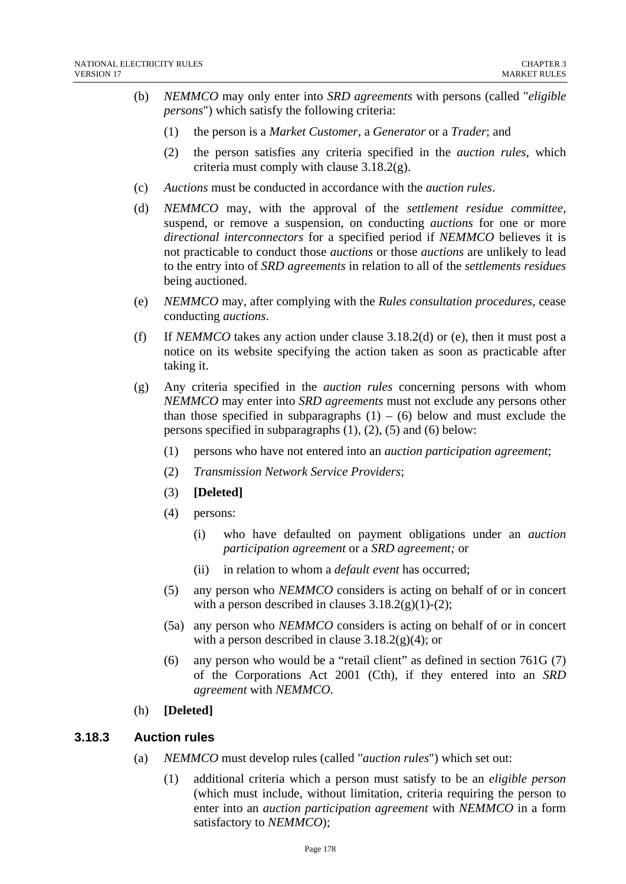- (b) *NEMMCO* may only enter into *SRD agreements* with persons (called "*eligible persons*") which satisfy the following criteria:
	- (1) the person is a *Market Customer*, a *Generator* or a *Trader*; and
	- (2) the person satisfies any criteria specified in the *auction rules*, which criteria must comply with clause 3.18.2(g).
- (c) *Auctions* must be conducted in accordance with the *auction rules*.
- (d) *NEMMCO* may, with the approval of the *settlement residue committee,*  suspend, or remove a suspension, on conducting *auctions* for one or more *directional interconnectors* for a specified period if *NEMMCO* believes it is not practicable to conduct those *auctions* or those *auctions* are unlikely to lead to the entry into of *SRD agreements* in relation to all of the *settlements residues*  being auctioned.
- (e) *NEMMCO* may, after complying with the *Rules consultation procedures,* cease conducting *auctions*.
- (f) If *NEMMCO* takes any action under clause 3.18.2(d) or (e), then it must post a notice on its website specifying the action taken as soon as practicable after taking it.
- (g) Any criteria specified in the *auction rules* concerning persons with whom *NEMMCO* may enter into *SRD agreements* must not exclude any persons other than those specified in subparagraphs  $(1) - (6)$  below and must exclude the persons specified in subparagraphs (1), (2), (5) and (6) below:
	- (1) persons who have not entered into an *auction participation agreement*;
	- (2) *Transmission Network Service Providers*;
	- (3) **[Deleted]**
	- (4) persons:
		- (i) who have defaulted on payment obligations under an *auction participation agreement* or a *SRD agreement;* or
		- (ii) in relation to whom a *default event* has occurred;
	- (5) any person who *NEMMCO* considers is acting on behalf of or in concert with a person described in clauses  $3.18.2(g)(1)-(2)$ ;
	- (5a) any person who *NEMMCO* considers is acting on behalf of or in concert with a person described in clause  $3.18.2(g)(4)$ ; or
	- (6) any person who would be a "retail client" as defined in section 761G (7) of the Corporations Act 2001 (Cth), if they entered into an *SRD agreement* with *NEMMCO*.
- (h) **[Deleted]**

### **3.18.3 Auction rules**

- (a) *NEMMCO* must develop rules (called "*auction rules*") which set out:
	- (1) additional criteria which a person must satisfy to be an *eligible person*  (which must include, without limitation, criteria requiring the person to enter into an *auction participation agreement* with *NEMMCO* in a form satisfactory to *NEMMCO*);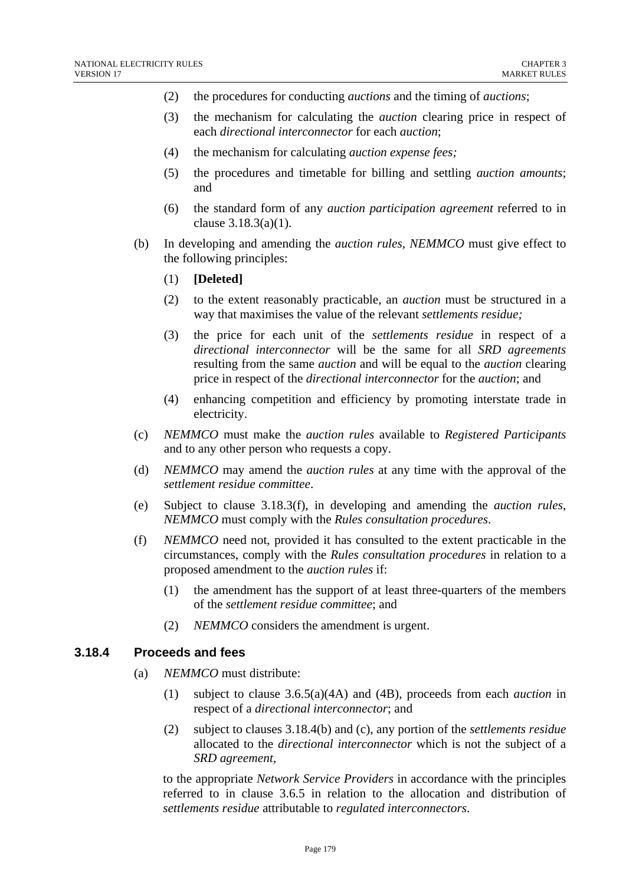- (2) the procedures for conducting *auctions* and the timing of *auctions*;
- (3) the mechanism for calculating the *auction* clearing price in respect of each *directional interconnector* for each *auction*;
- (4) the mechanism for calculating *auction expense fees;*
- (5) the procedures and timetable for billing and settling *auction amounts*; and
- (6) the standard form of any *auction participation agreement* referred to in clause 3.18.3(a)(1).
- (b) In developing and amending the *auction rules, NEMMCO* must give effect to the following principles:
	- (1) **[Deleted]**
	- (2) to the extent reasonably practicable, an *auction* must be structured in a way that maximises the value of the relevant *settlements residue;*
	- (3) the price for each unit of the *settlements residue* in respect of a *directional interconnector* will be the same for all *SRD agreements* resulting from the same *auction* and will be equal to the *auction* clearing price in respect of the *directional interconnector* for the *auction*; and
	- (4) enhancing competition and efficiency by promoting interstate trade in electricity.
- (c) *NEMMCO* must make the *auction rules* available to *Registered Participants* and to any other person who requests a copy.
- (d) *NEMMCO* may amend the *auction rules* at any time with the approval of the *settlement residue committee*.
- (e) Subject to clause 3.18.3(f), in developing and amending the *auction rules*, *NEMMCO* must comply with the *Rules consultation procedures*.
- (f) *NEMMCO* need not, provided it has consulted to the extent practicable in the circumstances, comply with the *Rules consultation procedures* in relation to a proposed amendment to the *auction rules* if:
	- (1) the amendment has the support of at least three-quarters of the members of the *settlement residue committee*; and
	- (2) *NEMMCO* considers the amendment is urgent.

### **3.18.4 Proceeds and fees**

- (a) *NEMMCO* must distribute:
	- (1) subject to clause 3.6.5(a)(4A) and (4B), proceeds from each *auction* in respect of a *directional interconnector*; and
	- (2) subject to clauses 3.18.4(b) and (c), any portion of the *settlements residue* allocated to the *directional interconnector* which is not the subject of a *SRD agreement,*

to the appropriate *Network Service Providers* in accordance with the principles referred to in clause 3.6.5 in relation to the allocation and distribution of *settlements residue* attributable to *regulated interconnectors*.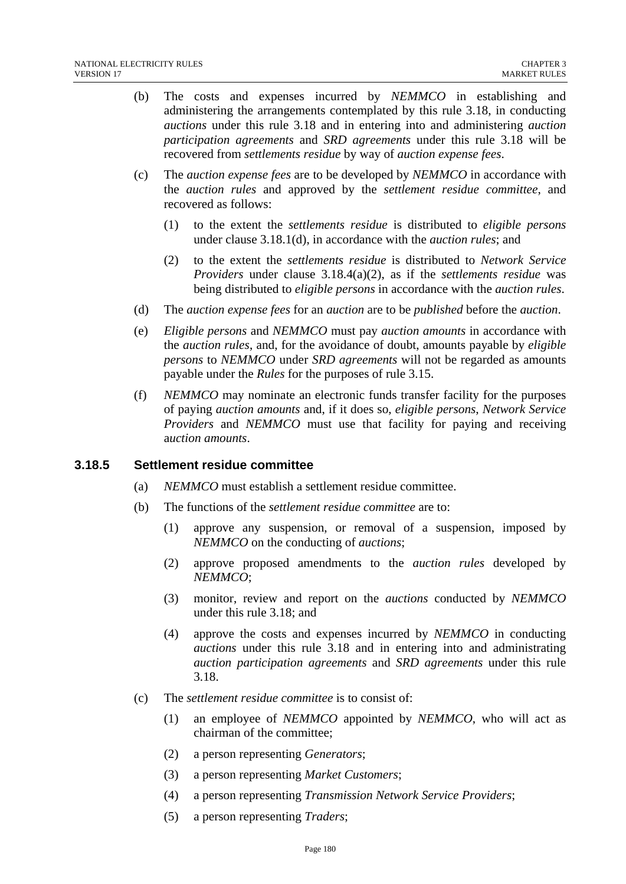- (b) The costs and expenses incurred by *NEMMCO* in establishing and administering the arrangements contemplated by this rule 3.18, in conducting *auctions* under this rule 3.18 and in entering into and administering *auction participation agreements* and *SRD agreements* under this rule 3.18 will be recovered from *settlements residue* by way of *auction expense fees*.
- (c) The *auction expense fees* are to be developed by *NEMMCO* in accordance with the *auction rules* and approved by the *settlement residue committee*, and recovered as follows:
	- (1) to the extent the *settlements residue* is distributed to *eligible persons*  under clause 3.18.1(d), in accordance with the *auction rules*; and
	- (2) to the extent the *settlements residue* is distributed to *Network Service Providers* under clause 3.18.4(a)(2), as if the *settlements residue* was being distributed to *eligible persons* in accordance with the *auction rules*.
- (d) The *auction expense fees* for an *auction* are to be *published* before the *auction*.
- (e) *Eligible persons* and *NEMMCO* must pay *auction amounts* in accordance with the *auction rules*, and, for the avoidance of doubt, amounts payable by *eligible persons* to *NEMMCO* under *SRD agreements* will not be regarded as amounts payable under the *Rules* for the purposes of rule 3.15.
- (f) *NEMMCO* may nominate an electronic funds transfer facility for the purposes of paying *auction amounts* and, if it does so, *eligible persons*, *Network Service Providers* and *NEMMCO* must use that facility for paying and receiving a*uction amounts*.

#### **3.18.5 Settlement residue committee**

- (a) *NEMMCO* must establish a settlement residue committee.
- (b) The functions of the *settlement residue committee* are to:
	- (1) approve any suspension, or removal of a suspension, imposed by *NEMMCO* on the conducting of *auctions*;
	- (2) approve proposed amendments to the *auction rules* developed by *NEMMCO*;
	- (3) monitor, review and report on the *auctions* conducted by *NEMMCO* under this rule 3.18; and
	- (4) approve the costs and expenses incurred by *NEMMCO* in conducting *auctions* under this rule 3.18 and in entering into and administrating *auction participation agreements* and *SRD agreements* under this rule 3.18.
- (c) The *settlement residue committee* is to consist of:
	- (1) an employee of *NEMMCO* appointed by *NEMMCO*, who will act as chairman of the committee;
	- (2) a person representing *Generators*;
	- (3) a person representing *Market Customers*;
	- (4) a person representing *Transmission Network Service Providers*;
	- (5) a person representing *Traders*;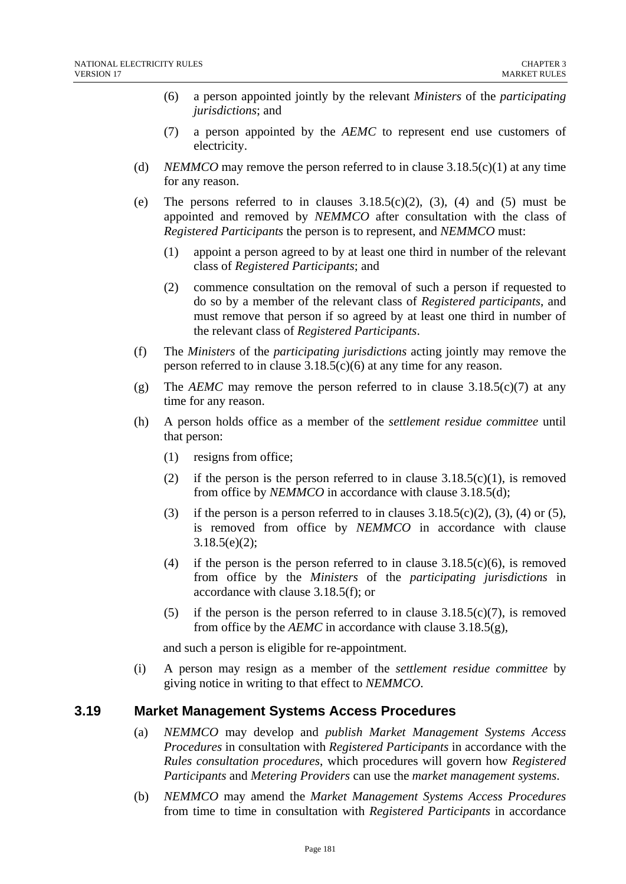- (6) a person appointed jointly by the relevant *Ministers* of the *participating jurisdictions*; and
- (7) a person appointed by the *AEMC* to represent end use customers of electricity.
- (d) *NEMMCO* may remove the person referred to in clause  $3.18.5(c)(1)$  at any time for any reason.
- (e) The persons referred to in clauses  $3.18.5(c)(2)$ ,  $(3)$ ,  $(4)$  and  $(5)$  must be appointed and removed by *NEMMCO* after consultation with the class of *Registered Participants* the person is to represent, and *NEMMCO* must:
	- (1) appoint a person agreed to by at least one third in number of the relevant class of *Registered Participants*; and
	- (2) commence consultation on the removal of such a person if requested to do so by a member of the relevant class of *Registered participants*, and must remove that person if so agreed by at least one third in number of the relevant class of *Registered Participants*.
- (f) The *Ministers* of the *participating jurisdictions* acting jointly may remove the person referred to in clause 3.18.5(c)(6) at any time for any reason.
- (g) The *AEMC* may remove the person referred to in clause  $3.18.5(c)(7)$  at any time for any reason.
- (h) A person holds office as a member of the *settlement residue committee* until that person:
	- (1) resigns from office;
	- (2) if the person is the person referred to in clause  $3.18.5(c)(1)$ , is removed from office by *NEMMCO* in accordance with clause 3.18.5(d);
	- (3) if the person is a person referred to in clauses  $3.18.5(c)(2)$ , (3), (4) or (5), is removed from office by *NEMMCO* in accordance with clause 3.18.5(e)(2);
	- (4) if the person is the person referred to in clause  $3.18.5(c)(6)$ , is removed from office by the *Ministers* of the *participating jurisdictions* in accordance with clause 3.18.5(f); or
	- (5) if the person is the person referred to in clause  $3.18.5(c)(7)$ , is removed from office by the *AEMC* in accordance with clause 3.18.5(g),

and such a person is eligible for re-appointment.

(i) A person may resign as a member of the *settlement residue committee* by giving notice in writing to that effect to *NEMMCO*.

### **3.19 Market Management Systems Access Procedures**

- (a) *NEMMCO* may develop and *publish Market Management Systems Access Procedures* in consultation with *Registered Participants* in accordance with the *Rules consultation procedures*, which procedures will govern how *Registered Participants* and *Metering Providers* can use the *market management systems*.
- (b) *NEMMCO* may amend the *Market Management Systems Access Procedures*  from time to time in consultation with *Registered Participants* in accordance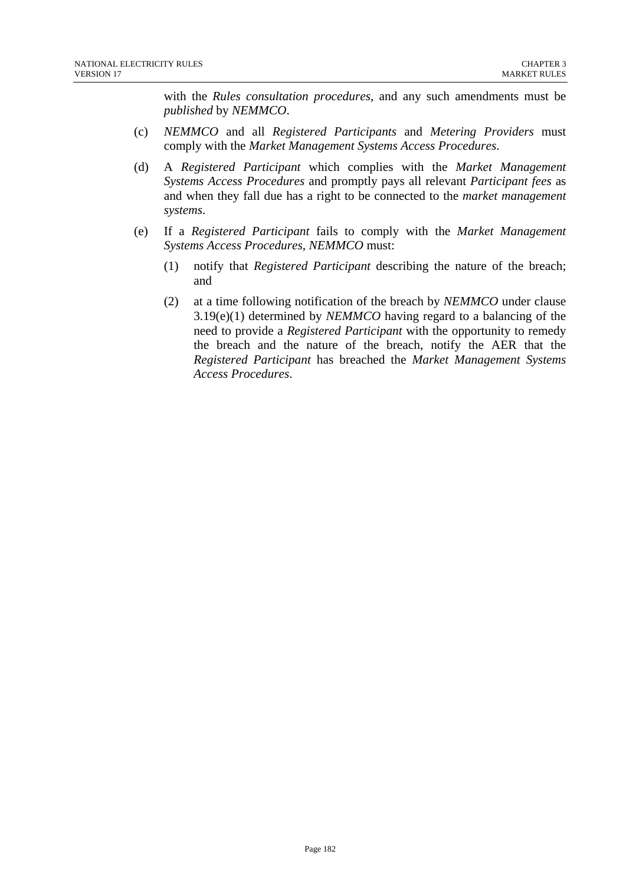with the *Rules consultation procedures*, and any such amendments must be *published* by *NEMMCO*.

- (c) *NEMMCO* and all *Registered Participants* and *Metering Providers* must comply with the *Market Management Systems Access Procedures*.
- (d) A *Registered Participant* which complies with the *Market Management Systems Access Procedures* and promptly pays all relevant *Participant fees* as and when they fall due has a right to be connected to the *market management systems*.
- (e) If a *Registered Participant* fails to comply with the *Market Management Systems Access Procedures*, *NEMMCO* must:
	- (1) notify that *Registered Participant* describing the nature of the breach; and
	- (2) at a time following notification of the breach by *NEMMCO* under clause 3.19(e)(1) determined by *NEMMCO* having regard to a balancing of the need to provide a *Registered Participant* with the opportunity to remedy the breach and the nature of the breach, notify the AER that the *Registered Participant* has breached the *Market Management Systems Access Procedures*.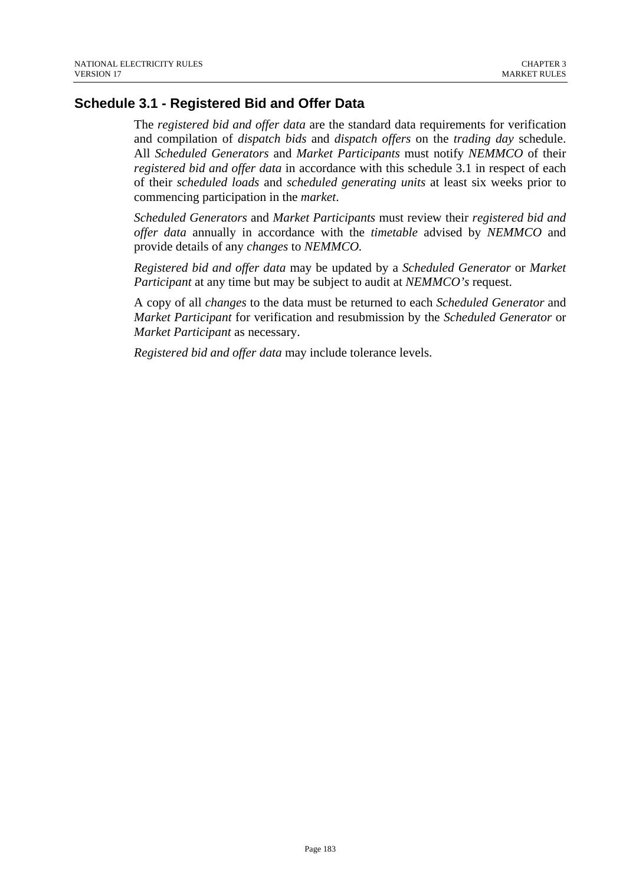### **Schedule 3.1 - Registered Bid and Offer Data**

The *registered bid and offer data* are the standard data requirements for verification and compilation of *dispatch bids* and *dispatch offers* on the *trading day* schedule. All *Scheduled Generators* and *Market Participants* must notify *NEMMCO* of their *registered bid and offer data* in accordance with this schedule 3.1 in respect of each of their *scheduled loads* and *scheduled generating units* at least six weeks prior to commencing participation in the *market*.

*Scheduled Generators* and *Market Participants* must review their *registered bid and offer data* annually in accordance with the *timetable* advised by *NEMMCO* and provide details of any *changes* to *NEMMCO.* 

*Registered bid and offer data* may be updated by a *Scheduled Generator* or *Market Participant* at any time but may be subject to audit at *NEMMCO's* request.

A copy of all *changes* to the data must be returned to each *Scheduled Generator* and *Market Participant* for verification and resubmission by the *Scheduled Generator* or *Market Participant* as necessary.

*Registered bid and offer data* may include tolerance levels.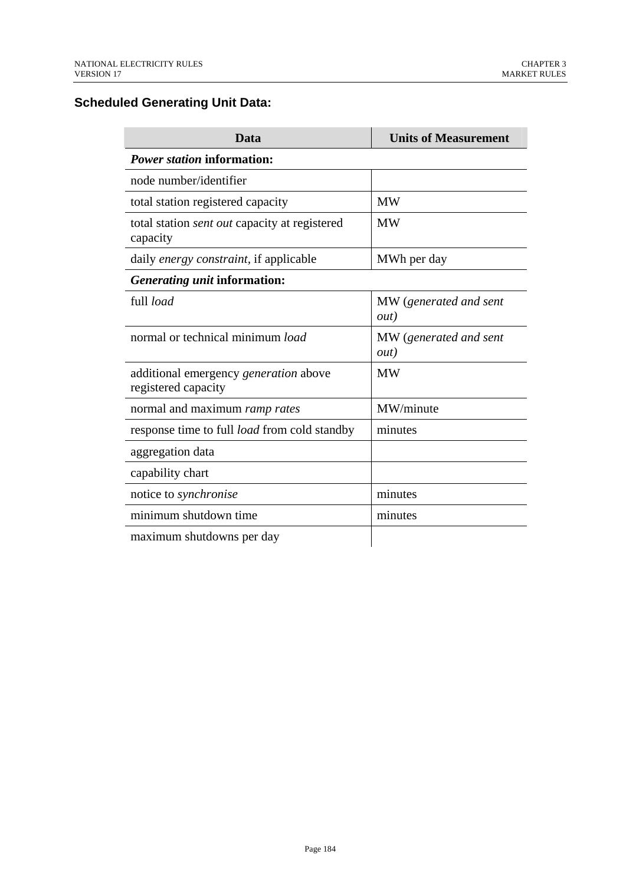# **Scheduled Generating Unit Data:**

| Data                                                             | <b>Units of Measurement</b>            |
|------------------------------------------------------------------|----------------------------------------|
| <i>Power station</i> information:                                |                                        |
| node number/identifier                                           |                                        |
| total station registered capacity                                | <b>MW</b>                              |
| total station <i>sent out</i> capacity at registered<br>capacity | <b>MW</b>                              |
| daily energy constraint, if applicable                           | MWh per day                            |
| Generating unit information:                                     |                                        |
| full load                                                        | MW (generated and sent<br><i>out</i> ) |
| normal or technical minimum load                                 | MW (generated and sent<br><i>out</i> ) |
| additional emergency generation above<br>registered capacity     | <b>MW</b>                              |
| normal and maximum ramp rates                                    | MW/minute                              |
| response time to full <i>load</i> from cold standby              | minutes                                |
| aggregation data                                                 |                                        |
| capability chart                                                 |                                        |
| notice to synchronise                                            | minutes                                |
| minimum shutdown time                                            | minutes                                |
| maximum shutdowns per day                                        |                                        |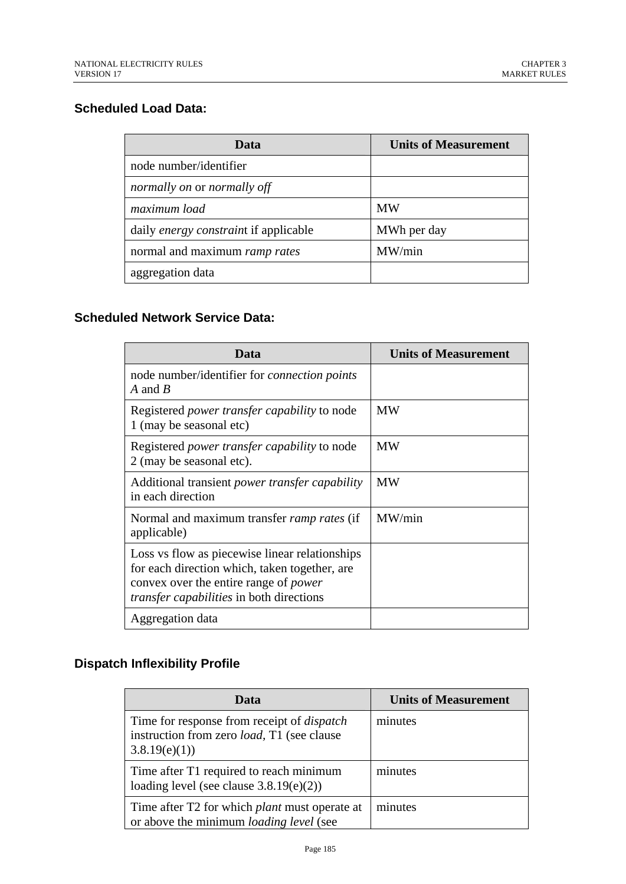### **Scheduled Load Data:**

| Data                                         | <b>Units of Measurement</b> |
|----------------------------------------------|-----------------------------|
| node number/identifier                       |                             |
| normally on or normally off                  |                             |
| maximum load                                 | <b>MW</b>                   |
| daily <i>energy constraint</i> if applicable | MWh per day                 |
| normal and maximum ramp rates                | MW/min                      |
| aggregation data                             |                             |

# **Scheduled Network Service Data:**

| Data                                                                                                                                                                                               | <b>Units of Measurement</b> |
|----------------------------------------------------------------------------------------------------------------------------------------------------------------------------------------------------|-----------------------------|
| node number/identifier for <i>connection points</i><br>A and B                                                                                                                                     |                             |
| Registered <i>power transfer capability</i> to node<br>1 (may be seasonal etc)                                                                                                                     | <b>MW</b>                   |
| Registered <i>power transfer capability</i> to node<br>2 (may be seasonal etc).                                                                                                                    | <b>MW</b>                   |
| Additional transient <i>power transfer capability</i><br>in each direction                                                                                                                         | <b>MW</b>                   |
| Normal and maximum transfer <i>ramp rates</i> (if<br>applicable)                                                                                                                                   | MW/min                      |
| Loss vs flow as piecewise linear relationships<br>for each direction which, taken together, are<br>convex over the entire range of <i>power</i><br><i>transfer capabilities</i> in both directions |                             |
| Aggregation data                                                                                                                                                                                   |                             |

# **Dispatch Inflexibility Profile**

| Data                                                                                                                    | <b>Units of Measurement</b> |
|-------------------------------------------------------------------------------------------------------------------------|-----------------------------|
| Time for response from receipt of <i>dispatch</i><br>instruction from zero <i>load</i> , T1 (see clause<br>3.8.19(e)(1) | minutes                     |
| Time after T1 required to reach minimum<br>loading level (see clause $3.8.19(e)(2)$ )                                   | minutes                     |
| Time after T2 for which <i>plant</i> must operate at<br>or above the minimum <i>loading level</i> (see                  | minutes                     |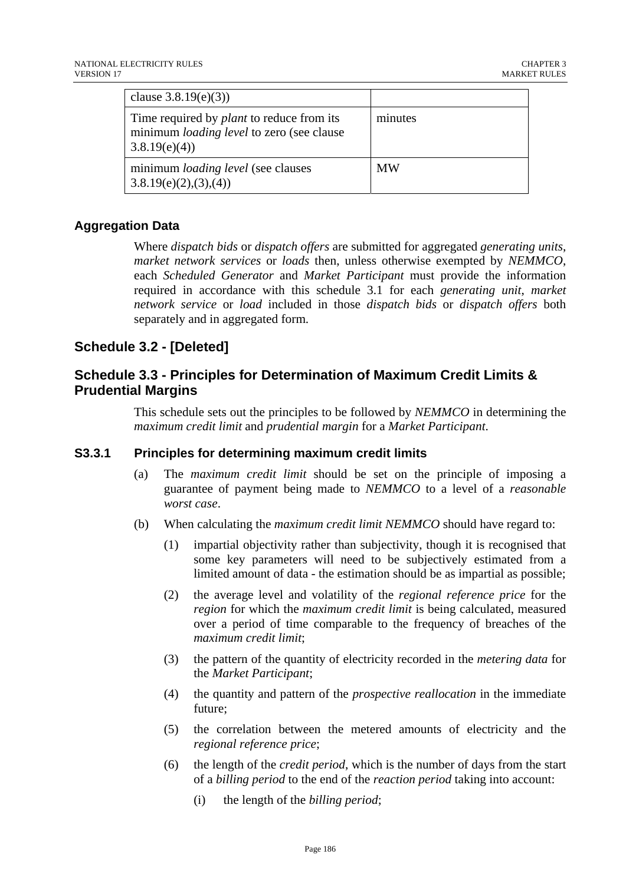| clause $3.8.19(e)(3)$                                                                                                 |           |
|-----------------------------------------------------------------------------------------------------------------------|-----------|
| Time required by <i>plant</i> to reduce from its<br>minimum <i>loading level</i> to zero (see clause)<br>3.8.19(e)(4) | minutes   |
| minimum <i>loading level</i> (see clauses<br>3.8.19(e)(2),(3),(4)                                                     | <b>MW</b> |

## **Aggregation Data**

Where *dispatch bids* or *dispatch offers* are submitted for aggregated *generating units*, *market network services* or *loads* then, unless otherwise exempted by *NEMMCO*, each *Scheduled Generator* and *Market Participant* must provide the information required in accordance with this schedule 3.1 for each *generating unit*, *market network service* or *load* included in those *dispatch bids* or *dispatch offers* both separately and in aggregated form.

# **Schedule 3.2 - [Deleted]**

# **Schedule 3.3 - Principles for Determination of Maximum Credit Limits & Prudential Margins**

This schedule sets out the principles to be followed by *NEMMCO* in determining the *maximum credit limit* and *prudential margin* for a *Market Participant*.

#### **S3.3.1 Principles for determining maximum credit limits**

- (a) The *maximum credit limit* should be set on the principle of imposing a guarantee of payment being made to *NEMMCO* to a level of a *reasonable worst case*.
- (b) When calculating the *maximum credit limit NEMMCO* should have regard to:
	- (1) impartial objectivity rather than subjectivity, though it is recognised that some key parameters will need to be subjectively estimated from a limited amount of data - the estimation should be as impartial as possible;
	- (2) the average level and volatility of the *regional reference price* for the *region* for which the *maximum credit limit* is being calculated, measured over a period of time comparable to the frequency of breaches of the *maximum credit limit*;
	- (3) the pattern of the quantity of electricity recorded in the *metering data* for the *Market Participant*;
	- (4) the quantity and pattern of the *prospective reallocation* in the immediate future;
	- (5) the correlation between the metered amounts of electricity and the *regional reference price*;
	- (6) the length of the *credit period*, which is the number of days from the start of a *billing period* to the end of the *reaction period* taking into account:
		- (i) the length of the *billing period*;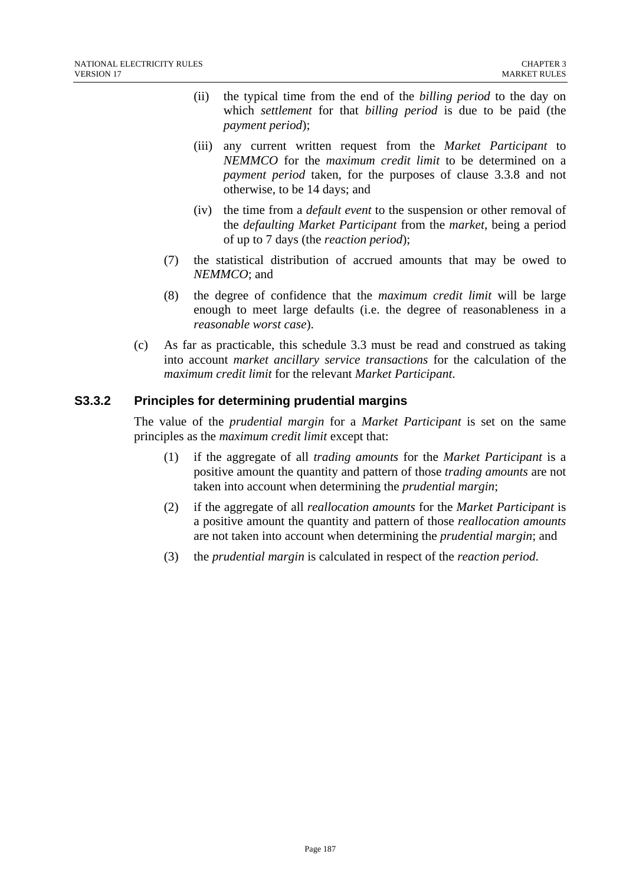- (ii) the typical time from the end of the *billing period* to the day on which *settlement* for that *billing period* is due to be paid (the *payment period*);
- (iii) any current written request from the *Market Participant* to *NEMMCO* for the *maximum credit limit* to be determined on a *payment period* taken, for the purposes of clause 3.3.8 and not otherwise, to be 14 days; and
- (iv) the time from a *default event* to the suspension or other removal of the *defaulting Market Participant* from the *market*, being a period of up to 7 days (the *reaction period*);
- (7) the statistical distribution of accrued amounts that may be owed to *NEMMCO*; and
- (8) the degree of confidence that the *maximum credit limit* will be large enough to meet large defaults (i.e. the degree of reasonableness in a *reasonable worst case*).
- (c) As far as practicable, this schedule 3.3 must be read and construed as taking into account *market ancillary service transactions* for the calculation of the *maximum credit limit* for the relevant *Market Participant*.

#### **S3.3.2 Principles for determining prudential margins**

The value of the *prudential margin* for a *Market Participant* is set on the same principles as the *maximum credit limit* except that:

- (1) if the aggregate of all *trading amounts* for the *Market Participant* is a positive amount the quantity and pattern of those *trading amounts* are not taken into account when determining the *prudential margin*;
- (2) if the aggregate of all *reallocation amounts* for the *Market Participant* is a positive amount the quantity and pattern of those *reallocation amounts* are not taken into account when determining the *prudential margin*; and
- (3) the *prudential margin* is calculated in respect of the *reaction period*.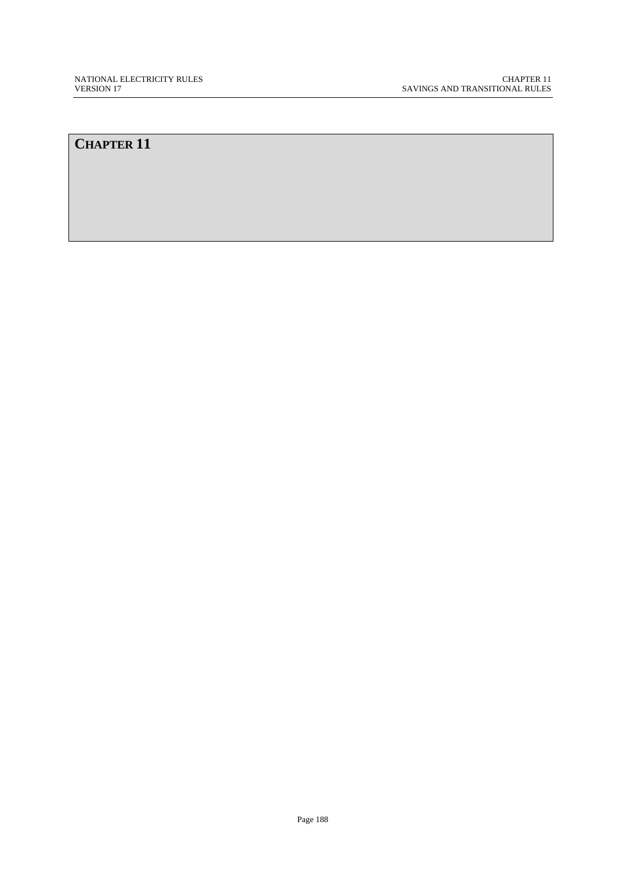# **CHAPTER 11**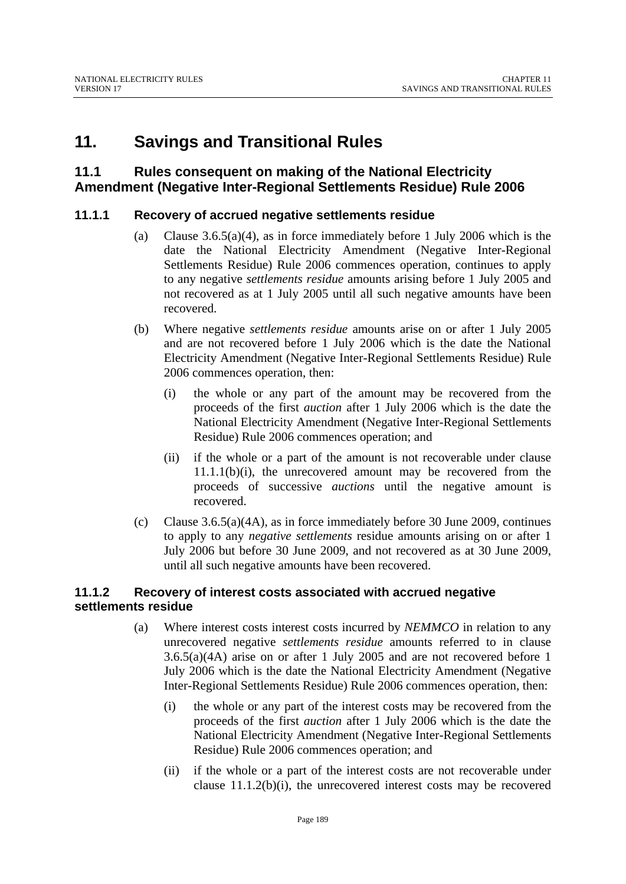# **11. Savings and Transitional Rules**

### **11.1 Rules consequent on making of the National Electricity Amendment (Negative Inter-Regional Settlements Residue) Rule 2006**

### **11.1.1 Recovery of accrued negative settlements residue**

- (a) Clause 3.6.5(a)(4), as in force immediately before 1 July 2006 which is the date the National Electricity Amendment (Negative Inter-Regional Settlements Residue) Rule 2006 commences operation, continues to apply to any negative *settlements residue* amounts arising before 1 July 2005 and not recovered as at 1 July 2005 until all such negative amounts have been recovered.
- (b) Where negative *settlements residue* amounts arise on or after 1 July 2005 and are not recovered before 1 July 2006 which is the date the National Electricity Amendment (Negative Inter-Regional Settlements Residue) Rule 2006 commences operation, then:
	- (i) the whole or any part of the amount may be recovered from the proceeds of the first *auction* after 1 July 2006 which is the date the National Electricity Amendment (Negative Inter-Regional Settlements Residue) Rule 2006 commences operation; and
	- (ii) if the whole or a part of the amount is not recoverable under clause 11.1.1(b)(i), the unrecovered amount may be recovered from the proceeds of successive *auctions* until the negative amount is recovered.
- (c) Clause 3.6.5(a)(4A), as in force immediately before 30 June 2009, continues to apply to any *negative settlements* residue amounts arising on or after 1 July 2006 but before 30 June 2009, and not recovered as at 30 June 2009, until all such negative amounts have been recovered.

#### **11.1.2 Recovery of interest costs associated with accrued negative settlements residue**

- (a) Where interest costs interest costs incurred by *NEMMCO* in relation to any unrecovered negative *settlements residue* amounts referred to in clause 3.6.5(a)(4A) arise on or after 1 July 2005 and are not recovered before 1 July 2006 which is the date the National Electricity Amendment (Negative Inter-Regional Settlements Residue) Rule 2006 commences operation, then:
	- (i) the whole or any part of the interest costs may be recovered from the proceeds of the first *auction* after 1 July 2006 which is the date the National Electricity Amendment (Negative Inter-Regional Settlements Residue) Rule 2006 commences operation; and
	- (ii) if the whole or a part of the interest costs are not recoverable under clause 11.1.2(b)(i), the unrecovered interest costs may be recovered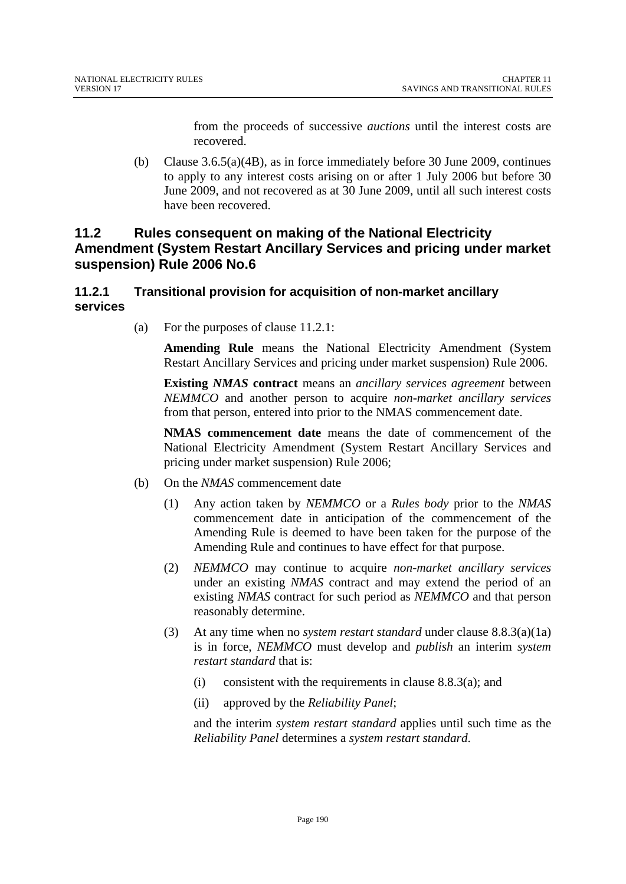from the proceeds of successive *auctions* until the interest costs are recovered.

(b) Clause 3.6.5(a)(4B), as in force immediately before 30 June 2009, continues to apply to any interest costs arising on or after 1 July 2006 but before 30 June 2009, and not recovered as at 30 June 2009, until all such interest costs have been recovered.

# **11.2 Rules consequent on making of the National Electricity Amendment (System Restart Ancillary Services and pricing under market suspension) Rule 2006 No.6**

### **11.2.1 Transitional provision for acquisition of non-market ancillary services**

(a) For the purposes of clause 11.2.1:

**Amending Rule** means the National Electricity Amendment (System Restart Ancillary Services and pricing under market suspension) Rule 2006.

**Existing** *NMAS* **contract** means an *ancillary services agreement* between *NEMMCO* and another person to acquire *non-market ancillary services* from that person, entered into prior to the NMAS commencement date.

**NMAS commencement date** means the date of commencement of the National Electricity Amendment (System Restart Ancillary Services and pricing under market suspension) Rule 2006;

- (b) On the *NMAS* commencement date
	- (1) Any action taken by *NEMMCO* or a *Rules body* prior to the *NMAS* commencement date in anticipation of the commencement of the Amending Rule is deemed to have been taken for the purpose of the Amending Rule and continues to have effect for that purpose.
	- (2) *NEMMCO* may continue to acquire *non-market ancillary services* under an existing *NMAS* contract and may extend the period of an existing *NMAS* contract for such period as *NEMMCO* and that person reasonably determine.
	- (3) At any time when no *system restart standard* under clause 8.8.3(a)(1a) is in force, *NEMMCO* must develop and *publish* an interim *system restart standard* that is:
		- (i) consistent with the requirements in clause  $8.8.3(a)$ ; and
		- (ii) approved by the *Reliability Panel*;

and the interim *system restart standard* applies until such time as the *Reliability Panel* determines a *system restart standard*.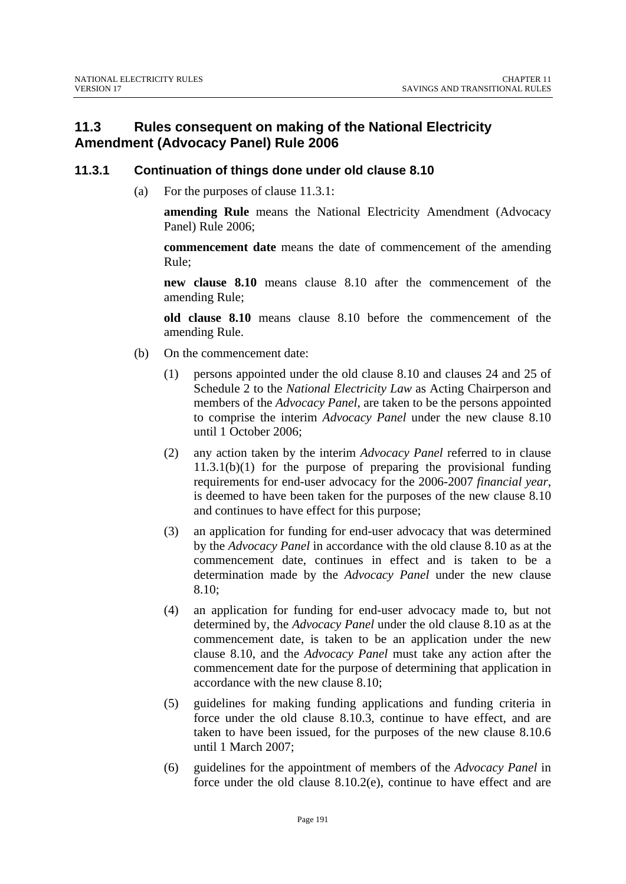# **11.3 Rules consequent on making of the National Electricity Amendment (Advocacy Panel) Rule 2006**

### **11.3.1 Continuation of things done under old clause 8.10**

(a) For the purposes of clause 11.3.1:

**amending Rule** means the National Electricity Amendment (Advocacy Panel) Rule 2006;

**commencement date** means the date of commencement of the amending Rule;

**new clause 8.10** means clause 8.10 after the commencement of the amending Rule;

**old clause 8.10** means clause 8.10 before the commencement of the amending Rule.

- (b) On the commencement date:
	- (1) persons appointed under the old clause 8.10 and clauses 24 and 25 of Schedule 2 to the *National Electricity Law* as Acting Chairperson and members of the *Advocacy Panel*, are taken to be the persons appointed to comprise the interim *Advocacy Panel* under the new clause 8.10 until 1 October 2006;
	- (2) any action taken by the interim *Advocacy Panel* referred to in clause 11.3.1(b)(1) for the purpose of preparing the provisional funding requirements for end-user advocacy for the 2006-2007 *financial year*, is deemed to have been taken for the purposes of the new clause 8.10 and continues to have effect for this purpose;
	- (3) an application for funding for end-user advocacy that was determined by the *Advocacy Panel* in accordance with the old clause 8.10 as at the commencement date, continues in effect and is taken to be a determination made by the *Advocacy Panel* under the new clause 8.10;
	- (4) an application for funding for end-user advocacy made to, but not determined by, the *Advocacy Panel* under the old clause 8.10 as at the commencement date, is taken to be an application under the new clause 8.10, and the *Advocacy Panel* must take any action after the commencement date for the purpose of determining that application in accordance with the new clause 8.10;
	- (5) guidelines for making funding applications and funding criteria in force under the old clause 8.10.3, continue to have effect, and are taken to have been issued, for the purposes of the new clause 8.10.6 until 1 March 2007;
	- (6) guidelines for the appointment of members of the *Advocacy Panel* in force under the old clause 8.10.2(e), continue to have effect and are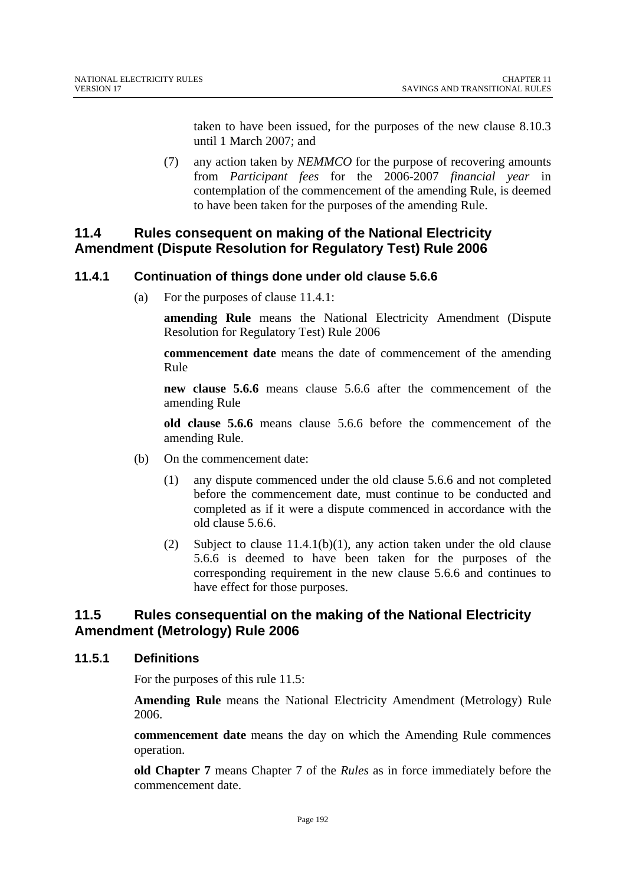taken to have been issued, for the purposes of the new clause 8.10.3 until 1 March 2007; and

(7) any action taken by *NEMMCO* for the purpose of recovering amounts from *Participant fees* for the 2006-2007 *financial year* in contemplation of the commencement of the amending Rule, is deemed to have been taken for the purposes of the amending Rule.

# **11.4 Rules consequent on making of the National Electricity Amendment (Dispute Resolution for Regulatory Test) Rule 2006**

### **11.4.1 Continuation of things done under old clause 5.6.6**

(a) For the purposes of clause 11.4.1:

**amending Rule** means the National Electricity Amendment (Dispute Resolution for Regulatory Test) Rule 2006

**commencement date** means the date of commencement of the amending Rule

**new clause 5.6.6** means clause 5.6.6 after the commencement of the amending Rule

**old clause 5.6.6** means clause 5.6.6 before the commencement of the amending Rule.

- (b) On the commencement date:
	- (1) any dispute commenced under the old clause 5.6.6 and not completed before the commencement date, must continue to be conducted and completed as if it were a dispute commenced in accordance with the old clause 5.6.6.
	- (2) Subject to clause  $11.4.1(b)(1)$ , any action taken under the old clause 5.6.6 is deemed to have been taken for the purposes of the corresponding requirement in the new clause 5.6.6 and continues to have effect for those purposes.

### **11.5 Rules consequential on the making of the National Electricity Amendment (Metrology) Rule 2006**

#### **11.5.1 Definitions**

For the purposes of this rule 11.5:

**Amending Rule** means the National Electricity Amendment (Metrology) Rule 2006.

**commencement date** means the day on which the Amending Rule commences operation.

**old Chapter 7** means Chapter 7 of the *Rules* as in force immediately before the commencement date.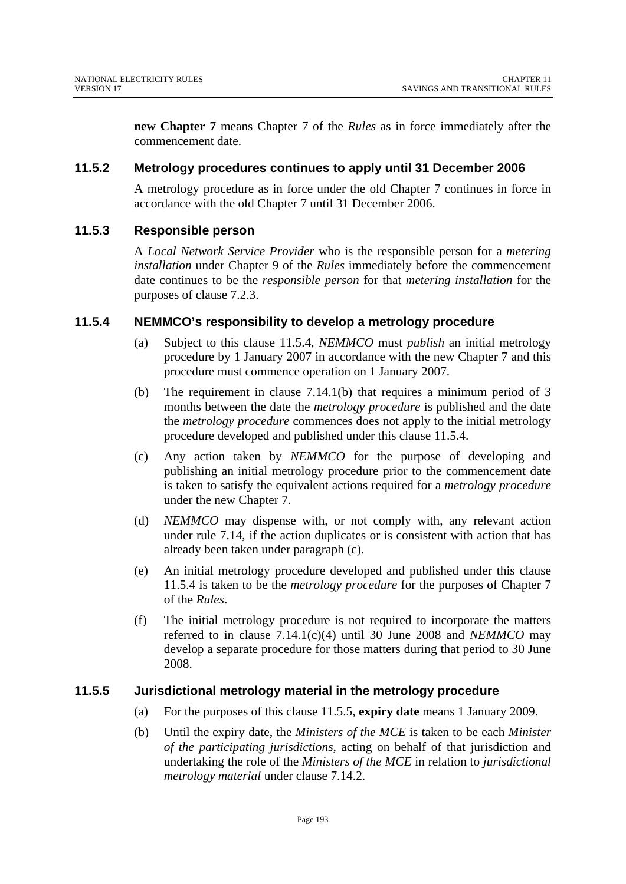**new Chapter 7** means Chapter 7 of the *Rules* as in force immediately after the commencement date.

### **11.5.2 Metrology procedures continues to apply until 31 December 2006**

A metrology procedure as in force under the old Chapter 7 continues in force in accordance with the old Chapter 7 until 31 December 2006.

### **11.5.3 Responsible person**

A *Local Network Service Provider* who is the responsible person for a *metering installation* under Chapter 9 of the *Rules* immediately before the commencement date continues to be the *responsible person* for that *metering installation* for the purposes of clause 7.2.3.

#### **11.5.4 NEMMCO's responsibility to develop a metrology procedure**

- (a) Subject to this clause 11.5.4, *NEMMCO* must *publish* an initial metrology procedure by 1 January 2007 in accordance with the new Chapter 7 and this procedure must commence operation on 1 January 2007.
- (b) The requirement in clause 7.14.1(b) that requires a minimum period of 3 months between the date the *metrology procedure* is published and the date the *metrology procedure* commences does not apply to the initial metrology procedure developed and published under this clause 11.5.4.
- (c) Any action taken by *NEMMCO* for the purpose of developing and publishing an initial metrology procedure prior to the commencement date is taken to satisfy the equivalent actions required for a *metrology procedure* under the new Chapter 7.
- (d) *NEMMCO* may dispense with, or not comply with, any relevant action under rule 7.14, if the action duplicates or is consistent with action that has already been taken under paragraph (c).
- (e) An initial metrology procedure developed and published under this clause 11.5.4 is taken to be the *metrology procedure* for the purposes of Chapter 7 of the *Rules*.
- (f) The initial metrology procedure is not required to incorporate the matters referred to in clause 7.14.1(c)(4) until 30 June 2008 and *NEMMCO* may develop a separate procedure for those matters during that period to 30 June 2008.

#### **11.5.5 Jurisdictional metrology material in the metrology procedure**

- (a) For the purposes of this clause 11.5.5, **expiry date** means 1 January 2009.
- (b) Until the expiry date, the *Ministers of the MCE* is taken to be each *Minister of the participating jurisdictions*, acting on behalf of that jurisdiction and undertaking the role of the *Ministers of the MCE* in relation to *jurisdictional metrology material* under clause 7.14.2.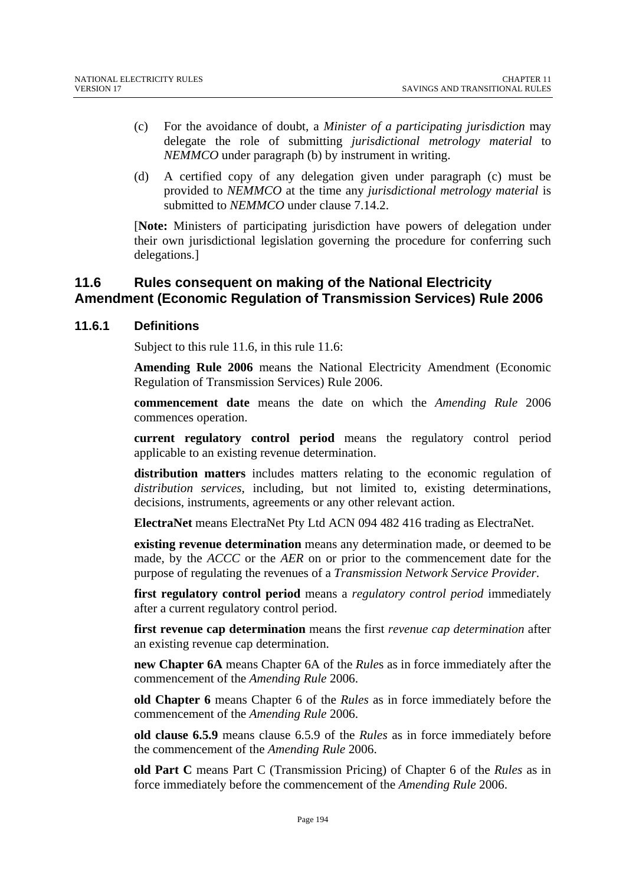- (c) For the avoidance of doubt, a *Minister of a participating jurisdiction* may delegate the role of submitting *jurisdictional metrology material* to *NEMMCO* under paragraph (b) by instrument in writing.
- (d) A certified copy of any delegation given under paragraph (c) must be provided to *NEMMCO* at the time any *jurisdictional metrology material* is submitted to *NEMMCO* under clause 7.14.2.

[**Note:** Ministers of participating jurisdiction have powers of delegation under their own jurisdictional legislation governing the procedure for conferring such delegations.]

# **11.6 Rules consequent on making of the National Electricity Amendment (Economic Regulation of Transmission Services) Rule 2006**

### **11.6.1 Definitions**

Subject to this rule 11.6, in this rule 11.6:

**Amending Rule 2006** means the National Electricity Amendment (Economic Regulation of Transmission Services) Rule 2006.

**commencement date** means the date on which the *Amending Rule* 2006 commences operation.

**current regulatory control period** means the regulatory control period applicable to an existing revenue determination.

**distribution matters** includes matters relating to the economic regulation of *distribution services*, including, but not limited to, existing determinations, decisions, instruments, agreements or any other relevant action.

**ElectraNet** means ElectraNet Pty Ltd ACN 094 482 416 trading as ElectraNet.

**existing revenue determination** means any determination made, or deemed to be made, by the *ACCC* or the *AER* on or prior to the commencement date for the purpose of regulating the revenues of a *Transmission Network Service Provider*.

**first regulatory control period** means a *regulatory control period* immediately after a current regulatory control period.

**first revenue cap determination** means the first *revenue cap determination* after an existing revenue cap determination.

**new Chapter 6A** means Chapter 6A of the *Rule*s as in force immediately after the commencement of the *Amending Rule* 2006.

**old Chapter 6** means Chapter 6 of the *Rules* as in force immediately before the commencement of the *Amending Rule* 2006.

**old clause 6.5.9** means clause 6.5.9 of the *Rules* as in force immediately before the commencement of the *Amending Rule* 2006.

**old Part C** means Part C (Transmission Pricing) of Chapter 6 of the *Rules* as in force immediately before the commencement of the *Amending Rule* 2006.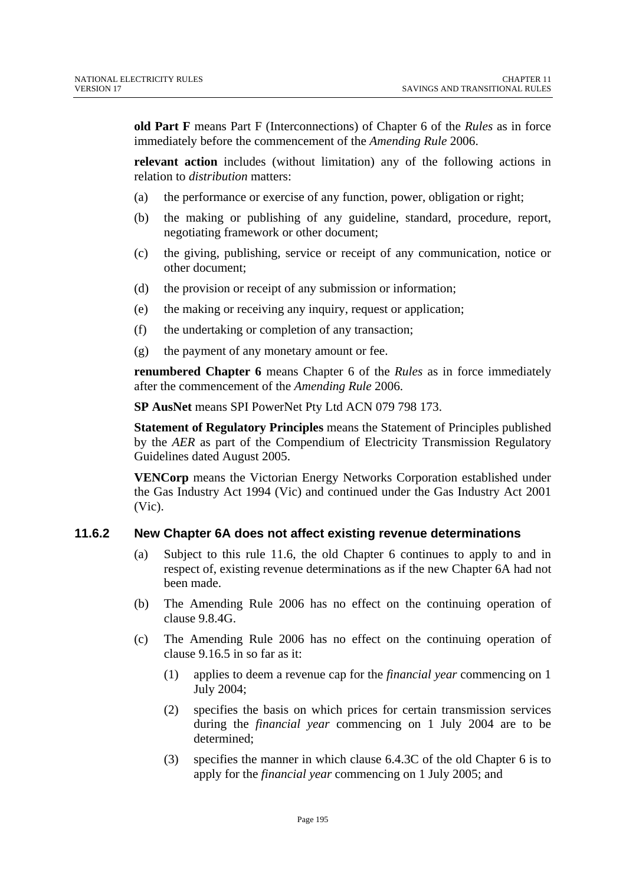**old Part F** means Part F (Interconnections) of Chapter 6 of the *Rules* as in force immediately before the commencement of the *Amending Rule* 2006.

**relevant action** includes (without limitation) any of the following actions in relation to *distribution* matters:

- (a) the performance or exercise of any function, power, obligation or right;
- (b) the making or publishing of any guideline, standard, procedure, report, negotiating framework or other document;
- (c) the giving, publishing, service or receipt of any communication, notice or other document;
- (d) the provision or receipt of any submission or information;
- (e) the making or receiving any inquiry, request or application;
- (f) the undertaking or completion of any transaction;
- (g) the payment of any monetary amount or fee.

**renumbered Chapter 6** means Chapter 6 of the *Rules* as in force immediately after the commencement of the *Amending Rule* 2006.

**SP AusNet** means SPI PowerNet Pty Ltd ACN 079 798 173.

**Statement of Regulatory Principles** means the Statement of Principles published by the *AER* as part of the Compendium of Electricity Transmission Regulatory Guidelines dated August 2005.

**VENCorp** means the Victorian Energy Networks Corporation established under the Gas Industry Act 1994 (Vic) and continued under the Gas Industry Act 2001 (Vic).

#### **11.6.2 New Chapter 6A does not affect existing revenue determinations**

- (a) Subject to this rule 11.6, the old Chapter 6 continues to apply to and in respect of, existing revenue determinations as if the new Chapter 6A had not been made.
- (b) The Amending Rule 2006 has no effect on the continuing operation of clause 9.8.4G.
- (c) The Amending Rule 2006 has no effect on the continuing operation of clause 9.16.5 in so far as it:
	- (1) applies to deem a revenue cap for the *financial year* commencing on 1 July 2004;
	- (2) specifies the basis on which prices for certain transmission services during the *financial year* commencing on 1 July 2004 are to be determined;
	- (3) specifies the manner in which clause 6.4.3C of the old Chapter 6 is to apply for the *financial year* commencing on 1 July 2005; and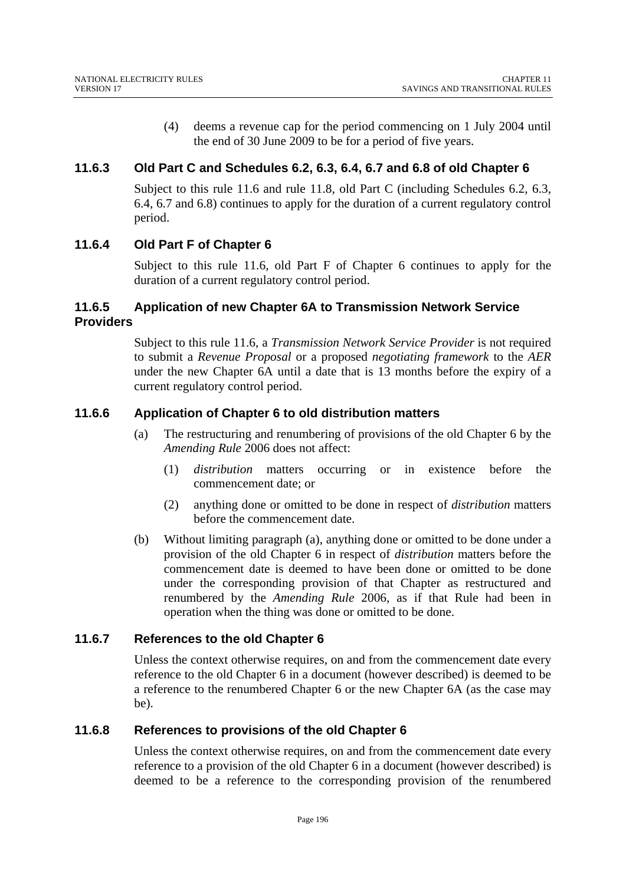(4) deems a revenue cap for the period commencing on 1 July 2004 until the end of 30 June 2009 to be for a period of five years.

### **11.6.3 Old Part C and Schedules 6.2, 6.3, 6.4, 6.7 and 6.8 of old Chapter 6**

Subject to this rule 11.6 and rule 11.8, old Part C (including Schedules 6.2, 6.3, 6.4, 6.7 and 6.8) continues to apply for the duration of a current regulatory control period.

### **11.6.4 Old Part F of Chapter 6**

Subject to this rule 11.6, old Part F of Chapter 6 continues to apply for the duration of a current regulatory control period.

### **11.6.5 Application of new Chapter 6A to Transmission Network Service Providers**

Subject to this rule 11.6, a *Transmission Network Service Provider* is not required to submit a *Revenue Proposal* or a proposed *negotiating framework* to the *AER* under the new Chapter 6A until a date that is 13 months before the expiry of a current regulatory control period.

### **11.6.6 Application of Chapter 6 to old distribution matters**

- (a) The restructuring and renumbering of provisions of the old Chapter 6 by the *Amending Rule* 2006 does not affect:
	- (1) *distribution* matters occurring or in existence before the commencement date; or
	- (2) anything done or omitted to be done in respect of *distribution* matters before the commencement date.
- (b) Without limiting paragraph (a), anything done or omitted to be done under a provision of the old Chapter 6 in respect of *distribution* matters before the commencement date is deemed to have been done or omitted to be done under the corresponding provision of that Chapter as restructured and renumbered by the *Amending Rule* 2006, as if that Rule had been in operation when the thing was done or omitted to be done.

### **11.6.7 References to the old Chapter 6**

Unless the context otherwise requires, on and from the commencement date every reference to the old Chapter 6 in a document (however described) is deemed to be a reference to the renumbered Chapter 6 or the new Chapter 6A (as the case may be).

### **11.6.8 References to provisions of the old Chapter 6**

Unless the context otherwise requires, on and from the commencement date every reference to a provision of the old Chapter 6 in a document (however described) is deemed to be a reference to the corresponding provision of the renumbered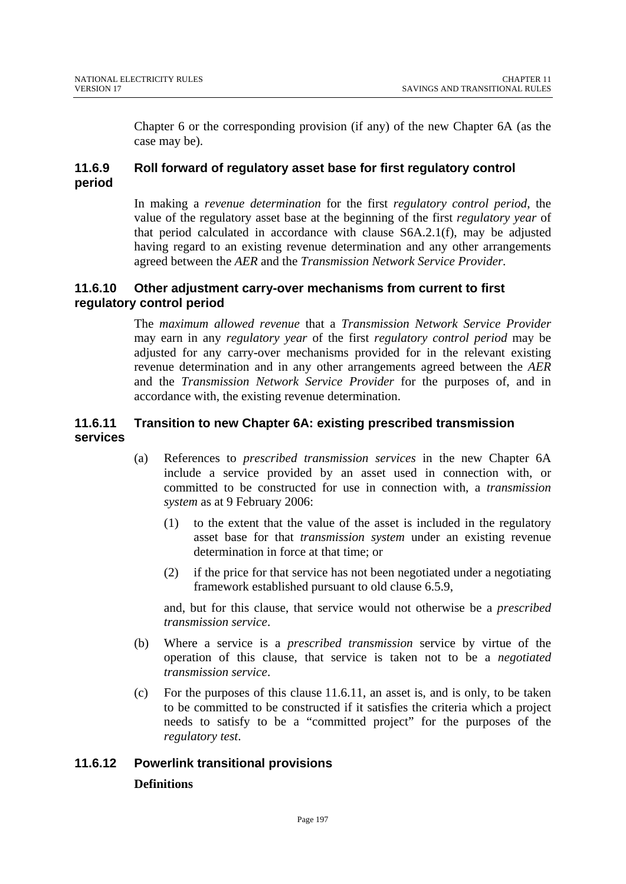Chapter 6 or the corresponding provision (if any) of the new Chapter 6A (as the case may be).

### **11.6.9 Roll forward of regulatory asset base for first regulatory control period**

In making a *revenue determination* for the first *regulatory control period*, the value of the regulatory asset base at the beginning of the first *regulatory year* of that period calculated in accordance with clause S6A.2.1(f), may be adjusted having regard to an existing revenue determination and any other arrangements agreed between the *AER* and the *Transmission Network Service Provider.*

### **11.6.10 Other adjustment carry-over mechanisms from current to first regulatory control period**

The *maximum allowed revenue* that a *Transmission Network Service Provider*  may earn in any *regulatory year* of the first *regulatory control period* may be adjusted for any carry-over mechanisms provided for in the relevant existing revenue determination and in any other arrangements agreed between the *AER* and the *Transmission Network Service Provider* for the purposes of, and in accordance with, the existing revenue determination.

### **11.6.11 Transition to new Chapter 6A: existing prescribed transmission services**

- (a) References to *prescribed transmission services* in the new Chapter 6A include a service provided by an asset used in connection with, or committed to be constructed for use in connection with, a *transmission system* as at 9 February 2006:
	- (1) to the extent that the value of the asset is included in the regulatory asset base for that *transmission system* under an existing revenue determination in force at that time; or
	- (2) if the price for that service has not been negotiated under a negotiating framework established pursuant to old clause 6.5.9,

and, but for this clause, that service would not otherwise be a *prescribed transmission service*.

- (b) Where a service is a *prescribed transmission* service by virtue of the operation of this clause, that service is taken not to be a *negotiated transmission service*.
- (c) For the purposes of this clause 11.6.11, an asset is, and is only, to be taken to be committed to be constructed if it satisfies the criteria which a project needs to satisfy to be a "committed project" for the purposes of the *regulatory test*.

# **11.6.12 Powerlink transitional provisions Definitions**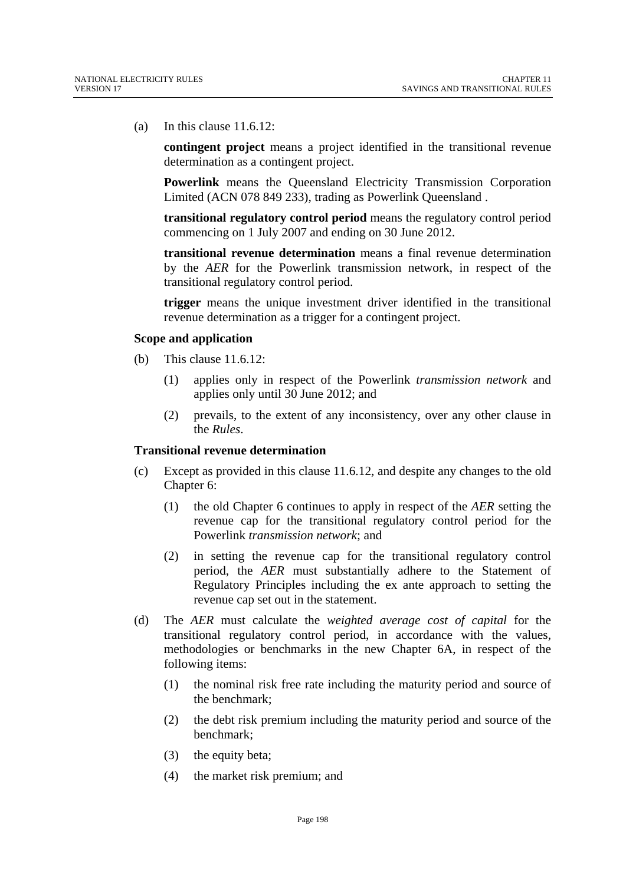(a) In this clause 11.6.12:

**contingent project** means a project identified in the transitional revenue determination as a contingent project.

**Powerlink** means the Queensland Electricity Transmission Corporation Limited (ACN 078 849 233), trading as Powerlink Queensland .

**transitional regulatory control period** means the regulatory control period commencing on 1 July 2007 and ending on 30 June 2012.

**transitional revenue determination** means a final revenue determination by the *AER* for the Powerlink transmission network, in respect of the transitional regulatory control period.

**trigger** means the unique investment driver identified in the transitional revenue determination as a trigger for a contingent project.

#### **Scope and application**

- (b) This clause 11.6.12:
	- (1) applies only in respect of the Powerlink *transmission network* and applies only until 30 June 2012; and
	- (2) prevails, to the extent of any inconsistency, over any other clause in the *Rules*.

#### **Transitional revenue determination**

- (c) Except as provided in this clause 11.6.12, and despite any changes to the old Chapter 6:
	- (1) the old Chapter 6 continues to apply in respect of the *AER* setting the revenue cap for the transitional regulatory control period for the Powerlink *transmission network*; and
	- (2) in setting the revenue cap for the transitional regulatory control period, the *AER* must substantially adhere to the Statement of Regulatory Principles including the ex ante approach to setting the revenue cap set out in the statement.
- (d) The *AER* must calculate the *weighted average cost of capital* for the transitional regulatory control period, in accordance with the values, methodologies or benchmarks in the new Chapter 6A, in respect of the following items:
	- (1) the nominal risk free rate including the maturity period and source of the benchmark;
	- (2) the debt risk premium including the maturity period and source of the benchmark;
	- (3) the equity beta;
	- (4) the market risk premium; and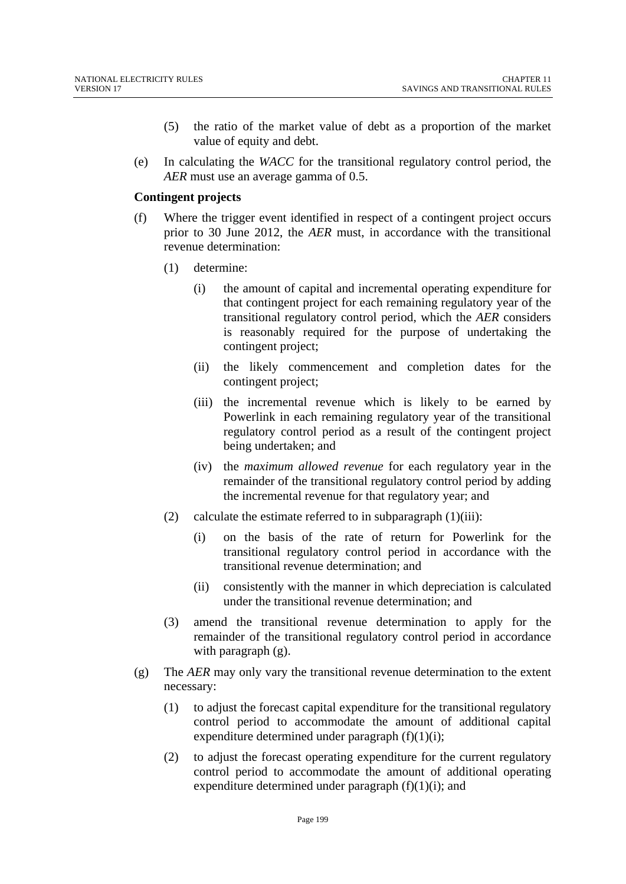- (5) the ratio of the market value of debt as a proportion of the market value of equity and debt.
- (e) In calculating the *WACC* for the transitional regulatory control period, the *AER* must use an average gamma of 0.5.

#### **Contingent projects**

- (f) Where the trigger event identified in respect of a contingent project occurs prior to 30 June 2012, the *AER* must, in accordance with the transitional revenue determination:
	- (1) determine:
		- (i) the amount of capital and incremental operating expenditure for that contingent project for each remaining regulatory year of the transitional regulatory control period, which the *AER* considers is reasonably required for the purpose of undertaking the contingent project;
		- (ii) the likely commencement and completion dates for the contingent project;
		- (iii) the incremental revenue which is likely to be earned by Powerlink in each remaining regulatory year of the transitional regulatory control period as a result of the contingent project being undertaken; and
		- (iv) the *maximum allowed revenue* for each regulatory year in the remainder of the transitional regulatory control period by adding the incremental revenue for that regulatory year; and
	- (2) calculate the estimate referred to in subparagraph  $(1)(iii)$ :
		- (i) on the basis of the rate of return for Powerlink for the transitional regulatory control period in accordance with the transitional revenue determination; and
		- (ii) consistently with the manner in which depreciation is calculated under the transitional revenue determination; and
	- (3) amend the transitional revenue determination to apply for the remainder of the transitional regulatory control period in accordance with paragraph  $(g)$ .
- (g) The *AER* may only vary the transitional revenue determination to the extent necessary:
	- (1) to adjust the forecast capital expenditure for the transitional regulatory control period to accommodate the amount of additional capital expenditure determined under paragraph  $(f)(1)(i)$ ;
	- (2) to adjust the forecast operating expenditure for the current regulatory control period to accommodate the amount of additional operating expenditure determined under paragraph  $(f)(1)(i)$ ; and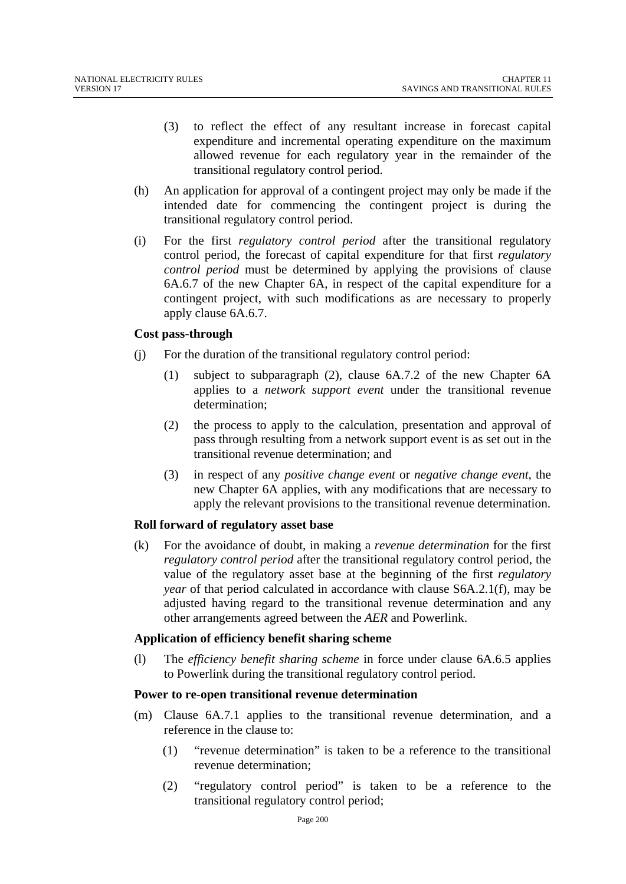- (3) to reflect the effect of any resultant increase in forecast capital expenditure and incremental operating expenditure on the maximum allowed revenue for each regulatory year in the remainder of the transitional regulatory control period.
- (h) An application for approval of a contingent project may only be made if the intended date for commencing the contingent project is during the transitional regulatory control period.
- (i) For the first *regulatory control period* after the transitional regulatory control period, the forecast of capital expenditure for that first *regulatory control period* must be determined by applying the provisions of clause 6A.6.7 of the new Chapter 6A, in respect of the capital expenditure for a contingent project, with such modifications as are necessary to properly apply clause 6A.6.7.

#### **Cost pass**-**through**

- (j) For the duration of the transitional regulatory control period:
	- (1) subject to subparagraph (2), clause 6A.7.2 of the new Chapter 6A applies to a *network support event* under the transitional revenue determination;
	- (2) the process to apply to the calculation, presentation and approval of pass through resulting from a network support event is as set out in the transitional revenue determination; and
	- (3) in respect of any *positive change event* or *negative change event*, the new Chapter 6A applies, with any modifications that are necessary to apply the relevant provisions to the transitional revenue determination.

#### **Roll forward of regulatory asset base**

(k) For the avoidance of doubt, in making a *revenue determination* for the first *regulatory control period* after the transitional regulatory control period, the value of the regulatory asset base at the beginning of the first *regulatory year* of that period calculated in accordance with clause S6A.2.1(f), may be adjusted having regard to the transitional revenue determination and any other arrangements agreed between the *AER* and Powerlink.

#### **Application of efficiency benefit sharing scheme**

(l) The *efficiency benefit sharing scheme* in force under clause 6A.6.5 applies to Powerlink during the transitional regulatory control period.

#### **Power to re**-**open transitional revenue determination**

- (m) Clause 6A.7.1 applies to the transitional revenue determination, and a reference in the clause to:
	- (1) "revenue determination" is taken to be a reference to the transitional revenue determination;
	- (2) "regulatory control period" is taken to be a reference to the transitional regulatory control period;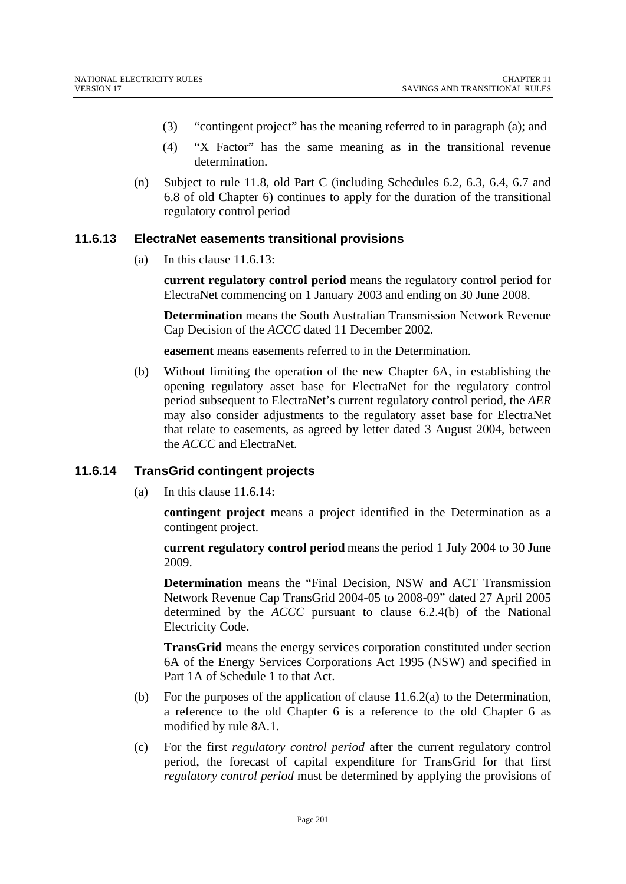- (3) "contingent project" has the meaning referred to in paragraph (a); and
- (4) "X Factor" has the same meaning as in the transitional revenue determination.
- (n) Subject to rule 11.8, old Part C (including Schedules 6.2, 6.3, 6.4, 6.7 and 6.8 of old Chapter 6) continues to apply for the duration of the transitional regulatory control period

#### **11.6.13 ElectraNet easements transitional provisions**

(a) In this clause 11.6.13:

**current regulatory control period** means the regulatory control period for ElectraNet commencing on 1 January 2003 and ending on 30 June 2008.

**Determination** means the South Australian Transmission Network Revenue Cap Decision of the *ACCC* dated 11 December 2002.

**easement** means easements referred to in the Determination.

(b) Without limiting the operation of the new Chapter 6A, in establishing the opening regulatory asset base for ElectraNet for the regulatory control period subsequent to ElectraNet's current regulatory control period, the *AER* may also consider adjustments to the regulatory asset base for ElectraNet that relate to easements, as agreed by letter dated 3 August 2004, between the *ACCC* and ElectraNet.

#### **11.6.14 TransGrid contingent projects**

(a) In this clause 11.6.14:

**contingent project** means a project identified in the Determination as a contingent project.

**current regulatory control period** means the period 1 July 2004 to 30 June 2009.

**Determination** means the "Final Decision, NSW and ACT Transmission Network Revenue Cap TransGrid 2004-05 to 2008-09" dated 27 April 2005 determined by the *ACCC* pursuant to clause 6.2.4(b) of the National Electricity Code.

**TransGrid** means the energy services corporation constituted under section 6A of the Energy Services Corporations Act 1995 (NSW) and specified in Part 1A of Schedule 1 to that Act.

- (b) For the purposes of the application of clause  $11.6.2(a)$  to the Determination, a reference to the old Chapter 6 is a reference to the old Chapter 6 as modified by rule 8A.1.
- (c) For the first *regulatory control period* after the current regulatory control period, the forecast of capital expenditure for TransGrid for that first *regulatory control period* must be determined by applying the provisions of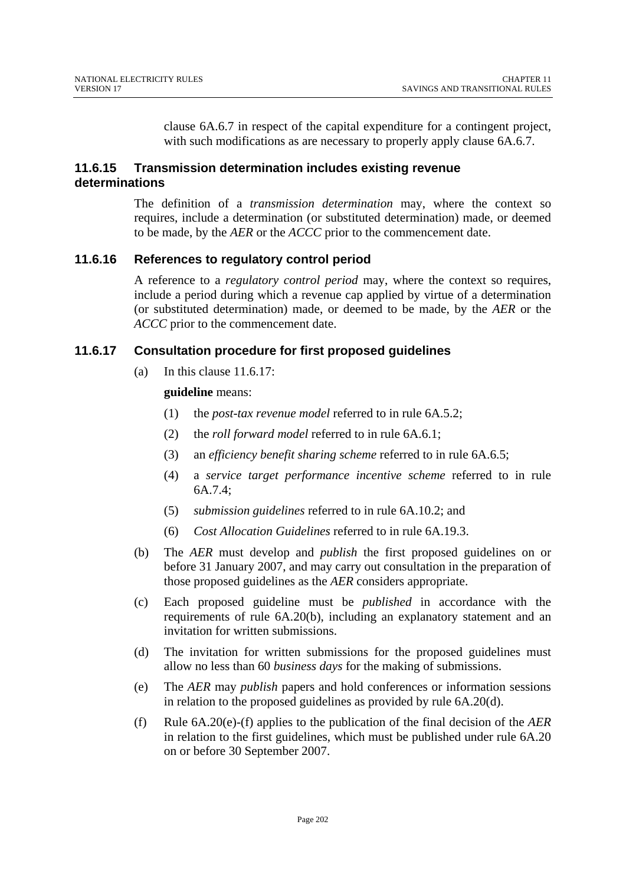clause 6A.6.7 in respect of the capital expenditure for a contingent project, with such modifications as are necessary to properly apply clause  $6A.6.7$ .

#### **11.6.15 Transmission determination includes existing revenue determinations**

The definition of a *transmission determination* may, where the context so requires, include a determination (or substituted determination) made, or deemed to be made, by the *AER* or the *ACCC* prior to the commencement date.

#### **11.6.16 References to regulatory control period**

A reference to a *regulatory control period* may, where the context so requires, include a period during which a revenue cap applied by virtue of a determination (or substituted determination) made, or deemed to be made, by the *AER* or the *ACCC* prior to the commencement date.

### **11.6.17 Consultation procedure for first proposed guidelines**

(a) In this clause 11.6.17:

#### **guideline** means:

- (1) the *post-tax revenue model* referred to in rule 6A.5.2;
- (2) the *roll forward model* referred to in rule 6A.6.1;
- (3) an *efficiency benefit sharing scheme* referred to in rule 6A.6.5;
- (4) a *service target performance incentive scheme* referred to in rule 6A.7.4;
- (5) *submission guidelines* referred to in rule 6A.10.2; and
- (6) *Cost Allocation Guidelines* referred to in rule 6A.19.3.
- (b) The *AER* must develop and *publish* the first proposed guidelines on or before 31 January 2007, and may carry out consultation in the preparation of those proposed guidelines as the *AER* considers appropriate.
- (c) Each proposed guideline must be *published* in accordance with the requirements of rule 6A.20(b), including an explanatory statement and an invitation for written submissions.
- (d) The invitation for written submissions for the proposed guidelines must allow no less than 60 *business days* for the making of submissions.
- (e) The *AER* may *publish* papers and hold conferences or information sessions in relation to the proposed guidelines as provided by rule 6A.20(d).
- (f) Rule 6A.20(e)-(f) applies to the publication of the final decision of the *AER* in relation to the first guidelines, which must be published under rule 6A.20 on or before 30 September 2007.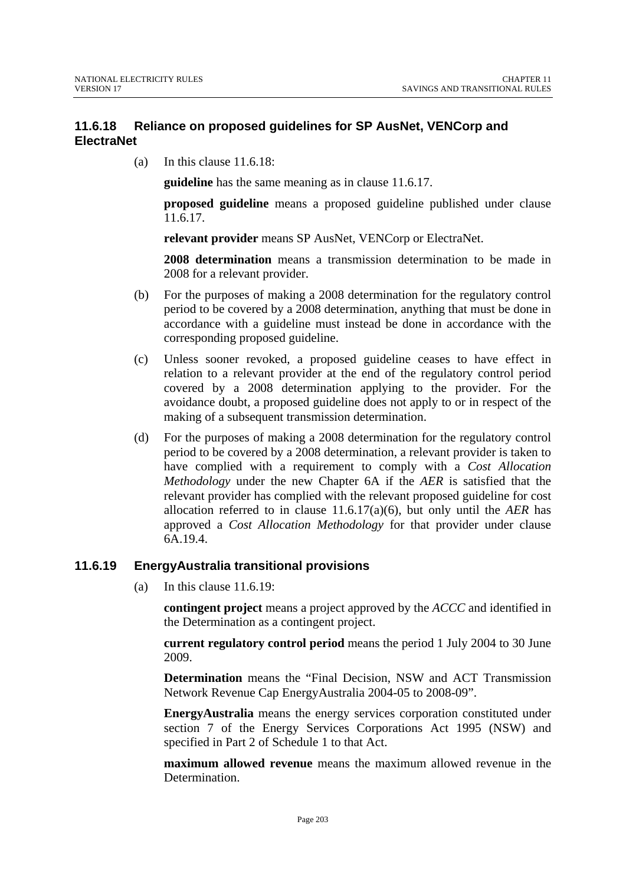### **11.6.18 Reliance on proposed guidelines for SP AusNet, VENCorp and ElectraNet**

(a) In this clause 11.6.18:

**guideline** has the same meaning as in clause 11.6.17.

**proposed guideline** means a proposed guideline published under clause 11.6.17.

**relevant provider** means SP AusNet, VENCorp or ElectraNet.

**2008 determination** means a transmission determination to be made in 2008 for a relevant provider.

- (b) For the purposes of making a 2008 determination for the regulatory control period to be covered by a 2008 determination, anything that must be done in accordance with a guideline must instead be done in accordance with the corresponding proposed guideline.
- (c) Unless sooner revoked, a proposed guideline ceases to have effect in relation to a relevant provider at the end of the regulatory control period covered by a 2008 determination applying to the provider. For the avoidance doubt, a proposed guideline does not apply to or in respect of the making of a subsequent transmission determination.
- (d) For the purposes of making a 2008 determination for the regulatory control period to be covered by a 2008 determination, a relevant provider is taken to have complied with a requirement to comply with a *Cost Allocation Methodology* under the new Chapter 6A if the *AER* is satisfied that the relevant provider has complied with the relevant proposed guideline for cost allocation referred to in clause 11.6.17(a)(6), but only until the *AER* has approved a *Cost Allocation Methodology* for that provider under clause 6A.19.4.

#### **11.6.19 EnergyAustralia transitional provisions**

(a) In this clause 11.6.19:

**contingent project** means a project approved by the *ACCC* and identified in the Determination as a contingent project.

**current regulatory control period** means the period 1 July 2004 to 30 June 2009.

**Determination** means the "Final Decision, NSW and ACT Transmission Network Revenue Cap EnergyAustralia 2004-05 to 2008-09".

**EnergyAustralia** means the energy services corporation constituted under section 7 of the Energy Services Corporations Act 1995 (NSW) and specified in Part 2 of Schedule 1 to that Act.

**maximum allowed revenue** means the maximum allowed revenue in the **Determination**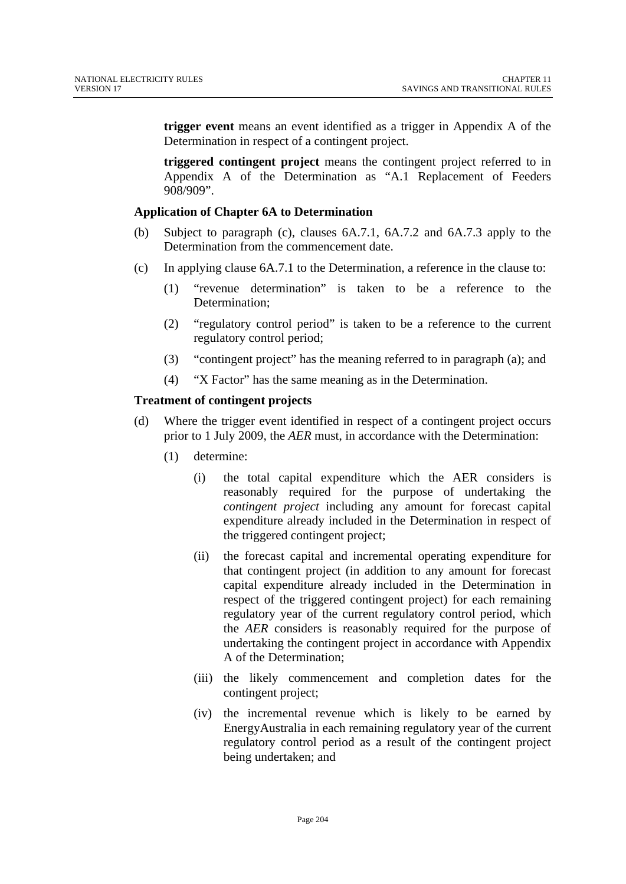**trigger event** means an event identified as a trigger in Appendix A of the Determination in respect of a contingent project.

**triggered contingent project** means the contingent project referred to in Appendix A of the Determination as "A.1 Replacement of Feeders 908/909".

#### **Application of Chapter 6A to Determination**

- (b) Subject to paragraph (c), clauses 6A.7.1, 6A.7.2 and 6A.7.3 apply to the Determination from the commencement date.
- (c) In applying clause 6A.7.1 to the Determination, a reference in the clause to:
	- (1) "revenue determination" is taken to be a reference to the Determination;
	- (2) "regulatory control period" is taken to be a reference to the current regulatory control period;
	- (3) "contingent project" has the meaning referred to in paragraph (a); and
	- (4) "X Factor" has the same meaning as in the Determination.

#### **Treatment of contingent projects**

- (d) Where the trigger event identified in respect of a contingent project occurs prior to 1 July 2009, the *AER* must, in accordance with the Determination:
	- (1) determine:
		- (i) the total capital expenditure which the AER considers is reasonably required for the purpose of undertaking the *contingent project* including any amount for forecast capital expenditure already included in the Determination in respect of the triggered contingent project;
		- (ii) the forecast capital and incremental operating expenditure for that contingent project (in addition to any amount for forecast capital expenditure already included in the Determination in respect of the triggered contingent project) for each remaining regulatory year of the current regulatory control period, which the *AER* considers is reasonably required for the purpose of undertaking the contingent project in accordance with Appendix A of the Determination;
		- (iii) the likely commencement and completion dates for the contingent project;
		- (iv) the incremental revenue which is likely to be earned by EnergyAustralia in each remaining regulatory year of the current regulatory control period as a result of the contingent project being undertaken; and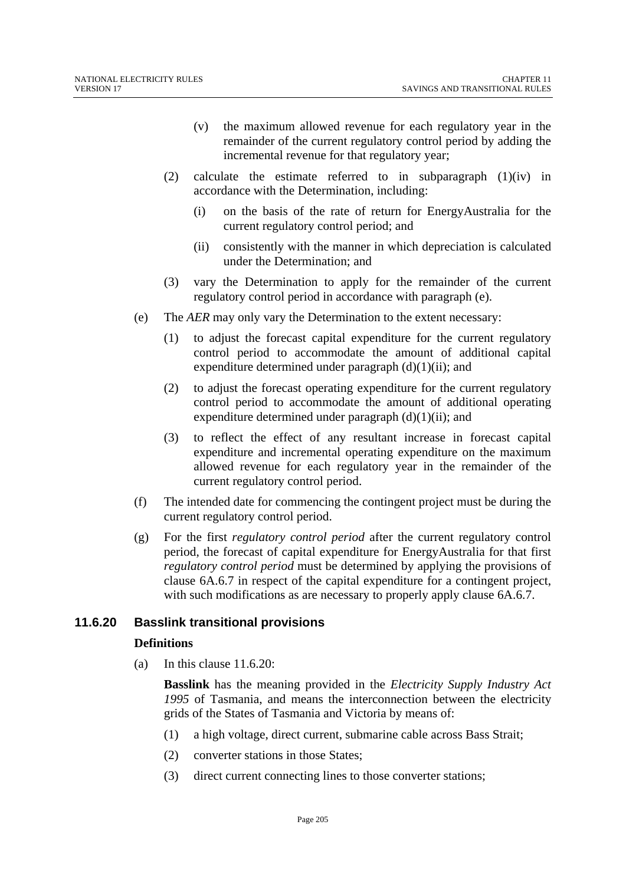- (v) the maximum allowed revenue for each regulatory year in the remainder of the current regulatory control period by adding the incremental revenue for that regulatory year;
- (2) calculate the estimate referred to in subparagraph (1)(iv) in accordance with the Determination, including:
	- (i) on the basis of the rate of return for EnergyAustralia for the current regulatory control period; and
	- (ii) consistently with the manner in which depreciation is calculated under the Determination; and
- (3) vary the Determination to apply for the remainder of the current regulatory control period in accordance with paragraph (e).
- (e) The *AER* may only vary the Determination to the extent necessary:
	- (1) to adjust the forecast capital expenditure for the current regulatory control period to accommodate the amount of additional capital expenditure determined under paragraph  $(d)(1)(ii)$ ; and
	- (2) to adjust the forecast operating expenditure for the current regulatory control period to accommodate the amount of additional operating expenditure determined under paragraph  $(d)(1)(ii)$ ; and
	- (3) to reflect the effect of any resultant increase in forecast capital expenditure and incremental operating expenditure on the maximum allowed revenue for each regulatory year in the remainder of the current regulatory control period.
- (f) The intended date for commencing the contingent project must be during the current regulatory control period.
- (g) For the first *regulatory control period* after the current regulatory control period, the forecast of capital expenditure for EnergyAustralia for that first *regulatory control period* must be determined by applying the provisions of clause 6A.6.7 in respect of the capital expenditure for a contingent project, with such modifications as are necessary to properly apply clause 6A.6.7.

### **11.6.20 Basslink transitional provisions**

#### **Definitions**

(a) In this clause  $11.6.20$ :

**Basslink** has the meaning provided in the *Electricity Supply Industry Act 1995* of Tasmania, and means the interconnection between the electricity grids of the States of Tasmania and Victoria by means of:

- (1) a high voltage, direct current, submarine cable across Bass Strait;
- (2) converter stations in those States;
- (3) direct current connecting lines to those converter stations;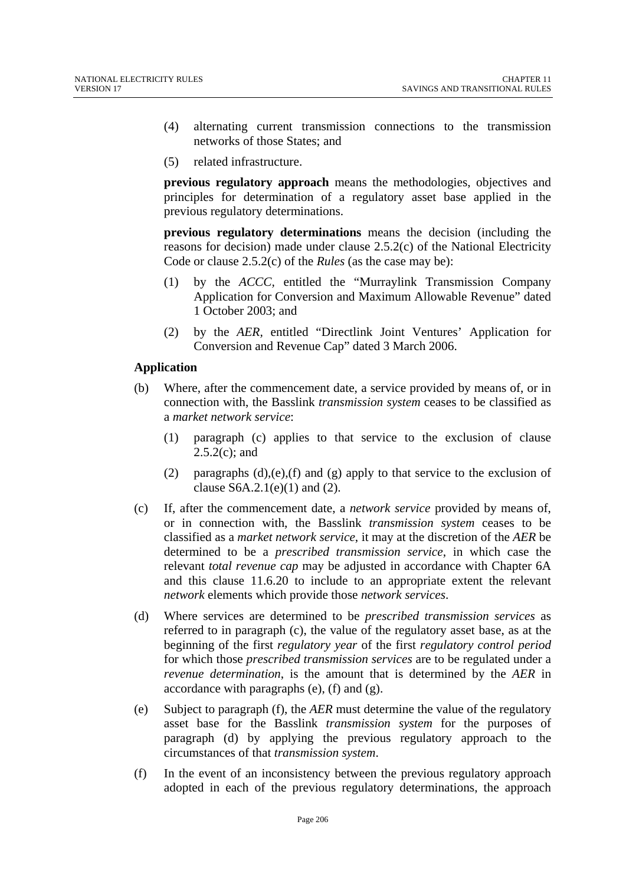- (4) alternating current transmission connections to the transmission networks of those States; and
- (5) related infrastructure.

**previous regulatory approach** means the methodologies, objectives and principles for determination of a regulatory asset base applied in the previous regulatory determinations.

**previous regulatory determinations** means the decision (including the reasons for decision) made under clause 2.5.2(c) of the National Electricity Code or clause 2.5.2(c) of the *Rules* (as the case may be):

- (1) by the *ACCC,* entitled the "Murraylink Transmission Company Application for Conversion and Maximum Allowable Revenue" dated 1 October 2003; and
- (2) by the *AER,* entitled "Directlink Joint Ventures' Application for Conversion and Revenue Cap" dated 3 March 2006.

#### **Application**

- (b) Where, after the commencement date, a service provided by means of, or in connection with, the Basslink *transmission system* ceases to be classified as a *market network service*:
	- (1) paragraph (c) applies to that service to the exclusion of clause 2.5.2(c); and
	- (2) paragraphs  $(d)$ ,(e),(f) and (g) apply to that service to the exclusion of clause  $S6A.2.1(e)(1)$  and (2).
- (c) If, after the commencement date, a *network service* provided by means of, or in connection with, the Basslink *transmission system* ceases to be classified as a *market network service*, it may at the discretion of the *AER* be determined to be a *prescribed transmission service*, in which case the relevant *total revenue cap* may be adjusted in accordance with Chapter 6A and this clause 11.6.20 to include to an appropriate extent the relevant *network* elements which provide those *network services*.
- (d) Where services are determined to be *prescribed transmission services* as referred to in paragraph (c), the value of the regulatory asset base, as at the beginning of the first *regulatory year* of the first *regulatory control period* for which those *prescribed transmission services* are to be regulated under a *revenue determination*, is the amount that is determined by the *AER* in accordance with paragraphs (e), (f) and (g).
- (e) Subject to paragraph (f), the *AER* must determine the value of the regulatory asset base for the Basslink *transmission system* for the purposes of paragraph (d) by applying the previous regulatory approach to the circumstances of that *transmission system*.
- (f) In the event of an inconsistency between the previous regulatory approach adopted in each of the previous regulatory determinations, the approach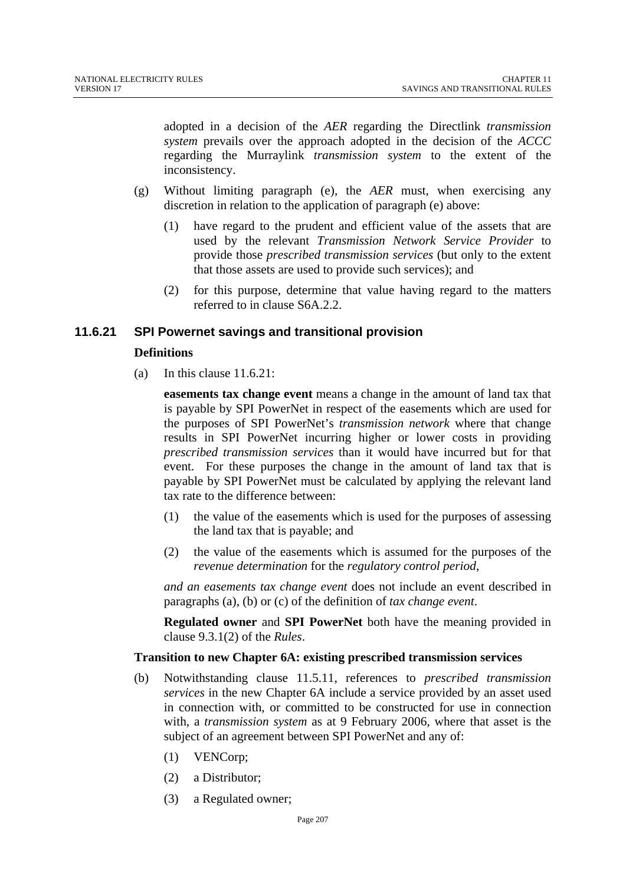adopted in a decision of the *AER* regarding the Directlink *transmission system* prevails over the approach adopted in the decision of the *ACCC* regarding the Murraylink *transmission system* to the extent of the inconsistency.

- (g) Without limiting paragraph (e), the *AER* must, when exercising any discretion in relation to the application of paragraph (e) above:
	- (1) have regard to the prudent and efficient value of the assets that are used by the relevant *Transmission Network Service Provider* to provide those *prescribed transmission services* (but only to the extent that those assets are used to provide such services); and
	- (2) for this purpose, determine that value having regard to the matters referred to in clause S6A.2.2.

#### **11.6.21 SPI Powernet savings and transitional provision**

#### **Definitions**

(a) In this clause 11.6.21:

**easements tax change event** means a change in the amount of land tax that is payable by SPI PowerNet in respect of the easements which are used for the purposes of SPI PowerNet's *transmission network* where that change results in SPI PowerNet incurring higher or lower costs in providing *prescribed transmission services* than it would have incurred but for that event. For these purposes the change in the amount of land tax that is payable by SPI PowerNet must be calculated by applying the relevant land tax rate to the difference between:

- (1) the value of the easements which is used for the purposes of assessing the land tax that is payable; and
- (2) the value of the easements which is assumed for the purposes of the *revenue determination* for the *regulatory control period*,

*and an easements tax change event* does not include an event described in paragraphs (a), (b) or (c) of the definition of *tax change event*.

**Regulated owner** and **SPI PowerNet** both have the meaning provided in clause 9.3.1(2) of the *Rules*.

#### **Transition to new Chapter 6A: existing prescribed transmission services**

- (b) Notwithstanding clause 11.5.11, references to *prescribed transmission services* in the new Chapter 6A include a service provided by an asset used in connection with, or committed to be constructed for use in connection with, a *transmission system* as at 9 February 2006, where that asset is the subject of an agreement between SPI PowerNet and any of:
	- (1) VENCorp;
	- (2) a Distributor;
	- (3) a Regulated owner;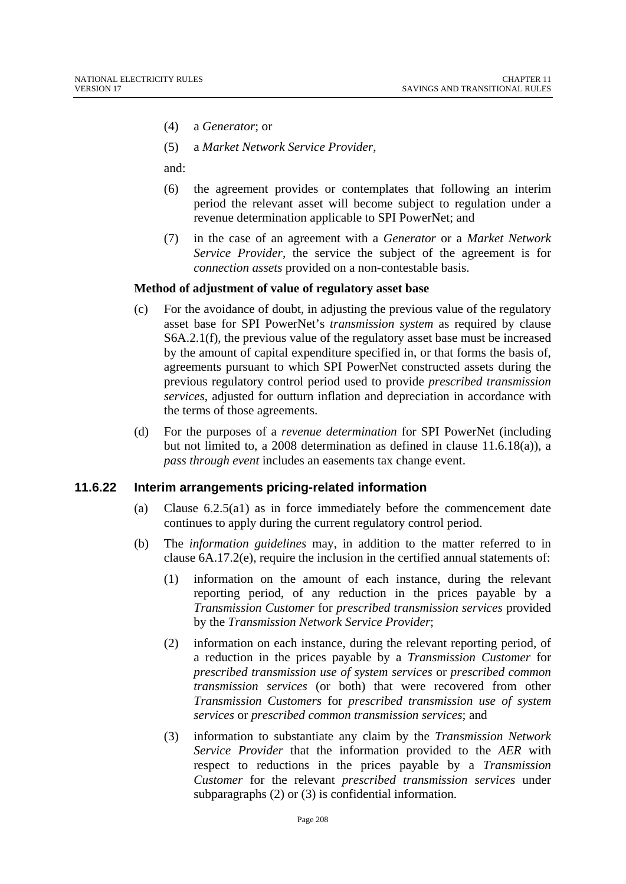- (4) a *Generator*; or
- (5) a *Market Network Service Provider*,

and:

- (6) the agreement provides or contemplates that following an interim period the relevant asset will become subject to regulation under a revenue determination applicable to SPI PowerNet; and
- (7) in the case of an agreement with a *Generator* or a *Market Network Service Provider,* the service the subject of the agreement is for *connection assets* provided on a non-contestable basis.

#### **Method of adjustment of value of regulatory asset base**

- (c) For the avoidance of doubt, in adjusting the previous value of the regulatory asset base for SPI PowerNet's *transmission system* as required by clause S6A.2.1(f), the previous value of the regulatory asset base must be increased by the amount of capital expenditure specified in, or that forms the basis of, agreements pursuant to which SPI PowerNet constructed assets during the previous regulatory control period used to provide *prescribed transmission services*, adjusted for outturn inflation and depreciation in accordance with the terms of those agreements.
- (d) For the purposes of a *revenue determination* for SPI PowerNet (including but not limited to, a 2008 determination as defined in clause 11.6.18(a)), a *pass through event* includes an easements tax change event.

#### **11.6.22 Interim arrangements pricing-related information**

- (a) Clause 6.2.5(a1) as in force immediately before the commencement date continues to apply during the current regulatory control period.
- (b) The *information guidelines* may, in addition to the matter referred to in clause 6A.17.2(e), require the inclusion in the certified annual statements of:
	- (1) information on the amount of each instance, during the relevant reporting period, of any reduction in the prices payable by a *Transmission Customer* for *prescribed transmission services* provided by the *Transmission Network Service Provider*;
	- (2) information on each instance, during the relevant reporting period, of a reduction in the prices payable by a *Transmission Customer* for *prescribed transmission use of system services* or *prescribed common transmission services* (or both) that were recovered from other *Transmission Customers* for *prescribed transmission use of system services* or *prescribed common transmission services*; and
	- (3) information to substantiate any claim by the *Transmission Network Service Provider* that the information provided to the *AER* with respect to reductions in the prices payable by a *Transmission Customer* for the relevant *prescribed transmission services* under subparagraphs (2) or (3) is confidential information.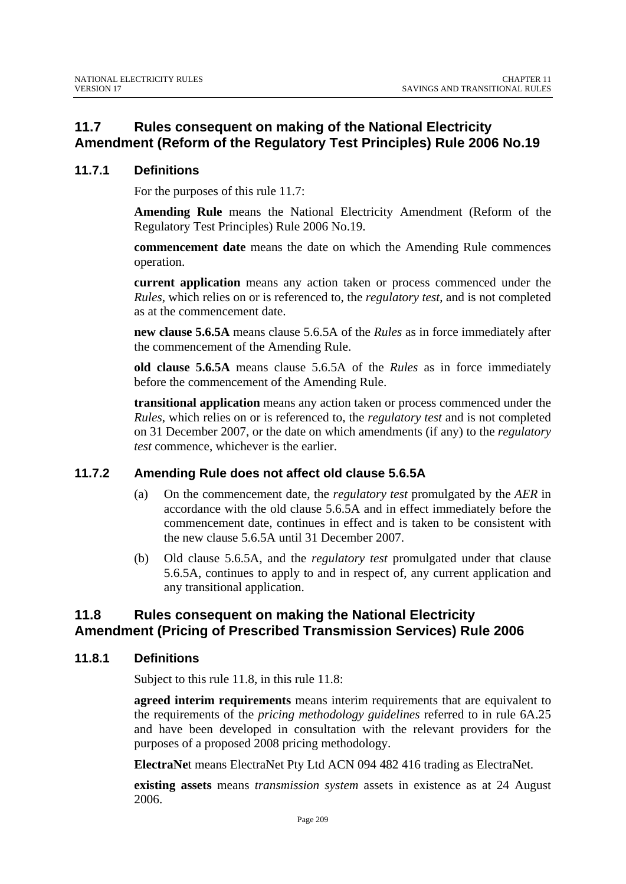# **11.7 Rules consequent on making of the National Electricity Amendment (Reform of the Regulatory Test Principles) Rule 2006 No.19**

### **11.7.1 Definitions**

For the purposes of this rule 11.7:

**Amending Rule** means the National Electricity Amendment (Reform of the Regulatory Test Principles) Rule 2006 No.19.

**commencement date** means the date on which the Amending Rule commences operation.

**current application** means any action taken or process commenced under the *Rules*, which relies on or is referenced to, the *regulatory test*, and is not completed as at the commencement date.

**new clause 5.6.5A** means clause 5.6.5A of the *Rules* as in force immediately after the commencement of the Amending Rule.

**old clause 5.6.5A** means clause 5.6.5A of the *Rules* as in force immediately before the commencement of the Amending Rule.

**transitional application** means any action taken or process commenced under the *Rules*, which relies on or is referenced to, the *regulatory test* and is not completed on 31 December 2007, or the date on which amendments (if any) to the *regulatory test* commence, whichever is the earlier.

#### **11.7.2 Amending Rule does not affect old clause 5.6.5A**

- (a) On the commencement date, the *regulatory test* promulgated by the *AER* in accordance with the old clause 5.6.5A and in effect immediately before the commencement date, continues in effect and is taken to be consistent with the new clause 5.6.5A until 31 December 2007.
- (b) Old clause 5.6.5A, and the *regulatory test* promulgated under that clause 5.6.5A, continues to apply to and in respect of, any current application and any transitional application.

### **11.8 Rules consequent on making the National Electricity Amendment (Pricing of Prescribed Transmission Services) Rule 2006**

#### **11.8.1 Definitions**

Subject to this rule 11.8, in this rule 11.8:

**agreed interim requirements** means interim requirements that are equivalent to the requirements of the *pricing methodology guidelines* referred to in rule 6A.25 and have been developed in consultation with the relevant providers for the purposes of a proposed 2008 pricing methodology.

**ElectraNe**t means ElectraNet Pty Ltd ACN 094 482 416 trading as ElectraNet.

**existing assets** means *transmission system* assets in existence as at 24 August 2006.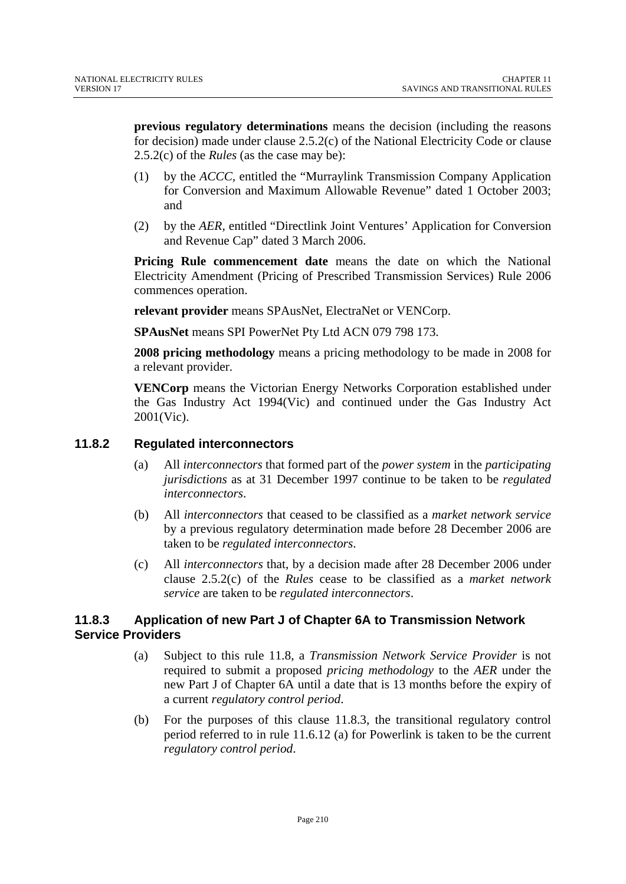**previous regulatory determinations** means the decision (including the reasons for decision) made under clause 2.5.2(c) of the National Electricity Code or clause 2.5.2(c) of the *Rules* (as the case may be):

- (1) by the *ACCC,* entitled the "Murraylink Transmission Company Application for Conversion and Maximum Allowable Revenue" dated 1 October 2003; and
- (2) by the *AER,* entitled "Directlink Joint Ventures' Application for Conversion and Revenue Cap" dated 3 March 2006.

**Pricing Rule commencement date** means the date on which the National Electricity Amendment (Pricing of Prescribed Transmission Services) Rule 2006 commences operation.

**relevant provider** means SPAusNet, ElectraNet or VENCorp.

**SPAusNet** means SPI PowerNet Pty Ltd ACN 079 798 173.

**2008 pricing methodology** means a pricing methodology to be made in 2008 for a relevant provider.

**VENCorp** means the Victorian Energy Networks Corporation established under the Gas Industry Act 1994(Vic) and continued under the Gas Industry Act 2001(Vic).

#### **11.8.2 Regulated interconnectors**

- (a) All *interconnectors* that formed part of the *power system* in the *participating jurisdictions* as at 31 December 1997 continue to be taken to be *regulated interconnectors*.
- (b) All *interconnectors* that ceased to be classified as a *market network service*  by a previous regulatory determination made before 28 December 2006 are taken to be *regulated interconnectors*.
- (c) All *interconnectors* that, by a decision made after 28 December 2006 under clause 2.5.2(c) of the *Rules* cease to be classified as a *market network service* are taken to be *regulated interconnectors*.

### **11.8.3 Application of new Part J of Chapter 6A to Transmission Network Service Providers**

- (a) Subject to this rule 11.8, a *Transmission Network Service Provider* is not required to submit a proposed *pricing methodology* to the *AER* under the new Part J of Chapter 6A until a date that is 13 months before the expiry of a current *regulatory control period*.
- (b) For the purposes of this clause 11.8.3, the transitional regulatory control period referred to in rule 11.6.12 (a) for Powerlink is taken to be the current *regulatory control period*.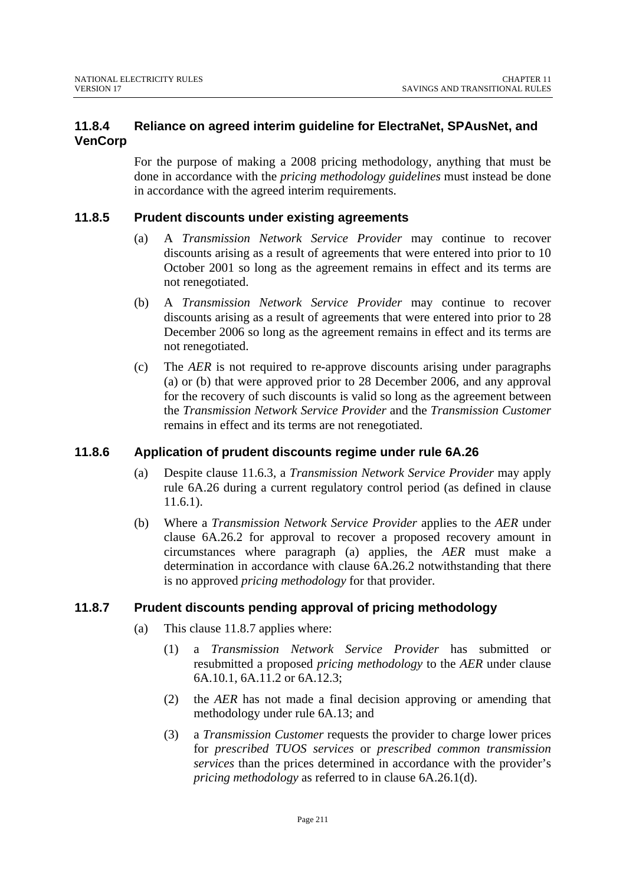### **11.8.4 Reliance on agreed interim guideline for ElectraNet, SPAusNet, and VenCorp**

For the purpose of making a 2008 pricing methodology, anything that must be done in accordance with the *pricing methodology guidelines* must instead be done in accordance with the agreed interim requirements.

### **11.8.5 Prudent discounts under existing agreements**

- (a) A *Transmission Network Service Provider* may continue to recover discounts arising as a result of agreements that were entered into prior to 10 October 2001 so long as the agreement remains in effect and its terms are not renegotiated.
- (b) A *Transmission Network Service Provider* may continue to recover discounts arising as a result of agreements that were entered into prior to 28 December 2006 so long as the agreement remains in effect and its terms are not renegotiated.
- (c) The *AER* is not required to re-approve discounts arising under paragraphs (a) or (b) that were approved prior to 28 December 2006, and any approval for the recovery of such discounts is valid so long as the agreement between the *Transmission Network Service Provider* and the *Transmission Customer* remains in effect and its terms are not renegotiated.

### **11.8.6 Application of prudent discounts regime under rule 6A.26**

- (a) Despite clause 11.6.3, a *Transmission Network Service Provider* may apply rule 6A.26 during a current regulatory control period (as defined in clause 11.6.1).
- (b) Where a *Transmission Network Service Provider* applies to the *AER* under clause 6A.26.2 for approval to recover a proposed recovery amount in circumstances where paragraph (a) applies, the *AER* must make a determination in accordance with clause 6A.26.2 notwithstanding that there is no approved *pricing methodology* for that provider.

### **11.8.7 Prudent discounts pending approval of pricing methodology**

- (a) This clause 11.8.7 applies where:
	- (1) a *Transmission Network Service Provider* has submitted or resubmitted a proposed *pricing methodology* to the *AER* under clause 6A.10.1, 6A.11.2 or 6A.12.3;
	- (2) the *AER* has not made a final decision approving or amending that methodology under rule 6A.13; and
	- (3) a *Transmission Customer* requests the provider to charge lower prices for *prescribed TUOS services* or *prescribed common transmission services* than the prices determined in accordance with the provider's *pricing methodology* as referred to in clause 6A.26.1(d).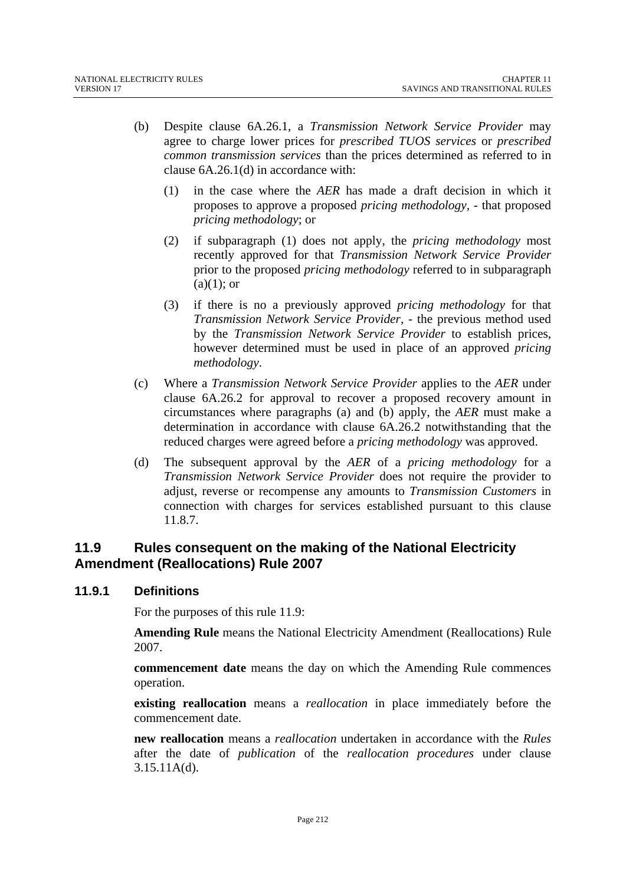- (b) Despite clause 6A.26.1, a *Transmission Network Service Provider* may agree to charge lower prices for *prescribed TUOS services* or *prescribed common transmission services* than the prices determined as referred to in clause 6A.26.1(d) in accordance with:
	- (1) in the case where the *AER* has made a draft decision in which it proposes to approve a proposed *pricing methodology,* - that proposed *pricing methodology*; or
	- (2) if subparagraph (1) does not apply, the *pricing methodology* most recently approved for that *Transmission Network Service Provider*  prior to the proposed *pricing methodology* referred to in subparagraph  $(a)(1)$ ; or
	- (3) if there is no a previously approved *pricing methodology* for that *Transmission Network Service Provider,* - the previous method used by the *Transmission Network Service Provider* to establish prices, however determined must be used in place of an approved *pricing methodology*.
- (c) Where a *Transmission Network Service Provider* applies to the *AER* under clause 6A.26.2 for approval to recover a proposed recovery amount in circumstances where paragraphs (a) and (b) apply, the *AER* must make a determination in accordance with clause 6A.26.2 notwithstanding that the reduced charges were agreed before a *pricing methodology* was approved.
- (d) The subsequent approval by the *AER* of a *pricing methodology* for a *Transmission Network Service Provider* does not require the provider to adjust, reverse or recompense any amounts to *Transmission Customers* in connection with charges for services established pursuant to this clause 11.8.7.

# **11.9 Rules consequent on the making of the National Electricity Amendment (Reallocations) Rule 2007**

#### **11.9.1 Definitions**

For the purposes of this rule 11.9:

**Amending Rule** means the National Electricity Amendment (Reallocations) Rule 2007.

**commencement date** means the day on which the Amending Rule commences operation.

**existing reallocation** means a *reallocation* in place immediately before the commencement date.

**new reallocation** means a *reallocation* undertaken in accordance with the *Rules* after the date of *publication* of the *reallocation procedures* under clause 3.15.11A(d).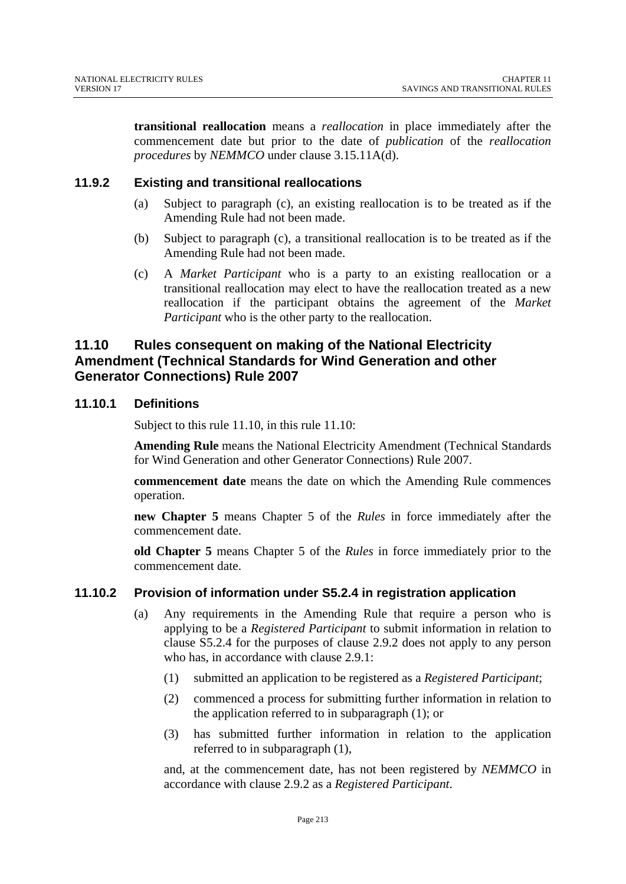**transitional reallocation** means a *reallocation* in place immediately after the commencement date but prior to the date of *publication* of the *reallocation procedures* by *NEMMCO* under clause 3.15.11A(d).

#### **11.9.2 Existing and transitional reallocations**

- (a) Subject to paragraph (c), an existing reallocation is to be treated as if the Amending Rule had not been made.
- (b) Subject to paragraph (c), a transitional reallocation is to be treated as if the Amending Rule had not been made.
- (c) A *Market Participant* who is a party to an existing reallocation or a transitional reallocation may elect to have the reallocation treated as a new reallocation if the participant obtains the agreement of the *Market Participant* who is the other party to the reallocation.

# **11.10 Rules consequent on making of the National Electricity Amendment (Technical Standards for Wind Generation and other Generator Connections) Rule 2007**

#### **11.10.1 Definitions**

Subject to this rule 11.10, in this rule 11.10:

**Amending Rule** means the National Electricity Amendment (Technical Standards for Wind Generation and other Generator Connections) Rule 2007.

**commencement date** means the date on which the Amending Rule commences operation.

**new Chapter 5** means Chapter 5 of the *Rules* in force immediately after the commencement date.

**old Chapter 5** means Chapter 5 of the *Rules* in force immediately prior to the commencement date.

#### **11.10.2 Provision of information under S5.2.4 in registration application**

- (a) Any requirements in the Amending Rule that require a person who is applying to be a *Registered Participant* to submit information in relation to clause S5.2.4 for the purposes of clause 2.9.2 does not apply to any person who has, in accordance with clause 2.9.1:
	- (1) submitted an application to be registered as a *Registered Participant*;
	- (2) commenced a process for submitting further information in relation to the application referred to in subparagraph (1); or
	- (3) has submitted further information in relation to the application referred to in subparagraph (1),

and, at the commencement date, has not been registered by *NEMMCO* in accordance with clause 2.9.2 as a *Registered Participant*.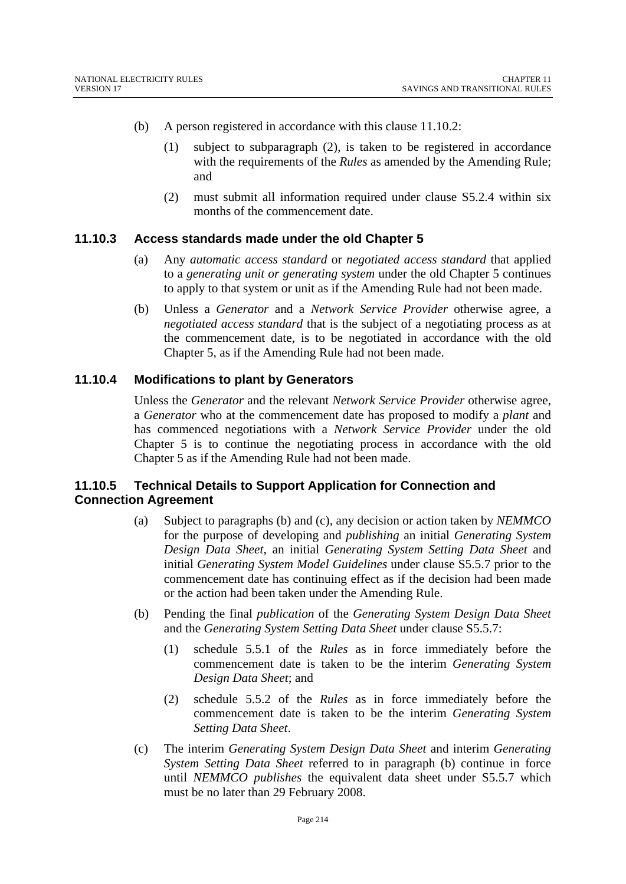- (b) A person registered in accordance with this clause 11.10.2:
	- (1) subject to subparagraph (2), is taken to be registered in accordance with the requirements of the *Rules* as amended by the Amending Rule; and
	- (2) must submit all information required under clause S5.2.4 within six months of the commencement date.

#### **11.10.3 Access standards made under the old Chapter 5**

- (a) Any *automatic access standard* or *negotiated access standard* that applied to a *generating unit or generating system* under the old Chapter 5 continues to apply to that system or unit as if the Amending Rule had not been made.
- (b) Unless a *Generator* and a *Network Service Provider* otherwise agree, a *negotiated access standard* that is the subject of a negotiating process as at the commencement date, is to be negotiated in accordance with the old Chapter 5, as if the Amending Rule had not been made.

#### **11.10.4 Modifications to plant by Generators**

Unless the *Generator* and the relevant *Network Service Provider* otherwise agree, a *Generator* who at the commencement date has proposed to modify a *plant* and has commenced negotiations with a *Network Service Provider* under the old Chapter 5 is to continue the negotiating process in accordance with the old Chapter 5 as if the Amending Rule had not been made.

#### **11.10.5 Technical Details to Support Application for Connection and Connection Agreement**

- (a) Subject to paragraphs (b) and (c), any decision or action taken by *NEMMCO*  for the purpose of developing and *publishing* an initial *Generating System Design Data Sheet*, an initial *Generating System Setting Data Sheet* and initial *Generating System Model Guidelines* under clause S5.5.7 prior to the commencement date has continuing effect as if the decision had been made or the action had been taken under the Amending Rule.
- (b) Pending the final *publication* of the *Generating System Design Data Sheet* and the *Generating System Setting Data Sheet* under clause S5.5.7:
	- (1) schedule 5.5.1 of the *Rules* as in force immediately before the commencement date is taken to be the interim *Generating System Design Data Sheet*; and
	- (2) schedule 5.5.2 of the *Rules* as in force immediately before the commencement date is taken to be the interim *Generating System Setting Data Sheet*.
- (c) The interim *Generating System Design Data Sheet* and interim *Generating System Setting Data Sheet* referred to in paragraph (b) continue in force until *NEMMCO publishes* the equivalent data sheet under S5.5.7 which must be no later than 29 February 2008.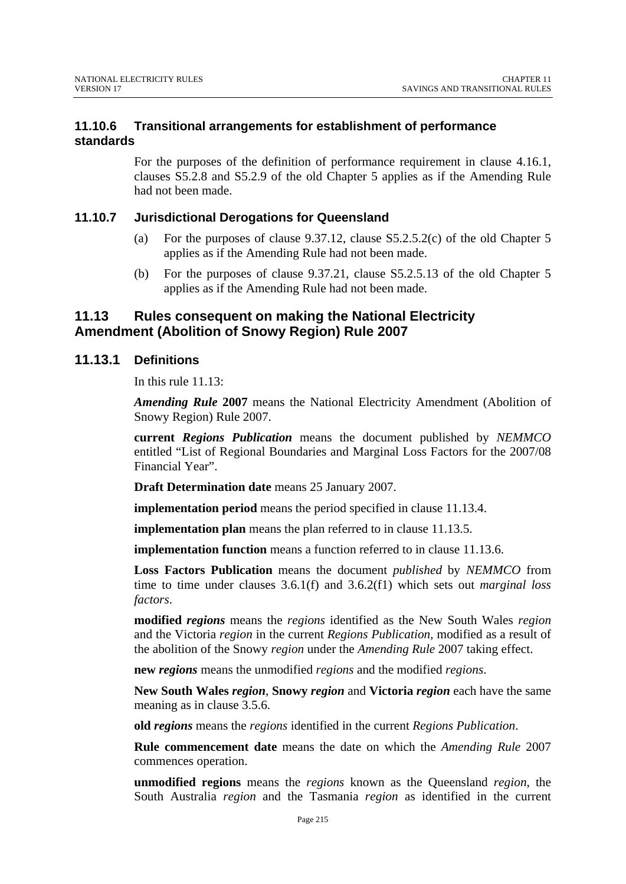### **11.10.6 Transitional arrangements for establishment of performance standards**

For the purposes of the definition of performance requirement in clause 4.16.1, clauses S5.2.8 and S5.2.9 of the old Chapter 5 applies as if the Amending Rule had not been made.

#### **11.10.7 Jurisdictional Derogations for Queensland**

- (a) For the purposes of clause 9.37.12, clause S5.2.5.2(c) of the old Chapter 5 applies as if the Amending Rule had not been made.
- (b) For the purposes of clause 9.37.21, clause S5.2.5.13 of the old Chapter 5 applies as if the Amending Rule had not been made.

### **11.13 Rules consequent on making the National Electricity Amendment (Abolition of Snowy Region) Rule 2007**

#### **11.13.1 Definitions**

In this rule 11.13:

*Amending Rule* **2007** means the National Electricity Amendment (Abolition of Snowy Region) Rule 2007.

**current** *Regions Publication* means the document published by *NEMMCO*  entitled "List of Regional Boundaries and Marginal Loss Factors for the 2007/08 Financial Year".

**Draft Determination date** means 25 January 2007.

**implementation period** means the period specified in clause 11.13.4.

**implementation plan** means the plan referred to in clause 11.13.5.

**implementation function** means a function referred to in clause 11.13.6.

**Loss Factors Publication** means the document *published* by *NEMMCO* from time to time under clauses 3.6.1(f) and 3.6.2(f1) which sets out *marginal loss factors*.

**modified** *regions* means the *regions* identified as the New South Wales *region* and the Victoria *region* in the current *Regions Publication*, modified as a result of the abolition of the Snowy *region* under the *Amending Rule* 2007 taking effect.

**new** *regions* means the unmodified *regions* and the modified *regions*.

**New South Wales** *region*, **Snowy** *region* and **Victoria** *region* each have the same meaning as in clause 3.5.6.

**old** *regions* means the *regions* identified in the current *Regions Publication*.

**Rule commencement date** means the date on which the *Amending Rule* 2007 commences operation.

**unmodified regions** means the *regions* known as the Queensland *region*, the South Australia *region* and the Tasmania *region* as identified in the current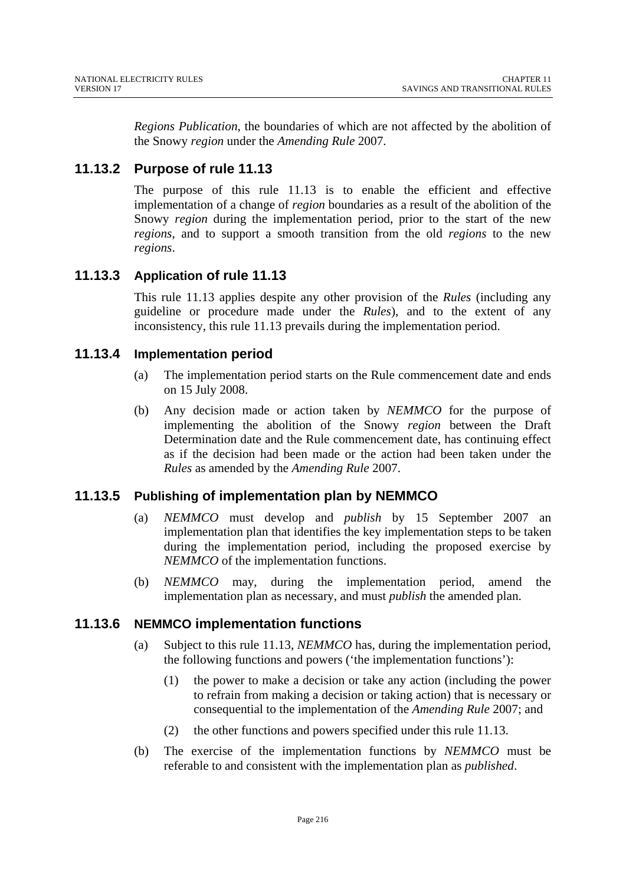*Regions Publication*, the boundaries of which are not affected by the abolition of the Snowy *region* under the *Amending Rule* 2007.

# **11.13.2 Purpose of rule 11.13**

The purpose of this rule 11.13 is to enable the efficient and effective implementation of a change of *region* boundaries as a result of the abolition of the Snowy *region* during the implementation period, prior to the start of the new *regions*, and to support a smooth transition from the old *regions* to the new *regions*.

## **11.13.3 Application of rule 11.13**

This rule 11.13 applies despite any other provision of the *Rules* (including any guideline or procedure made under the *Rules*), and to the extent of any inconsistency, this rule 11.13 prevails during the implementation period.

#### **11.13.4 Implementation period**

- (a) The implementation period starts on the Rule commencement date and ends on 15 July 2008.
- (b) Any decision made or action taken by *NEMMCO* for the purpose of implementing the abolition of the Snowy *region* between the Draft Determination date and the Rule commencement date, has continuing effect as if the decision had been made or the action had been taken under the *Rules* as amended by the *Amending Rule* 2007.

## **11.13.5 Publishing of implementation plan by NEMMCO**

- (a) *NEMMCO* must develop and *publish* by 15 September 2007 an implementation plan that identifies the key implementation steps to be taken during the implementation period, including the proposed exercise by *NEMMCO* of the implementation functions.
- (b) *NEMMCO* may, during the implementation period, amend the implementation plan as necessary, and must *publish* the amended plan.

## **11.13.6 NEMMCO implementation functions**

- (a) Subject to this rule 11.13, *NEMMCO* has, during the implementation period, the following functions and powers ('the implementation functions'):
	- (1) the power to make a decision or take any action (including the power to refrain from making a decision or taking action) that is necessary or consequential to the implementation of the *Amending Rule* 2007; and
	- (2) the other functions and powers specified under this rule 11.13.
- (b) The exercise of the implementation functions by *NEMMCO* must be referable to and consistent with the implementation plan as *published*.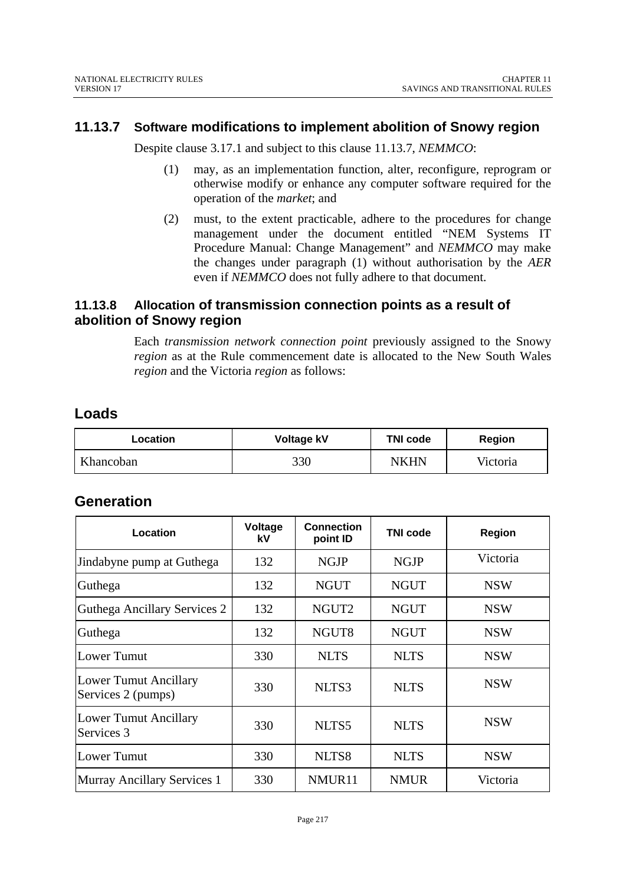## **11.13.7 Software modifications to implement abolition of Snowy region**

Despite clause 3.17.1 and subject to this clause 11.13.7, *NEMMCO*:

- (1) may, as an implementation function, alter, reconfigure, reprogram or otherwise modify or enhance any computer software required for the operation of the *market*; and
- (2) must, to the extent practicable, adhere to the procedures for change management under the document entitled "NEM Systems IT Procedure Manual: Change Management" and *NEMMCO* may make the changes under paragraph (1) without authorisation by the *AER*  even if *NEMMCO* does not fully adhere to that document.

## **11.13.8 Allocation of transmission connection points as a result of abolition of Snowy region**

Each *transmission network connection point* previously assigned to the Snowy *region* as at the Rule commencement date is allocated to the New South Wales *region* and the Victoria *region* as follows:

## **Loads**

| <b>Location</b> | <b>Voltage kV</b> | <b>TNI code</b> | <b>Region</b> |
|-----------------|-------------------|-----------------|---------------|
| Khancoban       | 330               | <b>NKHN</b>     | Victoria      |

# **Generation**

| Location                                           | Voltage<br>kV | <b>Connection</b><br>point ID | <b>TNI code</b> | Region     |
|----------------------------------------------------|---------------|-------------------------------|-----------------|------------|
| Jindabyne pump at Guthega                          | 132           | <b>NGJP</b>                   | <b>NGJP</b>     | Victoria   |
| Guthega                                            | 132           | <b>NGUT</b>                   | <b>NGUT</b>     | <b>NSW</b> |
| Guthega Ancillary Services 2                       | 132           | NGUT2                         | <b>NGUT</b>     | <b>NSW</b> |
| Guthega                                            | 132           | NGUT8                         | <b>NGUT</b>     | <b>NSW</b> |
| Lower Tumut                                        | 330           | <b>NLTS</b>                   | <b>NLTS</b>     | <b>NSW</b> |
| <b>Lower Tumut Ancillary</b><br>Services 2 (pumps) | 330           | NLTS3                         | <b>NLTS</b>     | <b>NSW</b> |
| Lower Tumut Ancillary<br>Services 3                | 330           | NLTS5                         | <b>NLTS</b>     | <b>NSW</b> |
| <b>Lower Tumut</b>                                 | 330           | NLTS8                         | <b>NLTS</b>     | <b>NSW</b> |
| <b>Murray Ancillary Services 1</b>                 | 330           | NMUR11                        | <b>NMUR</b>     | Victoria   |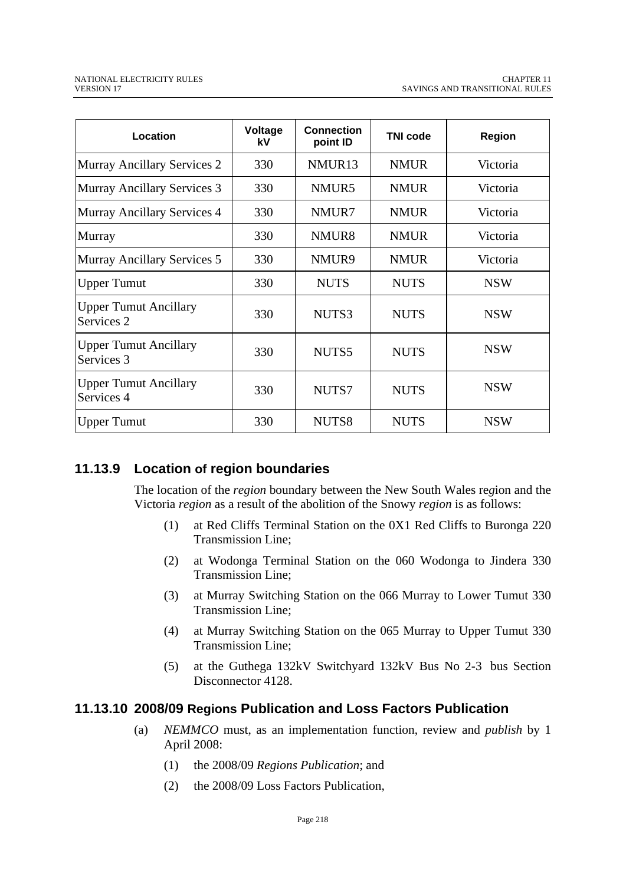| Location                                   | Voltage<br>kV | <b>Connection</b><br>point ID | <b>TNI code</b> | <b>Region</b> |
|--------------------------------------------|---------------|-------------------------------|-----------------|---------------|
| Murray Ancillary Services 2                | 330           | NMUR <sub>13</sub>            | <b>NMUR</b>     | Victoria      |
| Murray Ancillary Services 3                | 330           | NMUR5                         | <b>NMUR</b>     | Victoria      |
| Murray Ancillary Services 4                | 330           | NMUR7                         | <b>NMUR</b>     | Victoria      |
| Murray                                     | 330           | NMUR <sub>8</sub>             | <b>NMUR</b>     | Victoria      |
| Murray Ancillary Services 5                | 330           | NMUR9                         | <b>NMUR</b>     | Victoria      |
| <b>Upper Tumut</b>                         | 330           | <b>NUTS</b>                   | <b>NUTS</b>     | <b>NSW</b>    |
| <b>Upper Tumut Ancillary</b><br>Services 2 | 330           | NUTS3                         | <b>NUTS</b>     | <b>NSW</b>    |
| <b>Upper Tumut Ancillary</b><br>Services 3 | 330           | NUTS5                         | <b>NUTS</b>     | <b>NSW</b>    |
| <b>Upper Tumut Ancillary</b><br>Services 4 | 330           | NUTS7                         | <b>NUTS</b>     | <b>NSW</b>    |
| <b>Upper Tumut</b>                         | 330           | NUTS8                         | <b>NUTS</b>     | <b>NSW</b>    |

## **11.13.9 Location of region boundaries**

The location of the *region* boundary between the New South Wales re*g*ion and the Victoria *region* as a result of the abolition of the Snowy *region* is as follows:

- (1) at Red Cliffs Terminal Station on the 0X1 Red Cliffs to Buronga 220 Transmission Line;
- (2) at Wodonga Terminal Station on the 060 Wodonga to Jindera 330 Transmission Line;
- (3) at Murray Switching Station on the 066 Murray to Lower Tumut 330 Transmission Line;
- (4) at Murray Switching Station on the 065 Murray to Upper Tumut 330 Transmission Line;
- (5) at the Guthega 132kV Switchyard 132kV Bus No 2-3 bus Section Disconnector 4128.

## **11.13.10 2008/09 Regions Publication and Loss Factors Publication**

- (a) *NEMMCO* must, as an implementation function, review and *publish* by 1 April 2008:
	- (1) the 2008/09 *Regions Publication*; and
	- (2) the 2008/09 Loss Factors Publication,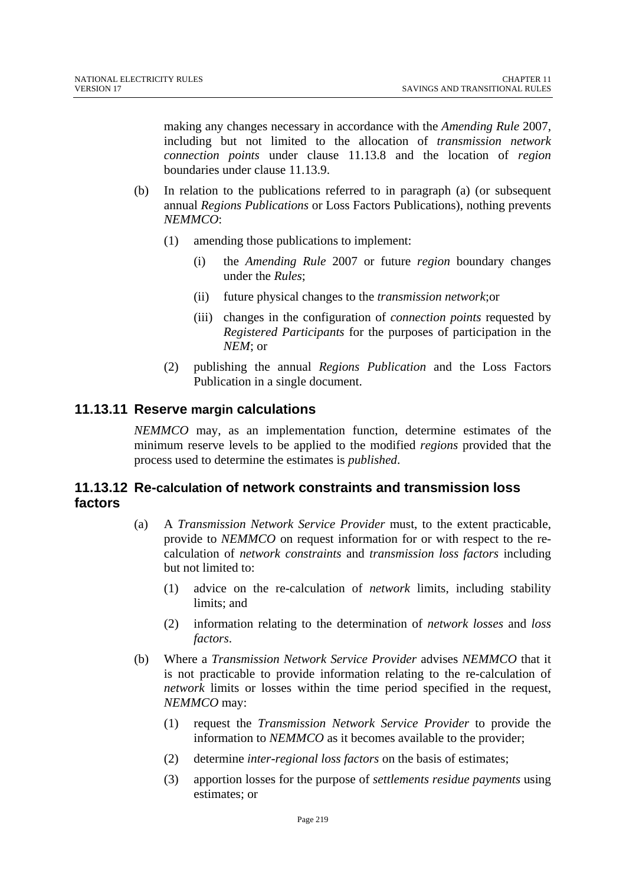making any changes necessary in accordance with the *Amending Rule* 2007, including but not limited to the allocation of *transmission network connection points* under clause 11.13.8 and the location of *region*  boundaries under clause 11.13.9.

- (b) In relation to the publications referred to in paragraph (a) (or subsequent annual *Regions Publications* or Loss Factors Publications), nothing prevents *NEMMCO*:
	- (1) amending those publications to implement:
		- (i) the *Amending Rule* 2007 or future *region* boundary changes under the *Rules*;
		- (ii) future physical changes to the *transmission network*;or
		- (iii) changes in the configuration of *connection points* requested by *Registered Participants* for the purposes of participation in the *NEM*; or
	- (2) publishing the annual *Regions Publication* and the Loss Factors Publication in a single document.

## **11.13.11 Reserve margin calculations**

*NEMMCO* may, as an implementation function, determine estimates of the minimum reserve levels to be applied to the modified *regions* provided that the process used to determine the estimates is *published*.

## **11.13.12 Re-calculation of network constraints and transmission loss factors**

- (a) A *Transmission Network Service Provider* must, to the extent practicable, provide to *NEMMCO* on request information for or with respect to the recalculation of *network constraints* and *transmission loss factors* including but not limited to:
	- (1) advice on the re-calculation of *network* limits, including stability limits; and
	- (2) information relating to the determination of *network losses* and *loss factors*.
- (b) Where a *Transmission Network Service Provider* advises *NEMMCO* that it is not practicable to provide information relating to the re-calculation of *network* limits or losses within the time period specified in the request, *NEMMCO* may:
	- (1) request the *Transmission Network Service Provider* to provide the information to *NEMMCO* as it becomes available to the provider;
	- (2) determine *inter-regional loss factors* on the basis of estimates;
	- (3) apportion losses for the purpose of *settlements residue payments* using estimates; or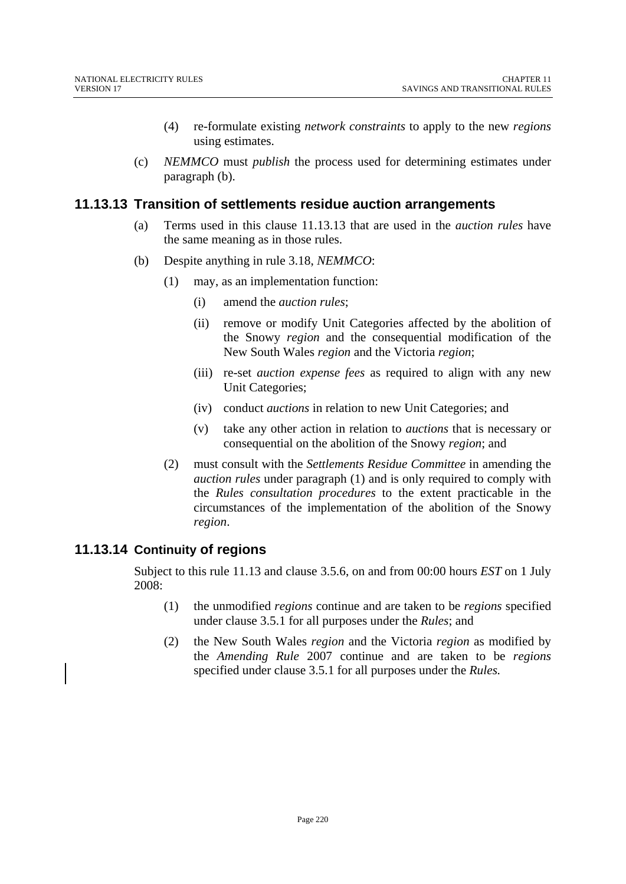- (4) re-formulate existing *network constraints* to apply to the new *regions* using estimates.
- (c) *NEMMCO* must *publish* the process used for determining estimates under paragraph (b).

#### **11.13.13 Transition of settlements residue auction arrangements**

- (a) Terms used in this clause 11.13.13 that are used in the *auction rules* have the same meaning as in those rules.
- (b) Despite anything in rule 3.18, *NEMMCO*:
	- (1) may, as an implementation function:
		- (i) amend the *auction rules*;
		- (ii) remove or modify Unit Categories affected by the abolition of the Snowy *region* and the consequential modification of the New South Wales *region* and the Victoria *region*;
		- (iii) re-set *auction expense fees* as required to align with any new Unit Categories;
		- (iv) conduct *auctions* in relation to new Unit Categories; and
		- (v) take any other action in relation to *auctions* that is necessary or consequential on the abolition of the Snowy *region*; and
	- (2) must consult with the *Settlements Residue Committee* in amending the *auction rules* under paragraph (1) and is only required to comply with the *Rules consultation procedures* to the extent practicable in the circumstances of the implementation of the abolition of the Snowy *region*.

## **11.13.14 Continuity of regions**

Subject to this rule 11.13 and clause 3.5.6, on and from 00:00 hours *EST* on 1 July 2008:

- (1) the unmodified *regions* continue and are taken to be *regions* specified under clause 3.5.1 for all purposes under the *Rules*; and
- (2) the New South Wales *region* and the Victoria *region* as modified by the *Amending Rule* 2007 continue and are taken to be *regions* specified under clause 3.5.1 for all purposes under the *Rules.*